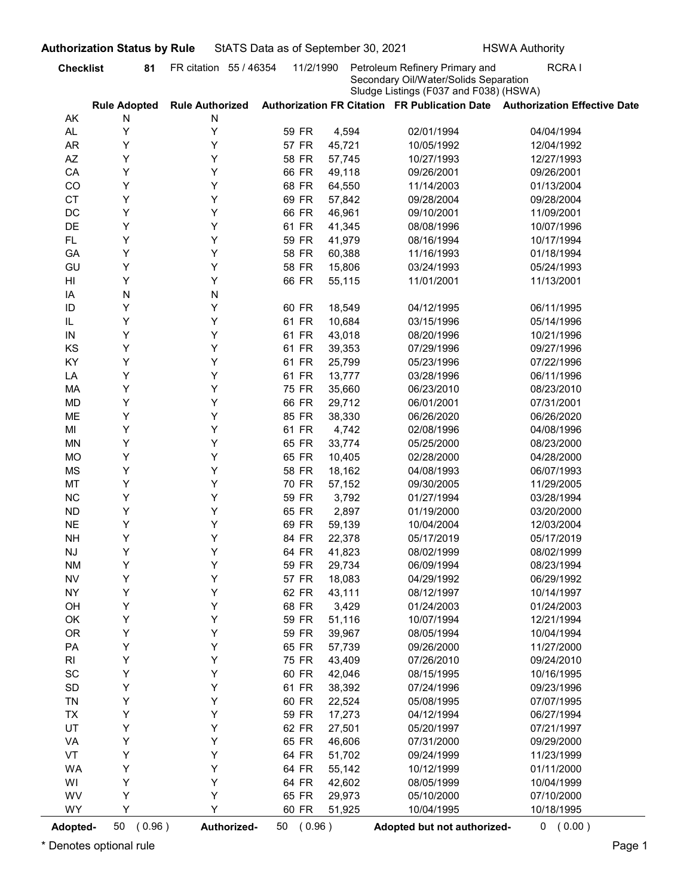| <b>Checklist</b><br>AK<br>AL<br><b>AR</b><br>AZ<br>CA<br>CO<br><b>CT</b><br>DC<br>DE<br>FL.<br>GA<br>GU<br>HI<br>IA<br>ID<br>IL<br>IN<br>KS<br>KY<br>LA<br>MA<br>MD<br>ME<br>MI | 81<br><b>Rule Adopted</b><br>N<br>Y<br>Y<br>Y<br>Y<br>Y<br>Y<br>Y<br>Y<br>Y<br>Y<br>Y<br>Y<br>N<br>Y<br>Y<br>Υ<br>Υ<br>Υ | FR citation 55 / 46354<br><b>Rule Authorized</b><br>N<br>Υ<br>Υ<br>Υ<br>Υ<br>Υ<br>Υ<br>Υ<br>Υ<br>Υ<br>Υ<br>Υ<br>Υ<br>N<br>Υ<br>Y<br>Y | 11/2/1990<br>59 FR<br>57 FR<br>58 FR<br>66 FR<br>68 FR<br>69 FR<br>66 FR<br>61 FR<br>59 FR<br>58 FR<br>58 FR<br>66 FR | 4,594<br>45,721<br>57,745<br>49,118<br>64,550<br>57,842<br>46,961<br>41,345<br>41,979<br>60,388<br>15,806 | Petroleum Refinery Primary and<br>Secondary Oil/Water/Solids Separation<br>Sludge Listings (F037 and F038) (HSWA)<br>02/01/1994<br>10/05/1992<br>10/27/1993<br>09/26/2001<br>11/14/2003<br>09/28/2004<br>09/10/2001<br>08/08/1996<br>08/16/1994 | <b>RCRAI</b><br>Authorization FR Citation FR Publication Date Authorization Effective Date<br>04/04/1994<br>12/04/1992<br>12/27/1993<br>09/26/2001<br>01/13/2004<br>09/28/2004<br>11/09/2001<br>10/07/1996 |
|---------------------------------------------------------------------------------------------------------------------------------------------------------------------------------|--------------------------------------------------------------------------------------------------------------------------|---------------------------------------------------------------------------------------------------------------------------------------|-----------------------------------------------------------------------------------------------------------------------|-----------------------------------------------------------------------------------------------------------|-------------------------------------------------------------------------------------------------------------------------------------------------------------------------------------------------------------------------------------------------|------------------------------------------------------------------------------------------------------------------------------------------------------------------------------------------------------------|
|                                                                                                                                                                                 |                                                                                                                          |                                                                                                                                       |                                                                                                                       |                                                                                                           |                                                                                                                                                                                                                                                 |                                                                                                                                                                                                            |
|                                                                                                                                                                                 |                                                                                                                          |                                                                                                                                       |                                                                                                                       |                                                                                                           |                                                                                                                                                                                                                                                 |                                                                                                                                                                                                            |
|                                                                                                                                                                                 |                                                                                                                          |                                                                                                                                       |                                                                                                                       |                                                                                                           |                                                                                                                                                                                                                                                 |                                                                                                                                                                                                            |
|                                                                                                                                                                                 |                                                                                                                          |                                                                                                                                       |                                                                                                                       |                                                                                                           |                                                                                                                                                                                                                                                 |                                                                                                                                                                                                            |
|                                                                                                                                                                                 |                                                                                                                          |                                                                                                                                       |                                                                                                                       |                                                                                                           |                                                                                                                                                                                                                                                 |                                                                                                                                                                                                            |
|                                                                                                                                                                                 |                                                                                                                          |                                                                                                                                       |                                                                                                                       |                                                                                                           |                                                                                                                                                                                                                                                 |                                                                                                                                                                                                            |
|                                                                                                                                                                                 |                                                                                                                          |                                                                                                                                       |                                                                                                                       |                                                                                                           |                                                                                                                                                                                                                                                 |                                                                                                                                                                                                            |
|                                                                                                                                                                                 |                                                                                                                          |                                                                                                                                       |                                                                                                                       |                                                                                                           |                                                                                                                                                                                                                                                 |                                                                                                                                                                                                            |
|                                                                                                                                                                                 |                                                                                                                          |                                                                                                                                       |                                                                                                                       |                                                                                                           |                                                                                                                                                                                                                                                 |                                                                                                                                                                                                            |
|                                                                                                                                                                                 |                                                                                                                          |                                                                                                                                       |                                                                                                                       |                                                                                                           |                                                                                                                                                                                                                                                 |                                                                                                                                                                                                            |
|                                                                                                                                                                                 |                                                                                                                          |                                                                                                                                       |                                                                                                                       |                                                                                                           |                                                                                                                                                                                                                                                 | 10/17/1994                                                                                                                                                                                                 |
|                                                                                                                                                                                 |                                                                                                                          |                                                                                                                                       |                                                                                                                       |                                                                                                           | 11/16/1993                                                                                                                                                                                                                                      | 01/18/1994                                                                                                                                                                                                 |
|                                                                                                                                                                                 |                                                                                                                          |                                                                                                                                       |                                                                                                                       |                                                                                                           | 03/24/1993                                                                                                                                                                                                                                      | 05/24/1993                                                                                                                                                                                                 |
|                                                                                                                                                                                 |                                                                                                                          |                                                                                                                                       |                                                                                                                       | 55,115                                                                                                    | 11/01/2001                                                                                                                                                                                                                                      | 11/13/2001                                                                                                                                                                                                 |
|                                                                                                                                                                                 |                                                                                                                          |                                                                                                                                       |                                                                                                                       |                                                                                                           |                                                                                                                                                                                                                                                 |                                                                                                                                                                                                            |
|                                                                                                                                                                                 |                                                                                                                          |                                                                                                                                       | 60 FR                                                                                                                 | 18,549                                                                                                    | 04/12/1995                                                                                                                                                                                                                                      | 06/11/1995                                                                                                                                                                                                 |
|                                                                                                                                                                                 |                                                                                                                          |                                                                                                                                       | 61 FR                                                                                                                 | 10,684                                                                                                    | 03/15/1996                                                                                                                                                                                                                                      | 05/14/1996                                                                                                                                                                                                 |
|                                                                                                                                                                                 |                                                                                                                          |                                                                                                                                       | 61 FR                                                                                                                 | 43,018                                                                                                    | 08/20/1996                                                                                                                                                                                                                                      | 10/21/1996                                                                                                                                                                                                 |
|                                                                                                                                                                                 |                                                                                                                          | Υ                                                                                                                                     | 61 FR                                                                                                                 | 39,353                                                                                                    | 07/29/1996                                                                                                                                                                                                                                      | 09/27/1996                                                                                                                                                                                                 |
|                                                                                                                                                                                 |                                                                                                                          | Υ                                                                                                                                     | 61 FR                                                                                                                 | 25,799                                                                                                    | 05/23/1996                                                                                                                                                                                                                                      | 07/22/1996                                                                                                                                                                                                 |
|                                                                                                                                                                                 | Υ                                                                                                                        | Υ                                                                                                                                     | 61 FR                                                                                                                 | 13,777                                                                                                    | 03/28/1996                                                                                                                                                                                                                                      | 06/11/1996                                                                                                                                                                                                 |
|                                                                                                                                                                                 | Υ                                                                                                                        | Y                                                                                                                                     | 75 FR                                                                                                                 | 35,660                                                                                                    | 06/23/2010                                                                                                                                                                                                                                      | 08/23/2010                                                                                                                                                                                                 |
|                                                                                                                                                                                 | Υ                                                                                                                        | Y                                                                                                                                     | 66 FR                                                                                                                 | 29,712                                                                                                    | 06/01/2001                                                                                                                                                                                                                                      | 07/31/2001                                                                                                                                                                                                 |
|                                                                                                                                                                                 | Υ                                                                                                                        | Y                                                                                                                                     | 85 FR                                                                                                                 | 38,330                                                                                                    | 06/26/2020                                                                                                                                                                                                                                      | 06/26/2020                                                                                                                                                                                                 |
|                                                                                                                                                                                 | Υ<br>Υ                                                                                                                   | Y<br>Y                                                                                                                                | 61 FR                                                                                                                 | 4,742                                                                                                     | 02/08/1996                                                                                                                                                                                                                                      | 04/08/1996                                                                                                                                                                                                 |
| MN<br>MO                                                                                                                                                                        | Υ                                                                                                                        | Y                                                                                                                                     | 65 FR<br>65 FR                                                                                                        | 33,774<br>10,405                                                                                          | 05/25/2000<br>02/28/2000                                                                                                                                                                                                                        | 08/23/2000<br>04/28/2000                                                                                                                                                                                   |
| MS                                                                                                                                                                              | Υ                                                                                                                        | Y                                                                                                                                     | 58 FR                                                                                                                 | 18,162                                                                                                    | 04/08/1993                                                                                                                                                                                                                                      | 06/07/1993                                                                                                                                                                                                 |
| MT                                                                                                                                                                              | Υ                                                                                                                        | Y                                                                                                                                     | 70 FR                                                                                                                 | 57,152                                                                                                    | 09/30/2005                                                                                                                                                                                                                                      | 11/29/2005                                                                                                                                                                                                 |
| <b>NC</b>                                                                                                                                                                       | Υ                                                                                                                        | Y                                                                                                                                     | 59 FR                                                                                                                 | 3,792                                                                                                     | 01/27/1994                                                                                                                                                                                                                                      | 03/28/1994                                                                                                                                                                                                 |
| <b>ND</b>                                                                                                                                                                       | Υ                                                                                                                        | Y                                                                                                                                     | 65 FR                                                                                                                 | 2,897                                                                                                     | 01/19/2000                                                                                                                                                                                                                                      | 03/20/2000                                                                                                                                                                                                 |
| <b>NE</b>                                                                                                                                                                       | Υ                                                                                                                        | Y                                                                                                                                     | 69 FR                                                                                                                 | 59,139                                                                                                    | 10/04/2004                                                                                                                                                                                                                                      | 12/03/2004                                                                                                                                                                                                 |
| <b>NH</b>                                                                                                                                                                       | Υ                                                                                                                        | Y                                                                                                                                     | 84 FR                                                                                                                 | 22,378                                                                                                    | 05/17/2019                                                                                                                                                                                                                                      | 05/17/2019                                                                                                                                                                                                 |
| NJ                                                                                                                                                                              | Υ                                                                                                                        | Y                                                                                                                                     | 64 FR                                                                                                                 | 41,823                                                                                                    | 08/02/1999                                                                                                                                                                                                                                      | 08/02/1999                                                                                                                                                                                                 |
| <b>NM</b>                                                                                                                                                                       | Υ                                                                                                                        | Y                                                                                                                                     | 59 FR                                                                                                                 | 29,734                                                                                                    | 06/09/1994                                                                                                                                                                                                                                      | 08/23/1994                                                                                                                                                                                                 |
| <b>NV</b>                                                                                                                                                                       | Υ                                                                                                                        | Y                                                                                                                                     | 57 FR                                                                                                                 | 18,083                                                                                                    | 04/29/1992                                                                                                                                                                                                                                      | 06/29/1992                                                                                                                                                                                                 |
| <b>NY</b>                                                                                                                                                                       | Υ                                                                                                                        | Y                                                                                                                                     | 62 FR                                                                                                                 | 43,111                                                                                                    | 08/12/1997                                                                                                                                                                                                                                      | 10/14/1997                                                                                                                                                                                                 |
| OH                                                                                                                                                                              | Υ                                                                                                                        | Y                                                                                                                                     | 68 FR                                                                                                                 | 3,429                                                                                                     | 01/24/2003                                                                                                                                                                                                                                      | 01/24/2003                                                                                                                                                                                                 |
| OK                                                                                                                                                                              | Υ                                                                                                                        | Y                                                                                                                                     | 59 FR                                                                                                                 | 51,116                                                                                                    | 10/07/1994                                                                                                                                                                                                                                      | 12/21/1994                                                                                                                                                                                                 |
| OR                                                                                                                                                                              | Υ                                                                                                                        | Υ                                                                                                                                     | 59 FR                                                                                                                 | 39,967                                                                                                    | 08/05/1994                                                                                                                                                                                                                                      | 10/04/1994                                                                                                                                                                                                 |
| PA                                                                                                                                                                              | Υ                                                                                                                        | Υ                                                                                                                                     | 65 FR                                                                                                                 | 57,739                                                                                                    | 09/26/2000                                                                                                                                                                                                                                      | 11/27/2000                                                                                                                                                                                                 |
| R <sub>l</sub>                                                                                                                                                                  | Υ                                                                                                                        | Υ                                                                                                                                     | 75 FR                                                                                                                 | 43,409                                                                                                    | 07/26/2010                                                                                                                                                                                                                                      | 09/24/2010                                                                                                                                                                                                 |
| SC                                                                                                                                                                              | Υ                                                                                                                        | Υ                                                                                                                                     | 60 FR                                                                                                                 | 42,046                                                                                                    | 08/15/1995                                                                                                                                                                                                                                      | 10/16/1995                                                                                                                                                                                                 |
| SD                                                                                                                                                                              | Υ                                                                                                                        | Υ                                                                                                                                     | 61 FR                                                                                                                 | 38,392                                                                                                    | 07/24/1996                                                                                                                                                                                                                                      | 09/23/1996                                                                                                                                                                                                 |
| <b>TN</b>                                                                                                                                                                       | Υ                                                                                                                        | Υ                                                                                                                                     | 60 FR                                                                                                                 | 22,524                                                                                                    | 05/08/1995                                                                                                                                                                                                                                      | 07/07/1995                                                                                                                                                                                                 |
| <b>TX</b>                                                                                                                                                                       | Υ                                                                                                                        | Υ                                                                                                                                     | 59 FR                                                                                                                 | 17,273                                                                                                    | 04/12/1994                                                                                                                                                                                                                                      | 06/27/1994                                                                                                                                                                                                 |
| UT                                                                                                                                                                              | Υ                                                                                                                        | Υ                                                                                                                                     | 62 FR                                                                                                                 | 27,501                                                                                                    | 05/20/1997                                                                                                                                                                                                                                      | 07/21/1997                                                                                                                                                                                                 |
| VA                                                                                                                                                                              | Υ                                                                                                                        | Y                                                                                                                                     | 65 FR                                                                                                                 | 46,606                                                                                                    | 07/31/2000                                                                                                                                                                                                                                      | 09/29/2000                                                                                                                                                                                                 |
| VT                                                                                                                                                                              | Υ                                                                                                                        | Υ                                                                                                                                     | 64 FR                                                                                                                 | 51,702                                                                                                    | 09/24/1999                                                                                                                                                                                                                                      | 11/23/1999                                                                                                                                                                                                 |
| WA                                                                                                                                                                              | Υ                                                                                                                        | Y                                                                                                                                     | 64 FR                                                                                                                 | 55,142                                                                                                    | 10/12/1999                                                                                                                                                                                                                                      | 01/11/2000                                                                                                                                                                                                 |
| WI                                                                                                                                                                              | Υ                                                                                                                        | Υ                                                                                                                                     | 64 FR                                                                                                                 | 42,602                                                                                                    | 08/05/1999                                                                                                                                                                                                                                      | 10/04/1999                                                                                                                                                                                                 |
| WV                                                                                                                                                                              | Υ                                                                                                                        | Y                                                                                                                                     | 65 FR                                                                                                                 | 29,973                                                                                                    | 05/10/2000                                                                                                                                                                                                                                      | 07/10/2000                                                                                                                                                                                                 |
| WY                                                                                                                                                                              | Y                                                                                                                        | Υ                                                                                                                                     | 60 FR                                                                                                                 | 51,925                                                                                                    | 10/04/1995                                                                                                                                                                                                                                      | 10/18/1995                                                                                                                                                                                                 |
| 50<br>Adopted-                                                                                                                                                                  | (0.96)                                                                                                                   | Authorized-                                                                                                                           | 50 (0.96)                                                                                                             |                                                                                                           | Adopted but not authorized-                                                                                                                                                                                                                     | 0 (0.00)                                                                                                                                                                                                   |

## Checklist a 81 FR citation 55 / 46354 11/2/1990 Petroleum Refinery Primary and RCRA I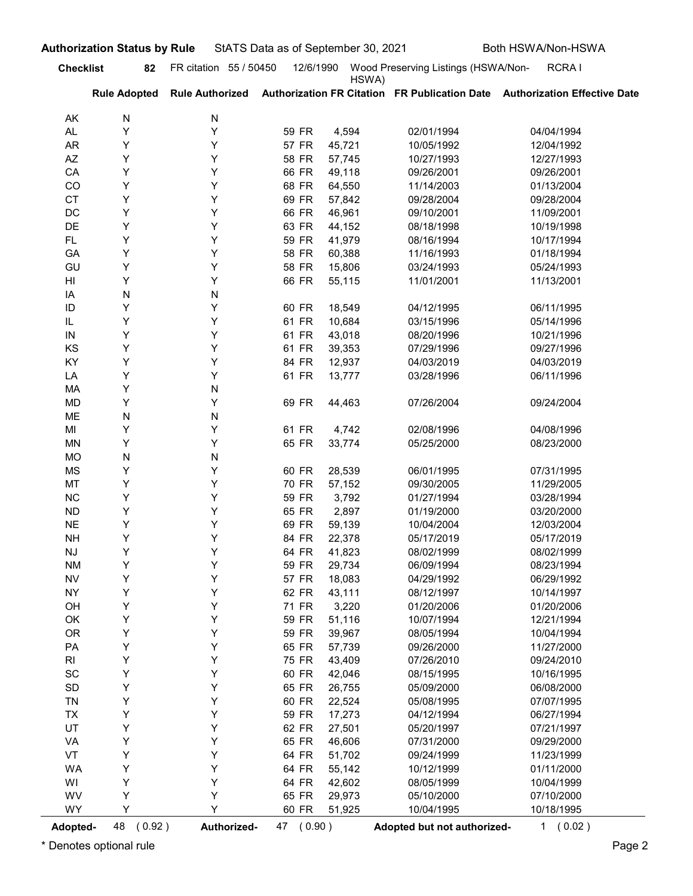|                  | <b>Authorization Status by Rule</b> |                        | StATS Data as of September 30, 2021 |                  |                                     | Both HSWA/Non-HSWA                                                                         |
|------------------|-------------------------------------|------------------------|-------------------------------------|------------------|-------------------------------------|--------------------------------------------------------------------------------------------|
| <b>Checklist</b> | 82                                  | FR citation 55 / 50450 | 12/6/1990                           | HSWA)            | Wood Preserving Listings (HSWA/Non- | RCRA I                                                                                     |
|                  | <b>Rule Adopted</b>                 |                        |                                     |                  |                                     | Rule Authorized Authorization FR Citation FR Publication Date Authorization Effective Date |
| AK               | N                                   | N                      |                                     |                  |                                     |                                                                                            |
| <b>AL</b>        | Υ                                   | Υ                      | 59 FR                               | 4,594            | 02/01/1994                          | 04/04/1994                                                                                 |
| <b>AR</b><br>AZ  | Υ<br>Υ                              | Υ<br>Υ                 | 57 FR<br>58 FR                      | 45,721<br>57,745 | 10/05/1992<br>10/27/1993            | 12/04/1992<br>12/27/1993                                                                   |
| CA               | Υ                                   | Υ                      | 66 FR                               | 49,118           | 09/26/2001                          | 09/26/2001                                                                                 |
| CO               | Υ                                   | Υ                      | 68 FR                               | 64,550           | 11/14/2003                          | 01/13/2004                                                                                 |
| <b>CT</b>        | Υ                                   | Υ                      | 69 FR                               | 57,842           | 09/28/2004                          | 09/28/2004                                                                                 |
| DC               | Υ                                   | Υ                      | 66 FR                               | 46,961           | 09/10/2001                          | 11/09/2001                                                                                 |
| DE               | Υ                                   | Υ                      | 63 FR                               | 44,152           | 08/18/1998                          | 10/19/1998                                                                                 |
| FL.              | Y                                   | Υ                      | 59 FR                               | 41,979           | 08/16/1994                          | 10/17/1994                                                                                 |
| GA               | Υ                                   | Υ                      | 58 FR                               | 60,388           | 11/16/1993                          | 01/18/1994                                                                                 |
| GU               | Y                                   | Υ                      | 58 FR                               | 15,806           | 03/24/1993                          | 05/24/1993                                                                                 |
| HI               | Y                                   | Υ                      | 66 FR                               | 55,115           | 11/01/2001                          | 11/13/2001                                                                                 |
| ΙA               | N                                   | N                      |                                     |                  |                                     |                                                                                            |
| ID<br>IL         | Y<br>Y                              | Y<br>Y                 | 60 FR<br>61 FR                      | 18,549<br>10,684 | 04/12/1995<br>03/15/1996            | 06/11/1995<br>05/14/1996                                                                   |
| IN               | Y                                   | Y                      | 61 FR                               | 43,018           | 08/20/1996                          | 10/21/1996                                                                                 |
| KS               | Υ                                   | Y                      | 61 FR                               | 39,353           | 07/29/1996                          | 09/27/1996                                                                                 |
| KY               | Υ                                   | Y                      | 84 FR                               | 12,937           | 04/03/2019                          | 04/03/2019                                                                                 |
| LA               | Υ                                   | Y                      | 61 FR                               | 13,777           | 03/28/1996                          | 06/11/1996                                                                                 |
| MA               | Υ                                   | N                      |                                     |                  |                                     |                                                                                            |
| <b>MD</b>        | Υ                                   | Υ                      | 69 FR                               | 44,463           | 07/26/2004                          | 09/24/2004                                                                                 |
| ME               | N                                   | N                      |                                     |                  |                                     |                                                                                            |
| MI               | Υ                                   | Υ                      | 61 FR                               | 4,742            | 02/08/1996                          | 04/08/1996                                                                                 |
| MN               | Υ                                   | Υ                      | 65 FR                               | 33,774           | 05/25/2000                          | 08/23/2000                                                                                 |
| <b>MO</b><br>MS  | N<br>Υ                              | N<br>Υ                 | 60 FR                               | 28,539           | 06/01/1995                          | 07/31/1995                                                                                 |
| MT               | Υ                                   | Y                      | 70 FR                               | 57,152           | 09/30/2005                          | 11/29/2005                                                                                 |
| $\sf NC$         | Υ                                   | Y                      | 59 FR                               | 3,792            | 01/27/1994                          | 03/28/1994                                                                                 |
| <b>ND</b>        | Υ                                   | Y                      | 65 FR                               | 2,897            | 01/19/2000                          | 03/20/2000                                                                                 |
| <b>NE</b>        | Υ                                   | Y                      | 69 FR                               | 59,139           | 10/04/2004                          | 12/03/2004                                                                                 |
| <b>NH</b>        | Υ                                   | Y                      | 84 FR                               | 22,378           | 05/17/2019                          | 05/17/2019                                                                                 |
| <b>NJ</b>        | Υ                                   | Y                      | 64 FR                               | 41,823           | 08/02/1999                          | 08/02/1999                                                                                 |
| <b>NM</b>        | Υ                                   | Y                      | 59 FR                               | 29,734           | 06/09/1994                          | 08/23/1994                                                                                 |
| <b>NV</b>        | Υ                                   | Y                      | 57 FR                               | 18,083           | 04/29/1992                          | 06/29/1992                                                                                 |
| <b>NY</b>        | Υ                                   | Y                      | 62 FR                               | 43,111           | 08/12/1997                          | 10/14/1997                                                                                 |
| OH               | Υ                                   | Υ                      | 71 FR                               | 3,220            | 01/20/2006                          | 01/20/2006                                                                                 |
| OK               | Y                                   | Υ                      | 59 FR                               | 51,116           | 10/07/1994                          | 12/21/1994                                                                                 |
| OR               | Υ<br>Y                              | Υ                      | 59 FR                               | 39,967           | 08/05/1994<br>09/26/2000            | 10/04/1994<br>11/27/2000                                                                   |
| PA<br>RI         | Υ                                   | Υ<br>Υ                 | 65 FR<br>75 FR                      | 57,739<br>43,409 | 07/26/2010                          | 09/24/2010                                                                                 |
| SC               | Υ                                   | Υ                      | 60 FR                               | 42,046           | 08/15/1995                          | 10/16/1995                                                                                 |
| SD               | Y                                   | Υ                      | 65 FR                               | 26,755           | 05/09/2000                          | 06/08/2000                                                                                 |
| TN               | Υ                                   | Υ                      | 60 FR                               | 22,524           | 05/08/1995                          | 07/07/1995                                                                                 |
| <b>TX</b>        | Υ                                   | Υ                      | 59 FR                               | 17,273           | 04/12/1994                          | 06/27/1994                                                                                 |
| UT               | Y                                   | Υ                      | 62 FR                               | 27,501           | 05/20/1997                          | 07/21/1997                                                                                 |
| VA               | Υ                                   | Υ                      | 65 FR                               | 46,606           | 07/31/2000                          | 09/29/2000                                                                                 |
| VT               | Υ                                   | Υ                      | 64 FR                               | 51,702           | 09/24/1999                          | 11/23/1999                                                                                 |
| <b>WA</b>        | Υ                                   | Υ                      | 64 FR                               | 55,142           | 10/12/1999                          | 01/11/2000                                                                                 |
| WI               | Υ                                   | Υ                      | 64 FR                               | 42,602           | 08/05/1999                          | 10/04/1999                                                                                 |
| WV               | Υ                                   | Υ                      | 65 FR                               | 29,973           | 05/10/2000                          | 07/10/2000                                                                                 |
| WY               | Y                                   | Y                      | 60 FR                               | 51,925           | 10/04/1995                          | 10/18/1995                                                                                 |
| Adopted-         | 48 (0.92)                           | Authorized-            | 47 (0.90)                           |                  | Adopted but not authorized-         | 1(0.02)                                                                                    |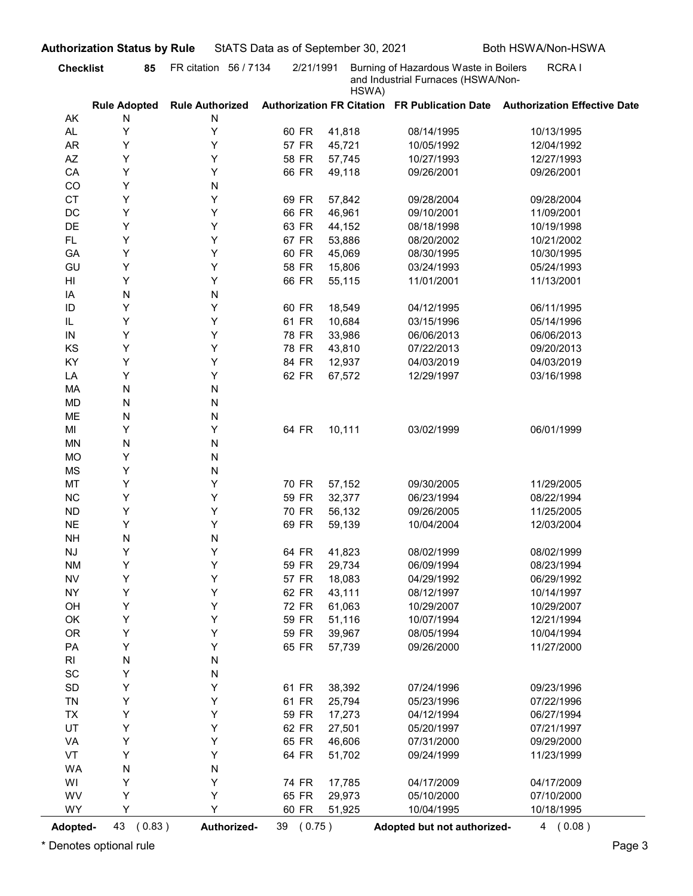| <b>Checklist</b>             | 85                       | FR citation 56 / 7134       | 2/21/1991 |        | Burning of Hazardous Waste in Boilers | RCRA I                                                                     |
|------------------------------|--------------------------|-----------------------------|-----------|--------|---------------------------------------|----------------------------------------------------------------------------|
|                              |                          |                             |           | HSWA)  | and Industrial Furnaces (HSWA/Non-    |                                                                            |
| AK                           | <b>Rule Adopted</b><br>N | <b>Rule Authorized</b><br>N |           |        |                                       | Authorization FR Citation FR Publication Date Authorization Effective Date |
| AL.                          | Υ                        | Υ                           | 60 FR     | 41,818 | 08/14/1995                            | 10/13/1995                                                                 |
| <b>AR</b>                    | Y                        | Υ                           | 57 FR     | 45,721 | 10/05/1992                            | 12/04/1992                                                                 |
| AZ                           | Υ                        | Υ                           | 58 FR     | 57,745 | 10/27/1993                            | 12/27/1993                                                                 |
| CA                           | Υ                        | Υ                           | 66 FR     | 49,118 | 09/26/2001                            | 09/26/2001                                                                 |
| CO                           | Y                        | N                           |           |        |                                       |                                                                            |
| <b>CT</b>                    | Y                        | Υ                           | 69 FR     | 57,842 | 09/28/2004                            | 09/28/2004                                                                 |
| DC                           | Υ                        | Υ                           | 66 FR     | 46,961 | 09/10/2001                            | 11/09/2001                                                                 |
| DE                           | Y                        | Y                           | 63 FR     | 44,152 | 08/18/1998                            | 10/19/1998                                                                 |
| <b>FL</b>                    | Y                        | Y                           | 67 FR     | 53,886 | 08/20/2002                            | 10/21/2002                                                                 |
| GA                           | Y                        | Y                           | 60 FR     | 45,069 | 08/30/1995                            | 10/30/1995                                                                 |
| GU                           | Y                        | Υ                           | 58 FR     | 15,806 | 03/24/1993                            | 05/24/1993                                                                 |
| HI                           | Y<br>N                   | Υ<br>N                      | 66 FR     | 55,115 | 11/01/2001                            | 11/13/2001                                                                 |
| IA<br>ID                     | Υ                        | Υ                           | 60 FR     | 18,549 | 04/12/1995                            | 06/11/1995                                                                 |
| IL                           | Υ                        | Y                           | 61 FR     | 10,684 | 03/15/1996                            | 05/14/1996                                                                 |
| ${\sf IN}$                   | Y                        | Υ                           | 78 FR     | 33,986 | 06/06/2013                            | 06/06/2013                                                                 |
| KS                           | Υ                        | Υ                           | 78 FR     | 43,810 | 07/22/2013                            | 09/20/2013                                                                 |
| KY                           | Υ                        | Υ                           | 84 FR     | 12,937 | 04/03/2019                            | 04/03/2019                                                                 |
| LA                           | Υ                        | Υ                           | 62 FR     | 67,572 | 12/29/1997                            | 03/16/1998                                                                 |
| MA                           | ${\sf N}$                | N                           |           |        |                                       |                                                                            |
| <b>MD</b>                    | ${\sf N}$                | N                           |           |        |                                       |                                                                            |
| ME                           | ${\sf N}$                | N                           |           |        |                                       |                                                                            |
| MI                           | Υ                        | Υ                           | 64 FR     | 10,111 | 03/02/1999                            | 06/01/1999                                                                 |
| <b>MN</b>                    | ${\sf N}$                | N                           |           |        |                                       |                                                                            |
| <b>MO</b>                    | Υ                        | N                           |           |        |                                       |                                                                            |
| <b>MS</b>                    | Υ                        | N                           |           |        |                                       |                                                                            |
| MT                           | Υ                        | Υ                           | 70 FR     | 57,152 | 09/30/2005                            | 11/29/2005                                                                 |
| NC                           | Υ                        | Υ                           | 59 FR     | 32,377 | 06/23/1994                            | 08/22/1994                                                                 |
| ${\sf ND}$                   | Υ                        | Υ                           | 70 FR     | 56,132 | 09/26/2005                            | 11/25/2005                                                                 |
| <b>NE</b>                    | Υ                        | Υ                           | 69 FR     | 59,139 | 10/04/2004                            | 12/03/2004                                                                 |
| <b>NH</b>                    | ${\sf N}$                | N                           |           |        |                                       |                                                                            |
| $\mathsf{N}\mathsf{J}$       | Y                        | Υ                           | 64 FR     | 41,823 | 08/02/1999                            | 08/02/1999                                                                 |
| <b>NM</b>                    | Υ                        | Υ                           | 59 FR     | 29,734 | 06/09/1994                            | 08/23/1994                                                                 |
| ${\sf NV}$                   | Υ                        | Υ                           | 57 FR     | 18,083 | 04/29/1992                            | 06/29/1992                                                                 |
| <b>NY</b>                    | Υ                        | Υ                           | 62 FR     | 43,111 | 08/12/1997                            | 10/14/1997                                                                 |
| OH                           | Υ                        | Υ                           | 72 FR     | 61,063 | 10/29/2007                            | 10/29/2007                                                                 |
| OK                           | Υ                        | Υ                           | 59 FR     | 51,116 | 10/07/1994                            | 12/21/1994                                                                 |
| <b>OR</b>                    | Υ<br>Υ                   | Υ                           | 59 FR     | 39,967 | 08/05/1994                            | 10/04/1994                                                                 |
| PA<br>R <sub>l</sub>         |                          | Υ                           | 65 FR     | 57,739 | 09/26/2000                            | 11/27/2000                                                                 |
| $\operatorname{\textsf{SC}}$ | ${\sf N}$<br>Υ           | N<br>N                      |           |        |                                       |                                                                            |
| $\mathsf{SD}$                | Υ                        | Υ                           | 61 FR     | 38,392 | 07/24/1996                            | 09/23/1996                                                                 |
| TN                           | Υ                        | Υ                           | 61 FR     | 25,794 | 05/23/1996                            | 07/22/1996                                                                 |
| TX                           | Υ                        | Υ                           | 59 FR     | 17,273 | 04/12/1994                            | 06/27/1994                                                                 |
| UT                           | Υ                        | Υ                           | 62 FR     | 27,501 | 05/20/1997                            | 07/21/1997                                                                 |
| VA                           | Υ                        | Υ                           | 65 FR     | 46,606 | 07/31/2000                            | 09/29/2000                                                                 |
| VT                           | Υ                        | Υ                           | 64 FR     | 51,702 | 09/24/1999                            | 11/23/1999                                                                 |
| <b>WA</b>                    | ${\sf N}$                | N                           |           |        |                                       |                                                                            |
| WI                           | Υ                        | Υ                           | 74 FR     | 17,785 | 04/17/2009                            | 04/17/2009                                                                 |
| WV                           | Υ                        | Υ                           | 65 FR     | 29,973 | 05/10/2000                            | 07/10/2000                                                                 |
| <b>WY</b>                    | Υ                        | Y                           | 60 FR     | 51,925 | 10/04/1995                            | 10/18/1995                                                                 |
| <b>Adopted-</b>              | 43<br>(0.83)             | Authorized-                 | 39 (0.75) |        | Adopted but not authorized-           | 4(0.08)                                                                    |
|                              | Denotes optional rule    |                             |           |        |                                       |                                                                            |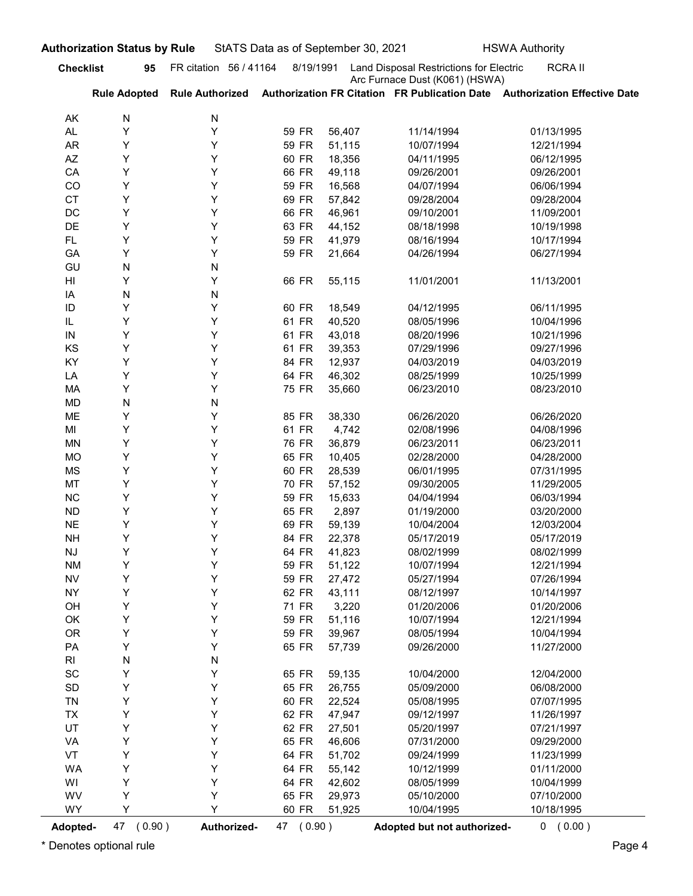| Land Disposal Restrictions for Electric<br>FR citation 56 / 41164<br>8/19/1991<br>95<br>Arc Furnace Dust (K061) (HSWA)<br>Authorization FR Citation FR Publication Date Authorization Effective Date<br><b>Rule Adopted</b><br><b>Rule Authorized</b><br>N<br>N<br>AK<br>Υ<br>Υ<br>AL.<br>59 FR<br>56,407<br>11/14/1994<br>01/13/1995<br>Υ<br>Y<br>59 FR<br><b>AR</b><br>51,115<br>10/07/1994<br>12/21/1994<br>Y<br>Y<br>60 FR<br>AZ<br>18,356<br>04/11/1995<br>06/12/1995<br>Y<br>Y<br>66 FR<br>CA<br>49,118<br>09/26/2001<br>09/26/2001<br>Υ<br>Υ<br>59 FR<br>CO<br>16,568<br>04/07/1994<br>06/06/1994<br><b>CT</b><br>Y<br>Y<br>69 FR<br>57,842<br>09/28/2004<br>09/28/2004<br>Y<br>Y<br>66 FR<br>DC<br>46,961<br>09/10/2001<br>11/09/2001<br>Υ<br>DE<br>Υ<br>63 FR<br>44,152<br>08/18/1998<br>10/19/1998<br>Y<br>Y<br>59 FR<br>FL.<br>41,979<br>08/16/1994<br>10/17/1994<br>Y<br>Y<br>GA<br>59 FR<br>21,664<br>04/26/1994<br>06/27/1994<br>N<br>GU<br>N<br>Y<br>Y<br>66 FR<br>HI<br>55,115<br>11/01/2001<br>11/13/2001<br>N<br>N<br>IA<br>Y<br>Y<br>ID<br>60 FR<br>18,549<br>04/12/1995<br>06/11/1995<br>Y<br>Y<br>61 FR<br>40,520<br>10/04/1996<br>IL<br>08/05/1996<br>43,018<br>08/20/1996<br>10/21/1996<br>Y<br>61 FR<br>IN<br>Y<br>KS<br>Υ<br>Y<br>61 FR<br>39,353<br>09/27/1996<br>07/29/1996<br>KY<br>Υ<br>Y<br>84 FR<br>12,937<br>04/03/2019<br>04/03/2019<br>Υ<br>Υ<br>64 FR<br>46,302<br>LA<br>08/25/1999<br>10/25/1999<br>Υ<br>Y<br>75 FR<br>35,660<br>MA<br>06/23/2010<br>08/23/2010<br>${\sf N}$<br><b>MD</b><br>N<br>Υ<br>Υ<br>85 FR<br>38,330<br>ME<br>06/26/2020<br>06/26/2020<br>Υ<br>Υ<br>61 FR<br>4,742<br>MI<br>02/08/1996<br>04/08/1996<br>Υ<br>Υ<br>76 FR<br>36,879<br><b>MN</b><br>06/23/2011<br>06/23/2011<br>Υ<br>Υ<br>65 FR<br>10,405<br>04/28/2000<br>MO<br>02/28/2000<br>Υ<br>Υ<br>60 FR<br>28,539<br>MS<br>06/01/1995<br>07/31/1995<br>Υ<br>Υ<br>MT<br>70 FR<br>57,152<br>09/30/2005<br>11/29/2005<br>Υ<br>Υ<br>$NC$<br>59 FR<br>15,633<br>06/03/1994<br>04/04/1994<br>Υ<br>Υ<br>${\sf ND}$<br>65 FR<br>2,897<br>01/19/2000<br>03/20/2000<br>Υ<br>$N\mathsf{E}$<br>Υ<br>69 FR<br>59,139<br>10/04/2004<br>12/03/2004<br>Υ<br>Υ<br><b>NH</b><br>84 FR<br>22,378<br>05/17/2019<br>05/17/2019<br>Υ<br>Υ<br>64 FR<br>41,823<br>08/02/1999<br>NJ<br>08/02/1999<br>Υ<br>Υ<br>59 FR<br>51,122<br><b>NM</b><br>10/07/1994<br>12/21/1994<br>Υ<br>Υ<br>${\sf NV}$<br>59 FR<br>27,472<br>07/26/1994<br>05/27/1994<br>Υ<br>Υ<br>62 FR<br>43,111<br><b>NY</b><br>08/12/1997<br>10/14/1997<br>Υ<br>Υ<br>71 FR<br>3,220<br>OH<br>01/20/2006<br>01/20/2006<br>Υ<br>Y<br>59 FR<br>51,116<br>12/21/1994<br>OK<br>10/07/1994<br>Υ<br>OR<br>Y<br>59 FR<br>39,967<br>10/04/1994<br>08/05/1994<br>Υ<br>Υ<br>PA<br>65 FR<br>57,739<br>11/27/2000<br>09/26/2000<br>N<br>R <sub>l</sub><br>N<br>Υ<br>$\operatorname{\textsf{SC}}$<br>Y<br>65 FR<br>59,135<br>10/04/2000<br>12/04/2000<br>Υ<br>SD<br>Y<br>65 FR<br>26,755<br>05/09/2000<br>06/08/2000<br>Υ<br>TN<br>Y<br>60 FR<br>22,524<br>07/07/1995<br>05/08/1995<br>Υ<br>TX<br>Y<br>62 FR<br>47,947<br>11/26/1997<br>09/12/1997<br>Υ<br>UT<br>Y<br>62 FR<br>27,501<br>07/21/1997<br>05/20/1997<br>Υ<br>Y<br>65 FR<br>46,606<br>07/31/2000<br>09/29/2000<br>VA<br>Υ<br>VT<br>Y<br>64 FR<br>51,702<br>11/23/1999<br>09/24/1999<br>Υ<br>Y<br>64 FR<br>55,142<br>01/11/2000<br>WA<br>10/12/1999<br>Υ<br>Υ<br>64 FR<br>42,602<br>10/04/1999<br>WI<br>08/05/1999<br>WV<br>Υ<br>Y<br>65 FR<br>29,973<br>07/10/2000<br>05/10/2000<br>Υ<br>Y<br>WY<br>60 FR<br>10/04/1995<br>10/18/1995<br>51,925 |                  | <b>Authorization Status by Rule</b> |             | StATS Data as of September 30, 2021 |                             | <b>HSWA Authority</b> |
|---------------------------------------------------------------------------------------------------------------------------------------------------------------------------------------------------------------------------------------------------------------------------------------------------------------------------------------------------------------------------------------------------------------------------------------------------------------------------------------------------------------------------------------------------------------------------------------------------------------------------------------------------------------------------------------------------------------------------------------------------------------------------------------------------------------------------------------------------------------------------------------------------------------------------------------------------------------------------------------------------------------------------------------------------------------------------------------------------------------------------------------------------------------------------------------------------------------------------------------------------------------------------------------------------------------------------------------------------------------------------------------------------------------------------------------------------------------------------------------------------------------------------------------------------------------------------------------------------------------------------------------------------------------------------------------------------------------------------------------------------------------------------------------------------------------------------------------------------------------------------------------------------------------------------------------------------------------------------------------------------------------------------------------------------------------------------------------------------------------------------------------------------------------------------------------------------------------------------------------------------------------------------------------------------------------------------------------------------------------------------------------------------------------------------------------------------------------------------------------------------------------------------------------------------------------------------------------------------------------------------------------------------------------------------------------------------------------------------------------------------------------------------------------------------------------------------------------------------------------------------------------------------------------------------------------------------------------------------------------------------------------------------------------------------------------------------------------------------------------------------------------------------------------------------------------------------------------------------------------------------------------------------------------------------------------------------------------------------------------------------------------------------------------------------------------------------------------------------------------------------------------------------------------------------|------------------|-------------------------------------|-------------|-------------------------------------|-----------------------------|-----------------------|
|                                                                                                                                                                                                                                                                                                                                                                                                                                                                                                                                                                                                                                                                                                                                                                                                                                                                                                                                                                                                                                                                                                                                                                                                                                                                                                                                                                                                                                                                                                                                                                                                                                                                                                                                                                                                                                                                                                                                                                                                                                                                                                                                                                                                                                                                                                                                                                                                                                                                                                                                                                                                                                                                                                                                                                                                                                                                                                                                                                                                                                                                                                                                                                                                                                                                                                                                                                                                                                                                                                                                                   | <b>Checklist</b> |                                     |             |                                     |                             | <b>RCRAII</b>         |
|                                                                                                                                                                                                                                                                                                                                                                                                                                                                                                                                                                                                                                                                                                                                                                                                                                                                                                                                                                                                                                                                                                                                                                                                                                                                                                                                                                                                                                                                                                                                                                                                                                                                                                                                                                                                                                                                                                                                                                                                                                                                                                                                                                                                                                                                                                                                                                                                                                                                                                                                                                                                                                                                                                                                                                                                                                                                                                                                                                                                                                                                                                                                                                                                                                                                                                                                                                                                                                                                                                                                                   |                  |                                     |             |                                     |                             |                       |
|                                                                                                                                                                                                                                                                                                                                                                                                                                                                                                                                                                                                                                                                                                                                                                                                                                                                                                                                                                                                                                                                                                                                                                                                                                                                                                                                                                                                                                                                                                                                                                                                                                                                                                                                                                                                                                                                                                                                                                                                                                                                                                                                                                                                                                                                                                                                                                                                                                                                                                                                                                                                                                                                                                                                                                                                                                                                                                                                                                                                                                                                                                                                                                                                                                                                                                                                                                                                                                                                                                                                                   |                  |                                     |             |                                     |                             |                       |
|                                                                                                                                                                                                                                                                                                                                                                                                                                                                                                                                                                                                                                                                                                                                                                                                                                                                                                                                                                                                                                                                                                                                                                                                                                                                                                                                                                                                                                                                                                                                                                                                                                                                                                                                                                                                                                                                                                                                                                                                                                                                                                                                                                                                                                                                                                                                                                                                                                                                                                                                                                                                                                                                                                                                                                                                                                                                                                                                                                                                                                                                                                                                                                                                                                                                                                                                                                                                                                                                                                                                                   |                  |                                     |             |                                     |                             |                       |
|                                                                                                                                                                                                                                                                                                                                                                                                                                                                                                                                                                                                                                                                                                                                                                                                                                                                                                                                                                                                                                                                                                                                                                                                                                                                                                                                                                                                                                                                                                                                                                                                                                                                                                                                                                                                                                                                                                                                                                                                                                                                                                                                                                                                                                                                                                                                                                                                                                                                                                                                                                                                                                                                                                                                                                                                                                                                                                                                                                                                                                                                                                                                                                                                                                                                                                                                                                                                                                                                                                                                                   |                  |                                     |             |                                     |                             |                       |
|                                                                                                                                                                                                                                                                                                                                                                                                                                                                                                                                                                                                                                                                                                                                                                                                                                                                                                                                                                                                                                                                                                                                                                                                                                                                                                                                                                                                                                                                                                                                                                                                                                                                                                                                                                                                                                                                                                                                                                                                                                                                                                                                                                                                                                                                                                                                                                                                                                                                                                                                                                                                                                                                                                                                                                                                                                                                                                                                                                                                                                                                                                                                                                                                                                                                                                                                                                                                                                                                                                                                                   |                  |                                     |             |                                     |                             |                       |
|                                                                                                                                                                                                                                                                                                                                                                                                                                                                                                                                                                                                                                                                                                                                                                                                                                                                                                                                                                                                                                                                                                                                                                                                                                                                                                                                                                                                                                                                                                                                                                                                                                                                                                                                                                                                                                                                                                                                                                                                                                                                                                                                                                                                                                                                                                                                                                                                                                                                                                                                                                                                                                                                                                                                                                                                                                                                                                                                                                                                                                                                                                                                                                                                                                                                                                                                                                                                                                                                                                                                                   |                  |                                     |             |                                     |                             |                       |
|                                                                                                                                                                                                                                                                                                                                                                                                                                                                                                                                                                                                                                                                                                                                                                                                                                                                                                                                                                                                                                                                                                                                                                                                                                                                                                                                                                                                                                                                                                                                                                                                                                                                                                                                                                                                                                                                                                                                                                                                                                                                                                                                                                                                                                                                                                                                                                                                                                                                                                                                                                                                                                                                                                                                                                                                                                                                                                                                                                                                                                                                                                                                                                                                                                                                                                                                                                                                                                                                                                                                                   |                  |                                     |             |                                     |                             |                       |
|                                                                                                                                                                                                                                                                                                                                                                                                                                                                                                                                                                                                                                                                                                                                                                                                                                                                                                                                                                                                                                                                                                                                                                                                                                                                                                                                                                                                                                                                                                                                                                                                                                                                                                                                                                                                                                                                                                                                                                                                                                                                                                                                                                                                                                                                                                                                                                                                                                                                                                                                                                                                                                                                                                                                                                                                                                                                                                                                                                                                                                                                                                                                                                                                                                                                                                                                                                                                                                                                                                                                                   |                  |                                     |             |                                     |                             |                       |
|                                                                                                                                                                                                                                                                                                                                                                                                                                                                                                                                                                                                                                                                                                                                                                                                                                                                                                                                                                                                                                                                                                                                                                                                                                                                                                                                                                                                                                                                                                                                                                                                                                                                                                                                                                                                                                                                                                                                                                                                                                                                                                                                                                                                                                                                                                                                                                                                                                                                                                                                                                                                                                                                                                                                                                                                                                                                                                                                                                                                                                                                                                                                                                                                                                                                                                                                                                                                                                                                                                                                                   |                  |                                     |             |                                     |                             |                       |
|                                                                                                                                                                                                                                                                                                                                                                                                                                                                                                                                                                                                                                                                                                                                                                                                                                                                                                                                                                                                                                                                                                                                                                                                                                                                                                                                                                                                                                                                                                                                                                                                                                                                                                                                                                                                                                                                                                                                                                                                                                                                                                                                                                                                                                                                                                                                                                                                                                                                                                                                                                                                                                                                                                                                                                                                                                                                                                                                                                                                                                                                                                                                                                                                                                                                                                                                                                                                                                                                                                                                                   |                  |                                     |             |                                     |                             |                       |
|                                                                                                                                                                                                                                                                                                                                                                                                                                                                                                                                                                                                                                                                                                                                                                                                                                                                                                                                                                                                                                                                                                                                                                                                                                                                                                                                                                                                                                                                                                                                                                                                                                                                                                                                                                                                                                                                                                                                                                                                                                                                                                                                                                                                                                                                                                                                                                                                                                                                                                                                                                                                                                                                                                                                                                                                                                                                                                                                                                                                                                                                                                                                                                                                                                                                                                                                                                                                                                                                                                                                                   |                  |                                     |             |                                     |                             |                       |
|                                                                                                                                                                                                                                                                                                                                                                                                                                                                                                                                                                                                                                                                                                                                                                                                                                                                                                                                                                                                                                                                                                                                                                                                                                                                                                                                                                                                                                                                                                                                                                                                                                                                                                                                                                                                                                                                                                                                                                                                                                                                                                                                                                                                                                                                                                                                                                                                                                                                                                                                                                                                                                                                                                                                                                                                                                                                                                                                                                                                                                                                                                                                                                                                                                                                                                                                                                                                                                                                                                                                                   |                  |                                     |             |                                     |                             |                       |
|                                                                                                                                                                                                                                                                                                                                                                                                                                                                                                                                                                                                                                                                                                                                                                                                                                                                                                                                                                                                                                                                                                                                                                                                                                                                                                                                                                                                                                                                                                                                                                                                                                                                                                                                                                                                                                                                                                                                                                                                                                                                                                                                                                                                                                                                                                                                                                                                                                                                                                                                                                                                                                                                                                                                                                                                                                                                                                                                                                                                                                                                                                                                                                                                                                                                                                                                                                                                                                                                                                                                                   |                  |                                     |             |                                     |                             |                       |
|                                                                                                                                                                                                                                                                                                                                                                                                                                                                                                                                                                                                                                                                                                                                                                                                                                                                                                                                                                                                                                                                                                                                                                                                                                                                                                                                                                                                                                                                                                                                                                                                                                                                                                                                                                                                                                                                                                                                                                                                                                                                                                                                                                                                                                                                                                                                                                                                                                                                                                                                                                                                                                                                                                                                                                                                                                                                                                                                                                                                                                                                                                                                                                                                                                                                                                                                                                                                                                                                                                                                                   |                  |                                     |             |                                     |                             |                       |
|                                                                                                                                                                                                                                                                                                                                                                                                                                                                                                                                                                                                                                                                                                                                                                                                                                                                                                                                                                                                                                                                                                                                                                                                                                                                                                                                                                                                                                                                                                                                                                                                                                                                                                                                                                                                                                                                                                                                                                                                                                                                                                                                                                                                                                                                                                                                                                                                                                                                                                                                                                                                                                                                                                                                                                                                                                                                                                                                                                                                                                                                                                                                                                                                                                                                                                                                                                                                                                                                                                                                                   |                  |                                     |             |                                     |                             |                       |
|                                                                                                                                                                                                                                                                                                                                                                                                                                                                                                                                                                                                                                                                                                                                                                                                                                                                                                                                                                                                                                                                                                                                                                                                                                                                                                                                                                                                                                                                                                                                                                                                                                                                                                                                                                                                                                                                                                                                                                                                                                                                                                                                                                                                                                                                                                                                                                                                                                                                                                                                                                                                                                                                                                                                                                                                                                                                                                                                                                                                                                                                                                                                                                                                                                                                                                                                                                                                                                                                                                                                                   |                  |                                     |             |                                     |                             |                       |
|                                                                                                                                                                                                                                                                                                                                                                                                                                                                                                                                                                                                                                                                                                                                                                                                                                                                                                                                                                                                                                                                                                                                                                                                                                                                                                                                                                                                                                                                                                                                                                                                                                                                                                                                                                                                                                                                                                                                                                                                                                                                                                                                                                                                                                                                                                                                                                                                                                                                                                                                                                                                                                                                                                                                                                                                                                                                                                                                                                                                                                                                                                                                                                                                                                                                                                                                                                                                                                                                                                                                                   |                  |                                     |             |                                     |                             |                       |
|                                                                                                                                                                                                                                                                                                                                                                                                                                                                                                                                                                                                                                                                                                                                                                                                                                                                                                                                                                                                                                                                                                                                                                                                                                                                                                                                                                                                                                                                                                                                                                                                                                                                                                                                                                                                                                                                                                                                                                                                                                                                                                                                                                                                                                                                                                                                                                                                                                                                                                                                                                                                                                                                                                                                                                                                                                                                                                                                                                                                                                                                                                                                                                                                                                                                                                                                                                                                                                                                                                                                                   |                  |                                     |             |                                     |                             |                       |
|                                                                                                                                                                                                                                                                                                                                                                                                                                                                                                                                                                                                                                                                                                                                                                                                                                                                                                                                                                                                                                                                                                                                                                                                                                                                                                                                                                                                                                                                                                                                                                                                                                                                                                                                                                                                                                                                                                                                                                                                                                                                                                                                                                                                                                                                                                                                                                                                                                                                                                                                                                                                                                                                                                                                                                                                                                                                                                                                                                                                                                                                                                                                                                                                                                                                                                                                                                                                                                                                                                                                                   |                  |                                     |             |                                     |                             |                       |
|                                                                                                                                                                                                                                                                                                                                                                                                                                                                                                                                                                                                                                                                                                                                                                                                                                                                                                                                                                                                                                                                                                                                                                                                                                                                                                                                                                                                                                                                                                                                                                                                                                                                                                                                                                                                                                                                                                                                                                                                                                                                                                                                                                                                                                                                                                                                                                                                                                                                                                                                                                                                                                                                                                                                                                                                                                                                                                                                                                                                                                                                                                                                                                                                                                                                                                                                                                                                                                                                                                                                                   |                  |                                     |             |                                     |                             |                       |
|                                                                                                                                                                                                                                                                                                                                                                                                                                                                                                                                                                                                                                                                                                                                                                                                                                                                                                                                                                                                                                                                                                                                                                                                                                                                                                                                                                                                                                                                                                                                                                                                                                                                                                                                                                                                                                                                                                                                                                                                                                                                                                                                                                                                                                                                                                                                                                                                                                                                                                                                                                                                                                                                                                                                                                                                                                                                                                                                                                                                                                                                                                                                                                                                                                                                                                                                                                                                                                                                                                                                                   |                  |                                     |             |                                     |                             |                       |
|                                                                                                                                                                                                                                                                                                                                                                                                                                                                                                                                                                                                                                                                                                                                                                                                                                                                                                                                                                                                                                                                                                                                                                                                                                                                                                                                                                                                                                                                                                                                                                                                                                                                                                                                                                                                                                                                                                                                                                                                                                                                                                                                                                                                                                                                                                                                                                                                                                                                                                                                                                                                                                                                                                                                                                                                                                                                                                                                                                                                                                                                                                                                                                                                                                                                                                                                                                                                                                                                                                                                                   |                  |                                     |             |                                     |                             |                       |
|                                                                                                                                                                                                                                                                                                                                                                                                                                                                                                                                                                                                                                                                                                                                                                                                                                                                                                                                                                                                                                                                                                                                                                                                                                                                                                                                                                                                                                                                                                                                                                                                                                                                                                                                                                                                                                                                                                                                                                                                                                                                                                                                                                                                                                                                                                                                                                                                                                                                                                                                                                                                                                                                                                                                                                                                                                                                                                                                                                                                                                                                                                                                                                                                                                                                                                                                                                                                                                                                                                                                                   |                  |                                     |             |                                     |                             |                       |
|                                                                                                                                                                                                                                                                                                                                                                                                                                                                                                                                                                                                                                                                                                                                                                                                                                                                                                                                                                                                                                                                                                                                                                                                                                                                                                                                                                                                                                                                                                                                                                                                                                                                                                                                                                                                                                                                                                                                                                                                                                                                                                                                                                                                                                                                                                                                                                                                                                                                                                                                                                                                                                                                                                                                                                                                                                                                                                                                                                                                                                                                                                                                                                                                                                                                                                                                                                                                                                                                                                                                                   |                  |                                     |             |                                     |                             |                       |
|                                                                                                                                                                                                                                                                                                                                                                                                                                                                                                                                                                                                                                                                                                                                                                                                                                                                                                                                                                                                                                                                                                                                                                                                                                                                                                                                                                                                                                                                                                                                                                                                                                                                                                                                                                                                                                                                                                                                                                                                                                                                                                                                                                                                                                                                                                                                                                                                                                                                                                                                                                                                                                                                                                                                                                                                                                                                                                                                                                                                                                                                                                                                                                                                                                                                                                                                                                                                                                                                                                                                                   |                  |                                     |             |                                     |                             |                       |
|                                                                                                                                                                                                                                                                                                                                                                                                                                                                                                                                                                                                                                                                                                                                                                                                                                                                                                                                                                                                                                                                                                                                                                                                                                                                                                                                                                                                                                                                                                                                                                                                                                                                                                                                                                                                                                                                                                                                                                                                                                                                                                                                                                                                                                                                                                                                                                                                                                                                                                                                                                                                                                                                                                                                                                                                                                                                                                                                                                                                                                                                                                                                                                                                                                                                                                                                                                                                                                                                                                                                                   |                  |                                     |             |                                     |                             |                       |
|                                                                                                                                                                                                                                                                                                                                                                                                                                                                                                                                                                                                                                                                                                                                                                                                                                                                                                                                                                                                                                                                                                                                                                                                                                                                                                                                                                                                                                                                                                                                                                                                                                                                                                                                                                                                                                                                                                                                                                                                                                                                                                                                                                                                                                                                                                                                                                                                                                                                                                                                                                                                                                                                                                                                                                                                                                                                                                                                                                                                                                                                                                                                                                                                                                                                                                                                                                                                                                                                                                                                                   |                  |                                     |             |                                     |                             |                       |
|                                                                                                                                                                                                                                                                                                                                                                                                                                                                                                                                                                                                                                                                                                                                                                                                                                                                                                                                                                                                                                                                                                                                                                                                                                                                                                                                                                                                                                                                                                                                                                                                                                                                                                                                                                                                                                                                                                                                                                                                                                                                                                                                                                                                                                                                                                                                                                                                                                                                                                                                                                                                                                                                                                                                                                                                                                                                                                                                                                                                                                                                                                                                                                                                                                                                                                                                                                                                                                                                                                                                                   |                  |                                     |             |                                     |                             |                       |
|                                                                                                                                                                                                                                                                                                                                                                                                                                                                                                                                                                                                                                                                                                                                                                                                                                                                                                                                                                                                                                                                                                                                                                                                                                                                                                                                                                                                                                                                                                                                                                                                                                                                                                                                                                                                                                                                                                                                                                                                                                                                                                                                                                                                                                                                                                                                                                                                                                                                                                                                                                                                                                                                                                                                                                                                                                                                                                                                                                                                                                                                                                                                                                                                                                                                                                                                                                                                                                                                                                                                                   |                  |                                     |             |                                     |                             |                       |
|                                                                                                                                                                                                                                                                                                                                                                                                                                                                                                                                                                                                                                                                                                                                                                                                                                                                                                                                                                                                                                                                                                                                                                                                                                                                                                                                                                                                                                                                                                                                                                                                                                                                                                                                                                                                                                                                                                                                                                                                                                                                                                                                                                                                                                                                                                                                                                                                                                                                                                                                                                                                                                                                                                                                                                                                                                                                                                                                                                                                                                                                                                                                                                                                                                                                                                                                                                                                                                                                                                                                                   |                  |                                     |             |                                     |                             |                       |
|                                                                                                                                                                                                                                                                                                                                                                                                                                                                                                                                                                                                                                                                                                                                                                                                                                                                                                                                                                                                                                                                                                                                                                                                                                                                                                                                                                                                                                                                                                                                                                                                                                                                                                                                                                                                                                                                                                                                                                                                                                                                                                                                                                                                                                                                                                                                                                                                                                                                                                                                                                                                                                                                                                                                                                                                                                                                                                                                                                                                                                                                                                                                                                                                                                                                                                                                                                                                                                                                                                                                                   |                  |                                     |             |                                     |                             |                       |
|                                                                                                                                                                                                                                                                                                                                                                                                                                                                                                                                                                                                                                                                                                                                                                                                                                                                                                                                                                                                                                                                                                                                                                                                                                                                                                                                                                                                                                                                                                                                                                                                                                                                                                                                                                                                                                                                                                                                                                                                                                                                                                                                                                                                                                                                                                                                                                                                                                                                                                                                                                                                                                                                                                                                                                                                                                                                                                                                                                                                                                                                                                                                                                                                                                                                                                                                                                                                                                                                                                                                                   |                  |                                     |             |                                     |                             |                       |
|                                                                                                                                                                                                                                                                                                                                                                                                                                                                                                                                                                                                                                                                                                                                                                                                                                                                                                                                                                                                                                                                                                                                                                                                                                                                                                                                                                                                                                                                                                                                                                                                                                                                                                                                                                                                                                                                                                                                                                                                                                                                                                                                                                                                                                                                                                                                                                                                                                                                                                                                                                                                                                                                                                                                                                                                                                                                                                                                                                                                                                                                                                                                                                                                                                                                                                                                                                                                                                                                                                                                                   |                  |                                     |             |                                     |                             |                       |
|                                                                                                                                                                                                                                                                                                                                                                                                                                                                                                                                                                                                                                                                                                                                                                                                                                                                                                                                                                                                                                                                                                                                                                                                                                                                                                                                                                                                                                                                                                                                                                                                                                                                                                                                                                                                                                                                                                                                                                                                                                                                                                                                                                                                                                                                                                                                                                                                                                                                                                                                                                                                                                                                                                                                                                                                                                                                                                                                                                                                                                                                                                                                                                                                                                                                                                                                                                                                                                                                                                                                                   |                  |                                     |             |                                     |                             |                       |
|                                                                                                                                                                                                                                                                                                                                                                                                                                                                                                                                                                                                                                                                                                                                                                                                                                                                                                                                                                                                                                                                                                                                                                                                                                                                                                                                                                                                                                                                                                                                                                                                                                                                                                                                                                                                                                                                                                                                                                                                                                                                                                                                                                                                                                                                                                                                                                                                                                                                                                                                                                                                                                                                                                                                                                                                                                                                                                                                                                                                                                                                                                                                                                                                                                                                                                                                                                                                                                                                                                                                                   |                  |                                     |             |                                     |                             |                       |
|                                                                                                                                                                                                                                                                                                                                                                                                                                                                                                                                                                                                                                                                                                                                                                                                                                                                                                                                                                                                                                                                                                                                                                                                                                                                                                                                                                                                                                                                                                                                                                                                                                                                                                                                                                                                                                                                                                                                                                                                                                                                                                                                                                                                                                                                                                                                                                                                                                                                                                                                                                                                                                                                                                                                                                                                                                                                                                                                                                                                                                                                                                                                                                                                                                                                                                                                                                                                                                                                                                                                                   |                  |                                     |             |                                     |                             |                       |
|                                                                                                                                                                                                                                                                                                                                                                                                                                                                                                                                                                                                                                                                                                                                                                                                                                                                                                                                                                                                                                                                                                                                                                                                                                                                                                                                                                                                                                                                                                                                                                                                                                                                                                                                                                                                                                                                                                                                                                                                                                                                                                                                                                                                                                                                                                                                                                                                                                                                                                                                                                                                                                                                                                                                                                                                                                                                                                                                                                                                                                                                                                                                                                                                                                                                                                                                                                                                                                                                                                                                                   |                  |                                     |             |                                     |                             |                       |
|                                                                                                                                                                                                                                                                                                                                                                                                                                                                                                                                                                                                                                                                                                                                                                                                                                                                                                                                                                                                                                                                                                                                                                                                                                                                                                                                                                                                                                                                                                                                                                                                                                                                                                                                                                                                                                                                                                                                                                                                                                                                                                                                                                                                                                                                                                                                                                                                                                                                                                                                                                                                                                                                                                                                                                                                                                                                                                                                                                                                                                                                                                                                                                                                                                                                                                                                                                                                                                                                                                                                                   |                  |                                     |             |                                     |                             |                       |
|                                                                                                                                                                                                                                                                                                                                                                                                                                                                                                                                                                                                                                                                                                                                                                                                                                                                                                                                                                                                                                                                                                                                                                                                                                                                                                                                                                                                                                                                                                                                                                                                                                                                                                                                                                                                                                                                                                                                                                                                                                                                                                                                                                                                                                                                                                                                                                                                                                                                                                                                                                                                                                                                                                                                                                                                                                                                                                                                                                                                                                                                                                                                                                                                                                                                                                                                                                                                                                                                                                                                                   |                  |                                     |             |                                     |                             |                       |
|                                                                                                                                                                                                                                                                                                                                                                                                                                                                                                                                                                                                                                                                                                                                                                                                                                                                                                                                                                                                                                                                                                                                                                                                                                                                                                                                                                                                                                                                                                                                                                                                                                                                                                                                                                                                                                                                                                                                                                                                                                                                                                                                                                                                                                                                                                                                                                                                                                                                                                                                                                                                                                                                                                                                                                                                                                                                                                                                                                                                                                                                                                                                                                                                                                                                                                                                                                                                                                                                                                                                                   |                  |                                     |             |                                     |                             |                       |
|                                                                                                                                                                                                                                                                                                                                                                                                                                                                                                                                                                                                                                                                                                                                                                                                                                                                                                                                                                                                                                                                                                                                                                                                                                                                                                                                                                                                                                                                                                                                                                                                                                                                                                                                                                                                                                                                                                                                                                                                                                                                                                                                                                                                                                                                                                                                                                                                                                                                                                                                                                                                                                                                                                                                                                                                                                                                                                                                                                                                                                                                                                                                                                                                                                                                                                                                                                                                                                                                                                                                                   |                  |                                     |             |                                     |                             |                       |
|                                                                                                                                                                                                                                                                                                                                                                                                                                                                                                                                                                                                                                                                                                                                                                                                                                                                                                                                                                                                                                                                                                                                                                                                                                                                                                                                                                                                                                                                                                                                                                                                                                                                                                                                                                                                                                                                                                                                                                                                                                                                                                                                                                                                                                                                                                                                                                                                                                                                                                                                                                                                                                                                                                                                                                                                                                                                                                                                                                                                                                                                                                                                                                                                                                                                                                                                                                                                                                                                                                                                                   |                  |                                     |             |                                     |                             |                       |
|                                                                                                                                                                                                                                                                                                                                                                                                                                                                                                                                                                                                                                                                                                                                                                                                                                                                                                                                                                                                                                                                                                                                                                                                                                                                                                                                                                                                                                                                                                                                                                                                                                                                                                                                                                                                                                                                                                                                                                                                                                                                                                                                                                                                                                                                                                                                                                                                                                                                                                                                                                                                                                                                                                                                                                                                                                                                                                                                                                                                                                                                                                                                                                                                                                                                                                                                                                                                                                                                                                                                                   |                  |                                     |             |                                     |                             |                       |
|                                                                                                                                                                                                                                                                                                                                                                                                                                                                                                                                                                                                                                                                                                                                                                                                                                                                                                                                                                                                                                                                                                                                                                                                                                                                                                                                                                                                                                                                                                                                                                                                                                                                                                                                                                                                                                                                                                                                                                                                                                                                                                                                                                                                                                                                                                                                                                                                                                                                                                                                                                                                                                                                                                                                                                                                                                                                                                                                                                                                                                                                                                                                                                                                                                                                                                                                                                                                                                                                                                                                                   |                  |                                     |             |                                     |                             |                       |
|                                                                                                                                                                                                                                                                                                                                                                                                                                                                                                                                                                                                                                                                                                                                                                                                                                                                                                                                                                                                                                                                                                                                                                                                                                                                                                                                                                                                                                                                                                                                                                                                                                                                                                                                                                                                                                                                                                                                                                                                                                                                                                                                                                                                                                                                                                                                                                                                                                                                                                                                                                                                                                                                                                                                                                                                                                                                                                                                                                                                                                                                                                                                                                                                                                                                                                                                                                                                                                                                                                                                                   |                  |                                     |             |                                     |                             |                       |
|                                                                                                                                                                                                                                                                                                                                                                                                                                                                                                                                                                                                                                                                                                                                                                                                                                                                                                                                                                                                                                                                                                                                                                                                                                                                                                                                                                                                                                                                                                                                                                                                                                                                                                                                                                                                                                                                                                                                                                                                                                                                                                                                                                                                                                                                                                                                                                                                                                                                                                                                                                                                                                                                                                                                                                                                                                                                                                                                                                                                                                                                                                                                                                                                                                                                                                                                                                                                                                                                                                                                                   |                  |                                     |             |                                     |                             |                       |
|                                                                                                                                                                                                                                                                                                                                                                                                                                                                                                                                                                                                                                                                                                                                                                                                                                                                                                                                                                                                                                                                                                                                                                                                                                                                                                                                                                                                                                                                                                                                                                                                                                                                                                                                                                                                                                                                                                                                                                                                                                                                                                                                                                                                                                                                                                                                                                                                                                                                                                                                                                                                                                                                                                                                                                                                                                                                                                                                                                                                                                                                                                                                                                                                                                                                                                                                                                                                                                                                                                                                                   |                  |                                     |             |                                     |                             |                       |
|                                                                                                                                                                                                                                                                                                                                                                                                                                                                                                                                                                                                                                                                                                                                                                                                                                                                                                                                                                                                                                                                                                                                                                                                                                                                                                                                                                                                                                                                                                                                                                                                                                                                                                                                                                                                                                                                                                                                                                                                                                                                                                                                                                                                                                                                                                                                                                                                                                                                                                                                                                                                                                                                                                                                                                                                                                                                                                                                                                                                                                                                                                                                                                                                                                                                                                                                                                                                                                                                                                                                                   |                  |                                     |             |                                     |                             |                       |
|                                                                                                                                                                                                                                                                                                                                                                                                                                                                                                                                                                                                                                                                                                                                                                                                                                                                                                                                                                                                                                                                                                                                                                                                                                                                                                                                                                                                                                                                                                                                                                                                                                                                                                                                                                                                                                                                                                                                                                                                                                                                                                                                                                                                                                                                                                                                                                                                                                                                                                                                                                                                                                                                                                                                                                                                                                                                                                                                                                                                                                                                                                                                                                                                                                                                                                                                                                                                                                                                                                                                                   | Adopted-         | 47 (0.90)                           | Authorized- | 47 (0.90)                           | Adopted but not authorized- | 0 (0.00)              |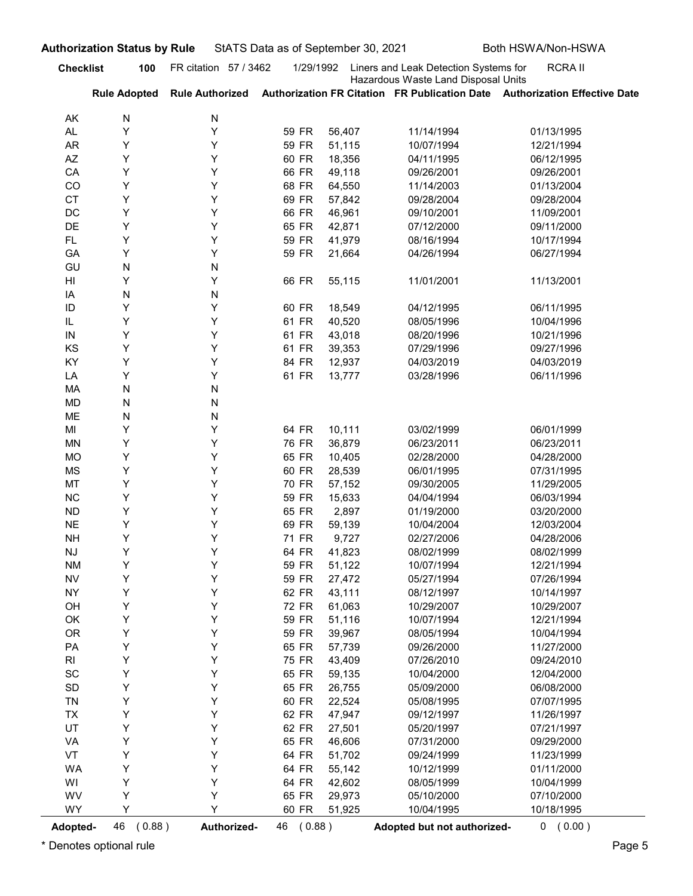|                            | <b>Authorization Status by Rule</b> |                        | StATS Data as of September 30, 2021 |                  |                                                                              | Both HSWA/Non-HSWA                                                         |
|----------------------------|-------------------------------------|------------------------|-------------------------------------|------------------|------------------------------------------------------------------------------|----------------------------------------------------------------------------|
| <b>Checklist</b>           | 100                                 | FR citation 57 / 3462  | 1/29/1992                           |                  | Liners and Leak Detection Systems for<br>Hazardous Waste Land Disposal Units | <b>RCRAII</b>                                                              |
|                            | <b>Rule Adopted</b>                 | <b>Rule Authorized</b> |                                     |                  |                                                                              | Authorization FR Citation FR Publication Date Authorization Effective Date |
| AK<br>AL                   | N<br>Υ                              | N<br>Υ                 | 59 FR                               | 56,407           | 11/14/1994                                                                   | 01/13/1995                                                                 |
| AR                         | Y                                   | Y                      | 59 FR                               | 51,115           | 10/07/1994                                                                   | 12/21/1994                                                                 |
| AZ                         | Y                                   | Y                      | 60 FR                               | 18,356           | 04/11/1995                                                                   | 06/12/1995                                                                 |
| CA                         | Y                                   | Y                      | 66 FR                               | 49,118           | 09/26/2001                                                                   | 09/26/2001                                                                 |
| CO                         | Y                                   | Y                      | 68 FR                               | 64,550           | 11/14/2003                                                                   | 01/13/2004                                                                 |
| <b>CT</b>                  | Y                                   | Υ                      | 69 FR                               | 57,842           | 09/28/2004                                                                   | 09/28/2004                                                                 |
| DC<br>DE                   | Y<br>Y                              | Y<br>Y                 | 66 FR<br>65 FR                      | 46,961<br>42,871 | 09/10/2001<br>07/12/2000                                                     | 11/09/2001<br>09/11/2000                                                   |
| FL.                        | Y                                   | Y                      | 59 FR                               | 41,979           | 08/16/1994                                                                   | 10/17/1994                                                                 |
| GA                         | Y                                   | Y                      | 59 FR                               | 21,664           | 04/26/1994                                                                   | 06/27/1994                                                                 |
| GU                         | N                                   | N                      |                                     |                  |                                                                              |                                                                            |
| HI                         | Y                                   | Y                      | 66 FR                               | 55,115           | 11/01/2001                                                                   | 11/13/2001                                                                 |
| ΙA                         | N                                   | N                      |                                     |                  |                                                                              |                                                                            |
| ID<br>IL                   | Y<br>Y                              | Y<br>Y                 | 60 FR<br>61 FR                      | 18,549<br>40,520 | 04/12/1995<br>08/05/1996                                                     | 06/11/1995<br>10/04/1996                                                   |
| IN                         | Y                                   | Y                      | 61 FR                               | 43,018           | 08/20/1996                                                                   | 10/21/1996                                                                 |
| KS                         | Υ                                   | Υ                      | 61 FR                               | 39,353           | 07/29/1996                                                                   | 09/27/1996                                                                 |
| KY                         | Υ                                   | Υ                      | 84 FR                               | 12,937           | 04/03/2019                                                                   | 04/03/2019                                                                 |
| LA                         | Υ                                   | Υ                      | 61 FR                               | 13,777           | 03/28/1996                                                                   | 06/11/1996                                                                 |
| MA                         | N                                   | N                      |                                     |                  |                                                                              |                                                                            |
| MD                         | N                                   | N                      |                                     |                  |                                                                              |                                                                            |
| ME<br>MI                   | N<br>Υ                              | N<br>Υ                 | 64 FR                               | 10,111           | 03/02/1999                                                                   | 06/01/1999                                                                 |
| MN                         | Υ                                   | Υ                      | 76 FR                               | 36,879           | 06/23/2011                                                                   | 06/23/2011                                                                 |
| MO                         | Υ                                   | Y                      | 65 FR                               | 10,405           | 02/28/2000                                                                   | 04/28/2000                                                                 |
| MS                         | Υ                                   | Y                      | 60 FR                               | 28,539           | 06/01/1995                                                                   | 07/31/1995                                                                 |
| MT                         | Υ                                   | Y                      | 70 FR                               | 57,152           | 09/30/2005                                                                   | 11/29/2005                                                                 |
| NC                         | Υ                                   | Y                      | 59 FR                               | 15,633           | 04/04/1994                                                                   | 06/03/1994                                                                 |
| <b>ND</b>                  | Υ                                   | Y                      | 65 FR                               | 2,897            | 01/19/2000                                                                   | 03/20/2000                                                                 |
| $N\mathsf{E}$              | Υ                                   | Y                      | 69 FR                               | 59,139           | 10/04/2004                                                                   | 12/03/2004                                                                 |
| <b>NH</b>                  | Υ<br>Υ                              | Y<br>Y                 | 71 FR                               | 9,727            | 02/27/2006                                                                   | 04/28/2006                                                                 |
| NJ<br><b>NM</b>            | Υ                                   | Y                      | 64 FR<br>59 FR                      | 41,823<br>51,122 | 08/02/1999<br>10/07/1994                                                     | 08/02/1999<br>12/21/1994                                                   |
| <b>NV</b>                  | Υ                                   | Y                      | 59 FR                               | 27,472           | 05/27/1994                                                                   | 07/26/1994                                                                 |
| <b>NY</b>                  | Υ                                   | Y                      | 62 FR                               | 43,111           | 08/12/1997                                                                   | 10/14/1997                                                                 |
| OH                         | Υ                                   | Υ                      | <b>72 FR</b>                        | 61,063           | 10/29/2007                                                                   | 10/29/2007                                                                 |
| OK                         | Υ                                   | Y                      | 59 FR                               | 51,116           | 10/07/1994                                                                   | 12/21/1994                                                                 |
| OR                         | Υ                                   | Υ                      | 59 FR                               | 39,967           | 08/05/1994                                                                   | 10/04/1994                                                                 |
| PA                         | Υ                                   | Υ                      | 65 FR                               | 57,739           | 09/26/2000                                                                   | 11/27/2000                                                                 |
| R <sub>l</sub>             | Υ                                   | Υ                      | 75 FR                               | 43,409           | 07/26/2010                                                                   | 09/24/2010                                                                 |
| SC                         | Υ                                   | Υ                      | 65 FR                               | 59,135           | 10/04/2000                                                                   | 12/04/2000                                                                 |
| $\mathsf{SD}$<br><b>TN</b> | Υ<br>Υ                              | Υ<br>Υ                 | 65 FR<br>60 FR                      | 26,755<br>22,524 | 05/09/2000<br>05/08/1995                                                     | 06/08/2000<br>07/07/1995                                                   |
| <b>TX</b>                  | Υ                                   | Υ                      | 62 FR                               | 47,947           | 09/12/1997                                                                   | 11/26/1997                                                                 |
| UT                         | Υ                                   | Υ                      | 62 FR                               | 27,501           | 05/20/1997                                                                   | 07/21/1997                                                                 |
| VA                         | Υ                                   | Υ                      | 65 FR                               | 46,606           | 07/31/2000                                                                   | 09/29/2000                                                                 |
| VT                         | Υ                                   | Y                      | 64 FR                               | 51,702           | 09/24/1999                                                                   | 11/23/1999                                                                 |
| WA                         | Υ                                   | Υ                      | 64 FR                               | 55,142           | 10/12/1999                                                                   | 01/11/2000                                                                 |
| WI                         | Υ                                   | Υ                      | 64 FR                               | 42,602           | 08/05/1999                                                                   | 10/04/1999                                                                 |
| WV                         | Υ<br>Y                              | Υ<br>Y                 | 65 FR                               | 29,973           | 05/10/2000                                                                   | 07/10/2000                                                                 |
| WY                         |                                     |                        | 60 FR                               | 51,925           | 10/04/1995                                                                   | 10/18/1995                                                                 |
| Adopted-                   | 46 (0.88)                           | Authorized-            | 46 (0.88)                           |                  | Adopted but not authorized-                                                  | 0 (0.00)                                                                   |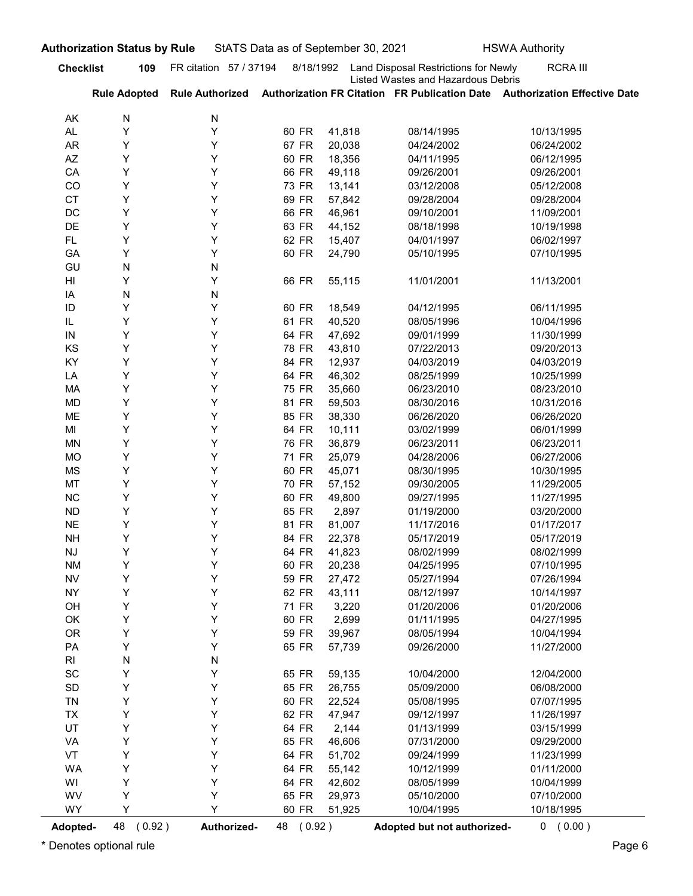| <b>RCRA III</b><br><b>Checklist</b><br>FR citation 57 / 37194<br>8/18/1992<br>Land Disposal Restrictions for Newly<br>109<br>Listed Wastes and Hazardous Debris<br>Authorization FR Citation FR Publication Date Authorization Effective Date<br><b>Rule Adopted</b><br><b>Rule Authorized</b><br>N<br>N<br>AK<br>Υ<br>Y<br>60 FR<br>41,818<br>AL.<br>08/14/1995<br>10/13/1995<br>Y<br>Y<br>67 FR<br><b>AR</b><br>20,038<br>04/24/2002<br>06/24/2002<br>Υ<br>Y<br>60 FR<br>AZ<br>18,356<br>04/11/1995<br>06/12/1995<br>Υ<br>Y<br>66 FR<br>CA<br>49,118<br>09/26/2001<br>09/26/2001<br>Y<br>Y<br>CO<br>73 FR<br>13,141<br>03/12/2008<br>05/12/2008<br>Υ<br>Y<br><b>CT</b><br>69 FR<br>57,842<br>09/28/2004<br>09/28/2004<br>Y<br>Y<br>66 FR<br>DC<br>46,961<br>09/10/2001<br>11/09/2001<br>Υ<br>Y<br>DE<br>63 FR<br>44,152<br>08/18/1998<br>10/19/1998<br>Υ<br>Y<br>62 FR<br>FL.<br>15,407<br>06/02/1997<br>04/01/1997<br>Y<br>Y<br>60 FR<br>GA<br>24,790<br>05/10/1995<br>07/10/1995<br>N<br>GU<br>N<br>Y<br>Y<br>66 FR<br>55,115<br>11/01/2001<br>11/13/2001<br>HI<br>N<br>N<br>ΙA<br>Υ<br>Y<br>ID<br>60 FR<br>18,549<br>04/12/1995<br>06/11/1995<br>Y<br>Y<br>IL<br>61 FR<br>40,520<br>08/05/1996<br>10/04/1996<br>64 FR<br>47,692<br>09/01/1999<br>11/30/1999<br>Y<br>IN<br>Y<br>KS<br>Υ<br>Υ<br>78 FR<br>43,810<br>07/22/2013<br>09/20/2013<br>Υ<br>84 FR<br>KY<br>Υ<br>12,937<br>04/03/2019<br>04/03/2019<br>Υ<br>Υ<br>64 FR<br>46,302<br>LA<br>08/25/1999<br>10/25/1999<br>Υ<br><b>75 FR</b><br>Υ<br>35,660<br>06/23/2010<br>08/23/2010<br>MA<br>Υ<br>81 FR<br>Υ<br>59,503<br>10/31/2016<br>MD<br>08/30/2016<br>Υ<br>Υ<br>85 FR<br>38,330<br>06/26/2020<br>ME<br>06/26/2020<br>Υ<br>Υ<br>64 FR<br>10,111<br>06/01/1999<br>MI<br>03/02/1999<br>Υ<br>Y<br>76 FR<br>36,879<br>06/23/2011<br>06/23/2011<br><b>MN</b><br>Υ<br>Y<br>71 FR<br>25,079<br>06/27/2006<br><b>MO</b><br>04/28/2006<br>Υ<br>60 FR<br>Υ<br>45,071<br><b>MS</b><br>08/30/1995<br>10/30/1995<br>Υ<br>Υ<br>70 FR<br>57,152<br>11/29/2005<br>MT<br>09/30/2005<br>Υ<br>Y<br>60 FR<br>NC<br>49,800<br>11/27/1995<br>09/27/1995<br>Υ<br>Y<br>65 FR<br>2,897<br>03/20/2000<br><b>ND</b><br>01/19/2000<br>Υ<br>Y<br>81 FR<br><b>NE</b><br>81,007<br>01/17/2017<br>11/17/2016<br>Υ<br>84 FR<br>Υ<br>22,378<br>05/17/2019<br>05/17/2019<br><b>NH</b><br>Υ<br>Υ<br>64 FR<br>41,823<br>08/02/1999<br><b>NJ</b><br>08/02/1999<br>Υ<br>Y<br>60 FR<br>20,238<br>07/10/1995<br><b>NM</b><br>04/25/1995<br>Υ<br>Υ<br>59 FR<br>27,472<br><b>NV</b><br>05/27/1994<br>07/26/1994<br>Υ<br>Υ<br>62 FR<br>43,111<br>10/14/1997<br><b>NY</b><br>08/12/1997<br>Υ<br>Υ<br>71 FR<br>3,220<br>01/20/2006<br>OH<br>01/20/2006<br>Υ<br>2,699<br>Υ<br>60 FR<br>04/27/1995<br>OK<br>01/11/1995<br>Υ<br>OR<br>Y<br>59 FR<br>39,967<br>10/04/1994<br>08/05/1994<br>Υ<br>Y<br>65 FR<br>57,739<br>11/27/2000<br>PA<br>09/26/2000<br>N<br>R <sub>l</sub><br>N<br>SC<br>Υ<br>Y<br>65 FR<br>59,135<br>10/04/2000<br>12/04/2000<br>Υ<br>SD<br>Υ<br>65 FR<br>26,755<br>05/09/2000<br>06/08/2000<br>Υ<br>Y<br>60 FR<br>22,524<br>07/07/1995<br><b>TN</b><br>05/08/1995<br>Υ<br>TX<br>Υ<br>62 FR<br>47,947<br>09/12/1997<br>11/26/1997<br>Υ<br>UT<br>Y<br>64 FR<br>2,144<br>03/15/1999<br>01/13/1999<br>Υ<br>Y<br>65 FR<br>46,606<br>07/31/2000<br>09/29/2000<br>VA<br>Υ<br>VT<br>Υ<br>64 FR<br>51,702<br>11/23/1999<br>09/24/1999<br>Υ<br>Y<br>64 FR<br>55,142<br>01/11/2000<br>WA<br>10/12/1999<br>Υ<br>Y<br>64 FR<br>42,602<br>WI<br>08/05/1999<br>10/04/1999<br>WV<br>Υ<br>Υ<br>65 FR<br>29,973<br>07/10/2000<br>05/10/2000<br>Υ<br>WY<br>Υ<br>60 FR<br>10/04/1995<br>10/18/1995<br>51,925 |          | <b>Authorization Status by Rule</b> |             |           | StATS Data as of September 30, 2021 |                             | <b>HSWA Authority</b> |
|----------------------------------------------------------------------------------------------------------------------------------------------------------------------------------------------------------------------------------------------------------------------------------------------------------------------------------------------------------------------------------------------------------------------------------------------------------------------------------------------------------------------------------------------------------------------------------------------------------------------------------------------------------------------------------------------------------------------------------------------------------------------------------------------------------------------------------------------------------------------------------------------------------------------------------------------------------------------------------------------------------------------------------------------------------------------------------------------------------------------------------------------------------------------------------------------------------------------------------------------------------------------------------------------------------------------------------------------------------------------------------------------------------------------------------------------------------------------------------------------------------------------------------------------------------------------------------------------------------------------------------------------------------------------------------------------------------------------------------------------------------------------------------------------------------------------------------------------------------------------------------------------------------------------------------------------------------------------------------------------------------------------------------------------------------------------------------------------------------------------------------------------------------------------------------------------------------------------------------------------------------------------------------------------------------------------------------------------------------------------------------------------------------------------------------------------------------------------------------------------------------------------------------------------------------------------------------------------------------------------------------------------------------------------------------------------------------------------------------------------------------------------------------------------------------------------------------------------------------------------------------------------------------------------------------------------------------------------------------------------------------------------------------------------------------------------------------------------------------------------------------------------------------------------------------------------------------------------------------------------------------------------------------------------------------------------------------------------------------------------------------------------------------------------------------------------------------------------------------------------------------------------------------------------------------------------------------------------------------------------------|----------|-------------------------------------|-------------|-----------|-------------------------------------|-----------------------------|-----------------------|
|                                                                                                                                                                                                                                                                                                                                                                                                                                                                                                                                                                                                                                                                                                                                                                                                                                                                                                                                                                                                                                                                                                                                                                                                                                                                                                                                                                                                                                                                                                                                                                                                                                                                                                                                                                                                                                                                                                                                                                                                                                                                                                                                                                                                                                                                                                                                                                                                                                                                                                                                                                                                                                                                                                                                                                                                                                                                                                                                                                                                                                                                                                                                                                                                                                                                                                                                                                                                                                                                                                                                                                                                                            |          |                                     |             |           |                                     |                             |                       |
|                                                                                                                                                                                                                                                                                                                                                                                                                                                                                                                                                                                                                                                                                                                                                                                                                                                                                                                                                                                                                                                                                                                                                                                                                                                                                                                                                                                                                                                                                                                                                                                                                                                                                                                                                                                                                                                                                                                                                                                                                                                                                                                                                                                                                                                                                                                                                                                                                                                                                                                                                                                                                                                                                                                                                                                                                                                                                                                                                                                                                                                                                                                                                                                                                                                                                                                                                                                                                                                                                                                                                                                                                            |          |                                     |             |           |                                     |                             |                       |
|                                                                                                                                                                                                                                                                                                                                                                                                                                                                                                                                                                                                                                                                                                                                                                                                                                                                                                                                                                                                                                                                                                                                                                                                                                                                                                                                                                                                                                                                                                                                                                                                                                                                                                                                                                                                                                                                                                                                                                                                                                                                                                                                                                                                                                                                                                                                                                                                                                                                                                                                                                                                                                                                                                                                                                                                                                                                                                                                                                                                                                                                                                                                                                                                                                                                                                                                                                                                                                                                                                                                                                                                                            |          |                                     |             |           |                                     |                             |                       |
|                                                                                                                                                                                                                                                                                                                                                                                                                                                                                                                                                                                                                                                                                                                                                                                                                                                                                                                                                                                                                                                                                                                                                                                                                                                                                                                                                                                                                                                                                                                                                                                                                                                                                                                                                                                                                                                                                                                                                                                                                                                                                                                                                                                                                                                                                                                                                                                                                                                                                                                                                                                                                                                                                                                                                                                                                                                                                                                                                                                                                                                                                                                                                                                                                                                                                                                                                                                                                                                                                                                                                                                                                            |          |                                     |             |           |                                     |                             |                       |
|                                                                                                                                                                                                                                                                                                                                                                                                                                                                                                                                                                                                                                                                                                                                                                                                                                                                                                                                                                                                                                                                                                                                                                                                                                                                                                                                                                                                                                                                                                                                                                                                                                                                                                                                                                                                                                                                                                                                                                                                                                                                                                                                                                                                                                                                                                                                                                                                                                                                                                                                                                                                                                                                                                                                                                                                                                                                                                                                                                                                                                                                                                                                                                                                                                                                                                                                                                                                                                                                                                                                                                                                                            |          |                                     |             |           |                                     |                             |                       |
|                                                                                                                                                                                                                                                                                                                                                                                                                                                                                                                                                                                                                                                                                                                                                                                                                                                                                                                                                                                                                                                                                                                                                                                                                                                                                                                                                                                                                                                                                                                                                                                                                                                                                                                                                                                                                                                                                                                                                                                                                                                                                                                                                                                                                                                                                                                                                                                                                                                                                                                                                                                                                                                                                                                                                                                                                                                                                                                                                                                                                                                                                                                                                                                                                                                                                                                                                                                                                                                                                                                                                                                                                            |          |                                     |             |           |                                     |                             |                       |
|                                                                                                                                                                                                                                                                                                                                                                                                                                                                                                                                                                                                                                                                                                                                                                                                                                                                                                                                                                                                                                                                                                                                                                                                                                                                                                                                                                                                                                                                                                                                                                                                                                                                                                                                                                                                                                                                                                                                                                                                                                                                                                                                                                                                                                                                                                                                                                                                                                                                                                                                                                                                                                                                                                                                                                                                                                                                                                                                                                                                                                                                                                                                                                                                                                                                                                                                                                                                                                                                                                                                                                                                                            |          |                                     |             |           |                                     |                             |                       |
|                                                                                                                                                                                                                                                                                                                                                                                                                                                                                                                                                                                                                                                                                                                                                                                                                                                                                                                                                                                                                                                                                                                                                                                                                                                                                                                                                                                                                                                                                                                                                                                                                                                                                                                                                                                                                                                                                                                                                                                                                                                                                                                                                                                                                                                                                                                                                                                                                                                                                                                                                                                                                                                                                                                                                                                                                                                                                                                                                                                                                                                                                                                                                                                                                                                                                                                                                                                                                                                                                                                                                                                                                            |          |                                     |             |           |                                     |                             |                       |
|                                                                                                                                                                                                                                                                                                                                                                                                                                                                                                                                                                                                                                                                                                                                                                                                                                                                                                                                                                                                                                                                                                                                                                                                                                                                                                                                                                                                                                                                                                                                                                                                                                                                                                                                                                                                                                                                                                                                                                                                                                                                                                                                                                                                                                                                                                                                                                                                                                                                                                                                                                                                                                                                                                                                                                                                                                                                                                                                                                                                                                                                                                                                                                                                                                                                                                                                                                                                                                                                                                                                                                                                                            |          |                                     |             |           |                                     |                             |                       |
|                                                                                                                                                                                                                                                                                                                                                                                                                                                                                                                                                                                                                                                                                                                                                                                                                                                                                                                                                                                                                                                                                                                                                                                                                                                                                                                                                                                                                                                                                                                                                                                                                                                                                                                                                                                                                                                                                                                                                                                                                                                                                                                                                                                                                                                                                                                                                                                                                                                                                                                                                                                                                                                                                                                                                                                                                                                                                                                                                                                                                                                                                                                                                                                                                                                                                                                                                                                                                                                                                                                                                                                                                            |          |                                     |             |           |                                     |                             |                       |
|                                                                                                                                                                                                                                                                                                                                                                                                                                                                                                                                                                                                                                                                                                                                                                                                                                                                                                                                                                                                                                                                                                                                                                                                                                                                                                                                                                                                                                                                                                                                                                                                                                                                                                                                                                                                                                                                                                                                                                                                                                                                                                                                                                                                                                                                                                                                                                                                                                                                                                                                                                                                                                                                                                                                                                                                                                                                                                                                                                                                                                                                                                                                                                                                                                                                                                                                                                                                                                                                                                                                                                                                                            |          |                                     |             |           |                                     |                             |                       |
|                                                                                                                                                                                                                                                                                                                                                                                                                                                                                                                                                                                                                                                                                                                                                                                                                                                                                                                                                                                                                                                                                                                                                                                                                                                                                                                                                                                                                                                                                                                                                                                                                                                                                                                                                                                                                                                                                                                                                                                                                                                                                                                                                                                                                                                                                                                                                                                                                                                                                                                                                                                                                                                                                                                                                                                                                                                                                                                                                                                                                                                                                                                                                                                                                                                                                                                                                                                                                                                                                                                                                                                                                            |          |                                     |             |           |                                     |                             |                       |
|                                                                                                                                                                                                                                                                                                                                                                                                                                                                                                                                                                                                                                                                                                                                                                                                                                                                                                                                                                                                                                                                                                                                                                                                                                                                                                                                                                                                                                                                                                                                                                                                                                                                                                                                                                                                                                                                                                                                                                                                                                                                                                                                                                                                                                                                                                                                                                                                                                                                                                                                                                                                                                                                                                                                                                                                                                                                                                                                                                                                                                                                                                                                                                                                                                                                                                                                                                                                                                                                                                                                                                                                                            |          |                                     |             |           |                                     |                             |                       |
|                                                                                                                                                                                                                                                                                                                                                                                                                                                                                                                                                                                                                                                                                                                                                                                                                                                                                                                                                                                                                                                                                                                                                                                                                                                                                                                                                                                                                                                                                                                                                                                                                                                                                                                                                                                                                                                                                                                                                                                                                                                                                                                                                                                                                                                                                                                                                                                                                                                                                                                                                                                                                                                                                                                                                                                                                                                                                                                                                                                                                                                                                                                                                                                                                                                                                                                                                                                                                                                                                                                                                                                                                            |          |                                     |             |           |                                     |                             |                       |
|                                                                                                                                                                                                                                                                                                                                                                                                                                                                                                                                                                                                                                                                                                                                                                                                                                                                                                                                                                                                                                                                                                                                                                                                                                                                                                                                                                                                                                                                                                                                                                                                                                                                                                                                                                                                                                                                                                                                                                                                                                                                                                                                                                                                                                                                                                                                                                                                                                                                                                                                                                                                                                                                                                                                                                                                                                                                                                                                                                                                                                                                                                                                                                                                                                                                                                                                                                                                                                                                                                                                                                                                                            |          |                                     |             |           |                                     |                             |                       |
|                                                                                                                                                                                                                                                                                                                                                                                                                                                                                                                                                                                                                                                                                                                                                                                                                                                                                                                                                                                                                                                                                                                                                                                                                                                                                                                                                                                                                                                                                                                                                                                                                                                                                                                                                                                                                                                                                                                                                                                                                                                                                                                                                                                                                                                                                                                                                                                                                                                                                                                                                                                                                                                                                                                                                                                                                                                                                                                                                                                                                                                                                                                                                                                                                                                                                                                                                                                                                                                                                                                                                                                                                            |          |                                     |             |           |                                     |                             |                       |
|                                                                                                                                                                                                                                                                                                                                                                                                                                                                                                                                                                                                                                                                                                                                                                                                                                                                                                                                                                                                                                                                                                                                                                                                                                                                                                                                                                                                                                                                                                                                                                                                                                                                                                                                                                                                                                                                                                                                                                                                                                                                                                                                                                                                                                                                                                                                                                                                                                                                                                                                                                                                                                                                                                                                                                                                                                                                                                                                                                                                                                                                                                                                                                                                                                                                                                                                                                                                                                                                                                                                                                                                                            |          |                                     |             |           |                                     |                             |                       |
|                                                                                                                                                                                                                                                                                                                                                                                                                                                                                                                                                                                                                                                                                                                                                                                                                                                                                                                                                                                                                                                                                                                                                                                                                                                                                                                                                                                                                                                                                                                                                                                                                                                                                                                                                                                                                                                                                                                                                                                                                                                                                                                                                                                                                                                                                                                                                                                                                                                                                                                                                                                                                                                                                                                                                                                                                                                                                                                                                                                                                                                                                                                                                                                                                                                                                                                                                                                                                                                                                                                                                                                                                            |          |                                     |             |           |                                     |                             |                       |
|                                                                                                                                                                                                                                                                                                                                                                                                                                                                                                                                                                                                                                                                                                                                                                                                                                                                                                                                                                                                                                                                                                                                                                                                                                                                                                                                                                                                                                                                                                                                                                                                                                                                                                                                                                                                                                                                                                                                                                                                                                                                                                                                                                                                                                                                                                                                                                                                                                                                                                                                                                                                                                                                                                                                                                                                                                                                                                                                                                                                                                                                                                                                                                                                                                                                                                                                                                                                                                                                                                                                                                                                                            |          |                                     |             |           |                                     |                             |                       |
|                                                                                                                                                                                                                                                                                                                                                                                                                                                                                                                                                                                                                                                                                                                                                                                                                                                                                                                                                                                                                                                                                                                                                                                                                                                                                                                                                                                                                                                                                                                                                                                                                                                                                                                                                                                                                                                                                                                                                                                                                                                                                                                                                                                                                                                                                                                                                                                                                                                                                                                                                                                                                                                                                                                                                                                                                                                                                                                                                                                                                                                                                                                                                                                                                                                                                                                                                                                                                                                                                                                                                                                                                            |          |                                     |             |           |                                     |                             |                       |
|                                                                                                                                                                                                                                                                                                                                                                                                                                                                                                                                                                                                                                                                                                                                                                                                                                                                                                                                                                                                                                                                                                                                                                                                                                                                                                                                                                                                                                                                                                                                                                                                                                                                                                                                                                                                                                                                                                                                                                                                                                                                                                                                                                                                                                                                                                                                                                                                                                                                                                                                                                                                                                                                                                                                                                                                                                                                                                                                                                                                                                                                                                                                                                                                                                                                                                                                                                                                                                                                                                                                                                                                                            |          |                                     |             |           |                                     |                             |                       |
|                                                                                                                                                                                                                                                                                                                                                                                                                                                                                                                                                                                                                                                                                                                                                                                                                                                                                                                                                                                                                                                                                                                                                                                                                                                                                                                                                                                                                                                                                                                                                                                                                                                                                                                                                                                                                                                                                                                                                                                                                                                                                                                                                                                                                                                                                                                                                                                                                                                                                                                                                                                                                                                                                                                                                                                                                                                                                                                                                                                                                                                                                                                                                                                                                                                                                                                                                                                                                                                                                                                                                                                                                            |          |                                     |             |           |                                     |                             |                       |
|                                                                                                                                                                                                                                                                                                                                                                                                                                                                                                                                                                                                                                                                                                                                                                                                                                                                                                                                                                                                                                                                                                                                                                                                                                                                                                                                                                                                                                                                                                                                                                                                                                                                                                                                                                                                                                                                                                                                                                                                                                                                                                                                                                                                                                                                                                                                                                                                                                                                                                                                                                                                                                                                                                                                                                                                                                                                                                                                                                                                                                                                                                                                                                                                                                                                                                                                                                                                                                                                                                                                                                                                                            |          |                                     |             |           |                                     |                             |                       |
|                                                                                                                                                                                                                                                                                                                                                                                                                                                                                                                                                                                                                                                                                                                                                                                                                                                                                                                                                                                                                                                                                                                                                                                                                                                                                                                                                                                                                                                                                                                                                                                                                                                                                                                                                                                                                                                                                                                                                                                                                                                                                                                                                                                                                                                                                                                                                                                                                                                                                                                                                                                                                                                                                                                                                                                                                                                                                                                                                                                                                                                                                                                                                                                                                                                                                                                                                                                                                                                                                                                                                                                                                            |          |                                     |             |           |                                     |                             |                       |
|                                                                                                                                                                                                                                                                                                                                                                                                                                                                                                                                                                                                                                                                                                                                                                                                                                                                                                                                                                                                                                                                                                                                                                                                                                                                                                                                                                                                                                                                                                                                                                                                                                                                                                                                                                                                                                                                                                                                                                                                                                                                                                                                                                                                                                                                                                                                                                                                                                                                                                                                                                                                                                                                                                                                                                                                                                                                                                                                                                                                                                                                                                                                                                                                                                                                                                                                                                                                                                                                                                                                                                                                                            |          |                                     |             |           |                                     |                             |                       |
|                                                                                                                                                                                                                                                                                                                                                                                                                                                                                                                                                                                                                                                                                                                                                                                                                                                                                                                                                                                                                                                                                                                                                                                                                                                                                                                                                                                                                                                                                                                                                                                                                                                                                                                                                                                                                                                                                                                                                                                                                                                                                                                                                                                                                                                                                                                                                                                                                                                                                                                                                                                                                                                                                                                                                                                                                                                                                                                                                                                                                                                                                                                                                                                                                                                                                                                                                                                                                                                                                                                                                                                                                            |          |                                     |             |           |                                     |                             |                       |
|                                                                                                                                                                                                                                                                                                                                                                                                                                                                                                                                                                                                                                                                                                                                                                                                                                                                                                                                                                                                                                                                                                                                                                                                                                                                                                                                                                                                                                                                                                                                                                                                                                                                                                                                                                                                                                                                                                                                                                                                                                                                                                                                                                                                                                                                                                                                                                                                                                                                                                                                                                                                                                                                                                                                                                                                                                                                                                                                                                                                                                                                                                                                                                                                                                                                                                                                                                                                                                                                                                                                                                                                                            |          |                                     |             |           |                                     |                             |                       |
|                                                                                                                                                                                                                                                                                                                                                                                                                                                                                                                                                                                                                                                                                                                                                                                                                                                                                                                                                                                                                                                                                                                                                                                                                                                                                                                                                                                                                                                                                                                                                                                                                                                                                                                                                                                                                                                                                                                                                                                                                                                                                                                                                                                                                                                                                                                                                                                                                                                                                                                                                                                                                                                                                                                                                                                                                                                                                                                                                                                                                                                                                                                                                                                                                                                                                                                                                                                                                                                                                                                                                                                                                            |          |                                     |             |           |                                     |                             |                       |
|                                                                                                                                                                                                                                                                                                                                                                                                                                                                                                                                                                                                                                                                                                                                                                                                                                                                                                                                                                                                                                                                                                                                                                                                                                                                                                                                                                                                                                                                                                                                                                                                                                                                                                                                                                                                                                                                                                                                                                                                                                                                                                                                                                                                                                                                                                                                                                                                                                                                                                                                                                                                                                                                                                                                                                                                                                                                                                                                                                                                                                                                                                                                                                                                                                                                                                                                                                                                                                                                                                                                                                                                                            |          |                                     |             |           |                                     |                             |                       |
|                                                                                                                                                                                                                                                                                                                                                                                                                                                                                                                                                                                                                                                                                                                                                                                                                                                                                                                                                                                                                                                                                                                                                                                                                                                                                                                                                                                                                                                                                                                                                                                                                                                                                                                                                                                                                                                                                                                                                                                                                                                                                                                                                                                                                                                                                                                                                                                                                                                                                                                                                                                                                                                                                                                                                                                                                                                                                                                                                                                                                                                                                                                                                                                                                                                                                                                                                                                                                                                                                                                                                                                                                            |          |                                     |             |           |                                     |                             |                       |
|                                                                                                                                                                                                                                                                                                                                                                                                                                                                                                                                                                                                                                                                                                                                                                                                                                                                                                                                                                                                                                                                                                                                                                                                                                                                                                                                                                                                                                                                                                                                                                                                                                                                                                                                                                                                                                                                                                                                                                                                                                                                                                                                                                                                                                                                                                                                                                                                                                                                                                                                                                                                                                                                                                                                                                                                                                                                                                                                                                                                                                                                                                                                                                                                                                                                                                                                                                                                                                                                                                                                                                                                                            |          |                                     |             |           |                                     |                             |                       |
|                                                                                                                                                                                                                                                                                                                                                                                                                                                                                                                                                                                                                                                                                                                                                                                                                                                                                                                                                                                                                                                                                                                                                                                                                                                                                                                                                                                                                                                                                                                                                                                                                                                                                                                                                                                                                                                                                                                                                                                                                                                                                                                                                                                                                                                                                                                                                                                                                                                                                                                                                                                                                                                                                                                                                                                                                                                                                                                                                                                                                                                                                                                                                                                                                                                                                                                                                                                                                                                                                                                                                                                                                            |          |                                     |             |           |                                     |                             |                       |
|                                                                                                                                                                                                                                                                                                                                                                                                                                                                                                                                                                                                                                                                                                                                                                                                                                                                                                                                                                                                                                                                                                                                                                                                                                                                                                                                                                                                                                                                                                                                                                                                                                                                                                                                                                                                                                                                                                                                                                                                                                                                                                                                                                                                                                                                                                                                                                                                                                                                                                                                                                                                                                                                                                                                                                                                                                                                                                                                                                                                                                                                                                                                                                                                                                                                                                                                                                                                                                                                                                                                                                                                                            |          |                                     |             |           |                                     |                             |                       |
|                                                                                                                                                                                                                                                                                                                                                                                                                                                                                                                                                                                                                                                                                                                                                                                                                                                                                                                                                                                                                                                                                                                                                                                                                                                                                                                                                                                                                                                                                                                                                                                                                                                                                                                                                                                                                                                                                                                                                                                                                                                                                                                                                                                                                                                                                                                                                                                                                                                                                                                                                                                                                                                                                                                                                                                                                                                                                                                                                                                                                                                                                                                                                                                                                                                                                                                                                                                                                                                                                                                                                                                                                            |          |                                     |             |           |                                     |                             |                       |
|                                                                                                                                                                                                                                                                                                                                                                                                                                                                                                                                                                                                                                                                                                                                                                                                                                                                                                                                                                                                                                                                                                                                                                                                                                                                                                                                                                                                                                                                                                                                                                                                                                                                                                                                                                                                                                                                                                                                                                                                                                                                                                                                                                                                                                                                                                                                                                                                                                                                                                                                                                                                                                                                                                                                                                                                                                                                                                                                                                                                                                                                                                                                                                                                                                                                                                                                                                                                                                                                                                                                                                                                                            |          |                                     |             |           |                                     |                             |                       |
|                                                                                                                                                                                                                                                                                                                                                                                                                                                                                                                                                                                                                                                                                                                                                                                                                                                                                                                                                                                                                                                                                                                                                                                                                                                                                                                                                                                                                                                                                                                                                                                                                                                                                                                                                                                                                                                                                                                                                                                                                                                                                                                                                                                                                                                                                                                                                                                                                                                                                                                                                                                                                                                                                                                                                                                                                                                                                                                                                                                                                                                                                                                                                                                                                                                                                                                                                                                                                                                                                                                                                                                                                            |          |                                     |             |           |                                     |                             |                       |
|                                                                                                                                                                                                                                                                                                                                                                                                                                                                                                                                                                                                                                                                                                                                                                                                                                                                                                                                                                                                                                                                                                                                                                                                                                                                                                                                                                                                                                                                                                                                                                                                                                                                                                                                                                                                                                                                                                                                                                                                                                                                                                                                                                                                                                                                                                                                                                                                                                                                                                                                                                                                                                                                                                                                                                                                                                                                                                                                                                                                                                                                                                                                                                                                                                                                                                                                                                                                                                                                                                                                                                                                                            |          |                                     |             |           |                                     |                             |                       |
|                                                                                                                                                                                                                                                                                                                                                                                                                                                                                                                                                                                                                                                                                                                                                                                                                                                                                                                                                                                                                                                                                                                                                                                                                                                                                                                                                                                                                                                                                                                                                                                                                                                                                                                                                                                                                                                                                                                                                                                                                                                                                                                                                                                                                                                                                                                                                                                                                                                                                                                                                                                                                                                                                                                                                                                                                                                                                                                                                                                                                                                                                                                                                                                                                                                                                                                                                                                                                                                                                                                                                                                                                            |          |                                     |             |           |                                     |                             |                       |
|                                                                                                                                                                                                                                                                                                                                                                                                                                                                                                                                                                                                                                                                                                                                                                                                                                                                                                                                                                                                                                                                                                                                                                                                                                                                                                                                                                                                                                                                                                                                                                                                                                                                                                                                                                                                                                                                                                                                                                                                                                                                                                                                                                                                                                                                                                                                                                                                                                                                                                                                                                                                                                                                                                                                                                                                                                                                                                                                                                                                                                                                                                                                                                                                                                                                                                                                                                                                                                                                                                                                                                                                                            |          |                                     |             |           |                                     |                             |                       |
|                                                                                                                                                                                                                                                                                                                                                                                                                                                                                                                                                                                                                                                                                                                                                                                                                                                                                                                                                                                                                                                                                                                                                                                                                                                                                                                                                                                                                                                                                                                                                                                                                                                                                                                                                                                                                                                                                                                                                                                                                                                                                                                                                                                                                                                                                                                                                                                                                                                                                                                                                                                                                                                                                                                                                                                                                                                                                                                                                                                                                                                                                                                                                                                                                                                                                                                                                                                                                                                                                                                                                                                                                            |          |                                     |             |           |                                     |                             |                       |
|                                                                                                                                                                                                                                                                                                                                                                                                                                                                                                                                                                                                                                                                                                                                                                                                                                                                                                                                                                                                                                                                                                                                                                                                                                                                                                                                                                                                                                                                                                                                                                                                                                                                                                                                                                                                                                                                                                                                                                                                                                                                                                                                                                                                                                                                                                                                                                                                                                                                                                                                                                                                                                                                                                                                                                                                                                                                                                                                                                                                                                                                                                                                                                                                                                                                                                                                                                                                                                                                                                                                                                                                                            |          |                                     |             |           |                                     |                             |                       |
|                                                                                                                                                                                                                                                                                                                                                                                                                                                                                                                                                                                                                                                                                                                                                                                                                                                                                                                                                                                                                                                                                                                                                                                                                                                                                                                                                                                                                                                                                                                                                                                                                                                                                                                                                                                                                                                                                                                                                                                                                                                                                                                                                                                                                                                                                                                                                                                                                                                                                                                                                                                                                                                                                                                                                                                                                                                                                                                                                                                                                                                                                                                                                                                                                                                                                                                                                                                                                                                                                                                                                                                                                            |          |                                     |             |           |                                     |                             |                       |
|                                                                                                                                                                                                                                                                                                                                                                                                                                                                                                                                                                                                                                                                                                                                                                                                                                                                                                                                                                                                                                                                                                                                                                                                                                                                                                                                                                                                                                                                                                                                                                                                                                                                                                                                                                                                                                                                                                                                                                                                                                                                                                                                                                                                                                                                                                                                                                                                                                                                                                                                                                                                                                                                                                                                                                                                                                                                                                                                                                                                                                                                                                                                                                                                                                                                                                                                                                                                                                                                                                                                                                                                                            |          |                                     |             |           |                                     |                             |                       |
|                                                                                                                                                                                                                                                                                                                                                                                                                                                                                                                                                                                                                                                                                                                                                                                                                                                                                                                                                                                                                                                                                                                                                                                                                                                                                                                                                                                                                                                                                                                                                                                                                                                                                                                                                                                                                                                                                                                                                                                                                                                                                                                                                                                                                                                                                                                                                                                                                                                                                                                                                                                                                                                                                                                                                                                                                                                                                                                                                                                                                                                                                                                                                                                                                                                                                                                                                                                                                                                                                                                                                                                                                            |          |                                     |             |           |                                     |                             |                       |
|                                                                                                                                                                                                                                                                                                                                                                                                                                                                                                                                                                                                                                                                                                                                                                                                                                                                                                                                                                                                                                                                                                                                                                                                                                                                                                                                                                                                                                                                                                                                                                                                                                                                                                                                                                                                                                                                                                                                                                                                                                                                                                                                                                                                                                                                                                                                                                                                                                                                                                                                                                                                                                                                                                                                                                                                                                                                                                                                                                                                                                                                                                                                                                                                                                                                                                                                                                                                                                                                                                                                                                                                                            |          |                                     |             |           |                                     |                             |                       |
|                                                                                                                                                                                                                                                                                                                                                                                                                                                                                                                                                                                                                                                                                                                                                                                                                                                                                                                                                                                                                                                                                                                                                                                                                                                                                                                                                                                                                                                                                                                                                                                                                                                                                                                                                                                                                                                                                                                                                                                                                                                                                                                                                                                                                                                                                                                                                                                                                                                                                                                                                                                                                                                                                                                                                                                                                                                                                                                                                                                                                                                                                                                                                                                                                                                                                                                                                                                                                                                                                                                                                                                                                            |          |                                     |             |           |                                     |                             |                       |
|                                                                                                                                                                                                                                                                                                                                                                                                                                                                                                                                                                                                                                                                                                                                                                                                                                                                                                                                                                                                                                                                                                                                                                                                                                                                                                                                                                                                                                                                                                                                                                                                                                                                                                                                                                                                                                                                                                                                                                                                                                                                                                                                                                                                                                                                                                                                                                                                                                                                                                                                                                                                                                                                                                                                                                                                                                                                                                                                                                                                                                                                                                                                                                                                                                                                                                                                                                                                                                                                                                                                                                                                                            |          |                                     |             |           |                                     |                             |                       |
|                                                                                                                                                                                                                                                                                                                                                                                                                                                                                                                                                                                                                                                                                                                                                                                                                                                                                                                                                                                                                                                                                                                                                                                                                                                                                                                                                                                                                                                                                                                                                                                                                                                                                                                                                                                                                                                                                                                                                                                                                                                                                                                                                                                                                                                                                                                                                                                                                                                                                                                                                                                                                                                                                                                                                                                                                                                                                                                                                                                                                                                                                                                                                                                                                                                                                                                                                                                                                                                                                                                                                                                                                            |          |                                     |             |           |                                     |                             |                       |
|                                                                                                                                                                                                                                                                                                                                                                                                                                                                                                                                                                                                                                                                                                                                                                                                                                                                                                                                                                                                                                                                                                                                                                                                                                                                                                                                                                                                                                                                                                                                                                                                                                                                                                                                                                                                                                                                                                                                                                                                                                                                                                                                                                                                                                                                                                                                                                                                                                                                                                                                                                                                                                                                                                                                                                                                                                                                                                                                                                                                                                                                                                                                                                                                                                                                                                                                                                                                                                                                                                                                                                                                                            |          |                                     |             |           |                                     |                             |                       |
|                                                                                                                                                                                                                                                                                                                                                                                                                                                                                                                                                                                                                                                                                                                                                                                                                                                                                                                                                                                                                                                                                                                                                                                                                                                                                                                                                                                                                                                                                                                                                                                                                                                                                                                                                                                                                                                                                                                                                                                                                                                                                                                                                                                                                                                                                                                                                                                                                                                                                                                                                                                                                                                                                                                                                                                                                                                                                                                                                                                                                                                                                                                                                                                                                                                                                                                                                                                                                                                                                                                                                                                                                            |          |                                     |             |           |                                     |                             |                       |
|                                                                                                                                                                                                                                                                                                                                                                                                                                                                                                                                                                                                                                                                                                                                                                                                                                                                                                                                                                                                                                                                                                                                                                                                                                                                                                                                                                                                                                                                                                                                                                                                                                                                                                                                                                                                                                                                                                                                                                                                                                                                                                                                                                                                                                                                                                                                                                                                                                                                                                                                                                                                                                                                                                                                                                                                                                                                                                                                                                                                                                                                                                                                                                                                                                                                                                                                                                                                                                                                                                                                                                                                                            |          |                                     |             |           |                                     |                             |                       |
|                                                                                                                                                                                                                                                                                                                                                                                                                                                                                                                                                                                                                                                                                                                                                                                                                                                                                                                                                                                                                                                                                                                                                                                                                                                                                                                                                                                                                                                                                                                                                                                                                                                                                                                                                                                                                                                                                                                                                                                                                                                                                                                                                                                                                                                                                                                                                                                                                                                                                                                                                                                                                                                                                                                                                                                                                                                                                                                                                                                                                                                                                                                                                                                                                                                                                                                                                                                                                                                                                                                                                                                                                            |          |                                     |             |           |                                     |                             |                       |
|                                                                                                                                                                                                                                                                                                                                                                                                                                                                                                                                                                                                                                                                                                                                                                                                                                                                                                                                                                                                                                                                                                                                                                                                                                                                                                                                                                                                                                                                                                                                                                                                                                                                                                                                                                                                                                                                                                                                                                                                                                                                                                                                                                                                                                                                                                                                                                                                                                                                                                                                                                                                                                                                                                                                                                                                                                                                                                                                                                                                                                                                                                                                                                                                                                                                                                                                                                                                                                                                                                                                                                                                                            | Adopted- | 48 (0.92)                           | Authorized- | 48 (0.92) |                                     | Adopted but not authorized- | 0 (0.00)              |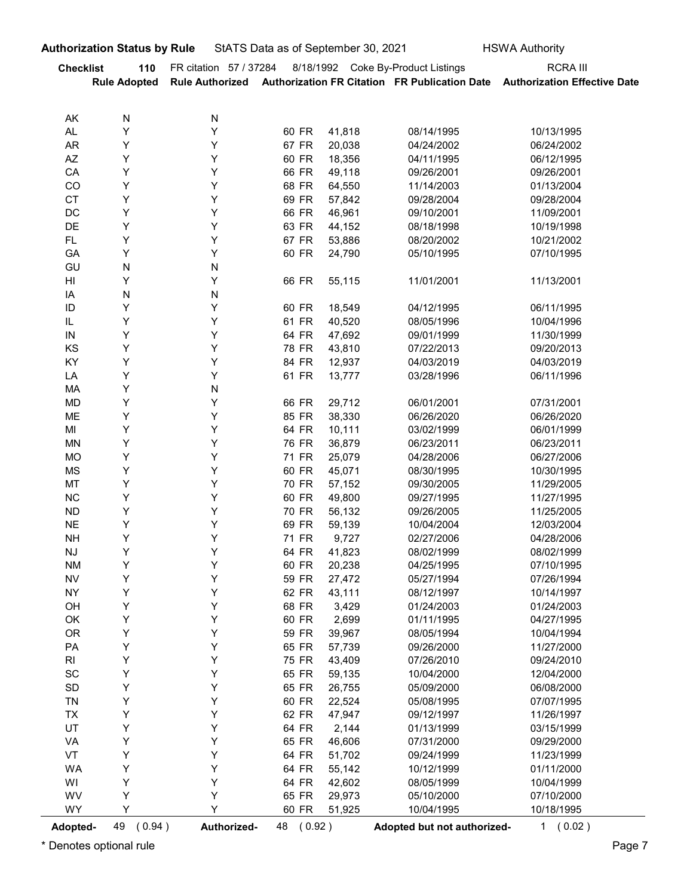|                        | <b>Authorization Status by Rule</b> |                        |                | StATS Data as of September 30, 2021 |                                    | <b>HSWA Authority</b>                                                                      |
|------------------------|-------------------------------------|------------------------|----------------|-------------------------------------|------------------------------------|--------------------------------------------------------------------------------------------|
| <b>Checklist</b>       | 110                                 | FR citation 57 / 37284 |                |                                     | 8/18/1992 Coke By-Product Listings | <b>RCRA III</b>                                                                            |
|                        | <b>Rule Adopted</b>                 |                        |                |                                     |                                    | Rule Authorized Authorization FR Citation FR Publication Date Authorization Effective Date |
|                        |                                     |                        |                |                                     |                                    |                                                                                            |
| AK<br>AL               | N<br>Υ                              | N<br>Y                 | 60 FR          | 41,818                              | 08/14/1995                         | 10/13/1995                                                                                 |
| <b>AR</b>              | Υ                                   | Y                      | 67 FR          | 20,038                              | 04/24/2002                         | 06/24/2002                                                                                 |
| $\mathsf{A}\mathsf{Z}$ | Υ                                   | Y                      | 60 FR          | 18,356                              | 04/11/1995                         | 06/12/1995                                                                                 |
| CA                     | Υ                                   | Y                      | 66 FR          | 49,118                              | 09/26/2001                         | 09/26/2001                                                                                 |
| CO<br><b>CT</b>        | Υ<br>Υ                              | Y<br>Y                 | 68 FR<br>69 FR | 64,550                              | 11/14/2003                         | 01/13/2004                                                                                 |
| DC                     | Υ                                   | Υ                      | 66 FR          | 57,842<br>46,961                    | 09/28/2004<br>09/10/2001           | 09/28/2004<br>11/09/2001                                                                   |
| DE                     | Υ                                   | Y                      | 63 FR          | 44,152                              | 08/18/1998                         | 10/19/1998                                                                                 |
| FL.                    | Υ                                   | Y                      | 67 FR          | 53,886                              | 08/20/2002                         | 10/21/2002                                                                                 |
| GA                     | Υ                                   | Υ                      | 60 FR          | 24,790                              | 05/10/1995                         | 07/10/1995                                                                                 |
| GU<br>$\mathsf{HI}$    | N<br>Y                              | N                      | 66 FR          | 55,115                              | 11/01/2001                         | 11/13/2001                                                                                 |
| IA                     | N                                   | N                      |                |                                     |                                    |                                                                                            |
| $\sf ID$               | Υ                                   | Υ                      | 60 FR          | 18,549                              | 04/12/1995                         | 06/11/1995                                                                                 |
| IL.                    | Υ                                   | Υ                      | 61 FR          | 40,520                              | 08/05/1996                         | 10/04/1996                                                                                 |
| ${\sf IN}$<br>KS       | Υ<br>Υ                              | Υ<br>Υ                 | 64 FR<br>78 FR | 47,692<br>43,810                    | 09/01/1999<br>07/22/2013           | 11/30/1999<br>09/20/2013                                                                   |
| KY                     | Υ                                   | Υ                      | 84 FR          | 12,937                              | 04/03/2019                         | 04/03/2019                                                                                 |
| LA                     | Υ                                   | Υ                      | 61 FR          | 13,777                              | 03/28/1996                         | 06/11/1996                                                                                 |
| МA                     | Υ                                   | N                      |                |                                     |                                    |                                                                                            |
| MD                     | Υ                                   | Υ                      | 66 FR          | 29,712                              | 06/01/2001                         | 07/31/2001                                                                                 |
| ME<br>MI               | Υ<br>Υ                              | Υ<br>Υ                 | 85 FR<br>64 FR | 38,330<br>10,111                    | 06/26/2020<br>03/02/1999           | 06/26/2020<br>06/01/1999                                                                   |
| <b>MN</b>              | Υ                                   | Υ                      | 76 FR          | 36,879                              | 06/23/2011                         | 06/23/2011                                                                                 |
| <b>MO</b>              | Υ                                   | Υ                      | 71 FR          | 25,079                              | 04/28/2006                         | 06/27/2006                                                                                 |
| MS                     | Υ                                   | Υ                      | 60 FR          | 45,071                              | 08/30/1995                         | 10/30/1995                                                                                 |
| MT                     | Υ                                   | Υ                      | 70 FR          | 57,152                              | 09/30/2005                         | 11/29/2005                                                                                 |
| NC<br><b>ND</b>        | Υ<br>Υ                              | Υ<br>Υ                 | 60 FR<br>70 FR | 49,800<br>56,132                    | 09/27/1995<br>09/26/2005           | 11/27/1995<br>11/25/2005                                                                   |
| <b>NE</b>              | Υ                                   | Υ                      | 69 FR          | 59,139                              | 10/04/2004                         | 12/03/2004                                                                                 |
| <b>NH</b>              | Υ                                   | Υ                      | 71 FR          | 9,727                               | 02/27/2006                         | 04/28/2006                                                                                 |
| <b>NJ</b>              | Υ                                   | Υ                      | 64 FR          | 41,823                              | 08/02/1999                         | 08/02/1999                                                                                 |
| <b>NM</b>              | Υ<br>Υ                              | Υ                      | 60 FR          | 20,238                              | 04/25/1995                         | 07/10/1995                                                                                 |
| <b>NV</b><br><b>NY</b> | Υ                                   | Υ<br>Υ                 | 59 FR<br>62 FR | 27,472<br>43,111                    | 05/27/1994<br>08/12/1997           | 07/26/1994<br>10/14/1997                                                                   |
| OH                     | Υ                                   | Υ                      | 68 FR          | 3,429                               | 01/24/2003                         | 01/24/2003                                                                                 |
| OK                     | Υ                                   | Υ                      | 60 FR          | 2,699                               | 01/11/1995                         | 04/27/1995                                                                                 |
| OR                     | Υ                                   | Υ                      | 59 FR          | 39,967                              | 08/05/1994                         | 10/04/1994                                                                                 |
| PA                     | Υ                                   | Υ                      | 65 FR          | 57,739                              | 09/26/2000                         | 11/27/2000                                                                                 |
| R <sub>l</sub><br>SC   | Υ<br>Υ                              | Υ<br>Υ                 | 75 FR<br>65 FR | 43,409<br>59,135                    | 07/26/2010<br>10/04/2000           | 09/24/2010<br>12/04/2000                                                                   |
| SD                     | Υ                                   | Υ                      | 65 FR          | 26,755                              | 05/09/2000                         | 06/08/2000                                                                                 |
| <b>TN</b>              | Υ                                   | Υ                      | 60 FR          | 22,524                              | 05/08/1995                         | 07/07/1995                                                                                 |
| <b>TX</b>              | Υ                                   | Υ                      | 62 FR          | 47,947                              | 09/12/1997                         | 11/26/1997                                                                                 |
| UT                     | Υ                                   | Υ                      | 64 FR          | 2,144                               | 01/13/1999                         | 03/15/1999                                                                                 |
| VA<br>VT               | Υ<br>Υ                              | Υ<br>Υ                 | 65 FR<br>64 FR | 46,606<br>51,702                    | 07/31/2000<br>09/24/1999           | 09/29/2000<br>11/23/1999                                                                   |
| WA                     | Υ                                   | Υ                      | 64 FR          | 55,142                              | 10/12/1999                         | 01/11/2000                                                                                 |
| WI                     | Y                                   | Υ                      | 64 FR          | 42,602                              | 08/05/1999                         | 10/04/1999                                                                                 |
| WV                     | Υ                                   | Υ                      | 65 FR          | 29,973                              | 05/10/2000                         | 07/10/2000                                                                                 |
| WY                     | Y                                   | Υ                      | 60 FR          | 51,925                              | 10/04/1995                         | 10/18/1995                                                                                 |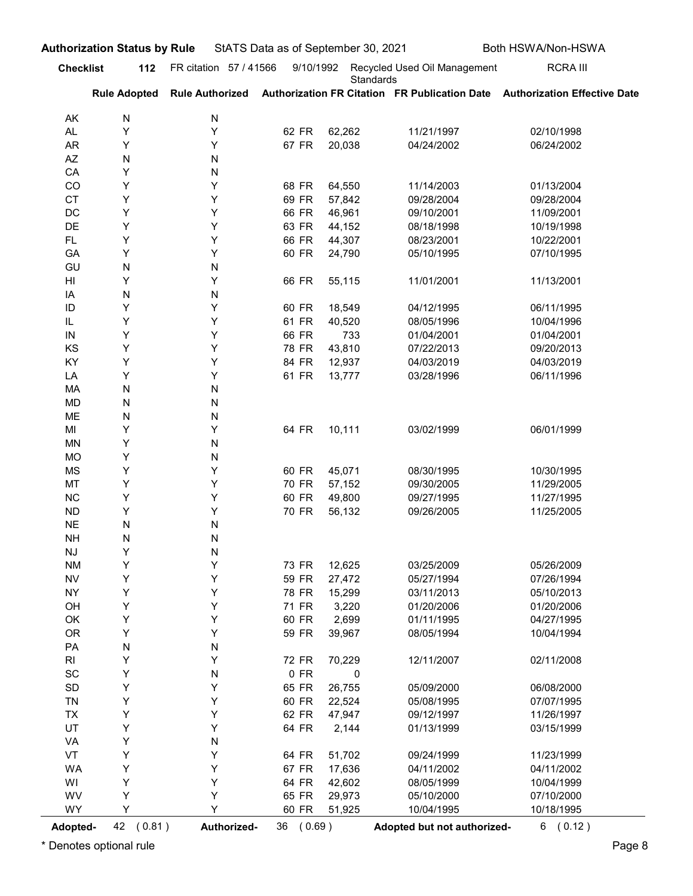| <b>Checklist</b><br>AK<br><b>AL</b><br><b>AR</b><br>AZ<br>CA | <b>Authorization Status by Rule</b><br><b>Rule Adopted</b> | 112 FR citation 57 / 41566 | StATS Data as of September 30, 2021 |                  |                                           |                                                                                            |
|--------------------------------------------------------------|------------------------------------------------------------|----------------------------|-------------------------------------|------------------|-------------------------------------------|--------------------------------------------------------------------------------------------|
|                                                              |                                                            |                            |                                     |                  |                                           | Both HSWA/Non-HSWA                                                                         |
|                                                              |                                                            |                            | 9/10/1992                           | Standards        | Recycled Used Oil Management              | <b>RCRA III</b>                                                                            |
|                                                              |                                                            |                            |                                     |                  |                                           | Rule Authorized Authorization FR Citation FR Publication Date Authorization Effective Date |
|                                                              | N                                                          | N                          |                                     |                  |                                           |                                                                                            |
|                                                              | Υ<br>Υ                                                     | Υ<br>Υ                     | 62 FR<br>67 FR                      | 62,262<br>20,038 | 11/21/1997<br>04/24/2002                  | 02/10/1998<br>06/24/2002                                                                   |
|                                                              | N                                                          | N                          |                                     |                  |                                           |                                                                                            |
|                                                              | Υ                                                          | N                          |                                     |                  |                                           |                                                                                            |
| CO                                                           | Υ                                                          | Υ                          | 68 FR                               | 64,550           | 11/14/2003                                | 01/13/2004                                                                                 |
| <b>CT</b><br>DC                                              | Υ<br>Υ                                                     | Υ<br>Υ                     | 69 FR<br>66 FR                      | 57,842<br>46,961 | 09/28/2004<br>09/10/2001                  | 09/28/2004<br>11/09/2001                                                                   |
| DE                                                           | Υ                                                          | Υ                          | 63 FR                               | 44,152           | 08/18/1998                                | 10/19/1998                                                                                 |
| FL.                                                          | Υ                                                          | Υ                          | 66 FR                               | 44,307           | 08/23/2001                                | 10/22/2001                                                                                 |
| GA                                                           | Y                                                          | Υ                          | 60 FR                               | 24,790           | 05/10/1995                                | 07/10/1995                                                                                 |
| GU                                                           | N                                                          | N                          |                                     |                  |                                           |                                                                                            |
| HI<br>ΙA                                                     | Y<br>N                                                     | Υ<br>N                     | 66 FR                               | 55,115           | 11/01/2001                                | 11/13/2001                                                                                 |
| ID                                                           | Υ                                                          | Υ                          | 60 FR                               | 18,549           | 04/12/1995                                | 06/11/1995                                                                                 |
| IL                                                           | Υ                                                          | Y                          | 61 FR                               | 40,520           | 08/05/1996                                | 10/04/1996                                                                                 |
| IN                                                           | Y                                                          | Υ                          | 66 FR                               | 733              | 01/04/2001                                | 01/04/2001                                                                                 |
| KS                                                           | Υ                                                          | Υ                          | 78 FR                               | 43,810           | 07/22/2013                                | 09/20/2013                                                                                 |
| KY<br>LA                                                     | Υ<br>Υ                                                     | Υ<br>Υ                     | 84 FR<br>61 FR                      | 12,937<br>13,777 | 04/03/2019<br>03/28/1996                  | 04/03/2019<br>06/11/1996                                                                   |
| MA                                                           | N                                                          | N                          |                                     |                  |                                           |                                                                                            |
| MD                                                           | N                                                          | N                          |                                     |                  |                                           |                                                                                            |
| ME                                                           | N                                                          | N                          |                                     |                  |                                           |                                                                                            |
| MI                                                           | Υ                                                          | Υ                          | 64 FR                               | 10,111           | 03/02/1999                                | 06/01/1999                                                                                 |
| MN<br><b>MO</b>                                              | Υ<br>Υ                                                     | N<br>N                     |                                     |                  |                                           |                                                                                            |
| MS                                                           | Υ                                                          | Υ                          | 60 FR                               | 45,071           | 08/30/1995                                | 10/30/1995                                                                                 |
| MT                                                           | Υ                                                          | Υ                          | 70 FR                               | 57,152           | 09/30/2005                                | 11/29/2005                                                                                 |
| ${\sf NC}$                                                   | Υ                                                          | Υ                          | 60 FR                               | 49,800           | 09/27/1995                                | 11/27/1995                                                                                 |
| <b>ND</b>                                                    | Υ                                                          | Υ                          | 70 FR                               | 56,132           | 09/26/2005                                | 11/25/2005                                                                                 |
| $N\mathsf{E}$                                                | ${\sf N}$                                                  | N                          |                                     |                  |                                           |                                                                                            |
| <b>NH</b><br>$\mathsf{N}\mathsf{J}$                          | N<br>Υ                                                     | N<br>N                     |                                     |                  |                                           |                                                                                            |
| <b>NM</b>                                                    | Υ                                                          | Υ                          | 73 FR                               | 12,625           | 03/25/2009                                | 05/26/2009                                                                                 |
| <b>NV</b>                                                    | Υ                                                          | Υ                          | 59 FR                               | 27,472           | 05/27/1994                                | 07/26/1994                                                                                 |
| <b>NY</b>                                                    | Υ                                                          | Υ                          | 78 FR                               | 15,299           | 03/11/2013                                | 05/10/2013                                                                                 |
| OH                                                           | Υ                                                          | Υ                          | 71 FR                               | 3,220            | 01/20/2006                                | 01/20/2006                                                                                 |
| OK                                                           | Υ                                                          | Υ<br>Υ                     | 60 FR                               | 2,699            | 01/11/1995                                | 04/27/1995                                                                                 |
| OR<br>PA                                                     | Υ<br>${\sf N}$                                             | N                          | 59 FR                               | 39,967           | 08/05/1994                                | 10/04/1994                                                                                 |
| RI                                                           | Υ                                                          | Υ                          | 72 FR                               | 70,229           | 12/11/2007                                | 02/11/2008                                                                                 |
| SC                                                           | Υ                                                          | N                          | $0$ FR                              | $\pmb{0}$        |                                           |                                                                                            |
| SD                                                           | Υ                                                          | Υ                          | 65 FR                               | 26,755           | 05/09/2000                                | 06/08/2000                                                                                 |
| TN                                                           | Υ                                                          | Υ                          | 60 FR                               | 22,524           | 05/08/1995                                | 07/07/1995                                                                                 |
| <b>TX</b>                                                    | Υ                                                          | Υ                          | 62 FR                               | 47,947           | 09/12/1997                                | 11/26/1997                                                                                 |
| UT<br>VA                                                     | Υ<br>Υ                                                     | Υ<br>N                     | 64 FR                               | 2,144            | 01/13/1999                                | 03/15/1999                                                                                 |
| VT                                                           | Υ                                                          | Υ                          | 64 FR                               | 51,702           | 09/24/1999                                | 11/23/1999                                                                                 |
| WA                                                           | Υ                                                          | Υ                          | 67 FR                               | 17,636           | 04/11/2002                                | 04/11/2002                                                                                 |
| WI                                                           | Υ                                                          | Υ                          | 64 FR                               | 42,602           | 08/05/1999                                | 10/04/1999                                                                                 |
| WV                                                           | Y                                                          | Υ                          | 65 FR                               | 29,973           | 05/10/2000                                | 07/10/2000                                                                                 |
| WY<br>Adopted-                                               | Υ<br>42 (0.81)                                             | Y<br>Authorized-           | 60 FR<br>36 (0.69)                  | 51,925           | 10/04/1995<br>Adopted but not authorized- | 10/18/1995<br>6(0.12)                                                                      |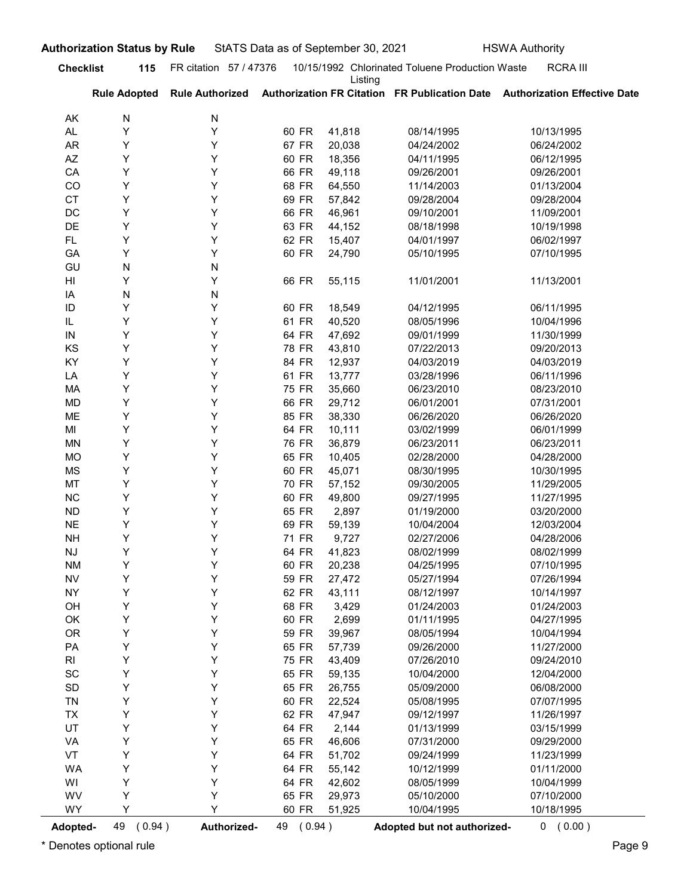| AK<br><b>AL</b><br><b>AR</b> | <b>Rule Adopted</b> |                        |                |                  |                             |                                                                            |
|------------------------------|---------------------|------------------------|----------------|------------------|-----------------------------|----------------------------------------------------------------------------|
|                              |                     | <b>Rule Authorized</b> |                | Listing          |                             | Authorization FR Citation FR Publication Date Authorization Effective Date |
|                              | N                   | N                      |                |                  |                             |                                                                            |
|                              | Y                   | Υ                      | 60 FR          | 41,818           | 08/14/1995                  | 10/13/1995                                                                 |
|                              | Υ                   | Y                      | 67 FR          | 20,038           | 04/24/2002                  | 06/24/2002                                                                 |
| AZ                           | Υ                   | Y                      | 60 FR          | 18,356           | 04/11/1995                  | 06/12/1995                                                                 |
| CA                           | Υ                   | Y                      | 66 FR          | 49,118           | 09/26/2001                  | 09/26/2001                                                                 |
| CO                           | Υ                   | Y                      | 68 FR          | 64,550           | 11/14/2003                  | 01/13/2004                                                                 |
| <b>CT</b>                    | Υ                   | Y                      | 69 FR          | 57,842           | 09/28/2004                  | 09/28/2004                                                                 |
| DC<br>DE                     | Y<br>Υ              | Y<br>Y                 | 66 FR<br>63 FR | 46,961<br>44,152 | 09/10/2001<br>08/18/1998    | 11/09/2001<br>10/19/1998                                                   |
| FL.                          | Υ                   | Y                      | 62 FR          | 15,407           | 04/01/1997                  | 06/02/1997                                                                 |
| GA                           | Y                   | Y                      | 60 FR          | 24,790           | 05/10/1995                  | 07/10/1995                                                                 |
| GU                           | N                   | N                      |                |                  |                             |                                                                            |
| HI                           | Y                   | Y                      | 66 FR          | 55,115           | 11/01/2001                  | 11/13/2001                                                                 |
| IA                           | N                   | N                      |                |                  |                             |                                                                            |
| ID                           | Y                   | Y                      | 60 FR          | 18,549           | 04/12/1995                  | 06/11/1995                                                                 |
| IL                           | Y                   | Y                      | 61 FR          | 40,520           | 08/05/1996                  | 10/04/1996                                                                 |
| IN                           | Y                   | Y                      | 64 FR          | 47,692           | 09/01/1999                  | 11/30/1999                                                                 |
| KS                           | Υ                   | Υ                      | 78 FR          | 43,810           | 07/22/2013                  | 09/20/2013                                                                 |
| KY                           | Υ                   | Υ                      | 84 FR          | 12,937           | 04/03/2019                  | 04/03/2019                                                                 |
| LA<br>MA                     | Υ<br>Υ              | Υ<br>Υ                 | 61 FR<br>75 FR | 13,777<br>35,660 | 03/28/1996<br>06/23/2010    | 06/11/1996<br>08/23/2010                                                   |
| MD                           | Υ                   | Υ                      | 66 FR          | 29,712           | 06/01/2001                  | 07/31/2001                                                                 |
| ME                           | Υ                   | Υ                      | 85 FR          | 38,330           | 06/26/2020                  | 06/26/2020                                                                 |
| MI                           | Υ                   | Υ                      | 64 FR          | 10,111           | 03/02/1999                  | 06/01/1999                                                                 |
| MN                           | Υ                   | Υ                      | 76 FR          | 36,879           | 06/23/2011                  | 06/23/2011                                                                 |
| <b>MO</b>                    | Υ                   | Υ                      | 65 FR          | 10,405           | 02/28/2000                  | 04/28/2000                                                                 |
| MS                           | Υ                   | Υ                      | 60 FR          | 45,071           | 08/30/1995                  | 10/30/1995                                                                 |
| MT                           | Υ                   | Υ                      | 70 FR          | 57,152           | 09/30/2005                  | 11/29/2005                                                                 |
| $\sf NC$                     | Υ                   | Υ                      | 60 FR          | 49,800           | 09/27/1995                  | 11/27/1995                                                                 |
| <b>ND</b>                    | Υ                   | Υ                      | 65 FR          | 2,897            | 01/19/2000                  | 03/20/2000                                                                 |
| <b>NE</b>                    | Υ                   | Υ                      | 69 FR          | 59,139           | 10/04/2004                  | 12/03/2004                                                                 |
| <b>NH</b>                    | Υ                   | Υ                      | 71 FR          | 9,727            | 02/27/2006                  | 04/28/2006                                                                 |
| NJ                           | Υ<br>Υ              | Υ<br>Υ                 | 64 FR<br>60 FR | 41,823           | 08/02/1999                  | 08/02/1999                                                                 |
| <b>NM</b><br>${\sf NV}$      | Υ                   | Υ                      | 59 FR          | 20,238<br>27,472 | 04/25/1995<br>05/27/1994    | 07/10/1995<br>07/26/1994                                                   |
| <b>NY</b>                    | Υ                   | Υ                      | 62 FR          | 43,111           | 08/12/1997                  | 10/14/1997                                                                 |
| OH                           | Υ                   | Υ                      | 68 FR          | 3,429            | 01/24/2003                  | 01/24/2003                                                                 |
| OK                           | Υ                   | Υ                      | 60 FR          | 2,699            | 01/11/1995                  | 04/27/1995                                                                 |
| <b>OR</b>                    | Υ                   | Υ                      | 59 FR          | 39,967           | 08/05/1994                  | 10/04/1994                                                                 |
| PA                           | Υ                   | Υ                      | 65 FR          | 57,739           | 09/26/2000                  | 11/27/2000                                                                 |
| RI                           | Υ                   | Υ                      | 75 FR          | 43,409           | 07/26/2010                  | 09/24/2010                                                                 |
| $\operatorname{\textsf{SC}}$ | Υ                   | Υ                      | 65 FR          | 59,135           | 10/04/2000                  | 12/04/2000                                                                 |
| SD                           | Υ                   | Υ                      | 65 FR          | 26,755           | 05/09/2000                  | 06/08/2000                                                                 |
| <b>TN</b>                    | Υ                   | Υ                      | 60 FR          | 22,524           | 05/08/1995                  | 07/07/1995                                                                 |
| <b>TX</b>                    | Υ<br>Υ              | Υ<br>Υ                 | 62 FR          | 47,947           | 09/12/1997                  | 11/26/1997                                                                 |
| UT<br>VA                     | Υ                   | Υ                      | 64 FR<br>65 FR | 2,144<br>46,606  | 01/13/1999<br>07/31/2000    | 03/15/1999<br>09/29/2000                                                   |
| VT                           | Υ                   | Υ                      | 64 FR          | 51,702           | 09/24/1999                  | 11/23/1999                                                                 |
| WA                           | Υ                   | Υ                      | 64 FR          | 55,142           | 10/12/1999                  | 01/11/2000                                                                 |
| WI                           | Υ                   | Υ                      | 64 FR          | 42,602           | 08/05/1999                  | 10/04/1999                                                                 |
| WV                           | Υ                   | Y                      | 65 FR          | 29,973           | 05/10/2000                  | 07/10/2000                                                                 |
| WY                           | Y                   |                        | 60 FR          | 51,925           | 10/04/1995                  | 10/18/1995                                                                 |
| Adopted-                     | 49 (0.94)           | Authorized-            | 49 (0.94)      |                  | Adopted but not authorized- | 0 (0.00)                                                                   |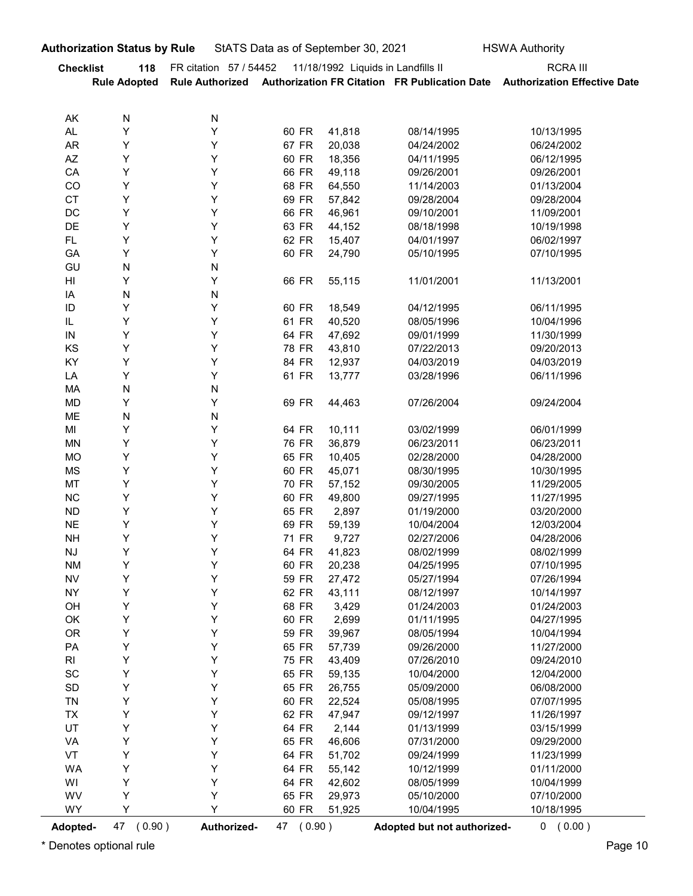|                              | <b>Authorization Status by Rule</b> |                        | StATS Data as of September 30, 2021 |                                    |                          | <b>HSWA Authority</b>                                                                      |
|------------------------------|-------------------------------------|------------------------|-------------------------------------|------------------------------------|--------------------------|--------------------------------------------------------------------------------------------|
| <b>Checklist</b>             | 118                                 | FR citation 57 / 54452 |                                     | 11/18/1992 Liquids in Landfills II |                          | <b>RCRA III</b>                                                                            |
|                              | <b>Rule Adopted</b>                 |                        |                                     |                                    |                          | Rule Authorized Authorization FR Citation FR Publication Date Authorization Effective Date |
|                              |                                     |                        |                                     |                                    |                          |                                                                                            |
| AK<br><b>AL</b>              | ${\sf N}$<br>Υ                      | N<br>Y                 | 60 FR                               | 41,818                             | 08/14/1995               | 10/13/1995                                                                                 |
| <b>AR</b>                    | Υ                                   | Υ                      | 67 FR                               | 20,038                             | 04/24/2002               | 06/24/2002                                                                                 |
| AZ                           | Υ                                   | Υ                      | 60 FR                               | 18,356                             | 04/11/1995               | 06/12/1995                                                                                 |
| CA                           | Υ                                   | Υ                      | 66 FR                               | 49,118                             | 09/26/2001               | 09/26/2001                                                                                 |
| CO                           | Υ                                   | Υ                      | 68 FR                               | 64,550                             | 11/14/2003               | 01/13/2004                                                                                 |
| CT                           | Υ                                   | Υ                      | 69 FR                               | 57,842                             | 09/28/2004               | 09/28/2004                                                                                 |
| DC<br>DE                     | Υ<br>Υ                              | Υ<br>Υ                 | 66 FR<br>63 FR                      | 46,961<br>44,152                   | 09/10/2001               | 11/09/2001                                                                                 |
| FL.                          | Υ                                   | Υ                      | 62 FR                               | 15,407                             | 08/18/1998<br>04/01/1997 | 10/19/1998<br>06/02/1997                                                                   |
| GA                           | Υ                                   | Υ                      | 60 FR                               | 24,790                             | 05/10/1995               | 07/10/1995                                                                                 |
| GU                           | ${\sf N}$                           | N                      |                                     |                                    |                          |                                                                                            |
| H                            | Υ                                   | Υ                      | 66 FR                               | 55,115                             | 11/01/2001               | 11/13/2001                                                                                 |
| IA                           | ${\sf N}$                           | N                      |                                     |                                    |                          |                                                                                            |
| $\sf ID$<br>IL               | Υ<br>Υ                              | Υ<br>Υ                 | 60 FR<br>61 FR                      | 18,549<br>40,520                   | 04/12/1995<br>08/05/1996 | 06/11/1995<br>10/04/1996                                                                   |
| ${\sf IN}$                   | Υ                                   | Υ                      | 64 FR                               | 47,692                             | 09/01/1999               | 11/30/1999                                                                                 |
| KS                           | Υ                                   | Υ                      | 78 FR                               | 43,810                             | 07/22/2013               | 09/20/2013                                                                                 |
| KY                           | Υ                                   | Υ                      | 84 FR                               | 12,937                             | 04/03/2019               | 04/03/2019                                                                                 |
| LA                           | Υ                                   | Υ                      | 61 FR                               | 13,777                             | 03/28/1996               | 06/11/1996                                                                                 |
| MA                           | ${\sf N}$<br>Υ                      | ${\sf N}$<br>Υ         |                                     |                                    |                          |                                                                                            |
| <b>MD</b><br>ME              | ${\sf N}$                           | ${\sf N}$              | 69 FR                               | 44,463                             | 07/26/2004               | 09/24/2004                                                                                 |
| MI                           | Υ                                   | Υ                      | 64 FR                               | 10,111                             | 03/02/1999               | 06/01/1999                                                                                 |
| <b>MN</b>                    | Υ                                   | Υ                      | 76 FR                               | 36,879                             | 06/23/2011               | 06/23/2011                                                                                 |
| <b>MO</b>                    | Υ                                   | Υ                      | 65 FR                               | 10,405                             | 02/28/2000               | 04/28/2000                                                                                 |
| <b>MS</b>                    | Υ                                   | Υ                      | 60 FR                               | 45,071                             | 08/30/1995               | 10/30/1995                                                                                 |
| MT                           | Υ                                   | Υ                      | 70 FR                               | 57,152                             | 09/30/2005               | 11/29/2005                                                                                 |
| $NC$<br><b>ND</b>            | Υ<br>Υ                              | Υ<br>Υ                 | 60 FR<br>65 FR                      | 49,800<br>2,897                    | 09/27/1995<br>01/19/2000 | 11/27/1995<br>03/20/2000                                                                   |
| <b>NE</b>                    | Υ                                   | Υ                      | 69 FR                               | 59,139                             | 10/04/2004               | 12/03/2004                                                                                 |
| <b>NH</b>                    | Υ                                   | Υ                      | 71 FR                               | 9,727                              | 02/27/2006               | 04/28/2006                                                                                 |
| $\mathsf{N}\mathsf{J}$       | Υ                                   | Υ                      | 64 FR                               | 41,823                             | 08/02/1999               | 08/02/1999                                                                                 |
| <b>NM</b>                    | Υ                                   | Υ                      | 60 FR                               | 20,238                             | 04/25/1995               | 07/10/1995                                                                                 |
| <b>NV</b>                    | Υ                                   | Υ                      | 59 FR                               | 27,472                             | 05/27/1994               | 07/26/1994                                                                                 |
| <b>NY</b>                    | Υ                                   | Υ                      | 62 FR                               | 43,111                             | 08/12/1997               | 10/14/1997                                                                                 |
| OH<br>OK                     | Υ<br>Υ                              | Υ<br>Υ                 | 68 FR<br>60 FR                      | 3,429<br>2,699                     | 01/24/2003<br>01/11/1995 | 01/24/2003<br>04/27/1995                                                                   |
| OR                           | Υ                                   | Υ                      | 59 FR                               | 39,967                             | 08/05/1994               | 10/04/1994                                                                                 |
| PA                           | Υ                                   | Υ                      | 65 FR                               | 57,739                             | 09/26/2000               | 11/27/2000                                                                                 |
| $\mathsf{RI}$                | Υ                                   | Υ                      | 75 FR                               | 43,409                             | 07/26/2010               | 09/24/2010                                                                                 |
| $\operatorname{\textsf{SC}}$ | Υ                                   | Υ                      | 65 FR                               | 59,135                             | 10/04/2000               | 12/04/2000                                                                                 |
| $\mathsf{SD}$                | Υ                                   | Υ                      | 65 FR                               | 26,755                             | 05/09/2000               | 06/08/2000                                                                                 |
| <b>TN</b>                    | Υ                                   | Υ                      | 60 FR                               | 22,524                             | 05/08/1995               | 07/07/1995                                                                                 |
| TX<br>UT                     | Υ<br>Υ                              | Υ<br>Υ                 | 62 FR<br>64 FR                      | 47,947<br>2,144                    | 09/12/1997<br>01/13/1999 | 11/26/1997<br>03/15/1999                                                                   |
| VA                           | Υ                                   | Υ                      | 65 FR                               | 46,606                             | 07/31/2000               | 09/29/2000                                                                                 |
| VT                           | Υ                                   | Υ                      | 64 FR                               | 51,702                             | 09/24/1999               | 11/23/1999                                                                                 |
| WA                           | Υ                                   | Υ                      | 64 FR                               | 55,142                             | 10/12/1999               | 01/11/2000                                                                                 |
| WI                           | Y                                   | Υ                      | 64 FR                               | 42,602                             | 08/05/1999               | 10/04/1999                                                                                 |
|                              | Υ                                   | Υ                      | 65 FR                               | 29,973                             | 05/10/2000               | 07/10/2000                                                                                 |
| WV<br>WY                     | Y                                   | Y                      | 60 FR                               | 51,925                             | 10/04/1995               | 10/18/1995                                                                                 |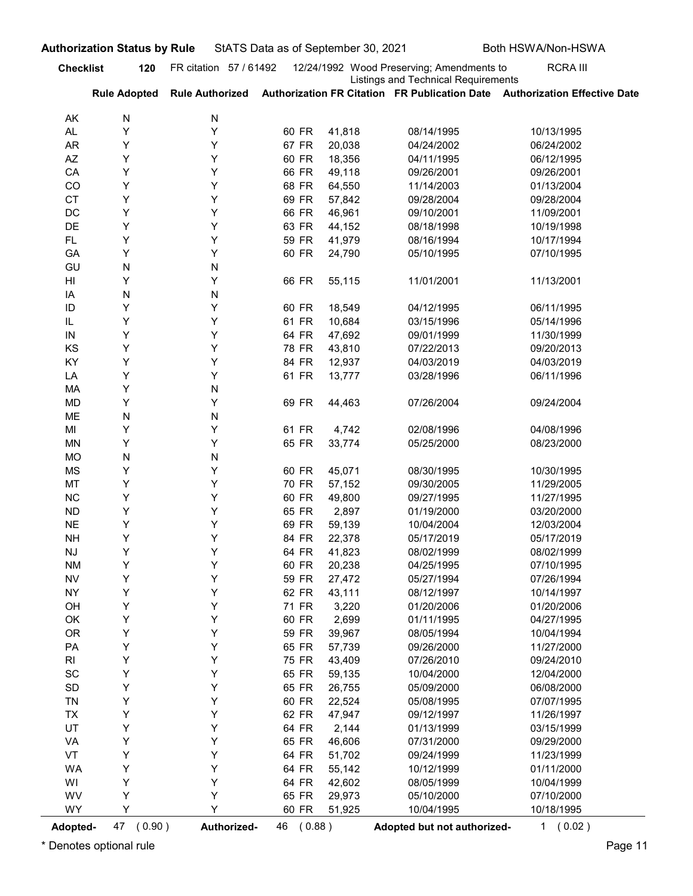| <b>Checklist</b><br>12/24/1992 Wood Preserving; Amendments to<br><b>RCRA III</b><br>FR citation 57 / 61492<br>120<br><b>Listings and Technical Requirements</b><br>Authorization FR Citation FR Publication Date Authorization Effective Date<br><b>Rule Authorized</b><br><b>Rule Adopted</b><br>N<br>N<br>AK<br>Y<br>Y<br>60 FR<br>41,818<br>08/14/1995<br>10/13/1995<br>AL<br>Y<br>Y<br>67 FR<br>20,038<br><b>AR</b><br>04/24/2002<br>06/24/2002<br>Y<br>Y<br>AZ<br>60 FR<br>18,356<br>04/11/1995<br>06/12/1995<br>Y<br>Y<br>49,118<br>CA<br>66 FR<br>09/26/2001<br>09/26/2001<br>Y<br>Y<br>CO<br>68 FR<br>64,550<br>11/14/2003<br>01/13/2004<br>Y<br>Y<br><b>CT</b><br>69 FR<br>57,842<br>09/28/2004<br>09/28/2004<br>Y<br>Y<br>DC<br>66 FR<br>46,961<br>09/10/2001<br>11/09/2001<br>Y<br>Y<br>DE<br>63 FR<br>44,152<br>08/18/1998<br>10/19/1998<br>Υ<br>Y<br>FL.<br>59 FR<br>41,979<br>08/16/1994<br>10/17/1994<br>Y<br>Y<br>60 FR<br>24,790<br>05/10/1995<br>07/10/1995<br>GA<br>N<br>GU<br>N<br>Y<br>Y<br>66 FR<br>HI<br>55,115<br>11/01/2001<br>11/13/2001<br>N<br>N<br>IA<br>Y<br>Y<br>ID<br>60 FR<br>18,549<br>04/12/1995<br>06/11/1995<br>Y<br>Y<br>IL<br>61 FR<br>10,684<br>03/15/1996<br>05/14/1996<br>47,692<br>09/01/1999<br>11/30/1999<br>64 FR<br>IN<br>Y<br>Y<br>KS<br>Υ<br>Υ<br>78 FR<br>43,810<br>09/20/2013<br>07/22/2013<br>Υ<br>KY<br>Υ<br>84 FR<br>12,937<br>04/03/2019<br>04/03/2019<br>Υ<br>Υ<br>61 FR<br>13,777<br>LA<br>03/28/1996<br>06/11/1996<br>Υ<br>MA<br>N<br>Υ<br>Y<br>69 FR<br>44,463<br>09/24/2004<br>MD<br>07/26/2004<br>ME<br>${\sf N}$<br>${\sf N}$<br>Υ<br>Y<br>61 FR<br>4,742<br>MI<br>02/08/1996<br>04/08/1996<br>Υ<br>33,774<br>Y<br>65 FR<br>MN<br>05/25/2000<br>08/23/2000<br><b>MO</b><br>${\sf N}$<br>N<br>Υ<br>Y<br>60 FR<br>45,071<br>MS<br>08/30/1995<br>10/30/1995<br>Υ<br>MT<br>Υ<br>70 FR<br>57,152<br>09/30/2005<br>11/29/2005<br>Υ<br>Y<br>60 FR<br>49,800<br>11/27/1995<br><b>NC</b><br>09/27/1995<br>Υ<br>Y<br>65 FR<br>2,897<br>03/20/2000<br><b>ND</b><br>01/19/2000<br>Υ<br>Y<br>69 FR<br>59,139<br>10/04/2004<br>12/03/2004<br><b>NE</b><br>Υ<br>Y<br>84 FR<br>22,378<br>05/17/2019<br><b>NH</b><br>05/17/2019<br>Υ<br>Υ<br>64 FR<br>41,823<br>08/02/1999<br><b>NJ</b><br>08/02/1999<br>Υ<br>Y<br>60 FR<br>20,238<br>07/10/1995<br><b>NM</b><br>04/25/1995<br>Υ<br>${\sf NV}$<br>Y<br>59 FR<br>27,472<br>07/26/1994<br>05/27/1994<br>Υ<br>Y<br>62 FR<br>43,111<br><b>NY</b><br>08/12/1997<br>10/14/1997<br>Υ<br>Y<br>71 FR<br>3,220<br>01/20/2006<br>OH<br>01/20/2006<br>Υ<br>OK<br>Υ<br>60 FR<br>2,699<br>04/27/1995<br>01/11/1995<br>Υ<br><b>OR</b><br>Υ<br>59 FR<br>39,967<br>08/05/1994<br>10/04/1994<br>Υ<br>Y<br>65 FR<br>57,739<br>09/26/2000<br>11/27/2000<br>PA<br>Υ<br>Υ<br>75 FR<br>43,409<br>07/26/2010<br>09/24/2010<br>RI<br>Υ<br>SC<br>Y<br>65 FR<br>59,135<br>10/04/2000<br>12/04/2000<br>Υ<br>SD<br>Υ<br>65 FR<br>26,755<br>05/09/2000<br>06/08/2000<br>Υ<br>Υ<br>60 FR<br>22,524<br>05/08/1995<br>07/07/1995<br>TN<br>Υ<br>Y<br>62 FR<br>47,947<br>09/12/1997<br>11/26/1997<br><b>TX</b><br>Υ<br>UT<br>Y<br>64 FR<br>2,144<br>01/13/1999<br>03/15/1999<br>Υ<br>Y<br>65 FR<br>46,606<br>07/31/2000<br>09/29/2000<br>VA<br>Υ<br>VT<br>Υ<br>64 FR<br>51,702<br>09/24/1999<br>11/23/1999<br>Υ<br>Y<br>64 FR<br>55,142<br>10/12/1999<br>01/11/2000<br>WA<br>Υ<br>Υ<br>64 FR<br>42,602<br>WI<br>08/05/1999<br>10/04/1999<br>WV<br>Υ<br>65 FR<br>29,973<br>07/10/2000<br>Y<br>05/10/2000<br>WY<br>Y<br>Y<br>60 FR<br>10/04/1995<br>10/18/1995<br>51,925<br>47 (0.90)<br>Authorized-<br>46 (0.88)<br>1 (0.02)<br>Adopted but not authorized-<br>Adopted- | <b>Authorization Status by Rule</b> | StATS Data as of September 30, 2021 |  | Both HSWA/Non-HSWA |
|----------------------------------------------------------------------------------------------------------------------------------------------------------------------------------------------------------------------------------------------------------------------------------------------------------------------------------------------------------------------------------------------------------------------------------------------------------------------------------------------------------------------------------------------------------------------------------------------------------------------------------------------------------------------------------------------------------------------------------------------------------------------------------------------------------------------------------------------------------------------------------------------------------------------------------------------------------------------------------------------------------------------------------------------------------------------------------------------------------------------------------------------------------------------------------------------------------------------------------------------------------------------------------------------------------------------------------------------------------------------------------------------------------------------------------------------------------------------------------------------------------------------------------------------------------------------------------------------------------------------------------------------------------------------------------------------------------------------------------------------------------------------------------------------------------------------------------------------------------------------------------------------------------------------------------------------------------------------------------------------------------------------------------------------------------------------------------------------------------------------------------------------------------------------------------------------------------------------------------------------------------------------------------------------------------------------------------------------------------------------------------------------------------------------------------------------------------------------------------------------------------------------------------------------------------------------------------------------------------------------------------------------------------------------------------------------------------------------------------------------------------------------------------------------------------------------------------------------------------------------------------------------------------------------------------------------------------------------------------------------------------------------------------------------------------------------------------------------------------------------------------------------------------------------------------------------------------------------------------------------------------------------------------------------------------------------------------------------------------------------------------------------------------------------------------------------------------------------------------------------------------------------------------------------------------------------------------------------------------------------------------|-------------------------------------|-------------------------------------|--|--------------------|
|                                                                                                                                                                                                                                                                                                                                                                                                                                                                                                                                                                                                                                                                                                                                                                                                                                                                                                                                                                                                                                                                                                                                                                                                                                                                                                                                                                                                                                                                                                                                                                                                                                                                                                                                                                                                                                                                                                                                                                                                                                                                                                                                                                                                                                                                                                                                                                                                                                                                                                                                                                                                                                                                                                                                                                                                                                                                                                                                                                                                                                                                                                                                                                                                                                                                                                                                                                                                                                                                                                                                                                                                                                  |                                     |                                     |  |                    |
|                                                                                                                                                                                                                                                                                                                                                                                                                                                                                                                                                                                                                                                                                                                                                                                                                                                                                                                                                                                                                                                                                                                                                                                                                                                                                                                                                                                                                                                                                                                                                                                                                                                                                                                                                                                                                                                                                                                                                                                                                                                                                                                                                                                                                                                                                                                                                                                                                                                                                                                                                                                                                                                                                                                                                                                                                                                                                                                                                                                                                                                                                                                                                                                                                                                                                                                                                                                                                                                                                                                                                                                                                                  |                                     |                                     |  |                    |
|                                                                                                                                                                                                                                                                                                                                                                                                                                                                                                                                                                                                                                                                                                                                                                                                                                                                                                                                                                                                                                                                                                                                                                                                                                                                                                                                                                                                                                                                                                                                                                                                                                                                                                                                                                                                                                                                                                                                                                                                                                                                                                                                                                                                                                                                                                                                                                                                                                                                                                                                                                                                                                                                                                                                                                                                                                                                                                                                                                                                                                                                                                                                                                                                                                                                                                                                                                                                                                                                                                                                                                                                                                  |                                     |                                     |  |                    |
|                                                                                                                                                                                                                                                                                                                                                                                                                                                                                                                                                                                                                                                                                                                                                                                                                                                                                                                                                                                                                                                                                                                                                                                                                                                                                                                                                                                                                                                                                                                                                                                                                                                                                                                                                                                                                                                                                                                                                                                                                                                                                                                                                                                                                                                                                                                                                                                                                                                                                                                                                                                                                                                                                                                                                                                                                                                                                                                                                                                                                                                                                                                                                                                                                                                                                                                                                                                                                                                                                                                                                                                                                                  |                                     |                                     |  |                    |
|                                                                                                                                                                                                                                                                                                                                                                                                                                                                                                                                                                                                                                                                                                                                                                                                                                                                                                                                                                                                                                                                                                                                                                                                                                                                                                                                                                                                                                                                                                                                                                                                                                                                                                                                                                                                                                                                                                                                                                                                                                                                                                                                                                                                                                                                                                                                                                                                                                                                                                                                                                                                                                                                                                                                                                                                                                                                                                                                                                                                                                                                                                                                                                                                                                                                                                                                                                                                                                                                                                                                                                                                                                  |                                     |                                     |  |                    |
|                                                                                                                                                                                                                                                                                                                                                                                                                                                                                                                                                                                                                                                                                                                                                                                                                                                                                                                                                                                                                                                                                                                                                                                                                                                                                                                                                                                                                                                                                                                                                                                                                                                                                                                                                                                                                                                                                                                                                                                                                                                                                                                                                                                                                                                                                                                                                                                                                                                                                                                                                                                                                                                                                                                                                                                                                                                                                                                                                                                                                                                                                                                                                                                                                                                                                                                                                                                                                                                                                                                                                                                                                                  |                                     |                                     |  |                    |
|                                                                                                                                                                                                                                                                                                                                                                                                                                                                                                                                                                                                                                                                                                                                                                                                                                                                                                                                                                                                                                                                                                                                                                                                                                                                                                                                                                                                                                                                                                                                                                                                                                                                                                                                                                                                                                                                                                                                                                                                                                                                                                                                                                                                                                                                                                                                                                                                                                                                                                                                                                                                                                                                                                                                                                                                                                                                                                                                                                                                                                                                                                                                                                                                                                                                                                                                                                                                                                                                                                                                                                                                                                  |                                     |                                     |  |                    |
|                                                                                                                                                                                                                                                                                                                                                                                                                                                                                                                                                                                                                                                                                                                                                                                                                                                                                                                                                                                                                                                                                                                                                                                                                                                                                                                                                                                                                                                                                                                                                                                                                                                                                                                                                                                                                                                                                                                                                                                                                                                                                                                                                                                                                                                                                                                                                                                                                                                                                                                                                                                                                                                                                                                                                                                                                                                                                                                                                                                                                                                                                                                                                                                                                                                                                                                                                                                                                                                                                                                                                                                                                                  |                                     |                                     |  |                    |
|                                                                                                                                                                                                                                                                                                                                                                                                                                                                                                                                                                                                                                                                                                                                                                                                                                                                                                                                                                                                                                                                                                                                                                                                                                                                                                                                                                                                                                                                                                                                                                                                                                                                                                                                                                                                                                                                                                                                                                                                                                                                                                                                                                                                                                                                                                                                                                                                                                                                                                                                                                                                                                                                                                                                                                                                                                                                                                                                                                                                                                                                                                                                                                                                                                                                                                                                                                                                                                                                                                                                                                                                                                  |                                     |                                     |  |                    |
|                                                                                                                                                                                                                                                                                                                                                                                                                                                                                                                                                                                                                                                                                                                                                                                                                                                                                                                                                                                                                                                                                                                                                                                                                                                                                                                                                                                                                                                                                                                                                                                                                                                                                                                                                                                                                                                                                                                                                                                                                                                                                                                                                                                                                                                                                                                                                                                                                                                                                                                                                                                                                                                                                                                                                                                                                                                                                                                                                                                                                                                                                                                                                                                                                                                                                                                                                                                                                                                                                                                                                                                                                                  |                                     |                                     |  |                    |
|                                                                                                                                                                                                                                                                                                                                                                                                                                                                                                                                                                                                                                                                                                                                                                                                                                                                                                                                                                                                                                                                                                                                                                                                                                                                                                                                                                                                                                                                                                                                                                                                                                                                                                                                                                                                                                                                                                                                                                                                                                                                                                                                                                                                                                                                                                                                                                                                                                                                                                                                                                                                                                                                                                                                                                                                                                                                                                                                                                                                                                                                                                                                                                                                                                                                                                                                                                                                                                                                                                                                                                                                                                  |                                     |                                     |  |                    |
|                                                                                                                                                                                                                                                                                                                                                                                                                                                                                                                                                                                                                                                                                                                                                                                                                                                                                                                                                                                                                                                                                                                                                                                                                                                                                                                                                                                                                                                                                                                                                                                                                                                                                                                                                                                                                                                                                                                                                                                                                                                                                                                                                                                                                                                                                                                                                                                                                                                                                                                                                                                                                                                                                                                                                                                                                                                                                                                                                                                                                                                                                                                                                                                                                                                                                                                                                                                                                                                                                                                                                                                                                                  |                                     |                                     |  |                    |
|                                                                                                                                                                                                                                                                                                                                                                                                                                                                                                                                                                                                                                                                                                                                                                                                                                                                                                                                                                                                                                                                                                                                                                                                                                                                                                                                                                                                                                                                                                                                                                                                                                                                                                                                                                                                                                                                                                                                                                                                                                                                                                                                                                                                                                                                                                                                                                                                                                                                                                                                                                                                                                                                                                                                                                                                                                                                                                                                                                                                                                                                                                                                                                                                                                                                                                                                                                                                                                                                                                                                                                                                                                  |                                     |                                     |  |                    |
|                                                                                                                                                                                                                                                                                                                                                                                                                                                                                                                                                                                                                                                                                                                                                                                                                                                                                                                                                                                                                                                                                                                                                                                                                                                                                                                                                                                                                                                                                                                                                                                                                                                                                                                                                                                                                                                                                                                                                                                                                                                                                                                                                                                                                                                                                                                                                                                                                                                                                                                                                                                                                                                                                                                                                                                                                                                                                                                                                                                                                                                                                                                                                                                                                                                                                                                                                                                                                                                                                                                                                                                                                                  |                                     |                                     |  |                    |
|                                                                                                                                                                                                                                                                                                                                                                                                                                                                                                                                                                                                                                                                                                                                                                                                                                                                                                                                                                                                                                                                                                                                                                                                                                                                                                                                                                                                                                                                                                                                                                                                                                                                                                                                                                                                                                                                                                                                                                                                                                                                                                                                                                                                                                                                                                                                                                                                                                                                                                                                                                                                                                                                                                                                                                                                                                                                                                                                                                                                                                                                                                                                                                                                                                                                                                                                                                                                                                                                                                                                                                                                                                  |                                     |                                     |  |                    |
|                                                                                                                                                                                                                                                                                                                                                                                                                                                                                                                                                                                                                                                                                                                                                                                                                                                                                                                                                                                                                                                                                                                                                                                                                                                                                                                                                                                                                                                                                                                                                                                                                                                                                                                                                                                                                                                                                                                                                                                                                                                                                                                                                                                                                                                                                                                                                                                                                                                                                                                                                                                                                                                                                                                                                                                                                                                                                                                                                                                                                                                                                                                                                                                                                                                                                                                                                                                                                                                                                                                                                                                                                                  |                                     |                                     |  |                    |
|                                                                                                                                                                                                                                                                                                                                                                                                                                                                                                                                                                                                                                                                                                                                                                                                                                                                                                                                                                                                                                                                                                                                                                                                                                                                                                                                                                                                                                                                                                                                                                                                                                                                                                                                                                                                                                                                                                                                                                                                                                                                                                                                                                                                                                                                                                                                                                                                                                                                                                                                                                                                                                                                                                                                                                                                                                                                                                                                                                                                                                                                                                                                                                                                                                                                                                                                                                                                                                                                                                                                                                                                                                  |                                     |                                     |  |                    |
|                                                                                                                                                                                                                                                                                                                                                                                                                                                                                                                                                                                                                                                                                                                                                                                                                                                                                                                                                                                                                                                                                                                                                                                                                                                                                                                                                                                                                                                                                                                                                                                                                                                                                                                                                                                                                                                                                                                                                                                                                                                                                                                                                                                                                                                                                                                                                                                                                                                                                                                                                                                                                                                                                                                                                                                                                                                                                                                                                                                                                                                                                                                                                                                                                                                                                                                                                                                                                                                                                                                                                                                                                                  |                                     |                                     |  |                    |
|                                                                                                                                                                                                                                                                                                                                                                                                                                                                                                                                                                                                                                                                                                                                                                                                                                                                                                                                                                                                                                                                                                                                                                                                                                                                                                                                                                                                                                                                                                                                                                                                                                                                                                                                                                                                                                                                                                                                                                                                                                                                                                                                                                                                                                                                                                                                                                                                                                                                                                                                                                                                                                                                                                                                                                                                                                                                                                                                                                                                                                                                                                                                                                                                                                                                                                                                                                                                                                                                                                                                                                                                                                  |                                     |                                     |  |                    |
|                                                                                                                                                                                                                                                                                                                                                                                                                                                                                                                                                                                                                                                                                                                                                                                                                                                                                                                                                                                                                                                                                                                                                                                                                                                                                                                                                                                                                                                                                                                                                                                                                                                                                                                                                                                                                                                                                                                                                                                                                                                                                                                                                                                                                                                                                                                                                                                                                                                                                                                                                                                                                                                                                                                                                                                                                                                                                                                                                                                                                                                                                                                                                                                                                                                                                                                                                                                                                                                                                                                                                                                                                                  |                                     |                                     |  |                    |
|                                                                                                                                                                                                                                                                                                                                                                                                                                                                                                                                                                                                                                                                                                                                                                                                                                                                                                                                                                                                                                                                                                                                                                                                                                                                                                                                                                                                                                                                                                                                                                                                                                                                                                                                                                                                                                                                                                                                                                                                                                                                                                                                                                                                                                                                                                                                                                                                                                                                                                                                                                                                                                                                                                                                                                                                                                                                                                                                                                                                                                                                                                                                                                                                                                                                                                                                                                                                                                                                                                                                                                                                                                  |                                     |                                     |  |                    |
|                                                                                                                                                                                                                                                                                                                                                                                                                                                                                                                                                                                                                                                                                                                                                                                                                                                                                                                                                                                                                                                                                                                                                                                                                                                                                                                                                                                                                                                                                                                                                                                                                                                                                                                                                                                                                                                                                                                                                                                                                                                                                                                                                                                                                                                                                                                                                                                                                                                                                                                                                                                                                                                                                                                                                                                                                                                                                                                                                                                                                                                                                                                                                                                                                                                                                                                                                                                                                                                                                                                                                                                                                                  |                                     |                                     |  |                    |
|                                                                                                                                                                                                                                                                                                                                                                                                                                                                                                                                                                                                                                                                                                                                                                                                                                                                                                                                                                                                                                                                                                                                                                                                                                                                                                                                                                                                                                                                                                                                                                                                                                                                                                                                                                                                                                                                                                                                                                                                                                                                                                                                                                                                                                                                                                                                                                                                                                                                                                                                                                                                                                                                                                                                                                                                                                                                                                                                                                                                                                                                                                                                                                                                                                                                                                                                                                                                                                                                                                                                                                                                                                  |                                     |                                     |  |                    |
|                                                                                                                                                                                                                                                                                                                                                                                                                                                                                                                                                                                                                                                                                                                                                                                                                                                                                                                                                                                                                                                                                                                                                                                                                                                                                                                                                                                                                                                                                                                                                                                                                                                                                                                                                                                                                                                                                                                                                                                                                                                                                                                                                                                                                                                                                                                                                                                                                                                                                                                                                                                                                                                                                                                                                                                                                                                                                                                                                                                                                                                                                                                                                                                                                                                                                                                                                                                                                                                                                                                                                                                                                                  |                                     |                                     |  |                    |
|                                                                                                                                                                                                                                                                                                                                                                                                                                                                                                                                                                                                                                                                                                                                                                                                                                                                                                                                                                                                                                                                                                                                                                                                                                                                                                                                                                                                                                                                                                                                                                                                                                                                                                                                                                                                                                                                                                                                                                                                                                                                                                                                                                                                                                                                                                                                                                                                                                                                                                                                                                                                                                                                                                                                                                                                                                                                                                                                                                                                                                                                                                                                                                                                                                                                                                                                                                                                                                                                                                                                                                                                                                  |                                     |                                     |  |                    |
|                                                                                                                                                                                                                                                                                                                                                                                                                                                                                                                                                                                                                                                                                                                                                                                                                                                                                                                                                                                                                                                                                                                                                                                                                                                                                                                                                                                                                                                                                                                                                                                                                                                                                                                                                                                                                                                                                                                                                                                                                                                                                                                                                                                                                                                                                                                                                                                                                                                                                                                                                                                                                                                                                                                                                                                                                                                                                                                                                                                                                                                                                                                                                                                                                                                                                                                                                                                                                                                                                                                                                                                                                                  |                                     |                                     |  |                    |
|                                                                                                                                                                                                                                                                                                                                                                                                                                                                                                                                                                                                                                                                                                                                                                                                                                                                                                                                                                                                                                                                                                                                                                                                                                                                                                                                                                                                                                                                                                                                                                                                                                                                                                                                                                                                                                                                                                                                                                                                                                                                                                                                                                                                                                                                                                                                                                                                                                                                                                                                                                                                                                                                                                                                                                                                                                                                                                                                                                                                                                                                                                                                                                                                                                                                                                                                                                                                                                                                                                                                                                                                                                  |                                     |                                     |  |                    |
|                                                                                                                                                                                                                                                                                                                                                                                                                                                                                                                                                                                                                                                                                                                                                                                                                                                                                                                                                                                                                                                                                                                                                                                                                                                                                                                                                                                                                                                                                                                                                                                                                                                                                                                                                                                                                                                                                                                                                                                                                                                                                                                                                                                                                                                                                                                                                                                                                                                                                                                                                                                                                                                                                                                                                                                                                                                                                                                                                                                                                                                                                                                                                                                                                                                                                                                                                                                                                                                                                                                                                                                                                                  |                                     |                                     |  |                    |
|                                                                                                                                                                                                                                                                                                                                                                                                                                                                                                                                                                                                                                                                                                                                                                                                                                                                                                                                                                                                                                                                                                                                                                                                                                                                                                                                                                                                                                                                                                                                                                                                                                                                                                                                                                                                                                                                                                                                                                                                                                                                                                                                                                                                                                                                                                                                                                                                                                                                                                                                                                                                                                                                                                                                                                                                                                                                                                                                                                                                                                                                                                                                                                                                                                                                                                                                                                                                                                                                                                                                                                                                                                  |                                     |                                     |  |                    |
|                                                                                                                                                                                                                                                                                                                                                                                                                                                                                                                                                                                                                                                                                                                                                                                                                                                                                                                                                                                                                                                                                                                                                                                                                                                                                                                                                                                                                                                                                                                                                                                                                                                                                                                                                                                                                                                                                                                                                                                                                                                                                                                                                                                                                                                                                                                                                                                                                                                                                                                                                                                                                                                                                                                                                                                                                                                                                                                                                                                                                                                                                                                                                                                                                                                                                                                                                                                                                                                                                                                                                                                                                                  |                                     |                                     |  |                    |
|                                                                                                                                                                                                                                                                                                                                                                                                                                                                                                                                                                                                                                                                                                                                                                                                                                                                                                                                                                                                                                                                                                                                                                                                                                                                                                                                                                                                                                                                                                                                                                                                                                                                                                                                                                                                                                                                                                                                                                                                                                                                                                                                                                                                                                                                                                                                                                                                                                                                                                                                                                                                                                                                                                                                                                                                                                                                                                                                                                                                                                                                                                                                                                                                                                                                                                                                                                                                                                                                                                                                                                                                                                  |                                     |                                     |  |                    |
|                                                                                                                                                                                                                                                                                                                                                                                                                                                                                                                                                                                                                                                                                                                                                                                                                                                                                                                                                                                                                                                                                                                                                                                                                                                                                                                                                                                                                                                                                                                                                                                                                                                                                                                                                                                                                                                                                                                                                                                                                                                                                                                                                                                                                                                                                                                                                                                                                                                                                                                                                                                                                                                                                                                                                                                                                                                                                                                                                                                                                                                                                                                                                                                                                                                                                                                                                                                                                                                                                                                                                                                                                                  |                                     |                                     |  |                    |
|                                                                                                                                                                                                                                                                                                                                                                                                                                                                                                                                                                                                                                                                                                                                                                                                                                                                                                                                                                                                                                                                                                                                                                                                                                                                                                                                                                                                                                                                                                                                                                                                                                                                                                                                                                                                                                                                                                                                                                                                                                                                                                                                                                                                                                                                                                                                                                                                                                                                                                                                                                                                                                                                                                                                                                                                                                                                                                                                                                                                                                                                                                                                                                                                                                                                                                                                                                                                                                                                                                                                                                                                                                  |                                     |                                     |  |                    |
|                                                                                                                                                                                                                                                                                                                                                                                                                                                                                                                                                                                                                                                                                                                                                                                                                                                                                                                                                                                                                                                                                                                                                                                                                                                                                                                                                                                                                                                                                                                                                                                                                                                                                                                                                                                                                                                                                                                                                                                                                                                                                                                                                                                                                                                                                                                                                                                                                                                                                                                                                                                                                                                                                                                                                                                                                                                                                                                                                                                                                                                                                                                                                                                                                                                                                                                                                                                                                                                                                                                                                                                                                                  |                                     |                                     |  |                    |
|                                                                                                                                                                                                                                                                                                                                                                                                                                                                                                                                                                                                                                                                                                                                                                                                                                                                                                                                                                                                                                                                                                                                                                                                                                                                                                                                                                                                                                                                                                                                                                                                                                                                                                                                                                                                                                                                                                                                                                                                                                                                                                                                                                                                                                                                                                                                                                                                                                                                                                                                                                                                                                                                                                                                                                                                                                                                                                                                                                                                                                                                                                                                                                                                                                                                                                                                                                                                                                                                                                                                                                                                                                  |                                     |                                     |  |                    |
|                                                                                                                                                                                                                                                                                                                                                                                                                                                                                                                                                                                                                                                                                                                                                                                                                                                                                                                                                                                                                                                                                                                                                                                                                                                                                                                                                                                                                                                                                                                                                                                                                                                                                                                                                                                                                                                                                                                                                                                                                                                                                                                                                                                                                                                                                                                                                                                                                                                                                                                                                                                                                                                                                                                                                                                                                                                                                                                                                                                                                                                                                                                                                                                                                                                                                                                                                                                                                                                                                                                                                                                                                                  |                                     |                                     |  |                    |
|                                                                                                                                                                                                                                                                                                                                                                                                                                                                                                                                                                                                                                                                                                                                                                                                                                                                                                                                                                                                                                                                                                                                                                                                                                                                                                                                                                                                                                                                                                                                                                                                                                                                                                                                                                                                                                                                                                                                                                                                                                                                                                                                                                                                                                                                                                                                                                                                                                                                                                                                                                                                                                                                                                                                                                                                                                                                                                                                                                                                                                                                                                                                                                                                                                                                                                                                                                                                                                                                                                                                                                                                                                  |                                     |                                     |  |                    |
|                                                                                                                                                                                                                                                                                                                                                                                                                                                                                                                                                                                                                                                                                                                                                                                                                                                                                                                                                                                                                                                                                                                                                                                                                                                                                                                                                                                                                                                                                                                                                                                                                                                                                                                                                                                                                                                                                                                                                                                                                                                                                                                                                                                                                                                                                                                                                                                                                                                                                                                                                                                                                                                                                                                                                                                                                                                                                                                                                                                                                                                                                                                                                                                                                                                                                                                                                                                                                                                                                                                                                                                                                                  |                                     |                                     |  |                    |
|                                                                                                                                                                                                                                                                                                                                                                                                                                                                                                                                                                                                                                                                                                                                                                                                                                                                                                                                                                                                                                                                                                                                                                                                                                                                                                                                                                                                                                                                                                                                                                                                                                                                                                                                                                                                                                                                                                                                                                                                                                                                                                                                                                                                                                                                                                                                                                                                                                                                                                                                                                                                                                                                                                                                                                                                                                                                                                                                                                                                                                                                                                                                                                                                                                                                                                                                                                                                                                                                                                                                                                                                                                  |                                     |                                     |  |                    |
|                                                                                                                                                                                                                                                                                                                                                                                                                                                                                                                                                                                                                                                                                                                                                                                                                                                                                                                                                                                                                                                                                                                                                                                                                                                                                                                                                                                                                                                                                                                                                                                                                                                                                                                                                                                                                                                                                                                                                                                                                                                                                                                                                                                                                                                                                                                                                                                                                                                                                                                                                                                                                                                                                                                                                                                                                                                                                                                                                                                                                                                                                                                                                                                                                                                                                                                                                                                                                                                                                                                                                                                                                                  |                                     |                                     |  |                    |
|                                                                                                                                                                                                                                                                                                                                                                                                                                                                                                                                                                                                                                                                                                                                                                                                                                                                                                                                                                                                                                                                                                                                                                                                                                                                                                                                                                                                                                                                                                                                                                                                                                                                                                                                                                                                                                                                                                                                                                                                                                                                                                                                                                                                                                                                                                                                                                                                                                                                                                                                                                                                                                                                                                                                                                                                                                                                                                                                                                                                                                                                                                                                                                                                                                                                                                                                                                                                                                                                                                                                                                                                                                  |                                     |                                     |  |                    |
|                                                                                                                                                                                                                                                                                                                                                                                                                                                                                                                                                                                                                                                                                                                                                                                                                                                                                                                                                                                                                                                                                                                                                                                                                                                                                                                                                                                                                                                                                                                                                                                                                                                                                                                                                                                                                                                                                                                                                                                                                                                                                                                                                                                                                                                                                                                                                                                                                                                                                                                                                                                                                                                                                                                                                                                                                                                                                                                                                                                                                                                                                                                                                                                                                                                                                                                                                                                                                                                                                                                                                                                                                                  |                                     |                                     |  |                    |
|                                                                                                                                                                                                                                                                                                                                                                                                                                                                                                                                                                                                                                                                                                                                                                                                                                                                                                                                                                                                                                                                                                                                                                                                                                                                                                                                                                                                                                                                                                                                                                                                                                                                                                                                                                                                                                                                                                                                                                                                                                                                                                                                                                                                                                                                                                                                                                                                                                                                                                                                                                                                                                                                                                                                                                                                                                                                                                                                                                                                                                                                                                                                                                                                                                                                                                                                                                                                                                                                                                                                                                                                                                  |                                     |                                     |  |                    |
|                                                                                                                                                                                                                                                                                                                                                                                                                                                                                                                                                                                                                                                                                                                                                                                                                                                                                                                                                                                                                                                                                                                                                                                                                                                                                                                                                                                                                                                                                                                                                                                                                                                                                                                                                                                                                                                                                                                                                                                                                                                                                                                                                                                                                                                                                                                                                                                                                                                                                                                                                                                                                                                                                                                                                                                                                                                                                                                                                                                                                                                                                                                                                                                                                                                                                                                                                                                                                                                                                                                                                                                                                                  |                                     |                                     |  |                    |
|                                                                                                                                                                                                                                                                                                                                                                                                                                                                                                                                                                                                                                                                                                                                                                                                                                                                                                                                                                                                                                                                                                                                                                                                                                                                                                                                                                                                                                                                                                                                                                                                                                                                                                                                                                                                                                                                                                                                                                                                                                                                                                                                                                                                                                                                                                                                                                                                                                                                                                                                                                                                                                                                                                                                                                                                                                                                                                                                                                                                                                                                                                                                                                                                                                                                                                                                                                                                                                                                                                                                                                                                                                  |                                     |                                     |  |                    |
|                                                                                                                                                                                                                                                                                                                                                                                                                                                                                                                                                                                                                                                                                                                                                                                                                                                                                                                                                                                                                                                                                                                                                                                                                                                                                                                                                                                                                                                                                                                                                                                                                                                                                                                                                                                                                                                                                                                                                                                                                                                                                                                                                                                                                                                                                                                                                                                                                                                                                                                                                                                                                                                                                                                                                                                                                                                                                                                                                                                                                                                                                                                                                                                                                                                                                                                                                                                                                                                                                                                                                                                                                                  |                                     |                                     |  |                    |
|                                                                                                                                                                                                                                                                                                                                                                                                                                                                                                                                                                                                                                                                                                                                                                                                                                                                                                                                                                                                                                                                                                                                                                                                                                                                                                                                                                                                                                                                                                                                                                                                                                                                                                                                                                                                                                                                                                                                                                                                                                                                                                                                                                                                                                                                                                                                                                                                                                                                                                                                                                                                                                                                                                                                                                                                                                                                                                                                                                                                                                                                                                                                                                                                                                                                                                                                                                                                                                                                                                                                                                                                                                  |                                     |                                     |  |                    |
|                                                                                                                                                                                                                                                                                                                                                                                                                                                                                                                                                                                                                                                                                                                                                                                                                                                                                                                                                                                                                                                                                                                                                                                                                                                                                                                                                                                                                                                                                                                                                                                                                                                                                                                                                                                                                                                                                                                                                                                                                                                                                                                                                                                                                                                                                                                                                                                                                                                                                                                                                                                                                                                                                                                                                                                                                                                                                                                                                                                                                                                                                                                                                                                                                                                                                                                                                                                                                                                                                                                                                                                                                                  |                                     |                                     |  |                    |
|                                                                                                                                                                                                                                                                                                                                                                                                                                                                                                                                                                                                                                                                                                                                                                                                                                                                                                                                                                                                                                                                                                                                                                                                                                                                                                                                                                                                                                                                                                                                                                                                                                                                                                                                                                                                                                                                                                                                                                                                                                                                                                                                                                                                                                                                                                                                                                                                                                                                                                                                                                                                                                                                                                                                                                                                                                                                                                                                                                                                                                                                                                                                                                                                                                                                                                                                                                                                                                                                                                                                                                                                                                  |                                     |                                     |  |                    |
|                                                                                                                                                                                                                                                                                                                                                                                                                                                                                                                                                                                                                                                                                                                                                                                                                                                                                                                                                                                                                                                                                                                                                                                                                                                                                                                                                                                                                                                                                                                                                                                                                                                                                                                                                                                                                                                                                                                                                                                                                                                                                                                                                                                                                                                                                                                                                                                                                                                                                                                                                                                                                                                                                                                                                                                                                                                                                                                                                                                                                                                                                                                                                                                                                                                                                                                                                                                                                                                                                                                                                                                                                                  |                                     |                                     |  |                    |
|                                                                                                                                                                                                                                                                                                                                                                                                                                                                                                                                                                                                                                                                                                                                                                                                                                                                                                                                                                                                                                                                                                                                                                                                                                                                                                                                                                                                                                                                                                                                                                                                                                                                                                                                                                                                                                                                                                                                                                                                                                                                                                                                                                                                                                                                                                                                                                                                                                                                                                                                                                                                                                                                                                                                                                                                                                                                                                                                                                                                                                                                                                                                                                                                                                                                                                                                                                                                                                                                                                                                                                                                                                  |                                     |                                     |  |                    |
|                                                                                                                                                                                                                                                                                                                                                                                                                                                                                                                                                                                                                                                                                                                                                                                                                                                                                                                                                                                                                                                                                                                                                                                                                                                                                                                                                                                                                                                                                                                                                                                                                                                                                                                                                                                                                                                                                                                                                                                                                                                                                                                                                                                                                                                                                                                                                                                                                                                                                                                                                                                                                                                                                                                                                                                                                                                                                                                                                                                                                                                                                                                                                                                                                                                                                                                                                                                                                                                                                                                                                                                                                                  |                                     |                                     |  |                    |
|                                                                                                                                                                                                                                                                                                                                                                                                                                                                                                                                                                                                                                                                                                                                                                                                                                                                                                                                                                                                                                                                                                                                                                                                                                                                                                                                                                                                                                                                                                                                                                                                                                                                                                                                                                                                                                                                                                                                                                                                                                                                                                                                                                                                                                                                                                                                                                                                                                                                                                                                                                                                                                                                                                                                                                                                                                                                                                                                                                                                                                                                                                                                                                                                                                                                                                                                                                                                                                                                                                                                                                                                                                  |                                     |                                     |  |                    |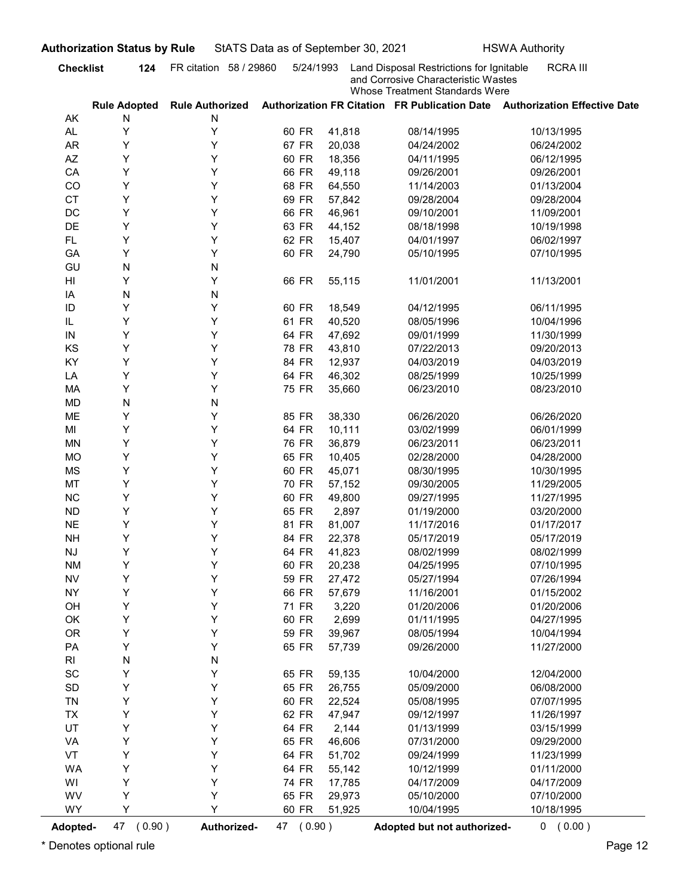|                              | <b>Checklist</b><br>124            | FR citation 58 / 29860 | 5/24/1993      |                 | Land Disposal Restrictions for Ignitable                              | <b>RCRA III</b>                                                            |
|------------------------------|------------------------------------|------------------------|----------------|-----------------|-----------------------------------------------------------------------|----------------------------------------------------------------------------|
|                              |                                    | <b>Rule Authorized</b> |                |                 | and Corrosive Characteristic Wastes<br>Whose Treatment Standards Were | Authorization FR Citation FR Publication Date Authorization Effective Date |
| AK                           | <b>Rule Adopted</b><br>N           | N                      |                |                 |                                                                       |                                                                            |
| AL.                          | Υ                                  | Υ                      | 60 FR          | 41,818          | 08/14/1995                                                            | 10/13/1995                                                                 |
| <b>AR</b>                    | Y                                  | Υ                      | 67 FR          | 20,038          | 04/24/2002                                                            | 06/24/2002                                                                 |
| AZ                           | Y                                  | Υ                      | 60 FR          | 18,356          | 04/11/1995                                                            | 06/12/1995                                                                 |
| CA                           | Υ                                  | Υ                      | 66 FR          | 49,118          | 09/26/2001                                                            | 09/26/2001                                                                 |
| CO                           | Υ                                  | Υ                      | 68 FR          | 64,550          | 11/14/2003                                                            | 01/13/2004                                                                 |
| <b>CT</b>                    | Υ                                  | Υ                      | 69 FR          | 57,842          | 09/28/2004                                                            | 09/28/2004                                                                 |
| DC                           | Y                                  | Υ                      | 66 FR          | 46,961          | 09/10/2001                                                            | 11/09/2001                                                                 |
| DE                           | Y                                  | Υ                      | 63 FR          | 44,152          | 08/18/1998                                                            | 10/19/1998                                                                 |
| <b>FL</b>                    | Y                                  | Υ                      | 62 FR          | 15,407          | 04/01/1997                                                            | 06/02/1997                                                                 |
| GA                           | Y                                  | Υ                      | 60 FR          | 24,790          | 05/10/1995                                                            | 07/10/1995                                                                 |
| GU                           | N                                  | N                      |                |                 |                                                                       |                                                                            |
| HI                           | Y                                  | Υ                      | 66 FR          | 55,115          | 11/01/2001                                                            | 11/13/2001                                                                 |
| IA                           | N                                  | N                      |                |                 |                                                                       |                                                                            |
| ID                           | Y                                  | Y                      | 60 FR          | 18,549          | 04/12/1995                                                            | 06/11/1995                                                                 |
| IL                           | Υ                                  | Υ                      | 61 FR          | 40,520          | 08/05/1996                                                            | 10/04/1996                                                                 |
| IN                           | Y                                  | Υ                      | 64 FR          | 47,692          | 09/01/1999                                                            | 11/30/1999                                                                 |
| KS                           | Υ                                  | Υ                      | 78 FR          | 43,810          | 07/22/2013                                                            | 09/20/2013                                                                 |
| KY                           | Υ                                  | Υ                      | 84 FR          | 12,937          | 04/03/2019                                                            | 04/03/2019                                                                 |
| LA                           | Υ                                  | Υ                      | 64 FR          | 46,302          | 08/25/1999                                                            | 10/25/1999                                                                 |
| MA                           | Υ                                  | Υ                      | 75 FR          | 35,660          | 06/23/2010                                                            | 08/23/2010                                                                 |
| <b>MD</b>                    | ${\sf N}$                          | N                      |                |                 |                                                                       |                                                                            |
| ME                           | Υ                                  | Υ                      | 85 FR          | 38,330          | 06/26/2020                                                            | 06/26/2020                                                                 |
| MI                           | Υ                                  | Υ                      | 64 FR          | 10,111          | 03/02/1999                                                            | 06/01/1999                                                                 |
| <b>MN</b>                    | Υ                                  | Υ                      | 76 FR          | 36,879          | 06/23/2011                                                            | 06/23/2011                                                                 |
| <b>MO</b>                    | Υ                                  | Υ                      | 65 FR          | 10,405          | 02/28/2000                                                            | 04/28/2000                                                                 |
| <b>MS</b>                    | Υ                                  | Υ                      | 60 FR          | 45,071          | 08/30/1995                                                            | 10/30/1995                                                                 |
| MT                           | Υ                                  | Y                      | 70 FR          | 57,152          | 09/30/2005                                                            | 11/29/2005                                                                 |
| $NC$                         | Υ                                  | Y                      | 60 FR          | 49,800          | 09/27/1995                                                            | 11/27/1995                                                                 |
| ${\sf ND}$                   | Υ                                  | Y                      | 65 FR          | 2,897           | 01/19/2000                                                            | 03/20/2000                                                                 |
| $N\mathsf{E}$                | Υ                                  | Y                      | 81 FR          | 81,007          | 11/17/2016                                                            | 01/17/2017                                                                 |
| <b>NH</b>                    | Υ                                  | Y                      | 84 FR          | 22,378          | 05/17/2019                                                            | 05/17/2019                                                                 |
| $\mathsf{N}\mathsf{J}$       | Υ                                  | Y<br>Y                 | 64 FR          | 41,823          | 08/02/1999                                                            | 08/02/1999                                                                 |
| <b>NM</b>                    | Υ<br>Υ                             | Y                      | 60 FR          | 20,238          | 04/25/1995                                                            | 07/10/1995                                                                 |
| ${\sf NV}$<br><b>NY</b>      | Υ                                  | Y                      | 59 FR          | 27,472          | 05/27/1994                                                            | 07/26/1994                                                                 |
|                              | Υ                                  | Y                      | 66 FR<br>71 FR | 57,679<br>3,220 | 11/16/2001                                                            | 01/15/2002                                                                 |
| OH<br>OK                     | Υ                                  | Υ                      | 60 FR          | 2,699           | 01/20/2006<br>01/11/1995                                              | 01/20/2006<br>04/27/1995                                                   |
| <b>OR</b>                    | Υ                                  | Υ                      | 59 FR          | 39,967          | 08/05/1994                                                            | 10/04/1994                                                                 |
| PA                           | Υ                                  | Υ                      | 65 FR          | 57,739          | 09/26/2000                                                            | 11/27/2000                                                                 |
| R <sub>l</sub>               | ${\sf N}$                          | N                      |                |                 |                                                                       |                                                                            |
| $\operatorname{\textsf{SC}}$ | Υ                                  | Υ                      | 65 FR          | 59,135          | 10/04/2000                                                            | 12/04/2000                                                                 |
| $\mathsf{SD}$                | Υ                                  | Y                      | 65 FR          | 26,755          | 05/09/2000                                                            | 06/08/2000                                                                 |
| TN                           | Υ                                  | Υ                      | 60 FR          | 22,524          | 05/08/1995                                                            | 07/07/1995                                                                 |
| <b>TX</b>                    | Υ                                  | Υ                      | 62 FR          | 47,947          | 09/12/1997                                                            | 11/26/1997                                                                 |
| UT                           | Υ                                  | Υ                      | 64 FR          | 2,144           | 01/13/1999                                                            | 03/15/1999                                                                 |
| VA                           | Υ                                  | Υ                      | 65 FR          | 46,606          | 07/31/2000                                                            | 09/29/2000                                                                 |
| VT                           | Υ                                  | Υ                      | 64 FR          | 51,702          | 09/24/1999                                                            | 11/23/1999                                                                 |
| <b>WA</b>                    | Υ                                  | Y                      | 64 FR          | 55,142          | 10/12/1999                                                            | 01/11/2000                                                                 |
| WI                           | Υ                                  | Y                      | 74 FR          | 17,785          | 04/17/2009                                                            | 04/17/2009                                                                 |
| WV                           | Υ                                  | Υ                      | 65 FR          | 29,973          | 05/10/2000                                                            | 07/10/2000                                                                 |
| <b>WY</b>                    | Y                                  | Y                      | 60 FR          | 51,925          | 10/04/1995                                                            | 10/18/1995                                                                 |
|                              |                                    |                        |                |                 |                                                                       |                                                                            |
| Adopted-                     | 47 (0.90)<br>Denotes optional rule | Authorized-            | 47 (0.90)      |                 | Adopted but not authorized-                                           | 0 (0.00)                                                                   |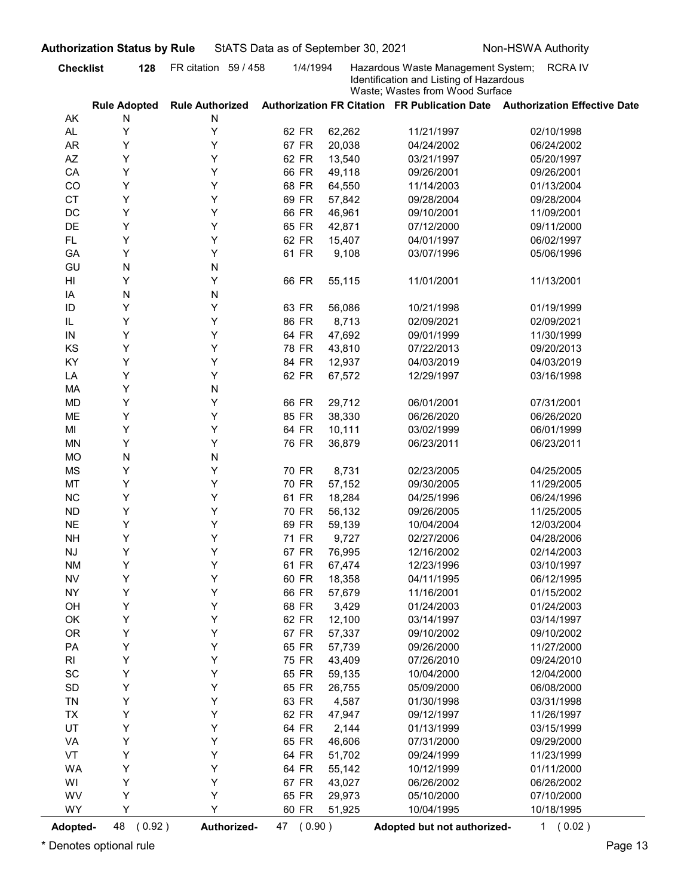| FR citation 59 / 458<br><b>Checklist</b><br>1/4/1994<br>Hazardous Waste Management System;<br>128<br>Identification and Listing of Hazardous<br>Waste; Wastes from Wood Surface<br>Authorization FR Citation FR Publication Date Authorization Effective Date<br><b>Rule Adopted</b><br><b>Rule Authorized</b><br>N<br>N<br>AK<br>Y<br>AL.<br>Y<br>62 FR<br>62,262<br>11/21/1997<br>Y<br>67 FR<br>20,038<br><b>AR</b><br>Y<br>04/24/2002<br>Y<br>Y<br>AZ<br>62 FR<br>13,540<br>03/21/1997<br>Y<br>Y<br>66 FR<br>CA<br>49,118<br>09/26/2001<br>Υ<br>Y<br>68 FR<br>CO<br>64,550<br>11/14/2003<br>Υ<br>Y<br><b>CT</b><br>69 FR<br>57,842<br>09/28/2004<br>Υ<br>Y<br>DC<br>66 FR<br>46,961<br>09/10/2001<br>Υ<br>DE<br>Y<br>65 FR<br>42,871<br>07/12/2000<br>Υ<br>Y<br>FL.<br>62 FR<br>15,407<br>04/01/1997<br>Υ<br>Y<br>61 FR<br>GA<br>9,108<br>03/07/1996<br>N<br>GU<br>N<br>Y<br>HI<br>Y<br>66 FR<br>55,115<br>11/01/2001<br>N<br>N<br>IA<br>Y<br>Y<br>ID<br>63 FR<br>56,086<br>10/21/1998<br>Y<br>Y<br>IL<br>86 FR<br>8,713<br>02/09/2021<br>47,692<br>09/01/1999<br>Y<br>64 FR<br>IN<br>Y<br>KS<br>Υ<br>Y<br>78 FR<br>43,810<br>07/22/2013<br>Υ<br>KY<br>Y<br>84 FR<br>12,937<br>04/03/2019<br>Υ<br>Y<br>62 FR<br>67,572<br>LA<br>12/29/1997<br>Υ<br>MA<br>N<br>Υ<br>Υ<br>29,712<br><b>MD</b><br>66 FR<br>06/01/2001<br>Υ<br>Y<br>85 FR<br>38,330<br>ME<br>06/26/2020<br>Υ<br>Υ<br>64 FR<br>10,111<br>MI<br>03/02/1999<br>Υ<br>Υ<br>76 FR<br>36,879<br>MN<br>06/23/2011<br>N<br><b>MO</b><br>N<br>Υ<br>Υ<br>MS<br>70 FR<br>8,731<br>02/23/2005<br>Υ<br>Y<br>70 FR<br>57,152<br>MT<br>09/30/2005 | <b>RCRAIV</b><br>02/10/1998<br>06/24/2002<br>05/20/1997<br>09/26/2001<br>01/13/2004<br>09/28/2004<br>11/09/2001<br>09/11/2000<br>06/02/1997<br>05/06/1996<br>11/13/2001<br>01/19/1999<br>02/09/2021<br>11/30/1999 |
|--------------------------------------------------------------------------------------------------------------------------------------------------------------------------------------------------------------------------------------------------------------------------------------------------------------------------------------------------------------------------------------------------------------------------------------------------------------------------------------------------------------------------------------------------------------------------------------------------------------------------------------------------------------------------------------------------------------------------------------------------------------------------------------------------------------------------------------------------------------------------------------------------------------------------------------------------------------------------------------------------------------------------------------------------------------------------------------------------------------------------------------------------------------------------------------------------------------------------------------------------------------------------------------------------------------------------------------------------------------------------------------------------------------------------------------------------------------------------------------------------------------------------------------------------------------------------------------------------|-------------------------------------------------------------------------------------------------------------------------------------------------------------------------------------------------------------------|
|                                                                                                                                                                                                                                                                                                                                                                                                                                                                                                                                                                                                                                                                                                                                                                                                                                                                                                                                                                                                                                                                                                                                                                                                                                                                                                                                                                                                                                                                                                                                                                                                  |                                                                                                                                                                                                                   |
|                                                                                                                                                                                                                                                                                                                                                                                                                                                                                                                                                                                                                                                                                                                                                                                                                                                                                                                                                                                                                                                                                                                                                                                                                                                                                                                                                                                                                                                                                                                                                                                                  |                                                                                                                                                                                                                   |
|                                                                                                                                                                                                                                                                                                                                                                                                                                                                                                                                                                                                                                                                                                                                                                                                                                                                                                                                                                                                                                                                                                                                                                                                                                                                                                                                                                                                                                                                                                                                                                                                  |                                                                                                                                                                                                                   |
|                                                                                                                                                                                                                                                                                                                                                                                                                                                                                                                                                                                                                                                                                                                                                                                                                                                                                                                                                                                                                                                                                                                                                                                                                                                                                                                                                                                                                                                                                                                                                                                                  |                                                                                                                                                                                                                   |
|                                                                                                                                                                                                                                                                                                                                                                                                                                                                                                                                                                                                                                                                                                                                                                                                                                                                                                                                                                                                                                                                                                                                                                                                                                                                                                                                                                                                                                                                                                                                                                                                  |                                                                                                                                                                                                                   |
|                                                                                                                                                                                                                                                                                                                                                                                                                                                                                                                                                                                                                                                                                                                                                                                                                                                                                                                                                                                                                                                                                                                                                                                                                                                                                                                                                                                                                                                                                                                                                                                                  |                                                                                                                                                                                                                   |
|                                                                                                                                                                                                                                                                                                                                                                                                                                                                                                                                                                                                                                                                                                                                                                                                                                                                                                                                                                                                                                                                                                                                                                                                                                                                                                                                                                                                                                                                                                                                                                                                  |                                                                                                                                                                                                                   |
|                                                                                                                                                                                                                                                                                                                                                                                                                                                                                                                                                                                                                                                                                                                                                                                                                                                                                                                                                                                                                                                                                                                                                                                                                                                                                                                                                                                                                                                                                                                                                                                                  |                                                                                                                                                                                                                   |
|                                                                                                                                                                                                                                                                                                                                                                                                                                                                                                                                                                                                                                                                                                                                                                                                                                                                                                                                                                                                                                                                                                                                                                                                                                                                                                                                                                                                                                                                                                                                                                                                  |                                                                                                                                                                                                                   |
|                                                                                                                                                                                                                                                                                                                                                                                                                                                                                                                                                                                                                                                                                                                                                                                                                                                                                                                                                                                                                                                                                                                                                                                                                                                                                                                                                                                                                                                                                                                                                                                                  |                                                                                                                                                                                                                   |
|                                                                                                                                                                                                                                                                                                                                                                                                                                                                                                                                                                                                                                                                                                                                                                                                                                                                                                                                                                                                                                                                                                                                                                                                                                                                                                                                                                                                                                                                                                                                                                                                  |                                                                                                                                                                                                                   |
|                                                                                                                                                                                                                                                                                                                                                                                                                                                                                                                                                                                                                                                                                                                                                                                                                                                                                                                                                                                                                                                                                                                                                                                                                                                                                                                                                                                                                                                                                                                                                                                                  |                                                                                                                                                                                                                   |
|                                                                                                                                                                                                                                                                                                                                                                                                                                                                                                                                                                                                                                                                                                                                                                                                                                                                                                                                                                                                                                                                                                                                                                                                                                                                                                                                                                                                                                                                                                                                                                                                  |                                                                                                                                                                                                                   |
|                                                                                                                                                                                                                                                                                                                                                                                                                                                                                                                                                                                                                                                                                                                                                                                                                                                                                                                                                                                                                                                                                                                                                                                                                                                                                                                                                                                                                                                                                                                                                                                                  |                                                                                                                                                                                                                   |
|                                                                                                                                                                                                                                                                                                                                                                                                                                                                                                                                                                                                                                                                                                                                                                                                                                                                                                                                                                                                                                                                                                                                                                                                                                                                                                                                                                                                                                                                                                                                                                                                  |                                                                                                                                                                                                                   |
|                                                                                                                                                                                                                                                                                                                                                                                                                                                                                                                                                                                                                                                                                                                                                                                                                                                                                                                                                                                                                                                                                                                                                                                                                                                                                                                                                                                                                                                                                                                                                                                                  |                                                                                                                                                                                                                   |
|                                                                                                                                                                                                                                                                                                                                                                                                                                                                                                                                                                                                                                                                                                                                                                                                                                                                                                                                                                                                                                                                                                                                                                                                                                                                                                                                                                                                                                                                                                                                                                                                  |                                                                                                                                                                                                                   |
|                                                                                                                                                                                                                                                                                                                                                                                                                                                                                                                                                                                                                                                                                                                                                                                                                                                                                                                                                                                                                                                                                                                                                                                                                                                                                                                                                                                                                                                                                                                                                                                                  | 09/20/2013                                                                                                                                                                                                        |
|                                                                                                                                                                                                                                                                                                                                                                                                                                                                                                                                                                                                                                                                                                                                                                                                                                                                                                                                                                                                                                                                                                                                                                                                                                                                                                                                                                                                                                                                                                                                                                                                  | 04/03/2019                                                                                                                                                                                                        |
|                                                                                                                                                                                                                                                                                                                                                                                                                                                                                                                                                                                                                                                                                                                                                                                                                                                                                                                                                                                                                                                                                                                                                                                                                                                                                                                                                                                                                                                                                                                                                                                                  | 03/16/1998                                                                                                                                                                                                        |
|                                                                                                                                                                                                                                                                                                                                                                                                                                                                                                                                                                                                                                                                                                                                                                                                                                                                                                                                                                                                                                                                                                                                                                                                                                                                                                                                                                                                                                                                                                                                                                                                  |                                                                                                                                                                                                                   |
|                                                                                                                                                                                                                                                                                                                                                                                                                                                                                                                                                                                                                                                                                                                                                                                                                                                                                                                                                                                                                                                                                                                                                                                                                                                                                                                                                                                                                                                                                                                                                                                                  | 07/31/2001                                                                                                                                                                                                        |
|                                                                                                                                                                                                                                                                                                                                                                                                                                                                                                                                                                                                                                                                                                                                                                                                                                                                                                                                                                                                                                                                                                                                                                                                                                                                                                                                                                                                                                                                                                                                                                                                  | 06/26/2020                                                                                                                                                                                                        |
|                                                                                                                                                                                                                                                                                                                                                                                                                                                                                                                                                                                                                                                                                                                                                                                                                                                                                                                                                                                                                                                                                                                                                                                                                                                                                                                                                                                                                                                                                                                                                                                                  | 06/01/1999                                                                                                                                                                                                        |
|                                                                                                                                                                                                                                                                                                                                                                                                                                                                                                                                                                                                                                                                                                                                                                                                                                                                                                                                                                                                                                                                                                                                                                                                                                                                                                                                                                                                                                                                                                                                                                                                  | 06/23/2011                                                                                                                                                                                                        |
|                                                                                                                                                                                                                                                                                                                                                                                                                                                                                                                                                                                                                                                                                                                                                                                                                                                                                                                                                                                                                                                                                                                                                                                                                                                                                                                                                                                                                                                                                                                                                                                                  |                                                                                                                                                                                                                   |
|                                                                                                                                                                                                                                                                                                                                                                                                                                                                                                                                                                                                                                                                                                                                                                                                                                                                                                                                                                                                                                                                                                                                                                                                                                                                                                                                                                                                                                                                                                                                                                                                  | 04/25/2005                                                                                                                                                                                                        |
|                                                                                                                                                                                                                                                                                                                                                                                                                                                                                                                                                                                                                                                                                                                                                                                                                                                                                                                                                                                                                                                                                                                                                                                                                                                                                                                                                                                                                                                                                                                                                                                                  | 11/29/2005                                                                                                                                                                                                        |
| Υ<br>$\sf NC$<br>Y<br>61 FR<br>18,284<br>04/25/1996                                                                                                                                                                                                                                                                                                                                                                                                                                                                                                                                                                                                                                                                                                                                                                                                                                                                                                                                                                                                                                                                                                                                                                                                                                                                                                                                                                                                                                                                                                                                              | 06/24/1996                                                                                                                                                                                                        |
| Υ<br>Y<br>70 FR<br>56,132<br><b>ND</b><br>09/26/2005                                                                                                                                                                                                                                                                                                                                                                                                                                                                                                                                                                                                                                                                                                                                                                                                                                                                                                                                                                                                                                                                                                                                                                                                                                                                                                                                                                                                                                                                                                                                             | 11/25/2005                                                                                                                                                                                                        |
| Υ<br>Y<br>69 FR<br>59,139<br><b>NE</b><br>10/04/2004                                                                                                                                                                                                                                                                                                                                                                                                                                                                                                                                                                                                                                                                                                                                                                                                                                                                                                                                                                                                                                                                                                                                                                                                                                                                                                                                                                                                                                                                                                                                             | 12/03/2004                                                                                                                                                                                                        |
| Υ<br>Y<br>71 FR<br>9,727<br><b>NH</b><br>02/27/2006                                                                                                                                                                                                                                                                                                                                                                                                                                                                                                                                                                                                                                                                                                                                                                                                                                                                                                                                                                                                                                                                                                                                                                                                                                                                                                                                                                                                                                                                                                                                              | 04/28/2006                                                                                                                                                                                                        |
| Υ<br>Y<br>67 FR<br>76,995<br><b>NJ</b><br>12/16/2002                                                                                                                                                                                                                                                                                                                                                                                                                                                                                                                                                                                                                                                                                                                                                                                                                                                                                                                                                                                                                                                                                                                                                                                                                                                                                                                                                                                                                                                                                                                                             | 02/14/2003                                                                                                                                                                                                        |
| Υ<br>Y<br>61 FR<br>67,474<br><b>NM</b><br>12/23/1996<br>Υ<br><b>NV</b><br>Y<br>60 FR<br>18,358                                                                                                                                                                                                                                                                                                                                                                                                                                                                                                                                                                                                                                                                                                                                                                                                                                                                                                                                                                                                                                                                                                                                                                                                                                                                                                                                                                                                                                                                                                   | 03/10/1997<br>06/12/1995                                                                                                                                                                                          |
| 04/11/1995<br>Υ<br>Y<br>66 FR<br>57,679<br><b>NY</b><br>11/16/2001                                                                                                                                                                                                                                                                                                                                                                                                                                                                                                                                                                                                                                                                                                                                                                                                                                                                                                                                                                                                                                                                                                                                                                                                                                                                                                                                                                                                                                                                                                                               | 01/15/2002                                                                                                                                                                                                        |
| Υ<br>Υ<br>68 FR<br>3,429<br>OH<br>01/24/2003                                                                                                                                                                                                                                                                                                                                                                                                                                                                                                                                                                                                                                                                                                                                                                                                                                                                                                                                                                                                                                                                                                                                                                                                                                                                                                                                                                                                                                                                                                                                                     | 01/24/2003                                                                                                                                                                                                        |
| Υ<br>Υ<br>62 FR<br>12,100<br>OK<br>03/14/1997                                                                                                                                                                                                                                                                                                                                                                                                                                                                                                                                                                                                                                                                                                                                                                                                                                                                                                                                                                                                                                                                                                                                                                                                                                                                                                                                                                                                                                                                                                                                                    | 03/14/1997                                                                                                                                                                                                        |
| Υ<br>OR<br>Υ<br>67 FR<br>57,337<br>09/10/2002                                                                                                                                                                                                                                                                                                                                                                                                                                                                                                                                                                                                                                                                                                                                                                                                                                                                                                                                                                                                                                                                                                                                                                                                                                                                                                                                                                                                                                                                                                                                                    | 09/10/2002                                                                                                                                                                                                        |
| Υ<br>PA<br>Υ<br>65 FR<br>57,739<br>09/26/2000                                                                                                                                                                                                                                                                                                                                                                                                                                                                                                                                                                                                                                                                                                                                                                                                                                                                                                                                                                                                                                                                                                                                                                                                                                                                                                                                                                                                                                                                                                                                                    | 11/27/2000                                                                                                                                                                                                        |
| Υ<br>Υ<br>75 FR<br>43,409<br>07/26/2010<br>RI                                                                                                                                                                                                                                                                                                                                                                                                                                                                                                                                                                                                                                                                                                                                                                                                                                                                                                                                                                                                                                                                                                                                                                                                                                                                                                                                                                                                                                                                                                                                                    | 09/24/2010                                                                                                                                                                                                        |
| Υ<br>Υ<br>SC<br>65 FR<br>59,135<br>10/04/2000                                                                                                                                                                                                                                                                                                                                                                                                                                                                                                                                                                                                                                                                                                                                                                                                                                                                                                                                                                                                                                                                                                                                                                                                                                                                                                                                                                                                                                                                                                                                                    | 12/04/2000                                                                                                                                                                                                        |
| Υ<br>SD<br>Υ<br>65 FR<br>26,755<br>05/09/2000                                                                                                                                                                                                                                                                                                                                                                                                                                                                                                                                                                                                                                                                                                                                                                                                                                                                                                                                                                                                                                                                                                                                                                                                                                                                                                                                                                                                                                                                                                                                                    | 06/08/2000                                                                                                                                                                                                        |
| Υ<br>TN<br>Υ<br>63 FR<br>4,587<br>01/30/1998                                                                                                                                                                                                                                                                                                                                                                                                                                                                                                                                                                                                                                                                                                                                                                                                                                                                                                                                                                                                                                                                                                                                                                                                                                                                                                                                                                                                                                                                                                                                                     | 03/31/1998                                                                                                                                                                                                        |
| Υ<br>TX<br>Y<br>62 FR<br>47,947<br>09/12/1997                                                                                                                                                                                                                                                                                                                                                                                                                                                                                                                                                                                                                                                                                                                                                                                                                                                                                                                                                                                                                                                                                                                                                                                                                                                                                                                                                                                                                                                                                                                                                    | 11/26/1997                                                                                                                                                                                                        |
| Υ<br>UT<br>Υ<br>64 FR<br>2,144<br>01/13/1999                                                                                                                                                                                                                                                                                                                                                                                                                                                                                                                                                                                                                                                                                                                                                                                                                                                                                                                                                                                                                                                                                                                                                                                                                                                                                                                                                                                                                                                                                                                                                     | 03/15/1999                                                                                                                                                                                                        |
| Υ<br>Υ<br>65 FR<br>46,606<br>07/31/2000<br>VA                                                                                                                                                                                                                                                                                                                                                                                                                                                                                                                                                                                                                                                                                                                                                                                                                                                                                                                                                                                                                                                                                                                                                                                                                                                                                                                                                                                                                                                                                                                                                    | 09/29/2000                                                                                                                                                                                                        |
| Υ<br>VT<br>Υ<br>64 FR<br>51,702<br>09/24/1999                                                                                                                                                                                                                                                                                                                                                                                                                                                                                                                                                                                                                                                                                                                                                                                                                                                                                                                                                                                                                                                                                                                                                                                                                                                                                                                                                                                                                                                                                                                                                    | 11/23/1999                                                                                                                                                                                                        |
| Υ<br><b>WA</b><br>Υ<br>64 FR<br>55,142<br>10/12/1999                                                                                                                                                                                                                                                                                                                                                                                                                                                                                                                                                                                                                                                                                                                                                                                                                                                                                                                                                                                                                                                                                                                                                                                                                                                                                                                                                                                                                                                                                                                                             | 01/11/2000                                                                                                                                                                                                        |
| Υ<br>Υ<br>67 FR<br>43,027<br>06/26/2002<br>WI                                                                                                                                                                                                                                                                                                                                                                                                                                                                                                                                                                                                                                                                                                                                                                                                                                                                                                                                                                                                                                                                                                                                                                                                                                                                                                                                                                                                                                                                                                                                                    | 06/26/2002                                                                                                                                                                                                        |
| WV<br>Υ<br>Υ<br>65 FR<br>29,973<br>05/10/2000                                                                                                                                                                                                                                                                                                                                                                                                                                                                                                                                                                                                                                                                                                                                                                                                                                                                                                                                                                                                                                                                                                                                                                                                                                                                                                                                                                                                                                                                                                                                                    | 07/10/2000                                                                                                                                                                                                        |
| Υ<br>Y<br>WY<br>60 FR<br>10/04/1995<br>51,925                                                                                                                                                                                                                                                                                                                                                                                                                                                                                                                                                                                                                                                                                                                                                                                                                                                                                                                                                                                                                                                                                                                                                                                                                                                                                                                                                                                                                                                                                                                                                    | 10/18/1995                                                                                                                                                                                                        |
| 48 (0.92)<br>47 (0.90)<br>Adopted-<br>Authorized-<br>Adopted but not authorized-                                                                                                                                                                                                                                                                                                                                                                                                                                                                                                                                                                                                                                                                                                                                                                                                                                                                                                                                                                                                                                                                                                                                                                                                                                                                                                                                                                                                                                                                                                                 | 1(0.02)                                                                                                                                                                                                           |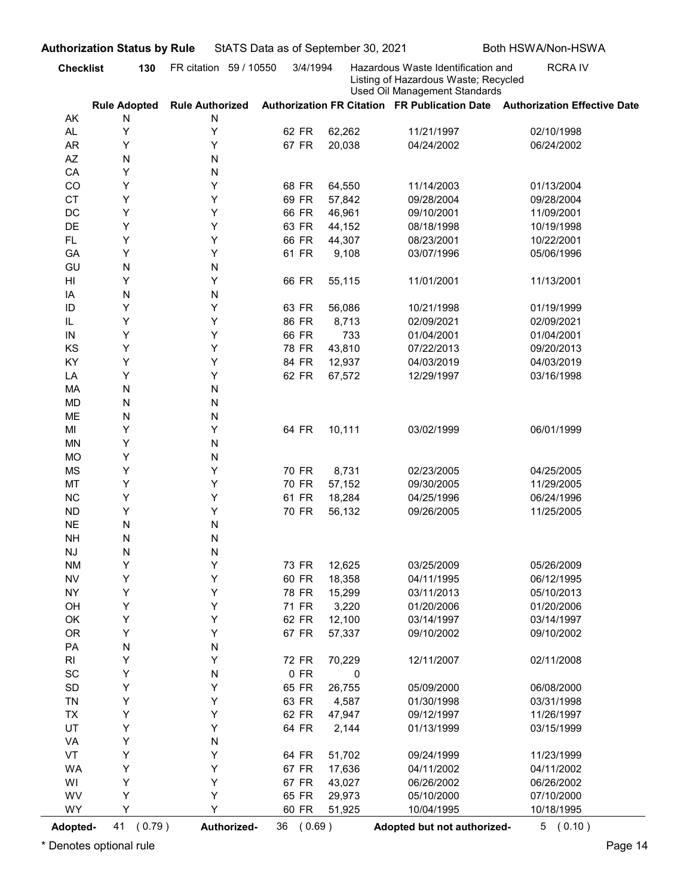| Used Oil Management Standards |  |
|-------------------------------|--|
|-------------------------------|--|

|                              | <b>Checklist</b><br>130         | FR citation 59 / 10550      | 3/4/1994       |                  | Hazardous Waste Identification and                                    | <b>RCRAIV</b>                                                              |
|------------------------------|---------------------------------|-----------------------------|----------------|------------------|-----------------------------------------------------------------------|----------------------------------------------------------------------------|
|                              |                                 |                             |                |                  | Listing of Hazardous Waste; Recycled<br>Used Oil Management Standards |                                                                            |
| AK                           | <b>Rule Adopted</b><br>N        | <b>Rule Authorized</b><br>N |                |                  |                                                                       | Authorization FR Citation FR Publication Date Authorization Effective Date |
| AL.                          | Υ                               | Υ                           | 62 FR          | 62,262           | 11/21/1997                                                            | 02/10/1998                                                                 |
| <b>AR</b>                    | Y                               | Υ                           | 67 FR          | 20,038           | 04/24/2002                                                            | 06/24/2002                                                                 |
| AZ                           | N                               | N                           |                |                  |                                                                       |                                                                            |
| CA                           | Y                               | N                           |                |                  |                                                                       |                                                                            |
| CO                           | Y                               | Υ                           | 68 FR          | 64,550           | 11/14/2003                                                            | 01/13/2004                                                                 |
| <b>CT</b>                    | Υ                               | Υ                           | 69 FR          | 57,842           | 09/28/2004                                                            | 09/28/2004                                                                 |
| DC                           | Y                               | Υ                           | 66 FR          | 46,961           | 09/10/2001                                                            | 11/09/2001                                                                 |
| DE<br><b>FL</b>              | Y<br>Y                          | Υ<br>Υ                      | 63 FR<br>66 FR | 44,152<br>44,307 | 08/18/1998<br>08/23/2001                                              | 10/19/1998<br>10/22/2001                                                   |
| GA                           | Y                               | Υ                           | 61 FR          | 9,108            | 03/07/1996                                                            | 05/06/1996                                                                 |
| GU                           | N                               | N                           |                |                  |                                                                       |                                                                            |
| HI                           | Y                               | Υ                           | 66 FR          | 55,115           | 11/01/2001                                                            | 11/13/2001                                                                 |
| IA                           | N                               | N                           |                |                  |                                                                       |                                                                            |
| ID                           | Y                               | Y                           | 63 FR          | 56,086           | 10/21/1998                                                            | 01/19/1999                                                                 |
| IL                           | Y                               | Y                           | 86 FR          | 8,713            | 02/09/2021                                                            | 02/09/2021                                                                 |
| ${\sf IN}$                   | Y                               | Υ                           | 66 FR          | 733              | 01/04/2001                                                            | 01/04/2001                                                                 |
| KS                           | Υ                               | Υ                           | 78 FR          | 43,810           | 07/22/2013                                                            | 09/20/2013                                                                 |
| KY                           | Υ                               | Υ                           | 84 FR          | 12,937           | 04/03/2019                                                            | 04/03/2019                                                                 |
| LA                           | Υ                               | Υ                           | 62 FR          | 67,572           | 12/29/1997                                                            | 03/16/1998                                                                 |
| MA                           | ${\sf N}$                       | N                           |                |                  |                                                                       |                                                                            |
| <b>MD</b>                    | ${\sf N}$                       | N                           |                |                  |                                                                       |                                                                            |
| ME<br>MI                     | ${\sf N}$<br>Υ                  | N<br>Υ                      | 64 FR          | 10,111           | 03/02/1999                                                            | 06/01/1999                                                                 |
| <b>MN</b>                    | Υ                               | N                           |                |                  |                                                                       |                                                                            |
| <b>MO</b>                    | Υ                               | N                           |                |                  |                                                                       |                                                                            |
| <b>MS</b>                    | Υ                               | Υ                           | 70 FR          | 8,731            | 02/23/2005                                                            | 04/25/2005                                                                 |
| MT                           | Υ                               | Υ                           | 70 FR          | 57,152           | 09/30/2005                                                            | 11/29/2005                                                                 |
| $NC$                         | Υ                               | Υ                           | 61 FR          | 18,284           | 04/25/1996                                                            | 06/24/1996                                                                 |
| ${\sf ND}$                   | Υ                               | Υ                           | 70 FR          | 56,132           | 09/26/2005                                                            | 11/25/2005                                                                 |
| <b>NE</b>                    | ${\sf N}$                       | N                           |                |                  |                                                                       |                                                                            |
| <b>NH</b>                    | ${\sf N}$                       | N                           |                |                  |                                                                       |                                                                            |
| $\mathsf{N}\mathsf{J}$       | ${\sf N}$                       | N                           |                |                  |                                                                       |                                                                            |
| <b>NM</b>                    | Υ                               | Υ                           | 73 FR          | 12,625           | 03/25/2009                                                            | 05/26/2009                                                                 |
| ${\sf NV}$                   | Υ                               | Υ                           | 60 FR          | 18,358           | 04/11/1995                                                            | 06/12/1995                                                                 |
| <b>NY</b><br>OH              | Υ<br>Υ                          | Υ<br>Υ                      | 78 FR<br>71 FR | 15,299<br>3,220  | 03/11/2013<br>01/20/2006                                              | 05/10/2013<br>01/20/2006                                                   |
| OK                           | Υ                               | Υ                           | 62 FR          | 12,100           | 03/14/1997                                                            | 03/14/1997                                                                 |
| <b>OR</b>                    | Υ                               | Υ                           | 67 FR          | 57,337           | 09/10/2002                                                            | 09/10/2002                                                                 |
| PA                           | ${\sf N}$                       | N                           |                |                  |                                                                       |                                                                            |
| R <sub>l</sub>               | Υ                               | Υ                           | <b>72 FR</b>   | 70,229           | 12/11/2007                                                            | 02/11/2008                                                                 |
| $\operatorname{\textsf{SC}}$ | Υ                               | ${\sf N}$                   | $0$ FR         | 0                |                                                                       |                                                                            |
| $\mathsf{SD}$                | Υ                               | Υ                           | 65 FR          | 26,755           | 05/09/2000                                                            | 06/08/2000                                                                 |
| TN                           | Υ                               | Υ                           | 63 FR          | 4,587            | 01/30/1998                                                            | 03/31/1998                                                                 |
| TX                           | Υ                               | Υ                           | 62 FR          | 47,947           | 09/12/1997                                                            | 11/26/1997                                                                 |
| UT                           | Υ                               | Υ                           | 64 FR          | 2,144            | 01/13/1999                                                            | 03/15/1999                                                                 |
| VA                           | Υ                               | N                           |                |                  |                                                                       |                                                                            |
| VT<br><b>WA</b>              | Υ<br>Υ                          | Υ<br>Υ                      | 64 FR          | 51,702           | 09/24/1999<br>04/11/2002                                              | 11/23/1999<br>04/11/2002                                                   |
| WI                           | Υ                               | Υ                           | 67 FR<br>67 FR | 17,636<br>43,027 | 06/26/2002                                                            | 06/26/2002                                                                 |
| WV                           | Υ                               | Υ                           | 65 FR          | 29,973           | 05/10/2000                                                            | 07/10/2000                                                                 |
| WY                           | Υ                               | Y                           | 60 FR          | 51,925           | 10/04/1995                                                            | 10/18/1995                                                                 |
| <b>Adopted-</b>              | 41                              |                             |                |                  |                                                                       | 5(0.10)                                                                    |
|                              | (0.79)<br>Denotes optional rule | Authorized-                 | 36 (0.69)      |                  | Adopted but not authorized-                                           |                                                                            |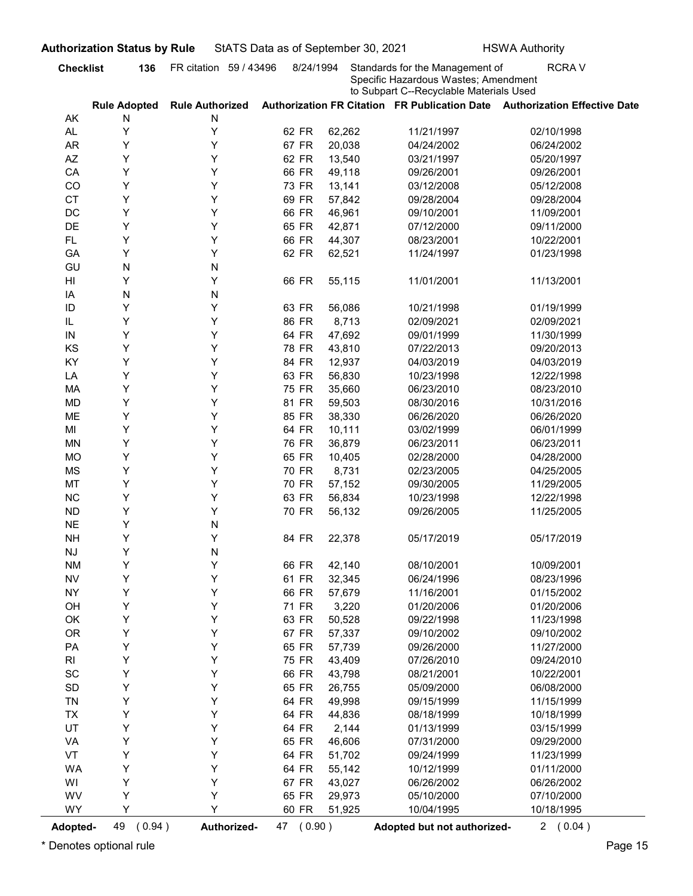|                              |                                       | FR citation 59 / 43496      | 8/24/1994      |                  | Standards for the Management of                                                 | <b>RCRAV</b>                                                               |
|------------------------------|---------------------------------------|-----------------------------|----------------|------------------|---------------------------------------------------------------------------------|----------------------------------------------------------------------------|
|                              |                                       |                             |                |                  | Specific Hazardous Wastes; Amendment<br>to Subpart C--Recyclable Materials Used |                                                                            |
| AK                           | <b>Rule Adopted</b><br>N              | <b>Rule Authorized</b><br>N |                |                  |                                                                                 | Authorization FR Citation FR Publication Date Authorization Effective Date |
| AL.                          | Υ                                     | Υ                           | 62 FR          | 62,262           | 11/21/1997                                                                      | 02/10/1998                                                                 |
| <b>AR</b>                    | Υ                                     | Υ                           | 67 FR          | 20,038           | 04/24/2002                                                                      | 06/24/2002                                                                 |
| AZ                           | Y                                     | Υ                           | 62 FR          | 13,540           | 03/21/1997                                                                      | 05/20/1997                                                                 |
| CA                           | Y                                     | Υ                           | 66 FR          | 49,118           | 09/26/2001                                                                      | 09/26/2001                                                                 |
| CO                           | Y                                     | Υ                           | 73 FR          | 13,141           | 03/12/2008                                                                      | 05/12/2008                                                                 |
| <b>CT</b>                    | Y                                     | Υ                           | 69 FR          | 57,842           | 09/28/2004                                                                      | 09/28/2004                                                                 |
| DC                           | Y                                     | Υ                           | 66 FR          | 46,961           | 09/10/2001                                                                      | 11/09/2001                                                                 |
| DE                           | Y                                     | Υ                           | 65 FR          | 42,871           | 07/12/2000                                                                      | 09/11/2000                                                                 |
| <b>FL</b>                    | Y                                     | Υ                           | 66 FR          | 44,307           | 08/23/2001                                                                      | 10/22/2001                                                                 |
| GA                           | Y                                     | Υ                           | 62 FR          | 62,521           | 11/24/1997                                                                      | 01/23/1998                                                                 |
| GU                           | N                                     | N                           |                |                  |                                                                                 |                                                                            |
| HI                           | Y                                     | Υ                           | 66 FR          | 55,115           | 11/01/2001                                                                      | 11/13/2001                                                                 |
| IA                           | N                                     | N                           |                |                  |                                                                                 |                                                                            |
| ID                           | Y                                     | Y                           | 63 FR          | 56,086           | 10/21/1998                                                                      | 01/19/1999                                                                 |
| IL                           | Y                                     | Y                           | 86 FR          | 8,713            | 02/09/2021                                                                      | 02/09/2021                                                                 |
| IN                           | Y<br>Υ                                | Υ<br>Υ                      | 64 FR          | 47,692           | 09/01/1999                                                                      | 11/30/1999                                                                 |
| KS<br>KY                     | Υ                                     | Υ                           | 78 FR<br>84 FR | 43,810<br>12,937 | 07/22/2013<br>04/03/2019                                                        | 09/20/2013<br>04/03/2019                                                   |
| LA                           | Υ                                     | Υ                           | 63 FR          | 56,830           | 10/23/1998                                                                      | 12/22/1998                                                                 |
| MA                           | Υ                                     | Y                           | 75 FR          | 35,660           | 06/23/2010                                                                      | 08/23/2010                                                                 |
| <b>MD</b>                    | Υ                                     | Y                           | 81 FR          | 59,503           | 08/30/2016                                                                      | 10/31/2016                                                                 |
| ME                           | Υ                                     | Y                           | 85 FR          | 38,330           | 06/26/2020                                                                      | 06/26/2020                                                                 |
| MI                           | Υ                                     | Y                           | 64 FR          | 10,111           | 03/02/1999                                                                      | 06/01/1999                                                                 |
| <b>MN</b>                    | Υ                                     | Y                           | 76 FR          | 36,879           | 06/23/2011                                                                      | 06/23/2011                                                                 |
| <b>MO</b>                    | Υ                                     | Y                           | 65 FR          | 10,405           | 02/28/2000                                                                      | 04/28/2000                                                                 |
| <b>MS</b>                    | Υ                                     | Y                           | 70 FR          | 8,731            | 02/23/2005                                                                      | 04/25/2005                                                                 |
| MT                           | Υ                                     | Y                           | 70 FR          | 57,152           | 09/30/2005                                                                      | 11/29/2005                                                                 |
| $NC$                         | Υ                                     | Υ                           | 63 FR          | 56,834           | 10/23/1998                                                                      | 12/22/1998                                                                 |
| ${\sf ND}$                   | Υ                                     | Υ                           | 70 FR          | 56,132           | 09/26/2005                                                                      | 11/25/2005                                                                 |
| $N\mathsf{E}$                | Υ                                     | N                           |                |                  |                                                                                 |                                                                            |
| <b>NH</b>                    | Υ                                     | Υ                           | 84 FR          | 22,378           | 05/17/2019                                                                      | 05/17/2019                                                                 |
| $\mathsf{N}\mathsf{J}$       | Υ                                     | N                           |                |                  |                                                                                 |                                                                            |
| <b>NM</b>                    | Υ                                     | Υ                           | 66 FR          | 42,140           | 08/10/2001                                                                      | 10/09/2001                                                                 |
| ${\sf NV}$                   | Υ                                     | Y                           | 61 FR          | 32,345           | 06/24/1996                                                                      | 08/23/1996                                                                 |
| <b>NY</b>                    | Υ                                     | Y                           | 66 FR          | 57,679           | 11/16/2001                                                                      | 01/15/2002                                                                 |
| OH                           | Y                                     | Y                           | 71 FR          | 3,220            | 01/20/2006                                                                      | 01/20/2006                                                                 |
| OK                           | Υ                                     | Υ                           | 63 FR          | 50,528           | 09/22/1998                                                                      | 11/23/1998                                                                 |
| <b>OR</b>                    | Υ                                     | Y                           | 67 FR          | 57,337           | 09/10/2002                                                                      | 09/10/2002                                                                 |
| PA                           | Υ                                     | Y                           | 65 FR          | 57,739           | 09/26/2000                                                                      | 11/27/2000                                                                 |
| R <sub>l</sub>               | Υ                                     | Y                           | 75 FR          | 43,409           | 07/26/2010                                                                      | 09/24/2010                                                                 |
| $\operatorname{\textsf{SC}}$ | Υ                                     | Y                           | 66 FR          | 43,798           | 08/21/2001                                                                      | 10/22/2001                                                                 |
| $\mathsf{SD}$                | Υ                                     | Y                           | 65 FR          | 26,755           | 05/09/2000                                                                      | 06/08/2000                                                                 |
| TN                           | Υ                                     | Υ                           | 64 FR          | 49,998           | 09/15/1999                                                                      | 11/15/1999                                                                 |
| <b>TX</b>                    | Υ                                     | Υ                           | 64 FR          | 44,836           | 08/18/1999                                                                      | 10/18/1999                                                                 |
| UT                           | Υ                                     | Υ                           | 64 FR          | 2,144            | 01/13/1999                                                                      | 03/15/1999                                                                 |
| VA                           | Υ                                     | Υ                           | 65 FR          | 46,606           | 07/31/2000                                                                      | 09/29/2000                                                                 |
| VT                           | Υ<br>Υ                                | Υ<br>Υ                      | 64 FR          | 51,702           | 09/24/1999                                                                      | 11/23/1999                                                                 |
| <b>WA</b>                    | Υ                                     | Y                           | 64 FR          | 55,142           | 10/12/1999                                                                      | 01/11/2000                                                                 |
| WI                           | Υ                                     | Υ                           | 67 FR          | 43,027           | 06/26/2002                                                                      | 06/26/2002                                                                 |
| WV<br><b>WY</b>              | Y                                     | Y                           | 65 FR<br>60 FR | 29,973           | 05/10/2000                                                                      | 07/10/2000                                                                 |
|                              |                                       |                             |                | 51,925           | 10/04/1995                                                                      | 10/18/1995                                                                 |
| <b>Adopted-</b>              | 49<br>(0.94)<br>Denotes optional rule | Authorized-                 | 47 (0.90)      |                  | Adopted but not authorized-                                                     | 2(0.04)                                                                    |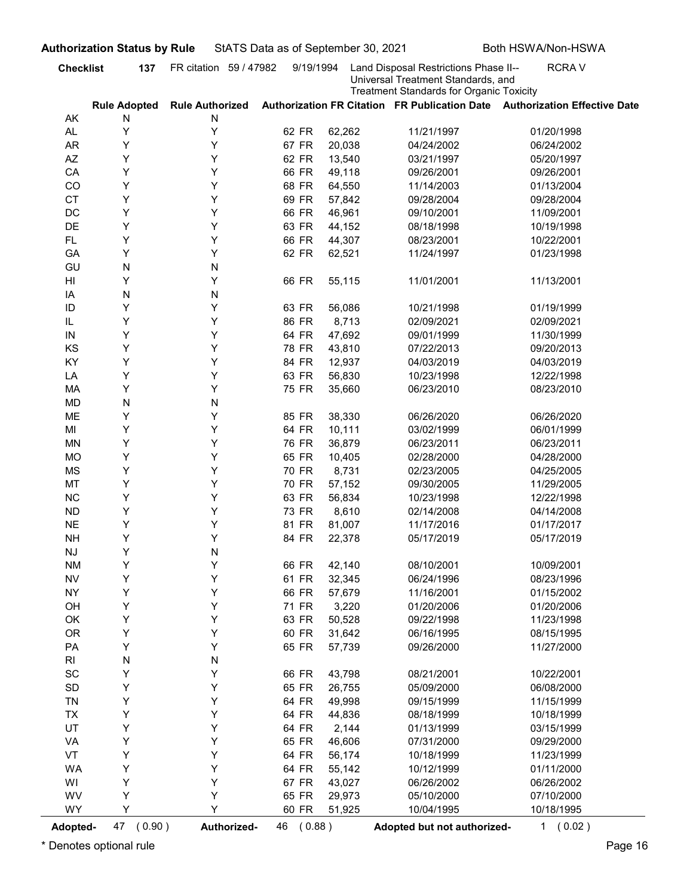|                              | <b>Checklist</b>                   | FR citation 59 / 47982      | 9/19/1994      |                  | Land Disposal Restrictions Phase II--                                                 | <b>RCRAV</b>                                                               |
|------------------------------|------------------------------------|-----------------------------|----------------|------------------|---------------------------------------------------------------------------------------|----------------------------------------------------------------------------|
|                              |                                    |                             |                |                  | Universal Treatment Standards, and<br><b>Treatment Standards for Organic Toxicity</b> |                                                                            |
| AK                           | <b>Rule Adopted</b><br>N           | <b>Rule Authorized</b><br>N |                |                  |                                                                                       | Authorization FR Citation FR Publication Date Authorization Effective Date |
| AL.                          | Υ                                  | Υ                           | 62 FR          | 62,262           | 11/21/1997                                                                            | 01/20/1998                                                                 |
| <b>AR</b>                    | Y                                  | Υ                           | 67 FR          | 20,038           | 04/24/2002                                                                            | 06/24/2002                                                                 |
| AZ                           | Υ                                  | Υ                           | 62 FR          | 13,540           | 03/21/1997                                                                            | 05/20/1997                                                                 |
| CA                           | Υ                                  | Υ                           | 66 FR          | 49,118           | 09/26/2001                                                                            | 09/26/2001                                                                 |
| CO                           | Υ                                  | Υ                           | 68 FR          | 64,550           | 11/14/2003                                                                            | 01/13/2004                                                                 |
| <b>CT</b>                    | Υ                                  | Υ                           | 69 FR          | 57,842           | 09/28/2004                                                                            | 09/28/2004                                                                 |
| DC                           | Y                                  | Υ                           | 66 FR          | 46,961           | 09/10/2001                                                                            | 11/09/2001                                                                 |
| DE                           | Y                                  | Υ                           | 63 FR          | 44,152           | 08/18/1998                                                                            | 10/19/1998                                                                 |
| <b>FL</b>                    | Y                                  | Y                           | 66 FR          | 44,307           | 08/23/2001                                                                            | 10/22/2001                                                                 |
| GA                           | Y                                  | Υ                           | 62 FR          | 62,521           | 11/24/1997                                                                            | 01/23/1998                                                                 |
| GU                           | N                                  | N                           |                |                  |                                                                                       |                                                                            |
| HI                           | Y                                  | Υ                           | 66 FR          | 55,115           | 11/01/2001                                                                            | 11/13/2001                                                                 |
| IA                           | N                                  | N                           |                |                  |                                                                                       |                                                                            |
| ID                           | Y<br>Y                             | Y<br>Y                      | 63 FR          | 56,086           | 10/21/1998                                                                            | 01/19/1999                                                                 |
| IL<br>IN                     | Y                                  | Υ                           | 86 FR<br>64 FR | 8,713<br>47,692  | 02/09/2021<br>09/01/1999                                                              | 02/09/2021<br>11/30/1999                                                   |
| KS                           | Υ                                  | Υ                           | 78 FR          | 43,810           | 07/22/2013                                                                            | 09/20/2013                                                                 |
| KY                           | Υ                                  | Υ                           | 84 FR          | 12,937           | 04/03/2019                                                                            | 04/03/2019                                                                 |
| LA                           | Υ                                  | Υ                           | 63 FR          | 56,830           | 10/23/1998                                                                            | 12/22/1998                                                                 |
| MA                           | Υ                                  | Υ                           | 75 FR          | 35,660           | 06/23/2010                                                                            | 08/23/2010                                                                 |
| <b>MD</b>                    | ${\sf N}$                          | N                           |                |                  |                                                                                       |                                                                            |
| ME                           | Υ                                  | Υ                           | 85 FR          | 38,330           | 06/26/2020                                                                            | 06/26/2020                                                                 |
| MI                           | Υ                                  | Υ                           | 64 FR          | 10,111           | 03/02/1999                                                                            | 06/01/1999                                                                 |
| <b>MN</b>                    | Υ                                  | Υ                           | 76 FR          | 36,879           | 06/23/2011                                                                            | 06/23/2011                                                                 |
| <b>MO</b>                    | Υ                                  | Υ                           | 65 FR          | 10,405           | 02/28/2000                                                                            | 04/28/2000                                                                 |
| <b>MS</b>                    | Υ                                  | Υ                           | 70 FR          | 8,731            | 02/23/2005                                                                            | 04/25/2005                                                                 |
| MT                           | Υ                                  | Y                           | 70 FR          | 57,152           | 09/30/2005                                                                            | 11/29/2005                                                                 |
| $NC$                         | Υ                                  | Y                           | 63 FR          | 56,834           | 10/23/1998                                                                            | 12/22/1998                                                                 |
| ${\sf ND}$                   | Υ                                  | Y                           | 73 FR          | 8,610            | 02/14/2008                                                                            | 04/14/2008                                                                 |
| $N\mathsf{E}$                | Υ                                  | Υ                           | 81 FR          | 81,007           | 11/17/2016                                                                            | 01/17/2017                                                                 |
| <b>NH</b>                    | Υ                                  | Υ                           | 84 FR          | 22,378           | 05/17/2019                                                                            | 05/17/2019                                                                 |
| $\mathsf{N}\mathsf{J}$       | Υ                                  | N                           |                |                  |                                                                                       |                                                                            |
| <b>NM</b>                    | Υ                                  | Υ                           | 66 FR          | 42,140           | 08/10/2001                                                                            | 10/09/2001                                                                 |
| ${\sf NV}$                   | Υ                                  | Υ                           | 61 FR          | 32,345           | 06/24/1996                                                                            | 08/23/1996                                                                 |
| <b>NY</b>                    | Υ                                  | Y                           | 66 FR          | 57,679           | 11/16/2001                                                                            | 01/15/2002                                                                 |
| OH                           | Υ                                  | Y                           | 71 FR          | 3,220            | 01/20/2006                                                                            | 01/20/2006                                                                 |
| OK                           | Υ                                  | Υ                           | 63 FR          | 50,528           | 09/22/1998                                                                            | 11/23/1998                                                                 |
| <b>OR</b>                    | Υ                                  | Υ                           | 60 FR          | 31,642           | 06/16/1995                                                                            | 08/15/1995                                                                 |
| PA                           | Υ                                  | Υ                           | 65 FR          | 57,739           | 09/26/2000                                                                            | 11/27/2000                                                                 |
| R <sub>l</sub>               | ${\sf N}$                          | N                           |                |                  |                                                                                       |                                                                            |
| $\operatorname{\textsf{SC}}$ | Υ                                  | Υ                           | 66 FR          | 43,798           | 08/21/2001                                                                            | 10/22/2001                                                                 |
| $\mathsf{SD}$                | Υ                                  | Υ                           | 65 FR          | 26,755           | 05/09/2000                                                                            | 06/08/2000                                                                 |
| TN                           | Υ                                  | Υ                           | 64 FR          | 49,998           | 09/15/1999                                                                            | 11/15/1999                                                                 |
| <b>TX</b>                    | Υ                                  | Υ                           | 64 FR          | 44,836           | 08/18/1999                                                                            | 10/18/1999                                                                 |
| UT                           | Υ                                  | Υ<br>Υ                      | 64 FR          | 2,144            | 01/13/1999                                                                            | 03/15/1999<br>09/29/2000                                                   |
| VA<br>VT                     | Υ<br>Υ                             | Υ                           | 65 FR<br>64 FR | 46,606           | 07/31/2000                                                                            |                                                                            |
| <b>WA</b>                    | Υ                                  | Υ                           | 64 FR          | 56,174<br>55,142 | 10/18/1999<br>10/12/1999                                                              | 11/23/1999<br>01/11/2000                                                   |
| WI                           | Υ                                  | Y                           | 67 FR          | 43,027           | 06/26/2002                                                                            | 06/26/2002                                                                 |
| WV                           | Υ                                  | Υ                           | 65 FR          | 29,973           | 05/10/2000                                                                            | 07/10/2000                                                                 |
| <b>WY</b>                    | Y                                  | Y                           | 60 FR          | 51,925           | 10/04/1995                                                                            | 10/18/1995                                                                 |
|                              |                                    |                             |                |                  |                                                                                       |                                                                            |
| Adopted-                     | 47 (0.90)<br>Denotes optional rule | Authorized-                 | 46 (0.88)      |                  | Adopted but not authorized-                                                           | 1(0.02)                                                                    |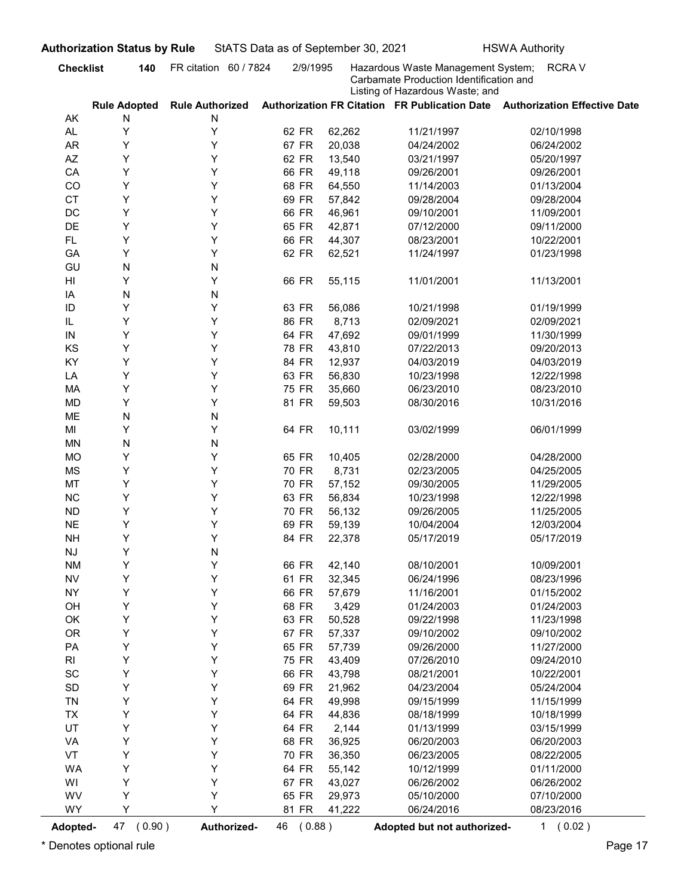|                              | <b>Checklist</b><br>140            | FR citation 60 / 7824       | 2/9/1995       |                  | Hazardous Waste Management System;                                         | <b>RCRAV</b>                                                               |
|------------------------------|------------------------------------|-----------------------------|----------------|------------------|----------------------------------------------------------------------------|----------------------------------------------------------------------------|
|                              |                                    |                             |                |                  | Carbamate Production Identification and<br>Listing of Hazardous Waste; and |                                                                            |
| AK                           | <b>Rule Adopted</b><br>N           | <b>Rule Authorized</b><br>N |                |                  |                                                                            | Authorization FR Citation FR Publication Date Authorization Effective Date |
| AL.                          | Υ                                  | Υ                           | 62 FR          | 62,262           | 11/21/1997                                                                 | 02/10/1998                                                                 |
| <b>AR</b>                    | Υ                                  | Υ                           | 67 FR          | 20,038           | 04/24/2002                                                                 | 06/24/2002                                                                 |
| AZ                           | Y                                  | Υ                           | 62 FR          | 13,540           | 03/21/1997                                                                 | 05/20/1997                                                                 |
| CA                           | Υ                                  | Υ                           | 66 FR          | 49,118           | 09/26/2001                                                                 | 09/26/2001                                                                 |
| CO                           | Υ                                  | Υ                           | 68 FR          | 64,550           | 11/14/2003                                                                 | 01/13/2004                                                                 |
| <b>CT</b>                    | Υ                                  | Υ                           | 69 FR          | 57,842           | 09/28/2004                                                                 | 09/28/2004                                                                 |
| DC                           | Y                                  | Υ                           | 66 FR          | 46,961           | 09/10/2001                                                                 | 11/09/2001                                                                 |
| DE                           | Y                                  | Υ                           | 65 FR          | 42,871           | 07/12/2000                                                                 | 09/11/2000                                                                 |
| <b>FL</b>                    | Y                                  | Υ                           | 66 FR          | 44,307           | 08/23/2001                                                                 | 10/22/2001                                                                 |
| GA                           | Y                                  | Υ                           | 62 FR          | 62,521           | 11/24/1997                                                                 | 01/23/1998                                                                 |
| GU                           | N                                  | N                           |                |                  |                                                                            |                                                                            |
| HI                           | Y                                  | Υ                           | 66 FR          | 55,115           | 11/01/2001                                                                 | 11/13/2001                                                                 |
| IA                           | N                                  | N                           |                |                  |                                                                            |                                                                            |
| ID                           | Y                                  | Y                           | 63 FR          | 56,086           | 10/21/1998                                                                 | 01/19/1999                                                                 |
| IL                           | Υ                                  | Υ                           | 86 FR          | 8,713            | 02/09/2021                                                                 | 02/09/2021                                                                 |
| IN                           | Y                                  | Υ                           | 64 FR          | 47,692           | 09/01/1999                                                                 | 11/30/1999                                                                 |
| KS                           | Υ                                  | Υ                           | 78 FR          | 43,810           | 07/22/2013                                                                 | 09/20/2013                                                                 |
| KY                           | Υ                                  | Υ                           | 84 FR          | 12,937           | 04/03/2019                                                                 | 04/03/2019                                                                 |
| LA                           | Υ                                  | Υ                           | 63 FR          | 56,830           | 10/23/1998                                                                 | 12/22/1998                                                                 |
| MA                           | Υ                                  | Υ                           | 75 FR          | 35,660           | 06/23/2010                                                                 | 08/23/2010                                                                 |
| <b>MD</b>                    | Υ                                  | Υ                           | 81 FR          | 59,503           | 08/30/2016                                                                 | 10/31/2016                                                                 |
| ME                           | ${\sf N}$                          | N                           |                |                  |                                                                            |                                                                            |
| MI                           | Υ                                  | Υ                           | 64 FR          | 10,111           | 03/02/1999                                                                 | 06/01/1999                                                                 |
| <b>MN</b>                    | ${\sf N}$                          | N                           |                |                  |                                                                            |                                                                            |
| <b>MO</b>                    | Υ                                  | Υ                           | 65 FR          | 10,405           | 02/28/2000                                                                 | 04/28/2000                                                                 |
| <b>MS</b>                    | Υ                                  | Υ                           | 70 FR          | 8,731            | 02/23/2005                                                                 | 04/25/2005                                                                 |
| MT                           | Υ                                  | Y                           | 70 FR          | 57,152           | 09/30/2005                                                                 | 11/29/2005                                                                 |
| $NC$                         | Υ                                  | Y                           | 63 FR          | 56,834           | 10/23/1998                                                                 | 12/22/1998                                                                 |
| ${\sf ND}$                   | Υ                                  | Υ                           | 70 FR          | 56,132           | 09/26/2005                                                                 | 11/25/2005                                                                 |
| $N\mathsf{E}$                | Υ                                  | Υ                           | 69 FR          | 59,139           | 10/04/2004                                                                 | 12/03/2004                                                                 |
| <b>NH</b>                    | Υ                                  | Υ                           | 84 FR          | 22,378           | 05/17/2019                                                                 | 05/17/2019                                                                 |
| $\mathsf{N}\mathsf{J}$       | Υ                                  | N                           |                |                  |                                                                            |                                                                            |
| <b>NM</b>                    | Υ                                  | Υ                           | 66 FR          | 42,140           | 08/10/2001                                                                 | 10/09/2001                                                                 |
| ${\sf NV}$                   | Υ                                  | Y                           | 61 FR          | 32,345           | 06/24/1996                                                                 | 08/23/1996                                                                 |
| <b>NY</b>                    | Υ                                  | Y                           | 66 FR          | 57,679           | 11/16/2001                                                                 | 01/15/2002                                                                 |
| OH                           | Υ                                  | Y                           | 68 FR          | 3,429            | 01/24/2003                                                                 | 01/24/2003                                                                 |
| OK                           | Υ                                  | Υ                           | 63 FR          | 50,528           | 09/22/1998                                                                 | 11/23/1998                                                                 |
| <b>OR</b>                    | Υ                                  | Υ                           | 67 FR          | 57,337           | 09/10/2002                                                                 | 09/10/2002                                                                 |
| PA                           | Υ                                  | Υ<br>Υ                      | 65 FR          | 57,739           | 09/26/2000                                                                 | 11/27/2000                                                                 |
| R <sub>l</sub>               | Υ                                  | Y                           | 75 FR          | 43,409           | 07/26/2010                                                                 | 09/24/2010                                                                 |
| $\operatorname{\textsf{SC}}$ | Υ                                  | Y                           | 66 FR          | 43,798           | 08/21/2001                                                                 | 10/22/2001                                                                 |
| $\mathsf{SD}$<br>TN          | Υ<br>Υ                             | Y                           | 69 FR<br>64 FR | 21,962<br>49,998 | 04/23/2004<br>09/15/1999                                                   | 05/24/2004<br>11/15/1999                                                   |
|                              | Υ                                  | Υ                           | 64 FR          | 44,836           |                                                                            | 10/18/1999                                                                 |
| <b>TX</b><br>UT              | Υ                                  | Υ                           | 64 FR          | 2,144            | 08/18/1999<br>01/13/1999                                                   | 03/15/1999                                                                 |
| VA                           | Υ                                  | Υ                           | 68 FR          | 36,925           | 06/20/2003                                                                 | 06/20/2003                                                                 |
| VT                           | Υ                                  | Υ                           | 70 FR          | 36,350           | 06/23/2005                                                                 | 08/22/2005                                                                 |
| <b>WA</b>                    | Υ                                  | Υ                           | 64 FR          | 55,142           | 10/12/1999                                                                 | 01/11/2000                                                                 |
| WI                           | Υ                                  | Y                           | 67 FR          | 43,027           | 06/26/2002                                                                 | 06/26/2002                                                                 |
| WV                           | Υ                                  | Υ                           | 65 FR          | 29,973           | 05/10/2000                                                                 | 07/10/2000                                                                 |
| <b>WY</b>                    | Y                                  | Y                           | 81 FR          | 41,222           | 06/24/2016                                                                 | 08/23/2016                                                                 |
|                              |                                    |                             |                |                  |                                                                            |                                                                            |
| Adopted-                     | 47 (0.90)<br>Denotes optional rule | Authorized-                 | 46 (0.88)      |                  | Adopted but not authorized-                                                | 1 (0.02)                                                                   |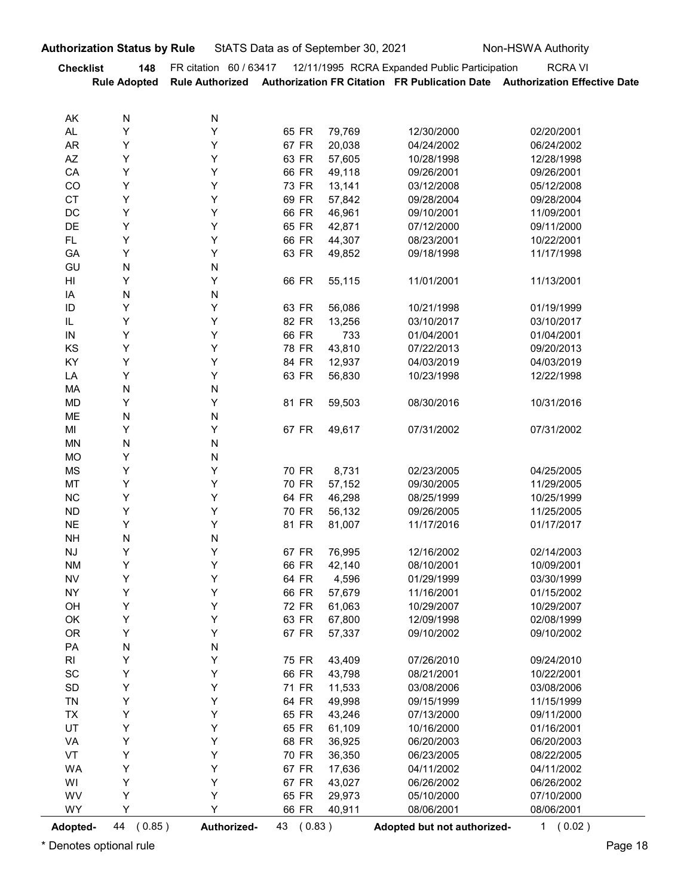| StATS Data as of September 30, 2021<br>Non-HSWA Authority<br><b>Authorization Status by Rule</b><br>FR citation 60 / 63417 12/11/1995 RCRA Expanded Public Participation<br><b>Checklist</b><br><b>RCRAVI</b><br>148<br>Rule Authorized Authorization FR Citation FR Publication Date Authorization Effective Date<br><b>Rule Adopted</b><br>N<br>AK<br>N<br>AL<br>Y<br>Υ<br>65 FR<br>79,769<br>12/30/2000<br>02/20/2001<br>67 FR<br>AR<br>Υ<br>Y<br>20,038<br>04/24/2002<br>06/24/2002<br>AZ<br>Υ<br>Y<br>63 FR<br>57,605<br>10/28/1998<br>12/28/1998<br>Y<br>66 FR<br>CA<br>Υ<br>49,118<br>09/26/2001<br>09/26/2001<br>CO<br>Υ<br>Y<br>73 FR<br>13,141<br>03/12/2008<br>05/12/2008<br>CT<br>69 FR<br>Υ<br>Y<br>57,842<br>09/28/2004<br>09/28/2004<br>DC<br>Υ<br>Υ<br>66 FR<br>46,961<br>09/10/2001<br>11/09/2001<br>65 FR<br>DE<br>Υ<br>Y<br>42,871<br>07/12/2000<br>09/11/2000<br>Υ<br>Υ<br>66 FR<br>FL.<br>44,307<br>08/23/2001<br>10/22/2001<br>GA<br>Y<br>Υ<br>63 FR<br>49,852<br>11/17/1998<br>09/18/1998<br>${\sf N}$<br>GU<br>N<br>H<br>Y<br>Y<br>11/01/2001<br>11/13/2001<br>66 FR<br>55,115<br>IA<br>N<br>${\sf N}$<br>Υ<br>Υ<br>63 FR<br>$\sf ID$<br>56,086<br>01/19/1999<br>10/21/1998<br>Υ<br>Υ<br>82 FR<br>IL<br>13,256<br>03/10/2017<br>03/10/2017<br>Υ<br>Υ<br>66 FR<br>733<br>${\sf IN}$<br>01/04/2001<br>01/04/2001<br>Υ<br>Υ<br>78 FR<br>43,810<br>KS<br>07/22/2013<br>09/20/2013<br>KY<br>Υ<br>Υ<br>84 FR<br>12,937<br>04/03/2019<br>04/03/2019<br>Υ<br>Υ<br>63 FR<br>LA<br>56,830<br>10/23/1998<br>12/22/1998<br>${\sf N}$<br>N<br>MA<br>Υ<br>Υ<br>MD<br>81 FR<br>59,503<br>08/30/2016<br>10/31/2016<br>N<br>ME<br>N<br>Υ<br>Υ<br>MI<br>67 FR<br>49,617<br>07/31/2002<br>07/31/2002<br>${\sf N}$<br>N<br>MN<br>Υ<br><b>MO</b><br>N<br>Υ<br>Υ<br>MS<br>70 FR<br>8,731<br>02/23/2005<br>04/25/2005<br>Υ<br>Υ<br>70 FR<br>57,152<br>MT<br>09/30/2005<br>11/29/2005<br>Υ<br>Υ<br>64 FR<br>NC<br>46,298<br>08/25/1999<br>10/25/1999<br>Υ<br>Υ<br>70 FR<br><b>ND</b><br>56,132<br>09/26/2005<br>11/25/2005<br>Υ<br>Υ<br>81 FR<br><b>NE</b><br>81,007<br>11/17/2016<br>01/17/2017<br>${\sf N}$<br><b>NH</b><br>N<br>Υ<br>Υ<br>$\mathsf{N}\mathsf{J}$<br>67 FR<br>76,995<br>12/16/2002<br>02/14/2003<br>Υ<br>Υ<br>66 FR<br>42,140<br><b>NM</b><br>08/10/2001<br>10/09/2001<br>Υ<br>Υ<br>64 FR<br><b>NV</b><br>4,596<br>01/29/1999<br>03/30/1999<br>Υ<br>Υ<br>66 FR<br><b>NY</b><br>57,679<br>11/16/2001<br>01/15/2002<br>Υ<br>Υ<br>72 FR<br>OH<br>61,063<br>10/29/2007<br>10/29/2007<br>Υ<br>Υ<br>63 FR<br>OK<br>67,800<br>12/09/1998<br>02/08/1999<br>Υ<br>Υ<br>67 FR<br><b>OR</b><br>57,337<br>09/10/2002<br>09/10/2002<br>${\sf N}$<br>PA<br>${\sf N}$<br>Υ<br>Υ<br>R <sub>l</sub><br>75 FR<br>43,409<br>07/26/2010<br>09/24/2010<br>$\operatorname{\textsf{SC}}$<br>Υ<br>Υ<br>66 FR<br>43,798<br>08/21/2001<br>10/22/2001<br>Υ<br>$\mathsf{SD}$<br>Υ<br>71 FR<br>11,533<br>03/08/2006<br>03/08/2006<br>Υ<br>Υ<br>TN<br>64 FR<br>49,998<br>09/15/1999<br>11/15/1999<br>Υ<br>Υ<br>TX<br>65 FR<br>43,246<br>07/13/2000<br>09/11/2000<br>Υ<br>Υ<br>UT<br>65 FR<br>61,109<br>10/16/2000<br>01/16/2001<br>Υ<br>Υ<br>VA<br>68 FR<br>36,925<br>06/20/2003<br>06/20/2003<br>Υ<br>Υ<br>VT<br>70 FR<br>36,350<br>06/23/2005<br>08/22/2005<br>Υ<br>Υ<br>WA<br>67 FR<br>17,636<br>04/11/2002<br>04/11/2002<br>Y<br>Υ<br>WI<br>67 FR<br>43,027<br>06/26/2002<br>06/26/2002<br>Υ<br>WV<br>Y<br>65 FR<br>29,973<br>07/10/2000<br>05/10/2000<br>Υ<br>Y<br>WY<br>66 FR<br>40,911<br>08/06/2001<br>08/06/2001 |  |  |  |  |
|--------------------------------------------------------------------------------------------------------------------------------------------------------------------------------------------------------------------------------------------------------------------------------------------------------------------------------------------------------------------------------------------------------------------------------------------------------------------------------------------------------------------------------------------------------------------------------------------------------------------------------------------------------------------------------------------------------------------------------------------------------------------------------------------------------------------------------------------------------------------------------------------------------------------------------------------------------------------------------------------------------------------------------------------------------------------------------------------------------------------------------------------------------------------------------------------------------------------------------------------------------------------------------------------------------------------------------------------------------------------------------------------------------------------------------------------------------------------------------------------------------------------------------------------------------------------------------------------------------------------------------------------------------------------------------------------------------------------------------------------------------------------------------------------------------------------------------------------------------------------------------------------------------------------------------------------------------------------------------------------------------------------------------------------------------------------------------------------------------------------------------------------------------------------------------------------------------------------------------------------------------------------------------------------------------------------------------------------------------------------------------------------------------------------------------------------------------------------------------------------------------------------------------------------------------------------------------------------------------------------------------------------------------------------------------------------------------------------------------------------------------------------------------------------------------------------------------------------------------------------------------------------------------------------------------------------------------------------------------------------------------------------------------------------------------------------------------------------------------------------------------------------------------------------------------------------------------------------------------------------------------------------------------------------------------------------------------------------------------------------------------------------------------------------------------------------------------------------------------------------------------------|--|--|--|--|
|                                                                                                                                                                                                                                                                                                                                                                                                                                                                                                                                                                                                                                                                                                                                                                                                                                                                                                                                                                                                                                                                                                                                                                                                                                                                                                                                                                                                                                                                                                                                                                                                                                                                                                                                                                                                                                                                                                                                                                                                                                                                                                                                                                                                                                                                                                                                                                                                                                                                                                                                                                                                                                                                                                                                                                                                                                                                                                                                                                                                                                                                                                                                                                                                                                                                                                                                                                                                                                                                                                              |  |  |  |  |
|                                                                                                                                                                                                                                                                                                                                                                                                                                                                                                                                                                                                                                                                                                                                                                                                                                                                                                                                                                                                                                                                                                                                                                                                                                                                                                                                                                                                                                                                                                                                                                                                                                                                                                                                                                                                                                                                                                                                                                                                                                                                                                                                                                                                                                                                                                                                                                                                                                                                                                                                                                                                                                                                                                                                                                                                                                                                                                                                                                                                                                                                                                                                                                                                                                                                                                                                                                                                                                                                                                              |  |  |  |  |
|                                                                                                                                                                                                                                                                                                                                                                                                                                                                                                                                                                                                                                                                                                                                                                                                                                                                                                                                                                                                                                                                                                                                                                                                                                                                                                                                                                                                                                                                                                                                                                                                                                                                                                                                                                                                                                                                                                                                                                                                                                                                                                                                                                                                                                                                                                                                                                                                                                                                                                                                                                                                                                                                                                                                                                                                                                                                                                                                                                                                                                                                                                                                                                                                                                                                                                                                                                                                                                                                                                              |  |  |  |  |
|                                                                                                                                                                                                                                                                                                                                                                                                                                                                                                                                                                                                                                                                                                                                                                                                                                                                                                                                                                                                                                                                                                                                                                                                                                                                                                                                                                                                                                                                                                                                                                                                                                                                                                                                                                                                                                                                                                                                                                                                                                                                                                                                                                                                                                                                                                                                                                                                                                                                                                                                                                                                                                                                                                                                                                                                                                                                                                                                                                                                                                                                                                                                                                                                                                                                                                                                                                                                                                                                                                              |  |  |  |  |
|                                                                                                                                                                                                                                                                                                                                                                                                                                                                                                                                                                                                                                                                                                                                                                                                                                                                                                                                                                                                                                                                                                                                                                                                                                                                                                                                                                                                                                                                                                                                                                                                                                                                                                                                                                                                                                                                                                                                                                                                                                                                                                                                                                                                                                                                                                                                                                                                                                                                                                                                                                                                                                                                                                                                                                                                                                                                                                                                                                                                                                                                                                                                                                                                                                                                                                                                                                                                                                                                                                              |  |  |  |  |
|                                                                                                                                                                                                                                                                                                                                                                                                                                                                                                                                                                                                                                                                                                                                                                                                                                                                                                                                                                                                                                                                                                                                                                                                                                                                                                                                                                                                                                                                                                                                                                                                                                                                                                                                                                                                                                                                                                                                                                                                                                                                                                                                                                                                                                                                                                                                                                                                                                                                                                                                                                                                                                                                                                                                                                                                                                                                                                                                                                                                                                                                                                                                                                                                                                                                                                                                                                                                                                                                                                              |  |  |  |  |
|                                                                                                                                                                                                                                                                                                                                                                                                                                                                                                                                                                                                                                                                                                                                                                                                                                                                                                                                                                                                                                                                                                                                                                                                                                                                                                                                                                                                                                                                                                                                                                                                                                                                                                                                                                                                                                                                                                                                                                                                                                                                                                                                                                                                                                                                                                                                                                                                                                                                                                                                                                                                                                                                                                                                                                                                                                                                                                                                                                                                                                                                                                                                                                                                                                                                                                                                                                                                                                                                                                              |  |  |  |  |
|                                                                                                                                                                                                                                                                                                                                                                                                                                                                                                                                                                                                                                                                                                                                                                                                                                                                                                                                                                                                                                                                                                                                                                                                                                                                                                                                                                                                                                                                                                                                                                                                                                                                                                                                                                                                                                                                                                                                                                                                                                                                                                                                                                                                                                                                                                                                                                                                                                                                                                                                                                                                                                                                                                                                                                                                                                                                                                                                                                                                                                                                                                                                                                                                                                                                                                                                                                                                                                                                                                              |  |  |  |  |
|                                                                                                                                                                                                                                                                                                                                                                                                                                                                                                                                                                                                                                                                                                                                                                                                                                                                                                                                                                                                                                                                                                                                                                                                                                                                                                                                                                                                                                                                                                                                                                                                                                                                                                                                                                                                                                                                                                                                                                                                                                                                                                                                                                                                                                                                                                                                                                                                                                                                                                                                                                                                                                                                                                                                                                                                                                                                                                                                                                                                                                                                                                                                                                                                                                                                                                                                                                                                                                                                                                              |  |  |  |  |
|                                                                                                                                                                                                                                                                                                                                                                                                                                                                                                                                                                                                                                                                                                                                                                                                                                                                                                                                                                                                                                                                                                                                                                                                                                                                                                                                                                                                                                                                                                                                                                                                                                                                                                                                                                                                                                                                                                                                                                                                                                                                                                                                                                                                                                                                                                                                                                                                                                                                                                                                                                                                                                                                                                                                                                                                                                                                                                                                                                                                                                                                                                                                                                                                                                                                                                                                                                                                                                                                                                              |  |  |  |  |
|                                                                                                                                                                                                                                                                                                                                                                                                                                                                                                                                                                                                                                                                                                                                                                                                                                                                                                                                                                                                                                                                                                                                                                                                                                                                                                                                                                                                                                                                                                                                                                                                                                                                                                                                                                                                                                                                                                                                                                                                                                                                                                                                                                                                                                                                                                                                                                                                                                                                                                                                                                                                                                                                                                                                                                                                                                                                                                                                                                                                                                                                                                                                                                                                                                                                                                                                                                                                                                                                                                              |  |  |  |  |
|                                                                                                                                                                                                                                                                                                                                                                                                                                                                                                                                                                                                                                                                                                                                                                                                                                                                                                                                                                                                                                                                                                                                                                                                                                                                                                                                                                                                                                                                                                                                                                                                                                                                                                                                                                                                                                                                                                                                                                                                                                                                                                                                                                                                                                                                                                                                                                                                                                                                                                                                                                                                                                                                                                                                                                                                                                                                                                                                                                                                                                                                                                                                                                                                                                                                                                                                                                                                                                                                                                              |  |  |  |  |
|                                                                                                                                                                                                                                                                                                                                                                                                                                                                                                                                                                                                                                                                                                                                                                                                                                                                                                                                                                                                                                                                                                                                                                                                                                                                                                                                                                                                                                                                                                                                                                                                                                                                                                                                                                                                                                                                                                                                                                                                                                                                                                                                                                                                                                                                                                                                                                                                                                                                                                                                                                                                                                                                                                                                                                                                                                                                                                                                                                                                                                                                                                                                                                                                                                                                                                                                                                                                                                                                                                              |  |  |  |  |
|                                                                                                                                                                                                                                                                                                                                                                                                                                                                                                                                                                                                                                                                                                                                                                                                                                                                                                                                                                                                                                                                                                                                                                                                                                                                                                                                                                                                                                                                                                                                                                                                                                                                                                                                                                                                                                                                                                                                                                                                                                                                                                                                                                                                                                                                                                                                                                                                                                                                                                                                                                                                                                                                                                                                                                                                                                                                                                                                                                                                                                                                                                                                                                                                                                                                                                                                                                                                                                                                                                              |  |  |  |  |
|                                                                                                                                                                                                                                                                                                                                                                                                                                                                                                                                                                                                                                                                                                                                                                                                                                                                                                                                                                                                                                                                                                                                                                                                                                                                                                                                                                                                                                                                                                                                                                                                                                                                                                                                                                                                                                                                                                                                                                                                                                                                                                                                                                                                                                                                                                                                                                                                                                                                                                                                                                                                                                                                                                                                                                                                                                                                                                                                                                                                                                                                                                                                                                                                                                                                                                                                                                                                                                                                                                              |  |  |  |  |
|                                                                                                                                                                                                                                                                                                                                                                                                                                                                                                                                                                                                                                                                                                                                                                                                                                                                                                                                                                                                                                                                                                                                                                                                                                                                                                                                                                                                                                                                                                                                                                                                                                                                                                                                                                                                                                                                                                                                                                                                                                                                                                                                                                                                                                                                                                                                                                                                                                                                                                                                                                                                                                                                                                                                                                                                                                                                                                                                                                                                                                                                                                                                                                                                                                                                                                                                                                                                                                                                                                              |  |  |  |  |
|                                                                                                                                                                                                                                                                                                                                                                                                                                                                                                                                                                                                                                                                                                                                                                                                                                                                                                                                                                                                                                                                                                                                                                                                                                                                                                                                                                                                                                                                                                                                                                                                                                                                                                                                                                                                                                                                                                                                                                                                                                                                                                                                                                                                                                                                                                                                                                                                                                                                                                                                                                                                                                                                                                                                                                                                                                                                                                                                                                                                                                                                                                                                                                                                                                                                                                                                                                                                                                                                                                              |  |  |  |  |
|                                                                                                                                                                                                                                                                                                                                                                                                                                                                                                                                                                                                                                                                                                                                                                                                                                                                                                                                                                                                                                                                                                                                                                                                                                                                                                                                                                                                                                                                                                                                                                                                                                                                                                                                                                                                                                                                                                                                                                                                                                                                                                                                                                                                                                                                                                                                                                                                                                                                                                                                                                                                                                                                                                                                                                                                                                                                                                                                                                                                                                                                                                                                                                                                                                                                                                                                                                                                                                                                                                              |  |  |  |  |
|                                                                                                                                                                                                                                                                                                                                                                                                                                                                                                                                                                                                                                                                                                                                                                                                                                                                                                                                                                                                                                                                                                                                                                                                                                                                                                                                                                                                                                                                                                                                                                                                                                                                                                                                                                                                                                                                                                                                                                                                                                                                                                                                                                                                                                                                                                                                                                                                                                                                                                                                                                                                                                                                                                                                                                                                                                                                                                                                                                                                                                                                                                                                                                                                                                                                                                                                                                                                                                                                                                              |  |  |  |  |
|                                                                                                                                                                                                                                                                                                                                                                                                                                                                                                                                                                                                                                                                                                                                                                                                                                                                                                                                                                                                                                                                                                                                                                                                                                                                                                                                                                                                                                                                                                                                                                                                                                                                                                                                                                                                                                                                                                                                                                                                                                                                                                                                                                                                                                                                                                                                                                                                                                                                                                                                                                                                                                                                                                                                                                                                                                                                                                                                                                                                                                                                                                                                                                                                                                                                                                                                                                                                                                                                                                              |  |  |  |  |
|                                                                                                                                                                                                                                                                                                                                                                                                                                                                                                                                                                                                                                                                                                                                                                                                                                                                                                                                                                                                                                                                                                                                                                                                                                                                                                                                                                                                                                                                                                                                                                                                                                                                                                                                                                                                                                                                                                                                                                                                                                                                                                                                                                                                                                                                                                                                                                                                                                                                                                                                                                                                                                                                                                                                                                                                                                                                                                                                                                                                                                                                                                                                                                                                                                                                                                                                                                                                                                                                                                              |  |  |  |  |
|                                                                                                                                                                                                                                                                                                                                                                                                                                                                                                                                                                                                                                                                                                                                                                                                                                                                                                                                                                                                                                                                                                                                                                                                                                                                                                                                                                                                                                                                                                                                                                                                                                                                                                                                                                                                                                                                                                                                                                                                                                                                                                                                                                                                                                                                                                                                                                                                                                                                                                                                                                                                                                                                                                                                                                                                                                                                                                                                                                                                                                                                                                                                                                                                                                                                                                                                                                                                                                                                                                              |  |  |  |  |
|                                                                                                                                                                                                                                                                                                                                                                                                                                                                                                                                                                                                                                                                                                                                                                                                                                                                                                                                                                                                                                                                                                                                                                                                                                                                                                                                                                                                                                                                                                                                                                                                                                                                                                                                                                                                                                                                                                                                                                                                                                                                                                                                                                                                                                                                                                                                                                                                                                                                                                                                                                                                                                                                                                                                                                                                                                                                                                                                                                                                                                                                                                                                                                                                                                                                                                                                                                                                                                                                                                              |  |  |  |  |
|                                                                                                                                                                                                                                                                                                                                                                                                                                                                                                                                                                                                                                                                                                                                                                                                                                                                                                                                                                                                                                                                                                                                                                                                                                                                                                                                                                                                                                                                                                                                                                                                                                                                                                                                                                                                                                                                                                                                                                                                                                                                                                                                                                                                                                                                                                                                                                                                                                                                                                                                                                                                                                                                                                                                                                                                                                                                                                                                                                                                                                                                                                                                                                                                                                                                                                                                                                                                                                                                                                              |  |  |  |  |
|                                                                                                                                                                                                                                                                                                                                                                                                                                                                                                                                                                                                                                                                                                                                                                                                                                                                                                                                                                                                                                                                                                                                                                                                                                                                                                                                                                                                                                                                                                                                                                                                                                                                                                                                                                                                                                                                                                                                                                                                                                                                                                                                                                                                                                                                                                                                                                                                                                                                                                                                                                                                                                                                                                                                                                                                                                                                                                                                                                                                                                                                                                                                                                                                                                                                                                                                                                                                                                                                                                              |  |  |  |  |
|                                                                                                                                                                                                                                                                                                                                                                                                                                                                                                                                                                                                                                                                                                                                                                                                                                                                                                                                                                                                                                                                                                                                                                                                                                                                                                                                                                                                                                                                                                                                                                                                                                                                                                                                                                                                                                                                                                                                                                                                                                                                                                                                                                                                                                                                                                                                                                                                                                                                                                                                                                                                                                                                                                                                                                                                                                                                                                                                                                                                                                                                                                                                                                                                                                                                                                                                                                                                                                                                                                              |  |  |  |  |
|                                                                                                                                                                                                                                                                                                                                                                                                                                                                                                                                                                                                                                                                                                                                                                                                                                                                                                                                                                                                                                                                                                                                                                                                                                                                                                                                                                                                                                                                                                                                                                                                                                                                                                                                                                                                                                                                                                                                                                                                                                                                                                                                                                                                                                                                                                                                                                                                                                                                                                                                                                                                                                                                                                                                                                                                                                                                                                                                                                                                                                                                                                                                                                                                                                                                                                                                                                                                                                                                                                              |  |  |  |  |
|                                                                                                                                                                                                                                                                                                                                                                                                                                                                                                                                                                                                                                                                                                                                                                                                                                                                                                                                                                                                                                                                                                                                                                                                                                                                                                                                                                                                                                                                                                                                                                                                                                                                                                                                                                                                                                                                                                                                                                                                                                                                                                                                                                                                                                                                                                                                                                                                                                                                                                                                                                                                                                                                                                                                                                                                                                                                                                                                                                                                                                                                                                                                                                                                                                                                                                                                                                                                                                                                                                              |  |  |  |  |
|                                                                                                                                                                                                                                                                                                                                                                                                                                                                                                                                                                                                                                                                                                                                                                                                                                                                                                                                                                                                                                                                                                                                                                                                                                                                                                                                                                                                                                                                                                                                                                                                                                                                                                                                                                                                                                                                                                                                                                                                                                                                                                                                                                                                                                                                                                                                                                                                                                                                                                                                                                                                                                                                                                                                                                                                                                                                                                                                                                                                                                                                                                                                                                                                                                                                                                                                                                                                                                                                                                              |  |  |  |  |
|                                                                                                                                                                                                                                                                                                                                                                                                                                                                                                                                                                                                                                                                                                                                                                                                                                                                                                                                                                                                                                                                                                                                                                                                                                                                                                                                                                                                                                                                                                                                                                                                                                                                                                                                                                                                                                                                                                                                                                                                                                                                                                                                                                                                                                                                                                                                                                                                                                                                                                                                                                                                                                                                                                                                                                                                                                                                                                                                                                                                                                                                                                                                                                                                                                                                                                                                                                                                                                                                                                              |  |  |  |  |
|                                                                                                                                                                                                                                                                                                                                                                                                                                                                                                                                                                                                                                                                                                                                                                                                                                                                                                                                                                                                                                                                                                                                                                                                                                                                                                                                                                                                                                                                                                                                                                                                                                                                                                                                                                                                                                                                                                                                                                                                                                                                                                                                                                                                                                                                                                                                                                                                                                                                                                                                                                                                                                                                                                                                                                                                                                                                                                                                                                                                                                                                                                                                                                                                                                                                                                                                                                                                                                                                                                              |  |  |  |  |
|                                                                                                                                                                                                                                                                                                                                                                                                                                                                                                                                                                                                                                                                                                                                                                                                                                                                                                                                                                                                                                                                                                                                                                                                                                                                                                                                                                                                                                                                                                                                                                                                                                                                                                                                                                                                                                                                                                                                                                                                                                                                                                                                                                                                                                                                                                                                                                                                                                                                                                                                                                                                                                                                                                                                                                                                                                                                                                                                                                                                                                                                                                                                                                                                                                                                                                                                                                                                                                                                                                              |  |  |  |  |
|                                                                                                                                                                                                                                                                                                                                                                                                                                                                                                                                                                                                                                                                                                                                                                                                                                                                                                                                                                                                                                                                                                                                                                                                                                                                                                                                                                                                                                                                                                                                                                                                                                                                                                                                                                                                                                                                                                                                                                                                                                                                                                                                                                                                                                                                                                                                                                                                                                                                                                                                                                                                                                                                                                                                                                                                                                                                                                                                                                                                                                                                                                                                                                                                                                                                                                                                                                                                                                                                                                              |  |  |  |  |
|                                                                                                                                                                                                                                                                                                                                                                                                                                                                                                                                                                                                                                                                                                                                                                                                                                                                                                                                                                                                                                                                                                                                                                                                                                                                                                                                                                                                                                                                                                                                                                                                                                                                                                                                                                                                                                                                                                                                                                                                                                                                                                                                                                                                                                                                                                                                                                                                                                                                                                                                                                                                                                                                                                                                                                                                                                                                                                                                                                                                                                                                                                                                                                                                                                                                                                                                                                                                                                                                                                              |  |  |  |  |
|                                                                                                                                                                                                                                                                                                                                                                                                                                                                                                                                                                                                                                                                                                                                                                                                                                                                                                                                                                                                                                                                                                                                                                                                                                                                                                                                                                                                                                                                                                                                                                                                                                                                                                                                                                                                                                                                                                                                                                                                                                                                                                                                                                                                                                                                                                                                                                                                                                                                                                                                                                                                                                                                                                                                                                                                                                                                                                                                                                                                                                                                                                                                                                                                                                                                                                                                                                                                                                                                                                              |  |  |  |  |
|                                                                                                                                                                                                                                                                                                                                                                                                                                                                                                                                                                                                                                                                                                                                                                                                                                                                                                                                                                                                                                                                                                                                                                                                                                                                                                                                                                                                                                                                                                                                                                                                                                                                                                                                                                                                                                                                                                                                                                                                                                                                                                                                                                                                                                                                                                                                                                                                                                                                                                                                                                                                                                                                                                                                                                                                                                                                                                                                                                                                                                                                                                                                                                                                                                                                                                                                                                                                                                                                                                              |  |  |  |  |
|                                                                                                                                                                                                                                                                                                                                                                                                                                                                                                                                                                                                                                                                                                                                                                                                                                                                                                                                                                                                                                                                                                                                                                                                                                                                                                                                                                                                                                                                                                                                                                                                                                                                                                                                                                                                                                                                                                                                                                                                                                                                                                                                                                                                                                                                                                                                                                                                                                                                                                                                                                                                                                                                                                                                                                                                                                                                                                                                                                                                                                                                                                                                                                                                                                                                                                                                                                                                                                                                                                              |  |  |  |  |
|                                                                                                                                                                                                                                                                                                                                                                                                                                                                                                                                                                                                                                                                                                                                                                                                                                                                                                                                                                                                                                                                                                                                                                                                                                                                                                                                                                                                                                                                                                                                                                                                                                                                                                                                                                                                                                                                                                                                                                                                                                                                                                                                                                                                                                                                                                                                                                                                                                                                                                                                                                                                                                                                                                                                                                                                                                                                                                                                                                                                                                                                                                                                                                                                                                                                                                                                                                                                                                                                                                              |  |  |  |  |
|                                                                                                                                                                                                                                                                                                                                                                                                                                                                                                                                                                                                                                                                                                                                                                                                                                                                                                                                                                                                                                                                                                                                                                                                                                                                                                                                                                                                                                                                                                                                                                                                                                                                                                                                                                                                                                                                                                                                                                                                                                                                                                                                                                                                                                                                                                                                                                                                                                                                                                                                                                                                                                                                                                                                                                                                                                                                                                                                                                                                                                                                                                                                                                                                                                                                                                                                                                                                                                                                                                              |  |  |  |  |
|                                                                                                                                                                                                                                                                                                                                                                                                                                                                                                                                                                                                                                                                                                                                                                                                                                                                                                                                                                                                                                                                                                                                                                                                                                                                                                                                                                                                                                                                                                                                                                                                                                                                                                                                                                                                                                                                                                                                                                                                                                                                                                                                                                                                                                                                                                                                                                                                                                                                                                                                                                                                                                                                                                                                                                                                                                                                                                                                                                                                                                                                                                                                                                                                                                                                                                                                                                                                                                                                                                              |  |  |  |  |
|                                                                                                                                                                                                                                                                                                                                                                                                                                                                                                                                                                                                                                                                                                                                                                                                                                                                                                                                                                                                                                                                                                                                                                                                                                                                                                                                                                                                                                                                                                                                                                                                                                                                                                                                                                                                                                                                                                                                                                                                                                                                                                                                                                                                                                                                                                                                                                                                                                                                                                                                                                                                                                                                                                                                                                                                                                                                                                                                                                                                                                                                                                                                                                                                                                                                                                                                                                                                                                                                                                              |  |  |  |  |
|                                                                                                                                                                                                                                                                                                                                                                                                                                                                                                                                                                                                                                                                                                                                                                                                                                                                                                                                                                                                                                                                                                                                                                                                                                                                                                                                                                                                                                                                                                                                                                                                                                                                                                                                                                                                                                                                                                                                                                                                                                                                                                                                                                                                                                                                                                                                                                                                                                                                                                                                                                                                                                                                                                                                                                                                                                                                                                                                                                                                                                                                                                                                                                                                                                                                                                                                                                                                                                                                                                              |  |  |  |  |
|                                                                                                                                                                                                                                                                                                                                                                                                                                                                                                                                                                                                                                                                                                                                                                                                                                                                                                                                                                                                                                                                                                                                                                                                                                                                                                                                                                                                                                                                                                                                                                                                                                                                                                                                                                                                                                                                                                                                                                                                                                                                                                                                                                                                                                                                                                                                                                                                                                                                                                                                                                                                                                                                                                                                                                                                                                                                                                                                                                                                                                                                                                                                                                                                                                                                                                                                                                                                                                                                                                              |  |  |  |  |
|                                                                                                                                                                                                                                                                                                                                                                                                                                                                                                                                                                                                                                                                                                                                                                                                                                                                                                                                                                                                                                                                                                                                                                                                                                                                                                                                                                                                                                                                                                                                                                                                                                                                                                                                                                                                                                                                                                                                                                                                                                                                                                                                                                                                                                                                                                                                                                                                                                                                                                                                                                                                                                                                                                                                                                                                                                                                                                                                                                                                                                                                                                                                                                                                                                                                                                                                                                                                                                                                                                              |  |  |  |  |
|                                                                                                                                                                                                                                                                                                                                                                                                                                                                                                                                                                                                                                                                                                                                                                                                                                                                                                                                                                                                                                                                                                                                                                                                                                                                                                                                                                                                                                                                                                                                                                                                                                                                                                                                                                                                                                                                                                                                                                                                                                                                                                                                                                                                                                                                                                                                                                                                                                                                                                                                                                                                                                                                                                                                                                                                                                                                                                                                                                                                                                                                                                                                                                                                                                                                                                                                                                                                                                                                                                              |  |  |  |  |
|                                                                                                                                                                                                                                                                                                                                                                                                                                                                                                                                                                                                                                                                                                                                                                                                                                                                                                                                                                                                                                                                                                                                                                                                                                                                                                                                                                                                                                                                                                                                                                                                                                                                                                                                                                                                                                                                                                                                                                                                                                                                                                                                                                                                                                                                                                                                                                                                                                                                                                                                                                                                                                                                                                                                                                                                                                                                                                                                                                                                                                                                                                                                                                                                                                                                                                                                                                                                                                                                                                              |  |  |  |  |
|                                                                                                                                                                                                                                                                                                                                                                                                                                                                                                                                                                                                                                                                                                                                                                                                                                                                                                                                                                                                                                                                                                                                                                                                                                                                                                                                                                                                                                                                                                                                                                                                                                                                                                                                                                                                                                                                                                                                                                                                                                                                                                                                                                                                                                                                                                                                                                                                                                                                                                                                                                                                                                                                                                                                                                                                                                                                                                                                                                                                                                                                                                                                                                                                                                                                                                                                                                                                                                                                                                              |  |  |  |  |
|                                                                                                                                                                                                                                                                                                                                                                                                                                                                                                                                                                                                                                                                                                                                                                                                                                                                                                                                                                                                                                                                                                                                                                                                                                                                                                                                                                                                                                                                                                                                                                                                                                                                                                                                                                                                                                                                                                                                                                                                                                                                                                                                                                                                                                                                                                                                                                                                                                                                                                                                                                                                                                                                                                                                                                                                                                                                                                                                                                                                                                                                                                                                                                                                                                                                                                                                                                                                                                                                                                              |  |  |  |  |
|                                                                                                                                                                                                                                                                                                                                                                                                                                                                                                                                                                                                                                                                                                                                                                                                                                                                                                                                                                                                                                                                                                                                                                                                                                                                                                                                                                                                                                                                                                                                                                                                                                                                                                                                                                                                                                                                                                                                                                                                                                                                                                                                                                                                                                                                                                                                                                                                                                                                                                                                                                                                                                                                                                                                                                                                                                                                                                                                                                                                                                                                                                                                                                                                                                                                                                                                                                                                                                                                                                              |  |  |  |  |
| 44 (0.85)<br>Authorized-<br>43 (0.83)<br>Adopted but not authorized-<br>1 (0.02)<br>Adopted-                                                                                                                                                                                                                                                                                                                                                                                                                                                                                                                                                                                                                                                                                                                                                                                                                                                                                                                                                                                                                                                                                                                                                                                                                                                                                                                                                                                                                                                                                                                                                                                                                                                                                                                                                                                                                                                                                                                                                                                                                                                                                                                                                                                                                                                                                                                                                                                                                                                                                                                                                                                                                                                                                                                                                                                                                                                                                                                                                                                                                                                                                                                                                                                                                                                                                                                                                                                                                 |  |  |  |  |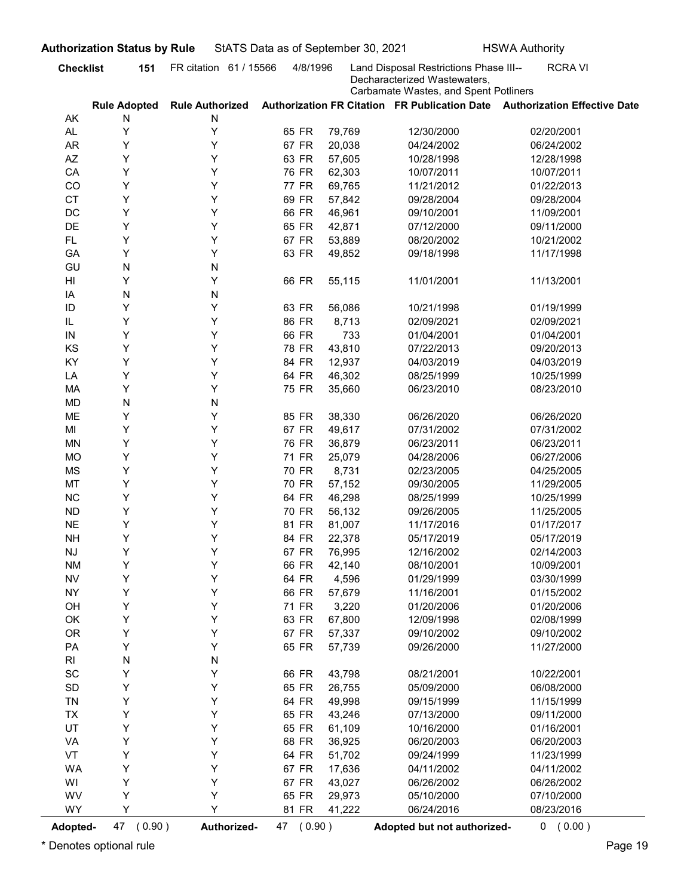|                              | <b>Authorization Status by Rule</b> |                        | StATS Data as of September 30, 2021 |                 |                                                                                                                 | <b>HSWA Authority</b>                                                      |
|------------------------------|-------------------------------------|------------------------|-------------------------------------|-----------------|-----------------------------------------------------------------------------------------------------------------|----------------------------------------------------------------------------|
| <b>Checklist</b>             | 151                                 | FR citation 61 / 15566 | 4/8/1996                            |                 | Land Disposal Restrictions Phase III--<br>Decharacterized Wastewaters,<br>Carbamate Wastes, and Spent Potliners | <b>RCRAVI</b>                                                              |
|                              | <b>Rule Adopted</b>                 | <b>Rule Authorized</b> |                                     |                 |                                                                                                                 | Authorization FR Citation FR Publication Date Authorization Effective Date |
| AK<br>AL.                    | N<br>Y                              | N<br>Y                 | 65 FR                               | 79,769          | 12/30/2000                                                                                                      | 02/20/2001                                                                 |
| AR                           | Y                                   | Y                      | 67 FR                               | 20,038          | 04/24/2002                                                                                                      | 06/24/2002                                                                 |
| AZ                           | Y                                   | Y                      | 63 FR                               | 57,605          | 10/28/1998                                                                                                      | 12/28/1998                                                                 |
| CA                           | Y                                   | Y                      | 76 FR                               | 62,303          | 10/07/2011                                                                                                      | 10/07/2011                                                                 |
| CO                           | Y                                   | Y                      | 77 FR                               | 69,765          | 11/21/2012                                                                                                      | 01/22/2013                                                                 |
| <b>CT</b>                    | Y                                   | Y                      | 69 FR                               | 57,842          | 09/28/2004                                                                                                      | 09/28/2004                                                                 |
| DC                           | Y                                   | Y                      | 66 FR                               | 46,961          | 09/10/2001                                                                                                      | 11/09/2001                                                                 |
| <b>DE</b>                    | Y                                   | Y                      | 65 FR                               | 42,871          | 07/12/2000                                                                                                      | 09/11/2000                                                                 |
| FL.                          | Y                                   | Y                      | 67 FR                               | 53,889          | 08/20/2002                                                                                                      | 10/21/2002                                                                 |
| GA                           | Y                                   | Y                      | 63 FR                               | 49,852          | 09/18/1998                                                                                                      | 11/17/1998                                                                 |
| GU                           | N                                   | N                      |                                     |                 |                                                                                                                 |                                                                            |
| HI                           | Y                                   | Y                      | 66 FR                               | 55,115          | 11/01/2001                                                                                                      | 11/13/2001                                                                 |
| IA                           | N                                   | N                      |                                     |                 |                                                                                                                 |                                                                            |
| ID                           | Y                                   | Y                      | 63 FR                               | 56,086          | 10/21/1998                                                                                                      | 01/19/1999                                                                 |
| IL                           | Y                                   | Y                      | 86 FR                               | 8,713           | 02/09/2021                                                                                                      | 02/09/2021                                                                 |
| IN                           | Υ                                   | Y                      | 66 FR                               | 733             | 01/04/2001                                                                                                      | 01/04/2001                                                                 |
| KS                           | Y                                   | Y                      | 78 FR                               | 43,810          | 07/22/2013                                                                                                      | 09/20/2013                                                                 |
| KY                           | Υ                                   | Y                      | 84 FR                               | 12,937          | 04/03/2019                                                                                                      | 04/03/2019                                                                 |
| LA                           | Y                                   | Y                      | 64 FR                               | 46,302          | 08/25/1999                                                                                                      | 10/25/1999                                                                 |
| MA                           | Υ                                   | Y                      | 75 FR                               | 35,660          | 06/23/2010                                                                                                      | 08/23/2010                                                                 |
| MD                           | N                                   | N                      |                                     |                 |                                                                                                                 |                                                                            |
| ME                           | Υ                                   | Υ                      | 85 FR                               | 38,330          | 06/26/2020                                                                                                      | 06/26/2020                                                                 |
| MI                           | Υ                                   | Y                      | 67 FR                               | 49,617          | 07/31/2002                                                                                                      | 07/31/2002                                                                 |
| <b>MN</b>                    | Y                                   | Y                      | 76 FR                               | 36,879          | 06/23/2011                                                                                                      | 06/23/2011                                                                 |
| <b>MO</b>                    | Υ                                   | Y                      | 71 FR                               | 25,079          | 04/28/2006                                                                                                      | 06/27/2006                                                                 |
| MS                           | Υ                                   | Y                      | 70 FR                               | 8,731           | 02/23/2005                                                                                                      | 04/25/2005                                                                 |
| MT                           | Υ                                   | Y                      | 70 FR                               | 57,152          | 09/30/2005                                                                                                      | 11/29/2005                                                                 |
| NC                           | Y                                   | Y                      | 64 FR                               | 46,298          | 08/25/1999                                                                                                      | 10/25/1999                                                                 |
| <b>ND</b>                    | Υ                                   | Y                      | 70 FR                               | 56,132          | 09/26/2005                                                                                                      | 11/25/2005                                                                 |
| <b>NE</b>                    | Υ                                   | Y                      | 81 FR                               | 81,007          | 11/17/2016                                                                                                      | 01/17/2017                                                                 |
| <b>NH</b>                    | Y                                   | Y                      | 84 FR                               | 22,378          | 05/17/2019                                                                                                      | 05/17/2019                                                                 |
| NJ                           | Y                                   | Y                      | 67 FR                               | 76,995          | 12/16/2002                                                                                                      | 02/14/2003                                                                 |
| <b>NM</b>                    | Y                                   | Y                      | 66 FR                               | 42,140          | 08/10/2001                                                                                                      | 10/09/2001                                                                 |
| <b>NV</b>                    | Υ                                   | Y                      | 64 FR                               | 4,596           | 01/29/1999                                                                                                      | 03/30/1999                                                                 |
| <b>NY</b>                    | Y                                   | Y                      | 66 FR                               | 57,679          | 11/16/2001                                                                                                      | 01/15/2002                                                                 |
| OH<br>OK                     | Υ<br>Υ                              | Y<br>Y                 | 71 FR<br>63 FR                      | 3,220<br>67,800 | 01/20/2006<br>12/09/1998                                                                                        | 01/20/2006<br>02/08/1999                                                   |
| OR                           | Υ                                   | Y                      | 67 FR                               | 57,337          | 09/10/2002                                                                                                      | 09/10/2002                                                                 |
| PA                           | Υ                                   | Y                      | 65 FR                               | 57,739          | 09/26/2000                                                                                                      | 11/27/2000                                                                 |
| RI                           |                                     |                        |                                     |                 |                                                                                                                 |                                                                            |
| $\operatorname{\textsf{SC}}$ | N<br>Υ                              | N<br>Y                 | 66 FR                               | 43,798          | 08/21/2001                                                                                                      | 10/22/2001                                                                 |
| SD                           | Υ                                   | Y                      | 65 FR                               | 26,755          | 05/09/2000                                                                                                      | 06/08/2000                                                                 |
| TN                           | Υ                                   | Y                      | 64 FR                               | 49,998          | 09/15/1999                                                                                                      | 11/15/1999                                                                 |
| TX                           | Υ                                   | Y                      | 65 FR                               | 43,246          | 07/13/2000                                                                                                      | 09/11/2000                                                                 |
| UT                           | Υ                                   | Y                      | 65 FR                               | 61,109          | 10/16/2000                                                                                                      | 01/16/2001                                                                 |
| VA                           | Υ                                   | Y                      | 68 FR                               | 36,925          | 06/20/2003                                                                                                      | 06/20/2003                                                                 |
| VT                           | Υ                                   | Y                      | 64 FR                               | 51,702          | 09/24/1999                                                                                                      | 11/23/1999                                                                 |
| WA                           | Υ                                   | Y                      | 67 FR                               | 17,636          | 04/11/2002                                                                                                      | 04/11/2002                                                                 |
| WI                           | Υ                                   | Y                      | 67 FR                               | 43,027          | 06/26/2002                                                                                                      | 06/26/2002                                                                 |
| WV                           | Υ                                   | Y                      | 65 FR                               | 29,973          | 05/10/2000                                                                                                      | 07/10/2000                                                                 |
| <b>WY</b>                    | Y                                   | Υ                      | 81 FR                               | 41,222          | 06/24/2016                                                                                                      | 08/23/2016                                                                 |
|                              |                                     |                        |                                     |                 |                                                                                                                 |                                                                            |
| Adopted-                     | 47 (0.90)                           | Authorized-            | 47 (0.90)                           |                 | Adopted but not authorized-                                                                                     | 0 (0.00)                                                                   |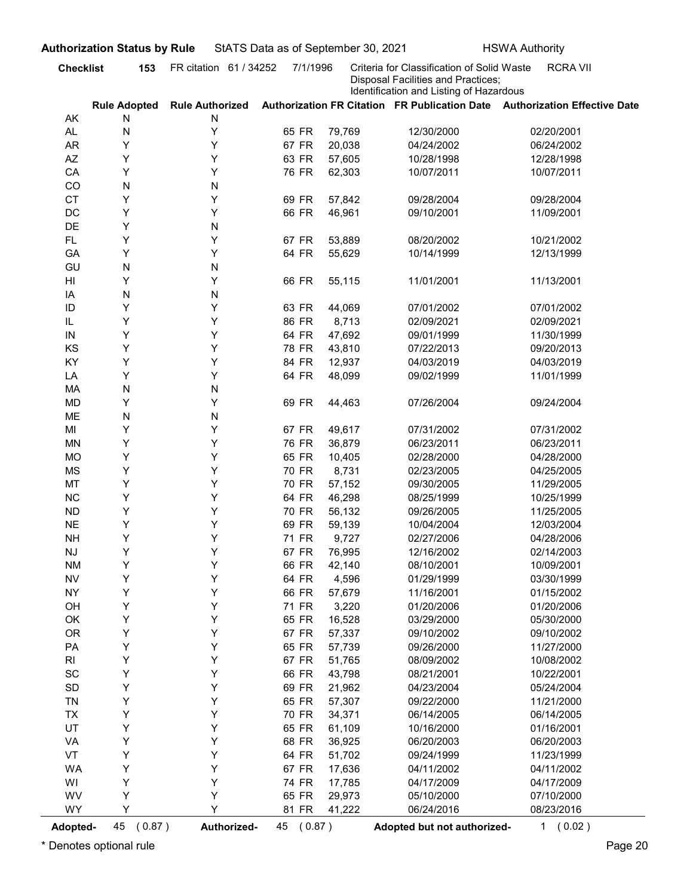| <b>Disposal Facilities and Practices;</b><br>Identification and Listing of Hazardous<br>Authorization FR Citation FR Publication Date Authorization Effective Date<br><b>Rule Adopted</b><br><b>Rule Authorized</b><br>AK<br>N<br>N<br>Υ<br>AL.<br>N<br>65 FR<br>79,769<br>12/30/2000<br>02/20/2001<br>Υ<br><b>AR</b><br>Υ<br>67 FR<br>20,038<br>04/24/2002<br>06/24/2002<br>Y<br>AZ<br>Y<br>63 FR<br>57,605<br>10/28/1998<br>12/28/1998<br>Y<br>Y<br>76 FR<br>CA<br>62,303<br>10/07/2011<br>10/07/2011<br>CO<br>N<br>N<br>Y<br><b>CT</b><br>Y<br>69 FR<br>57,842<br>09/28/2004<br>09/28/2004<br>Υ<br>DC<br>Y<br>66 FR<br>46,961<br>09/10/2001<br>11/09/2001<br>DE<br>Y<br>N<br>Y<br>Y<br>67 FR<br><b>FL</b><br>53,889<br>08/20/2002<br>10/21/2002<br>Υ<br>Y<br>64 FR<br>GA<br>55,629<br>10/14/1999<br>12/13/1999<br>N<br>GU<br>N<br>Υ<br>Y<br>66 FR<br>HI<br>55,115<br>11/01/2001<br>11/13/2001<br>N<br>N<br>IA<br>Υ<br>Y<br>ID<br>63 FR<br>07/01/2002<br>07/01/2002<br>44,069<br>Y<br>Y<br>IL<br>86 FR<br>8,713<br>02/09/2021<br>02/09/2021<br>Υ<br>64 FR<br>47,692<br>09/01/1999<br>11/30/1999<br>Y<br>IN<br>Υ<br>Υ<br>KS<br>78 FR<br>43,810<br>07/22/2013<br>09/20/2013<br>Υ<br>Υ<br>KY<br>84 FR<br>12,937<br>04/03/2019<br>04/03/2019<br>Υ<br>Υ<br>64 FR<br>48,099<br>LA<br>09/02/1999<br>11/01/1999<br>N<br>${\sf N}$<br>MA<br>Υ<br>Υ<br><b>MD</b><br>69 FR<br>44,463<br>07/26/2004<br>09/24/2004<br>N<br>ME<br>${\sf N}$<br>Υ<br>Y<br>67 FR<br>MI<br>49,617<br>07/31/2002<br>07/31/2002<br>Υ<br>Υ<br><b>MN</b><br>76 FR<br>36,879<br>06/23/2011<br>06/23/2011<br>Y<br>Υ<br><b>MO</b><br>65 FR<br>10,405<br>02/28/2000<br>04/28/2000<br>Y<br>Υ<br><b>MS</b><br>70 FR<br>8,731<br>02/23/2005<br>04/25/2005<br>Y<br>MT<br>Υ<br>70 FR<br>57,152<br>09/30/2005<br>11/29/2005<br>Y<br>$NC$<br>Υ<br>64 FR<br>46,298<br>08/25/1999<br>10/25/1999<br>Y<br>Υ<br>${\sf ND}$<br>70 FR<br>56,132<br>09/26/2005<br>11/25/2005<br>Y<br>$N\mathsf{E}$<br>Υ<br>69 FR<br>59,139<br>10/04/2004<br>12/03/2004<br>Y<br>Υ<br><b>NH</b><br>71 FR<br>9,727<br>02/27/2006<br>04/28/2006<br>Y<br>Υ<br>67 FR<br>$\mathsf{N}\mathsf{J}$<br>76,995<br>12/16/2002<br>02/14/2003<br>Y<br>Υ<br>66 FR<br><b>NM</b><br>42,140<br>08/10/2001<br>10/09/2001<br>Y<br>Υ<br>${\sf NV}$<br>64 FR<br>4,596<br>01/29/1999<br>03/30/1999<br>Y<br>Υ<br><b>NY</b><br>66 FR<br>57,679<br>11/16/2001<br>01/15/2002<br>Y<br>Υ<br>71 FR<br>3,220<br>OH<br>01/20/2006<br>01/20/2006<br>Υ<br>Υ<br>OK<br>65 FR<br>16,528<br>05/30/2000<br>03/29/2000<br>Y<br>Υ<br><b>OR</b><br>67 FR<br>57,337<br>09/10/2002<br>09/10/2002<br>Y<br>Υ<br>PA<br>65 FR<br>57,739<br>09/26/2000<br>11/27/2000<br>Y<br>Υ<br>67 FR<br>51,765<br>10/08/2002<br>R <sub>l</sub><br>08/09/2002<br>Y<br>Υ<br>$\operatorname{\textsf{SC}}$<br>66 FR<br>43,798<br>08/21/2001<br>10/22/2001<br>Y<br>Υ<br>$\mathsf{SD}$<br>69 FR<br>21,962<br>04/23/2004<br>05/24/2004<br>Y<br>Υ<br>TN<br>65 FR<br>57,307<br>11/21/2000<br>09/22/2000<br>Υ<br>Υ<br>70 FR<br>34,371<br>06/14/2005<br>06/14/2005<br><b>TX</b><br>Υ<br>UT<br>Υ<br>65 FR<br>61,109<br>01/16/2001<br>10/16/2000<br>Υ<br>Υ<br>VA<br>68 FR<br>36,925<br>06/20/2003<br>06/20/2003<br>Υ<br>Υ<br>VT<br>64 FR<br>51,702<br>09/24/1999<br>11/23/1999<br>Υ<br>Υ<br><b>WA</b><br>67 FR<br>17,636<br>04/11/2002<br>04/11/2002<br>Y<br>Υ<br>WI<br>74 FR<br>17,785<br>04/17/2009<br>04/17/2009<br>Υ<br>Υ<br>WV<br>65 FR<br>29,973<br>07/10/2000<br>05/10/2000<br>Y<br>Y<br><b>WY</b><br>81 FR<br>41,222<br>06/24/2016<br>08/23/2016 | <b>Checklist</b> | 153          | FR citation 61 / 34252 | 7/1/1996  | Criteria for Classification of Solid Waste | <b>RCRA VII</b> |
|--------------------------------------------------------------------------------------------------------------------------------------------------------------------------------------------------------------------------------------------------------------------------------------------------------------------------------------------------------------------------------------------------------------------------------------------------------------------------------------------------------------------------------------------------------------------------------------------------------------------------------------------------------------------------------------------------------------------------------------------------------------------------------------------------------------------------------------------------------------------------------------------------------------------------------------------------------------------------------------------------------------------------------------------------------------------------------------------------------------------------------------------------------------------------------------------------------------------------------------------------------------------------------------------------------------------------------------------------------------------------------------------------------------------------------------------------------------------------------------------------------------------------------------------------------------------------------------------------------------------------------------------------------------------------------------------------------------------------------------------------------------------------------------------------------------------------------------------------------------------------------------------------------------------------------------------------------------------------------------------------------------------------------------------------------------------------------------------------------------------------------------------------------------------------------------------------------------------------------------------------------------------------------------------------------------------------------------------------------------------------------------------------------------------------------------------------------------------------------------------------------------------------------------------------------------------------------------------------------------------------------------------------------------------------------------------------------------------------------------------------------------------------------------------------------------------------------------------------------------------------------------------------------------------------------------------------------------------------------------------------------------------------------------------------------------------------------------------------------------------------------------------------------------------------------------------------------------------------------------------------------------------------------------------------------------------------------------------------------------------------------------------------------------------------------------------------------------------------------------------------------|------------------|--------------|------------------------|-----------|--------------------------------------------|-----------------|
| <b>Adopted-</b>                                                                                                                                                                                                                                                                                                                                                                                                                                                                                                                                                                                                                                                                                                                                                                                                                                                                                                                                                                                                                                                                                                                                                                                                                                                                                                                                                                                                                                                                                                                                                                                                                                                                                                                                                                                                                                                                                                                                                                                                                                                                                                                                                                                                                                                                                                                                                                                                                                                                                                                                                                                                                                                                                                                                                                                                                                                                                                                                                                                                                                                                                                                                                                                                                                                                                                                                                                                                                                                                                        |                  |              |                        |           |                                            |                 |
|                                                                                                                                                                                                                                                                                                                                                                                                                                                                                                                                                                                                                                                                                                                                                                                                                                                                                                                                                                                                                                                                                                                                                                                                                                                                                                                                                                                                                                                                                                                                                                                                                                                                                                                                                                                                                                                                                                                                                                                                                                                                                                                                                                                                                                                                                                                                                                                                                                                                                                                                                                                                                                                                                                                                                                                                                                                                                                                                                                                                                                                                                                                                                                                                                                                                                                                                                                                                                                                                                                        |                  |              |                        |           |                                            |                 |
|                                                                                                                                                                                                                                                                                                                                                                                                                                                                                                                                                                                                                                                                                                                                                                                                                                                                                                                                                                                                                                                                                                                                                                                                                                                                                                                                                                                                                                                                                                                                                                                                                                                                                                                                                                                                                                                                                                                                                                                                                                                                                                                                                                                                                                                                                                                                                                                                                                                                                                                                                                                                                                                                                                                                                                                                                                                                                                                                                                                                                                                                                                                                                                                                                                                                                                                                                                                                                                                                                                        |                  |              |                        |           |                                            |                 |
|                                                                                                                                                                                                                                                                                                                                                                                                                                                                                                                                                                                                                                                                                                                                                                                                                                                                                                                                                                                                                                                                                                                                                                                                                                                                                                                                                                                                                                                                                                                                                                                                                                                                                                                                                                                                                                                                                                                                                                                                                                                                                                                                                                                                                                                                                                                                                                                                                                                                                                                                                                                                                                                                                                                                                                                                                                                                                                                                                                                                                                                                                                                                                                                                                                                                                                                                                                                                                                                                                                        |                  |              |                        |           |                                            |                 |
|                                                                                                                                                                                                                                                                                                                                                                                                                                                                                                                                                                                                                                                                                                                                                                                                                                                                                                                                                                                                                                                                                                                                                                                                                                                                                                                                                                                                                                                                                                                                                                                                                                                                                                                                                                                                                                                                                                                                                                                                                                                                                                                                                                                                                                                                                                                                                                                                                                                                                                                                                                                                                                                                                                                                                                                                                                                                                                                                                                                                                                                                                                                                                                                                                                                                                                                                                                                                                                                                                                        |                  |              |                        |           |                                            |                 |
|                                                                                                                                                                                                                                                                                                                                                                                                                                                                                                                                                                                                                                                                                                                                                                                                                                                                                                                                                                                                                                                                                                                                                                                                                                                                                                                                                                                                                                                                                                                                                                                                                                                                                                                                                                                                                                                                                                                                                                                                                                                                                                                                                                                                                                                                                                                                                                                                                                                                                                                                                                                                                                                                                                                                                                                                                                                                                                                                                                                                                                                                                                                                                                                                                                                                                                                                                                                                                                                                                                        |                  |              |                        |           |                                            |                 |
|                                                                                                                                                                                                                                                                                                                                                                                                                                                                                                                                                                                                                                                                                                                                                                                                                                                                                                                                                                                                                                                                                                                                                                                                                                                                                                                                                                                                                                                                                                                                                                                                                                                                                                                                                                                                                                                                                                                                                                                                                                                                                                                                                                                                                                                                                                                                                                                                                                                                                                                                                                                                                                                                                                                                                                                                                                                                                                                                                                                                                                                                                                                                                                                                                                                                                                                                                                                                                                                                                                        |                  |              |                        |           |                                            |                 |
|                                                                                                                                                                                                                                                                                                                                                                                                                                                                                                                                                                                                                                                                                                                                                                                                                                                                                                                                                                                                                                                                                                                                                                                                                                                                                                                                                                                                                                                                                                                                                                                                                                                                                                                                                                                                                                                                                                                                                                                                                                                                                                                                                                                                                                                                                                                                                                                                                                                                                                                                                                                                                                                                                                                                                                                                                                                                                                                                                                                                                                                                                                                                                                                                                                                                                                                                                                                                                                                                                                        |                  |              |                        |           |                                            |                 |
|                                                                                                                                                                                                                                                                                                                                                                                                                                                                                                                                                                                                                                                                                                                                                                                                                                                                                                                                                                                                                                                                                                                                                                                                                                                                                                                                                                                                                                                                                                                                                                                                                                                                                                                                                                                                                                                                                                                                                                                                                                                                                                                                                                                                                                                                                                                                                                                                                                                                                                                                                                                                                                                                                                                                                                                                                                                                                                                                                                                                                                                                                                                                                                                                                                                                                                                                                                                                                                                                                                        |                  |              |                        |           |                                            |                 |
|                                                                                                                                                                                                                                                                                                                                                                                                                                                                                                                                                                                                                                                                                                                                                                                                                                                                                                                                                                                                                                                                                                                                                                                                                                                                                                                                                                                                                                                                                                                                                                                                                                                                                                                                                                                                                                                                                                                                                                                                                                                                                                                                                                                                                                                                                                                                                                                                                                                                                                                                                                                                                                                                                                                                                                                                                                                                                                                                                                                                                                                                                                                                                                                                                                                                                                                                                                                                                                                                                                        |                  |              |                        |           |                                            |                 |
|                                                                                                                                                                                                                                                                                                                                                                                                                                                                                                                                                                                                                                                                                                                                                                                                                                                                                                                                                                                                                                                                                                                                                                                                                                                                                                                                                                                                                                                                                                                                                                                                                                                                                                                                                                                                                                                                                                                                                                                                                                                                                                                                                                                                                                                                                                                                                                                                                                                                                                                                                                                                                                                                                                                                                                                                                                                                                                                                                                                                                                                                                                                                                                                                                                                                                                                                                                                                                                                                                                        |                  |              |                        |           |                                            |                 |
|                                                                                                                                                                                                                                                                                                                                                                                                                                                                                                                                                                                                                                                                                                                                                                                                                                                                                                                                                                                                                                                                                                                                                                                                                                                                                                                                                                                                                                                                                                                                                                                                                                                                                                                                                                                                                                                                                                                                                                                                                                                                                                                                                                                                                                                                                                                                                                                                                                                                                                                                                                                                                                                                                                                                                                                                                                                                                                                                                                                                                                                                                                                                                                                                                                                                                                                                                                                                                                                                                                        |                  |              |                        |           |                                            |                 |
|                                                                                                                                                                                                                                                                                                                                                                                                                                                                                                                                                                                                                                                                                                                                                                                                                                                                                                                                                                                                                                                                                                                                                                                                                                                                                                                                                                                                                                                                                                                                                                                                                                                                                                                                                                                                                                                                                                                                                                                                                                                                                                                                                                                                                                                                                                                                                                                                                                                                                                                                                                                                                                                                                                                                                                                                                                                                                                                                                                                                                                                                                                                                                                                                                                                                                                                                                                                                                                                                                                        |                  |              |                        |           |                                            |                 |
|                                                                                                                                                                                                                                                                                                                                                                                                                                                                                                                                                                                                                                                                                                                                                                                                                                                                                                                                                                                                                                                                                                                                                                                                                                                                                                                                                                                                                                                                                                                                                                                                                                                                                                                                                                                                                                                                                                                                                                                                                                                                                                                                                                                                                                                                                                                                                                                                                                                                                                                                                                                                                                                                                                                                                                                                                                                                                                                                                                                                                                                                                                                                                                                                                                                                                                                                                                                                                                                                                                        |                  |              |                        |           |                                            |                 |
|                                                                                                                                                                                                                                                                                                                                                                                                                                                                                                                                                                                                                                                                                                                                                                                                                                                                                                                                                                                                                                                                                                                                                                                                                                                                                                                                                                                                                                                                                                                                                                                                                                                                                                                                                                                                                                                                                                                                                                                                                                                                                                                                                                                                                                                                                                                                                                                                                                                                                                                                                                                                                                                                                                                                                                                                                                                                                                                                                                                                                                                                                                                                                                                                                                                                                                                                                                                                                                                                                                        |                  |              |                        |           |                                            |                 |
|                                                                                                                                                                                                                                                                                                                                                                                                                                                                                                                                                                                                                                                                                                                                                                                                                                                                                                                                                                                                                                                                                                                                                                                                                                                                                                                                                                                                                                                                                                                                                                                                                                                                                                                                                                                                                                                                                                                                                                                                                                                                                                                                                                                                                                                                                                                                                                                                                                                                                                                                                                                                                                                                                                                                                                                                                                                                                                                                                                                                                                                                                                                                                                                                                                                                                                                                                                                                                                                                                                        |                  |              |                        |           |                                            |                 |
|                                                                                                                                                                                                                                                                                                                                                                                                                                                                                                                                                                                                                                                                                                                                                                                                                                                                                                                                                                                                                                                                                                                                                                                                                                                                                                                                                                                                                                                                                                                                                                                                                                                                                                                                                                                                                                                                                                                                                                                                                                                                                                                                                                                                                                                                                                                                                                                                                                                                                                                                                                                                                                                                                                                                                                                                                                                                                                                                                                                                                                                                                                                                                                                                                                                                                                                                                                                                                                                                                                        |                  |              |                        |           |                                            |                 |
|                                                                                                                                                                                                                                                                                                                                                                                                                                                                                                                                                                                                                                                                                                                                                                                                                                                                                                                                                                                                                                                                                                                                                                                                                                                                                                                                                                                                                                                                                                                                                                                                                                                                                                                                                                                                                                                                                                                                                                                                                                                                                                                                                                                                                                                                                                                                                                                                                                                                                                                                                                                                                                                                                                                                                                                                                                                                                                                                                                                                                                                                                                                                                                                                                                                                                                                                                                                                                                                                                                        |                  |              |                        |           |                                            |                 |
|                                                                                                                                                                                                                                                                                                                                                                                                                                                                                                                                                                                                                                                                                                                                                                                                                                                                                                                                                                                                                                                                                                                                                                                                                                                                                                                                                                                                                                                                                                                                                                                                                                                                                                                                                                                                                                                                                                                                                                                                                                                                                                                                                                                                                                                                                                                                                                                                                                                                                                                                                                                                                                                                                                                                                                                                                                                                                                                                                                                                                                                                                                                                                                                                                                                                                                                                                                                                                                                                                                        |                  |              |                        |           |                                            |                 |
|                                                                                                                                                                                                                                                                                                                                                                                                                                                                                                                                                                                                                                                                                                                                                                                                                                                                                                                                                                                                                                                                                                                                                                                                                                                                                                                                                                                                                                                                                                                                                                                                                                                                                                                                                                                                                                                                                                                                                                                                                                                                                                                                                                                                                                                                                                                                                                                                                                                                                                                                                                                                                                                                                                                                                                                                                                                                                                                                                                                                                                                                                                                                                                                                                                                                                                                                                                                                                                                                                                        |                  |              |                        |           |                                            |                 |
|                                                                                                                                                                                                                                                                                                                                                                                                                                                                                                                                                                                                                                                                                                                                                                                                                                                                                                                                                                                                                                                                                                                                                                                                                                                                                                                                                                                                                                                                                                                                                                                                                                                                                                                                                                                                                                                                                                                                                                                                                                                                                                                                                                                                                                                                                                                                                                                                                                                                                                                                                                                                                                                                                                                                                                                                                                                                                                                                                                                                                                                                                                                                                                                                                                                                                                                                                                                                                                                                                                        |                  |              |                        |           |                                            |                 |
|                                                                                                                                                                                                                                                                                                                                                                                                                                                                                                                                                                                                                                                                                                                                                                                                                                                                                                                                                                                                                                                                                                                                                                                                                                                                                                                                                                                                                                                                                                                                                                                                                                                                                                                                                                                                                                                                                                                                                                                                                                                                                                                                                                                                                                                                                                                                                                                                                                                                                                                                                                                                                                                                                                                                                                                                                                                                                                                                                                                                                                                                                                                                                                                                                                                                                                                                                                                                                                                                                                        |                  |              |                        |           |                                            |                 |
|                                                                                                                                                                                                                                                                                                                                                                                                                                                                                                                                                                                                                                                                                                                                                                                                                                                                                                                                                                                                                                                                                                                                                                                                                                                                                                                                                                                                                                                                                                                                                                                                                                                                                                                                                                                                                                                                                                                                                                                                                                                                                                                                                                                                                                                                                                                                                                                                                                                                                                                                                                                                                                                                                                                                                                                                                                                                                                                                                                                                                                                                                                                                                                                                                                                                                                                                                                                                                                                                                                        |                  |              |                        |           |                                            |                 |
|                                                                                                                                                                                                                                                                                                                                                                                                                                                                                                                                                                                                                                                                                                                                                                                                                                                                                                                                                                                                                                                                                                                                                                                                                                                                                                                                                                                                                                                                                                                                                                                                                                                                                                                                                                                                                                                                                                                                                                                                                                                                                                                                                                                                                                                                                                                                                                                                                                                                                                                                                                                                                                                                                                                                                                                                                                                                                                                                                                                                                                                                                                                                                                                                                                                                                                                                                                                                                                                                                                        |                  |              |                        |           |                                            |                 |
|                                                                                                                                                                                                                                                                                                                                                                                                                                                                                                                                                                                                                                                                                                                                                                                                                                                                                                                                                                                                                                                                                                                                                                                                                                                                                                                                                                                                                                                                                                                                                                                                                                                                                                                                                                                                                                                                                                                                                                                                                                                                                                                                                                                                                                                                                                                                                                                                                                                                                                                                                                                                                                                                                                                                                                                                                                                                                                                                                                                                                                                                                                                                                                                                                                                                                                                                                                                                                                                                                                        |                  |              |                        |           |                                            |                 |
|                                                                                                                                                                                                                                                                                                                                                                                                                                                                                                                                                                                                                                                                                                                                                                                                                                                                                                                                                                                                                                                                                                                                                                                                                                                                                                                                                                                                                                                                                                                                                                                                                                                                                                                                                                                                                                                                                                                                                                                                                                                                                                                                                                                                                                                                                                                                                                                                                                                                                                                                                                                                                                                                                                                                                                                                                                                                                                                                                                                                                                                                                                                                                                                                                                                                                                                                                                                                                                                                                                        |                  |              |                        |           |                                            |                 |
|                                                                                                                                                                                                                                                                                                                                                                                                                                                                                                                                                                                                                                                                                                                                                                                                                                                                                                                                                                                                                                                                                                                                                                                                                                                                                                                                                                                                                                                                                                                                                                                                                                                                                                                                                                                                                                                                                                                                                                                                                                                                                                                                                                                                                                                                                                                                                                                                                                                                                                                                                                                                                                                                                                                                                                                                                                                                                                                                                                                                                                                                                                                                                                                                                                                                                                                                                                                                                                                                                                        |                  |              |                        |           |                                            |                 |
|                                                                                                                                                                                                                                                                                                                                                                                                                                                                                                                                                                                                                                                                                                                                                                                                                                                                                                                                                                                                                                                                                                                                                                                                                                                                                                                                                                                                                                                                                                                                                                                                                                                                                                                                                                                                                                                                                                                                                                                                                                                                                                                                                                                                                                                                                                                                                                                                                                                                                                                                                                                                                                                                                                                                                                                                                                                                                                                                                                                                                                                                                                                                                                                                                                                                                                                                                                                                                                                                                                        |                  |              |                        |           |                                            |                 |
|                                                                                                                                                                                                                                                                                                                                                                                                                                                                                                                                                                                                                                                                                                                                                                                                                                                                                                                                                                                                                                                                                                                                                                                                                                                                                                                                                                                                                                                                                                                                                                                                                                                                                                                                                                                                                                                                                                                                                                                                                                                                                                                                                                                                                                                                                                                                                                                                                                                                                                                                                                                                                                                                                                                                                                                                                                                                                                                                                                                                                                                                                                                                                                                                                                                                                                                                                                                                                                                                                                        |                  |              |                        |           |                                            |                 |
|                                                                                                                                                                                                                                                                                                                                                                                                                                                                                                                                                                                                                                                                                                                                                                                                                                                                                                                                                                                                                                                                                                                                                                                                                                                                                                                                                                                                                                                                                                                                                                                                                                                                                                                                                                                                                                                                                                                                                                                                                                                                                                                                                                                                                                                                                                                                                                                                                                                                                                                                                                                                                                                                                                                                                                                                                                                                                                                                                                                                                                                                                                                                                                                                                                                                                                                                                                                                                                                                                                        |                  |              |                        |           |                                            |                 |
|                                                                                                                                                                                                                                                                                                                                                                                                                                                                                                                                                                                                                                                                                                                                                                                                                                                                                                                                                                                                                                                                                                                                                                                                                                                                                                                                                                                                                                                                                                                                                                                                                                                                                                                                                                                                                                                                                                                                                                                                                                                                                                                                                                                                                                                                                                                                                                                                                                                                                                                                                                                                                                                                                                                                                                                                                                                                                                                                                                                                                                                                                                                                                                                                                                                                                                                                                                                                                                                                                                        |                  |              |                        |           |                                            |                 |
|                                                                                                                                                                                                                                                                                                                                                                                                                                                                                                                                                                                                                                                                                                                                                                                                                                                                                                                                                                                                                                                                                                                                                                                                                                                                                                                                                                                                                                                                                                                                                                                                                                                                                                                                                                                                                                                                                                                                                                                                                                                                                                                                                                                                                                                                                                                                                                                                                                                                                                                                                                                                                                                                                                                                                                                                                                                                                                                                                                                                                                                                                                                                                                                                                                                                                                                                                                                                                                                                                                        |                  |              |                        |           |                                            |                 |
|                                                                                                                                                                                                                                                                                                                                                                                                                                                                                                                                                                                                                                                                                                                                                                                                                                                                                                                                                                                                                                                                                                                                                                                                                                                                                                                                                                                                                                                                                                                                                                                                                                                                                                                                                                                                                                                                                                                                                                                                                                                                                                                                                                                                                                                                                                                                                                                                                                                                                                                                                                                                                                                                                                                                                                                                                                                                                                                                                                                                                                                                                                                                                                                                                                                                                                                                                                                                                                                                                                        |                  |              |                        |           |                                            |                 |
|                                                                                                                                                                                                                                                                                                                                                                                                                                                                                                                                                                                                                                                                                                                                                                                                                                                                                                                                                                                                                                                                                                                                                                                                                                                                                                                                                                                                                                                                                                                                                                                                                                                                                                                                                                                                                                                                                                                                                                                                                                                                                                                                                                                                                                                                                                                                                                                                                                                                                                                                                                                                                                                                                                                                                                                                                                                                                                                                                                                                                                                                                                                                                                                                                                                                                                                                                                                                                                                                                                        |                  |              |                        |           |                                            |                 |
|                                                                                                                                                                                                                                                                                                                                                                                                                                                                                                                                                                                                                                                                                                                                                                                                                                                                                                                                                                                                                                                                                                                                                                                                                                                                                                                                                                                                                                                                                                                                                                                                                                                                                                                                                                                                                                                                                                                                                                                                                                                                                                                                                                                                                                                                                                                                                                                                                                                                                                                                                                                                                                                                                                                                                                                                                                                                                                                                                                                                                                                                                                                                                                                                                                                                                                                                                                                                                                                                                                        |                  |              |                        |           |                                            |                 |
|                                                                                                                                                                                                                                                                                                                                                                                                                                                                                                                                                                                                                                                                                                                                                                                                                                                                                                                                                                                                                                                                                                                                                                                                                                                                                                                                                                                                                                                                                                                                                                                                                                                                                                                                                                                                                                                                                                                                                                                                                                                                                                                                                                                                                                                                                                                                                                                                                                                                                                                                                                                                                                                                                                                                                                                                                                                                                                                                                                                                                                                                                                                                                                                                                                                                                                                                                                                                                                                                                                        |                  |              |                        |           |                                            |                 |
|                                                                                                                                                                                                                                                                                                                                                                                                                                                                                                                                                                                                                                                                                                                                                                                                                                                                                                                                                                                                                                                                                                                                                                                                                                                                                                                                                                                                                                                                                                                                                                                                                                                                                                                                                                                                                                                                                                                                                                                                                                                                                                                                                                                                                                                                                                                                                                                                                                                                                                                                                                                                                                                                                                                                                                                                                                                                                                                                                                                                                                                                                                                                                                                                                                                                                                                                                                                                                                                                                                        |                  |              |                        |           |                                            |                 |
|                                                                                                                                                                                                                                                                                                                                                                                                                                                                                                                                                                                                                                                                                                                                                                                                                                                                                                                                                                                                                                                                                                                                                                                                                                                                                                                                                                                                                                                                                                                                                                                                                                                                                                                                                                                                                                                                                                                                                                                                                                                                                                                                                                                                                                                                                                                                                                                                                                                                                                                                                                                                                                                                                                                                                                                                                                                                                                                                                                                                                                                                                                                                                                                                                                                                                                                                                                                                                                                                                                        |                  |              |                        |           |                                            |                 |
|                                                                                                                                                                                                                                                                                                                                                                                                                                                                                                                                                                                                                                                                                                                                                                                                                                                                                                                                                                                                                                                                                                                                                                                                                                                                                                                                                                                                                                                                                                                                                                                                                                                                                                                                                                                                                                                                                                                                                                                                                                                                                                                                                                                                                                                                                                                                                                                                                                                                                                                                                                                                                                                                                                                                                                                                                                                                                                                                                                                                                                                                                                                                                                                                                                                                                                                                                                                                                                                                                                        |                  |              |                        |           |                                            |                 |
|                                                                                                                                                                                                                                                                                                                                                                                                                                                                                                                                                                                                                                                                                                                                                                                                                                                                                                                                                                                                                                                                                                                                                                                                                                                                                                                                                                                                                                                                                                                                                                                                                                                                                                                                                                                                                                                                                                                                                                                                                                                                                                                                                                                                                                                                                                                                                                                                                                                                                                                                                                                                                                                                                                                                                                                                                                                                                                                                                                                                                                                                                                                                                                                                                                                                                                                                                                                                                                                                                                        |                  |              |                        |           |                                            |                 |
|                                                                                                                                                                                                                                                                                                                                                                                                                                                                                                                                                                                                                                                                                                                                                                                                                                                                                                                                                                                                                                                                                                                                                                                                                                                                                                                                                                                                                                                                                                                                                                                                                                                                                                                                                                                                                                                                                                                                                                                                                                                                                                                                                                                                                                                                                                                                                                                                                                                                                                                                                                                                                                                                                                                                                                                                                                                                                                                                                                                                                                                                                                                                                                                                                                                                                                                                                                                                                                                                                                        |                  |              |                        |           |                                            |                 |
|                                                                                                                                                                                                                                                                                                                                                                                                                                                                                                                                                                                                                                                                                                                                                                                                                                                                                                                                                                                                                                                                                                                                                                                                                                                                                                                                                                                                                                                                                                                                                                                                                                                                                                                                                                                                                                                                                                                                                                                                                                                                                                                                                                                                                                                                                                                                                                                                                                                                                                                                                                                                                                                                                                                                                                                                                                                                                                                                                                                                                                                                                                                                                                                                                                                                                                                                                                                                                                                                                                        |                  |              |                        |           |                                            |                 |
|                                                                                                                                                                                                                                                                                                                                                                                                                                                                                                                                                                                                                                                                                                                                                                                                                                                                                                                                                                                                                                                                                                                                                                                                                                                                                                                                                                                                                                                                                                                                                                                                                                                                                                                                                                                                                                                                                                                                                                                                                                                                                                                                                                                                                                                                                                                                                                                                                                                                                                                                                                                                                                                                                                                                                                                                                                                                                                                                                                                                                                                                                                                                                                                                                                                                                                                                                                                                                                                                                                        |                  |              |                        |           |                                            |                 |
|                                                                                                                                                                                                                                                                                                                                                                                                                                                                                                                                                                                                                                                                                                                                                                                                                                                                                                                                                                                                                                                                                                                                                                                                                                                                                                                                                                                                                                                                                                                                                                                                                                                                                                                                                                                                                                                                                                                                                                                                                                                                                                                                                                                                                                                                                                                                                                                                                                                                                                                                                                                                                                                                                                                                                                                                                                                                                                                                                                                                                                                                                                                                                                                                                                                                                                                                                                                                                                                                                                        |                  |              |                        |           |                                            |                 |
|                                                                                                                                                                                                                                                                                                                                                                                                                                                                                                                                                                                                                                                                                                                                                                                                                                                                                                                                                                                                                                                                                                                                                                                                                                                                                                                                                                                                                                                                                                                                                                                                                                                                                                                                                                                                                                                                                                                                                                                                                                                                                                                                                                                                                                                                                                                                                                                                                                                                                                                                                                                                                                                                                                                                                                                                                                                                                                                                                                                                                                                                                                                                                                                                                                                                                                                                                                                                                                                                                                        |                  |              |                        |           |                                            |                 |
|                                                                                                                                                                                                                                                                                                                                                                                                                                                                                                                                                                                                                                                                                                                                                                                                                                                                                                                                                                                                                                                                                                                                                                                                                                                                                                                                                                                                                                                                                                                                                                                                                                                                                                                                                                                                                                                                                                                                                                                                                                                                                                                                                                                                                                                                                                                                                                                                                                                                                                                                                                                                                                                                                                                                                                                                                                                                                                                                                                                                                                                                                                                                                                                                                                                                                                                                                                                                                                                                                                        |                  |              |                        |           |                                            |                 |
|                                                                                                                                                                                                                                                                                                                                                                                                                                                                                                                                                                                                                                                                                                                                                                                                                                                                                                                                                                                                                                                                                                                                                                                                                                                                                                                                                                                                                                                                                                                                                                                                                                                                                                                                                                                                                                                                                                                                                                                                                                                                                                                                                                                                                                                                                                                                                                                                                                                                                                                                                                                                                                                                                                                                                                                                                                                                                                                                                                                                                                                                                                                                                                                                                                                                                                                                                                                                                                                                                                        |                  |              |                        |           |                                            |                 |
|                                                                                                                                                                                                                                                                                                                                                                                                                                                                                                                                                                                                                                                                                                                                                                                                                                                                                                                                                                                                                                                                                                                                                                                                                                                                                                                                                                                                                                                                                                                                                                                                                                                                                                                                                                                                                                                                                                                                                                                                                                                                                                                                                                                                                                                                                                                                                                                                                                                                                                                                                                                                                                                                                                                                                                                                                                                                                                                                                                                                                                                                                                                                                                                                                                                                                                                                                                                                                                                                                                        |                  |              |                        |           |                                            |                 |
|                                                                                                                                                                                                                                                                                                                                                                                                                                                                                                                                                                                                                                                                                                                                                                                                                                                                                                                                                                                                                                                                                                                                                                                                                                                                                                                                                                                                                                                                                                                                                                                                                                                                                                                                                                                                                                                                                                                                                                                                                                                                                                                                                                                                                                                                                                                                                                                                                                                                                                                                                                                                                                                                                                                                                                                                                                                                                                                                                                                                                                                                                                                                                                                                                                                                                                                                                                                                                                                                                                        |                  |              |                        |           |                                            |                 |
|                                                                                                                                                                                                                                                                                                                                                                                                                                                                                                                                                                                                                                                                                                                                                                                                                                                                                                                                                                                                                                                                                                                                                                                                                                                                                                                                                                                                                                                                                                                                                                                                                                                                                                                                                                                                                                                                                                                                                                                                                                                                                                                                                                                                                                                                                                                                                                                                                                                                                                                                                                                                                                                                                                                                                                                                                                                                                                                                                                                                                                                                                                                                                                                                                                                                                                                                                                                                                                                                                                        |                  |              |                        |           |                                            |                 |
|                                                                                                                                                                                                                                                                                                                                                                                                                                                                                                                                                                                                                                                                                                                                                                                                                                                                                                                                                                                                                                                                                                                                                                                                                                                                                                                                                                                                                                                                                                                                                                                                                                                                                                                                                                                                                                                                                                                                                                                                                                                                                                                                                                                                                                                                                                                                                                                                                                                                                                                                                                                                                                                                                                                                                                                                                                                                                                                                                                                                                                                                                                                                                                                                                                                                                                                                                                                                                                                                                                        |                  | 45<br>(0.87) | Authorized-            | 45 (0.87) | Adopted but not authorized-                | 1 (0.02)        |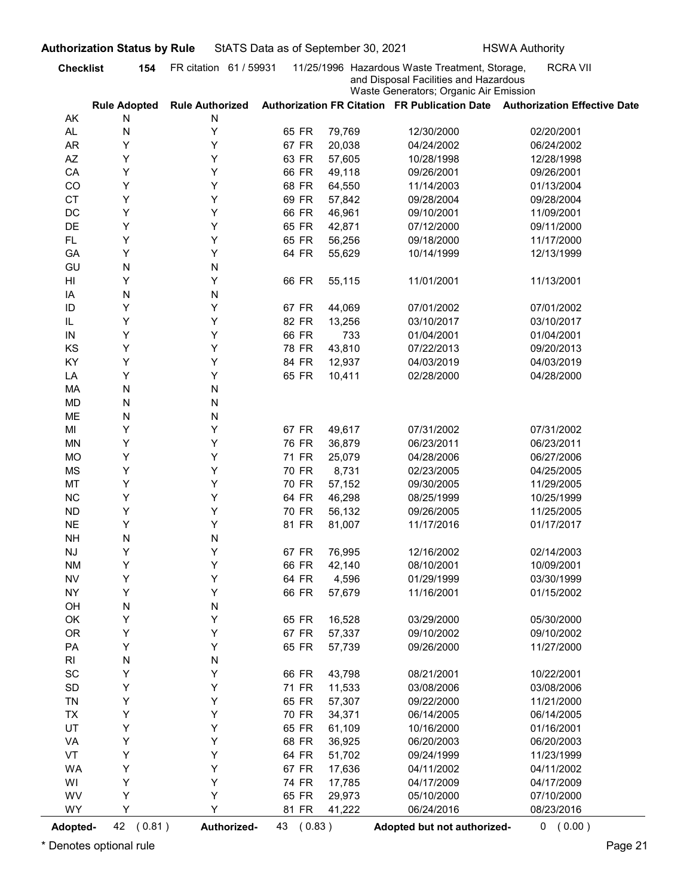| and Disposal Facilities and Hazardous<br>Waste Generators; Organic Air Emission<br>Authorization FR Citation FR Publication Date Authorization Effective Date<br><b>Rule Adopted</b><br><b>Rule Authorized</b><br>AK<br>N<br>N<br>Υ<br>AL.<br>N<br>65 FR<br>79,769<br>12/30/2000<br>02/20/2001<br>Υ<br><b>AR</b><br>Υ<br>67 FR<br>20,038<br>04/24/2002<br>06/24/2002<br>Υ<br>AZ<br>Y<br>63 FR<br>57,605<br>10/28/1998<br>12/28/1998<br>Υ<br>Υ<br>CA<br>66 FR<br>49,118<br>09/26/2001<br>09/26/2001<br>Υ<br>Υ<br>CO<br>68 FR<br>64,550<br>11/14/2003<br>01/13/2004<br>Y<br><b>CT</b><br>Y<br>69 FR<br>57,842<br>09/28/2004<br>09/28/2004<br>Y<br>DC<br>Y<br>66 FR<br>46,961<br>09/10/2001<br>11/09/2001<br>Y<br>DE<br>Y<br>65 FR<br>42,871<br>07/12/2000<br>09/11/2000<br>Y<br>Y<br><b>FL</b><br>65 FR<br>56,256<br>09/18/2000<br>11/17/2000<br>Y<br>Y<br>GA<br>64 FR<br>55,629<br>10/14/1999<br>12/13/1999<br>N<br>GU<br>N<br>Y<br>Y<br>66 FR<br>HI<br>55,115<br>11/01/2001<br>11/13/2001<br>N<br>N<br>IA<br>Y<br>Y<br>ID<br>67 FR<br>07/01/2002<br>07/01/2002<br>44,069<br>Υ<br>Y<br>82 FR<br>13,256<br>03/10/2017<br>IL<br>03/10/2017<br>Υ<br>66 FR<br>01/04/2001<br>01/04/2001<br>${\sf IN}$<br>Y<br>733<br>Υ<br>Υ<br>KS<br>78 FR<br>43,810<br>07/22/2013<br>09/20/2013<br>Υ<br>Υ<br>KY<br>84 FR<br>12,937<br>04/03/2019<br>04/03/2019<br>Υ<br>Υ<br>65 FR<br>10,411<br>LA<br>02/28/2000<br>04/28/2000<br>N<br>MA<br>${\sf N}$<br>N<br><b>MD</b><br>${\sf N}$<br>N<br>ME<br>${\sf N}$<br>Υ<br>Υ<br>67 FR<br>49,617<br>07/31/2002<br>MI<br>07/31/2002<br>Υ<br>Υ<br><b>MN</b><br>76 FR<br>36,879<br>06/23/2011<br>06/23/2011<br>Υ<br>Υ<br><b>MO</b><br>71 FR<br>25,079<br>04/28/2006<br>06/27/2006<br>Υ<br>Υ<br><b>MS</b><br>70 FR<br>8,731<br>02/23/2005<br>04/25/2005<br>Y<br>MT<br>Υ<br>70 FR<br>57,152<br>09/30/2005<br>11/29/2005<br>Y<br>NC<br>Υ<br>64 FR<br>46,298<br>08/25/1999<br>10/25/1999<br>Y<br>${\sf ND}$<br>Υ<br>70 FR<br>56,132<br>09/26/2005<br>11/25/2005<br>Υ<br><b>NE</b><br>Υ<br>81 FR<br>11/17/2016<br>01/17/2017<br>81,007<br>N<br><b>NH</b><br>${\sf N}$<br>Y<br>Υ<br>67 FR<br>$\mathsf{N}\mathsf{J}$<br>76,995<br>12/16/2002<br>02/14/2003<br>Υ<br>Υ<br>66 FR<br><b>NM</b><br>42,140<br>08/10/2001<br>10/09/2001<br>Υ<br>Υ<br><b>NV</b><br>64 FR<br>4,596<br>01/29/1999<br>03/30/1999<br>Υ<br>Υ<br><b>NY</b><br>66 FR<br>57,679<br>11/16/2001<br>01/15/2002<br>N<br>${\sf N}$<br>OH<br>Υ<br>Υ<br>OK<br>65 FR<br>16,528<br>03/29/2000<br>05/30/2000<br>Υ<br><b>OR</b><br>Υ<br>67 FR<br>57,337<br>09/10/2002<br>09/10/2002<br>Υ<br>Υ<br>PA<br>65 FR<br>57,739<br>11/27/2000<br>09/26/2000<br>N<br>$\mathsf{RI}$<br>${\sf N}$<br>Υ<br>$\operatorname{\textsf{SC}}$<br>Υ<br>66 FR<br>43,798<br>08/21/2001<br>10/22/2001<br>Υ<br>Υ<br>SD<br>71 FR<br>11,533<br>03/08/2006<br>03/08/2006<br>Υ<br>Υ<br>TN<br>65 FR<br>57,307<br>09/22/2000<br>11/21/2000<br>Υ<br>Υ<br>TX<br>70 FR<br>34,371<br>06/14/2005<br>06/14/2005<br>Υ<br>UT<br>Υ<br>65 FR<br>61,109<br>10/16/2000<br>01/16/2001<br>Υ<br>Υ<br>VA<br>68 FR<br>36,925<br>06/20/2003<br>06/20/2003<br>Υ<br>Υ<br>VT<br>64 FR<br>51,702<br>11/23/1999<br>09/24/1999<br>Υ<br>Υ<br><b>WA</b><br>67 FR<br>17,636<br>04/11/2002<br>04/11/2002<br>Y<br>Υ<br>WI<br>74 FR<br>17,785<br>04/17/2009<br>04/17/2009<br>Υ<br>Υ<br>WV<br>65 FR<br>29,973<br>07/10/2000<br>05/10/2000<br>Y<br>Y<br><b>WY</b><br>81 FR<br>41,222<br>06/24/2016<br>08/23/2016<br>(0.81)<br>Authorized-<br>43 (0.83)<br><b>Adopted-</b><br>Adopted but not authorized- | <b>Checklist</b><br>154 | FR citation 61 / 59931 |  | 11/25/1996 Hazardous Waste Treatment, Storage, | <b>RCRA VII</b> |
|-----------------------------------------------------------------------------------------------------------------------------------------------------------------------------------------------------------------------------------------------------------------------------------------------------------------------------------------------------------------------------------------------------------------------------------------------------------------------------------------------------------------------------------------------------------------------------------------------------------------------------------------------------------------------------------------------------------------------------------------------------------------------------------------------------------------------------------------------------------------------------------------------------------------------------------------------------------------------------------------------------------------------------------------------------------------------------------------------------------------------------------------------------------------------------------------------------------------------------------------------------------------------------------------------------------------------------------------------------------------------------------------------------------------------------------------------------------------------------------------------------------------------------------------------------------------------------------------------------------------------------------------------------------------------------------------------------------------------------------------------------------------------------------------------------------------------------------------------------------------------------------------------------------------------------------------------------------------------------------------------------------------------------------------------------------------------------------------------------------------------------------------------------------------------------------------------------------------------------------------------------------------------------------------------------------------------------------------------------------------------------------------------------------------------------------------------------------------------------------------------------------------------------------------------------------------------------------------------------------------------------------------------------------------------------------------------------------------------------------------------------------------------------------------------------------------------------------------------------------------------------------------------------------------------------------------------------------------------------------------------------------------------------------------------------------------------------------------------------------------------------------------------------------------------------------------------------------------------------------------------------------------------------------------------------------------------------------------------------------------------------------------------------------------------------------------------------------------------------------------------------------|-------------------------|------------------------|--|------------------------------------------------|-----------------|
|                                                                                                                                                                                                                                                                                                                                                                                                                                                                                                                                                                                                                                                                                                                                                                                                                                                                                                                                                                                                                                                                                                                                                                                                                                                                                                                                                                                                                                                                                                                                                                                                                                                                                                                                                                                                                                                                                                                                                                                                                                                                                                                                                                                                                                                                                                                                                                                                                                                                                                                                                                                                                                                                                                                                                                                                                                                                                                                                                                                                                                                                                                                                                                                                                                                                                                                                                                                                                                                                                                           |                         |                        |  |                                                |                 |
|                                                                                                                                                                                                                                                                                                                                                                                                                                                                                                                                                                                                                                                                                                                                                                                                                                                                                                                                                                                                                                                                                                                                                                                                                                                                                                                                                                                                                                                                                                                                                                                                                                                                                                                                                                                                                                                                                                                                                                                                                                                                                                                                                                                                                                                                                                                                                                                                                                                                                                                                                                                                                                                                                                                                                                                                                                                                                                                                                                                                                                                                                                                                                                                                                                                                                                                                                                                                                                                                                                           |                         |                        |  |                                                |                 |
|                                                                                                                                                                                                                                                                                                                                                                                                                                                                                                                                                                                                                                                                                                                                                                                                                                                                                                                                                                                                                                                                                                                                                                                                                                                                                                                                                                                                                                                                                                                                                                                                                                                                                                                                                                                                                                                                                                                                                                                                                                                                                                                                                                                                                                                                                                                                                                                                                                                                                                                                                                                                                                                                                                                                                                                                                                                                                                                                                                                                                                                                                                                                                                                                                                                                                                                                                                                                                                                                                                           |                         |                        |  |                                                |                 |
|                                                                                                                                                                                                                                                                                                                                                                                                                                                                                                                                                                                                                                                                                                                                                                                                                                                                                                                                                                                                                                                                                                                                                                                                                                                                                                                                                                                                                                                                                                                                                                                                                                                                                                                                                                                                                                                                                                                                                                                                                                                                                                                                                                                                                                                                                                                                                                                                                                                                                                                                                                                                                                                                                                                                                                                                                                                                                                                                                                                                                                                                                                                                                                                                                                                                                                                                                                                                                                                                                                           |                         |                        |  |                                                |                 |
|                                                                                                                                                                                                                                                                                                                                                                                                                                                                                                                                                                                                                                                                                                                                                                                                                                                                                                                                                                                                                                                                                                                                                                                                                                                                                                                                                                                                                                                                                                                                                                                                                                                                                                                                                                                                                                                                                                                                                                                                                                                                                                                                                                                                                                                                                                                                                                                                                                                                                                                                                                                                                                                                                                                                                                                                                                                                                                                                                                                                                                                                                                                                                                                                                                                                                                                                                                                                                                                                                                           |                         |                        |  |                                                |                 |
|                                                                                                                                                                                                                                                                                                                                                                                                                                                                                                                                                                                                                                                                                                                                                                                                                                                                                                                                                                                                                                                                                                                                                                                                                                                                                                                                                                                                                                                                                                                                                                                                                                                                                                                                                                                                                                                                                                                                                                                                                                                                                                                                                                                                                                                                                                                                                                                                                                                                                                                                                                                                                                                                                                                                                                                                                                                                                                                                                                                                                                                                                                                                                                                                                                                                                                                                                                                                                                                                                                           |                         |                        |  |                                                |                 |
|                                                                                                                                                                                                                                                                                                                                                                                                                                                                                                                                                                                                                                                                                                                                                                                                                                                                                                                                                                                                                                                                                                                                                                                                                                                                                                                                                                                                                                                                                                                                                                                                                                                                                                                                                                                                                                                                                                                                                                                                                                                                                                                                                                                                                                                                                                                                                                                                                                                                                                                                                                                                                                                                                                                                                                                                                                                                                                                                                                                                                                                                                                                                                                                                                                                                                                                                                                                                                                                                                                           |                         |                        |  |                                                |                 |
|                                                                                                                                                                                                                                                                                                                                                                                                                                                                                                                                                                                                                                                                                                                                                                                                                                                                                                                                                                                                                                                                                                                                                                                                                                                                                                                                                                                                                                                                                                                                                                                                                                                                                                                                                                                                                                                                                                                                                                                                                                                                                                                                                                                                                                                                                                                                                                                                                                                                                                                                                                                                                                                                                                                                                                                                                                                                                                                                                                                                                                                                                                                                                                                                                                                                                                                                                                                                                                                                                                           |                         |                        |  |                                                |                 |
|                                                                                                                                                                                                                                                                                                                                                                                                                                                                                                                                                                                                                                                                                                                                                                                                                                                                                                                                                                                                                                                                                                                                                                                                                                                                                                                                                                                                                                                                                                                                                                                                                                                                                                                                                                                                                                                                                                                                                                                                                                                                                                                                                                                                                                                                                                                                                                                                                                                                                                                                                                                                                                                                                                                                                                                                                                                                                                                                                                                                                                                                                                                                                                                                                                                                                                                                                                                                                                                                                                           |                         |                        |  |                                                |                 |
|                                                                                                                                                                                                                                                                                                                                                                                                                                                                                                                                                                                                                                                                                                                                                                                                                                                                                                                                                                                                                                                                                                                                                                                                                                                                                                                                                                                                                                                                                                                                                                                                                                                                                                                                                                                                                                                                                                                                                                                                                                                                                                                                                                                                                                                                                                                                                                                                                                                                                                                                                                                                                                                                                                                                                                                                                                                                                                                                                                                                                                                                                                                                                                                                                                                                                                                                                                                                                                                                                                           |                         |                        |  |                                                |                 |
|                                                                                                                                                                                                                                                                                                                                                                                                                                                                                                                                                                                                                                                                                                                                                                                                                                                                                                                                                                                                                                                                                                                                                                                                                                                                                                                                                                                                                                                                                                                                                                                                                                                                                                                                                                                                                                                                                                                                                                                                                                                                                                                                                                                                                                                                                                                                                                                                                                                                                                                                                                                                                                                                                                                                                                                                                                                                                                                                                                                                                                                                                                                                                                                                                                                                                                                                                                                                                                                                                                           |                         |                        |  |                                                |                 |
|                                                                                                                                                                                                                                                                                                                                                                                                                                                                                                                                                                                                                                                                                                                                                                                                                                                                                                                                                                                                                                                                                                                                                                                                                                                                                                                                                                                                                                                                                                                                                                                                                                                                                                                                                                                                                                                                                                                                                                                                                                                                                                                                                                                                                                                                                                                                                                                                                                                                                                                                                                                                                                                                                                                                                                                                                                                                                                                                                                                                                                                                                                                                                                                                                                                                                                                                                                                                                                                                                                           |                         |                        |  |                                                |                 |
|                                                                                                                                                                                                                                                                                                                                                                                                                                                                                                                                                                                                                                                                                                                                                                                                                                                                                                                                                                                                                                                                                                                                                                                                                                                                                                                                                                                                                                                                                                                                                                                                                                                                                                                                                                                                                                                                                                                                                                                                                                                                                                                                                                                                                                                                                                                                                                                                                                                                                                                                                                                                                                                                                                                                                                                                                                                                                                                                                                                                                                                                                                                                                                                                                                                                                                                                                                                                                                                                                                           |                         |                        |  |                                                |                 |
|                                                                                                                                                                                                                                                                                                                                                                                                                                                                                                                                                                                                                                                                                                                                                                                                                                                                                                                                                                                                                                                                                                                                                                                                                                                                                                                                                                                                                                                                                                                                                                                                                                                                                                                                                                                                                                                                                                                                                                                                                                                                                                                                                                                                                                                                                                                                                                                                                                                                                                                                                                                                                                                                                                                                                                                                                                                                                                                                                                                                                                                                                                                                                                                                                                                                                                                                                                                                                                                                                                           |                         |                        |  |                                                |                 |
|                                                                                                                                                                                                                                                                                                                                                                                                                                                                                                                                                                                                                                                                                                                                                                                                                                                                                                                                                                                                                                                                                                                                                                                                                                                                                                                                                                                                                                                                                                                                                                                                                                                                                                                                                                                                                                                                                                                                                                                                                                                                                                                                                                                                                                                                                                                                                                                                                                                                                                                                                                                                                                                                                                                                                                                                                                                                                                                                                                                                                                                                                                                                                                                                                                                                                                                                                                                                                                                                                                           |                         |                        |  |                                                |                 |
|                                                                                                                                                                                                                                                                                                                                                                                                                                                                                                                                                                                                                                                                                                                                                                                                                                                                                                                                                                                                                                                                                                                                                                                                                                                                                                                                                                                                                                                                                                                                                                                                                                                                                                                                                                                                                                                                                                                                                                                                                                                                                                                                                                                                                                                                                                                                                                                                                                                                                                                                                                                                                                                                                                                                                                                                                                                                                                                                                                                                                                                                                                                                                                                                                                                                                                                                                                                                                                                                                                           |                         |                        |  |                                                |                 |
|                                                                                                                                                                                                                                                                                                                                                                                                                                                                                                                                                                                                                                                                                                                                                                                                                                                                                                                                                                                                                                                                                                                                                                                                                                                                                                                                                                                                                                                                                                                                                                                                                                                                                                                                                                                                                                                                                                                                                                                                                                                                                                                                                                                                                                                                                                                                                                                                                                                                                                                                                                                                                                                                                                                                                                                                                                                                                                                                                                                                                                                                                                                                                                                                                                                                                                                                                                                                                                                                                                           |                         |                        |  |                                                |                 |
|                                                                                                                                                                                                                                                                                                                                                                                                                                                                                                                                                                                                                                                                                                                                                                                                                                                                                                                                                                                                                                                                                                                                                                                                                                                                                                                                                                                                                                                                                                                                                                                                                                                                                                                                                                                                                                                                                                                                                                                                                                                                                                                                                                                                                                                                                                                                                                                                                                                                                                                                                                                                                                                                                                                                                                                                                                                                                                                                                                                                                                                                                                                                                                                                                                                                                                                                                                                                                                                                                                           |                         |                        |  |                                                |                 |
|                                                                                                                                                                                                                                                                                                                                                                                                                                                                                                                                                                                                                                                                                                                                                                                                                                                                                                                                                                                                                                                                                                                                                                                                                                                                                                                                                                                                                                                                                                                                                                                                                                                                                                                                                                                                                                                                                                                                                                                                                                                                                                                                                                                                                                                                                                                                                                                                                                                                                                                                                                                                                                                                                                                                                                                                                                                                                                                                                                                                                                                                                                                                                                                                                                                                                                                                                                                                                                                                                                           |                         |                        |  |                                                |                 |
|                                                                                                                                                                                                                                                                                                                                                                                                                                                                                                                                                                                                                                                                                                                                                                                                                                                                                                                                                                                                                                                                                                                                                                                                                                                                                                                                                                                                                                                                                                                                                                                                                                                                                                                                                                                                                                                                                                                                                                                                                                                                                                                                                                                                                                                                                                                                                                                                                                                                                                                                                                                                                                                                                                                                                                                                                                                                                                                                                                                                                                                                                                                                                                                                                                                                                                                                                                                                                                                                                                           |                         |                        |  |                                                |                 |
|                                                                                                                                                                                                                                                                                                                                                                                                                                                                                                                                                                                                                                                                                                                                                                                                                                                                                                                                                                                                                                                                                                                                                                                                                                                                                                                                                                                                                                                                                                                                                                                                                                                                                                                                                                                                                                                                                                                                                                                                                                                                                                                                                                                                                                                                                                                                                                                                                                                                                                                                                                                                                                                                                                                                                                                                                                                                                                                                                                                                                                                                                                                                                                                                                                                                                                                                                                                                                                                                                                           |                         |                        |  |                                                |                 |
|                                                                                                                                                                                                                                                                                                                                                                                                                                                                                                                                                                                                                                                                                                                                                                                                                                                                                                                                                                                                                                                                                                                                                                                                                                                                                                                                                                                                                                                                                                                                                                                                                                                                                                                                                                                                                                                                                                                                                                                                                                                                                                                                                                                                                                                                                                                                                                                                                                                                                                                                                                                                                                                                                                                                                                                                                                                                                                                                                                                                                                                                                                                                                                                                                                                                                                                                                                                                                                                                                                           |                         |                        |  |                                                |                 |
|                                                                                                                                                                                                                                                                                                                                                                                                                                                                                                                                                                                                                                                                                                                                                                                                                                                                                                                                                                                                                                                                                                                                                                                                                                                                                                                                                                                                                                                                                                                                                                                                                                                                                                                                                                                                                                                                                                                                                                                                                                                                                                                                                                                                                                                                                                                                                                                                                                                                                                                                                                                                                                                                                                                                                                                                                                                                                                                                                                                                                                                                                                                                                                                                                                                                                                                                                                                                                                                                                                           |                         |                        |  |                                                |                 |
|                                                                                                                                                                                                                                                                                                                                                                                                                                                                                                                                                                                                                                                                                                                                                                                                                                                                                                                                                                                                                                                                                                                                                                                                                                                                                                                                                                                                                                                                                                                                                                                                                                                                                                                                                                                                                                                                                                                                                                                                                                                                                                                                                                                                                                                                                                                                                                                                                                                                                                                                                                                                                                                                                                                                                                                                                                                                                                                                                                                                                                                                                                                                                                                                                                                                                                                                                                                                                                                                                                           |                         |                        |  |                                                |                 |
|                                                                                                                                                                                                                                                                                                                                                                                                                                                                                                                                                                                                                                                                                                                                                                                                                                                                                                                                                                                                                                                                                                                                                                                                                                                                                                                                                                                                                                                                                                                                                                                                                                                                                                                                                                                                                                                                                                                                                                                                                                                                                                                                                                                                                                                                                                                                                                                                                                                                                                                                                                                                                                                                                                                                                                                                                                                                                                                                                                                                                                                                                                                                                                                                                                                                                                                                                                                                                                                                                                           |                         |                        |  |                                                |                 |
|                                                                                                                                                                                                                                                                                                                                                                                                                                                                                                                                                                                                                                                                                                                                                                                                                                                                                                                                                                                                                                                                                                                                                                                                                                                                                                                                                                                                                                                                                                                                                                                                                                                                                                                                                                                                                                                                                                                                                                                                                                                                                                                                                                                                                                                                                                                                                                                                                                                                                                                                                                                                                                                                                                                                                                                                                                                                                                                                                                                                                                                                                                                                                                                                                                                                                                                                                                                                                                                                                                           |                         |                        |  |                                                |                 |
|                                                                                                                                                                                                                                                                                                                                                                                                                                                                                                                                                                                                                                                                                                                                                                                                                                                                                                                                                                                                                                                                                                                                                                                                                                                                                                                                                                                                                                                                                                                                                                                                                                                                                                                                                                                                                                                                                                                                                                                                                                                                                                                                                                                                                                                                                                                                                                                                                                                                                                                                                                                                                                                                                                                                                                                                                                                                                                                                                                                                                                                                                                                                                                                                                                                                                                                                                                                                                                                                                                           |                         |                        |  |                                                |                 |
|                                                                                                                                                                                                                                                                                                                                                                                                                                                                                                                                                                                                                                                                                                                                                                                                                                                                                                                                                                                                                                                                                                                                                                                                                                                                                                                                                                                                                                                                                                                                                                                                                                                                                                                                                                                                                                                                                                                                                                                                                                                                                                                                                                                                                                                                                                                                                                                                                                                                                                                                                                                                                                                                                                                                                                                                                                                                                                                                                                                                                                                                                                                                                                                                                                                                                                                                                                                                                                                                                                           |                         |                        |  |                                                |                 |
|                                                                                                                                                                                                                                                                                                                                                                                                                                                                                                                                                                                                                                                                                                                                                                                                                                                                                                                                                                                                                                                                                                                                                                                                                                                                                                                                                                                                                                                                                                                                                                                                                                                                                                                                                                                                                                                                                                                                                                                                                                                                                                                                                                                                                                                                                                                                                                                                                                                                                                                                                                                                                                                                                                                                                                                                                                                                                                                                                                                                                                                                                                                                                                                                                                                                                                                                                                                                                                                                                                           |                         |                        |  |                                                |                 |
|                                                                                                                                                                                                                                                                                                                                                                                                                                                                                                                                                                                                                                                                                                                                                                                                                                                                                                                                                                                                                                                                                                                                                                                                                                                                                                                                                                                                                                                                                                                                                                                                                                                                                                                                                                                                                                                                                                                                                                                                                                                                                                                                                                                                                                                                                                                                                                                                                                                                                                                                                                                                                                                                                                                                                                                                                                                                                                                                                                                                                                                                                                                                                                                                                                                                                                                                                                                                                                                                                                           |                         |                        |  |                                                |                 |
|                                                                                                                                                                                                                                                                                                                                                                                                                                                                                                                                                                                                                                                                                                                                                                                                                                                                                                                                                                                                                                                                                                                                                                                                                                                                                                                                                                                                                                                                                                                                                                                                                                                                                                                                                                                                                                                                                                                                                                                                                                                                                                                                                                                                                                                                                                                                                                                                                                                                                                                                                                                                                                                                                                                                                                                                                                                                                                                                                                                                                                                                                                                                                                                                                                                                                                                                                                                                                                                                                                           |                         |                        |  |                                                |                 |
|                                                                                                                                                                                                                                                                                                                                                                                                                                                                                                                                                                                                                                                                                                                                                                                                                                                                                                                                                                                                                                                                                                                                                                                                                                                                                                                                                                                                                                                                                                                                                                                                                                                                                                                                                                                                                                                                                                                                                                                                                                                                                                                                                                                                                                                                                                                                                                                                                                                                                                                                                                                                                                                                                                                                                                                                                                                                                                                                                                                                                                                                                                                                                                                                                                                                                                                                                                                                                                                                                                           |                         |                        |  |                                                |                 |
|                                                                                                                                                                                                                                                                                                                                                                                                                                                                                                                                                                                                                                                                                                                                                                                                                                                                                                                                                                                                                                                                                                                                                                                                                                                                                                                                                                                                                                                                                                                                                                                                                                                                                                                                                                                                                                                                                                                                                                                                                                                                                                                                                                                                                                                                                                                                                                                                                                                                                                                                                                                                                                                                                                                                                                                                                                                                                                                                                                                                                                                                                                                                                                                                                                                                                                                                                                                                                                                                                                           |                         |                        |  |                                                |                 |
|                                                                                                                                                                                                                                                                                                                                                                                                                                                                                                                                                                                                                                                                                                                                                                                                                                                                                                                                                                                                                                                                                                                                                                                                                                                                                                                                                                                                                                                                                                                                                                                                                                                                                                                                                                                                                                                                                                                                                                                                                                                                                                                                                                                                                                                                                                                                                                                                                                                                                                                                                                                                                                                                                                                                                                                                                                                                                                                                                                                                                                                                                                                                                                                                                                                                                                                                                                                                                                                                                                           |                         |                        |  |                                                |                 |
|                                                                                                                                                                                                                                                                                                                                                                                                                                                                                                                                                                                                                                                                                                                                                                                                                                                                                                                                                                                                                                                                                                                                                                                                                                                                                                                                                                                                                                                                                                                                                                                                                                                                                                                                                                                                                                                                                                                                                                                                                                                                                                                                                                                                                                                                                                                                                                                                                                                                                                                                                                                                                                                                                                                                                                                                                                                                                                                                                                                                                                                                                                                                                                                                                                                                                                                                                                                                                                                                                                           |                         |                        |  |                                                |                 |
|                                                                                                                                                                                                                                                                                                                                                                                                                                                                                                                                                                                                                                                                                                                                                                                                                                                                                                                                                                                                                                                                                                                                                                                                                                                                                                                                                                                                                                                                                                                                                                                                                                                                                                                                                                                                                                                                                                                                                                                                                                                                                                                                                                                                                                                                                                                                                                                                                                                                                                                                                                                                                                                                                                                                                                                                                                                                                                                                                                                                                                                                                                                                                                                                                                                                                                                                                                                                                                                                                                           |                         |                        |  |                                                |                 |
|                                                                                                                                                                                                                                                                                                                                                                                                                                                                                                                                                                                                                                                                                                                                                                                                                                                                                                                                                                                                                                                                                                                                                                                                                                                                                                                                                                                                                                                                                                                                                                                                                                                                                                                                                                                                                                                                                                                                                                                                                                                                                                                                                                                                                                                                                                                                                                                                                                                                                                                                                                                                                                                                                                                                                                                                                                                                                                                                                                                                                                                                                                                                                                                                                                                                                                                                                                                                                                                                                                           |                         |                        |  |                                                |                 |
|                                                                                                                                                                                                                                                                                                                                                                                                                                                                                                                                                                                                                                                                                                                                                                                                                                                                                                                                                                                                                                                                                                                                                                                                                                                                                                                                                                                                                                                                                                                                                                                                                                                                                                                                                                                                                                                                                                                                                                                                                                                                                                                                                                                                                                                                                                                                                                                                                                                                                                                                                                                                                                                                                                                                                                                                                                                                                                                                                                                                                                                                                                                                                                                                                                                                                                                                                                                                                                                                                                           |                         |                        |  |                                                |                 |
|                                                                                                                                                                                                                                                                                                                                                                                                                                                                                                                                                                                                                                                                                                                                                                                                                                                                                                                                                                                                                                                                                                                                                                                                                                                                                                                                                                                                                                                                                                                                                                                                                                                                                                                                                                                                                                                                                                                                                                                                                                                                                                                                                                                                                                                                                                                                                                                                                                                                                                                                                                                                                                                                                                                                                                                                                                                                                                                                                                                                                                                                                                                                                                                                                                                                                                                                                                                                                                                                                                           |                         |                        |  |                                                |                 |
|                                                                                                                                                                                                                                                                                                                                                                                                                                                                                                                                                                                                                                                                                                                                                                                                                                                                                                                                                                                                                                                                                                                                                                                                                                                                                                                                                                                                                                                                                                                                                                                                                                                                                                                                                                                                                                                                                                                                                                                                                                                                                                                                                                                                                                                                                                                                                                                                                                                                                                                                                                                                                                                                                                                                                                                                                                                                                                                                                                                                                                                                                                                                                                                                                                                                                                                                                                                                                                                                                                           |                         |                        |  |                                                |                 |
|                                                                                                                                                                                                                                                                                                                                                                                                                                                                                                                                                                                                                                                                                                                                                                                                                                                                                                                                                                                                                                                                                                                                                                                                                                                                                                                                                                                                                                                                                                                                                                                                                                                                                                                                                                                                                                                                                                                                                                                                                                                                                                                                                                                                                                                                                                                                                                                                                                                                                                                                                                                                                                                                                                                                                                                                                                                                                                                                                                                                                                                                                                                                                                                                                                                                                                                                                                                                                                                                                                           |                         |                        |  |                                                |                 |
|                                                                                                                                                                                                                                                                                                                                                                                                                                                                                                                                                                                                                                                                                                                                                                                                                                                                                                                                                                                                                                                                                                                                                                                                                                                                                                                                                                                                                                                                                                                                                                                                                                                                                                                                                                                                                                                                                                                                                                                                                                                                                                                                                                                                                                                                                                                                                                                                                                                                                                                                                                                                                                                                                                                                                                                                                                                                                                                                                                                                                                                                                                                                                                                                                                                                                                                                                                                                                                                                                                           |                         |                        |  |                                                |                 |
|                                                                                                                                                                                                                                                                                                                                                                                                                                                                                                                                                                                                                                                                                                                                                                                                                                                                                                                                                                                                                                                                                                                                                                                                                                                                                                                                                                                                                                                                                                                                                                                                                                                                                                                                                                                                                                                                                                                                                                                                                                                                                                                                                                                                                                                                                                                                                                                                                                                                                                                                                                                                                                                                                                                                                                                                                                                                                                                                                                                                                                                                                                                                                                                                                                                                                                                                                                                                                                                                                                           |                         |                        |  |                                                |                 |
|                                                                                                                                                                                                                                                                                                                                                                                                                                                                                                                                                                                                                                                                                                                                                                                                                                                                                                                                                                                                                                                                                                                                                                                                                                                                                                                                                                                                                                                                                                                                                                                                                                                                                                                                                                                                                                                                                                                                                                                                                                                                                                                                                                                                                                                                                                                                                                                                                                                                                                                                                                                                                                                                                                                                                                                                                                                                                                                                                                                                                                                                                                                                                                                                                                                                                                                                                                                                                                                                                                           |                         |                        |  |                                                |                 |
|                                                                                                                                                                                                                                                                                                                                                                                                                                                                                                                                                                                                                                                                                                                                                                                                                                                                                                                                                                                                                                                                                                                                                                                                                                                                                                                                                                                                                                                                                                                                                                                                                                                                                                                                                                                                                                                                                                                                                                                                                                                                                                                                                                                                                                                                                                                                                                                                                                                                                                                                                                                                                                                                                                                                                                                                                                                                                                                                                                                                                                                                                                                                                                                                                                                                                                                                                                                                                                                                                                           |                         |                        |  |                                                |                 |
|                                                                                                                                                                                                                                                                                                                                                                                                                                                                                                                                                                                                                                                                                                                                                                                                                                                                                                                                                                                                                                                                                                                                                                                                                                                                                                                                                                                                                                                                                                                                                                                                                                                                                                                                                                                                                                                                                                                                                                                                                                                                                                                                                                                                                                                                                                                                                                                                                                                                                                                                                                                                                                                                                                                                                                                                                                                                                                                                                                                                                                                                                                                                                                                                                                                                                                                                                                                                                                                                                                           |                         |                        |  |                                                |                 |
|                                                                                                                                                                                                                                                                                                                                                                                                                                                                                                                                                                                                                                                                                                                                                                                                                                                                                                                                                                                                                                                                                                                                                                                                                                                                                                                                                                                                                                                                                                                                                                                                                                                                                                                                                                                                                                                                                                                                                                                                                                                                                                                                                                                                                                                                                                                                                                                                                                                                                                                                                                                                                                                                                                                                                                                                                                                                                                                                                                                                                                                                                                                                                                                                                                                                                                                                                                                                                                                                                                           |                         |                        |  |                                                |                 |
|                                                                                                                                                                                                                                                                                                                                                                                                                                                                                                                                                                                                                                                                                                                                                                                                                                                                                                                                                                                                                                                                                                                                                                                                                                                                                                                                                                                                                                                                                                                                                                                                                                                                                                                                                                                                                                                                                                                                                                                                                                                                                                                                                                                                                                                                                                                                                                                                                                                                                                                                                                                                                                                                                                                                                                                                                                                                                                                                                                                                                                                                                                                                                                                                                                                                                                                                                                                                                                                                                                           |                         |                        |  |                                                |                 |
|                                                                                                                                                                                                                                                                                                                                                                                                                                                                                                                                                                                                                                                                                                                                                                                                                                                                                                                                                                                                                                                                                                                                                                                                                                                                                                                                                                                                                                                                                                                                                                                                                                                                                                                                                                                                                                                                                                                                                                                                                                                                                                                                                                                                                                                                                                                                                                                                                                                                                                                                                                                                                                                                                                                                                                                                                                                                                                                                                                                                                                                                                                                                                                                                                                                                                                                                                                                                                                                                                                           |                         |                        |  |                                                |                 |
|                                                                                                                                                                                                                                                                                                                                                                                                                                                                                                                                                                                                                                                                                                                                                                                                                                                                                                                                                                                                                                                                                                                                                                                                                                                                                                                                                                                                                                                                                                                                                                                                                                                                                                                                                                                                                                                                                                                                                                                                                                                                                                                                                                                                                                                                                                                                                                                                                                                                                                                                                                                                                                                                                                                                                                                                                                                                                                                                                                                                                                                                                                                                                                                                                                                                                                                                                                                                                                                                                                           |                         |                        |  |                                                |                 |
|                                                                                                                                                                                                                                                                                                                                                                                                                                                                                                                                                                                                                                                                                                                                                                                                                                                                                                                                                                                                                                                                                                                                                                                                                                                                                                                                                                                                                                                                                                                                                                                                                                                                                                                                                                                                                                                                                                                                                                                                                                                                                                                                                                                                                                                                                                                                                                                                                                                                                                                                                                                                                                                                                                                                                                                                                                                                                                                                                                                                                                                                                                                                                                                                                                                                                                                                                                                                                                                                                                           |                         |                        |  |                                                |                 |
|                                                                                                                                                                                                                                                                                                                                                                                                                                                                                                                                                                                                                                                                                                                                                                                                                                                                                                                                                                                                                                                                                                                                                                                                                                                                                                                                                                                                                                                                                                                                                                                                                                                                                                                                                                                                                                                                                                                                                                                                                                                                                                                                                                                                                                                                                                                                                                                                                                                                                                                                                                                                                                                                                                                                                                                                                                                                                                                                                                                                                                                                                                                                                                                                                                                                                                                                                                                                                                                                                                           |                         |                        |  |                                                |                 |
|                                                                                                                                                                                                                                                                                                                                                                                                                                                                                                                                                                                                                                                                                                                                                                                                                                                                                                                                                                                                                                                                                                                                                                                                                                                                                                                                                                                                                                                                                                                                                                                                                                                                                                                                                                                                                                                                                                                                                                                                                                                                                                                                                                                                                                                                                                                                                                                                                                                                                                                                                                                                                                                                                                                                                                                                                                                                                                                                                                                                                                                                                                                                                                                                                                                                                                                                                                                                                                                                                                           | 42                      |                        |  |                                                | 0 (0.00)        |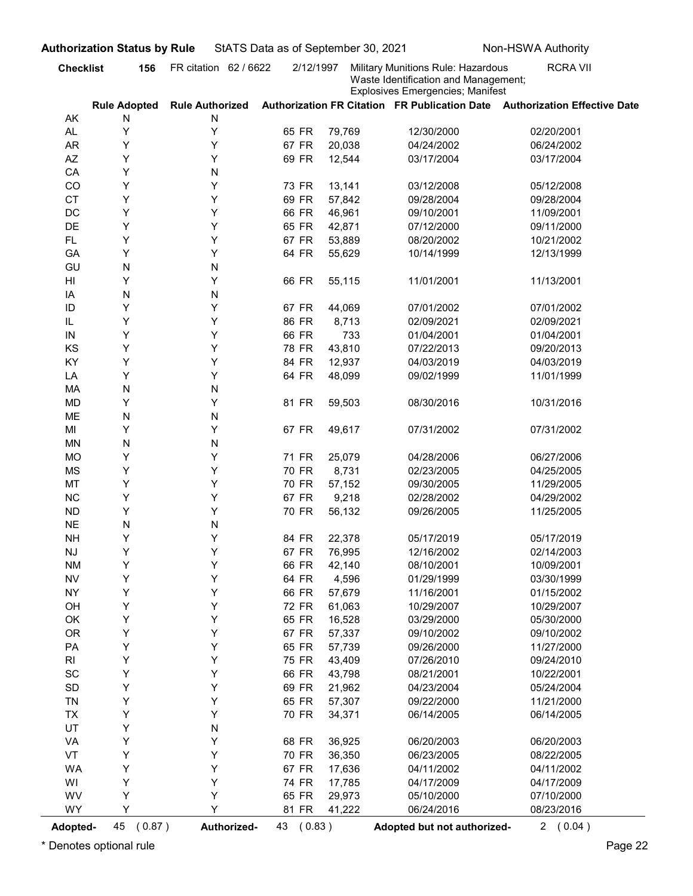| Waste Identification and Management;<br><b>Explosives Emergencies; Manifest</b><br>Authorization FR Citation FR Publication Date Authorization Effective Date<br><b>Rule Adopted</b><br><b>Rule Authorized</b><br>AK<br>N<br>N<br>Υ<br>Υ<br>AL.<br>65 FR<br>79,769<br>12/30/2000<br>02/20/2001<br>Υ<br><b>AR</b><br>Υ<br>67 FR<br>20,038<br>04/24/2002<br>06/24/2002<br>Υ<br>AZ<br>Y<br>69 FR<br>12,544<br>03/17/2004<br>03/17/2004<br>Υ<br>N<br>CA<br>Y<br>Υ<br>CO<br>73 FR<br>13,141<br>03/12/2008<br>05/12/2008<br>Y<br>Υ<br><b>CT</b><br>69 FR<br>57,842<br>09/28/2004<br>09/28/2004<br>Y<br>Υ<br>DC<br>66 FR<br>46,961<br>09/10/2001<br>11/09/2001<br>Υ<br>DE<br>Y<br>65 FR<br>42,871<br>07/12/2000<br>09/11/2000<br>Υ<br>Y<br>67 FR<br><b>FL</b><br>53,889<br>08/20/2002<br>10/21/2002<br>Υ<br>Y<br>64 FR<br>GA<br>55,629<br>10/14/1999<br>12/13/1999<br>N<br>GU<br>N<br>Υ<br>Y<br>66 FR<br>HI<br>55,115<br>11/01/2001<br>11/13/2001<br>N<br>N<br>IA<br>Y<br>Y<br>ID<br>67 FR<br>07/01/2002<br>07/01/2002<br>44,069<br>Y<br>Y<br>86 FR<br>IL<br>8,713<br>02/09/2021<br>02/09/2021<br>Υ<br>66 FR<br>01/04/2001<br>01/04/2001<br>Y<br>733<br>IN<br>Υ<br>Υ<br>KS<br>78 FR<br>43,810<br>07/22/2013<br>09/20/2013<br>Υ<br>Υ<br>KY<br>84 FR<br>12,937<br>04/03/2019<br>04/03/2019<br>Υ<br>Υ<br>64 FR<br>48,099<br>LA<br>09/02/1999<br>11/01/1999<br>N<br>${\sf N}$<br>MA<br>Υ<br>Υ<br><b>MD</b><br>81 FR<br>59,503<br>08/30/2016<br>10/31/2016<br>N<br>ME<br>${\sf N}$<br>Υ<br>Υ<br>67 FR<br>49,617<br>MI<br>07/31/2002<br>07/31/2002<br>N<br><b>MN</b><br>${\sf N}$<br>Υ<br>Υ<br><b>MO</b><br>71 FR<br>25,079<br>04/28/2006<br>06/27/2006<br>Υ<br>Υ<br><b>MS</b><br>70 FR<br>8,731<br>02/23/2005<br>04/25/2005<br>Y<br>MT<br>Υ<br>70 FR<br>57,152<br>09/30/2005<br>11/29/2005<br>Υ<br>$NC$<br>Υ<br>67 FR<br>9,218<br>02/28/2002<br>04/29/2002<br>Υ<br>${\sf ND}$<br>Υ<br>70 FR<br>56,132<br>09/26/2005<br>11/25/2005<br><b>NE</b><br>N<br>${\sf N}$<br>Υ<br>Υ<br>84 FR<br><b>NH</b><br>22,378<br>05/17/2019<br>05/17/2019<br>Υ<br>Υ<br>67 FR<br>$\mathsf{N}\mathsf{J}$<br>76,995<br>12/16/2002<br>02/14/2003<br>Υ<br>Υ<br>66 FR<br><b>NM</b><br>42,140<br>10/09/2001<br>08/10/2001<br>Υ<br>Υ<br>${\sf NV}$<br>64 FR<br>4,596<br>01/29/1999<br>03/30/1999<br>Υ<br>Υ<br><b>NY</b><br>66 FR<br>57,679<br>11/16/2001<br>01/15/2002<br>Υ<br>Υ<br>OH<br>72 FR<br>10/29/2007<br>61,063<br>10/29/2007<br>Υ<br>Υ<br>OK<br>65 FR<br>16,528<br>03/29/2000<br>05/30/2000<br>Υ<br><b>OR</b><br>Υ<br>67 FR<br>57,337<br>09/10/2002<br>09/10/2002<br>Υ<br>Υ<br>PA<br>65 FR<br>57,739<br>09/26/2000<br>11/27/2000<br>Υ<br>Υ<br>75 FR<br>43,409<br>07/26/2010<br>09/24/2010<br>RI<br>Υ<br>$\operatorname{\textsf{SC}}$<br>Υ<br>66 FR<br>43,798<br>08/21/2001<br>10/22/2001<br>Υ<br>Υ<br>$\mathsf{SD}$<br>69 FR<br>21,962<br>04/23/2004<br>05/24/2004<br>Υ<br>Υ<br>TN<br>65 FR<br>57,307<br>11/21/2000<br>09/22/2000<br>Υ<br>Υ<br>TX<br>70 FR<br>34,371<br>06/14/2005<br>06/14/2005<br>UT<br>Υ<br>N<br>Υ<br>Υ<br>VA<br>68 FR<br>36,925<br>06/20/2003<br>06/20/2003<br>Υ<br>Υ<br>VT<br>70 FR<br>36,350<br>08/22/2005<br>06/23/2005<br>Υ<br>Υ<br><b>WA</b><br>67 FR<br>17,636<br>04/11/2002<br>04/11/2002<br>Y<br>Υ<br>WI<br>74 FR<br>17,785<br>04/17/2009<br>04/17/2009<br>Υ<br>Υ<br>WV<br>65 FR<br>29,973<br>07/10/2000<br>05/10/2000<br>Y<br>Y<br>WY<br>81 FR<br>41,222<br>06/24/2016<br>08/23/2016<br>(0.87)<br>Authorized-<br>43 (0.83)<br><b>Adopted-</b><br>Adopted but not authorized- | <b>Checklist</b><br>156 | FR citation 62 / 6622 | 2/12/1997 | Military Munitions Rule: Hazardous | <b>RCRA VII</b> |
|-----------------------------------------------------------------------------------------------------------------------------------------------------------------------------------------------------------------------------------------------------------------------------------------------------------------------------------------------------------------------------------------------------------------------------------------------------------------------------------------------------------------------------------------------------------------------------------------------------------------------------------------------------------------------------------------------------------------------------------------------------------------------------------------------------------------------------------------------------------------------------------------------------------------------------------------------------------------------------------------------------------------------------------------------------------------------------------------------------------------------------------------------------------------------------------------------------------------------------------------------------------------------------------------------------------------------------------------------------------------------------------------------------------------------------------------------------------------------------------------------------------------------------------------------------------------------------------------------------------------------------------------------------------------------------------------------------------------------------------------------------------------------------------------------------------------------------------------------------------------------------------------------------------------------------------------------------------------------------------------------------------------------------------------------------------------------------------------------------------------------------------------------------------------------------------------------------------------------------------------------------------------------------------------------------------------------------------------------------------------------------------------------------------------------------------------------------------------------------------------------------------------------------------------------------------------------------------------------------------------------------------------------------------------------------------------------------------------------------------------------------------------------------------------------------------------------------------------------------------------------------------------------------------------------------------------------------------------------------------------------------------------------------------------------------------------------------------------------------------------------------------------------------------------------------------------------------------------------------------------------------------------------------------------------------------------------------------------------------------------------------------------------------------------------------------------------------------------------------|-------------------------|-----------------------|-----------|------------------------------------|-----------------|
|                                                                                                                                                                                                                                                                                                                                                                                                                                                                                                                                                                                                                                                                                                                                                                                                                                                                                                                                                                                                                                                                                                                                                                                                                                                                                                                                                                                                                                                                                                                                                                                                                                                                                                                                                                                                                                                                                                                                                                                                                                                                                                                                                                                                                                                                                                                                                                                                                                                                                                                                                                                                                                                                                                                                                                                                                                                                                                                                                                                                                                                                                                                                                                                                                                                                                                                                                                                                                                                                             |                         |                       |           |                                    |                 |
|                                                                                                                                                                                                                                                                                                                                                                                                                                                                                                                                                                                                                                                                                                                                                                                                                                                                                                                                                                                                                                                                                                                                                                                                                                                                                                                                                                                                                                                                                                                                                                                                                                                                                                                                                                                                                                                                                                                                                                                                                                                                                                                                                                                                                                                                                                                                                                                                                                                                                                                                                                                                                                                                                                                                                                                                                                                                                                                                                                                                                                                                                                                                                                                                                                                                                                                                                                                                                                                                             |                         |                       |           |                                    |                 |
|                                                                                                                                                                                                                                                                                                                                                                                                                                                                                                                                                                                                                                                                                                                                                                                                                                                                                                                                                                                                                                                                                                                                                                                                                                                                                                                                                                                                                                                                                                                                                                                                                                                                                                                                                                                                                                                                                                                                                                                                                                                                                                                                                                                                                                                                                                                                                                                                                                                                                                                                                                                                                                                                                                                                                                                                                                                                                                                                                                                                                                                                                                                                                                                                                                                                                                                                                                                                                                                                             |                         |                       |           |                                    |                 |
|                                                                                                                                                                                                                                                                                                                                                                                                                                                                                                                                                                                                                                                                                                                                                                                                                                                                                                                                                                                                                                                                                                                                                                                                                                                                                                                                                                                                                                                                                                                                                                                                                                                                                                                                                                                                                                                                                                                                                                                                                                                                                                                                                                                                                                                                                                                                                                                                                                                                                                                                                                                                                                                                                                                                                                                                                                                                                                                                                                                                                                                                                                                                                                                                                                                                                                                                                                                                                                                                             |                         |                       |           |                                    |                 |
|                                                                                                                                                                                                                                                                                                                                                                                                                                                                                                                                                                                                                                                                                                                                                                                                                                                                                                                                                                                                                                                                                                                                                                                                                                                                                                                                                                                                                                                                                                                                                                                                                                                                                                                                                                                                                                                                                                                                                                                                                                                                                                                                                                                                                                                                                                                                                                                                                                                                                                                                                                                                                                                                                                                                                                                                                                                                                                                                                                                                                                                                                                                                                                                                                                                                                                                                                                                                                                                                             |                         |                       |           |                                    |                 |
|                                                                                                                                                                                                                                                                                                                                                                                                                                                                                                                                                                                                                                                                                                                                                                                                                                                                                                                                                                                                                                                                                                                                                                                                                                                                                                                                                                                                                                                                                                                                                                                                                                                                                                                                                                                                                                                                                                                                                                                                                                                                                                                                                                                                                                                                                                                                                                                                                                                                                                                                                                                                                                                                                                                                                                                                                                                                                                                                                                                                                                                                                                                                                                                                                                                                                                                                                                                                                                                                             |                         |                       |           |                                    |                 |
|                                                                                                                                                                                                                                                                                                                                                                                                                                                                                                                                                                                                                                                                                                                                                                                                                                                                                                                                                                                                                                                                                                                                                                                                                                                                                                                                                                                                                                                                                                                                                                                                                                                                                                                                                                                                                                                                                                                                                                                                                                                                                                                                                                                                                                                                                                                                                                                                                                                                                                                                                                                                                                                                                                                                                                                                                                                                                                                                                                                                                                                                                                                                                                                                                                                                                                                                                                                                                                                                             |                         |                       |           |                                    |                 |
|                                                                                                                                                                                                                                                                                                                                                                                                                                                                                                                                                                                                                                                                                                                                                                                                                                                                                                                                                                                                                                                                                                                                                                                                                                                                                                                                                                                                                                                                                                                                                                                                                                                                                                                                                                                                                                                                                                                                                                                                                                                                                                                                                                                                                                                                                                                                                                                                                                                                                                                                                                                                                                                                                                                                                                                                                                                                                                                                                                                                                                                                                                                                                                                                                                                                                                                                                                                                                                                                             |                         |                       |           |                                    |                 |
|                                                                                                                                                                                                                                                                                                                                                                                                                                                                                                                                                                                                                                                                                                                                                                                                                                                                                                                                                                                                                                                                                                                                                                                                                                                                                                                                                                                                                                                                                                                                                                                                                                                                                                                                                                                                                                                                                                                                                                                                                                                                                                                                                                                                                                                                                                                                                                                                                                                                                                                                                                                                                                                                                                                                                                                                                                                                                                                                                                                                                                                                                                                                                                                                                                                                                                                                                                                                                                                                             |                         |                       |           |                                    |                 |
|                                                                                                                                                                                                                                                                                                                                                                                                                                                                                                                                                                                                                                                                                                                                                                                                                                                                                                                                                                                                                                                                                                                                                                                                                                                                                                                                                                                                                                                                                                                                                                                                                                                                                                                                                                                                                                                                                                                                                                                                                                                                                                                                                                                                                                                                                                                                                                                                                                                                                                                                                                                                                                                                                                                                                                                                                                                                                                                                                                                                                                                                                                                                                                                                                                                                                                                                                                                                                                                                             |                         |                       |           |                                    |                 |
|                                                                                                                                                                                                                                                                                                                                                                                                                                                                                                                                                                                                                                                                                                                                                                                                                                                                                                                                                                                                                                                                                                                                                                                                                                                                                                                                                                                                                                                                                                                                                                                                                                                                                                                                                                                                                                                                                                                                                                                                                                                                                                                                                                                                                                                                                                                                                                                                                                                                                                                                                                                                                                                                                                                                                                                                                                                                                                                                                                                                                                                                                                                                                                                                                                                                                                                                                                                                                                                                             |                         |                       |           |                                    |                 |
|                                                                                                                                                                                                                                                                                                                                                                                                                                                                                                                                                                                                                                                                                                                                                                                                                                                                                                                                                                                                                                                                                                                                                                                                                                                                                                                                                                                                                                                                                                                                                                                                                                                                                                                                                                                                                                                                                                                                                                                                                                                                                                                                                                                                                                                                                                                                                                                                                                                                                                                                                                                                                                                                                                                                                                                                                                                                                                                                                                                                                                                                                                                                                                                                                                                                                                                                                                                                                                                                             |                         |                       |           |                                    |                 |
|                                                                                                                                                                                                                                                                                                                                                                                                                                                                                                                                                                                                                                                                                                                                                                                                                                                                                                                                                                                                                                                                                                                                                                                                                                                                                                                                                                                                                                                                                                                                                                                                                                                                                                                                                                                                                                                                                                                                                                                                                                                                                                                                                                                                                                                                                                                                                                                                                                                                                                                                                                                                                                                                                                                                                                                                                                                                                                                                                                                                                                                                                                                                                                                                                                                                                                                                                                                                                                                                             |                         |                       |           |                                    |                 |
|                                                                                                                                                                                                                                                                                                                                                                                                                                                                                                                                                                                                                                                                                                                                                                                                                                                                                                                                                                                                                                                                                                                                                                                                                                                                                                                                                                                                                                                                                                                                                                                                                                                                                                                                                                                                                                                                                                                                                                                                                                                                                                                                                                                                                                                                                                                                                                                                                                                                                                                                                                                                                                                                                                                                                                                                                                                                                                                                                                                                                                                                                                                                                                                                                                                                                                                                                                                                                                                                             |                         |                       |           |                                    |                 |
|                                                                                                                                                                                                                                                                                                                                                                                                                                                                                                                                                                                                                                                                                                                                                                                                                                                                                                                                                                                                                                                                                                                                                                                                                                                                                                                                                                                                                                                                                                                                                                                                                                                                                                                                                                                                                                                                                                                                                                                                                                                                                                                                                                                                                                                                                                                                                                                                                                                                                                                                                                                                                                                                                                                                                                                                                                                                                                                                                                                                                                                                                                                                                                                                                                                                                                                                                                                                                                                                             |                         |                       |           |                                    |                 |
|                                                                                                                                                                                                                                                                                                                                                                                                                                                                                                                                                                                                                                                                                                                                                                                                                                                                                                                                                                                                                                                                                                                                                                                                                                                                                                                                                                                                                                                                                                                                                                                                                                                                                                                                                                                                                                                                                                                                                                                                                                                                                                                                                                                                                                                                                                                                                                                                                                                                                                                                                                                                                                                                                                                                                                                                                                                                                                                                                                                                                                                                                                                                                                                                                                                                                                                                                                                                                                                                             |                         |                       |           |                                    |                 |
|                                                                                                                                                                                                                                                                                                                                                                                                                                                                                                                                                                                                                                                                                                                                                                                                                                                                                                                                                                                                                                                                                                                                                                                                                                                                                                                                                                                                                                                                                                                                                                                                                                                                                                                                                                                                                                                                                                                                                                                                                                                                                                                                                                                                                                                                                                                                                                                                                                                                                                                                                                                                                                                                                                                                                                                                                                                                                                                                                                                                                                                                                                                                                                                                                                                                                                                                                                                                                                                                             |                         |                       |           |                                    |                 |
|                                                                                                                                                                                                                                                                                                                                                                                                                                                                                                                                                                                                                                                                                                                                                                                                                                                                                                                                                                                                                                                                                                                                                                                                                                                                                                                                                                                                                                                                                                                                                                                                                                                                                                                                                                                                                                                                                                                                                                                                                                                                                                                                                                                                                                                                                                                                                                                                                                                                                                                                                                                                                                                                                                                                                                                                                                                                                                                                                                                                                                                                                                                                                                                                                                                                                                                                                                                                                                                                             |                         |                       |           |                                    |                 |
|                                                                                                                                                                                                                                                                                                                                                                                                                                                                                                                                                                                                                                                                                                                                                                                                                                                                                                                                                                                                                                                                                                                                                                                                                                                                                                                                                                                                                                                                                                                                                                                                                                                                                                                                                                                                                                                                                                                                                                                                                                                                                                                                                                                                                                                                                                                                                                                                                                                                                                                                                                                                                                                                                                                                                                                                                                                                                                                                                                                                                                                                                                                                                                                                                                                                                                                                                                                                                                                                             |                         |                       |           |                                    |                 |
|                                                                                                                                                                                                                                                                                                                                                                                                                                                                                                                                                                                                                                                                                                                                                                                                                                                                                                                                                                                                                                                                                                                                                                                                                                                                                                                                                                                                                                                                                                                                                                                                                                                                                                                                                                                                                                                                                                                                                                                                                                                                                                                                                                                                                                                                                                                                                                                                                                                                                                                                                                                                                                                                                                                                                                                                                                                                                                                                                                                                                                                                                                                                                                                                                                                                                                                                                                                                                                                                             |                         |                       |           |                                    |                 |
|                                                                                                                                                                                                                                                                                                                                                                                                                                                                                                                                                                                                                                                                                                                                                                                                                                                                                                                                                                                                                                                                                                                                                                                                                                                                                                                                                                                                                                                                                                                                                                                                                                                                                                                                                                                                                                                                                                                                                                                                                                                                                                                                                                                                                                                                                                                                                                                                                                                                                                                                                                                                                                                                                                                                                                                                                                                                                                                                                                                                                                                                                                                                                                                                                                                                                                                                                                                                                                                                             |                         |                       |           |                                    |                 |
|                                                                                                                                                                                                                                                                                                                                                                                                                                                                                                                                                                                                                                                                                                                                                                                                                                                                                                                                                                                                                                                                                                                                                                                                                                                                                                                                                                                                                                                                                                                                                                                                                                                                                                                                                                                                                                                                                                                                                                                                                                                                                                                                                                                                                                                                                                                                                                                                                                                                                                                                                                                                                                                                                                                                                                                                                                                                                                                                                                                                                                                                                                                                                                                                                                                                                                                                                                                                                                                                             |                         |                       |           |                                    |                 |
|                                                                                                                                                                                                                                                                                                                                                                                                                                                                                                                                                                                                                                                                                                                                                                                                                                                                                                                                                                                                                                                                                                                                                                                                                                                                                                                                                                                                                                                                                                                                                                                                                                                                                                                                                                                                                                                                                                                                                                                                                                                                                                                                                                                                                                                                                                                                                                                                                                                                                                                                                                                                                                                                                                                                                                                                                                                                                                                                                                                                                                                                                                                                                                                                                                                                                                                                                                                                                                                                             |                         |                       |           |                                    |                 |
|                                                                                                                                                                                                                                                                                                                                                                                                                                                                                                                                                                                                                                                                                                                                                                                                                                                                                                                                                                                                                                                                                                                                                                                                                                                                                                                                                                                                                                                                                                                                                                                                                                                                                                                                                                                                                                                                                                                                                                                                                                                                                                                                                                                                                                                                                                                                                                                                                                                                                                                                                                                                                                                                                                                                                                                                                                                                                                                                                                                                                                                                                                                                                                                                                                                                                                                                                                                                                                                                             |                         |                       |           |                                    |                 |
|                                                                                                                                                                                                                                                                                                                                                                                                                                                                                                                                                                                                                                                                                                                                                                                                                                                                                                                                                                                                                                                                                                                                                                                                                                                                                                                                                                                                                                                                                                                                                                                                                                                                                                                                                                                                                                                                                                                                                                                                                                                                                                                                                                                                                                                                                                                                                                                                                                                                                                                                                                                                                                                                                                                                                                                                                                                                                                                                                                                                                                                                                                                                                                                                                                                                                                                                                                                                                                                                             |                         |                       |           |                                    |                 |
|                                                                                                                                                                                                                                                                                                                                                                                                                                                                                                                                                                                                                                                                                                                                                                                                                                                                                                                                                                                                                                                                                                                                                                                                                                                                                                                                                                                                                                                                                                                                                                                                                                                                                                                                                                                                                                                                                                                                                                                                                                                                                                                                                                                                                                                                                                                                                                                                                                                                                                                                                                                                                                                                                                                                                                                                                                                                                                                                                                                                                                                                                                                                                                                                                                                                                                                                                                                                                                                                             |                         |                       |           |                                    |                 |
|                                                                                                                                                                                                                                                                                                                                                                                                                                                                                                                                                                                                                                                                                                                                                                                                                                                                                                                                                                                                                                                                                                                                                                                                                                                                                                                                                                                                                                                                                                                                                                                                                                                                                                                                                                                                                                                                                                                                                                                                                                                                                                                                                                                                                                                                                                                                                                                                                                                                                                                                                                                                                                                                                                                                                                                                                                                                                                                                                                                                                                                                                                                                                                                                                                                                                                                                                                                                                                                                             |                         |                       |           |                                    |                 |
|                                                                                                                                                                                                                                                                                                                                                                                                                                                                                                                                                                                                                                                                                                                                                                                                                                                                                                                                                                                                                                                                                                                                                                                                                                                                                                                                                                                                                                                                                                                                                                                                                                                                                                                                                                                                                                                                                                                                                                                                                                                                                                                                                                                                                                                                                                                                                                                                                                                                                                                                                                                                                                                                                                                                                                                                                                                                                                                                                                                                                                                                                                                                                                                                                                                                                                                                                                                                                                                                             |                         |                       |           |                                    |                 |
|                                                                                                                                                                                                                                                                                                                                                                                                                                                                                                                                                                                                                                                                                                                                                                                                                                                                                                                                                                                                                                                                                                                                                                                                                                                                                                                                                                                                                                                                                                                                                                                                                                                                                                                                                                                                                                                                                                                                                                                                                                                                                                                                                                                                                                                                                                                                                                                                                                                                                                                                                                                                                                                                                                                                                                                                                                                                                                                                                                                                                                                                                                                                                                                                                                                                                                                                                                                                                                                                             |                         |                       |           |                                    |                 |
|                                                                                                                                                                                                                                                                                                                                                                                                                                                                                                                                                                                                                                                                                                                                                                                                                                                                                                                                                                                                                                                                                                                                                                                                                                                                                                                                                                                                                                                                                                                                                                                                                                                                                                                                                                                                                                                                                                                                                                                                                                                                                                                                                                                                                                                                                                                                                                                                                                                                                                                                                                                                                                                                                                                                                                                                                                                                                                                                                                                                                                                                                                                                                                                                                                                                                                                                                                                                                                                                             |                         |                       |           |                                    |                 |
|                                                                                                                                                                                                                                                                                                                                                                                                                                                                                                                                                                                                                                                                                                                                                                                                                                                                                                                                                                                                                                                                                                                                                                                                                                                                                                                                                                                                                                                                                                                                                                                                                                                                                                                                                                                                                                                                                                                                                                                                                                                                                                                                                                                                                                                                                                                                                                                                                                                                                                                                                                                                                                                                                                                                                                                                                                                                                                                                                                                                                                                                                                                                                                                                                                                                                                                                                                                                                                                                             |                         |                       |           |                                    |                 |
|                                                                                                                                                                                                                                                                                                                                                                                                                                                                                                                                                                                                                                                                                                                                                                                                                                                                                                                                                                                                                                                                                                                                                                                                                                                                                                                                                                                                                                                                                                                                                                                                                                                                                                                                                                                                                                                                                                                                                                                                                                                                                                                                                                                                                                                                                                                                                                                                                                                                                                                                                                                                                                                                                                                                                                                                                                                                                                                                                                                                                                                                                                                                                                                                                                                                                                                                                                                                                                                                             |                         |                       |           |                                    |                 |
|                                                                                                                                                                                                                                                                                                                                                                                                                                                                                                                                                                                                                                                                                                                                                                                                                                                                                                                                                                                                                                                                                                                                                                                                                                                                                                                                                                                                                                                                                                                                                                                                                                                                                                                                                                                                                                                                                                                                                                                                                                                                                                                                                                                                                                                                                                                                                                                                                                                                                                                                                                                                                                                                                                                                                                                                                                                                                                                                                                                                                                                                                                                                                                                                                                                                                                                                                                                                                                                                             |                         |                       |           |                                    |                 |
|                                                                                                                                                                                                                                                                                                                                                                                                                                                                                                                                                                                                                                                                                                                                                                                                                                                                                                                                                                                                                                                                                                                                                                                                                                                                                                                                                                                                                                                                                                                                                                                                                                                                                                                                                                                                                                                                                                                                                                                                                                                                                                                                                                                                                                                                                                                                                                                                                                                                                                                                                                                                                                                                                                                                                                                                                                                                                                                                                                                                                                                                                                                                                                                                                                                                                                                                                                                                                                                                             |                         |                       |           |                                    |                 |
|                                                                                                                                                                                                                                                                                                                                                                                                                                                                                                                                                                                                                                                                                                                                                                                                                                                                                                                                                                                                                                                                                                                                                                                                                                                                                                                                                                                                                                                                                                                                                                                                                                                                                                                                                                                                                                                                                                                                                                                                                                                                                                                                                                                                                                                                                                                                                                                                                                                                                                                                                                                                                                                                                                                                                                                                                                                                                                                                                                                                                                                                                                                                                                                                                                                                                                                                                                                                                                                                             |                         |                       |           |                                    |                 |
|                                                                                                                                                                                                                                                                                                                                                                                                                                                                                                                                                                                                                                                                                                                                                                                                                                                                                                                                                                                                                                                                                                                                                                                                                                                                                                                                                                                                                                                                                                                                                                                                                                                                                                                                                                                                                                                                                                                                                                                                                                                                                                                                                                                                                                                                                                                                                                                                                                                                                                                                                                                                                                                                                                                                                                                                                                                                                                                                                                                                                                                                                                                                                                                                                                                                                                                                                                                                                                                                             |                         |                       |           |                                    |                 |
|                                                                                                                                                                                                                                                                                                                                                                                                                                                                                                                                                                                                                                                                                                                                                                                                                                                                                                                                                                                                                                                                                                                                                                                                                                                                                                                                                                                                                                                                                                                                                                                                                                                                                                                                                                                                                                                                                                                                                                                                                                                                                                                                                                                                                                                                                                                                                                                                                                                                                                                                                                                                                                                                                                                                                                                                                                                                                                                                                                                                                                                                                                                                                                                                                                                                                                                                                                                                                                                                             |                         |                       |           |                                    |                 |
|                                                                                                                                                                                                                                                                                                                                                                                                                                                                                                                                                                                                                                                                                                                                                                                                                                                                                                                                                                                                                                                                                                                                                                                                                                                                                                                                                                                                                                                                                                                                                                                                                                                                                                                                                                                                                                                                                                                                                                                                                                                                                                                                                                                                                                                                                                                                                                                                                                                                                                                                                                                                                                                                                                                                                                                                                                                                                                                                                                                                                                                                                                                                                                                                                                                                                                                                                                                                                                                                             |                         |                       |           |                                    |                 |
|                                                                                                                                                                                                                                                                                                                                                                                                                                                                                                                                                                                                                                                                                                                                                                                                                                                                                                                                                                                                                                                                                                                                                                                                                                                                                                                                                                                                                                                                                                                                                                                                                                                                                                                                                                                                                                                                                                                                                                                                                                                                                                                                                                                                                                                                                                                                                                                                                                                                                                                                                                                                                                                                                                                                                                                                                                                                                                                                                                                                                                                                                                                                                                                                                                                                                                                                                                                                                                                                             |                         |                       |           |                                    |                 |
|                                                                                                                                                                                                                                                                                                                                                                                                                                                                                                                                                                                                                                                                                                                                                                                                                                                                                                                                                                                                                                                                                                                                                                                                                                                                                                                                                                                                                                                                                                                                                                                                                                                                                                                                                                                                                                                                                                                                                                                                                                                                                                                                                                                                                                                                                                                                                                                                                                                                                                                                                                                                                                                                                                                                                                                                                                                                                                                                                                                                                                                                                                                                                                                                                                                                                                                                                                                                                                                                             |                         |                       |           |                                    |                 |
|                                                                                                                                                                                                                                                                                                                                                                                                                                                                                                                                                                                                                                                                                                                                                                                                                                                                                                                                                                                                                                                                                                                                                                                                                                                                                                                                                                                                                                                                                                                                                                                                                                                                                                                                                                                                                                                                                                                                                                                                                                                                                                                                                                                                                                                                                                                                                                                                                                                                                                                                                                                                                                                                                                                                                                                                                                                                                                                                                                                                                                                                                                                                                                                                                                                                                                                                                                                                                                                                             |                         |                       |           |                                    |                 |
|                                                                                                                                                                                                                                                                                                                                                                                                                                                                                                                                                                                                                                                                                                                                                                                                                                                                                                                                                                                                                                                                                                                                                                                                                                                                                                                                                                                                                                                                                                                                                                                                                                                                                                                                                                                                                                                                                                                                                                                                                                                                                                                                                                                                                                                                                                                                                                                                                                                                                                                                                                                                                                                                                                                                                                                                                                                                                                                                                                                                                                                                                                                                                                                                                                                                                                                                                                                                                                                                             |                         |                       |           |                                    |                 |
|                                                                                                                                                                                                                                                                                                                                                                                                                                                                                                                                                                                                                                                                                                                                                                                                                                                                                                                                                                                                                                                                                                                                                                                                                                                                                                                                                                                                                                                                                                                                                                                                                                                                                                                                                                                                                                                                                                                                                                                                                                                                                                                                                                                                                                                                                                                                                                                                                                                                                                                                                                                                                                                                                                                                                                                                                                                                                                                                                                                                                                                                                                                                                                                                                                                                                                                                                                                                                                                                             |                         |                       |           |                                    |                 |
|                                                                                                                                                                                                                                                                                                                                                                                                                                                                                                                                                                                                                                                                                                                                                                                                                                                                                                                                                                                                                                                                                                                                                                                                                                                                                                                                                                                                                                                                                                                                                                                                                                                                                                                                                                                                                                                                                                                                                                                                                                                                                                                                                                                                                                                                                                                                                                                                                                                                                                                                                                                                                                                                                                                                                                                                                                                                                                                                                                                                                                                                                                                                                                                                                                                                                                                                                                                                                                                                             |                         |                       |           |                                    |                 |
|                                                                                                                                                                                                                                                                                                                                                                                                                                                                                                                                                                                                                                                                                                                                                                                                                                                                                                                                                                                                                                                                                                                                                                                                                                                                                                                                                                                                                                                                                                                                                                                                                                                                                                                                                                                                                                                                                                                                                                                                                                                                                                                                                                                                                                                                                                                                                                                                                                                                                                                                                                                                                                                                                                                                                                                                                                                                                                                                                                                                                                                                                                                                                                                                                                                                                                                                                                                                                                                                             |                         |                       |           |                                    |                 |
|                                                                                                                                                                                                                                                                                                                                                                                                                                                                                                                                                                                                                                                                                                                                                                                                                                                                                                                                                                                                                                                                                                                                                                                                                                                                                                                                                                                                                                                                                                                                                                                                                                                                                                                                                                                                                                                                                                                                                                                                                                                                                                                                                                                                                                                                                                                                                                                                                                                                                                                                                                                                                                                                                                                                                                                                                                                                                                                                                                                                                                                                                                                                                                                                                                                                                                                                                                                                                                                                             |                         |                       |           |                                    |                 |
|                                                                                                                                                                                                                                                                                                                                                                                                                                                                                                                                                                                                                                                                                                                                                                                                                                                                                                                                                                                                                                                                                                                                                                                                                                                                                                                                                                                                                                                                                                                                                                                                                                                                                                                                                                                                                                                                                                                                                                                                                                                                                                                                                                                                                                                                                                                                                                                                                                                                                                                                                                                                                                                                                                                                                                                                                                                                                                                                                                                                                                                                                                                                                                                                                                                                                                                                                                                                                                                                             |                         |                       |           |                                    |                 |
|                                                                                                                                                                                                                                                                                                                                                                                                                                                                                                                                                                                                                                                                                                                                                                                                                                                                                                                                                                                                                                                                                                                                                                                                                                                                                                                                                                                                                                                                                                                                                                                                                                                                                                                                                                                                                                                                                                                                                                                                                                                                                                                                                                                                                                                                                                                                                                                                                                                                                                                                                                                                                                                                                                                                                                                                                                                                                                                                                                                                                                                                                                                                                                                                                                                                                                                                                                                                                                                                             |                         |                       |           |                                    |                 |
|                                                                                                                                                                                                                                                                                                                                                                                                                                                                                                                                                                                                                                                                                                                                                                                                                                                                                                                                                                                                                                                                                                                                                                                                                                                                                                                                                                                                                                                                                                                                                                                                                                                                                                                                                                                                                                                                                                                                                                                                                                                                                                                                                                                                                                                                                                                                                                                                                                                                                                                                                                                                                                                                                                                                                                                                                                                                                                                                                                                                                                                                                                                                                                                                                                                                                                                                                                                                                                                                             |                         |                       |           |                                    |                 |
|                                                                                                                                                                                                                                                                                                                                                                                                                                                                                                                                                                                                                                                                                                                                                                                                                                                                                                                                                                                                                                                                                                                                                                                                                                                                                                                                                                                                                                                                                                                                                                                                                                                                                                                                                                                                                                                                                                                                                                                                                                                                                                                                                                                                                                                                                                                                                                                                                                                                                                                                                                                                                                                                                                                                                                                                                                                                                                                                                                                                                                                                                                                                                                                                                                                                                                                                                                                                                                                                             | 45                      |                       |           |                                    | 2(0.04)         |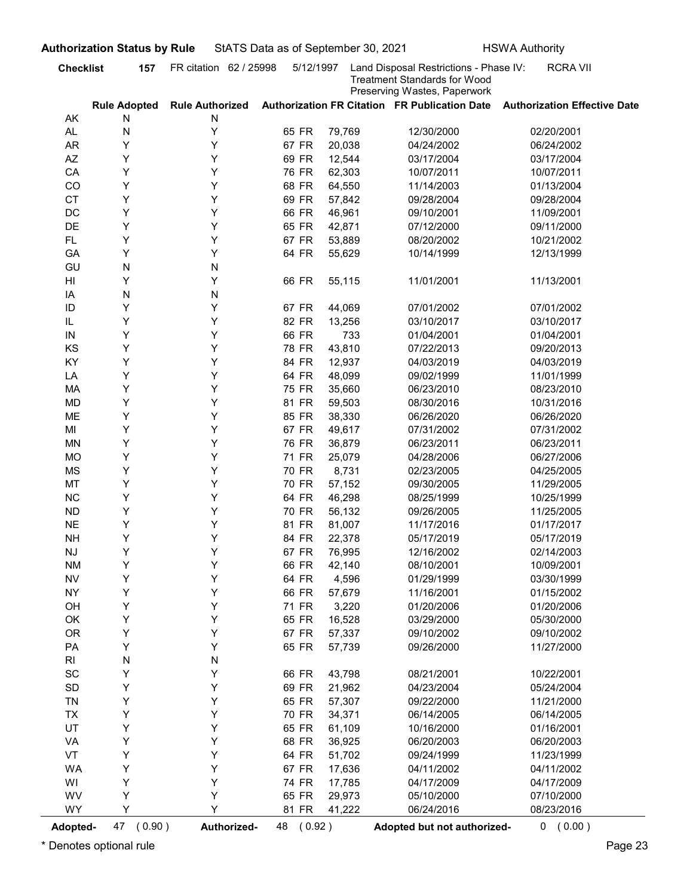| FR citation 62 / 25998<br>Land Disposal Restrictions - Phase IV:<br><b>Checklist</b><br>5/12/1997<br><b>Treatment Standards for Wood</b><br>Preserving Wastes, Paperwork<br>Authorization FR Citation FR Publication Date<br><b>Rule Adopted</b><br><b>Rule Authorized</b><br><b>Authorization Effective Date</b><br>AK<br>N<br>Ν<br>Υ<br>65 FR<br>AL<br>N<br>79,769<br>12/30/2000<br>02/20/2001<br>Y<br>Y<br>67 FR<br><b>AR</b><br>20,038<br>04/24/2002<br>06/24/2002<br>Y<br>Y<br>69 FR<br>AZ<br>12,544<br>03/17/2004<br>03/17/2004<br>Υ<br>Y<br>76 FR<br>CA<br>62,303<br>10/07/2011<br>10/07/2011<br>Y<br>Y<br>68 FR<br>64,550<br>CO<br>11/14/2003<br>01/13/2004<br><b>CT</b><br>Y<br>Y<br>69 FR<br>57,842<br>09/28/2004<br>09/28/2004<br>Υ<br>DC<br>Y<br>66 FR<br>46,961<br>09/10/2001<br>11/09/2001<br>DE<br>Y<br>Υ<br>65 FR<br>42,871<br>07/12/2000<br>09/11/2000<br>Y<br>Υ<br>67 FR<br>FL.<br>53,889<br>08/20/2002<br>10/21/2002<br>Y<br>Y<br>64 FR<br>GA<br>55,629<br>10/14/1999<br>12/13/1999<br>GU<br>N<br>N<br>Y<br>Y<br>66 FR<br>HI<br>55,115<br>11/01/2001<br>11/13/2001<br>N<br>N<br>IA<br>Y<br>Y<br>ID<br>67 FR<br>44,069<br>07/01/2002<br>07/01/2002<br>Y<br>Y<br>IL<br>82 FR<br>13,256<br>03/10/2017<br>03/10/2017<br>66 FR<br>733<br>01/04/2001<br>01/04/2001<br>IN<br>Y<br>Y<br>KS<br>Y<br>78 FR<br>43,810<br>07/22/2013<br>09/20/2013<br>Y<br>KY<br>Y<br>Y<br>84 FR<br>12,937<br>04/03/2019<br>04/03/2019<br>Υ<br>Y<br>64 FR<br>48,099<br>LA<br>09/02/1999<br>11/01/1999<br>Υ<br>Y<br>75 FR<br>MA<br>35,660<br>06/23/2010<br>08/23/2010<br>Υ<br>Y<br>81 FR<br>59,503<br>10/31/2016<br>MD<br>08/30/2016<br>Υ<br>Y<br>85 FR<br>38,330<br>ME<br>06/26/2020<br>06/26/2020<br>Υ<br>Y<br>67 FR<br>49,617<br>07/31/2002<br>MI<br>07/31/2002<br>Υ<br>Y<br>76 FR<br>MN<br>36,879<br>06/23/2011<br>06/23/2011<br>Υ<br>Y<br>71 FR<br>06/27/2006<br>MO<br>25,079<br>04/28/2006<br>Υ<br>Y<br>70 FR<br>8,731<br>MS<br>02/23/2005<br>04/25/2005<br>Υ<br>Y<br>70 FR<br>57,152<br>MT<br>09/30/2005<br>11/29/2005<br>Υ<br>Y<br>64 FR<br>46,298<br><b>NC</b><br>08/25/1999<br>10/25/1999<br>Υ<br>Y<br>70 FR<br>56,132<br><b>ND</b><br>09/26/2005<br>11/25/2005<br>Υ<br><b>NE</b><br>Y<br>81 FR<br>81,007<br>01/17/2017<br>11/17/2016<br>Υ<br>Y<br>84 FR<br>22,378<br><b>NH</b><br>05/17/2019<br>05/17/2019<br>Υ<br>Y<br>67 FR<br>76,995<br>02/14/2003<br><b>NJ</b><br>12/16/2002<br>Υ<br>Y<br>66 FR<br>42,140<br>10/09/2001<br><b>NM</b><br>08/10/2001<br>Υ<br>Y<br>64 FR<br>4,596<br><b>NV</b><br>01/29/1999<br>03/30/1999<br>Υ<br>Y<br>66 FR<br>57,679<br><b>NY</b><br>11/16/2001<br>01/15/2002<br>Υ<br>Y<br>71 FR<br>3,220<br>01/20/2006<br>OH<br>01/20/2006<br>Υ<br>Y<br>65 FR<br>16,528<br>05/30/2000<br>OK<br>03/29/2000<br>Υ<br>OR<br>Υ<br>67 FR<br>57,337<br>09/10/2002<br>09/10/2002<br>Υ<br>PA<br>Υ<br>65 FR<br>57,739<br>11/27/2000<br>09/26/2000<br>N<br>R <sub>l</sub><br>N<br>SC<br>Υ<br>Y<br>66 FR<br>43,798<br>08/21/2001<br>10/22/2001<br>SD<br>Υ<br>Υ<br>69 FR<br>21,962<br>04/23/2004<br>05/24/2004<br><b>TN</b><br>Υ<br>Y<br>65 FR<br>57,307<br>11/21/2000<br>09/22/2000<br>Υ<br>Υ<br>70 FR<br>34,371<br><b>TX</b><br>06/14/2005<br>06/14/2005<br>UT<br>Υ<br>Υ<br>65 FR<br>61,109<br>10/16/2000<br>01/16/2001<br>Υ<br>Y<br>68 FR<br>36,925<br>06/20/2003<br>VA<br>06/20/2003<br>VT<br>Υ<br>Υ<br>64 FR<br>51,702<br>11/23/1999<br>09/24/1999<br><b>WA</b><br>Υ<br>Υ<br>67 FR<br>17,636<br>04/11/2002<br>04/11/2002<br>Υ<br>Υ<br>74 FR<br>17,785<br>04/17/2009<br>WI<br>04/17/2009<br>WV<br>Y<br>65 FR<br>29,973<br>07/10/2000<br>Y<br>05/10/2000<br>WY<br>Y<br>Y<br>81 FR<br>41,222<br>06/24/2016<br>08/23/2016<br>47 (0.90)<br>Authorized-<br>48 (0.92)<br>Adopted but not authorized- | <b>Authorization Status by Rule</b> | StATS Data as of September 30, 2021 |  | <b>HSWA Authority</b> |
|-------------------------------------------------------------------------------------------------------------------------------------------------------------------------------------------------------------------------------------------------------------------------------------------------------------------------------------------------------------------------------------------------------------------------------------------------------------------------------------------------------------------------------------------------------------------------------------------------------------------------------------------------------------------------------------------------------------------------------------------------------------------------------------------------------------------------------------------------------------------------------------------------------------------------------------------------------------------------------------------------------------------------------------------------------------------------------------------------------------------------------------------------------------------------------------------------------------------------------------------------------------------------------------------------------------------------------------------------------------------------------------------------------------------------------------------------------------------------------------------------------------------------------------------------------------------------------------------------------------------------------------------------------------------------------------------------------------------------------------------------------------------------------------------------------------------------------------------------------------------------------------------------------------------------------------------------------------------------------------------------------------------------------------------------------------------------------------------------------------------------------------------------------------------------------------------------------------------------------------------------------------------------------------------------------------------------------------------------------------------------------------------------------------------------------------------------------------------------------------------------------------------------------------------------------------------------------------------------------------------------------------------------------------------------------------------------------------------------------------------------------------------------------------------------------------------------------------------------------------------------------------------------------------------------------------------------------------------------------------------------------------------------------------------------------------------------------------------------------------------------------------------------------------------------------------------------------------------------------------------------------------------------------------------------------------------------------------------------------------------------------------------------------------------------------------------------------------------------------------------------------------------------------------------------------------------------------------------------------------------------------------------------------------------------------------------------------------|-------------------------------------|-------------------------------------|--|-----------------------|
|                                                                                                                                                                                                                                                                                                                                                                                                                                                                                                                                                                                                                                                                                                                                                                                                                                                                                                                                                                                                                                                                                                                                                                                                                                                                                                                                                                                                                                                                                                                                                                                                                                                                                                                                                                                                                                                                                                                                                                                                                                                                                                                                                                                                                                                                                                                                                                                                                                                                                                                                                                                                                                                                                                                                                                                                                                                                                                                                                                                                                                                                                                                                                                                                                                                                                                                                                                                                                                                                                                                                                                                                                                                                                                             | 157                                 |                                     |  | <b>RCRA VII</b>       |
|                                                                                                                                                                                                                                                                                                                                                                                                                                                                                                                                                                                                                                                                                                                                                                                                                                                                                                                                                                                                                                                                                                                                                                                                                                                                                                                                                                                                                                                                                                                                                                                                                                                                                                                                                                                                                                                                                                                                                                                                                                                                                                                                                                                                                                                                                                                                                                                                                                                                                                                                                                                                                                                                                                                                                                                                                                                                                                                                                                                                                                                                                                                                                                                                                                                                                                                                                                                                                                                                                                                                                                                                                                                                                                             |                                     |                                     |  |                       |
|                                                                                                                                                                                                                                                                                                                                                                                                                                                                                                                                                                                                                                                                                                                                                                                                                                                                                                                                                                                                                                                                                                                                                                                                                                                                                                                                                                                                                                                                                                                                                                                                                                                                                                                                                                                                                                                                                                                                                                                                                                                                                                                                                                                                                                                                                                                                                                                                                                                                                                                                                                                                                                                                                                                                                                                                                                                                                                                                                                                                                                                                                                                                                                                                                                                                                                                                                                                                                                                                                                                                                                                                                                                                                                             |                                     |                                     |  |                       |
|                                                                                                                                                                                                                                                                                                                                                                                                                                                                                                                                                                                                                                                                                                                                                                                                                                                                                                                                                                                                                                                                                                                                                                                                                                                                                                                                                                                                                                                                                                                                                                                                                                                                                                                                                                                                                                                                                                                                                                                                                                                                                                                                                                                                                                                                                                                                                                                                                                                                                                                                                                                                                                                                                                                                                                                                                                                                                                                                                                                                                                                                                                                                                                                                                                                                                                                                                                                                                                                                                                                                                                                                                                                                                                             |                                     |                                     |  |                       |
|                                                                                                                                                                                                                                                                                                                                                                                                                                                                                                                                                                                                                                                                                                                                                                                                                                                                                                                                                                                                                                                                                                                                                                                                                                                                                                                                                                                                                                                                                                                                                                                                                                                                                                                                                                                                                                                                                                                                                                                                                                                                                                                                                                                                                                                                                                                                                                                                                                                                                                                                                                                                                                                                                                                                                                                                                                                                                                                                                                                                                                                                                                                                                                                                                                                                                                                                                                                                                                                                                                                                                                                                                                                                                                             |                                     |                                     |  |                       |
|                                                                                                                                                                                                                                                                                                                                                                                                                                                                                                                                                                                                                                                                                                                                                                                                                                                                                                                                                                                                                                                                                                                                                                                                                                                                                                                                                                                                                                                                                                                                                                                                                                                                                                                                                                                                                                                                                                                                                                                                                                                                                                                                                                                                                                                                                                                                                                                                                                                                                                                                                                                                                                                                                                                                                                                                                                                                                                                                                                                                                                                                                                                                                                                                                                                                                                                                                                                                                                                                                                                                                                                                                                                                                                             |                                     |                                     |  |                       |
|                                                                                                                                                                                                                                                                                                                                                                                                                                                                                                                                                                                                                                                                                                                                                                                                                                                                                                                                                                                                                                                                                                                                                                                                                                                                                                                                                                                                                                                                                                                                                                                                                                                                                                                                                                                                                                                                                                                                                                                                                                                                                                                                                                                                                                                                                                                                                                                                                                                                                                                                                                                                                                                                                                                                                                                                                                                                                                                                                                                                                                                                                                                                                                                                                                                                                                                                                                                                                                                                                                                                                                                                                                                                                                             |                                     |                                     |  |                       |
|                                                                                                                                                                                                                                                                                                                                                                                                                                                                                                                                                                                                                                                                                                                                                                                                                                                                                                                                                                                                                                                                                                                                                                                                                                                                                                                                                                                                                                                                                                                                                                                                                                                                                                                                                                                                                                                                                                                                                                                                                                                                                                                                                                                                                                                                                                                                                                                                                                                                                                                                                                                                                                                                                                                                                                                                                                                                                                                                                                                                                                                                                                                                                                                                                                                                                                                                                                                                                                                                                                                                                                                                                                                                                                             |                                     |                                     |  |                       |
|                                                                                                                                                                                                                                                                                                                                                                                                                                                                                                                                                                                                                                                                                                                                                                                                                                                                                                                                                                                                                                                                                                                                                                                                                                                                                                                                                                                                                                                                                                                                                                                                                                                                                                                                                                                                                                                                                                                                                                                                                                                                                                                                                                                                                                                                                                                                                                                                                                                                                                                                                                                                                                                                                                                                                                                                                                                                                                                                                                                                                                                                                                                                                                                                                                                                                                                                                                                                                                                                                                                                                                                                                                                                                                             |                                     |                                     |  |                       |
|                                                                                                                                                                                                                                                                                                                                                                                                                                                                                                                                                                                                                                                                                                                                                                                                                                                                                                                                                                                                                                                                                                                                                                                                                                                                                                                                                                                                                                                                                                                                                                                                                                                                                                                                                                                                                                                                                                                                                                                                                                                                                                                                                                                                                                                                                                                                                                                                                                                                                                                                                                                                                                                                                                                                                                                                                                                                                                                                                                                                                                                                                                                                                                                                                                                                                                                                                                                                                                                                                                                                                                                                                                                                                                             |                                     |                                     |  |                       |
|                                                                                                                                                                                                                                                                                                                                                                                                                                                                                                                                                                                                                                                                                                                                                                                                                                                                                                                                                                                                                                                                                                                                                                                                                                                                                                                                                                                                                                                                                                                                                                                                                                                                                                                                                                                                                                                                                                                                                                                                                                                                                                                                                                                                                                                                                                                                                                                                                                                                                                                                                                                                                                                                                                                                                                                                                                                                                                                                                                                                                                                                                                                                                                                                                                                                                                                                                                                                                                                                                                                                                                                                                                                                                                             |                                     |                                     |  |                       |
|                                                                                                                                                                                                                                                                                                                                                                                                                                                                                                                                                                                                                                                                                                                                                                                                                                                                                                                                                                                                                                                                                                                                                                                                                                                                                                                                                                                                                                                                                                                                                                                                                                                                                                                                                                                                                                                                                                                                                                                                                                                                                                                                                                                                                                                                                                                                                                                                                                                                                                                                                                                                                                                                                                                                                                                                                                                                                                                                                                                                                                                                                                                                                                                                                                                                                                                                                                                                                                                                                                                                                                                                                                                                                                             |                                     |                                     |  |                       |
|                                                                                                                                                                                                                                                                                                                                                                                                                                                                                                                                                                                                                                                                                                                                                                                                                                                                                                                                                                                                                                                                                                                                                                                                                                                                                                                                                                                                                                                                                                                                                                                                                                                                                                                                                                                                                                                                                                                                                                                                                                                                                                                                                                                                                                                                                                                                                                                                                                                                                                                                                                                                                                                                                                                                                                                                                                                                                                                                                                                                                                                                                                                                                                                                                                                                                                                                                                                                                                                                                                                                                                                                                                                                                                             |                                     |                                     |  |                       |
|                                                                                                                                                                                                                                                                                                                                                                                                                                                                                                                                                                                                                                                                                                                                                                                                                                                                                                                                                                                                                                                                                                                                                                                                                                                                                                                                                                                                                                                                                                                                                                                                                                                                                                                                                                                                                                                                                                                                                                                                                                                                                                                                                                                                                                                                                                                                                                                                                                                                                                                                                                                                                                                                                                                                                                                                                                                                                                                                                                                                                                                                                                                                                                                                                                                                                                                                                                                                                                                                                                                                                                                                                                                                                                             |                                     |                                     |  |                       |
|                                                                                                                                                                                                                                                                                                                                                                                                                                                                                                                                                                                                                                                                                                                                                                                                                                                                                                                                                                                                                                                                                                                                                                                                                                                                                                                                                                                                                                                                                                                                                                                                                                                                                                                                                                                                                                                                                                                                                                                                                                                                                                                                                                                                                                                                                                                                                                                                                                                                                                                                                                                                                                                                                                                                                                                                                                                                                                                                                                                                                                                                                                                                                                                                                                                                                                                                                                                                                                                                                                                                                                                                                                                                                                             |                                     |                                     |  |                       |
|                                                                                                                                                                                                                                                                                                                                                                                                                                                                                                                                                                                                                                                                                                                                                                                                                                                                                                                                                                                                                                                                                                                                                                                                                                                                                                                                                                                                                                                                                                                                                                                                                                                                                                                                                                                                                                                                                                                                                                                                                                                                                                                                                                                                                                                                                                                                                                                                                                                                                                                                                                                                                                                                                                                                                                                                                                                                                                                                                                                                                                                                                                                                                                                                                                                                                                                                                                                                                                                                                                                                                                                                                                                                                                             |                                     |                                     |  |                       |
|                                                                                                                                                                                                                                                                                                                                                                                                                                                                                                                                                                                                                                                                                                                                                                                                                                                                                                                                                                                                                                                                                                                                                                                                                                                                                                                                                                                                                                                                                                                                                                                                                                                                                                                                                                                                                                                                                                                                                                                                                                                                                                                                                                                                                                                                                                                                                                                                                                                                                                                                                                                                                                                                                                                                                                                                                                                                                                                                                                                                                                                                                                                                                                                                                                                                                                                                                                                                                                                                                                                                                                                                                                                                                                             |                                     |                                     |  |                       |
|                                                                                                                                                                                                                                                                                                                                                                                                                                                                                                                                                                                                                                                                                                                                                                                                                                                                                                                                                                                                                                                                                                                                                                                                                                                                                                                                                                                                                                                                                                                                                                                                                                                                                                                                                                                                                                                                                                                                                                                                                                                                                                                                                                                                                                                                                                                                                                                                                                                                                                                                                                                                                                                                                                                                                                                                                                                                                                                                                                                                                                                                                                                                                                                                                                                                                                                                                                                                                                                                                                                                                                                                                                                                                                             |                                     |                                     |  |                       |
|                                                                                                                                                                                                                                                                                                                                                                                                                                                                                                                                                                                                                                                                                                                                                                                                                                                                                                                                                                                                                                                                                                                                                                                                                                                                                                                                                                                                                                                                                                                                                                                                                                                                                                                                                                                                                                                                                                                                                                                                                                                                                                                                                                                                                                                                                                                                                                                                                                                                                                                                                                                                                                                                                                                                                                                                                                                                                                                                                                                                                                                                                                                                                                                                                                                                                                                                                                                                                                                                                                                                                                                                                                                                                                             |                                     |                                     |  |                       |
|                                                                                                                                                                                                                                                                                                                                                                                                                                                                                                                                                                                                                                                                                                                                                                                                                                                                                                                                                                                                                                                                                                                                                                                                                                                                                                                                                                                                                                                                                                                                                                                                                                                                                                                                                                                                                                                                                                                                                                                                                                                                                                                                                                                                                                                                                                                                                                                                                                                                                                                                                                                                                                                                                                                                                                                                                                                                                                                                                                                                                                                                                                                                                                                                                                                                                                                                                                                                                                                                                                                                                                                                                                                                                                             |                                     |                                     |  |                       |
|                                                                                                                                                                                                                                                                                                                                                                                                                                                                                                                                                                                                                                                                                                                                                                                                                                                                                                                                                                                                                                                                                                                                                                                                                                                                                                                                                                                                                                                                                                                                                                                                                                                                                                                                                                                                                                                                                                                                                                                                                                                                                                                                                                                                                                                                                                                                                                                                                                                                                                                                                                                                                                                                                                                                                                                                                                                                                                                                                                                                                                                                                                                                                                                                                                                                                                                                                                                                                                                                                                                                                                                                                                                                                                             |                                     |                                     |  |                       |
|                                                                                                                                                                                                                                                                                                                                                                                                                                                                                                                                                                                                                                                                                                                                                                                                                                                                                                                                                                                                                                                                                                                                                                                                                                                                                                                                                                                                                                                                                                                                                                                                                                                                                                                                                                                                                                                                                                                                                                                                                                                                                                                                                                                                                                                                                                                                                                                                                                                                                                                                                                                                                                                                                                                                                                                                                                                                                                                                                                                                                                                                                                                                                                                                                                                                                                                                                                                                                                                                                                                                                                                                                                                                                                             |                                     |                                     |  |                       |
|                                                                                                                                                                                                                                                                                                                                                                                                                                                                                                                                                                                                                                                                                                                                                                                                                                                                                                                                                                                                                                                                                                                                                                                                                                                                                                                                                                                                                                                                                                                                                                                                                                                                                                                                                                                                                                                                                                                                                                                                                                                                                                                                                                                                                                                                                                                                                                                                                                                                                                                                                                                                                                                                                                                                                                                                                                                                                                                                                                                                                                                                                                                                                                                                                                                                                                                                                                                                                                                                                                                                                                                                                                                                                                             |                                     |                                     |  |                       |
|                                                                                                                                                                                                                                                                                                                                                                                                                                                                                                                                                                                                                                                                                                                                                                                                                                                                                                                                                                                                                                                                                                                                                                                                                                                                                                                                                                                                                                                                                                                                                                                                                                                                                                                                                                                                                                                                                                                                                                                                                                                                                                                                                                                                                                                                                                                                                                                                                                                                                                                                                                                                                                                                                                                                                                                                                                                                                                                                                                                                                                                                                                                                                                                                                                                                                                                                                                                                                                                                                                                                                                                                                                                                                                             |                                     |                                     |  |                       |
|                                                                                                                                                                                                                                                                                                                                                                                                                                                                                                                                                                                                                                                                                                                                                                                                                                                                                                                                                                                                                                                                                                                                                                                                                                                                                                                                                                                                                                                                                                                                                                                                                                                                                                                                                                                                                                                                                                                                                                                                                                                                                                                                                                                                                                                                                                                                                                                                                                                                                                                                                                                                                                                                                                                                                                                                                                                                                                                                                                                                                                                                                                                                                                                                                                                                                                                                                                                                                                                                                                                                                                                                                                                                                                             |                                     |                                     |  |                       |
|                                                                                                                                                                                                                                                                                                                                                                                                                                                                                                                                                                                                                                                                                                                                                                                                                                                                                                                                                                                                                                                                                                                                                                                                                                                                                                                                                                                                                                                                                                                                                                                                                                                                                                                                                                                                                                                                                                                                                                                                                                                                                                                                                                                                                                                                                                                                                                                                                                                                                                                                                                                                                                                                                                                                                                                                                                                                                                                                                                                                                                                                                                                                                                                                                                                                                                                                                                                                                                                                                                                                                                                                                                                                                                             |                                     |                                     |  |                       |
|                                                                                                                                                                                                                                                                                                                                                                                                                                                                                                                                                                                                                                                                                                                                                                                                                                                                                                                                                                                                                                                                                                                                                                                                                                                                                                                                                                                                                                                                                                                                                                                                                                                                                                                                                                                                                                                                                                                                                                                                                                                                                                                                                                                                                                                                                                                                                                                                                                                                                                                                                                                                                                                                                                                                                                                                                                                                                                                                                                                                                                                                                                                                                                                                                                                                                                                                                                                                                                                                                                                                                                                                                                                                                                             |                                     |                                     |  |                       |
|                                                                                                                                                                                                                                                                                                                                                                                                                                                                                                                                                                                                                                                                                                                                                                                                                                                                                                                                                                                                                                                                                                                                                                                                                                                                                                                                                                                                                                                                                                                                                                                                                                                                                                                                                                                                                                                                                                                                                                                                                                                                                                                                                                                                                                                                                                                                                                                                                                                                                                                                                                                                                                                                                                                                                                                                                                                                                                                                                                                                                                                                                                                                                                                                                                                                                                                                                                                                                                                                                                                                                                                                                                                                                                             |                                     |                                     |  |                       |
|                                                                                                                                                                                                                                                                                                                                                                                                                                                                                                                                                                                                                                                                                                                                                                                                                                                                                                                                                                                                                                                                                                                                                                                                                                                                                                                                                                                                                                                                                                                                                                                                                                                                                                                                                                                                                                                                                                                                                                                                                                                                                                                                                                                                                                                                                                                                                                                                                                                                                                                                                                                                                                                                                                                                                                                                                                                                                                                                                                                                                                                                                                                                                                                                                                                                                                                                                                                                                                                                                                                                                                                                                                                                                                             |                                     |                                     |  |                       |
|                                                                                                                                                                                                                                                                                                                                                                                                                                                                                                                                                                                                                                                                                                                                                                                                                                                                                                                                                                                                                                                                                                                                                                                                                                                                                                                                                                                                                                                                                                                                                                                                                                                                                                                                                                                                                                                                                                                                                                                                                                                                                                                                                                                                                                                                                                                                                                                                                                                                                                                                                                                                                                                                                                                                                                                                                                                                                                                                                                                                                                                                                                                                                                                                                                                                                                                                                                                                                                                                                                                                                                                                                                                                                                             |                                     |                                     |  |                       |
|                                                                                                                                                                                                                                                                                                                                                                                                                                                                                                                                                                                                                                                                                                                                                                                                                                                                                                                                                                                                                                                                                                                                                                                                                                                                                                                                                                                                                                                                                                                                                                                                                                                                                                                                                                                                                                                                                                                                                                                                                                                                                                                                                                                                                                                                                                                                                                                                                                                                                                                                                                                                                                                                                                                                                                                                                                                                                                                                                                                                                                                                                                                                                                                                                                                                                                                                                                                                                                                                                                                                                                                                                                                                                                             |                                     |                                     |  |                       |
|                                                                                                                                                                                                                                                                                                                                                                                                                                                                                                                                                                                                                                                                                                                                                                                                                                                                                                                                                                                                                                                                                                                                                                                                                                                                                                                                                                                                                                                                                                                                                                                                                                                                                                                                                                                                                                                                                                                                                                                                                                                                                                                                                                                                                                                                                                                                                                                                                                                                                                                                                                                                                                                                                                                                                                                                                                                                                                                                                                                                                                                                                                                                                                                                                                                                                                                                                                                                                                                                                                                                                                                                                                                                                                             |                                     |                                     |  |                       |
|                                                                                                                                                                                                                                                                                                                                                                                                                                                                                                                                                                                                                                                                                                                                                                                                                                                                                                                                                                                                                                                                                                                                                                                                                                                                                                                                                                                                                                                                                                                                                                                                                                                                                                                                                                                                                                                                                                                                                                                                                                                                                                                                                                                                                                                                                                                                                                                                                                                                                                                                                                                                                                                                                                                                                                                                                                                                                                                                                                                                                                                                                                                                                                                                                                                                                                                                                                                                                                                                                                                                                                                                                                                                                                             |                                     |                                     |  |                       |
|                                                                                                                                                                                                                                                                                                                                                                                                                                                                                                                                                                                                                                                                                                                                                                                                                                                                                                                                                                                                                                                                                                                                                                                                                                                                                                                                                                                                                                                                                                                                                                                                                                                                                                                                                                                                                                                                                                                                                                                                                                                                                                                                                                                                                                                                                                                                                                                                                                                                                                                                                                                                                                                                                                                                                                                                                                                                                                                                                                                                                                                                                                                                                                                                                                                                                                                                                                                                                                                                                                                                                                                                                                                                                                             |                                     |                                     |  |                       |
|                                                                                                                                                                                                                                                                                                                                                                                                                                                                                                                                                                                                                                                                                                                                                                                                                                                                                                                                                                                                                                                                                                                                                                                                                                                                                                                                                                                                                                                                                                                                                                                                                                                                                                                                                                                                                                                                                                                                                                                                                                                                                                                                                                                                                                                                                                                                                                                                                                                                                                                                                                                                                                                                                                                                                                                                                                                                                                                                                                                                                                                                                                                                                                                                                                                                                                                                                                                                                                                                                                                                                                                                                                                                                                             |                                     |                                     |  |                       |
|                                                                                                                                                                                                                                                                                                                                                                                                                                                                                                                                                                                                                                                                                                                                                                                                                                                                                                                                                                                                                                                                                                                                                                                                                                                                                                                                                                                                                                                                                                                                                                                                                                                                                                                                                                                                                                                                                                                                                                                                                                                                                                                                                                                                                                                                                                                                                                                                                                                                                                                                                                                                                                                                                                                                                                                                                                                                                                                                                                                                                                                                                                                                                                                                                                                                                                                                                                                                                                                                                                                                                                                                                                                                                                             |                                     |                                     |  |                       |
|                                                                                                                                                                                                                                                                                                                                                                                                                                                                                                                                                                                                                                                                                                                                                                                                                                                                                                                                                                                                                                                                                                                                                                                                                                                                                                                                                                                                                                                                                                                                                                                                                                                                                                                                                                                                                                                                                                                                                                                                                                                                                                                                                                                                                                                                                                                                                                                                                                                                                                                                                                                                                                                                                                                                                                                                                                                                                                                                                                                                                                                                                                                                                                                                                                                                                                                                                                                                                                                                                                                                                                                                                                                                                                             |                                     |                                     |  |                       |
|                                                                                                                                                                                                                                                                                                                                                                                                                                                                                                                                                                                                                                                                                                                                                                                                                                                                                                                                                                                                                                                                                                                                                                                                                                                                                                                                                                                                                                                                                                                                                                                                                                                                                                                                                                                                                                                                                                                                                                                                                                                                                                                                                                                                                                                                                                                                                                                                                                                                                                                                                                                                                                                                                                                                                                                                                                                                                                                                                                                                                                                                                                                                                                                                                                                                                                                                                                                                                                                                                                                                                                                                                                                                                                             |                                     |                                     |  |                       |
|                                                                                                                                                                                                                                                                                                                                                                                                                                                                                                                                                                                                                                                                                                                                                                                                                                                                                                                                                                                                                                                                                                                                                                                                                                                                                                                                                                                                                                                                                                                                                                                                                                                                                                                                                                                                                                                                                                                                                                                                                                                                                                                                                                                                                                                                                                                                                                                                                                                                                                                                                                                                                                                                                                                                                                                                                                                                                                                                                                                                                                                                                                                                                                                                                                                                                                                                                                                                                                                                                                                                                                                                                                                                                                             |                                     |                                     |  |                       |
|                                                                                                                                                                                                                                                                                                                                                                                                                                                                                                                                                                                                                                                                                                                                                                                                                                                                                                                                                                                                                                                                                                                                                                                                                                                                                                                                                                                                                                                                                                                                                                                                                                                                                                                                                                                                                                                                                                                                                                                                                                                                                                                                                                                                                                                                                                                                                                                                                                                                                                                                                                                                                                                                                                                                                                                                                                                                                                                                                                                                                                                                                                                                                                                                                                                                                                                                                                                                                                                                                                                                                                                                                                                                                                             |                                     |                                     |  |                       |
|                                                                                                                                                                                                                                                                                                                                                                                                                                                                                                                                                                                                                                                                                                                                                                                                                                                                                                                                                                                                                                                                                                                                                                                                                                                                                                                                                                                                                                                                                                                                                                                                                                                                                                                                                                                                                                                                                                                                                                                                                                                                                                                                                                                                                                                                                                                                                                                                                                                                                                                                                                                                                                                                                                                                                                                                                                                                                                                                                                                                                                                                                                                                                                                                                                                                                                                                                                                                                                                                                                                                                                                                                                                                                                             |                                     |                                     |  |                       |
|                                                                                                                                                                                                                                                                                                                                                                                                                                                                                                                                                                                                                                                                                                                                                                                                                                                                                                                                                                                                                                                                                                                                                                                                                                                                                                                                                                                                                                                                                                                                                                                                                                                                                                                                                                                                                                                                                                                                                                                                                                                                                                                                                                                                                                                                                                                                                                                                                                                                                                                                                                                                                                                                                                                                                                                                                                                                                                                                                                                                                                                                                                                                                                                                                                                                                                                                                                                                                                                                                                                                                                                                                                                                                                             |                                     |                                     |  |                       |
|                                                                                                                                                                                                                                                                                                                                                                                                                                                                                                                                                                                                                                                                                                                                                                                                                                                                                                                                                                                                                                                                                                                                                                                                                                                                                                                                                                                                                                                                                                                                                                                                                                                                                                                                                                                                                                                                                                                                                                                                                                                                                                                                                                                                                                                                                                                                                                                                                                                                                                                                                                                                                                                                                                                                                                                                                                                                                                                                                                                                                                                                                                                                                                                                                                                                                                                                                                                                                                                                                                                                                                                                                                                                                                             |                                     |                                     |  |                       |
|                                                                                                                                                                                                                                                                                                                                                                                                                                                                                                                                                                                                                                                                                                                                                                                                                                                                                                                                                                                                                                                                                                                                                                                                                                                                                                                                                                                                                                                                                                                                                                                                                                                                                                                                                                                                                                                                                                                                                                                                                                                                                                                                                                                                                                                                                                                                                                                                                                                                                                                                                                                                                                                                                                                                                                                                                                                                                                                                                                                                                                                                                                                                                                                                                                                                                                                                                                                                                                                                                                                                                                                                                                                                                                             |                                     |                                     |  |                       |
|                                                                                                                                                                                                                                                                                                                                                                                                                                                                                                                                                                                                                                                                                                                                                                                                                                                                                                                                                                                                                                                                                                                                                                                                                                                                                                                                                                                                                                                                                                                                                                                                                                                                                                                                                                                                                                                                                                                                                                                                                                                                                                                                                                                                                                                                                                                                                                                                                                                                                                                                                                                                                                                                                                                                                                                                                                                                                                                                                                                                                                                                                                                                                                                                                                                                                                                                                                                                                                                                                                                                                                                                                                                                                                             |                                     |                                     |  |                       |
|                                                                                                                                                                                                                                                                                                                                                                                                                                                                                                                                                                                                                                                                                                                                                                                                                                                                                                                                                                                                                                                                                                                                                                                                                                                                                                                                                                                                                                                                                                                                                                                                                                                                                                                                                                                                                                                                                                                                                                                                                                                                                                                                                                                                                                                                                                                                                                                                                                                                                                                                                                                                                                                                                                                                                                                                                                                                                                                                                                                                                                                                                                                                                                                                                                                                                                                                                                                                                                                                                                                                                                                                                                                                                                             |                                     |                                     |  |                       |
|                                                                                                                                                                                                                                                                                                                                                                                                                                                                                                                                                                                                                                                                                                                                                                                                                                                                                                                                                                                                                                                                                                                                                                                                                                                                                                                                                                                                                                                                                                                                                                                                                                                                                                                                                                                                                                                                                                                                                                                                                                                                                                                                                                                                                                                                                                                                                                                                                                                                                                                                                                                                                                                                                                                                                                                                                                                                                                                                                                                                                                                                                                                                                                                                                                                                                                                                                                                                                                                                                                                                                                                                                                                                                                             |                                     |                                     |  |                       |
|                                                                                                                                                                                                                                                                                                                                                                                                                                                                                                                                                                                                                                                                                                                                                                                                                                                                                                                                                                                                                                                                                                                                                                                                                                                                                                                                                                                                                                                                                                                                                                                                                                                                                                                                                                                                                                                                                                                                                                                                                                                                                                                                                                                                                                                                                                                                                                                                                                                                                                                                                                                                                                                                                                                                                                                                                                                                                                                                                                                                                                                                                                                                                                                                                                                                                                                                                                                                                                                                                                                                                                                                                                                                                                             |                                     |                                     |  |                       |
|                                                                                                                                                                                                                                                                                                                                                                                                                                                                                                                                                                                                                                                                                                                                                                                                                                                                                                                                                                                                                                                                                                                                                                                                                                                                                                                                                                                                                                                                                                                                                                                                                                                                                                                                                                                                                                                                                                                                                                                                                                                                                                                                                                                                                                                                                                                                                                                                                                                                                                                                                                                                                                                                                                                                                                                                                                                                                                                                                                                                                                                                                                                                                                                                                                                                                                                                                                                                                                                                                                                                                                                                                                                                                                             |                                     |                                     |  |                       |
| Adopted-                                                                                                                                                                                                                                                                                                                                                                                                                                                                                                                                                                                                                                                                                                                                                                                                                                                                                                                                                                                                                                                                                                                                                                                                                                                                                                                                                                                                                                                                                                                                                                                                                                                                                                                                                                                                                                                                                                                                                                                                                                                                                                                                                                                                                                                                                                                                                                                                                                                                                                                                                                                                                                                                                                                                                                                                                                                                                                                                                                                                                                                                                                                                                                                                                                                                                                                                                                                                                                                                                                                                                                                                                                                                                                    |                                     |                                     |  | 0 (0.00)              |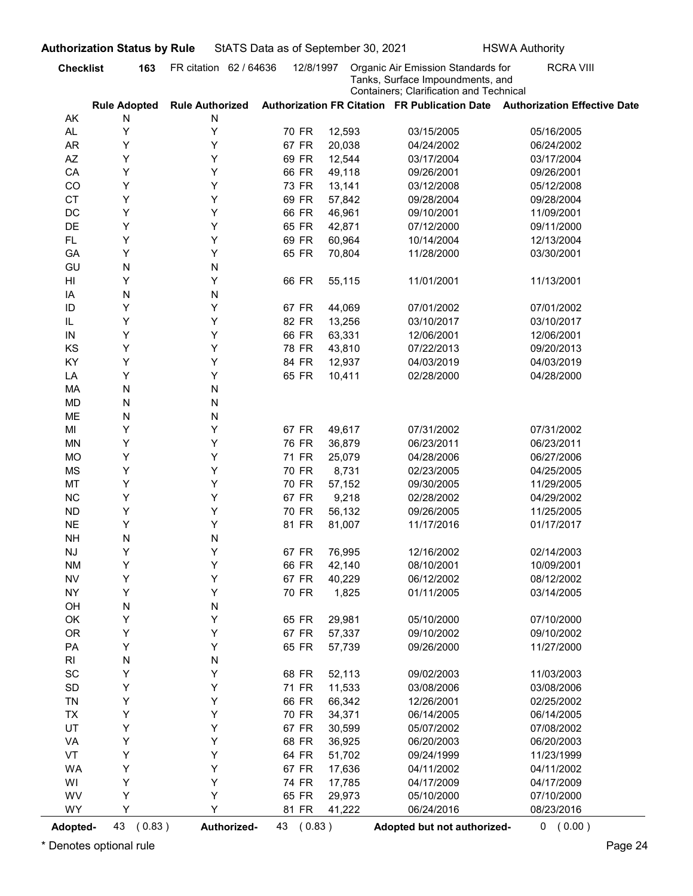|                              |                                       | FR citation 62 / 64636      | 12/8/1997 |        | Organic Air Emission Standards for                                          | <b>RCRA VIII</b> |
|------------------------------|---------------------------------------|-----------------------------|-----------|--------|-----------------------------------------------------------------------------|------------------|
|                              |                                       |                             |           |        | Tanks, Surface Impoundments, and<br>Containers; Clarification and Technical |                  |
| AK                           | <b>Rule Adopted</b><br>N              | <b>Rule Authorized</b><br>N |           |        | Authorization FR Citation FR Publication Date Authorization Effective Date  |                  |
| AL.                          | Υ                                     | Υ                           | 70 FR     | 12,593 | 03/15/2005                                                                  | 05/16/2005       |
| <b>AR</b>                    | Υ                                     | Υ                           | 67 FR     | 20,038 | 04/24/2002                                                                  | 06/24/2002       |
| AZ                           | Y                                     | Υ                           | 69 FR     | 12,544 | 03/17/2004                                                                  | 03/17/2004       |
| CA                           | Υ                                     | Υ                           | 66 FR     | 49,118 | 09/26/2001                                                                  | 09/26/2001       |
| CO                           | Υ                                     | Υ                           | 73 FR     | 13,141 | 03/12/2008                                                                  | 05/12/2008       |
| <b>CT</b>                    | Υ                                     | Υ                           | 69 FR     | 57,842 | 09/28/2004                                                                  | 09/28/2004       |
| DC                           | Y                                     | Υ                           | 66 FR     | 46,961 | 09/10/2001                                                                  | 11/09/2001       |
| DE                           | Y                                     | Υ                           | 65 FR     | 42,871 | 07/12/2000                                                                  | 09/11/2000       |
| <b>FL</b>                    | Y                                     | Υ                           | 69 FR     | 60,964 | 10/14/2004                                                                  | 12/13/2004       |
| GA<br>GU                     | Y<br>N                                | Υ<br>N                      | 65 FR     | 70,804 | 11/28/2000                                                                  | 03/30/2001       |
| HI                           | Y                                     | Υ                           | 66 FR     | 55,115 | 11/01/2001                                                                  | 11/13/2001       |
| IA                           | N                                     | N                           |           |        |                                                                             |                  |
| ID                           | Y                                     | Y                           | 67 FR     | 44,069 | 07/01/2002                                                                  | 07/01/2002       |
| IL                           | Y                                     | Y                           | 82 FR     | 13,256 | 03/10/2017                                                                  | 03/10/2017       |
| ${\sf IN}$                   | Y                                     | Υ                           | 66 FR     | 63,331 | 12/06/2001                                                                  | 12/06/2001       |
| KS                           | Υ                                     | Υ                           | 78 FR     | 43,810 | 07/22/2013                                                                  | 09/20/2013       |
| KY                           | Υ                                     | Υ                           | 84 FR     | 12,937 | 04/03/2019                                                                  | 04/03/2019       |
| LA                           | Υ                                     | Υ                           | 65 FR     | 10,411 | 02/28/2000                                                                  | 04/28/2000       |
| MA                           | ${\sf N}$                             | N                           |           |        |                                                                             |                  |
| <b>MD</b>                    | ${\sf N}$                             | N                           |           |        |                                                                             |                  |
| ME<br>MI                     | ${\sf N}$<br>Υ                        | N<br>Υ                      | 67 FR     | 49,617 | 07/31/2002                                                                  | 07/31/2002       |
| <b>MN</b>                    | Υ                                     | Υ                           | 76 FR     | 36,879 | 06/23/2011                                                                  | 06/23/2011       |
| <b>MO</b>                    | Υ                                     | Υ                           | 71 FR     | 25,079 | 04/28/2006                                                                  | 06/27/2006       |
| <b>MS</b>                    | Υ                                     | Υ                           | 70 FR     | 8,731  | 02/23/2005                                                                  | 04/25/2005       |
| MT                           | Υ                                     | Y                           | 70 FR     | 57,152 | 09/30/2005                                                                  | 11/29/2005       |
| NC                           | Υ                                     | Y                           | 67 FR     | 9,218  | 02/28/2002                                                                  | 04/29/2002       |
| ${\sf ND}$                   | Υ                                     | Y                           | 70 FR     | 56,132 | 09/26/2005                                                                  | 11/25/2005       |
| <b>NE</b>                    | Υ                                     | Υ                           | 81 FR     | 81,007 | 11/17/2016                                                                  | 01/17/2017       |
| <b>NH</b>                    | ${\sf N}$                             | N                           |           |        |                                                                             |                  |
| $\mathsf{N}\mathsf{J}$       | Υ                                     | Y                           | 67 FR     | 76,995 | 12/16/2002                                                                  | 02/14/2003       |
| <b>NM</b>                    | Υ                                     | Υ                           | 66 FR     | 42,140 | 08/10/2001                                                                  | 10/09/2001       |
| <b>NV</b>                    | Υ                                     | Υ                           | 67 FR     | 40,229 | 06/12/2002                                                                  | 08/12/2002       |
| <b>NY</b>                    | Υ                                     | Υ                           | 70 FR     | 1,825  | 01/11/2005                                                                  | 03/14/2005       |
| OH<br>OK                     | ${\sf N}$<br>Υ                        | N<br>Υ                      | 65 FR     | 29,981 | 05/10/2000                                                                  | 07/10/2000       |
| <b>OR</b>                    | Υ                                     | Υ                           | 67 FR     | 57,337 | 09/10/2002                                                                  | 09/10/2002       |
| PA                           | Υ                                     | Υ                           | 65 FR     | 57,739 | 09/26/2000                                                                  | 11/27/2000       |
| $\mathsf{RI}$                | ${\sf N}$                             | N                           |           |        |                                                                             |                  |
| $\operatorname{\textsf{SC}}$ | Υ                                     | Υ                           | 68 FR     | 52,113 | 09/02/2003                                                                  | 11/03/2003       |
| $\mathsf{SD}$                | Υ                                     | Υ                           | 71 FR     | 11,533 | 03/08/2006                                                                  | 03/08/2006       |
| TN                           | Υ                                     | Υ                           | 66 FR     | 66,342 | 12/26/2001                                                                  | 02/25/2002       |
| TX                           | Υ                                     | Υ                           | 70 FR     | 34,371 | 06/14/2005                                                                  | 06/14/2005       |
| UT                           | Υ                                     | Υ                           | 67 FR     | 30,599 | 05/07/2002                                                                  | 07/08/2002       |
| VA                           | Υ                                     | Υ                           | 68 FR     | 36,925 | 06/20/2003                                                                  | 06/20/2003       |
| VT                           | Υ                                     | Υ                           | 64 FR     | 51,702 | 09/24/1999                                                                  | 11/23/1999       |
| <b>WA</b>                    | Υ                                     | Υ                           | 67 FR     | 17,636 | 04/11/2002                                                                  | 04/11/2002       |
| WI                           | Υ                                     | Y                           | 74 FR     | 17,785 | 04/17/2009                                                                  | 04/17/2009       |
| WV                           | Υ                                     | Υ                           | 65 FR     | 29,973 | 05/10/2000                                                                  | 07/10/2000       |
| <b>WY</b>                    | Y                                     | Y                           | 81 FR     | 41,222 | 06/24/2016                                                                  | 08/23/2016       |
| <b>Adopted-</b>              | 43<br>(0.83)<br>Denotes optional rule | Authorized-                 | 43 (0.83) |        | Adopted but not authorized-                                                 | 0 (0.00)         |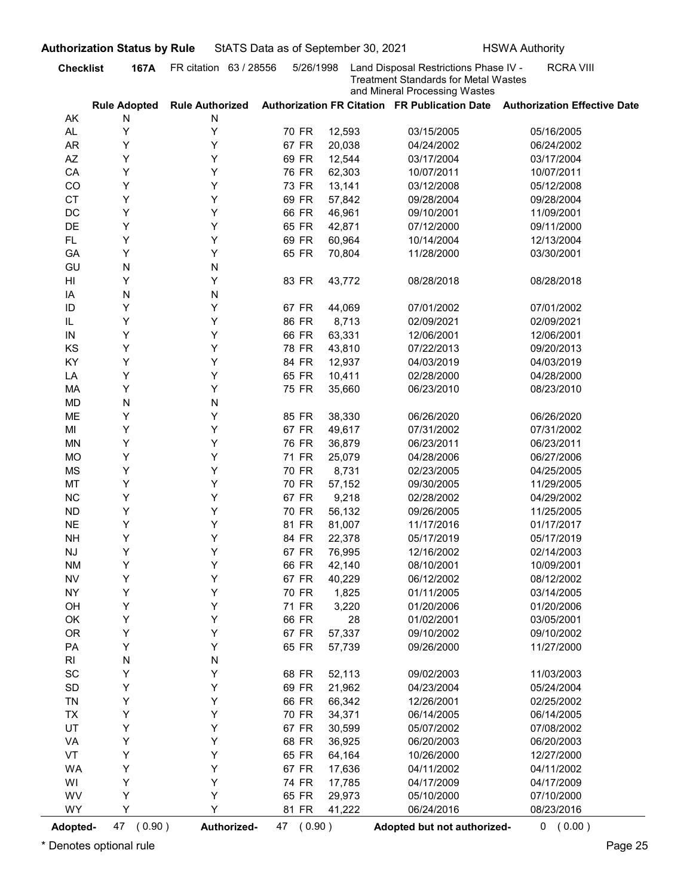| <b>Treatment Standards for Metal Wastes</b><br>and Mineral Processing Wastes<br>Authorization FR Citation FR Publication Date Authorization Effective Date<br><b>Rule Authorized</b><br><b>Rule Adopted</b><br>AK<br>N<br>N<br>Υ<br>Υ<br>AL.<br>70 FR<br>12,593<br>03/15/2005<br>05/16/2005<br>Υ<br><b>AR</b><br>Υ<br>67 FR<br>20,038<br>04/24/2002<br>06/24/2002<br>Υ<br>AZ<br>Y<br>69 FR<br>12,544<br>03/17/2004<br>03/17/2004<br>Υ<br>Υ<br>CA<br>76 FR<br>62,303<br>10/07/2011<br>10/07/2011<br>Y<br>Υ<br>CO<br>73 FR<br>13,141<br>03/12/2008<br>05/12/2008<br>Υ<br>Υ<br><b>CT</b><br>69 FR<br>57,842<br>09/28/2004<br>09/28/2004<br>Υ<br>DC<br>Y<br>66 FR<br>46,961<br>09/10/2001<br>11/09/2001<br>Υ<br>DE<br>Y<br>65 FR<br>42,871<br>07/12/2000<br>09/11/2000<br>Υ<br>Y<br><b>FL</b><br>69 FR<br>60,964<br>10/14/2004<br>12/13/2004<br>Υ<br>Y<br>GA<br>65 FR<br>70,804<br>11/28/2000<br>03/30/2001<br>N<br>GU<br>N<br>Υ<br>Y<br>83 FR<br>HI<br>43,772<br>08/28/2018<br>08/28/2018<br>N<br>N<br>IA<br>Y<br>Y<br>ID<br>67 FR<br>07/01/2002<br>44,069<br>07/01/2002<br>Υ<br>Y<br>86 FR<br>8,713<br>IL<br>02/09/2021<br>02/09/2021<br>Υ<br>63,331<br>12/06/2001<br>12/06/2001<br>Y<br>66 FR<br>IN<br>Υ<br>Υ<br>KS<br>78 FR<br>43,810<br>07/22/2013<br>09/20/2013<br>Υ<br>Υ<br>KY<br>84 FR<br>12,937<br>04/03/2019<br>04/03/2019<br>Υ<br>Υ<br>65 FR<br>10,411<br>LA<br>02/28/2000<br>04/28/2000<br>Υ<br>Υ<br>75 FR<br>MA<br>35,660<br>06/23/2010<br>08/23/2010<br>N<br><b>MD</b><br>${\sf N}$<br>Υ<br>Υ<br>ME<br>85 FR<br>38,330<br>06/26/2020<br>06/26/2020<br>Υ<br>Υ<br>67 FR<br>49,617<br>07/31/2002<br>MI<br>07/31/2002<br>Y<br>Υ<br><b>MN</b><br>76 FR<br>36,879<br>06/23/2011<br>06/23/2011<br>Y<br>Υ<br><b>MO</b><br>71 FR<br>25,079<br>04/28/2006<br>06/27/2006<br>Y<br>Υ<br><b>MS</b><br>70 FR<br>8,731<br>02/23/2005<br>04/25/2005<br>Y<br>MT<br>Υ<br>70 FR<br>57,152<br>09/30/2005<br>11/29/2005<br>Y<br>NC<br>Υ<br>67 FR<br>9,218<br>02/28/2002<br>04/29/2002<br>Y<br>Υ<br>70 FR<br>${\sf ND}$<br>56,132<br>09/26/2005<br>11/25/2005<br>Y<br><b>NE</b><br>Υ<br>81 FR<br>11/17/2016<br>01/17/2017<br>81,007<br>Y<br>Υ<br>84 FR<br><b>NH</b><br>22,378<br>05/17/2019<br>05/17/2019<br>Y<br>Υ<br>67 FR<br>$\mathsf{N}\mathsf{J}$<br>76,995<br>12/16/2002<br>02/14/2003<br>Y<br>Υ<br><b>NM</b><br>66 FR<br>42,140<br>10/09/2001<br>08/10/2001<br>Y<br>Υ<br>${\sf NV}$<br>67 FR<br>40,229<br>06/12/2002<br>08/12/2002<br>Y<br>Υ<br><b>NY</b><br>70 FR<br>1,825<br>01/11/2005<br>03/14/2005<br>Y<br>Υ<br>71 FR<br>3,220<br>OH<br>01/20/2006<br>01/20/2006<br>Υ<br>Υ<br>OK<br>66 FR<br>28<br>03/05/2001<br>01/02/2001<br>Υ<br>Υ<br><b>OR</b><br>67 FR<br>57,337<br>09/10/2002<br>09/10/2002<br>Υ<br>Υ<br>PA<br>65 FR<br>57,739<br>11/27/2000<br>09/26/2000<br>N<br>${\sf N}$<br>RI<br>Υ<br>$\operatorname{\textsf{SC}}$<br>Υ<br>68 FR<br>52,113<br>09/02/2003<br>11/03/2003<br>Υ<br>Υ<br>$\mathsf{SD}$<br>69 FR<br>21,962<br>04/23/2004<br>05/24/2004<br>Υ<br>Υ<br>TN<br>66 FR<br>66,342<br>12/26/2001<br>02/25/2002<br>Υ<br>Υ<br>70 FR<br>34,371<br>06/14/2005<br>06/14/2005<br><b>TX</b><br>Υ<br>UT<br>Υ<br>67 FR<br>30,599<br>07/08/2002<br>05/07/2002<br>Υ<br>Υ<br>VA<br>68 FR<br>36,925<br>06/20/2003<br>06/20/2003<br>Υ<br>Υ<br>VT<br>65 FR<br>64,164<br>12/27/2000<br>10/26/2000<br>Υ<br>Υ<br><b>WA</b><br>67 FR<br>17,636<br>04/11/2002<br>04/11/2002<br>Υ<br>Υ<br>WI<br>74 FR<br>17,785<br>04/17/2009<br>04/17/2009<br>Υ<br>Υ<br>WV<br>65 FR<br>29,973<br>07/10/2000<br>05/10/2000<br>Y<br>Y<br><b>WY</b><br>81 FR<br>41,222<br>06/24/2016<br>08/23/2016<br>(0.90)<br>Authorized-<br>47 (0.90)<br>Adopted but not authorized-<br>Adopted- | <b>Checklist</b> | 167A | uthorization Status by Rule<br>FR citation 63 / 28556 | 5/26/1998 | StATS Data as of September 30, 2021<br><b>HSWA Authority</b><br>Land Disposal Restrictions Phase IV - | <b>RCRA VIII</b> |
|---------------------------------------------------------------------------------------------------------------------------------------------------------------------------------------------------------------------------------------------------------------------------------------------------------------------------------------------------------------------------------------------------------------------------------------------------------------------------------------------------------------------------------------------------------------------------------------------------------------------------------------------------------------------------------------------------------------------------------------------------------------------------------------------------------------------------------------------------------------------------------------------------------------------------------------------------------------------------------------------------------------------------------------------------------------------------------------------------------------------------------------------------------------------------------------------------------------------------------------------------------------------------------------------------------------------------------------------------------------------------------------------------------------------------------------------------------------------------------------------------------------------------------------------------------------------------------------------------------------------------------------------------------------------------------------------------------------------------------------------------------------------------------------------------------------------------------------------------------------------------------------------------------------------------------------------------------------------------------------------------------------------------------------------------------------------------------------------------------------------------------------------------------------------------------------------------------------------------------------------------------------------------------------------------------------------------------------------------------------------------------------------------------------------------------------------------------------------------------------------------------------------------------------------------------------------------------------------------------------------------------------------------------------------------------------------------------------------------------------------------------------------------------------------------------------------------------------------------------------------------------------------------------------------------------------------------------------------------------------------------------------------------------------------------------------------------------------------------------------------------------------------------------------------------------------------------------------------------------------------------------------------------------------------------------------------------------------------------------------------------------------------------------------------------------------------------------------------------------------------------------------------------------------------------------------------------------------------------------------------------------------------------------|------------------|------|-------------------------------------------------------|-----------|-------------------------------------------------------------------------------------------------------|------------------|
|                                                                                                                                                                                                                                                                                                                                                                                                                                                                                                                                                                                                                                                                                                                                                                                                                                                                                                                                                                                                                                                                                                                                                                                                                                                                                                                                                                                                                                                                                                                                                                                                                                                                                                                                                                                                                                                                                                                                                                                                                                                                                                                                                                                                                                                                                                                                                                                                                                                                                                                                                                                                                                                                                                                                                                                                                                                                                                                                                                                                                                                                                                                                                                                                                                                                                                                                                                                                                                                                                                                                                                                                                                                         |                  |      |                                                       |           |                                                                                                       |                  |
|                                                                                                                                                                                                                                                                                                                                                                                                                                                                                                                                                                                                                                                                                                                                                                                                                                                                                                                                                                                                                                                                                                                                                                                                                                                                                                                                                                                                                                                                                                                                                                                                                                                                                                                                                                                                                                                                                                                                                                                                                                                                                                                                                                                                                                                                                                                                                                                                                                                                                                                                                                                                                                                                                                                                                                                                                                                                                                                                                                                                                                                                                                                                                                                                                                                                                                                                                                                                                                                                                                                                                                                                                                                         |                  |      |                                                       |           |                                                                                                       |                  |
|                                                                                                                                                                                                                                                                                                                                                                                                                                                                                                                                                                                                                                                                                                                                                                                                                                                                                                                                                                                                                                                                                                                                                                                                                                                                                                                                                                                                                                                                                                                                                                                                                                                                                                                                                                                                                                                                                                                                                                                                                                                                                                                                                                                                                                                                                                                                                                                                                                                                                                                                                                                                                                                                                                                                                                                                                                                                                                                                                                                                                                                                                                                                                                                                                                                                                                                                                                                                                                                                                                                                                                                                                                                         |                  |      |                                                       |           |                                                                                                       |                  |
|                                                                                                                                                                                                                                                                                                                                                                                                                                                                                                                                                                                                                                                                                                                                                                                                                                                                                                                                                                                                                                                                                                                                                                                                                                                                                                                                                                                                                                                                                                                                                                                                                                                                                                                                                                                                                                                                                                                                                                                                                                                                                                                                                                                                                                                                                                                                                                                                                                                                                                                                                                                                                                                                                                                                                                                                                                                                                                                                                                                                                                                                                                                                                                                                                                                                                                                                                                                                                                                                                                                                                                                                                                                         |                  |      |                                                       |           |                                                                                                       |                  |
|                                                                                                                                                                                                                                                                                                                                                                                                                                                                                                                                                                                                                                                                                                                                                                                                                                                                                                                                                                                                                                                                                                                                                                                                                                                                                                                                                                                                                                                                                                                                                                                                                                                                                                                                                                                                                                                                                                                                                                                                                                                                                                                                                                                                                                                                                                                                                                                                                                                                                                                                                                                                                                                                                                                                                                                                                                                                                                                                                                                                                                                                                                                                                                                                                                                                                                                                                                                                                                                                                                                                                                                                                                                         |                  |      |                                                       |           |                                                                                                       |                  |
|                                                                                                                                                                                                                                                                                                                                                                                                                                                                                                                                                                                                                                                                                                                                                                                                                                                                                                                                                                                                                                                                                                                                                                                                                                                                                                                                                                                                                                                                                                                                                                                                                                                                                                                                                                                                                                                                                                                                                                                                                                                                                                                                                                                                                                                                                                                                                                                                                                                                                                                                                                                                                                                                                                                                                                                                                                                                                                                                                                                                                                                                                                                                                                                                                                                                                                                                                                                                                                                                                                                                                                                                                                                         |                  |      |                                                       |           |                                                                                                       |                  |
|                                                                                                                                                                                                                                                                                                                                                                                                                                                                                                                                                                                                                                                                                                                                                                                                                                                                                                                                                                                                                                                                                                                                                                                                                                                                                                                                                                                                                                                                                                                                                                                                                                                                                                                                                                                                                                                                                                                                                                                                                                                                                                                                                                                                                                                                                                                                                                                                                                                                                                                                                                                                                                                                                                                                                                                                                                                                                                                                                                                                                                                                                                                                                                                                                                                                                                                                                                                                                                                                                                                                                                                                                                                         |                  |      |                                                       |           |                                                                                                       |                  |
|                                                                                                                                                                                                                                                                                                                                                                                                                                                                                                                                                                                                                                                                                                                                                                                                                                                                                                                                                                                                                                                                                                                                                                                                                                                                                                                                                                                                                                                                                                                                                                                                                                                                                                                                                                                                                                                                                                                                                                                                                                                                                                                                                                                                                                                                                                                                                                                                                                                                                                                                                                                                                                                                                                                                                                                                                                                                                                                                                                                                                                                                                                                                                                                                                                                                                                                                                                                                                                                                                                                                                                                                                                                         |                  |      |                                                       |           |                                                                                                       |                  |
|                                                                                                                                                                                                                                                                                                                                                                                                                                                                                                                                                                                                                                                                                                                                                                                                                                                                                                                                                                                                                                                                                                                                                                                                                                                                                                                                                                                                                                                                                                                                                                                                                                                                                                                                                                                                                                                                                                                                                                                                                                                                                                                                                                                                                                                                                                                                                                                                                                                                                                                                                                                                                                                                                                                                                                                                                                                                                                                                                                                                                                                                                                                                                                                                                                                                                                                                                                                                                                                                                                                                                                                                                                                         |                  |      |                                                       |           |                                                                                                       |                  |
|                                                                                                                                                                                                                                                                                                                                                                                                                                                                                                                                                                                                                                                                                                                                                                                                                                                                                                                                                                                                                                                                                                                                                                                                                                                                                                                                                                                                                                                                                                                                                                                                                                                                                                                                                                                                                                                                                                                                                                                                                                                                                                                                                                                                                                                                                                                                                                                                                                                                                                                                                                                                                                                                                                                                                                                                                                                                                                                                                                                                                                                                                                                                                                                                                                                                                                                                                                                                                                                                                                                                                                                                                                                         |                  |      |                                                       |           |                                                                                                       |                  |
|                                                                                                                                                                                                                                                                                                                                                                                                                                                                                                                                                                                                                                                                                                                                                                                                                                                                                                                                                                                                                                                                                                                                                                                                                                                                                                                                                                                                                                                                                                                                                                                                                                                                                                                                                                                                                                                                                                                                                                                                                                                                                                                                                                                                                                                                                                                                                                                                                                                                                                                                                                                                                                                                                                                                                                                                                                                                                                                                                                                                                                                                                                                                                                                                                                                                                                                                                                                                                                                                                                                                                                                                                                                         |                  |      |                                                       |           |                                                                                                       |                  |
|                                                                                                                                                                                                                                                                                                                                                                                                                                                                                                                                                                                                                                                                                                                                                                                                                                                                                                                                                                                                                                                                                                                                                                                                                                                                                                                                                                                                                                                                                                                                                                                                                                                                                                                                                                                                                                                                                                                                                                                                                                                                                                                                                                                                                                                                                                                                                                                                                                                                                                                                                                                                                                                                                                                                                                                                                                                                                                                                                                                                                                                                                                                                                                                                                                                                                                                                                                                                                                                                                                                                                                                                                                                         |                  |      |                                                       |           |                                                                                                       |                  |
|                                                                                                                                                                                                                                                                                                                                                                                                                                                                                                                                                                                                                                                                                                                                                                                                                                                                                                                                                                                                                                                                                                                                                                                                                                                                                                                                                                                                                                                                                                                                                                                                                                                                                                                                                                                                                                                                                                                                                                                                                                                                                                                                                                                                                                                                                                                                                                                                                                                                                                                                                                                                                                                                                                                                                                                                                                                                                                                                                                                                                                                                                                                                                                                                                                                                                                                                                                                                                                                                                                                                                                                                                                                         |                  |      |                                                       |           |                                                                                                       |                  |
|                                                                                                                                                                                                                                                                                                                                                                                                                                                                                                                                                                                                                                                                                                                                                                                                                                                                                                                                                                                                                                                                                                                                                                                                                                                                                                                                                                                                                                                                                                                                                                                                                                                                                                                                                                                                                                                                                                                                                                                                                                                                                                                                                                                                                                                                                                                                                                                                                                                                                                                                                                                                                                                                                                                                                                                                                                                                                                                                                                                                                                                                                                                                                                                                                                                                                                                                                                                                                                                                                                                                                                                                                                                         |                  |      |                                                       |           |                                                                                                       |                  |
|                                                                                                                                                                                                                                                                                                                                                                                                                                                                                                                                                                                                                                                                                                                                                                                                                                                                                                                                                                                                                                                                                                                                                                                                                                                                                                                                                                                                                                                                                                                                                                                                                                                                                                                                                                                                                                                                                                                                                                                                                                                                                                                                                                                                                                                                                                                                                                                                                                                                                                                                                                                                                                                                                                                                                                                                                                                                                                                                                                                                                                                                                                                                                                                                                                                                                                                                                                                                                                                                                                                                                                                                                                                         |                  |      |                                                       |           |                                                                                                       |                  |
|                                                                                                                                                                                                                                                                                                                                                                                                                                                                                                                                                                                                                                                                                                                                                                                                                                                                                                                                                                                                                                                                                                                                                                                                                                                                                                                                                                                                                                                                                                                                                                                                                                                                                                                                                                                                                                                                                                                                                                                                                                                                                                                                                                                                                                                                                                                                                                                                                                                                                                                                                                                                                                                                                                                                                                                                                                                                                                                                                                                                                                                                                                                                                                                                                                                                                                                                                                                                                                                                                                                                                                                                                                                         |                  |      |                                                       |           |                                                                                                       |                  |
|                                                                                                                                                                                                                                                                                                                                                                                                                                                                                                                                                                                                                                                                                                                                                                                                                                                                                                                                                                                                                                                                                                                                                                                                                                                                                                                                                                                                                                                                                                                                                                                                                                                                                                                                                                                                                                                                                                                                                                                                                                                                                                                                                                                                                                                                                                                                                                                                                                                                                                                                                                                                                                                                                                                                                                                                                                                                                                                                                                                                                                                                                                                                                                                                                                                                                                                                                                                                                                                                                                                                                                                                                                                         |                  |      |                                                       |           |                                                                                                       |                  |
|                                                                                                                                                                                                                                                                                                                                                                                                                                                                                                                                                                                                                                                                                                                                                                                                                                                                                                                                                                                                                                                                                                                                                                                                                                                                                                                                                                                                                                                                                                                                                                                                                                                                                                                                                                                                                                                                                                                                                                                                                                                                                                                                                                                                                                                                                                                                                                                                                                                                                                                                                                                                                                                                                                                                                                                                                                                                                                                                                                                                                                                                                                                                                                                                                                                                                                                                                                                                                                                                                                                                                                                                                                                         |                  |      |                                                       |           |                                                                                                       |                  |
|                                                                                                                                                                                                                                                                                                                                                                                                                                                                                                                                                                                                                                                                                                                                                                                                                                                                                                                                                                                                                                                                                                                                                                                                                                                                                                                                                                                                                                                                                                                                                                                                                                                                                                                                                                                                                                                                                                                                                                                                                                                                                                                                                                                                                                                                                                                                                                                                                                                                                                                                                                                                                                                                                                                                                                                                                                                                                                                                                                                                                                                                                                                                                                                                                                                                                                                                                                                                                                                                                                                                                                                                                                                         |                  |      |                                                       |           |                                                                                                       |                  |
|                                                                                                                                                                                                                                                                                                                                                                                                                                                                                                                                                                                                                                                                                                                                                                                                                                                                                                                                                                                                                                                                                                                                                                                                                                                                                                                                                                                                                                                                                                                                                                                                                                                                                                                                                                                                                                                                                                                                                                                                                                                                                                                                                                                                                                                                                                                                                                                                                                                                                                                                                                                                                                                                                                                                                                                                                                                                                                                                                                                                                                                                                                                                                                                                                                                                                                                                                                                                                                                                                                                                                                                                                                                         |                  |      |                                                       |           |                                                                                                       |                  |
|                                                                                                                                                                                                                                                                                                                                                                                                                                                                                                                                                                                                                                                                                                                                                                                                                                                                                                                                                                                                                                                                                                                                                                                                                                                                                                                                                                                                                                                                                                                                                                                                                                                                                                                                                                                                                                                                                                                                                                                                                                                                                                                                                                                                                                                                                                                                                                                                                                                                                                                                                                                                                                                                                                                                                                                                                                                                                                                                                                                                                                                                                                                                                                                                                                                                                                                                                                                                                                                                                                                                                                                                                                                         |                  |      |                                                       |           |                                                                                                       |                  |
|                                                                                                                                                                                                                                                                                                                                                                                                                                                                                                                                                                                                                                                                                                                                                                                                                                                                                                                                                                                                                                                                                                                                                                                                                                                                                                                                                                                                                                                                                                                                                                                                                                                                                                                                                                                                                                                                                                                                                                                                                                                                                                                                                                                                                                                                                                                                                                                                                                                                                                                                                                                                                                                                                                                                                                                                                                                                                                                                                                                                                                                                                                                                                                                                                                                                                                                                                                                                                                                                                                                                                                                                                                                         |                  |      |                                                       |           |                                                                                                       |                  |
|                                                                                                                                                                                                                                                                                                                                                                                                                                                                                                                                                                                                                                                                                                                                                                                                                                                                                                                                                                                                                                                                                                                                                                                                                                                                                                                                                                                                                                                                                                                                                                                                                                                                                                                                                                                                                                                                                                                                                                                                                                                                                                                                                                                                                                                                                                                                                                                                                                                                                                                                                                                                                                                                                                                                                                                                                                                                                                                                                                                                                                                                                                                                                                                                                                                                                                                                                                                                                                                                                                                                                                                                                                                         |                  |      |                                                       |           |                                                                                                       |                  |
|                                                                                                                                                                                                                                                                                                                                                                                                                                                                                                                                                                                                                                                                                                                                                                                                                                                                                                                                                                                                                                                                                                                                                                                                                                                                                                                                                                                                                                                                                                                                                                                                                                                                                                                                                                                                                                                                                                                                                                                                                                                                                                                                                                                                                                                                                                                                                                                                                                                                                                                                                                                                                                                                                                                                                                                                                                                                                                                                                                                                                                                                                                                                                                                                                                                                                                                                                                                                                                                                                                                                                                                                                                                         |                  |      |                                                       |           |                                                                                                       |                  |
|                                                                                                                                                                                                                                                                                                                                                                                                                                                                                                                                                                                                                                                                                                                                                                                                                                                                                                                                                                                                                                                                                                                                                                                                                                                                                                                                                                                                                                                                                                                                                                                                                                                                                                                                                                                                                                                                                                                                                                                                                                                                                                                                                                                                                                                                                                                                                                                                                                                                                                                                                                                                                                                                                                                                                                                                                                                                                                                                                                                                                                                                                                                                                                                                                                                                                                                                                                                                                                                                                                                                                                                                                                                         |                  |      |                                                       |           |                                                                                                       |                  |
|                                                                                                                                                                                                                                                                                                                                                                                                                                                                                                                                                                                                                                                                                                                                                                                                                                                                                                                                                                                                                                                                                                                                                                                                                                                                                                                                                                                                                                                                                                                                                                                                                                                                                                                                                                                                                                                                                                                                                                                                                                                                                                                                                                                                                                                                                                                                                                                                                                                                                                                                                                                                                                                                                                                                                                                                                                                                                                                                                                                                                                                                                                                                                                                                                                                                                                                                                                                                                                                                                                                                                                                                                                                         |                  |      |                                                       |           |                                                                                                       |                  |
|                                                                                                                                                                                                                                                                                                                                                                                                                                                                                                                                                                                                                                                                                                                                                                                                                                                                                                                                                                                                                                                                                                                                                                                                                                                                                                                                                                                                                                                                                                                                                                                                                                                                                                                                                                                                                                                                                                                                                                                                                                                                                                                                                                                                                                                                                                                                                                                                                                                                                                                                                                                                                                                                                                                                                                                                                                                                                                                                                                                                                                                                                                                                                                                                                                                                                                                                                                                                                                                                                                                                                                                                                                                         |                  |      |                                                       |           |                                                                                                       |                  |
|                                                                                                                                                                                                                                                                                                                                                                                                                                                                                                                                                                                                                                                                                                                                                                                                                                                                                                                                                                                                                                                                                                                                                                                                                                                                                                                                                                                                                                                                                                                                                                                                                                                                                                                                                                                                                                                                                                                                                                                                                                                                                                                                                                                                                                                                                                                                                                                                                                                                                                                                                                                                                                                                                                                                                                                                                                                                                                                                                                                                                                                                                                                                                                                                                                                                                                                                                                                                                                                                                                                                                                                                                                                         |                  |      |                                                       |           |                                                                                                       |                  |
|                                                                                                                                                                                                                                                                                                                                                                                                                                                                                                                                                                                                                                                                                                                                                                                                                                                                                                                                                                                                                                                                                                                                                                                                                                                                                                                                                                                                                                                                                                                                                                                                                                                                                                                                                                                                                                                                                                                                                                                                                                                                                                                                                                                                                                                                                                                                                                                                                                                                                                                                                                                                                                                                                                                                                                                                                                                                                                                                                                                                                                                                                                                                                                                                                                                                                                                                                                                                                                                                                                                                                                                                                                                         |                  |      |                                                       |           |                                                                                                       |                  |
|                                                                                                                                                                                                                                                                                                                                                                                                                                                                                                                                                                                                                                                                                                                                                                                                                                                                                                                                                                                                                                                                                                                                                                                                                                                                                                                                                                                                                                                                                                                                                                                                                                                                                                                                                                                                                                                                                                                                                                                                                                                                                                                                                                                                                                                                                                                                                                                                                                                                                                                                                                                                                                                                                                                                                                                                                                                                                                                                                                                                                                                                                                                                                                                                                                                                                                                                                                                                                                                                                                                                                                                                                                                         |                  |      |                                                       |           |                                                                                                       |                  |
|                                                                                                                                                                                                                                                                                                                                                                                                                                                                                                                                                                                                                                                                                                                                                                                                                                                                                                                                                                                                                                                                                                                                                                                                                                                                                                                                                                                                                                                                                                                                                                                                                                                                                                                                                                                                                                                                                                                                                                                                                                                                                                                                                                                                                                                                                                                                                                                                                                                                                                                                                                                                                                                                                                                                                                                                                                                                                                                                                                                                                                                                                                                                                                                                                                                                                                                                                                                                                                                                                                                                                                                                                                                         |                  |      |                                                       |           |                                                                                                       |                  |
|                                                                                                                                                                                                                                                                                                                                                                                                                                                                                                                                                                                                                                                                                                                                                                                                                                                                                                                                                                                                                                                                                                                                                                                                                                                                                                                                                                                                                                                                                                                                                                                                                                                                                                                                                                                                                                                                                                                                                                                                                                                                                                                                                                                                                                                                                                                                                                                                                                                                                                                                                                                                                                                                                                                                                                                                                                                                                                                                                                                                                                                                                                                                                                                                                                                                                                                                                                                                                                                                                                                                                                                                                                                         |                  |      |                                                       |           |                                                                                                       |                  |
|                                                                                                                                                                                                                                                                                                                                                                                                                                                                                                                                                                                                                                                                                                                                                                                                                                                                                                                                                                                                                                                                                                                                                                                                                                                                                                                                                                                                                                                                                                                                                                                                                                                                                                                                                                                                                                                                                                                                                                                                                                                                                                                                                                                                                                                                                                                                                                                                                                                                                                                                                                                                                                                                                                                                                                                                                                                                                                                                                                                                                                                                                                                                                                                                                                                                                                                                                                                                                                                                                                                                                                                                                                                         |                  |      |                                                       |           |                                                                                                       |                  |
|                                                                                                                                                                                                                                                                                                                                                                                                                                                                                                                                                                                                                                                                                                                                                                                                                                                                                                                                                                                                                                                                                                                                                                                                                                                                                                                                                                                                                                                                                                                                                                                                                                                                                                                                                                                                                                                                                                                                                                                                                                                                                                                                                                                                                                                                                                                                                                                                                                                                                                                                                                                                                                                                                                                                                                                                                                                                                                                                                                                                                                                                                                                                                                                                                                                                                                                                                                                                                                                                                                                                                                                                                                                         |                  |      |                                                       |           |                                                                                                       |                  |
|                                                                                                                                                                                                                                                                                                                                                                                                                                                                                                                                                                                                                                                                                                                                                                                                                                                                                                                                                                                                                                                                                                                                                                                                                                                                                                                                                                                                                                                                                                                                                                                                                                                                                                                                                                                                                                                                                                                                                                                                                                                                                                                                                                                                                                                                                                                                                                                                                                                                                                                                                                                                                                                                                                                                                                                                                                                                                                                                                                                                                                                                                                                                                                                                                                                                                                                                                                                                                                                                                                                                                                                                                                                         |                  |      |                                                       |           |                                                                                                       |                  |
|                                                                                                                                                                                                                                                                                                                                                                                                                                                                                                                                                                                                                                                                                                                                                                                                                                                                                                                                                                                                                                                                                                                                                                                                                                                                                                                                                                                                                                                                                                                                                                                                                                                                                                                                                                                                                                                                                                                                                                                                                                                                                                                                                                                                                                                                                                                                                                                                                                                                                                                                                                                                                                                                                                                                                                                                                                                                                                                                                                                                                                                                                                                                                                                                                                                                                                                                                                                                                                                                                                                                                                                                                                                         |                  |      |                                                       |           |                                                                                                       |                  |
|                                                                                                                                                                                                                                                                                                                                                                                                                                                                                                                                                                                                                                                                                                                                                                                                                                                                                                                                                                                                                                                                                                                                                                                                                                                                                                                                                                                                                                                                                                                                                                                                                                                                                                                                                                                                                                                                                                                                                                                                                                                                                                                                                                                                                                                                                                                                                                                                                                                                                                                                                                                                                                                                                                                                                                                                                                                                                                                                                                                                                                                                                                                                                                                                                                                                                                                                                                                                                                                                                                                                                                                                                                                         |                  |      |                                                       |           |                                                                                                       |                  |
|                                                                                                                                                                                                                                                                                                                                                                                                                                                                                                                                                                                                                                                                                                                                                                                                                                                                                                                                                                                                                                                                                                                                                                                                                                                                                                                                                                                                                                                                                                                                                                                                                                                                                                                                                                                                                                                                                                                                                                                                                                                                                                                                                                                                                                                                                                                                                                                                                                                                                                                                                                                                                                                                                                                                                                                                                                                                                                                                                                                                                                                                                                                                                                                                                                                                                                                                                                                                                                                                                                                                                                                                                                                         |                  |      |                                                       |           |                                                                                                       |                  |
|                                                                                                                                                                                                                                                                                                                                                                                                                                                                                                                                                                                                                                                                                                                                                                                                                                                                                                                                                                                                                                                                                                                                                                                                                                                                                                                                                                                                                                                                                                                                                                                                                                                                                                                                                                                                                                                                                                                                                                                                                                                                                                                                                                                                                                                                                                                                                                                                                                                                                                                                                                                                                                                                                                                                                                                                                                                                                                                                                                                                                                                                                                                                                                                                                                                                                                                                                                                                                                                                                                                                                                                                                                                         |                  |      |                                                       |           |                                                                                                       |                  |
|                                                                                                                                                                                                                                                                                                                                                                                                                                                                                                                                                                                                                                                                                                                                                                                                                                                                                                                                                                                                                                                                                                                                                                                                                                                                                                                                                                                                                                                                                                                                                                                                                                                                                                                                                                                                                                                                                                                                                                                                                                                                                                                                                                                                                                                                                                                                                                                                                                                                                                                                                                                                                                                                                                                                                                                                                                                                                                                                                                                                                                                                                                                                                                                                                                                                                                                                                                                                                                                                                                                                                                                                                                                         |                  |      |                                                       |           |                                                                                                       |                  |
|                                                                                                                                                                                                                                                                                                                                                                                                                                                                                                                                                                                                                                                                                                                                                                                                                                                                                                                                                                                                                                                                                                                                                                                                                                                                                                                                                                                                                                                                                                                                                                                                                                                                                                                                                                                                                                                                                                                                                                                                                                                                                                                                                                                                                                                                                                                                                                                                                                                                                                                                                                                                                                                                                                                                                                                                                                                                                                                                                                                                                                                                                                                                                                                                                                                                                                                                                                                                                                                                                                                                                                                                                                                         |                  |      |                                                       |           |                                                                                                       |                  |
|                                                                                                                                                                                                                                                                                                                                                                                                                                                                                                                                                                                                                                                                                                                                                                                                                                                                                                                                                                                                                                                                                                                                                                                                                                                                                                                                                                                                                                                                                                                                                                                                                                                                                                                                                                                                                                                                                                                                                                                                                                                                                                                                                                                                                                                                                                                                                                                                                                                                                                                                                                                                                                                                                                                                                                                                                                                                                                                                                                                                                                                                                                                                                                                                                                                                                                                                                                                                                                                                                                                                                                                                                                                         |                  |      |                                                       |           |                                                                                                       |                  |
|                                                                                                                                                                                                                                                                                                                                                                                                                                                                                                                                                                                                                                                                                                                                                                                                                                                                                                                                                                                                                                                                                                                                                                                                                                                                                                                                                                                                                                                                                                                                                                                                                                                                                                                                                                                                                                                                                                                                                                                                                                                                                                                                                                                                                                                                                                                                                                                                                                                                                                                                                                                                                                                                                                                                                                                                                                                                                                                                                                                                                                                                                                                                                                                                                                                                                                                                                                                                                                                                                                                                                                                                                                                         |                  |      |                                                       |           |                                                                                                       |                  |
|                                                                                                                                                                                                                                                                                                                                                                                                                                                                                                                                                                                                                                                                                                                                                                                                                                                                                                                                                                                                                                                                                                                                                                                                                                                                                                                                                                                                                                                                                                                                                                                                                                                                                                                                                                                                                                                                                                                                                                                                                                                                                                                                                                                                                                                                                                                                                                                                                                                                                                                                                                                                                                                                                                                                                                                                                                                                                                                                                                                                                                                                                                                                                                                                                                                                                                                                                                                                                                                                                                                                                                                                                                                         |                  |      |                                                       |           |                                                                                                       |                  |
|                                                                                                                                                                                                                                                                                                                                                                                                                                                                                                                                                                                                                                                                                                                                                                                                                                                                                                                                                                                                                                                                                                                                                                                                                                                                                                                                                                                                                                                                                                                                                                                                                                                                                                                                                                                                                                                                                                                                                                                                                                                                                                                                                                                                                                                                                                                                                                                                                                                                                                                                                                                                                                                                                                                                                                                                                                                                                                                                                                                                                                                                                                                                                                                                                                                                                                                                                                                                                                                                                                                                                                                                                                                         |                  |      |                                                       |           |                                                                                                       |                  |
|                                                                                                                                                                                                                                                                                                                                                                                                                                                                                                                                                                                                                                                                                                                                                                                                                                                                                                                                                                                                                                                                                                                                                                                                                                                                                                                                                                                                                                                                                                                                                                                                                                                                                                                                                                                                                                                                                                                                                                                                                                                                                                                                                                                                                                                                                                                                                                                                                                                                                                                                                                                                                                                                                                                                                                                                                                                                                                                                                                                                                                                                                                                                                                                                                                                                                                                                                                                                                                                                                                                                                                                                                                                         |                  |      |                                                       |           |                                                                                                       |                  |
|                                                                                                                                                                                                                                                                                                                                                                                                                                                                                                                                                                                                                                                                                                                                                                                                                                                                                                                                                                                                                                                                                                                                                                                                                                                                                                                                                                                                                                                                                                                                                                                                                                                                                                                                                                                                                                                                                                                                                                                                                                                                                                                                                                                                                                                                                                                                                                                                                                                                                                                                                                                                                                                                                                                                                                                                                                                                                                                                                                                                                                                                                                                                                                                                                                                                                                                                                                                                                                                                                                                                                                                                                                                         |                  |      |                                                       |           |                                                                                                       |                  |
|                                                                                                                                                                                                                                                                                                                                                                                                                                                                                                                                                                                                                                                                                                                                                                                                                                                                                                                                                                                                                                                                                                                                                                                                                                                                                                                                                                                                                                                                                                                                                                                                                                                                                                                                                                                                                                                                                                                                                                                                                                                                                                                                                                                                                                                                                                                                                                                                                                                                                                                                                                                                                                                                                                                                                                                                                                                                                                                                                                                                                                                                                                                                                                                                                                                                                                                                                                                                                                                                                                                                                                                                                                                         |                  |      |                                                       |           |                                                                                                       |                  |
|                                                                                                                                                                                                                                                                                                                                                                                                                                                                                                                                                                                                                                                                                                                                                                                                                                                                                                                                                                                                                                                                                                                                                                                                                                                                                                                                                                                                                                                                                                                                                                                                                                                                                                                                                                                                                                                                                                                                                                                                                                                                                                                                                                                                                                                                                                                                                                                                                                                                                                                                                                                                                                                                                                                                                                                                                                                                                                                                                                                                                                                                                                                                                                                                                                                                                                                                                                                                                                                                                                                                                                                                                                                         |                  |      |                                                       |           |                                                                                                       |                  |
|                                                                                                                                                                                                                                                                                                                                                                                                                                                                                                                                                                                                                                                                                                                                                                                                                                                                                                                                                                                                                                                                                                                                                                                                                                                                                                                                                                                                                                                                                                                                                                                                                                                                                                                                                                                                                                                                                                                                                                                                                                                                                                                                                                                                                                                                                                                                                                                                                                                                                                                                                                                                                                                                                                                                                                                                                                                                                                                                                                                                                                                                                                                                                                                                                                                                                                                                                                                                                                                                                                                                                                                                                                                         |                  |      |                                                       |           |                                                                                                       |                  |
|                                                                                                                                                                                                                                                                                                                                                                                                                                                                                                                                                                                                                                                                                                                                                                                                                                                                                                                                                                                                                                                                                                                                                                                                                                                                                                                                                                                                                                                                                                                                                                                                                                                                                                                                                                                                                                                                                                                                                                                                                                                                                                                                                                                                                                                                                                                                                                                                                                                                                                                                                                                                                                                                                                                                                                                                                                                                                                                                                                                                                                                                                                                                                                                                                                                                                                                                                                                                                                                                                                                                                                                                                                                         |                  |      |                                                       |           |                                                                                                       |                  |
|                                                                                                                                                                                                                                                                                                                                                                                                                                                                                                                                                                                                                                                                                                                                                                                                                                                                                                                                                                                                                                                                                                                                                                                                                                                                                                                                                                                                                                                                                                                                                                                                                                                                                                                                                                                                                                                                                                                                                                                                                                                                                                                                                                                                                                                                                                                                                                                                                                                                                                                                                                                                                                                                                                                                                                                                                                                                                                                                                                                                                                                                                                                                                                                                                                                                                                                                                                                                                                                                                                                                                                                                                                                         |                  |      |                                                       |           |                                                                                                       |                  |
|                                                                                                                                                                                                                                                                                                                                                                                                                                                                                                                                                                                                                                                                                                                                                                                                                                                                                                                                                                                                                                                                                                                                                                                                                                                                                                                                                                                                                                                                                                                                                                                                                                                                                                                                                                                                                                                                                                                                                                                                                                                                                                                                                                                                                                                                                                                                                                                                                                                                                                                                                                                                                                                                                                                                                                                                                                                                                                                                                                                                                                                                                                                                                                                                                                                                                                                                                                                                                                                                                                                                                                                                                                                         |                  | 47   |                                                       |           |                                                                                                       | 0 (0.00)         |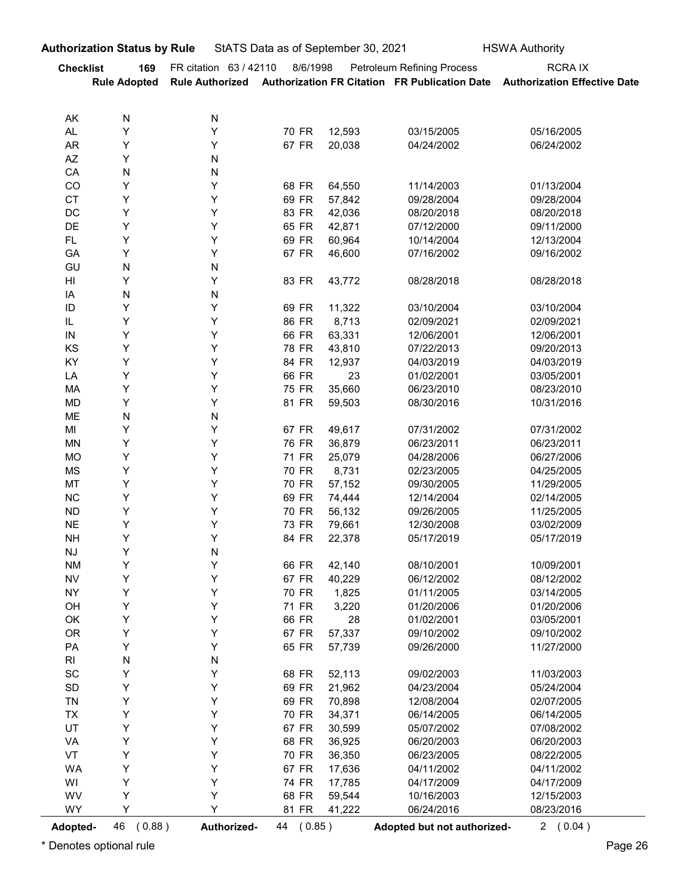| FR citation 63 / 42110<br><b>Petroleum Refining Process</b><br><b>RCRAIX</b><br><b>Checklist</b><br>8/6/1998<br>169<br>Rule Authorized Authorization FR Citation FR Publication Date Authorization Effective Date<br><b>Rule Adopted</b><br>AK<br>N<br>N<br>Y<br>70 FR<br>AL<br>Υ<br>12,593<br>03/15/2005<br>05/16/2005<br>Υ<br>67 FR<br>AR<br>Y<br>20,038<br>04/24/2002<br>06/24/2002<br>$\mathsf{A}\mathsf{Z}$<br>Υ<br>N<br>CA<br>N<br>N<br>CO<br>Υ<br>68 FR<br>Y<br>64,550<br>11/14/2003<br>01/13/2004<br><b>CT</b><br>Υ<br>Y<br>69 FR<br>57,842<br>09/28/2004<br>09/28/2004<br>DC<br>Υ<br>Y<br>83 FR<br>42,036<br>08/20/2018<br>08/20/2018<br>DE<br>Υ<br>Y<br>65 FR<br>42,871<br>07/12/2000<br>09/11/2000<br>Υ<br>Y<br>69 FR<br>FL.<br>60,964<br>10/14/2004<br>12/13/2004<br>Υ<br>Υ<br>67 FR<br>GA<br>46,600<br>07/16/2002<br>09/16/2002<br>GU<br>N<br>N<br>$\mathsf{HI}$<br>Υ<br>Y<br>83 FR<br>43,772<br>08/28/2018<br>08/28/2018<br>IA<br>$\mathsf{N}$<br>N<br>Y<br>ID<br>Υ<br>11,322<br>69 FR<br>03/10/2004<br>03/10/2004<br>IL.<br>Υ<br>Υ<br>8,713<br>86 FR<br>02/09/2021<br>02/09/2021<br>${\sf IN}$<br>Υ<br>Υ<br>66 FR<br>63,331<br>12/06/2001<br>12/06/2001<br>Y<br>Y<br>KS<br>78 FR<br>43,810<br>07/22/2013<br>09/20/2013<br>Y<br>Υ<br>84 FR<br>KY<br>12,937<br>04/03/2019<br>04/03/2019<br>Y<br>Y<br>66 FR<br>LA<br>23<br>01/02/2001<br>03/05/2001<br>Y<br>Υ<br>75 FR<br>MA<br>35,660<br>06/23/2010<br>08/23/2010<br>Υ<br>Y<br>81 FR<br>MD<br>59,503<br>08/30/2016<br>10/31/2016<br>${\sf N}$<br>ME<br>N<br>Y<br>Υ<br>MI<br>67 FR<br>49,617<br>07/31/2002<br>07/31/2002<br>Y<br>Y<br>76 FR<br>MN<br>36,879<br>06/23/2011<br>06/23/2011<br>Y<br>Y<br>71 FR<br>MO<br>25,079<br>04/28/2006<br>06/27/2006<br>Y<br>Y<br>MS<br>70 FR<br>8,731<br>02/23/2005<br>04/25/2005<br>Y<br>Y<br>MT<br>70 FR<br>57,152<br>09/30/2005<br>11/29/2005<br>Y<br>Y<br>$NC$<br>69 FR<br>74,444<br>12/14/2004<br>02/14/2005<br>Y<br>Y<br>70 FR<br>${\sf ND}$<br>56,132<br>09/26/2005<br>11/25/2005<br>Y<br>Y<br>73 FR<br>$N\mathsf{E}$<br>79,661<br>12/30/2008<br>03/02/2009<br>Y<br>Υ<br>84 FR<br><b>NH</b><br>22,378<br>05/17/2019<br>05/17/2019<br>Y<br>${\sf N}$<br>$\mathsf{N}\mathsf{J}$<br>Y<br>Y<br><b>NM</b><br>66 FR<br>42,140<br>08/10/2001<br>10/09/2001<br>Y<br>Y<br>67 FR<br>40,229<br>${\sf NV}$<br>06/12/2002<br>08/12/2002<br>Y<br>Υ<br><b>NY</b><br>70 FR<br>1,825<br>01/11/2005<br>03/14/2005<br>Y<br>Y<br>71 FR<br>3,220<br>OH<br>01/20/2006<br>01/20/2006<br>Y<br>Y<br>66 FR<br>28<br>OK<br>01/02/2001<br>03/05/2001<br>Y<br>Υ<br><b>OR</b><br>67 FR<br>57,337<br>09/10/2002<br>09/10/2002<br>Υ<br>Y<br>PA<br>65 FR<br>57,739<br>09/26/2000<br>11/27/2000<br>${\sf N}$<br>$\mathsf{RI}$<br>${\sf N}$<br>Y<br>$\operatorname{\textsf{SC}}$<br>Υ<br>68 FR<br>52,113<br>09/02/2003<br>11/03/2003<br>Y<br>Y<br>$\mathsf{SD}$<br>69 FR<br>21,962<br>04/23/2004<br>05/24/2004<br>Y<br>Y<br>TN<br>69 FR<br>70,898<br>12/08/2004<br>02/07/2005<br>Y<br>Y<br>TX<br>70 FR<br>34,371<br>06/14/2005<br>06/14/2005<br>Y<br>Υ<br>UT<br>67 FR<br>30,599<br>05/07/2002<br>07/08/2002<br>Y<br>Y<br>VA<br>68 FR<br>36,925<br>06/20/2003<br>06/20/2003<br>Υ<br>Υ<br>VT<br>70 FR<br>36,350<br>06/23/2005<br>08/22/2005<br>Υ<br>Y<br>WA<br>67 FR<br>17,636<br>04/11/2002<br>04/11/2002<br>Y<br>Υ<br>WI<br>74 FR<br>17,785<br>04/17/2009<br>04/17/2009<br>Υ<br>Υ<br>WV<br>68 FR<br>59,544<br>10/16/2003<br>12/15/2003<br>Y<br>Υ<br>WY<br>81 FR<br>41,222<br>06/24/2016<br>08/23/2016 | <b>Authorization Status by Rule</b> |  | StATS Data as of September 30, 2021 | <b>HSWA Authority</b> |
|--------------------------------------------------------------------------------------------------------------------------------------------------------------------------------------------------------------------------------------------------------------------------------------------------------------------------------------------------------------------------------------------------------------------------------------------------------------------------------------------------------------------------------------------------------------------------------------------------------------------------------------------------------------------------------------------------------------------------------------------------------------------------------------------------------------------------------------------------------------------------------------------------------------------------------------------------------------------------------------------------------------------------------------------------------------------------------------------------------------------------------------------------------------------------------------------------------------------------------------------------------------------------------------------------------------------------------------------------------------------------------------------------------------------------------------------------------------------------------------------------------------------------------------------------------------------------------------------------------------------------------------------------------------------------------------------------------------------------------------------------------------------------------------------------------------------------------------------------------------------------------------------------------------------------------------------------------------------------------------------------------------------------------------------------------------------------------------------------------------------------------------------------------------------------------------------------------------------------------------------------------------------------------------------------------------------------------------------------------------------------------------------------------------------------------------------------------------------------------------------------------------------------------------------------------------------------------------------------------------------------------------------------------------------------------------------------------------------------------------------------------------------------------------------------------------------------------------------------------------------------------------------------------------------------------------------------------------------------------------------------------------------------------------------------------------------------------------------------------------------------------------------------------------------------------------------------------------------------------------------------------------------------------------------------------------------------------------------------------------------------------------------------------------------------------------------------------------------------|-------------------------------------|--|-------------------------------------|-----------------------|
|                                                                                                                                                                                                                                                                                                                                                                                                                                                                                                                                                                                                                                                                                                                                                                                                                                                                                                                                                                                                                                                                                                                                                                                                                                                                                                                                                                                                                                                                                                                                                                                                                                                                                                                                                                                                                                                                                                                                                                                                                                                                                                                                                                                                                                                                                                                                                                                                                                                                                                                                                                                                                                                                                                                                                                                                                                                                                                                                                                                                                                                                                                                                                                                                                                                                                                                                                                                                                                                                          |                                     |  |                                     |                       |
|                                                                                                                                                                                                                                                                                                                                                                                                                                                                                                                                                                                                                                                                                                                                                                                                                                                                                                                                                                                                                                                                                                                                                                                                                                                                                                                                                                                                                                                                                                                                                                                                                                                                                                                                                                                                                                                                                                                                                                                                                                                                                                                                                                                                                                                                                                                                                                                                                                                                                                                                                                                                                                                                                                                                                                                                                                                                                                                                                                                                                                                                                                                                                                                                                                                                                                                                                                                                                                                                          |                                     |  |                                     |                       |
|                                                                                                                                                                                                                                                                                                                                                                                                                                                                                                                                                                                                                                                                                                                                                                                                                                                                                                                                                                                                                                                                                                                                                                                                                                                                                                                                                                                                                                                                                                                                                                                                                                                                                                                                                                                                                                                                                                                                                                                                                                                                                                                                                                                                                                                                                                                                                                                                                                                                                                                                                                                                                                                                                                                                                                                                                                                                                                                                                                                                                                                                                                                                                                                                                                                                                                                                                                                                                                                                          |                                     |  |                                     |                       |
|                                                                                                                                                                                                                                                                                                                                                                                                                                                                                                                                                                                                                                                                                                                                                                                                                                                                                                                                                                                                                                                                                                                                                                                                                                                                                                                                                                                                                                                                                                                                                                                                                                                                                                                                                                                                                                                                                                                                                                                                                                                                                                                                                                                                                                                                                                                                                                                                                                                                                                                                                                                                                                                                                                                                                                                                                                                                                                                                                                                                                                                                                                                                                                                                                                                                                                                                                                                                                                                                          |                                     |  |                                     |                       |
|                                                                                                                                                                                                                                                                                                                                                                                                                                                                                                                                                                                                                                                                                                                                                                                                                                                                                                                                                                                                                                                                                                                                                                                                                                                                                                                                                                                                                                                                                                                                                                                                                                                                                                                                                                                                                                                                                                                                                                                                                                                                                                                                                                                                                                                                                                                                                                                                                                                                                                                                                                                                                                                                                                                                                                                                                                                                                                                                                                                                                                                                                                                                                                                                                                                                                                                                                                                                                                                                          |                                     |  |                                     |                       |
|                                                                                                                                                                                                                                                                                                                                                                                                                                                                                                                                                                                                                                                                                                                                                                                                                                                                                                                                                                                                                                                                                                                                                                                                                                                                                                                                                                                                                                                                                                                                                                                                                                                                                                                                                                                                                                                                                                                                                                                                                                                                                                                                                                                                                                                                                                                                                                                                                                                                                                                                                                                                                                                                                                                                                                                                                                                                                                                                                                                                                                                                                                                                                                                                                                                                                                                                                                                                                                                                          |                                     |  |                                     |                       |
|                                                                                                                                                                                                                                                                                                                                                                                                                                                                                                                                                                                                                                                                                                                                                                                                                                                                                                                                                                                                                                                                                                                                                                                                                                                                                                                                                                                                                                                                                                                                                                                                                                                                                                                                                                                                                                                                                                                                                                                                                                                                                                                                                                                                                                                                                                                                                                                                                                                                                                                                                                                                                                                                                                                                                                                                                                                                                                                                                                                                                                                                                                                                                                                                                                                                                                                                                                                                                                                                          |                                     |  |                                     |                       |
|                                                                                                                                                                                                                                                                                                                                                                                                                                                                                                                                                                                                                                                                                                                                                                                                                                                                                                                                                                                                                                                                                                                                                                                                                                                                                                                                                                                                                                                                                                                                                                                                                                                                                                                                                                                                                                                                                                                                                                                                                                                                                                                                                                                                                                                                                                                                                                                                                                                                                                                                                                                                                                                                                                                                                                                                                                                                                                                                                                                                                                                                                                                                                                                                                                                                                                                                                                                                                                                                          |                                     |  |                                     |                       |
|                                                                                                                                                                                                                                                                                                                                                                                                                                                                                                                                                                                                                                                                                                                                                                                                                                                                                                                                                                                                                                                                                                                                                                                                                                                                                                                                                                                                                                                                                                                                                                                                                                                                                                                                                                                                                                                                                                                                                                                                                                                                                                                                                                                                                                                                                                                                                                                                                                                                                                                                                                                                                                                                                                                                                                                                                                                                                                                                                                                                                                                                                                                                                                                                                                                                                                                                                                                                                                                                          |                                     |  |                                     |                       |
|                                                                                                                                                                                                                                                                                                                                                                                                                                                                                                                                                                                                                                                                                                                                                                                                                                                                                                                                                                                                                                                                                                                                                                                                                                                                                                                                                                                                                                                                                                                                                                                                                                                                                                                                                                                                                                                                                                                                                                                                                                                                                                                                                                                                                                                                                                                                                                                                                                                                                                                                                                                                                                                                                                                                                                                                                                                                                                                                                                                                                                                                                                                                                                                                                                                                                                                                                                                                                                                                          |                                     |  |                                     |                       |
|                                                                                                                                                                                                                                                                                                                                                                                                                                                                                                                                                                                                                                                                                                                                                                                                                                                                                                                                                                                                                                                                                                                                                                                                                                                                                                                                                                                                                                                                                                                                                                                                                                                                                                                                                                                                                                                                                                                                                                                                                                                                                                                                                                                                                                                                                                                                                                                                                                                                                                                                                                                                                                                                                                                                                                                                                                                                                                                                                                                                                                                                                                                                                                                                                                                                                                                                                                                                                                                                          |                                     |  |                                     |                       |
|                                                                                                                                                                                                                                                                                                                                                                                                                                                                                                                                                                                                                                                                                                                                                                                                                                                                                                                                                                                                                                                                                                                                                                                                                                                                                                                                                                                                                                                                                                                                                                                                                                                                                                                                                                                                                                                                                                                                                                                                                                                                                                                                                                                                                                                                                                                                                                                                                                                                                                                                                                                                                                                                                                                                                                                                                                                                                                                                                                                                                                                                                                                                                                                                                                                                                                                                                                                                                                                                          |                                     |  |                                     |                       |
|                                                                                                                                                                                                                                                                                                                                                                                                                                                                                                                                                                                                                                                                                                                                                                                                                                                                                                                                                                                                                                                                                                                                                                                                                                                                                                                                                                                                                                                                                                                                                                                                                                                                                                                                                                                                                                                                                                                                                                                                                                                                                                                                                                                                                                                                                                                                                                                                                                                                                                                                                                                                                                                                                                                                                                                                                                                                                                                                                                                                                                                                                                                                                                                                                                                                                                                                                                                                                                                                          |                                     |  |                                     |                       |
|                                                                                                                                                                                                                                                                                                                                                                                                                                                                                                                                                                                                                                                                                                                                                                                                                                                                                                                                                                                                                                                                                                                                                                                                                                                                                                                                                                                                                                                                                                                                                                                                                                                                                                                                                                                                                                                                                                                                                                                                                                                                                                                                                                                                                                                                                                                                                                                                                                                                                                                                                                                                                                                                                                                                                                                                                                                                                                                                                                                                                                                                                                                                                                                                                                                                                                                                                                                                                                                                          |                                     |  |                                     |                       |
|                                                                                                                                                                                                                                                                                                                                                                                                                                                                                                                                                                                                                                                                                                                                                                                                                                                                                                                                                                                                                                                                                                                                                                                                                                                                                                                                                                                                                                                                                                                                                                                                                                                                                                                                                                                                                                                                                                                                                                                                                                                                                                                                                                                                                                                                                                                                                                                                                                                                                                                                                                                                                                                                                                                                                                                                                                                                                                                                                                                                                                                                                                                                                                                                                                                                                                                                                                                                                                                                          |                                     |  |                                     |                       |
|                                                                                                                                                                                                                                                                                                                                                                                                                                                                                                                                                                                                                                                                                                                                                                                                                                                                                                                                                                                                                                                                                                                                                                                                                                                                                                                                                                                                                                                                                                                                                                                                                                                                                                                                                                                                                                                                                                                                                                                                                                                                                                                                                                                                                                                                                                                                                                                                                                                                                                                                                                                                                                                                                                                                                                                                                                                                                                                                                                                                                                                                                                                                                                                                                                                                                                                                                                                                                                                                          |                                     |  |                                     |                       |
|                                                                                                                                                                                                                                                                                                                                                                                                                                                                                                                                                                                                                                                                                                                                                                                                                                                                                                                                                                                                                                                                                                                                                                                                                                                                                                                                                                                                                                                                                                                                                                                                                                                                                                                                                                                                                                                                                                                                                                                                                                                                                                                                                                                                                                                                                                                                                                                                                                                                                                                                                                                                                                                                                                                                                                                                                                                                                                                                                                                                                                                                                                                                                                                                                                                                                                                                                                                                                                                                          |                                     |  |                                     |                       |
|                                                                                                                                                                                                                                                                                                                                                                                                                                                                                                                                                                                                                                                                                                                                                                                                                                                                                                                                                                                                                                                                                                                                                                                                                                                                                                                                                                                                                                                                                                                                                                                                                                                                                                                                                                                                                                                                                                                                                                                                                                                                                                                                                                                                                                                                                                                                                                                                                                                                                                                                                                                                                                                                                                                                                                                                                                                                                                                                                                                                                                                                                                                                                                                                                                                                                                                                                                                                                                                                          |                                     |  |                                     |                       |
|                                                                                                                                                                                                                                                                                                                                                                                                                                                                                                                                                                                                                                                                                                                                                                                                                                                                                                                                                                                                                                                                                                                                                                                                                                                                                                                                                                                                                                                                                                                                                                                                                                                                                                                                                                                                                                                                                                                                                                                                                                                                                                                                                                                                                                                                                                                                                                                                                                                                                                                                                                                                                                                                                                                                                                                                                                                                                                                                                                                                                                                                                                                                                                                                                                                                                                                                                                                                                                                                          |                                     |  |                                     |                       |
|                                                                                                                                                                                                                                                                                                                                                                                                                                                                                                                                                                                                                                                                                                                                                                                                                                                                                                                                                                                                                                                                                                                                                                                                                                                                                                                                                                                                                                                                                                                                                                                                                                                                                                                                                                                                                                                                                                                                                                                                                                                                                                                                                                                                                                                                                                                                                                                                                                                                                                                                                                                                                                                                                                                                                                                                                                                                                                                                                                                                                                                                                                                                                                                                                                                                                                                                                                                                                                                                          |                                     |  |                                     |                       |
|                                                                                                                                                                                                                                                                                                                                                                                                                                                                                                                                                                                                                                                                                                                                                                                                                                                                                                                                                                                                                                                                                                                                                                                                                                                                                                                                                                                                                                                                                                                                                                                                                                                                                                                                                                                                                                                                                                                                                                                                                                                                                                                                                                                                                                                                                                                                                                                                                                                                                                                                                                                                                                                                                                                                                                                                                                                                                                                                                                                                                                                                                                                                                                                                                                                                                                                                                                                                                                                                          |                                     |  |                                     |                       |
|                                                                                                                                                                                                                                                                                                                                                                                                                                                                                                                                                                                                                                                                                                                                                                                                                                                                                                                                                                                                                                                                                                                                                                                                                                                                                                                                                                                                                                                                                                                                                                                                                                                                                                                                                                                                                                                                                                                                                                                                                                                                                                                                                                                                                                                                                                                                                                                                                                                                                                                                                                                                                                                                                                                                                                                                                                                                                                                                                                                                                                                                                                                                                                                                                                                                                                                                                                                                                                                                          |                                     |  |                                     |                       |
|                                                                                                                                                                                                                                                                                                                                                                                                                                                                                                                                                                                                                                                                                                                                                                                                                                                                                                                                                                                                                                                                                                                                                                                                                                                                                                                                                                                                                                                                                                                                                                                                                                                                                                                                                                                                                                                                                                                                                                                                                                                                                                                                                                                                                                                                                                                                                                                                                                                                                                                                                                                                                                                                                                                                                                                                                                                                                                                                                                                                                                                                                                                                                                                                                                                                                                                                                                                                                                                                          |                                     |  |                                     |                       |
|                                                                                                                                                                                                                                                                                                                                                                                                                                                                                                                                                                                                                                                                                                                                                                                                                                                                                                                                                                                                                                                                                                                                                                                                                                                                                                                                                                                                                                                                                                                                                                                                                                                                                                                                                                                                                                                                                                                                                                                                                                                                                                                                                                                                                                                                                                                                                                                                                                                                                                                                                                                                                                                                                                                                                                                                                                                                                                                                                                                                                                                                                                                                                                                                                                                                                                                                                                                                                                                                          |                                     |  |                                     |                       |
|                                                                                                                                                                                                                                                                                                                                                                                                                                                                                                                                                                                                                                                                                                                                                                                                                                                                                                                                                                                                                                                                                                                                                                                                                                                                                                                                                                                                                                                                                                                                                                                                                                                                                                                                                                                                                                                                                                                                                                                                                                                                                                                                                                                                                                                                                                                                                                                                                                                                                                                                                                                                                                                                                                                                                                                                                                                                                                                                                                                                                                                                                                                                                                                                                                                                                                                                                                                                                                                                          |                                     |  |                                     |                       |
|                                                                                                                                                                                                                                                                                                                                                                                                                                                                                                                                                                                                                                                                                                                                                                                                                                                                                                                                                                                                                                                                                                                                                                                                                                                                                                                                                                                                                                                                                                                                                                                                                                                                                                                                                                                                                                                                                                                                                                                                                                                                                                                                                                                                                                                                                                                                                                                                                                                                                                                                                                                                                                                                                                                                                                                                                                                                                                                                                                                                                                                                                                                                                                                                                                                                                                                                                                                                                                                                          |                                     |  |                                     |                       |
|                                                                                                                                                                                                                                                                                                                                                                                                                                                                                                                                                                                                                                                                                                                                                                                                                                                                                                                                                                                                                                                                                                                                                                                                                                                                                                                                                                                                                                                                                                                                                                                                                                                                                                                                                                                                                                                                                                                                                                                                                                                                                                                                                                                                                                                                                                                                                                                                                                                                                                                                                                                                                                                                                                                                                                                                                                                                                                                                                                                                                                                                                                                                                                                                                                                                                                                                                                                                                                                                          |                                     |  |                                     |                       |
|                                                                                                                                                                                                                                                                                                                                                                                                                                                                                                                                                                                                                                                                                                                                                                                                                                                                                                                                                                                                                                                                                                                                                                                                                                                                                                                                                                                                                                                                                                                                                                                                                                                                                                                                                                                                                                                                                                                                                                                                                                                                                                                                                                                                                                                                                                                                                                                                                                                                                                                                                                                                                                                                                                                                                                                                                                                                                                                                                                                                                                                                                                                                                                                                                                                                                                                                                                                                                                                                          |                                     |  |                                     |                       |
|                                                                                                                                                                                                                                                                                                                                                                                                                                                                                                                                                                                                                                                                                                                                                                                                                                                                                                                                                                                                                                                                                                                                                                                                                                                                                                                                                                                                                                                                                                                                                                                                                                                                                                                                                                                                                                                                                                                                                                                                                                                                                                                                                                                                                                                                                                                                                                                                                                                                                                                                                                                                                                                                                                                                                                                                                                                                                                                                                                                                                                                                                                                                                                                                                                                                                                                                                                                                                                                                          |                                     |  |                                     |                       |
|                                                                                                                                                                                                                                                                                                                                                                                                                                                                                                                                                                                                                                                                                                                                                                                                                                                                                                                                                                                                                                                                                                                                                                                                                                                                                                                                                                                                                                                                                                                                                                                                                                                                                                                                                                                                                                                                                                                                                                                                                                                                                                                                                                                                                                                                                                                                                                                                                                                                                                                                                                                                                                                                                                                                                                                                                                                                                                                                                                                                                                                                                                                                                                                                                                                                                                                                                                                                                                                                          |                                     |  |                                     |                       |
|                                                                                                                                                                                                                                                                                                                                                                                                                                                                                                                                                                                                                                                                                                                                                                                                                                                                                                                                                                                                                                                                                                                                                                                                                                                                                                                                                                                                                                                                                                                                                                                                                                                                                                                                                                                                                                                                                                                                                                                                                                                                                                                                                                                                                                                                                                                                                                                                                                                                                                                                                                                                                                                                                                                                                                                                                                                                                                                                                                                                                                                                                                                                                                                                                                                                                                                                                                                                                                                                          |                                     |  |                                     |                       |
|                                                                                                                                                                                                                                                                                                                                                                                                                                                                                                                                                                                                                                                                                                                                                                                                                                                                                                                                                                                                                                                                                                                                                                                                                                                                                                                                                                                                                                                                                                                                                                                                                                                                                                                                                                                                                                                                                                                                                                                                                                                                                                                                                                                                                                                                                                                                                                                                                                                                                                                                                                                                                                                                                                                                                                                                                                                                                                                                                                                                                                                                                                                                                                                                                                                                                                                                                                                                                                                                          |                                     |  |                                     |                       |
|                                                                                                                                                                                                                                                                                                                                                                                                                                                                                                                                                                                                                                                                                                                                                                                                                                                                                                                                                                                                                                                                                                                                                                                                                                                                                                                                                                                                                                                                                                                                                                                                                                                                                                                                                                                                                                                                                                                                                                                                                                                                                                                                                                                                                                                                                                                                                                                                                                                                                                                                                                                                                                                                                                                                                                                                                                                                                                                                                                                                                                                                                                                                                                                                                                                                                                                                                                                                                                                                          |                                     |  |                                     |                       |
|                                                                                                                                                                                                                                                                                                                                                                                                                                                                                                                                                                                                                                                                                                                                                                                                                                                                                                                                                                                                                                                                                                                                                                                                                                                                                                                                                                                                                                                                                                                                                                                                                                                                                                                                                                                                                                                                                                                                                                                                                                                                                                                                                                                                                                                                                                                                                                                                                                                                                                                                                                                                                                                                                                                                                                                                                                                                                                                                                                                                                                                                                                                                                                                                                                                                                                                                                                                                                                                                          |                                     |  |                                     |                       |
|                                                                                                                                                                                                                                                                                                                                                                                                                                                                                                                                                                                                                                                                                                                                                                                                                                                                                                                                                                                                                                                                                                                                                                                                                                                                                                                                                                                                                                                                                                                                                                                                                                                                                                                                                                                                                                                                                                                                                                                                                                                                                                                                                                                                                                                                                                                                                                                                                                                                                                                                                                                                                                                                                                                                                                                                                                                                                                                                                                                                                                                                                                                                                                                                                                                                                                                                                                                                                                                                          |                                     |  |                                     |                       |
|                                                                                                                                                                                                                                                                                                                                                                                                                                                                                                                                                                                                                                                                                                                                                                                                                                                                                                                                                                                                                                                                                                                                                                                                                                                                                                                                                                                                                                                                                                                                                                                                                                                                                                                                                                                                                                                                                                                                                                                                                                                                                                                                                                                                                                                                                                                                                                                                                                                                                                                                                                                                                                                                                                                                                                                                                                                                                                                                                                                                                                                                                                                                                                                                                                                                                                                                                                                                                                                                          |                                     |  |                                     |                       |
|                                                                                                                                                                                                                                                                                                                                                                                                                                                                                                                                                                                                                                                                                                                                                                                                                                                                                                                                                                                                                                                                                                                                                                                                                                                                                                                                                                                                                                                                                                                                                                                                                                                                                                                                                                                                                                                                                                                                                                                                                                                                                                                                                                                                                                                                                                                                                                                                                                                                                                                                                                                                                                                                                                                                                                                                                                                                                                                                                                                                                                                                                                                                                                                                                                                                                                                                                                                                                                                                          |                                     |  |                                     |                       |
|                                                                                                                                                                                                                                                                                                                                                                                                                                                                                                                                                                                                                                                                                                                                                                                                                                                                                                                                                                                                                                                                                                                                                                                                                                                                                                                                                                                                                                                                                                                                                                                                                                                                                                                                                                                                                                                                                                                                                                                                                                                                                                                                                                                                                                                                                                                                                                                                                                                                                                                                                                                                                                                                                                                                                                                                                                                                                                                                                                                                                                                                                                                                                                                                                                                                                                                                                                                                                                                                          |                                     |  |                                     |                       |
|                                                                                                                                                                                                                                                                                                                                                                                                                                                                                                                                                                                                                                                                                                                                                                                                                                                                                                                                                                                                                                                                                                                                                                                                                                                                                                                                                                                                                                                                                                                                                                                                                                                                                                                                                                                                                                                                                                                                                                                                                                                                                                                                                                                                                                                                                                                                                                                                                                                                                                                                                                                                                                                                                                                                                                                                                                                                                                                                                                                                                                                                                                                                                                                                                                                                                                                                                                                                                                                                          |                                     |  |                                     |                       |
|                                                                                                                                                                                                                                                                                                                                                                                                                                                                                                                                                                                                                                                                                                                                                                                                                                                                                                                                                                                                                                                                                                                                                                                                                                                                                                                                                                                                                                                                                                                                                                                                                                                                                                                                                                                                                                                                                                                                                                                                                                                                                                                                                                                                                                                                                                                                                                                                                                                                                                                                                                                                                                                                                                                                                                                                                                                                                                                                                                                                                                                                                                                                                                                                                                                                                                                                                                                                                                                                          |                                     |  |                                     |                       |
|                                                                                                                                                                                                                                                                                                                                                                                                                                                                                                                                                                                                                                                                                                                                                                                                                                                                                                                                                                                                                                                                                                                                                                                                                                                                                                                                                                                                                                                                                                                                                                                                                                                                                                                                                                                                                                                                                                                                                                                                                                                                                                                                                                                                                                                                                                                                                                                                                                                                                                                                                                                                                                                                                                                                                                                                                                                                                                                                                                                                                                                                                                                                                                                                                                                                                                                                                                                                                                                                          |                                     |  |                                     |                       |
|                                                                                                                                                                                                                                                                                                                                                                                                                                                                                                                                                                                                                                                                                                                                                                                                                                                                                                                                                                                                                                                                                                                                                                                                                                                                                                                                                                                                                                                                                                                                                                                                                                                                                                                                                                                                                                                                                                                                                                                                                                                                                                                                                                                                                                                                                                                                                                                                                                                                                                                                                                                                                                                                                                                                                                                                                                                                                                                                                                                                                                                                                                                                                                                                                                                                                                                                                                                                                                                                          |                                     |  |                                     |                       |
|                                                                                                                                                                                                                                                                                                                                                                                                                                                                                                                                                                                                                                                                                                                                                                                                                                                                                                                                                                                                                                                                                                                                                                                                                                                                                                                                                                                                                                                                                                                                                                                                                                                                                                                                                                                                                                                                                                                                                                                                                                                                                                                                                                                                                                                                                                                                                                                                                                                                                                                                                                                                                                                                                                                                                                                                                                                                                                                                                                                                                                                                                                                                                                                                                                                                                                                                                                                                                                                                          |                                     |  |                                     |                       |
|                                                                                                                                                                                                                                                                                                                                                                                                                                                                                                                                                                                                                                                                                                                                                                                                                                                                                                                                                                                                                                                                                                                                                                                                                                                                                                                                                                                                                                                                                                                                                                                                                                                                                                                                                                                                                                                                                                                                                                                                                                                                                                                                                                                                                                                                                                                                                                                                                                                                                                                                                                                                                                                                                                                                                                                                                                                                                                                                                                                                                                                                                                                                                                                                                                                                                                                                                                                                                                                                          |                                     |  |                                     |                       |
|                                                                                                                                                                                                                                                                                                                                                                                                                                                                                                                                                                                                                                                                                                                                                                                                                                                                                                                                                                                                                                                                                                                                                                                                                                                                                                                                                                                                                                                                                                                                                                                                                                                                                                                                                                                                                                                                                                                                                                                                                                                                                                                                                                                                                                                                                                                                                                                                                                                                                                                                                                                                                                                                                                                                                                                                                                                                                                                                                                                                                                                                                                                                                                                                                                                                                                                                                                                                                                                                          |                                     |  |                                     |                       |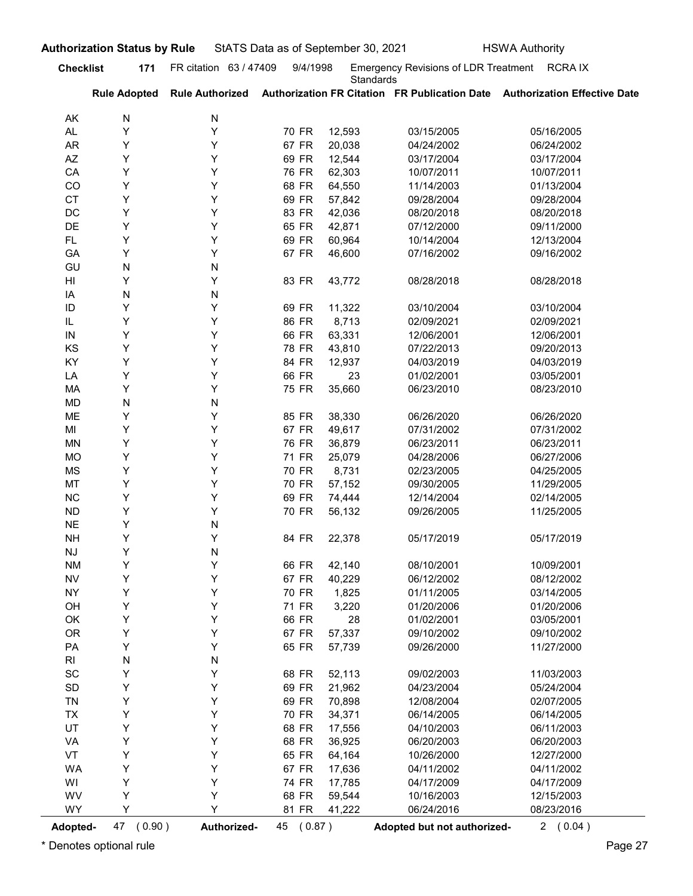| <b>Checklist</b><br>AK<br>AL<br>AR<br>AZ<br>CA<br>CO<br><b>CT</b><br>DC | 171<br><b>Rule Adopted</b><br>Ν<br>Υ<br>Y | FR citation 63 / 47409<br><b>Rule Authorized</b> | 9/4/1998       | <b>Standards</b> | Emergency Revisions of LDR Treatment RCRA IX |                                                                            |
|-------------------------------------------------------------------------|-------------------------------------------|--------------------------------------------------|----------------|------------------|----------------------------------------------|----------------------------------------------------------------------------|
|                                                                         |                                           |                                                  |                |                  |                                              | Authorization FR Citation FR Publication Date Authorization Effective Date |
|                                                                         |                                           | N                                                |                |                  |                                              |                                                                            |
|                                                                         |                                           | Y                                                | 70 FR          | 12,593           | 03/15/2005                                   | 05/16/2005                                                                 |
|                                                                         |                                           | Y                                                | 67 FR          | 20,038           | 04/24/2002                                   | 06/24/2002                                                                 |
|                                                                         | Υ                                         | Y                                                | 69 FR          | 12,544           | 03/17/2004                                   | 03/17/2004                                                                 |
|                                                                         | Υ                                         | Υ                                                | 76 FR          | 62,303           | 10/07/2011                                   | 10/07/2011                                                                 |
|                                                                         | Y                                         | Y                                                | 68 FR          | 64,550           | 11/14/2003                                   | 01/13/2004                                                                 |
|                                                                         | Υ                                         | Υ                                                | 69 FR          | 57,842           | 09/28/2004                                   | 09/28/2004                                                                 |
| DE                                                                      | Υ<br>Υ                                    | Υ<br>Y                                           | 83 FR<br>65 FR | 42,036<br>42,871 | 08/20/2018<br>07/12/2000                     | 08/20/2018<br>09/11/2000                                                   |
| <b>FL</b>                                                               | Υ                                         | Y                                                | 69 FR          | 60,964           | 10/14/2004                                   | 12/13/2004                                                                 |
| GA                                                                      | Y                                         | Υ                                                | 67 FR          | 46,600           | 07/16/2002                                   | 09/16/2002                                                                 |
| GU                                                                      | N                                         | N                                                |                |                  |                                              |                                                                            |
| HI                                                                      | Y                                         | Υ                                                | 83 FR          | 43,772           | 08/28/2018                                   | 08/28/2018                                                                 |
| IA                                                                      | N                                         | N                                                |                |                  |                                              |                                                                            |
| ID                                                                      | Y                                         | Υ                                                | 69 FR          | 11,322           | 03/10/2004                                   | 03/10/2004                                                                 |
| IL                                                                      | Y<br>Y                                    | Y<br>Υ                                           | 86 FR<br>66 FR | 8,713<br>63,331  | 02/09/2021<br>12/06/2001                     | 02/09/2021<br>12/06/2001                                                   |
| IN<br>KS                                                                | Υ                                         | Υ                                                | 78 FR          | 43,810           | 07/22/2013                                   | 09/20/2013                                                                 |
| KY                                                                      | Υ                                         | Υ                                                | 84 FR          | 12,937           | 04/03/2019                                   | 04/03/2019                                                                 |
| LA                                                                      | Υ                                         | Y                                                | 66 FR          | 23               | 01/02/2001                                   | 03/05/2001                                                                 |
| MA                                                                      | Υ                                         | Υ                                                | 75 FR          | 35,660           | 06/23/2010                                   | 08/23/2010                                                                 |
| <b>MD</b>                                                               | ${\sf N}$                                 | N                                                |                |                  |                                              |                                                                            |
| ME                                                                      | Υ                                         | Υ                                                | 85 FR          | 38,330           | 06/26/2020                                   | 06/26/2020                                                                 |
| MI                                                                      | Υ                                         | Υ                                                | 67 FR          | 49,617           | 07/31/2002                                   | 07/31/2002                                                                 |
| MN                                                                      | Υ                                         | Υ                                                | 76 FR          | 36,879           | 06/23/2011                                   | 06/23/2011                                                                 |
| <b>MO</b><br>MS                                                         | Υ<br>Υ                                    | Υ<br>Υ                                           | 71 FR<br>70 FR | 25,079<br>8,731  | 04/28/2006<br>02/23/2005                     | 06/27/2006<br>04/25/2005                                                   |
| MT                                                                      | Υ                                         | Υ                                                | 70 FR          | 57,152           | 09/30/2005                                   | 11/29/2005                                                                 |
| NC                                                                      | Υ                                         | Υ                                                | 69 FR          | 74,444           | 12/14/2004                                   | 02/14/2005                                                                 |
| <b>ND</b>                                                               | Υ                                         | Υ                                                | 70 FR          | 56,132           | 09/26/2005                                   | 11/25/2005                                                                 |
| <b>NE</b>                                                               | Υ                                         | N                                                |                |                  |                                              |                                                                            |
| <b>NH</b>                                                               | Υ                                         | Υ                                                | 84 FR          | 22,378           | 05/17/2019                                   | 05/17/2019                                                                 |
| NJ                                                                      | Υ                                         | N                                                |                |                  |                                              |                                                                            |
| <b>NM</b>                                                               | Υ                                         | Y                                                | 66 FR          | 42,140           | 08/10/2001                                   | 10/09/2001                                                                 |
| <b>NV</b>                                                               | Υ                                         | Υ                                                | 67 FR          | 40,229           | 06/12/2002                                   | 08/12/2002                                                                 |
| <b>NY</b><br>OH                                                         | Υ<br>Υ                                    | Υ<br>Υ                                           | 70 FR<br>71 FR | 1,825<br>3,220   | 01/11/2005<br>01/20/2006                     | 03/14/2005<br>01/20/2006                                                   |
| OK                                                                      | Υ                                         | Y                                                | 66 FR          | 28               | 01/02/2001                                   | 03/05/2001                                                                 |
| OR                                                                      | Υ                                         | Y                                                | 67 FR          | 57,337           | 09/10/2002                                   | 09/10/2002                                                                 |
| PA                                                                      | Υ                                         | Υ                                                | 65 FR          | 57,739           | 09/26/2000                                   | 11/27/2000                                                                 |
| R <sub>l</sub>                                                          | ${\sf N}$                                 | N                                                |                |                  |                                              |                                                                            |
| $\operatorname{\textsf{SC}}$                                            | Υ                                         | Y                                                | 68 FR          | 52,113           | 09/02/2003                                   | 11/03/2003                                                                 |
| SD                                                                      | Υ                                         | Y                                                | 69 FR          | 21,962           | 04/23/2004                                   | 05/24/2004                                                                 |
| <b>TN</b>                                                               | Υ                                         | Y                                                | 69 FR          | 70,898           | 12/08/2004                                   | 02/07/2005                                                                 |
| TX                                                                      | Υ                                         | Y                                                | 70 FR          | 34,371           | 06/14/2005                                   | 06/14/2005                                                                 |
| UT                                                                      | Υ                                         | Y                                                | 68 FR          | 17,556           | 04/10/2003                                   | 06/11/2003                                                                 |
| VA<br>VT                                                                | Υ<br>Υ                                    | Y<br>Y                                           | 68 FR          | 36,925           | 06/20/2003<br>10/26/2000                     | 06/20/2003<br>12/27/2000                                                   |
| WA                                                                      | Υ                                         | Υ                                                | 65 FR<br>67 FR | 64,164<br>17,636 | 04/11/2002                                   | 04/11/2002                                                                 |
| WI                                                                      | Υ                                         | Υ                                                | 74 FR          | 17,785           | 04/17/2009                                   | 04/17/2009                                                                 |
| WV                                                                      | Υ                                         | Υ                                                | 68 FR          | 59,544           | 10/16/2003                                   | 12/15/2003                                                                 |
| WY                                                                      | Y                                         | Υ                                                | 81 FR          | 41,222           | 06/24/2016                                   | 08/23/2016                                                                 |
| Adopted-                                                                | 47 (0.90)                                 | Authorized-                                      | 45 (0.87)      |                  | Adopted but not authorized-                  | 2(0.04)                                                                    |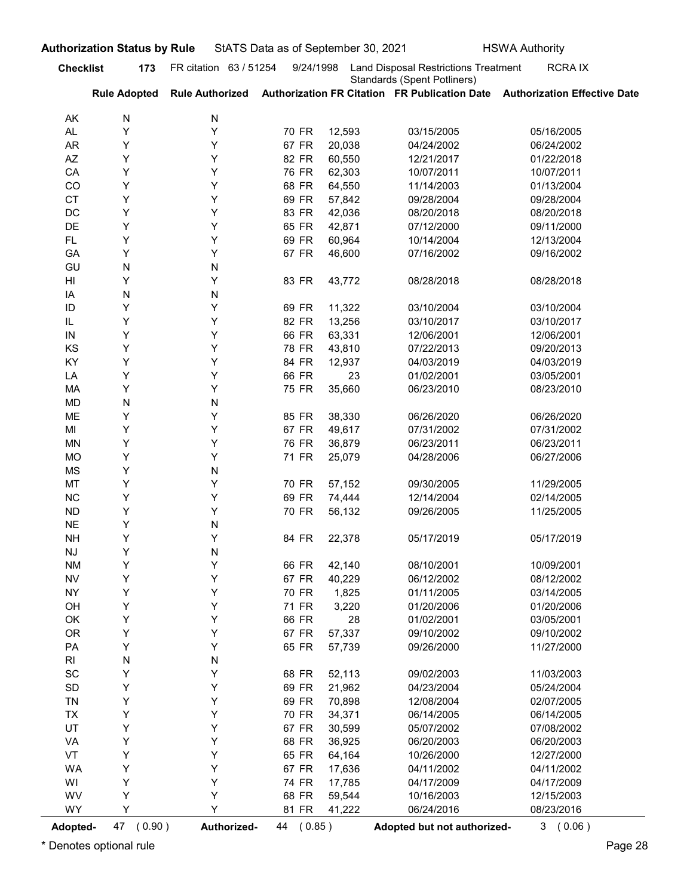| <b>Standards (Spent Potliners)</b><br><b>Rule Adopted</b><br>Authorization FR Citation FR Publication Date Authorization Effective Date<br><b>Rule Authorized</b><br>AK<br>N<br>N<br>Y<br>Y<br>70 FR<br>AL<br>12,593<br>03/15/2005<br>05/16/2005<br>Y<br>67 FR<br>AR<br>Y<br>20,038<br>04/24/2002<br>06/24/2002<br>Υ<br>Y<br>82 FR<br>AZ<br>60,550<br>12/21/2017<br>01/22/2018<br>Y<br>Y<br>76 FR<br>CA<br>62,303<br>10/07/2011<br>10/07/2011<br>Y<br>Y<br>68 FR<br>CO<br>64,550<br>11/14/2003<br>01/13/2004<br>Y<br>Y<br>69 FR<br><b>CT</b><br>57,842<br>09/28/2004<br>09/28/2004<br>Y<br>Y<br>83 FR<br>DC<br>42,036<br>08/20/2018<br>08/20/2018<br>Y<br>Y<br>65 FR<br>DE<br>42,871<br>07/12/2000<br>09/11/2000<br>Y<br>Y<br>69 FR<br>FL.<br>60,964<br>10/14/2004<br>12/13/2004<br>Y<br>Υ<br>67 FR<br>46,600<br>07/16/2002<br>09/16/2002<br>GA<br>GU<br>N<br>N<br>Y<br>Y<br>83 FR<br>HI<br>43,772<br>08/28/2018<br>08/28/2018<br>N<br>IA<br>N<br>Y<br>Y<br>69 FR<br>11,322<br>03/10/2004<br>03/10/2004<br>ID<br>Y<br>Y<br>IL<br>82 FR<br>13,256<br>03/10/2017<br>03/10/2017<br>Υ<br>66 FR<br>63,331<br>12/06/2001<br>12/06/2001<br>IN<br>Y<br>Υ<br>KS<br>Υ<br>78 FR<br>43,810<br>09/20/2013<br>07/22/2013<br>Υ<br>84 FR<br>KY<br>Υ<br>12,937<br>04/03/2019<br>04/03/2019<br>66 FR<br>Υ<br>Y<br>23<br>LA<br>01/02/2001<br>03/05/2001<br>Υ<br>Υ<br>75 FR<br>35,660<br>08/23/2010<br>МA<br>06/23/2010<br>${\sf N}$<br>MD<br>N<br>Υ<br>Υ<br>ME<br>85 FR<br>38,330<br>06/26/2020<br>06/26/2020<br>Υ<br>Υ<br>67 FR<br>49,617<br>MI<br>07/31/2002<br>07/31/2002<br>Υ<br>Υ<br>76 FR<br>36,879<br>06/23/2011<br>MN<br>06/23/2011<br>Υ<br>Υ<br>71 FR<br><b>MO</b><br>25,079<br>04/28/2006<br>06/27/2006<br>Υ<br>MS<br>N<br>Υ<br>MT<br>Y<br>70 FR<br>57,152<br>11/29/2005<br>09/30/2005<br>Υ<br>Υ<br>69 FR<br><b>NC</b><br>74,444<br>12/14/2004<br>02/14/2005<br>Υ<br>Υ<br>70 FR<br><b>ND</b><br>56,132<br>09/26/2005<br>11/25/2005<br>Υ<br><b>NE</b><br>N<br>Υ<br>Υ<br>84 FR<br><b>NH</b><br>22,378<br>05/17/2019<br>05/17/2019<br>Υ<br>${\sf N}$<br>NJ<br>Υ<br>Υ<br>66 FR<br>42,140<br><b>NM</b><br>08/10/2001<br>10/09/2001<br>Υ<br>Υ<br>67 FR<br><b>NV</b><br>40,229<br>06/12/2002<br>08/12/2002<br>Υ<br>Υ<br>70 FR<br>1,825<br><b>NY</b><br>01/11/2005<br>03/14/2005<br>Υ<br>Υ<br>71 FR<br>3,220<br>01/20/2006<br>OH<br>01/20/2006<br>Υ<br>66 FR<br>28<br>Y<br>03/05/2001<br>OK<br>01/02/2001<br>Υ<br>OR<br>Υ<br>67 FR<br>57,337<br>09/10/2002<br>09/10/2002<br>Υ<br>Υ<br>65 FR<br>PA<br>57,739<br>11/27/2000<br>09/26/2000<br>${\sf N}$<br>R <sub>l</sub><br>N<br>Υ<br>$\operatorname{\textsf{SC}}$<br>Y<br>68 FR<br>52,113<br>09/02/2003<br>11/03/2003<br>Υ<br>69 FR<br>SD<br>Y<br>21,962<br>04/23/2004<br>05/24/2004<br>Υ<br>Y<br>69 FR<br>70,898<br>12/08/2004<br>02/07/2005<br><b>TN</b><br>Υ<br>70 FR<br>TX<br>Y<br>34,371<br>06/14/2005<br>06/14/2005<br>UT<br>Υ<br>67 FR<br>Y<br>30,599<br>05/07/2002<br>07/08/2002<br>Υ<br>68 FR<br>Y<br>36,925<br>06/20/2003<br>VA<br>06/20/2003<br>Υ<br>65 FR<br>VT<br>Y<br>64,164<br>10/26/2000<br>12/27/2000<br>Υ<br>WA<br>Υ<br>67 FR<br>17,636<br>04/11/2002<br>04/11/2002<br>Υ<br>Υ<br>74 FR<br>17,785<br>04/17/2009<br>WI<br>04/17/2009<br>Υ<br>WV<br>Y<br>68 FR<br>59,544<br>12/15/2003<br>10/16/2003<br>WY<br>Y<br>Υ<br>81 FR<br>41,222<br>06/24/2016<br>08/23/2016 | <b>Checklist</b> | 173 | FR citation 63 / 51254 | 9/24/1998 | StATS Data as of September 30, 2021<br><b>HSWA Authority</b><br><b>Land Disposal Restrictions Treatment</b> | <b>RCRAIX</b> |
|------------------------------------------------------------------------------------------------------------------------------------------------------------------------------------------------------------------------------------------------------------------------------------------------------------------------------------------------------------------------------------------------------------------------------------------------------------------------------------------------------------------------------------------------------------------------------------------------------------------------------------------------------------------------------------------------------------------------------------------------------------------------------------------------------------------------------------------------------------------------------------------------------------------------------------------------------------------------------------------------------------------------------------------------------------------------------------------------------------------------------------------------------------------------------------------------------------------------------------------------------------------------------------------------------------------------------------------------------------------------------------------------------------------------------------------------------------------------------------------------------------------------------------------------------------------------------------------------------------------------------------------------------------------------------------------------------------------------------------------------------------------------------------------------------------------------------------------------------------------------------------------------------------------------------------------------------------------------------------------------------------------------------------------------------------------------------------------------------------------------------------------------------------------------------------------------------------------------------------------------------------------------------------------------------------------------------------------------------------------------------------------------------------------------------------------------------------------------------------------------------------------------------------------------------------------------------------------------------------------------------------------------------------------------------------------------------------------------------------------------------------------------------------------------------------------------------------------------------------------------------------------------------------------------------------------------------------------------------------------------------------------------------------------------------------------------------------------------------------------------------------------------------------------------------------------------------------------------------------------------------------------------------------------------------------------|------------------|-----|------------------------|-----------|-------------------------------------------------------------------------------------------------------------|---------------|
|                                                                                                                                                                                                                                                                                                                                                                                                                                                                                                                                                                                                                                                                                                                                                                                                                                                                                                                                                                                                                                                                                                                                                                                                                                                                                                                                                                                                                                                                                                                                                                                                                                                                                                                                                                                                                                                                                                                                                                                                                                                                                                                                                                                                                                                                                                                                                                                                                                                                                                                                                                                                                                                                                                                                                                                                                                                                                                                                                                                                                                                                                                                                                                                                                                                                                                                  |                  |     |                        |           |                                                                                                             |               |
|                                                                                                                                                                                                                                                                                                                                                                                                                                                                                                                                                                                                                                                                                                                                                                                                                                                                                                                                                                                                                                                                                                                                                                                                                                                                                                                                                                                                                                                                                                                                                                                                                                                                                                                                                                                                                                                                                                                                                                                                                                                                                                                                                                                                                                                                                                                                                                                                                                                                                                                                                                                                                                                                                                                                                                                                                                                                                                                                                                                                                                                                                                                                                                                                                                                                                                                  |                  |     |                        |           |                                                                                                             |               |
|                                                                                                                                                                                                                                                                                                                                                                                                                                                                                                                                                                                                                                                                                                                                                                                                                                                                                                                                                                                                                                                                                                                                                                                                                                                                                                                                                                                                                                                                                                                                                                                                                                                                                                                                                                                                                                                                                                                                                                                                                                                                                                                                                                                                                                                                                                                                                                                                                                                                                                                                                                                                                                                                                                                                                                                                                                                                                                                                                                                                                                                                                                                                                                                                                                                                                                                  |                  |     |                        |           |                                                                                                             |               |
|                                                                                                                                                                                                                                                                                                                                                                                                                                                                                                                                                                                                                                                                                                                                                                                                                                                                                                                                                                                                                                                                                                                                                                                                                                                                                                                                                                                                                                                                                                                                                                                                                                                                                                                                                                                                                                                                                                                                                                                                                                                                                                                                                                                                                                                                                                                                                                                                                                                                                                                                                                                                                                                                                                                                                                                                                                                                                                                                                                                                                                                                                                                                                                                                                                                                                                                  |                  |     |                        |           |                                                                                                             |               |
|                                                                                                                                                                                                                                                                                                                                                                                                                                                                                                                                                                                                                                                                                                                                                                                                                                                                                                                                                                                                                                                                                                                                                                                                                                                                                                                                                                                                                                                                                                                                                                                                                                                                                                                                                                                                                                                                                                                                                                                                                                                                                                                                                                                                                                                                                                                                                                                                                                                                                                                                                                                                                                                                                                                                                                                                                                                                                                                                                                                                                                                                                                                                                                                                                                                                                                                  |                  |     |                        |           |                                                                                                             |               |
|                                                                                                                                                                                                                                                                                                                                                                                                                                                                                                                                                                                                                                                                                                                                                                                                                                                                                                                                                                                                                                                                                                                                                                                                                                                                                                                                                                                                                                                                                                                                                                                                                                                                                                                                                                                                                                                                                                                                                                                                                                                                                                                                                                                                                                                                                                                                                                                                                                                                                                                                                                                                                                                                                                                                                                                                                                                                                                                                                                                                                                                                                                                                                                                                                                                                                                                  |                  |     |                        |           |                                                                                                             |               |
|                                                                                                                                                                                                                                                                                                                                                                                                                                                                                                                                                                                                                                                                                                                                                                                                                                                                                                                                                                                                                                                                                                                                                                                                                                                                                                                                                                                                                                                                                                                                                                                                                                                                                                                                                                                                                                                                                                                                                                                                                                                                                                                                                                                                                                                                                                                                                                                                                                                                                                                                                                                                                                                                                                                                                                                                                                                                                                                                                                                                                                                                                                                                                                                                                                                                                                                  |                  |     |                        |           |                                                                                                             |               |
|                                                                                                                                                                                                                                                                                                                                                                                                                                                                                                                                                                                                                                                                                                                                                                                                                                                                                                                                                                                                                                                                                                                                                                                                                                                                                                                                                                                                                                                                                                                                                                                                                                                                                                                                                                                                                                                                                                                                                                                                                                                                                                                                                                                                                                                                                                                                                                                                                                                                                                                                                                                                                                                                                                                                                                                                                                                                                                                                                                                                                                                                                                                                                                                                                                                                                                                  |                  |     |                        |           |                                                                                                             |               |
|                                                                                                                                                                                                                                                                                                                                                                                                                                                                                                                                                                                                                                                                                                                                                                                                                                                                                                                                                                                                                                                                                                                                                                                                                                                                                                                                                                                                                                                                                                                                                                                                                                                                                                                                                                                                                                                                                                                                                                                                                                                                                                                                                                                                                                                                                                                                                                                                                                                                                                                                                                                                                                                                                                                                                                                                                                                                                                                                                                                                                                                                                                                                                                                                                                                                                                                  |                  |     |                        |           |                                                                                                             |               |
|                                                                                                                                                                                                                                                                                                                                                                                                                                                                                                                                                                                                                                                                                                                                                                                                                                                                                                                                                                                                                                                                                                                                                                                                                                                                                                                                                                                                                                                                                                                                                                                                                                                                                                                                                                                                                                                                                                                                                                                                                                                                                                                                                                                                                                                                                                                                                                                                                                                                                                                                                                                                                                                                                                                                                                                                                                                                                                                                                                                                                                                                                                                                                                                                                                                                                                                  |                  |     |                        |           |                                                                                                             |               |
|                                                                                                                                                                                                                                                                                                                                                                                                                                                                                                                                                                                                                                                                                                                                                                                                                                                                                                                                                                                                                                                                                                                                                                                                                                                                                                                                                                                                                                                                                                                                                                                                                                                                                                                                                                                                                                                                                                                                                                                                                                                                                                                                                                                                                                                                                                                                                                                                                                                                                                                                                                                                                                                                                                                                                                                                                                                                                                                                                                                                                                                                                                                                                                                                                                                                                                                  |                  |     |                        |           |                                                                                                             |               |
|                                                                                                                                                                                                                                                                                                                                                                                                                                                                                                                                                                                                                                                                                                                                                                                                                                                                                                                                                                                                                                                                                                                                                                                                                                                                                                                                                                                                                                                                                                                                                                                                                                                                                                                                                                                                                                                                                                                                                                                                                                                                                                                                                                                                                                                                                                                                                                                                                                                                                                                                                                                                                                                                                                                                                                                                                                                                                                                                                                                                                                                                                                                                                                                                                                                                                                                  |                  |     |                        |           |                                                                                                             |               |
|                                                                                                                                                                                                                                                                                                                                                                                                                                                                                                                                                                                                                                                                                                                                                                                                                                                                                                                                                                                                                                                                                                                                                                                                                                                                                                                                                                                                                                                                                                                                                                                                                                                                                                                                                                                                                                                                                                                                                                                                                                                                                                                                                                                                                                                                                                                                                                                                                                                                                                                                                                                                                                                                                                                                                                                                                                                                                                                                                                                                                                                                                                                                                                                                                                                                                                                  |                  |     |                        |           |                                                                                                             |               |
|                                                                                                                                                                                                                                                                                                                                                                                                                                                                                                                                                                                                                                                                                                                                                                                                                                                                                                                                                                                                                                                                                                                                                                                                                                                                                                                                                                                                                                                                                                                                                                                                                                                                                                                                                                                                                                                                                                                                                                                                                                                                                                                                                                                                                                                                                                                                                                                                                                                                                                                                                                                                                                                                                                                                                                                                                                                                                                                                                                                                                                                                                                                                                                                                                                                                                                                  |                  |     |                        |           |                                                                                                             |               |
|                                                                                                                                                                                                                                                                                                                                                                                                                                                                                                                                                                                                                                                                                                                                                                                                                                                                                                                                                                                                                                                                                                                                                                                                                                                                                                                                                                                                                                                                                                                                                                                                                                                                                                                                                                                                                                                                                                                                                                                                                                                                                                                                                                                                                                                                                                                                                                                                                                                                                                                                                                                                                                                                                                                                                                                                                                                                                                                                                                                                                                                                                                                                                                                                                                                                                                                  |                  |     |                        |           |                                                                                                             |               |
|                                                                                                                                                                                                                                                                                                                                                                                                                                                                                                                                                                                                                                                                                                                                                                                                                                                                                                                                                                                                                                                                                                                                                                                                                                                                                                                                                                                                                                                                                                                                                                                                                                                                                                                                                                                                                                                                                                                                                                                                                                                                                                                                                                                                                                                                                                                                                                                                                                                                                                                                                                                                                                                                                                                                                                                                                                                                                                                                                                                                                                                                                                                                                                                                                                                                                                                  |                  |     |                        |           |                                                                                                             |               |
|                                                                                                                                                                                                                                                                                                                                                                                                                                                                                                                                                                                                                                                                                                                                                                                                                                                                                                                                                                                                                                                                                                                                                                                                                                                                                                                                                                                                                                                                                                                                                                                                                                                                                                                                                                                                                                                                                                                                                                                                                                                                                                                                                                                                                                                                                                                                                                                                                                                                                                                                                                                                                                                                                                                                                                                                                                                                                                                                                                                                                                                                                                                                                                                                                                                                                                                  |                  |     |                        |           |                                                                                                             |               |
|                                                                                                                                                                                                                                                                                                                                                                                                                                                                                                                                                                                                                                                                                                                                                                                                                                                                                                                                                                                                                                                                                                                                                                                                                                                                                                                                                                                                                                                                                                                                                                                                                                                                                                                                                                                                                                                                                                                                                                                                                                                                                                                                                                                                                                                                                                                                                                                                                                                                                                                                                                                                                                                                                                                                                                                                                                                                                                                                                                                                                                                                                                                                                                                                                                                                                                                  |                  |     |                        |           |                                                                                                             |               |
|                                                                                                                                                                                                                                                                                                                                                                                                                                                                                                                                                                                                                                                                                                                                                                                                                                                                                                                                                                                                                                                                                                                                                                                                                                                                                                                                                                                                                                                                                                                                                                                                                                                                                                                                                                                                                                                                                                                                                                                                                                                                                                                                                                                                                                                                                                                                                                                                                                                                                                                                                                                                                                                                                                                                                                                                                                                                                                                                                                                                                                                                                                                                                                                                                                                                                                                  |                  |     |                        |           |                                                                                                             |               |
|                                                                                                                                                                                                                                                                                                                                                                                                                                                                                                                                                                                                                                                                                                                                                                                                                                                                                                                                                                                                                                                                                                                                                                                                                                                                                                                                                                                                                                                                                                                                                                                                                                                                                                                                                                                                                                                                                                                                                                                                                                                                                                                                                                                                                                                                                                                                                                                                                                                                                                                                                                                                                                                                                                                                                                                                                                                                                                                                                                                                                                                                                                                                                                                                                                                                                                                  |                  |     |                        |           |                                                                                                             |               |
|                                                                                                                                                                                                                                                                                                                                                                                                                                                                                                                                                                                                                                                                                                                                                                                                                                                                                                                                                                                                                                                                                                                                                                                                                                                                                                                                                                                                                                                                                                                                                                                                                                                                                                                                                                                                                                                                                                                                                                                                                                                                                                                                                                                                                                                                                                                                                                                                                                                                                                                                                                                                                                                                                                                                                                                                                                                                                                                                                                                                                                                                                                                                                                                                                                                                                                                  |                  |     |                        |           |                                                                                                             |               |
|                                                                                                                                                                                                                                                                                                                                                                                                                                                                                                                                                                                                                                                                                                                                                                                                                                                                                                                                                                                                                                                                                                                                                                                                                                                                                                                                                                                                                                                                                                                                                                                                                                                                                                                                                                                                                                                                                                                                                                                                                                                                                                                                                                                                                                                                                                                                                                                                                                                                                                                                                                                                                                                                                                                                                                                                                                                                                                                                                                                                                                                                                                                                                                                                                                                                                                                  |                  |     |                        |           |                                                                                                             |               |
|                                                                                                                                                                                                                                                                                                                                                                                                                                                                                                                                                                                                                                                                                                                                                                                                                                                                                                                                                                                                                                                                                                                                                                                                                                                                                                                                                                                                                                                                                                                                                                                                                                                                                                                                                                                                                                                                                                                                                                                                                                                                                                                                                                                                                                                                                                                                                                                                                                                                                                                                                                                                                                                                                                                                                                                                                                                                                                                                                                                                                                                                                                                                                                                                                                                                                                                  |                  |     |                        |           |                                                                                                             |               |
|                                                                                                                                                                                                                                                                                                                                                                                                                                                                                                                                                                                                                                                                                                                                                                                                                                                                                                                                                                                                                                                                                                                                                                                                                                                                                                                                                                                                                                                                                                                                                                                                                                                                                                                                                                                                                                                                                                                                                                                                                                                                                                                                                                                                                                                                                                                                                                                                                                                                                                                                                                                                                                                                                                                                                                                                                                                                                                                                                                                                                                                                                                                                                                                                                                                                                                                  |                  |     |                        |           |                                                                                                             |               |
|                                                                                                                                                                                                                                                                                                                                                                                                                                                                                                                                                                                                                                                                                                                                                                                                                                                                                                                                                                                                                                                                                                                                                                                                                                                                                                                                                                                                                                                                                                                                                                                                                                                                                                                                                                                                                                                                                                                                                                                                                                                                                                                                                                                                                                                                                                                                                                                                                                                                                                                                                                                                                                                                                                                                                                                                                                                                                                                                                                                                                                                                                                                                                                                                                                                                                                                  |                  |     |                        |           |                                                                                                             |               |
|                                                                                                                                                                                                                                                                                                                                                                                                                                                                                                                                                                                                                                                                                                                                                                                                                                                                                                                                                                                                                                                                                                                                                                                                                                                                                                                                                                                                                                                                                                                                                                                                                                                                                                                                                                                                                                                                                                                                                                                                                                                                                                                                                                                                                                                                                                                                                                                                                                                                                                                                                                                                                                                                                                                                                                                                                                                                                                                                                                                                                                                                                                                                                                                                                                                                                                                  |                  |     |                        |           |                                                                                                             |               |
|                                                                                                                                                                                                                                                                                                                                                                                                                                                                                                                                                                                                                                                                                                                                                                                                                                                                                                                                                                                                                                                                                                                                                                                                                                                                                                                                                                                                                                                                                                                                                                                                                                                                                                                                                                                                                                                                                                                                                                                                                                                                                                                                                                                                                                                                                                                                                                                                                                                                                                                                                                                                                                                                                                                                                                                                                                                                                                                                                                                                                                                                                                                                                                                                                                                                                                                  |                  |     |                        |           |                                                                                                             |               |
|                                                                                                                                                                                                                                                                                                                                                                                                                                                                                                                                                                                                                                                                                                                                                                                                                                                                                                                                                                                                                                                                                                                                                                                                                                                                                                                                                                                                                                                                                                                                                                                                                                                                                                                                                                                                                                                                                                                                                                                                                                                                                                                                                                                                                                                                                                                                                                                                                                                                                                                                                                                                                                                                                                                                                                                                                                                                                                                                                                                                                                                                                                                                                                                                                                                                                                                  |                  |     |                        |           |                                                                                                             |               |
|                                                                                                                                                                                                                                                                                                                                                                                                                                                                                                                                                                                                                                                                                                                                                                                                                                                                                                                                                                                                                                                                                                                                                                                                                                                                                                                                                                                                                                                                                                                                                                                                                                                                                                                                                                                                                                                                                                                                                                                                                                                                                                                                                                                                                                                                                                                                                                                                                                                                                                                                                                                                                                                                                                                                                                                                                                                                                                                                                                                                                                                                                                                                                                                                                                                                                                                  |                  |     |                        |           |                                                                                                             |               |
|                                                                                                                                                                                                                                                                                                                                                                                                                                                                                                                                                                                                                                                                                                                                                                                                                                                                                                                                                                                                                                                                                                                                                                                                                                                                                                                                                                                                                                                                                                                                                                                                                                                                                                                                                                                                                                                                                                                                                                                                                                                                                                                                                                                                                                                                                                                                                                                                                                                                                                                                                                                                                                                                                                                                                                                                                                                                                                                                                                                                                                                                                                                                                                                                                                                                                                                  |                  |     |                        |           |                                                                                                             |               |
|                                                                                                                                                                                                                                                                                                                                                                                                                                                                                                                                                                                                                                                                                                                                                                                                                                                                                                                                                                                                                                                                                                                                                                                                                                                                                                                                                                                                                                                                                                                                                                                                                                                                                                                                                                                                                                                                                                                                                                                                                                                                                                                                                                                                                                                                                                                                                                                                                                                                                                                                                                                                                                                                                                                                                                                                                                                                                                                                                                                                                                                                                                                                                                                                                                                                                                                  |                  |     |                        |           |                                                                                                             |               |
|                                                                                                                                                                                                                                                                                                                                                                                                                                                                                                                                                                                                                                                                                                                                                                                                                                                                                                                                                                                                                                                                                                                                                                                                                                                                                                                                                                                                                                                                                                                                                                                                                                                                                                                                                                                                                                                                                                                                                                                                                                                                                                                                                                                                                                                                                                                                                                                                                                                                                                                                                                                                                                                                                                                                                                                                                                                                                                                                                                                                                                                                                                                                                                                                                                                                                                                  |                  |     |                        |           |                                                                                                             |               |
|                                                                                                                                                                                                                                                                                                                                                                                                                                                                                                                                                                                                                                                                                                                                                                                                                                                                                                                                                                                                                                                                                                                                                                                                                                                                                                                                                                                                                                                                                                                                                                                                                                                                                                                                                                                                                                                                                                                                                                                                                                                                                                                                                                                                                                                                                                                                                                                                                                                                                                                                                                                                                                                                                                                                                                                                                                                                                                                                                                                                                                                                                                                                                                                                                                                                                                                  |                  |     |                        |           |                                                                                                             |               |
|                                                                                                                                                                                                                                                                                                                                                                                                                                                                                                                                                                                                                                                                                                                                                                                                                                                                                                                                                                                                                                                                                                                                                                                                                                                                                                                                                                                                                                                                                                                                                                                                                                                                                                                                                                                                                                                                                                                                                                                                                                                                                                                                                                                                                                                                                                                                                                                                                                                                                                                                                                                                                                                                                                                                                                                                                                                                                                                                                                                                                                                                                                                                                                                                                                                                                                                  |                  |     |                        |           |                                                                                                             |               |
|                                                                                                                                                                                                                                                                                                                                                                                                                                                                                                                                                                                                                                                                                                                                                                                                                                                                                                                                                                                                                                                                                                                                                                                                                                                                                                                                                                                                                                                                                                                                                                                                                                                                                                                                                                                                                                                                                                                                                                                                                                                                                                                                                                                                                                                                                                                                                                                                                                                                                                                                                                                                                                                                                                                                                                                                                                                                                                                                                                                                                                                                                                                                                                                                                                                                                                                  |                  |     |                        |           |                                                                                                             |               |
|                                                                                                                                                                                                                                                                                                                                                                                                                                                                                                                                                                                                                                                                                                                                                                                                                                                                                                                                                                                                                                                                                                                                                                                                                                                                                                                                                                                                                                                                                                                                                                                                                                                                                                                                                                                                                                                                                                                                                                                                                                                                                                                                                                                                                                                                                                                                                                                                                                                                                                                                                                                                                                                                                                                                                                                                                                                                                                                                                                                                                                                                                                                                                                                                                                                                                                                  |                  |     |                        |           |                                                                                                             |               |
|                                                                                                                                                                                                                                                                                                                                                                                                                                                                                                                                                                                                                                                                                                                                                                                                                                                                                                                                                                                                                                                                                                                                                                                                                                                                                                                                                                                                                                                                                                                                                                                                                                                                                                                                                                                                                                                                                                                                                                                                                                                                                                                                                                                                                                                                                                                                                                                                                                                                                                                                                                                                                                                                                                                                                                                                                                                                                                                                                                                                                                                                                                                                                                                                                                                                                                                  |                  |     |                        |           |                                                                                                             |               |
|                                                                                                                                                                                                                                                                                                                                                                                                                                                                                                                                                                                                                                                                                                                                                                                                                                                                                                                                                                                                                                                                                                                                                                                                                                                                                                                                                                                                                                                                                                                                                                                                                                                                                                                                                                                                                                                                                                                                                                                                                                                                                                                                                                                                                                                                                                                                                                                                                                                                                                                                                                                                                                                                                                                                                                                                                                                                                                                                                                                                                                                                                                                                                                                                                                                                                                                  |                  |     |                        |           |                                                                                                             |               |
|                                                                                                                                                                                                                                                                                                                                                                                                                                                                                                                                                                                                                                                                                                                                                                                                                                                                                                                                                                                                                                                                                                                                                                                                                                                                                                                                                                                                                                                                                                                                                                                                                                                                                                                                                                                                                                                                                                                                                                                                                                                                                                                                                                                                                                                                                                                                                                                                                                                                                                                                                                                                                                                                                                                                                                                                                                                                                                                                                                                                                                                                                                                                                                                                                                                                                                                  |                  |     |                        |           |                                                                                                             |               |
|                                                                                                                                                                                                                                                                                                                                                                                                                                                                                                                                                                                                                                                                                                                                                                                                                                                                                                                                                                                                                                                                                                                                                                                                                                                                                                                                                                                                                                                                                                                                                                                                                                                                                                                                                                                                                                                                                                                                                                                                                                                                                                                                                                                                                                                                                                                                                                                                                                                                                                                                                                                                                                                                                                                                                                                                                                                                                                                                                                                                                                                                                                                                                                                                                                                                                                                  |                  |     |                        |           |                                                                                                             |               |
|                                                                                                                                                                                                                                                                                                                                                                                                                                                                                                                                                                                                                                                                                                                                                                                                                                                                                                                                                                                                                                                                                                                                                                                                                                                                                                                                                                                                                                                                                                                                                                                                                                                                                                                                                                                                                                                                                                                                                                                                                                                                                                                                                                                                                                                                                                                                                                                                                                                                                                                                                                                                                                                                                                                                                                                                                                                                                                                                                                                                                                                                                                                                                                                                                                                                                                                  |                  |     |                        |           |                                                                                                             |               |
|                                                                                                                                                                                                                                                                                                                                                                                                                                                                                                                                                                                                                                                                                                                                                                                                                                                                                                                                                                                                                                                                                                                                                                                                                                                                                                                                                                                                                                                                                                                                                                                                                                                                                                                                                                                                                                                                                                                                                                                                                                                                                                                                                                                                                                                                                                                                                                                                                                                                                                                                                                                                                                                                                                                                                                                                                                                                                                                                                                                                                                                                                                                                                                                                                                                                                                                  |                  |     |                        |           |                                                                                                             |               |
|                                                                                                                                                                                                                                                                                                                                                                                                                                                                                                                                                                                                                                                                                                                                                                                                                                                                                                                                                                                                                                                                                                                                                                                                                                                                                                                                                                                                                                                                                                                                                                                                                                                                                                                                                                                                                                                                                                                                                                                                                                                                                                                                                                                                                                                                                                                                                                                                                                                                                                                                                                                                                                                                                                                                                                                                                                                                                                                                                                                                                                                                                                                                                                                                                                                                                                                  |                  |     |                        |           |                                                                                                             |               |
|                                                                                                                                                                                                                                                                                                                                                                                                                                                                                                                                                                                                                                                                                                                                                                                                                                                                                                                                                                                                                                                                                                                                                                                                                                                                                                                                                                                                                                                                                                                                                                                                                                                                                                                                                                                                                                                                                                                                                                                                                                                                                                                                                                                                                                                                                                                                                                                                                                                                                                                                                                                                                                                                                                                                                                                                                                                                                                                                                                                                                                                                                                                                                                                                                                                                                                                  |                  |     |                        |           |                                                                                                             |               |
|                                                                                                                                                                                                                                                                                                                                                                                                                                                                                                                                                                                                                                                                                                                                                                                                                                                                                                                                                                                                                                                                                                                                                                                                                                                                                                                                                                                                                                                                                                                                                                                                                                                                                                                                                                                                                                                                                                                                                                                                                                                                                                                                                                                                                                                                                                                                                                                                                                                                                                                                                                                                                                                                                                                                                                                                                                                                                                                                                                                                                                                                                                                                                                                                                                                                                                                  |                  |     |                        |           |                                                                                                             |               |
|                                                                                                                                                                                                                                                                                                                                                                                                                                                                                                                                                                                                                                                                                                                                                                                                                                                                                                                                                                                                                                                                                                                                                                                                                                                                                                                                                                                                                                                                                                                                                                                                                                                                                                                                                                                                                                                                                                                                                                                                                                                                                                                                                                                                                                                                                                                                                                                                                                                                                                                                                                                                                                                                                                                                                                                                                                                                                                                                                                                                                                                                                                                                                                                                                                                                                                                  |                  |     |                        |           |                                                                                                             |               |
|                                                                                                                                                                                                                                                                                                                                                                                                                                                                                                                                                                                                                                                                                                                                                                                                                                                                                                                                                                                                                                                                                                                                                                                                                                                                                                                                                                                                                                                                                                                                                                                                                                                                                                                                                                                                                                                                                                                                                                                                                                                                                                                                                                                                                                                                                                                                                                                                                                                                                                                                                                                                                                                                                                                                                                                                                                                                                                                                                                                                                                                                                                                                                                                                                                                                                                                  |                  |     |                        |           |                                                                                                             |               |
|                                                                                                                                                                                                                                                                                                                                                                                                                                                                                                                                                                                                                                                                                                                                                                                                                                                                                                                                                                                                                                                                                                                                                                                                                                                                                                                                                                                                                                                                                                                                                                                                                                                                                                                                                                                                                                                                                                                                                                                                                                                                                                                                                                                                                                                                                                                                                                                                                                                                                                                                                                                                                                                                                                                                                                                                                                                                                                                                                                                                                                                                                                                                                                                                                                                                                                                  |                  |     |                        |           |                                                                                                             |               |
|                                                                                                                                                                                                                                                                                                                                                                                                                                                                                                                                                                                                                                                                                                                                                                                                                                                                                                                                                                                                                                                                                                                                                                                                                                                                                                                                                                                                                                                                                                                                                                                                                                                                                                                                                                                                                                                                                                                                                                                                                                                                                                                                                                                                                                                                                                                                                                                                                                                                                                                                                                                                                                                                                                                                                                                                                                                                                                                                                                                                                                                                                                                                                                                                                                                                                                                  |                  |     |                        |           |                                                                                                             |               |
| 47 (0.90)<br>Authorized-<br>44 (0.85)<br>3(0.06)<br>Adopted-<br>Adopted but not authorized-                                                                                                                                                                                                                                                                                                                                                                                                                                                                                                                                                                                                                                                                                                                                                                                                                                                                                                                                                                                                                                                                                                                                                                                                                                                                                                                                                                                                                                                                                                                                                                                                                                                                                                                                                                                                                                                                                                                                                                                                                                                                                                                                                                                                                                                                                                                                                                                                                                                                                                                                                                                                                                                                                                                                                                                                                                                                                                                                                                                                                                                                                                                                                                                                                      |                  |     |                        |           |                                                                                                             |               |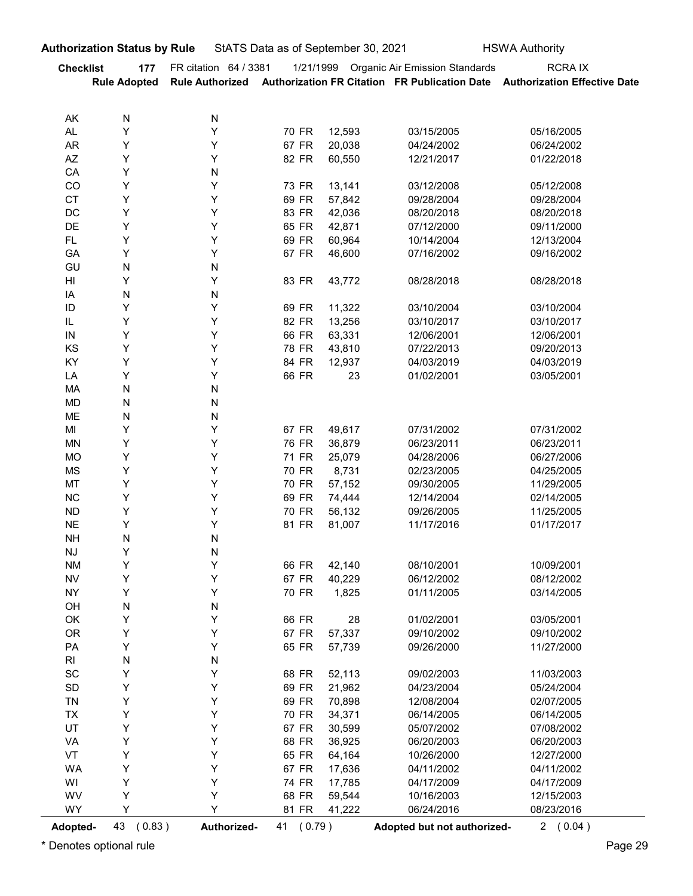| <b>Checklist</b><br>AK<br><b>AL</b><br><b>AR</b><br>$\mathsf{A}\mathsf{Z}$<br>CA<br>CO<br><b>CT</b><br>DC<br>DE<br>FL.<br>GA<br>GU<br>$\mathsf{HI}$<br>IA<br>$\sf ID$<br>$\mathsf{IL}$<br>${\sf IN}$<br>KS<br>KY<br>LA | 177<br><b>Rule Adopted</b><br>N<br>Y<br>Υ<br>Υ<br>Υ<br>Υ<br>Υ<br>Υ<br>Υ<br>Υ<br>Y<br>${\sf N}$<br>Y<br>N<br>Υ<br>Y<br>Y | FR citation 64 / 3381<br>N<br>Y<br>Υ<br>Υ<br>N<br>Y<br>Υ<br>Υ<br>Υ<br>Υ<br>Υ<br>N<br>Y<br>N | 70 FR<br>67 FR<br>82 FR<br>73 FR<br>69 FR<br>83 FR<br>65 FR<br>69 FR<br>67 FR | 12,593<br>20,038<br>60,550<br>13,141<br>57,842<br>42,036<br>42,871 | 1/21/1999 Organic Air Emission Standards<br>03/15/2005<br>04/24/2002<br>12/21/2017<br>03/12/2008<br>09/28/2004<br>08/20/2018 | <b>RCRAIX</b><br>Rule Authorized Authorization FR Citation FR Publication Date Authorization Effective Date<br>05/16/2005<br>06/24/2002<br>01/22/2018<br>05/12/2008 |
|------------------------------------------------------------------------------------------------------------------------------------------------------------------------------------------------------------------------|-------------------------------------------------------------------------------------------------------------------------|---------------------------------------------------------------------------------------------|-------------------------------------------------------------------------------|--------------------------------------------------------------------|------------------------------------------------------------------------------------------------------------------------------|---------------------------------------------------------------------------------------------------------------------------------------------------------------------|
|                                                                                                                                                                                                                        |                                                                                                                         |                                                                                             |                                                                               |                                                                    |                                                                                                                              |                                                                                                                                                                     |
|                                                                                                                                                                                                                        |                                                                                                                         |                                                                                             |                                                                               |                                                                    |                                                                                                                              |                                                                                                                                                                     |
|                                                                                                                                                                                                                        |                                                                                                                         |                                                                                             |                                                                               |                                                                    |                                                                                                                              |                                                                                                                                                                     |
|                                                                                                                                                                                                                        |                                                                                                                         |                                                                                             |                                                                               |                                                                    |                                                                                                                              |                                                                                                                                                                     |
|                                                                                                                                                                                                                        |                                                                                                                         |                                                                                             |                                                                               |                                                                    |                                                                                                                              |                                                                                                                                                                     |
|                                                                                                                                                                                                                        |                                                                                                                         |                                                                                             |                                                                               |                                                                    |                                                                                                                              |                                                                                                                                                                     |
|                                                                                                                                                                                                                        |                                                                                                                         |                                                                                             |                                                                               |                                                                    |                                                                                                                              | 09/28/2004                                                                                                                                                          |
|                                                                                                                                                                                                                        |                                                                                                                         |                                                                                             |                                                                               |                                                                    |                                                                                                                              | 08/20/2018                                                                                                                                                          |
|                                                                                                                                                                                                                        |                                                                                                                         |                                                                                             |                                                                               |                                                                    | 07/12/2000                                                                                                                   | 09/11/2000                                                                                                                                                          |
|                                                                                                                                                                                                                        |                                                                                                                         |                                                                                             |                                                                               | 60,964<br>46,600                                                   | 10/14/2004<br>07/16/2002                                                                                                     | 12/13/2004<br>09/16/2002                                                                                                                                            |
|                                                                                                                                                                                                                        |                                                                                                                         |                                                                                             |                                                                               |                                                                    |                                                                                                                              |                                                                                                                                                                     |
|                                                                                                                                                                                                                        |                                                                                                                         |                                                                                             | 83 FR                                                                         | 43,772                                                             | 08/28/2018                                                                                                                   | 08/28/2018                                                                                                                                                          |
|                                                                                                                                                                                                                        |                                                                                                                         |                                                                                             |                                                                               |                                                                    |                                                                                                                              |                                                                                                                                                                     |
|                                                                                                                                                                                                                        |                                                                                                                         | Υ<br>Υ                                                                                      | 69 FR<br>82 FR                                                                | 11,322<br>13,256                                                   | 03/10/2004<br>03/10/2017                                                                                                     | 03/10/2004<br>03/10/2017                                                                                                                                            |
|                                                                                                                                                                                                                        |                                                                                                                         | Υ                                                                                           | 66 FR                                                                         | 63,331                                                             | 12/06/2001                                                                                                                   | 12/06/2001                                                                                                                                                          |
|                                                                                                                                                                                                                        | Y                                                                                                                       | Υ                                                                                           | 78 FR                                                                         | 43,810                                                             | 07/22/2013                                                                                                                   | 09/20/2013                                                                                                                                                          |
|                                                                                                                                                                                                                        | Y                                                                                                                       | Υ                                                                                           | 84 FR                                                                         | 12,937                                                             | 04/03/2019                                                                                                                   | 04/03/2019                                                                                                                                                          |
|                                                                                                                                                                                                                        | Υ                                                                                                                       | Υ                                                                                           | 66 FR                                                                         | 23                                                                 | 01/02/2001                                                                                                                   | 03/05/2001                                                                                                                                                          |
| MA<br>MD                                                                                                                                                                                                               | ${\sf N}$<br>${\sf N}$                                                                                                  | ${\sf N}$<br>${\sf N}$                                                                      |                                                                               |                                                                    |                                                                                                                              |                                                                                                                                                                     |
| ME                                                                                                                                                                                                                     | ${\sf N}$                                                                                                               | ${\sf N}$                                                                                   |                                                                               |                                                                    |                                                                                                                              |                                                                                                                                                                     |
| MI                                                                                                                                                                                                                     | Y                                                                                                                       | Υ                                                                                           | 67 FR                                                                         | 49,617                                                             | 07/31/2002                                                                                                                   | 07/31/2002                                                                                                                                                          |
| MN                                                                                                                                                                                                                     | Y                                                                                                                       | Υ                                                                                           | 76 FR                                                                         | 36,879                                                             | 06/23/2011                                                                                                                   | 06/23/2011                                                                                                                                                          |
| MO<br>MS                                                                                                                                                                                                               | Y<br>Y                                                                                                                  | Υ<br>Υ                                                                                      | 71 FR<br>70 FR                                                                | 25,079<br>8,731                                                    | 04/28/2006<br>02/23/2005                                                                                                     | 06/27/2006<br>04/25/2005                                                                                                                                            |
| MT                                                                                                                                                                                                                     | Y                                                                                                                       | Υ                                                                                           | 70 FR                                                                         | 57,152                                                             | 09/30/2005                                                                                                                   | 11/29/2005                                                                                                                                                          |
| ${\sf NC}$                                                                                                                                                                                                             | Y                                                                                                                       | Υ                                                                                           | 69 FR                                                                         | 74,444                                                             | 12/14/2004                                                                                                                   | 02/14/2005                                                                                                                                                          |
| <b>ND</b>                                                                                                                                                                                                              | Υ                                                                                                                       | Υ                                                                                           | 70 FR                                                                         | 56,132                                                             | 09/26/2005                                                                                                                   | 11/25/2005                                                                                                                                                          |
| <b>NE</b>                                                                                                                                                                                                              | Υ                                                                                                                       | Υ                                                                                           | 81 FR                                                                         | 81,007                                                             | 11/17/2016                                                                                                                   | 01/17/2017                                                                                                                                                          |
| <b>NH</b><br><b>NJ</b>                                                                                                                                                                                                 | ${\sf N}$<br>Y                                                                                                          | ${\sf N}$<br>${\sf N}$                                                                      |                                                                               |                                                                    |                                                                                                                              |                                                                                                                                                                     |
| <b>NM</b>                                                                                                                                                                                                              | Y                                                                                                                       | Υ                                                                                           | 66 FR                                                                         | 42,140                                                             | 08/10/2001                                                                                                                   | 10/09/2001                                                                                                                                                          |
| <b>NV</b>                                                                                                                                                                                                              | Y                                                                                                                       | Υ                                                                                           | 67 FR                                                                         | 40,229                                                             | 06/12/2002                                                                                                                   | 08/12/2002                                                                                                                                                          |
| <b>NY</b>                                                                                                                                                                                                              | Υ                                                                                                                       | Υ                                                                                           | 70 FR                                                                         | 1,825                                                              | 01/11/2005                                                                                                                   | 03/14/2005                                                                                                                                                          |
| OH                                                                                                                                                                                                                     | ${\sf N}$                                                                                                               | ${\sf N}$                                                                                   |                                                                               |                                                                    |                                                                                                                              |                                                                                                                                                                     |
| OK<br><b>OR</b>                                                                                                                                                                                                        | Y<br>Y                                                                                                                  | Υ<br>Υ                                                                                      | 66 FR<br>67 FR                                                                | 28<br>57,337                                                       | 01/02/2001<br>09/10/2002                                                                                                     | 03/05/2001<br>09/10/2002                                                                                                                                            |
| PA                                                                                                                                                                                                                     | Υ                                                                                                                       | Υ                                                                                           | 65 FR                                                                         | 57,739                                                             | 09/26/2000                                                                                                                   | 11/27/2000                                                                                                                                                          |
| RI                                                                                                                                                                                                                     | ${\sf N}$                                                                                                               | ${\sf N}$                                                                                   |                                                                               |                                                                    |                                                                                                                              |                                                                                                                                                                     |
| $\operatorname{\textsf{SC}}$                                                                                                                                                                                           | Y                                                                                                                       | Υ                                                                                           | 68 FR                                                                         | 52,113                                                             | 09/02/2003                                                                                                                   | 11/03/2003                                                                                                                                                          |
| SD                                                                                                                                                                                                                     | Y                                                                                                                       | Υ                                                                                           | 69 FR                                                                         | 21,962                                                             | 04/23/2004                                                                                                                   | 05/24/2004                                                                                                                                                          |
| <b>TN</b>                                                                                                                                                                                                              | Y                                                                                                                       | Υ                                                                                           | 69 FR                                                                         | 70,898                                                             | 12/08/2004                                                                                                                   | 02/07/2005                                                                                                                                                          |
| <b>TX</b><br>UT                                                                                                                                                                                                        | Y<br>Y                                                                                                                  | Υ<br>Υ                                                                                      | 70 FR<br>67 FR                                                                | 34,371<br>30,599                                                   | 06/14/2005<br>05/07/2002                                                                                                     | 06/14/2005<br>07/08/2002                                                                                                                                            |
| VA                                                                                                                                                                                                                     | Y                                                                                                                       | Υ                                                                                           | 68 FR                                                                         | 36,925                                                             | 06/20/2003                                                                                                                   | 06/20/2003                                                                                                                                                          |
| VT                                                                                                                                                                                                                     | Υ                                                                                                                       | Υ                                                                                           | 65 FR                                                                         | 64,164                                                             | 10/26/2000                                                                                                                   | 12/27/2000                                                                                                                                                          |
| <b>WA</b>                                                                                                                                                                                                              | Υ                                                                                                                       | Υ                                                                                           | 67 FR                                                                         | 17,636                                                             | 04/11/2002                                                                                                                   | 04/11/2002                                                                                                                                                          |
| WI                                                                                                                                                                                                                     | Υ                                                                                                                       | Υ                                                                                           | 74 FR                                                                         | 17,785                                                             | 04/17/2009                                                                                                                   | 04/17/2009                                                                                                                                                          |
| WV                                                                                                                                                                                                                     | Y                                                                                                                       | Υ                                                                                           | 68 FR                                                                         | 59,544                                                             | 10/16/2003                                                                                                                   | 12/15/2003                                                                                                                                                          |
| WY<br>Adopted-                                                                                                                                                                                                         | Y<br>43 (0.83)                                                                                                          | Y<br>Authorized-                                                                            | 81 FR<br>41 (0.79)                                                            | 41,222                                                             | 06/24/2016<br>Adopted but not authorized-                                                                                    | 08/23/2016<br>2(0.04)                                                                                                                                               |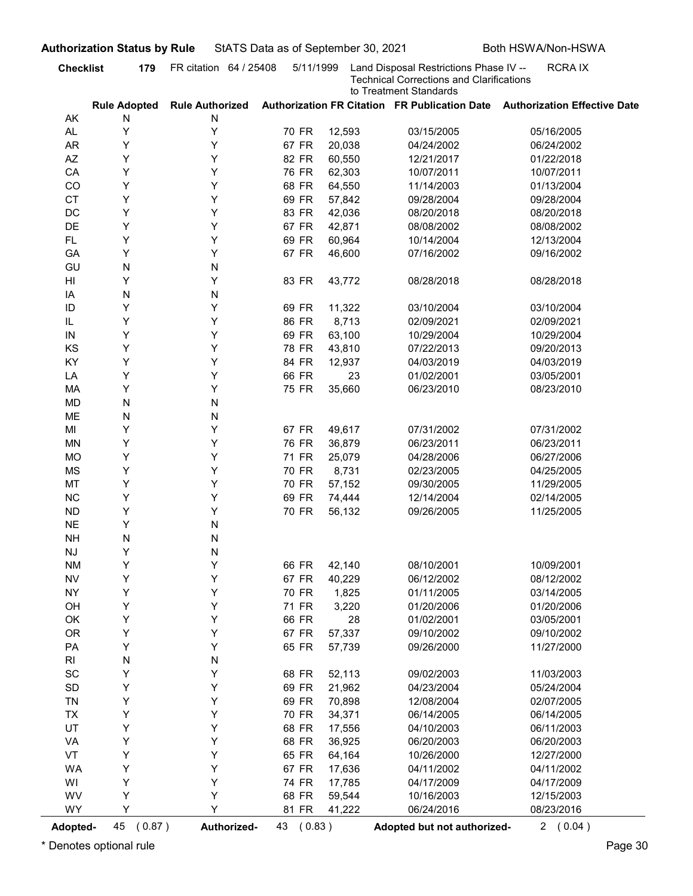| AK<br>AL.<br><b>AR</b><br>AZ<br>CA<br>CO<br><b>CT</b><br>DC<br>DE<br><b>FL</b><br>GA<br>GU<br>HI<br>IA<br>ID<br>IL<br>${\sf IN}$<br>KS<br>KY<br>LA<br>MA<br><b>MD</b><br>ME<br>MI<br><b>MN</b><br><b>MO</b><br><b>MS</b><br>MT<br>NC<br>${\sf ND}$ | <b>Rule Adopted</b><br>N<br>Υ<br>Y<br>Y<br>Υ<br>Υ<br>Υ<br>Y<br>Y<br>Y<br>Y<br>N<br>Y<br>N<br>Y<br>Υ<br>Y<br>Υ<br>Υ<br>Υ | <b>Rule Authorized</b><br>N<br>Υ<br>Υ<br>Υ<br>Υ<br>Υ<br>Υ<br>Υ<br>Υ<br>Υ<br>Υ<br>N<br>Υ<br>N<br>Y<br>Y<br>Υ<br>Υ | 70 FR<br>67 FR<br>82 FR<br>76 FR<br>68 FR<br>69 FR<br>83 FR<br>67 FR<br>69 FR<br>67 FR<br>83 FR<br>69 FR | 12,593<br>20,038<br>60,550<br>62,303<br>64,550<br>57,842<br>42,036<br>42,871<br>60,964<br>46,600 | <b>Technical Corrections and Clarifications</b><br>to Treatment Standards<br>03/15/2005<br>04/24/2002<br>12/21/2017<br>10/07/2011<br>11/14/2003<br>09/28/2004<br>08/20/2018<br>08/08/2002<br>10/14/2004 | Authorization FR Citation FR Publication Date Authorization Effective Date<br>05/16/2005<br>06/24/2002<br>01/22/2018<br>10/07/2011<br>01/13/2004<br>09/28/2004<br>08/20/2018 |
|----------------------------------------------------------------------------------------------------------------------------------------------------------------------------------------------------------------------------------------------------|-------------------------------------------------------------------------------------------------------------------------|------------------------------------------------------------------------------------------------------------------|----------------------------------------------------------------------------------------------------------|--------------------------------------------------------------------------------------------------|---------------------------------------------------------------------------------------------------------------------------------------------------------------------------------------------------------|------------------------------------------------------------------------------------------------------------------------------------------------------------------------------|
|                                                                                                                                                                                                                                                    |                                                                                                                         |                                                                                                                  |                                                                                                          |                                                                                                  |                                                                                                                                                                                                         |                                                                                                                                                                              |
|                                                                                                                                                                                                                                                    |                                                                                                                         |                                                                                                                  |                                                                                                          |                                                                                                  |                                                                                                                                                                                                         |                                                                                                                                                                              |
|                                                                                                                                                                                                                                                    |                                                                                                                         |                                                                                                                  |                                                                                                          |                                                                                                  |                                                                                                                                                                                                         |                                                                                                                                                                              |
|                                                                                                                                                                                                                                                    |                                                                                                                         |                                                                                                                  |                                                                                                          |                                                                                                  |                                                                                                                                                                                                         |                                                                                                                                                                              |
|                                                                                                                                                                                                                                                    |                                                                                                                         |                                                                                                                  |                                                                                                          |                                                                                                  |                                                                                                                                                                                                         |                                                                                                                                                                              |
|                                                                                                                                                                                                                                                    |                                                                                                                         |                                                                                                                  |                                                                                                          |                                                                                                  |                                                                                                                                                                                                         |                                                                                                                                                                              |
|                                                                                                                                                                                                                                                    |                                                                                                                         |                                                                                                                  |                                                                                                          |                                                                                                  |                                                                                                                                                                                                         |                                                                                                                                                                              |
|                                                                                                                                                                                                                                                    |                                                                                                                         |                                                                                                                  |                                                                                                          |                                                                                                  |                                                                                                                                                                                                         |                                                                                                                                                                              |
|                                                                                                                                                                                                                                                    |                                                                                                                         |                                                                                                                  |                                                                                                          |                                                                                                  |                                                                                                                                                                                                         |                                                                                                                                                                              |
|                                                                                                                                                                                                                                                    |                                                                                                                         |                                                                                                                  |                                                                                                          |                                                                                                  |                                                                                                                                                                                                         | 08/08/2002                                                                                                                                                                   |
|                                                                                                                                                                                                                                                    |                                                                                                                         |                                                                                                                  |                                                                                                          |                                                                                                  |                                                                                                                                                                                                         | 12/13/2004                                                                                                                                                                   |
|                                                                                                                                                                                                                                                    |                                                                                                                         |                                                                                                                  |                                                                                                          |                                                                                                  | 07/16/2002                                                                                                                                                                                              | 09/16/2002                                                                                                                                                                   |
|                                                                                                                                                                                                                                                    |                                                                                                                         |                                                                                                                  |                                                                                                          |                                                                                                  |                                                                                                                                                                                                         |                                                                                                                                                                              |
|                                                                                                                                                                                                                                                    |                                                                                                                         |                                                                                                                  |                                                                                                          | 43,772                                                                                           | 08/28/2018                                                                                                                                                                                              | 08/28/2018                                                                                                                                                                   |
|                                                                                                                                                                                                                                                    |                                                                                                                         |                                                                                                                  |                                                                                                          |                                                                                                  |                                                                                                                                                                                                         |                                                                                                                                                                              |
|                                                                                                                                                                                                                                                    |                                                                                                                         |                                                                                                                  |                                                                                                          | 11,322                                                                                           | 03/10/2004                                                                                                                                                                                              | 03/10/2004                                                                                                                                                                   |
|                                                                                                                                                                                                                                                    |                                                                                                                         |                                                                                                                  | 86 FR<br>69 FR                                                                                           | 8,713<br>63,100                                                                                  | 02/09/2021<br>10/29/2004                                                                                                                                                                                | 02/09/2021<br>10/29/2004                                                                                                                                                     |
|                                                                                                                                                                                                                                                    |                                                                                                                         |                                                                                                                  | 78 FR                                                                                                    | 43,810                                                                                           | 07/22/2013                                                                                                                                                                                              | 09/20/2013                                                                                                                                                                   |
|                                                                                                                                                                                                                                                    |                                                                                                                         | Υ                                                                                                                | 84 FR                                                                                                    | 12,937                                                                                           | 04/03/2019                                                                                                                                                                                              | 04/03/2019                                                                                                                                                                   |
|                                                                                                                                                                                                                                                    |                                                                                                                         | Υ                                                                                                                | 66 FR                                                                                                    | 23                                                                                               | 01/02/2001                                                                                                                                                                                              | 03/05/2001                                                                                                                                                                   |
|                                                                                                                                                                                                                                                    | Υ                                                                                                                       | Υ                                                                                                                | 75 FR                                                                                                    | 35,660                                                                                           | 06/23/2010                                                                                                                                                                                              | 08/23/2010                                                                                                                                                                   |
|                                                                                                                                                                                                                                                    | ${\sf N}$                                                                                                               | N                                                                                                                |                                                                                                          |                                                                                                  |                                                                                                                                                                                                         |                                                                                                                                                                              |
|                                                                                                                                                                                                                                                    | ${\sf N}$                                                                                                               | N                                                                                                                |                                                                                                          |                                                                                                  |                                                                                                                                                                                                         |                                                                                                                                                                              |
|                                                                                                                                                                                                                                                    | Υ                                                                                                                       | Υ                                                                                                                | 67 FR                                                                                                    | 49,617                                                                                           | 07/31/2002                                                                                                                                                                                              | 07/31/2002                                                                                                                                                                   |
|                                                                                                                                                                                                                                                    | Υ                                                                                                                       | Υ                                                                                                                | 76 FR                                                                                                    | 36,879                                                                                           | 06/23/2011                                                                                                                                                                                              | 06/23/2011                                                                                                                                                                   |
|                                                                                                                                                                                                                                                    | Υ                                                                                                                       | Υ                                                                                                                | 71 FR                                                                                                    | 25,079                                                                                           | 04/28/2006                                                                                                                                                                                              | 06/27/2006                                                                                                                                                                   |
|                                                                                                                                                                                                                                                    | Υ                                                                                                                       | Υ                                                                                                                | 70 FR                                                                                                    | 8,731                                                                                            | 02/23/2005                                                                                                                                                                                              | 04/25/2005                                                                                                                                                                   |
|                                                                                                                                                                                                                                                    | Υ                                                                                                                       | Y                                                                                                                | 70 FR                                                                                                    | 57,152                                                                                           | 09/30/2005                                                                                                                                                                                              | 11/29/2005                                                                                                                                                                   |
|                                                                                                                                                                                                                                                    | Υ                                                                                                                       | Y                                                                                                                | 69 FR                                                                                                    | 74,444                                                                                           | 12/14/2004                                                                                                                                                                                              | 02/14/2005                                                                                                                                                                   |
|                                                                                                                                                                                                                                                    | Υ                                                                                                                       | Υ                                                                                                                | 70 FR                                                                                                    | 56,132                                                                                           | 09/26/2005                                                                                                                                                                                              | 11/25/2005                                                                                                                                                                   |
| <b>NE</b>                                                                                                                                                                                                                                          | Υ                                                                                                                       | N                                                                                                                |                                                                                                          |                                                                                                  |                                                                                                                                                                                                         |                                                                                                                                                                              |
| <b>NH</b>                                                                                                                                                                                                                                          | ${\sf N}$                                                                                                               | N                                                                                                                |                                                                                                          |                                                                                                  |                                                                                                                                                                                                         |                                                                                                                                                                              |
| $\mathsf{N}\mathsf{J}$                                                                                                                                                                                                                             | Y                                                                                                                       | N                                                                                                                |                                                                                                          |                                                                                                  |                                                                                                                                                                                                         |                                                                                                                                                                              |
| <b>NM</b>                                                                                                                                                                                                                                          | Υ                                                                                                                       | Υ                                                                                                                | 66 FR                                                                                                    | 42,140                                                                                           | 08/10/2001                                                                                                                                                                                              | 10/09/2001                                                                                                                                                                   |
| ${\sf NV}$                                                                                                                                                                                                                                         | Υ                                                                                                                       | Υ                                                                                                                | 67 FR                                                                                                    | 40,229                                                                                           | 06/12/2002                                                                                                                                                                                              | 08/12/2002                                                                                                                                                                   |
| <b>NY</b>                                                                                                                                                                                                                                          | Υ                                                                                                                       | Υ                                                                                                                | 70 FR                                                                                                    | 1,825                                                                                            | 01/11/2005                                                                                                                                                                                              | 03/14/2005                                                                                                                                                                   |
| OH                                                                                                                                                                                                                                                 | Υ                                                                                                                       | Υ                                                                                                                | 71 FR                                                                                                    | 3,220                                                                                            | 01/20/2006                                                                                                                                                                                              | 01/20/2006                                                                                                                                                                   |
| OK                                                                                                                                                                                                                                                 | Υ                                                                                                                       | Y                                                                                                                | 66 FR                                                                                                    | 28                                                                                               | 01/02/2001                                                                                                                                                                                              | 03/05/2001                                                                                                                                                                   |
| <b>OR</b>                                                                                                                                                                                                                                          | Υ                                                                                                                       | Υ                                                                                                                | 67 FR                                                                                                    | 57,337                                                                                           | 09/10/2002                                                                                                                                                                                              | 09/10/2002                                                                                                                                                                   |
| PA                                                                                                                                                                                                                                                 | Υ                                                                                                                       | Υ                                                                                                                | 65 FR                                                                                                    | 57,739                                                                                           | 09/26/2000                                                                                                                                                                                              | 11/27/2000                                                                                                                                                                   |
| $\mathsf{RI}$                                                                                                                                                                                                                                      | ${\sf N}$                                                                                                               | N                                                                                                                |                                                                                                          |                                                                                                  |                                                                                                                                                                                                         |                                                                                                                                                                              |
| $\operatorname{\textsf{SC}}$                                                                                                                                                                                                                       | Υ                                                                                                                       | Υ                                                                                                                | 68 FR                                                                                                    | 52,113                                                                                           | 09/02/2003                                                                                                                                                                                              | 11/03/2003                                                                                                                                                                   |
| $\mathsf{SD}$                                                                                                                                                                                                                                      | Υ                                                                                                                       | Υ                                                                                                                | 69 FR                                                                                                    | 21,962                                                                                           | 04/23/2004                                                                                                                                                                                              | 05/24/2004                                                                                                                                                                   |
| TN                                                                                                                                                                                                                                                 | Υ                                                                                                                       | Υ                                                                                                                | 69 FR                                                                                                    | 70,898                                                                                           | 12/08/2004                                                                                                                                                                                              | 02/07/2005                                                                                                                                                                   |
| TX                                                                                                                                                                                                                                                 | Υ                                                                                                                       | Υ                                                                                                                | 70 FR                                                                                                    | 34,371                                                                                           | 06/14/2005                                                                                                                                                                                              | 06/14/2005                                                                                                                                                                   |
| UT                                                                                                                                                                                                                                                 | Υ                                                                                                                       | Υ                                                                                                                | 68 FR                                                                                                    | 17,556                                                                                           | 04/10/2003                                                                                                                                                                                              | 06/11/2003                                                                                                                                                                   |
| VA                                                                                                                                                                                                                                                 | Υ                                                                                                                       | Υ                                                                                                                | 68 FR                                                                                                    | 36,925                                                                                           | 06/20/2003                                                                                                                                                                                              | 06/20/2003                                                                                                                                                                   |
| VT                                                                                                                                                                                                                                                 | Υ                                                                                                                       | Υ                                                                                                                | 65 FR                                                                                                    | 64,164                                                                                           | 10/26/2000                                                                                                                                                                                              | 12/27/2000                                                                                                                                                                   |
| <b>WA</b>                                                                                                                                                                                                                                          | Υ                                                                                                                       | Υ                                                                                                                | 67 FR                                                                                                    | 17,636                                                                                           | 04/11/2002                                                                                                                                                                                              | 04/11/2002                                                                                                                                                                   |
| WI                                                                                                                                                                                                                                                 | Υ                                                                                                                       | Y                                                                                                                | 74 FR                                                                                                    | 17,785                                                                                           | 04/17/2009                                                                                                                                                                                              | 04/17/2009                                                                                                                                                                   |
| WV                                                                                                                                                                                                                                                 | Υ                                                                                                                       | Υ                                                                                                                | 68 FR                                                                                                    | 59,544                                                                                           | 10/16/2003                                                                                                                                                                                              | 12/15/2003                                                                                                                                                                   |
| <b>WY</b>                                                                                                                                                                                                                                          | Υ                                                                                                                       | Y                                                                                                                | 81 FR                                                                                                    | 41,222                                                                                           | 06/24/2016                                                                                                                                                                                              | 08/23/2016                                                                                                                                                                   |
| <b>Adopted-</b>                                                                                                                                                                                                                                    | 45<br>(0.87)<br>Denotes optional rule                                                                                   | Authorized-                                                                                                      | 43 (0.83)                                                                                                |                                                                                                  | Adopted but not authorized-                                                                                                                                                                             | 2(0.04)                                                                                                                                                                      |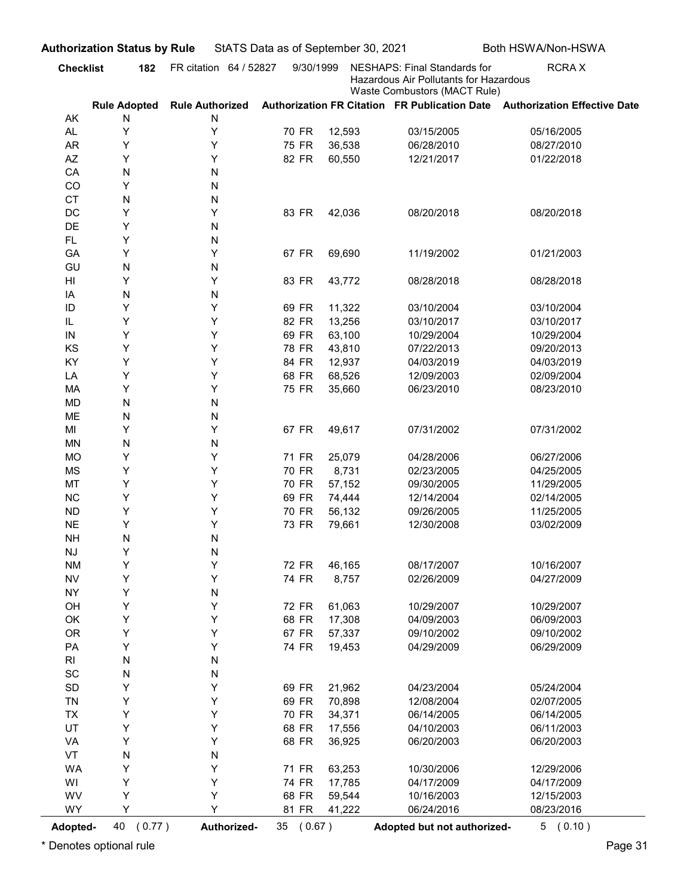|                                                | <b>Authorization Status by Rule</b> |                        | StATS Data as of September 30, 2021 |                  |                                                                                                        | Both HSWA/Non-HSWA                                                         |
|------------------------------------------------|-------------------------------------|------------------------|-------------------------------------|------------------|--------------------------------------------------------------------------------------------------------|----------------------------------------------------------------------------|
| <b>Checklist</b>                               | 182                                 | FR citation 64 / 52827 | 9/30/1999                           |                  | NESHAPS: Final Standards for<br>Hazardous Air Pollutants for Hazardous<br>Waste Combustors (MACT Rule) | <b>RCRAX</b>                                                               |
|                                                | <b>Rule Adopted</b>                 | <b>Rule Authorized</b> |                                     |                  |                                                                                                        | Authorization FR Citation FR Publication Date Authorization Effective Date |
| AK                                             | N                                   | N                      |                                     |                  |                                                                                                        |                                                                            |
| AL                                             | Υ                                   | Υ<br>Y                 | 70 FR<br>75 FR                      | 12,593           | 03/15/2005                                                                                             | 05/16/2005                                                                 |
| AR<br>AZ                                       | Υ<br>Y                              | Υ                      | 82 FR                               | 36,538<br>60,550 | 06/28/2010<br>12/21/2017                                                                               | 08/27/2010<br>01/22/2018                                                   |
| CA                                             | N                                   | N                      |                                     |                  |                                                                                                        |                                                                            |
| CO                                             | Υ                                   | N                      |                                     |                  |                                                                                                        |                                                                            |
| <b>CT</b>                                      | N                                   | N                      |                                     |                  |                                                                                                        |                                                                            |
| DC                                             | Υ                                   | Υ                      | 83 FR                               | 42,036           | 08/20/2018                                                                                             | 08/20/2018                                                                 |
| <b>DE</b>                                      | Υ                                   | N                      |                                     |                  |                                                                                                        |                                                                            |
| FL.<br>GA                                      | Υ<br>Y                              | N<br>Y                 | 67 FR                               | 69,690           | 11/19/2002                                                                                             | 01/21/2003                                                                 |
| GU                                             | N                                   | N                      |                                     |                  |                                                                                                        |                                                                            |
| HI                                             | Y                                   | Y                      | 83 FR                               | 43,772           | 08/28/2018                                                                                             | 08/28/2018                                                                 |
| ΙA                                             | N                                   | N                      |                                     |                  |                                                                                                        |                                                                            |
| ID                                             | Υ                                   | Y                      | 69 FR                               | 11,322           | 03/10/2004                                                                                             | 03/10/2004                                                                 |
| IL                                             | Υ                                   | Y                      | 82 FR                               | 13,256           | 03/10/2017                                                                                             | 03/10/2017                                                                 |
| IN                                             | Y<br>Υ                              | Y<br>Y                 | 69 FR                               | 63,100           | 10/29/2004                                                                                             | 10/29/2004                                                                 |
| KS<br>KY                                       | Υ                                   | Y                      | 78 FR<br>84 FR                      | 43,810<br>12,937 | 07/22/2013<br>04/03/2019                                                                               | 09/20/2013<br>04/03/2019                                                   |
| LA                                             | Υ                                   | Υ                      | 68 FR                               | 68,526           | 12/09/2003                                                                                             | 02/09/2004                                                                 |
| MA                                             | Υ                                   | Υ                      | 75 FR                               | 35,660           | 06/23/2010                                                                                             | 08/23/2010                                                                 |
| <b>MD</b>                                      | ${\sf N}$                           | N                      |                                     |                  |                                                                                                        |                                                                            |
| ME                                             | ${\sf N}$                           | Ν                      |                                     |                  |                                                                                                        |                                                                            |
| MI                                             | Υ                                   | Υ                      | 67 FR                               | 49,617           | 07/31/2002                                                                                             | 07/31/2002                                                                 |
| MN<br><b>MO</b>                                | ${\sf N}$<br>Υ                      | N<br>Υ                 | 71 FR                               | 25,079           | 04/28/2006                                                                                             | 06/27/2006                                                                 |
| <b>MS</b>                                      | Υ                                   | Υ                      | 70 FR                               | 8,731            | 02/23/2005                                                                                             | 04/25/2005                                                                 |
| MT                                             | Υ                                   | Υ                      | 70 FR                               | 57,152           | 09/30/2005                                                                                             | 11/29/2005                                                                 |
| <b>NC</b>                                      | Υ                                   | Υ                      | 69 FR                               | 74,444           | 12/14/2004                                                                                             | 02/14/2005                                                                 |
| <b>ND</b>                                      | Υ                                   | Υ                      | 70 FR                               | 56,132           | 09/26/2005                                                                                             | 11/25/2005                                                                 |
| <b>NE</b>                                      | Υ                                   | Υ                      | 73 FR                               | 79,661           | 12/30/2008                                                                                             | 03/02/2009                                                                 |
| <b>NH</b>                                      | ${\sf N}$                           | N                      |                                     |                  |                                                                                                        |                                                                            |
| <b>NJ</b><br><b>NM</b>                         | Υ<br>Υ                              | N<br>Υ                 | 72 FR                               | 46,165           | 08/17/2007                                                                                             | 10/16/2007                                                                 |
| <b>NV</b>                                      | Υ                                   | Υ                      | 74 FR                               | 8,757            | 02/26/2009                                                                                             | 04/27/2009                                                                 |
| <b>NY</b>                                      | Υ                                   | N                      |                                     |                  |                                                                                                        |                                                                            |
| OH                                             | Υ                                   | Υ                      | 72 FR                               | 61,063           | 10/29/2007                                                                                             | 10/29/2007                                                                 |
| OK                                             | Υ                                   | Y                      | 68 FR                               | 17,308           | 04/09/2003                                                                                             | 06/09/2003                                                                 |
| OR                                             | Υ                                   | Υ                      | 67 FR                               | 57,337           | 09/10/2002                                                                                             | 09/10/2002                                                                 |
| PA                                             | Υ                                   | Υ                      | 74 FR                               | 19,453           | 04/29/2009                                                                                             | 06/29/2009                                                                 |
| R <sub>l</sub><br>$\operatorname{\textsf{SC}}$ | ${\sf N}$<br>N                      | N<br>N                 |                                     |                  |                                                                                                        |                                                                            |
| SD                                             | Υ                                   | Y                      | 69 FR                               | 21,962           | 04/23/2004                                                                                             | 05/24/2004                                                                 |
| <b>TN</b>                                      | Υ                                   | Y                      | 69 FR                               | 70,898           | 12/08/2004                                                                                             | 02/07/2005                                                                 |
| TX                                             | Υ                                   | Υ                      | 70 FR                               | 34,371           | 06/14/2005                                                                                             | 06/14/2005                                                                 |
| UT                                             | Υ                                   | Υ                      | 68 FR                               | 17,556           | 04/10/2003                                                                                             | 06/11/2003                                                                 |
| VA                                             | Υ                                   | Υ                      | 68 FR                               | 36,925           | 06/20/2003                                                                                             | 06/20/2003                                                                 |
| VT                                             | ${\sf N}$                           | N                      |                                     |                  |                                                                                                        |                                                                            |
| WA                                             | Υ                                   | Υ                      | 71 FR                               | 63,253           | 10/30/2006                                                                                             | 12/29/2006                                                                 |
| WI<br>WV                                       | Υ<br>Υ                              | Υ<br>Y                 | 74 FR<br>68 FR                      | 17,785<br>59,544 | 04/17/2009<br>10/16/2003                                                                               | 04/17/2009<br>12/15/2003                                                   |
| WY                                             | Υ                                   | Y                      | 81 FR                               | 41,222           | 06/24/2016                                                                                             | 08/23/2016                                                                 |
| Adopted-                                       | 40 (0.77)                           | Authorized-            | 35 (0.67)                           |                  | Adopted but not authorized-                                                                            | 5(0.10)                                                                    |
|                                                | * Denotes optional rule             |                        |                                     |                  |                                                                                                        |                                                                            |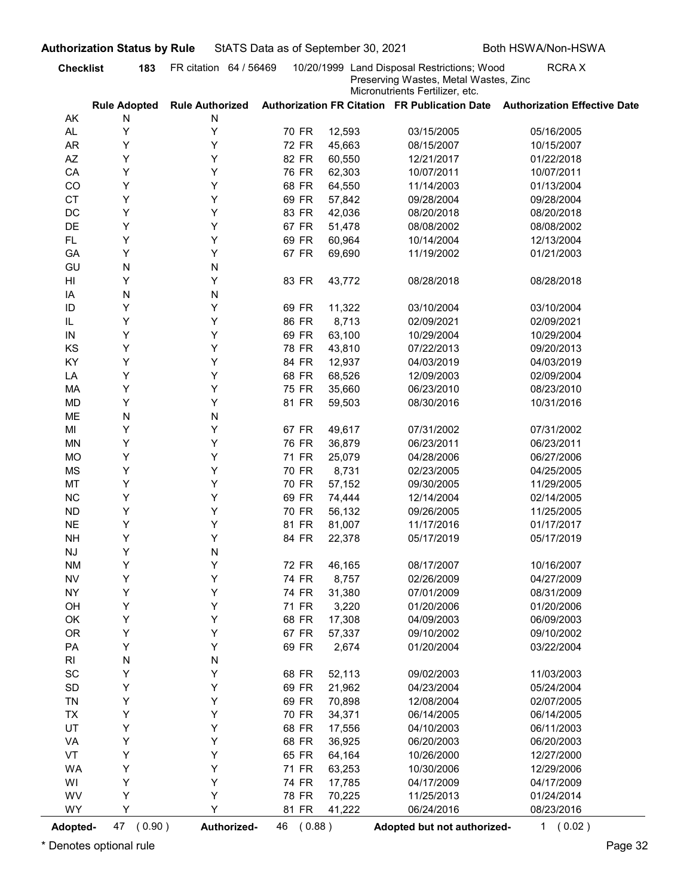| Micronutrients Fertilizer, etc.<br>Authorization FR Citation FR Publication Date Authorization Effective Date<br><b>Rule Adopted</b><br><b>Rule Authorized</b><br>AK<br>N<br>N<br>Υ<br>Υ<br>AL.<br>70 FR<br>12,593<br>03/15/2005<br>05/16/2005<br>Υ<br><b>AR</b><br>Y<br>72 FR<br>45,663<br>08/15/2007<br>10/15/2007<br>Υ<br>AZ<br>Y<br>82 FR<br>60,550<br>12/21/2017<br>01/22/2018<br>Y<br>Υ<br>CA<br>76 FR<br>62,303<br>10/07/2011<br>10/07/2011<br>Y<br>Υ<br>CO<br>68 FR<br>64,550<br>11/14/2003<br>01/13/2004<br>Y<br>Υ<br><b>CT</b><br>69 FR<br>57,842<br>09/28/2004<br>09/28/2004<br>Υ<br>DC<br>Y<br>83 FR<br>42,036<br>08/20/2018<br>08/20/2018<br>Υ<br>DE<br>Y<br>67 FR<br>51,478<br>08/08/2002<br>08/08/2002<br>Υ<br>Y<br><b>FL</b><br>69 FR<br>60,964<br>10/14/2004<br>12/13/2004<br>Υ<br>Y<br>GA<br>67 FR<br>69,690<br>11/19/2002<br>01/21/2003<br>N<br>GU<br>N<br>Υ<br>Y<br>83 FR<br>HI<br>43,772<br>08/28/2018<br>08/28/2018<br>N<br>N<br>IA<br>Y<br>Y<br>ID<br>69 FR<br>03/10/2004<br>11,322<br>03/10/2004<br>Y<br>Y<br>86 FR<br>8,713<br>IL<br>02/09/2021<br>02/09/2021<br>Υ<br>69 FR<br>63,100<br>10/29/2004<br>10/29/2004<br>Y<br>IN<br>Υ<br>Υ<br>KS<br>78 FR<br>43,810<br>07/22/2013<br>09/20/2013<br>Υ<br>Υ<br>KY<br>84 FR<br>12,937<br>04/03/2019<br>04/03/2019<br>Υ<br>Υ<br>68 FR<br>68,526<br>LA<br>12/09/2003<br>02/09/2004<br>Υ<br>Υ<br>75 FR<br>MA<br>35,660<br>06/23/2010<br>08/23/2010<br>Υ<br>Υ<br><b>MD</b><br>81 FR<br>59,503<br>08/30/2016<br>10/31/2016<br>N<br>ME<br>${\sf N}$<br>Υ<br>Υ<br>67 FR<br>07/31/2002<br>MI<br>49,617<br>07/31/2002<br>Υ<br>Υ<br><b>MN</b><br>76 FR<br>36,879<br>06/23/2011<br>06/23/2011<br>Υ<br>Υ<br><b>MO</b><br>71 FR<br>25,079<br>04/28/2006<br>06/27/2006<br>Υ<br>Υ<br><b>MS</b><br>70 FR<br>8,731<br>02/23/2005<br>04/25/2005<br>Υ<br>MT<br>Υ<br>70 FR<br>57,152<br>09/30/2005<br>11/29/2005<br>Y<br>$NC$<br>Υ<br>69 FR<br>74,444<br>12/14/2004<br>02/14/2005<br>Y<br>Υ<br>${\sf ND}$<br>70 FR<br>56,132<br>09/26/2005<br>11/25/2005<br>Υ<br>$N\mathsf{E}$<br>Υ<br>81 FR<br>11/17/2016<br>01/17/2017<br>81,007<br>Υ<br>Υ<br>84 FR<br><b>NH</b><br>22,378<br>05/17/2019<br>05/17/2019<br>Υ<br>N<br>$\mathsf{N}\mathsf{J}$<br>Υ<br>Υ<br><b>NM</b><br>72 FR<br>46,165<br>08/17/2007<br>10/16/2007<br>Υ<br>Υ<br>${\sf NV}$<br>74 FR<br>8,757<br>04/27/2009<br>02/26/2009<br>Y<br>Υ<br><b>NY</b><br>74 FR<br>31,380<br>07/01/2009<br>08/31/2009<br>Y<br>Υ<br>OH<br>71 FR<br>3,220<br>01/20/2006<br>01/20/2006<br>Υ<br>Υ<br>OK<br>68 FR<br>17,308<br>06/09/2003<br>04/09/2003<br>Υ<br>Υ<br><b>OR</b><br>67 FR<br>57,337<br>09/10/2002<br>09/10/2002<br>Υ<br>Υ<br>PA<br>69 FR<br>2,674<br>03/22/2004<br>01/20/2004<br>N<br>${\sf N}$<br>RI<br>Υ<br>$\operatorname{\textsf{SC}}$<br>Υ<br>68 FR<br>52,113<br>09/02/2003<br>11/03/2003<br>Υ<br>Υ<br>$\mathsf{SD}$<br>69 FR<br>21,962<br>04/23/2004<br>05/24/2004<br>Υ<br>Υ<br>TN<br>69 FR<br>70,898<br>12/08/2004<br>02/07/2005<br>Υ<br>Υ<br>70 FR<br>34,371<br>06/14/2005<br>06/14/2005<br><b>TX</b><br>Υ<br>UT<br>Υ<br>68 FR<br>17,556<br>06/11/2003<br>04/10/2003<br>Υ<br>Υ<br>VA<br>68 FR<br>36,925<br>06/20/2003<br>06/20/2003<br>Υ<br>Υ<br>VT<br>65 FR<br>64,164<br>12/27/2000<br>10/26/2000<br>Υ<br>Υ<br><b>WA</b><br>71 FR<br>63,253<br>12/29/2006<br>10/30/2006<br>Y<br>Υ<br>WI<br>74 FR<br>17,785<br>04/17/2009<br>04/17/2009<br>Υ<br>Υ<br>WV<br>78 FR<br>70,225<br>11/25/2013<br>01/24/2014<br>Υ<br>Y<br><b>WY</b><br>81 FR<br>41,222<br>06/24/2016<br>08/23/2016 | <b>Checklist</b> | 183 | FR citation 64 / 56469 |  | 10/20/1999 Land Disposal Restrictions; Wood<br>Preserving Wastes, Metal Wastes, Zinc | <b>RCRAX</b> |
|--------------------------------------------------------------------------------------------------------------------------------------------------------------------------------------------------------------------------------------------------------------------------------------------------------------------------------------------------------------------------------------------------------------------------------------------------------------------------------------------------------------------------------------------------------------------------------------------------------------------------------------------------------------------------------------------------------------------------------------------------------------------------------------------------------------------------------------------------------------------------------------------------------------------------------------------------------------------------------------------------------------------------------------------------------------------------------------------------------------------------------------------------------------------------------------------------------------------------------------------------------------------------------------------------------------------------------------------------------------------------------------------------------------------------------------------------------------------------------------------------------------------------------------------------------------------------------------------------------------------------------------------------------------------------------------------------------------------------------------------------------------------------------------------------------------------------------------------------------------------------------------------------------------------------------------------------------------------------------------------------------------------------------------------------------------------------------------------------------------------------------------------------------------------------------------------------------------------------------------------------------------------------------------------------------------------------------------------------------------------------------------------------------------------------------------------------------------------------------------------------------------------------------------------------------------------------------------------------------------------------------------------------------------------------------------------------------------------------------------------------------------------------------------------------------------------------------------------------------------------------------------------------------------------------------------------------------------------------------------------------------------------------------------------------------------------------------------------------------------------------------------------------------------------------------------------------------------------------------------------------------------------------------------------------------------------------------------------------------------------------------------------------------------------------------------------------------------------------------------|------------------|-----|------------------------|--|--------------------------------------------------------------------------------------|--------------|
|                                                                                                                                                                                                                                                                                                                                                                                                                                                                                                                                                                                                                                                                                                                                                                                                                                                                                                                                                                                                                                                                                                                                                                                                                                                                                                                                                                                                                                                                                                                                                                                                                                                                                                                                                                                                                                                                                                                                                                                                                                                                                                                                                                                                                                                                                                                                                                                                                                                                                                                                                                                                                                                                                                                                                                                                                                                                                                                                                                                                                                                                                                                                                                                                                                                                                                                                                                                                                                                                                      |                  |     |                        |  |                                                                                      |              |
|                                                                                                                                                                                                                                                                                                                                                                                                                                                                                                                                                                                                                                                                                                                                                                                                                                                                                                                                                                                                                                                                                                                                                                                                                                                                                                                                                                                                                                                                                                                                                                                                                                                                                                                                                                                                                                                                                                                                                                                                                                                                                                                                                                                                                                                                                                                                                                                                                                                                                                                                                                                                                                                                                                                                                                                                                                                                                                                                                                                                                                                                                                                                                                                                                                                                                                                                                                                                                                                                                      |                  |     |                        |  |                                                                                      |              |
|                                                                                                                                                                                                                                                                                                                                                                                                                                                                                                                                                                                                                                                                                                                                                                                                                                                                                                                                                                                                                                                                                                                                                                                                                                                                                                                                                                                                                                                                                                                                                                                                                                                                                                                                                                                                                                                                                                                                                                                                                                                                                                                                                                                                                                                                                                                                                                                                                                                                                                                                                                                                                                                                                                                                                                                                                                                                                                                                                                                                                                                                                                                                                                                                                                                                                                                                                                                                                                                                                      |                  |     |                        |  |                                                                                      |              |
|                                                                                                                                                                                                                                                                                                                                                                                                                                                                                                                                                                                                                                                                                                                                                                                                                                                                                                                                                                                                                                                                                                                                                                                                                                                                                                                                                                                                                                                                                                                                                                                                                                                                                                                                                                                                                                                                                                                                                                                                                                                                                                                                                                                                                                                                                                                                                                                                                                                                                                                                                                                                                                                                                                                                                                                                                                                                                                                                                                                                                                                                                                                                                                                                                                                                                                                                                                                                                                                                                      |                  |     |                        |  |                                                                                      |              |
|                                                                                                                                                                                                                                                                                                                                                                                                                                                                                                                                                                                                                                                                                                                                                                                                                                                                                                                                                                                                                                                                                                                                                                                                                                                                                                                                                                                                                                                                                                                                                                                                                                                                                                                                                                                                                                                                                                                                                                                                                                                                                                                                                                                                                                                                                                                                                                                                                                                                                                                                                                                                                                                                                                                                                                                                                                                                                                                                                                                                                                                                                                                                                                                                                                                                                                                                                                                                                                                                                      |                  |     |                        |  |                                                                                      |              |
|                                                                                                                                                                                                                                                                                                                                                                                                                                                                                                                                                                                                                                                                                                                                                                                                                                                                                                                                                                                                                                                                                                                                                                                                                                                                                                                                                                                                                                                                                                                                                                                                                                                                                                                                                                                                                                                                                                                                                                                                                                                                                                                                                                                                                                                                                                                                                                                                                                                                                                                                                                                                                                                                                                                                                                                                                                                                                                                                                                                                                                                                                                                                                                                                                                                                                                                                                                                                                                                                                      |                  |     |                        |  |                                                                                      |              |
|                                                                                                                                                                                                                                                                                                                                                                                                                                                                                                                                                                                                                                                                                                                                                                                                                                                                                                                                                                                                                                                                                                                                                                                                                                                                                                                                                                                                                                                                                                                                                                                                                                                                                                                                                                                                                                                                                                                                                                                                                                                                                                                                                                                                                                                                                                                                                                                                                                                                                                                                                                                                                                                                                                                                                                                                                                                                                                                                                                                                                                                                                                                                                                                                                                                                                                                                                                                                                                                                                      |                  |     |                        |  |                                                                                      |              |
|                                                                                                                                                                                                                                                                                                                                                                                                                                                                                                                                                                                                                                                                                                                                                                                                                                                                                                                                                                                                                                                                                                                                                                                                                                                                                                                                                                                                                                                                                                                                                                                                                                                                                                                                                                                                                                                                                                                                                                                                                                                                                                                                                                                                                                                                                                                                                                                                                                                                                                                                                                                                                                                                                                                                                                                                                                                                                                                                                                                                                                                                                                                                                                                                                                                                                                                                                                                                                                                                                      |                  |     |                        |  |                                                                                      |              |
|                                                                                                                                                                                                                                                                                                                                                                                                                                                                                                                                                                                                                                                                                                                                                                                                                                                                                                                                                                                                                                                                                                                                                                                                                                                                                                                                                                                                                                                                                                                                                                                                                                                                                                                                                                                                                                                                                                                                                                                                                                                                                                                                                                                                                                                                                                                                                                                                                                                                                                                                                                                                                                                                                                                                                                                                                                                                                                                                                                                                                                                                                                                                                                                                                                                                                                                                                                                                                                                                                      |                  |     |                        |  |                                                                                      |              |
|                                                                                                                                                                                                                                                                                                                                                                                                                                                                                                                                                                                                                                                                                                                                                                                                                                                                                                                                                                                                                                                                                                                                                                                                                                                                                                                                                                                                                                                                                                                                                                                                                                                                                                                                                                                                                                                                                                                                                                                                                                                                                                                                                                                                                                                                                                                                                                                                                                                                                                                                                                                                                                                                                                                                                                                                                                                                                                                                                                                                                                                                                                                                                                                                                                                                                                                                                                                                                                                                                      |                  |     |                        |  |                                                                                      |              |
|                                                                                                                                                                                                                                                                                                                                                                                                                                                                                                                                                                                                                                                                                                                                                                                                                                                                                                                                                                                                                                                                                                                                                                                                                                                                                                                                                                                                                                                                                                                                                                                                                                                                                                                                                                                                                                                                                                                                                                                                                                                                                                                                                                                                                                                                                                                                                                                                                                                                                                                                                                                                                                                                                                                                                                                                                                                                                                                                                                                                                                                                                                                                                                                                                                                                                                                                                                                                                                                                                      |                  |     |                        |  |                                                                                      |              |
|                                                                                                                                                                                                                                                                                                                                                                                                                                                                                                                                                                                                                                                                                                                                                                                                                                                                                                                                                                                                                                                                                                                                                                                                                                                                                                                                                                                                                                                                                                                                                                                                                                                                                                                                                                                                                                                                                                                                                                                                                                                                                                                                                                                                                                                                                                                                                                                                                                                                                                                                                                                                                                                                                                                                                                                                                                                                                                                                                                                                                                                                                                                                                                                                                                                                                                                                                                                                                                                                                      |                  |     |                        |  |                                                                                      |              |
|                                                                                                                                                                                                                                                                                                                                                                                                                                                                                                                                                                                                                                                                                                                                                                                                                                                                                                                                                                                                                                                                                                                                                                                                                                                                                                                                                                                                                                                                                                                                                                                                                                                                                                                                                                                                                                                                                                                                                                                                                                                                                                                                                                                                                                                                                                                                                                                                                                                                                                                                                                                                                                                                                                                                                                                                                                                                                                                                                                                                                                                                                                                                                                                                                                                                                                                                                                                                                                                                                      |                  |     |                        |  |                                                                                      |              |
|                                                                                                                                                                                                                                                                                                                                                                                                                                                                                                                                                                                                                                                                                                                                                                                                                                                                                                                                                                                                                                                                                                                                                                                                                                                                                                                                                                                                                                                                                                                                                                                                                                                                                                                                                                                                                                                                                                                                                                                                                                                                                                                                                                                                                                                                                                                                                                                                                                                                                                                                                                                                                                                                                                                                                                                                                                                                                                                                                                                                                                                                                                                                                                                                                                                                                                                                                                                                                                                                                      |                  |     |                        |  |                                                                                      |              |
|                                                                                                                                                                                                                                                                                                                                                                                                                                                                                                                                                                                                                                                                                                                                                                                                                                                                                                                                                                                                                                                                                                                                                                                                                                                                                                                                                                                                                                                                                                                                                                                                                                                                                                                                                                                                                                                                                                                                                                                                                                                                                                                                                                                                                                                                                                                                                                                                                                                                                                                                                                                                                                                                                                                                                                                                                                                                                                                                                                                                                                                                                                                                                                                                                                                                                                                                                                                                                                                                                      |                  |     |                        |  |                                                                                      |              |
|                                                                                                                                                                                                                                                                                                                                                                                                                                                                                                                                                                                                                                                                                                                                                                                                                                                                                                                                                                                                                                                                                                                                                                                                                                                                                                                                                                                                                                                                                                                                                                                                                                                                                                                                                                                                                                                                                                                                                                                                                                                                                                                                                                                                                                                                                                                                                                                                                                                                                                                                                                                                                                                                                                                                                                                                                                                                                                                                                                                                                                                                                                                                                                                                                                                                                                                                                                                                                                                                                      |                  |     |                        |  |                                                                                      |              |
|                                                                                                                                                                                                                                                                                                                                                                                                                                                                                                                                                                                                                                                                                                                                                                                                                                                                                                                                                                                                                                                                                                                                                                                                                                                                                                                                                                                                                                                                                                                                                                                                                                                                                                                                                                                                                                                                                                                                                                                                                                                                                                                                                                                                                                                                                                                                                                                                                                                                                                                                                                                                                                                                                                                                                                                                                                                                                                                                                                                                                                                                                                                                                                                                                                                                                                                                                                                                                                                                                      |                  |     |                        |  |                                                                                      |              |
|                                                                                                                                                                                                                                                                                                                                                                                                                                                                                                                                                                                                                                                                                                                                                                                                                                                                                                                                                                                                                                                                                                                                                                                                                                                                                                                                                                                                                                                                                                                                                                                                                                                                                                                                                                                                                                                                                                                                                                                                                                                                                                                                                                                                                                                                                                                                                                                                                                                                                                                                                                                                                                                                                                                                                                                                                                                                                                                                                                                                                                                                                                                                                                                                                                                                                                                                                                                                                                                                                      |                  |     |                        |  |                                                                                      |              |
|                                                                                                                                                                                                                                                                                                                                                                                                                                                                                                                                                                                                                                                                                                                                                                                                                                                                                                                                                                                                                                                                                                                                                                                                                                                                                                                                                                                                                                                                                                                                                                                                                                                                                                                                                                                                                                                                                                                                                                                                                                                                                                                                                                                                                                                                                                                                                                                                                                                                                                                                                                                                                                                                                                                                                                                                                                                                                                                                                                                                                                                                                                                                                                                                                                                                                                                                                                                                                                                                                      |                  |     |                        |  |                                                                                      |              |
|                                                                                                                                                                                                                                                                                                                                                                                                                                                                                                                                                                                                                                                                                                                                                                                                                                                                                                                                                                                                                                                                                                                                                                                                                                                                                                                                                                                                                                                                                                                                                                                                                                                                                                                                                                                                                                                                                                                                                                                                                                                                                                                                                                                                                                                                                                                                                                                                                                                                                                                                                                                                                                                                                                                                                                                                                                                                                                                                                                                                                                                                                                                                                                                                                                                                                                                                                                                                                                                                                      |                  |     |                        |  |                                                                                      |              |
|                                                                                                                                                                                                                                                                                                                                                                                                                                                                                                                                                                                                                                                                                                                                                                                                                                                                                                                                                                                                                                                                                                                                                                                                                                                                                                                                                                                                                                                                                                                                                                                                                                                                                                                                                                                                                                                                                                                                                                                                                                                                                                                                                                                                                                                                                                                                                                                                                                                                                                                                                                                                                                                                                                                                                                                                                                                                                                                                                                                                                                                                                                                                                                                                                                                                                                                                                                                                                                                                                      |                  |     |                        |  |                                                                                      |              |
|                                                                                                                                                                                                                                                                                                                                                                                                                                                                                                                                                                                                                                                                                                                                                                                                                                                                                                                                                                                                                                                                                                                                                                                                                                                                                                                                                                                                                                                                                                                                                                                                                                                                                                                                                                                                                                                                                                                                                                                                                                                                                                                                                                                                                                                                                                                                                                                                                                                                                                                                                                                                                                                                                                                                                                                                                                                                                                                                                                                                                                                                                                                                                                                                                                                                                                                                                                                                                                                                                      |                  |     |                        |  |                                                                                      |              |
|                                                                                                                                                                                                                                                                                                                                                                                                                                                                                                                                                                                                                                                                                                                                                                                                                                                                                                                                                                                                                                                                                                                                                                                                                                                                                                                                                                                                                                                                                                                                                                                                                                                                                                                                                                                                                                                                                                                                                                                                                                                                                                                                                                                                                                                                                                                                                                                                                                                                                                                                                                                                                                                                                                                                                                                                                                                                                                                                                                                                                                                                                                                                                                                                                                                                                                                                                                                                                                                                                      |                  |     |                        |  |                                                                                      |              |
|                                                                                                                                                                                                                                                                                                                                                                                                                                                                                                                                                                                                                                                                                                                                                                                                                                                                                                                                                                                                                                                                                                                                                                                                                                                                                                                                                                                                                                                                                                                                                                                                                                                                                                                                                                                                                                                                                                                                                                                                                                                                                                                                                                                                                                                                                                                                                                                                                                                                                                                                                                                                                                                                                                                                                                                                                                                                                                                                                                                                                                                                                                                                                                                                                                                                                                                                                                                                                                                                                      |                  |     |                        |  |                                                                                      |              |
|                                                                                                                                                                                                                                                                                                                                                                                                                                                                                                                                                                                                                                                                                                                                                                                                                                                                                                                                                                                                                                                                                                                                                                                                                                                                                                                                                                                                                                                                                                                                                                                                                                                                                                                                                                                                                                                                                                                                                                                                                                                                                                                                                                                                                                                                                                                                                                                                                                                                                                                                                                                                                                                                                                                                                                                                                                                                                                                                                                                                                                                                                                                                                                                                                                                                                                                                                                                                                                                                                      |                  |     |                        |  |                                                                                      |              |
|                                                                                                                                                                                                                                                                                                                                                                                                                                                                                                                                                                                                                                                                                                                                                                                                                                                                                                                                                                                                                                                                                                                                                                                                                                                                                                                                                                                                                                                                                                                                                                                                                                                                                                                                                                                                                                                                                                                                                                                                                                                                                                                                                                                                                                                                                                                                                                                                                                                                                                                                                                                                                                                                                                                                                                                                                                                                                                                                                                                                                                                                                                                                                                                                                                                                                                                                                                                                                                                                                      |                  |     |                        |  |                                                                                      |              |
|                                                                                                                                                                                                                                                                                                                                                                                                                                                                                                                                                                                                                                                                                                                                                                                                                                                                                                                                                                                                                                                                                                                                                                                                                                                                                                                                                                                                                                                                                                                                                                                                                                                                                                                                                                                                                                                                                                                                                                                                                                                                                                                                                                                                                                                                                                                                                                                                                                                                                                                                                                                                                                                                                                                                                                                                                                                                                                                                                                                                                                                                                                                                                                                                                                                                                                                                                                                                                                                                                      |                  |     |                        |  |                                                                                      |              |
|                                                                                                                                                                                                                                                                                                                                                                                                                                                                                                                                                                                                                                                                                                                                                                                                                                                                                                                                                                                                                                                                                                                                                                                                                                                                                                                                                                                                                                                                                                                                                                                                                                                                                                                                                                                                                                                                                                                                                                                                                                                                                                                                                                                                                                                                                                                                                                                                                                                                                                                                                                                                                                                                                                                                                                                                                                                                                                                                                                                                                                                                                                                                                                                                                                                                                                                                                                                                                                                                                      |                  |     |                        |  |                                                                                      |              |
|                                                                                                                                                                                                                                                                                                                                                                                                                                                                                                                                                                                                                                                                                                                                                                                                                                                                                                                                                                                                                                                                                                                                                                                                                                                                                                                                                                                                                                                                                                                                                                                                                                                                                                                                                                                                                                                                                                                                                                                                                                                                                                                                                                                                                                                                                                                                                                                                                                                                                                                                                                                                                                                                                                                                                                                                                                                                                                                                                                                                                                                                                                                                                                                                                                                                                                                                                                                                                                                                                      |                  |     |                        |  |                                                                                      |              |
|                                                                                                                                                                                                                                                                                                                                                                                                                                                                                                                                                                                                                                                                                                                                                                                                                                                                                                                                                                                                                                                                                                                                                                                                                                                                                                                                                                                                                                                                                                                                                                                                                                                                                                                                                                                                                                                                                                                                                                                                                                                                                                                                                                                                                                                                                                                                                                                                                                                                                                                                                                                                                                                                                                                                                                                                                                                                                                                                                                                                                                                                                                                                                                                                                                                                                                                                                                                                                                                                                      |                  |     |                        |  |                                                                                      |              |
|                                                                                                                                                                                                                                                                                                                                                                                                                                                                                                                                                                                                                                                                                                                                                                                                                                                                                                                                                                                                                                                                                                                                                                                                                                                                                                                                                                                                                                                                                                                                                                                                                                                                                                                                                                                                                                                                                                                                                                                                                                                                                                                                                                                                                                                                                                                                                                                                                                                                                                                                                                                                                                                                                                                                                                                                                                                                                                                                                                                                                                                                                                                                                                                                                                                                                                                                                                                                                                                                                      |                  |     |                        |  |                                                                                      |              |
|                                                                                                                                                                                                                                                                                                                                                                                                                                                                                                                                                                                                                                                                                                                                                                                                                                                                                                                                                                                                                                                                                                                                                                                                                                                                                                                                                                                                                                                                                                                                                                                                                                                                                                                                                                                                                                                                                                                                                                                                                                                                                                                                                                                                                                                                                                                                                                                                                                                                                                                                                                                                                                                                                                                                                                                                                                                                                                                                                                                                                                                                                                                                                                                                                                                                                                                                                                                                                                                                                      |                  |     |                        |  |                                                                                      |              |
|                                                                                                                                                                                                                                                                                                                                                                                                                                                                                                                                                                                                                                                                                                                                                                                                                                                                                                                                                                                                                                                                                                                                                                                                                                                                                                                                                                                                                                                                                                                                                                                                                                                                                                                                                                                                                                                                                                                                                                                                                                                                                                                                                                                                                                                                                                                                                                                                                                                                                                                                                                                                                                                                                                                                                                                                                                                                                                                                                                                                                                                                                                                                                                                                                                                                                                                                                                                                                                                                                      |                  |     |                        |  |                                                                                      |              |
|                                                                                                                                                                                                                                                                                                                                                                                                                                                                                                                                                                                                                                                                                                                                                                                                                                                                                                                                                                                                                                                                                                                                                                                                                                                                                                                                                                                                                                                                                                                                                                                                                                                                                                                                                                                                                                                                                                                                                                                                                                                                                                                                                                                                                                                                                                                                                                                                                                                                                                                                                                                                                                                                                                                                                                                                                                                                                                                                                                                                                                                                                                                                                                                                                                                                                                                                                                                                                                                                                      |                  |     |                        |  |                                                                                      |              |
|                                                                                                                                                                                                                                                                                                                                                                                                                                                                                                                                                                                                                                                                                                                                                                                                                                                                                                                                                                                                                                                                                                                                                                                                                                                                                                                                                                                                                                                                                                                                                                                                                                                                                                                                                                                                                                                                                                                                                                                                                                                                                                                                                                                                                                                                                                                                                                                                                                                                                                                                                                                                                                                                                                                                                                                                                                                                                                                                                                                                                                                                                                                                                                                                                                                                                                                                                                                                                                                                                      |                  |     |                        |  |                                                                                      |              |
|                                                                                                                                                                                                                                                                                                                                                                                                                                                                                                                                                                                                                                                                                                                                                                                                                                                                                                                                                                                                                                                                                                                                                                                                                                                                                                                                                                                                                                                                                                                                                                                                                                                                                                                                                                                                                                                                                                                                                                                                                                                                                                                                                                                                                                                                                                                                                                                                                                                                                                                                                                                                                                                                                                                                                                                                                                                                                                                                                                                                                                                                                                                                                                                                                                                                                                                                                                                                                                                                                      |                  |     |                        |  |                                                                                      |              |
|                                                                                                                                                                                                                                                                                                                                                                                                                                                                                                                                                                                                                                                                                                                                                                                                                                                                                                                                                                                                                                                                                                                                                                                                                                                                                                                                                                                                                                                                                                                                                                                                                                                                                                                                                                                                                                                                                                                                                                                                                                                                                                                                                                                                                                                                                                                                                                                                                                                                                                                                                                                                                                                                                                                                                                                                                                                                                                                                                                                                                                                                                                                                                                                                                                                                                                                                                                                                                                                                                      |                  |     |                        |  |                                                                                      |              |
|                                                                                                                                                                                                                                                                                                                                                                                                                                                                                                                                                                                                                                                                                                                                                                                                                                                                                                                                                                                                                                                                                                                                                                                                                                                                                                                                                                                                                                                                                                                                                                                                                                                                                                                                                                                                                                                                                                                                                                                                                                                                                                                                                                                                                                                                                                                                                                                                                                                                                                                                                                                                                                                                                                                                                                                                                                                                                                                                                                                                                                                                                                                                                                                                                                                                                                                                                                                                                                                                                      |                  |     |                        |  |                                                                                      |              |
|                                                                                                                                                                                                                                                                                                                                                                                                                                                                                                                                                                                                                                                                                                                                                                                                                                                                                                                                                                                                                                                                                                                                                                                                                                                                                                                                                                                                                                                                                                                                                                                                                                                                                                                                                                                                                                                                                                                                                                                                                                                                                                                                                                                                                                                                                                                                                                                                                                                                                                                                                                                                                                                                                                                                                                                                                                                                                                                                                                                                                                                                                                                                                                                                                                                                                                                                                                                                                                                                                      |                  |     |                        |  |                                                                                      |              |
|                                                                                                                                                                                                                                                                                                                                                                                                                                                                                                                                                                                                                                                                                                                                                                                                                                                                                                                                                                                                                                                                                                                                                                                                                                                                                                                                                                                                                                                                                                                                                                                                                                                                                                                                                                                                                                                                                                                                                                                                                                                                                                                                                                                                                                                                                                                                                                                                                                                                                                                                                                                                                                                                                                                                                                                                                                                                                                                                                                                                                                                                                                                                                                                                                                                                                                                                                                                                                                                                                      |                  |     |                        |  |                                                                                      |              |
|                                                                                                                                                                                                                                                                                                                                                                                                                                                                                                                                                                                                                                                                                                                                                                                                                                                                                                                                                                                                                                                                                                                                                                                                                                                                                                                                                                                                                                                                                                                                                                                                                                                                                                                                                                                                                                                                                                                                                                                                                                                                                                                                                                                                                                                                                                                                                                                                                                                                                                                                                                                                                                                                                                                                                                                                                                                                                                                                                                                                                                                                                                                                                                                                                                                                                                                                                                                                                                                                                      |                  |     |                        |  |                                                                                      |              |
|                                                                                                                                                                                                                                                                                                                                                                                                                                                                                                                                                                                                                                                                                                                                                                                                                                                                                                                                                                                                                                                                                                                                                                                                                                                                                                                                                                                                                                                                                                                                                                                                                                                                                                                                                                                                                                                                                                                                                                                                                                                                                                                                                                                                                                                                                                                                                                                                                                                                                                                                                                                                                                                                                                                                                                                                                                                                                                                                                                                                                                                                                                                                                                                                                                                                                                                                                                                                                                                                                      |                  |     |                        |  |                                                                                      |              |
|                                                                                                                                                                                                                                                                                                                                                                                                                                                                                                                                                                                                                                                                                                                                                                                                                                                                                                                                                                                                                                                                                                                                                                                                                                                                                                                                                                                                                                                                                                                                                                                                                                                                                                                                                                                                                                                                                                                                                                                                                                                                                                                                                                                                                                                                                                                                                                                                                                                                                                                                                                                                                                                                                                                                                                                                                                                                                                                                                                                                                                                                                                                                                                                                                                                                                                                                                                                                                                                                                      |                  |     |                        |  |                                                                                      |              |
|                                                                                                                                                                                                                                                                                                                                                                                                                                                                                                                                                                                                                                                                                                                                                                                                                                                                                                                                                                                                                                                                                                                                                                                                                                                                                                                                                                                                                                                                                                                                                                                                                                                                                                                                                                                                                                                                                                                                                                                                                                                                                                                                                                                                                                                                                                                                                                                                                                                                                                                                                                                                                                                                                                                                                                                                                                                                                                                                                                                                                                                                                                                                                                                                                                                                                                                                                                                                                                                                                      |                  |     |                        |  |                                                                                      |              |
|                                                                                                                                                                                                                                                                                                                                                                                                                                                                                                                                                                                                                                                                                                                                                                                                                                                                                                                                                                                                                                                                                                                                                                                                                                                                                                                                                                                                                                                                                                                                                                                                                                                                                                                                                                                                                                                                                                                                                                                                                                                                                                                                                                                                                                                                                                                                                                                                                                                                                                                                                                                                                                                                                                                                                                                                                                                                                                                                                                                                                                                                                                                                                                                                                                                                                                                                                                                                                                                                                      |                  |     |                        |  |                                                                                      |              |
|                                                                                                                                                                                                                                                                                                                                                                                                                                                                                                                                                                                                                                                                                                                                                                                                                                                                                                                                                                                                                                                                                                                                                                                                                                                                                                                                                                                                                                                                                                                                                                                                                                                                                                                                                                                                                                                                                                                                                                                                                                                                                                                                                                                                                                                                                                                                                                                                                                                                                                                                                                                                                                                                                                                                                                                                                                                                                                                                                                                                                                                                                                                                                                                                                                                                                                                                                                                                                                                                                      |                  |     |                        |  |                                                                                      |              |
|                                                                                                                                                                                                                                                                                                                                                                                                                                                                                                                                                                                                                                                                                                                                                                                                                                                                                                                                                                                                                                                                                                                                                                                                                                                                                                                                                                                                                                                                                                                                                                                                                                                                                                                                                                                                                                                                                                                                                                                                                                                                                                                                                                                                                                                                                                                                                                                                                                                                                                                                                                                                                                                                                                                                                                                                                                                                                                                                                                                                                                                                                                                                                                                                                                                                                                                                                                                                                                                                                      |                  |     |                        |  |                                                                                      |              |
|                                                                                                                                                                                                                                                                                                                                                                                                                                                                                                                                                                                                                                                                                                                                                                                                                                                                                                                                                                                                                                                                                                                                                                                                                                                                                                                                                                                                                                                                                                                                                                                                                                                                                                                                                                                                                                                                                                                                                                                                                                                                                                                                                                                                                                                                                                                                                                                                                                                                                                                                                                                                                                                                                                                                                                                                                                                                                                                                                                                                                                                                                                                                                                                                                                                                                                                                                                                                                                                                                      |                  |     |                        |  |                                                                                      |              |
|                                                                                                                                                                                                                                                                                                                                                                                                                                                                                                                                                                                                                                                                                                                                                                                                                                                                                                                                                                                                                                                                                                                                                                                                                                                                                                                                                                                                                                                                                                                                                                                                                                                                                                                                                                                                                                                                                                                                                                                                                                                                                                                                                                                                                                                                                                                                                                                                                                                                                                                                                                                                                                                                                                                                                                                                                                                                                                                                                                                                                                                                                                                                                                                                                                                                                                                                                                                                                                                                                      |                  |     |                        |  |                                                                                      |              |
|                                                                                                                                                                                                                                                                                                                                                                                                                                                                                                                                                                                                                                                                                                                                                                                                                                                                                                                                                                                                                                                                                                                                                                                                                                                                                                                                                                                                                                                                                                                                                                                                                                                                                                                                                                                                                                                                                                                                                                                                                                                                                                                                                                                                                                                                                                                                                                                                                                                                                                                                                                                                                                                                                                                                                                                                                                                                                                                                                                                                                                                                                                                                                                                                                                                                                                                                                                                                                                                                                      |                  |     |                        |  |                                                                                      |              |
|                                                                                                                                                                                                                                                                                                                                                                                                                                                                                                                                                                                                                                                                                                                                                                                                                                                                                                                                                                                                                                                                                                                                                                                                                                                                                                                                                                                                                                                                                                                                                                                                                                                                                                                                                                                                                                                                                                                                                                                                                                                                                                                                                                                                                                                                                                                                                                                                                                                                                                                                                                                                                                                                                                                                                                                                                                                                                                                                                                                                                                                                                                                                                                                                                                                                                                                                                                                                                                                                                      |                  |     |                        |  |                                                                                      |              |
|                                                                                                                                                                                                                                                                                                                                                                                                                                                                                                                                                                                                                                                                                                                                                                                                                                                                                                                                                                                                                                                                                                                                                                                                                                                                                                                                                                                                                                                                                                                                                                                                                                                                                                                                                                                                                                                                                                                                                                                                                                                                                                                                                                                                                                                                                                                                                                                                                                                                                                                                                                                                                                                                                                                                                                                                                                                                                                                                                                                                                                                                                                                                                                                                                                                                                                                                                                                                                                                                                      |                  |     |                        |  |                                                                                      |              |
| 47<br>(0.90)<br>Authorized-<br>46 (0.88)<br><b>Adopted-</b><br>Adopted but not authorized-<br>1 (0.02)                                                                                                                                                                                                                                                                                                                                                                                                                                                                                                                                                                                                                                                                                                                                                                                                                                                                                                                                                                                                                                                                                                                                                                                                                                                                                                                                                                                                                                                                                                                                                                                                                                                                                                                                                                                                                                                                                                                                                                                                                                                                                                                                                                                                                                                                                                                                                                                                                                                                                                                                                                                                                                                                                                                                                                                                                                                                                                                                                                                                                                                                                                                                                                                                                                                                                                                                                                               |                  |     |                        |  |                                                                                      |              |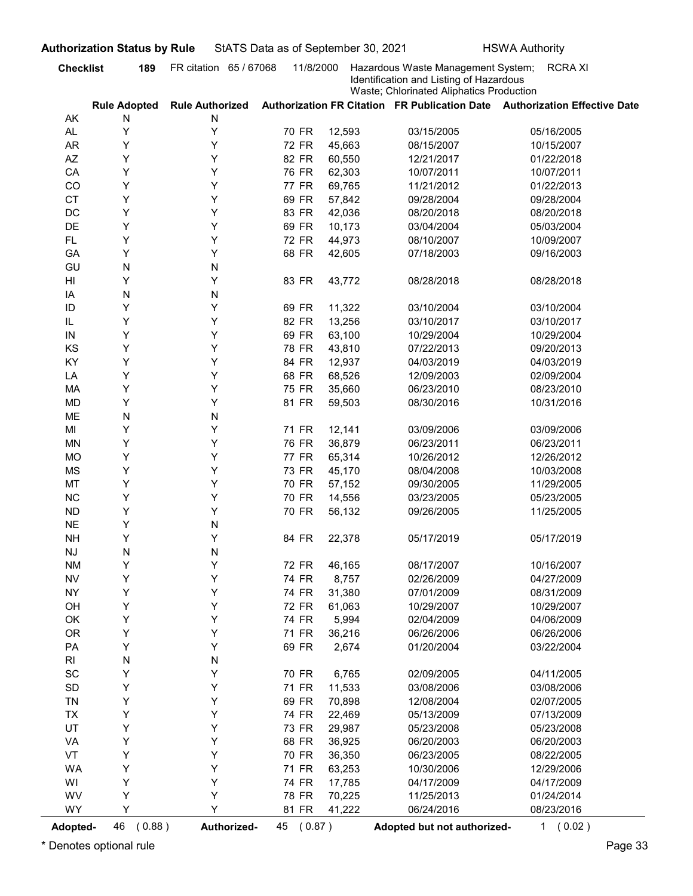| AK<br>AL.<br><b>AR</b><br>AZ<br>CA<br>CO<br><b>CT</b><br>DC<br>DE<br><b>FL</b><br>GA<br>GU<br>HI<br>IA<br>ID<br>IL<br>IN | <b>Rule Adopted</b><br>N<br>Υ<br>Υ<br>Y<br>Υ<br>Υ<br>Y<br>Y<br>Y<br>Y<br>Y<br>N<br>Y<br>N | <b>Rule Authorized</b><br>N<br>Υ<br>Υ<br>Υ<br>Υ<br>Υ<br>Υ<br>Υ<br>Υ<br>Y | 70 FR<br>72 FR<br>82 FR<br>76 FR<br>77 FR<br>69 FR | 12,593<br>45,663<br>60,550<br>62,303 | Identification and Listing of Hazardous<br>Waste; Chlorinated Aliphatics Production<br>03/15/2005<br>08/15/2007<br>12/21/2017 | Authorization FR Citation FR Publication Date Authorization Effective Date<br>05/16/2005<br>10/15/2007 |
|--------------------------------------------------------------------------------------------------------------------------|-------------------------------------------------------------------------------------------|--------------------------------------------------------------------------|----------------------------------------------------|--------------------------------------|-------------------------------------------------------------------------------------------------------------------------------|--------------------------------------------------------------------------------------------------------|
|                                                                                                                          |                                                                                           |                                                                          |                                                    |                                      |                                                                                                                               |                                                                                                        |
|                                                                                                                          |                                                                                           |                                                                          |                                                    |                                      |                                                                                                                               |                                                                                                        |
|                                                                                                                          |                                                                                           |                                                                          |                                                    |                                      |                                                                                                                               |                                                                                                        |
|                                                                                                                          |                                                                                           |                                                                          |                                                    |                                      |                                                                                                                               |                                                                                                        |
|                                                                                                                          |                                                                                           |                                                                          |                                                    |                                      |                                                                                                                               | 01/22/2018                                                                                             |
|                                                                                                                          |                                                                                           |                                                                          |                                                    |                                      | 10/07/2011                                                                                                                    | 10/07/2011                                                                                             |
|                                                                                                                          |                                                                                           |                                                                          |                                                    | 69,765                               | 11/21/2012                                                                                                                    | 01/22/2013                                                                                             |
|                                                                                                                          |                                                                                           |                                                                          |                                                    | 57,842                               | 09/28/2004                                                                                                                    | 09/28/2004                                                                                             |
|                                                                                                                          |                                                                                           |                                                                          | 83 FR                                              | 42,036                               | 08/20/2018                                                                                                                    | 08/20/2018                                                                                             |
|                                                                                                                          |                                                                                           |                                                                          | 69 FR                                              | 10,173                               | 03/04/2004                                                                                                                    | 05/03/2004                                                                                             |
|                                                                                                                          |                                                                                           |                                                                          | 72 FR                                              | 44,973                               | 08/10/2007                                                                                                                    | 10/09/2007                                                                                             |
|                                                                                                                          |                                                                                           | Υ                                                                        | 68 FR                                              | 42,605                               | 07/18/2003                                                                                                                    | 09/16/2003                                                                                             |
|                                                                                                                          |                                                                                           | N                                                                        |                                                    |                                      |                                                                                                                               |                                                                                                        |
|                                                                                                                          |                                                                                           | Υ                                                                        | 83 FR                                              | 43,772                               | 08/28/2018                                                                                                                    | 08/28/2018                                                                                             |
|                                                                                                                          |                                                                                           | N                                                                        |                                                    |                                      |                                                                                                                               |                                                                                                        |
|                                                                                                                          | Y                                                                                         | Y                                                                        | 69 FR                                              | 11,322                               | 03/10/2004                                                                                                                    | 03/10/2004                                                                                             |
|                                                                                                                          | Υ                                                                                         | Υ                                                                        | 82 FR                                              | 13,256                               | 03/10/2017                                                                                                                    | 03/10/2017                                                                                             |
|                                                                                                                          | Y                                                                                         | Υ                                                                        | 69 FR                                              | 63,100                               | 10/29/2004                                                                                                                    | 10/29/2004                                                                                             |
| KS                                                                                                                       | Υ                                                                                         | Υ                                                                        | 78 FR                                              | 43,810                               | 07/22/2013                                                                                                                    | 09/20/2013                                                                                             |
| KY                                                                                                                       | Υ                                                                                         | Υ                                                                        | 84 FR                                              | 12,937                               | 04/03/2019                                                                                                                    | 04/03/2019                                                                                             |
| LA                                                                                                                       | Υ                                                                                         | Υ                                                                        | 68 FR                                              | 68,526                               | 12/09/2003                                                                                                                    | 02/09/2004                                                                                             |
| MA                                                                                                                       | Υ                                                                                         | Υ                                                                        | 75 FR                                              | 35,660                               | 06/23/2010                                                                                                                    | 08/23/2010                                                                                             |
| <b>MD</b>                                                                                                                | Υ                                                                                         | Υ                                                                        | 81 FR                                              | 59,503                               | 08/30/2016                                                                                                                    | 10/31/2016                                                                                             |
| ME                                                                                                                       | ${\sf N}$                                                                                 | N                                                                        |                                                    |                                      |                                                                                                                               |                                                                                                        |
| MI                                                                                                                       | Υ                                                                                         | Υ                                                                        | 71 FR                                              | 12,141                               | 03/09/2006                                                                                                                    | 03/09/2006                                                                                             |
| <b>MN</b>                                                                                                                | Υ                                                                                         | Υ                                                                        | 76 FR                                              | 36,879                               | 06/23/2011                                                                                                                    | 06/23/2011                                                                                             |
| <b>MO</b>                                                                                                                | Υ                                                                                         | Υ                                                                        | <b>77 FR</b>                                       | 65,314                               | 10/26/2012                                                                                                                    | 12/26/2012                                                                                             |
| <b>MS</b>                                                                                                                | Υ                                                                                         | Y                                                                        | 73 FR                                              | 45,170                               | 08/04/2008                                                                                                                    | 10/03/2008                                                                                             |
| MT                                                                                                                       | Υ                                                                                         | Y                                                                        | 70 FR                                              | 57,152                               | 09/30/2005                                                                                                                    | 11/29/2005                                                                                             |
| $NC$                                                                                                                     | Υ                                                                                         | Υ                                                                        | 70 FR                                              | 14,556                               | 03/23/2005                                                                                                                    | 05/23/2005                                                                                             |
| ${\sf ND}$                                                                                                               | Υ                                                                                         | Υ                                                                        | 70 FR                                              | 56,132                               | 09/26/2005                                                                                                                    | 11/25/2005                                                                                             |
| <b>NE</b>                                                                                                                | Υ                                                                                         | N                                                                        |                                                    |                                      |                                                                                                                               |                                                                                                        |
| <b>NH</b>                                                                                                                | Υ                                                                                         | Υ                                                                        | 84 FR                                              | 22,378                               | 05/17/2019                                                                                                                    | 05/17/2019                                                                                             |
| $\mathsf{N}\mathsf{J}$                                                                                                   | ${\sf N}$                                                                                 | N                                                                        |                                                    |                                      |                                                                                                                               |                                                                                                        |
| <b>NM</b>                                                                                                                | Υ                                                                                         | Υ                                                                        | 72 FR                                              | 46,165                               | 08/17/2007                                                                                                                    | 10/16/2007                                                                                             |
| ${\sf NV}$                                                                                                               | Υ                                                                                         | Y                                                                        | 74 FR                                              | 8,757                                | 02/26/2009                                                                                                                    | 04/27/2009                                                                                             |
| <b>NY</b>                                                                                                                | Υ                                                                                         | Y                                                                        | 74 FR                                              | 31,380                               | 07/01/2009                                                                                                                    | 08/31/2009                                                                                             |
| OH                                                                                                                       | Υ                                                                                         | Y                                                                        | <b>72 FR</b>                                       | 61,063                               | 10/29/2007                                                                                                                    | 10/29/2007                                                                                             |
| OK                                                                                                                       | Υ                                                                                         | Υ                                                                        | 74 FR                                              | 5,994                                | 02/04/2009                                                                                                                    | 04/06/2009                                                                                             |
| <b>OR</b>                                                                                                                | Υ                                                                                         | Υ                                                                        | 71 FR                                              | 36,216                               | 06/26/2006                                                                                                                    | 06/26/2006                                                                                             |
| PA                                                                                                                       | Υ                                                                                         | Υ                                                                        | 69 FR                                              | 2,674                                | 01/20/2004                                                                                                                    | 03/22/2004                                                                                             |
| RI                                                                                                                       | ${\sf N}$                                                                                 | N                                                                        |                                                    |                                      |                                                                                                                               |                                                                                                        |
| $\operatorname{\textsf{SC}}$                                                                                             | Υ                                                                                         | Υ                                                                        | 70 FR                                              | 6,765                                | 02/09/2005                                                                                                                    | 04/11/2005                                                                                             |
| $\mathsf{SD}$                                                                                                            | Υ                                                                                         | Υ                                                                        | 71 FR                                              | 11,533                               | 03/08/2006                                                                                                                    | 03/08/2006                                                                                             |
| TN                                                                                                                       | Υ                                                                                         | Υ                                                                        | 69 FR                                              | 70,898                               | 12/08/2004                                                                                                                    | 02/07/2005                                                                                             |
| <b>TX</b>                                                                                                                | Υ                                                                                         | Υ                                                                        | 74 FR                                              | 22,469                               | 05/13/2009                                                                                                                    | 07/13/2009                                                                                             |
| UT                                                                                                                       | Υ                                                                                         | Υ<br>Υ                                                                   | 73 FR                                              | 29,987                               | 05/23/2008                                                                                                                    | 05/23/2008                                                                                             |
| VA                                                                                                                       | Υ<br>Υ                                                                                    | Υ                                                                        | 68 FR                                              | 36,925                               | 06/20/2003                                                                                                                    | 06/20/2003<br>08/22/2005                                                                               |
| VT                                                                                                                       |                                                                                           |                                                                          | 70 FR                                              | 36,350                               | 06/23/2005                                                                                                                    |                                                                                                        |
| <b>WA</b>                                                                                                                | Υ                                                                                         | Υ                                                                        | 71 FR                                              | 63,253                               | 10/30/2006                                                                                                                    | 12/29/2006                                                                                             |
| WI                                                                                                                       | Υ                                                                                         | Y                                                                        | 74 FR                                              | 17,785                               | 04/17/2009                                                                                                                    | 04/17/2009                                                                                             |
| WV                                                                                                                       | Υ                                                                                         | Υ<br>Y                                                                   | 78 FR                                              | 70,225                               | 11/25/2013                                                                                                                    | 01/24/2014                                                                                             |
| <b>WY</b>                                                                                                                | Υ                                                                                         |                                                                          | 81 FR                                              | 41,222                               | 06/24/2016                                                                                                                    | 08/23/2016                                                                                             |
| <b>Adopted-</b>                                                                                                          | 46<br>(0.88)                                                                              | Authorized-                                                              | 45 (0.87)                                          |                                      | Adopted but not authorized-                                                                                                   | 1 (0.02)                                                                                               |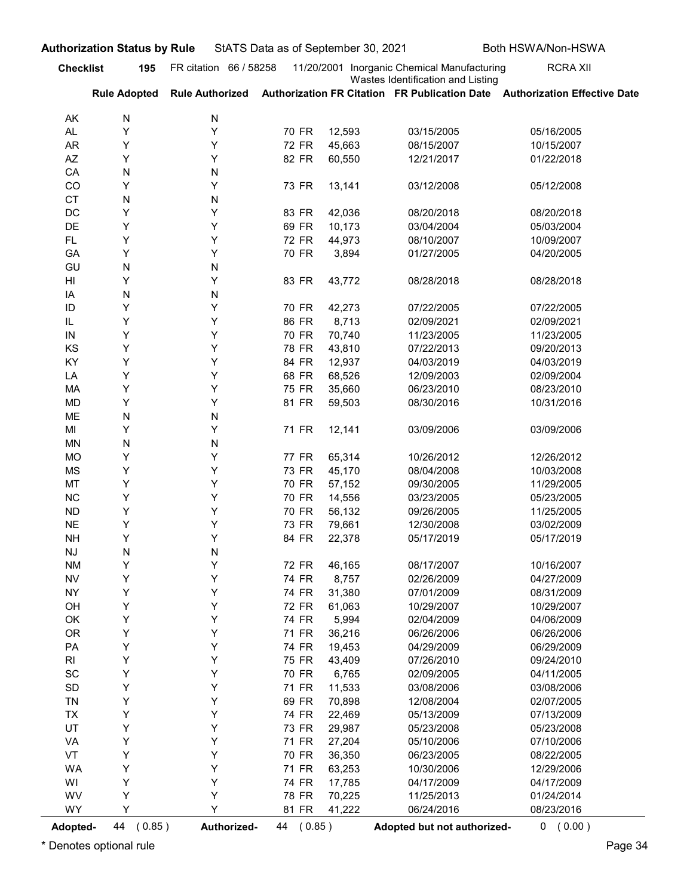| <b>Checklist</b><br>AK | 195                 |                        |                       |                  | StATS Data as of September 30, 2021                                              | Both HSWA/Non-HSWA                                                         |
|------------------------|---------------------|------------------------|-----------------------|------------------|----------------------------------------------------------------------------------|----------------------------------------------------------------------------|
|                        |                     | FR citation 66 / 58258 |                       |                  | 11/20/2001 Inorganic Chemical Manufacturing<br>Wastes Identification and Listing | <b>RCRA XII</b>                                                            |
|                        | <b>Rule Adopted</b> | <b>Rule Authorized</b> |                       |                  |                                                                                  | Authorization FR Citation FR Publication Date Authorization Effective Date |
|                        | N                   | N                      |                       |                  |                                                                                  |                                                                            |
| AL<br>AR               | Y<br>Y              | Υ<br>Y                 | 70 FR<br>72 FR        | 12,593<br>45,663 | 03/15/2005<br>08/15/2007                                                         | 05/16/2005<br>10/15/2007                                                   |
| AZ                     | Y                   | Y                      | 82 FR                 | 60,550           | 12/21/2017                                                                       | 01/22/2018                                                                 |
| CA                     | N                   | N                      |                       |                  |                                                                                  |                                                                            |
| CO                     | Y                   | Y                      | 73 FR                 | 13,141           | 03/12/2008                                                                       | 05/12/2008                                                                 |
| <b>CT</b>              | N                   | N                      |                       |                  |                                                                                  |                                                                            |
| DC<br>DE               | Y<br>Y              | Y<br>Y                 | 83 FR<br>69 FR        | 42,036<br>10,173 | 08/20/2018<br>03/04/2004                                                         | 08/20/2018<br>05/03/2004                                                   |
| FL.                    | Y                   | Y                      | 72 FR                 | 44,973           | 08/10/2007                                                                       | 10/09/2007                                                                 |
| GA                     | Y                   | Y                      | 70 FR                 | 3,894            | 01/27/2005                                                                       | 04/20/2005                                                                 |
| GU                     | N                   | N                      |                       |                  |                                                                                  |                                                                            |
| HI                     | Y                   | Y                      | 83 FR                 | 43,772           | 08/28/2018                                                                       | 08/28/2018                                                                 |
| ΙA<br>ID               | N<br>Y              | N<br>Y                 | 70 FR                 | 42,273           | 07/22/2005                                                                       | 07/22/2005                                                                 |
| IL                     | Y                   | Y                      | 86 FR                 | 8,713            | 02/09/2021                                                                       | 02/09/2021                                                                 |
| IN                     | Y                   | Y                      | 70 FR                 | 70,740           | 11/23/2005                                                                       | 11/23/2005                                                                 |
| KS                     | Υ                   | Υ                      | 78 FR                 | 43,810           | 07/22/2013                                                                       | 09/20/2013                                                                 |
| KY                     | Υ                   | Υ                      | 84 FR                 | 12,937           | 04/03/2019                                                                       | 04/03/2019                                                                 |
| LA<br>MA               | Υ<br>Υ              | Υ<br>Υ                 | 68 FR<br>75 FR        | 68,526<br>35,660 | 12/09/2003<br>06/23/2010                                                         | 02/09/2004<br>08/23/2010                                                   |
| MD                     | Υ                   | Y                      | 81 FR                 | 59,503           | 08/30/2016                                                                       | 10/31/2016                                                                 |
| ME                     | N                   | N                      |                       |                  |                                                                                  |                                                                            |
| MI                     | Υ                   | Υ                      | 71 FR                 | 12,141           | 03/09/2006                                                                       | 03/09/2006                                                                 |
| MN                     | N                   | N<br>Y                 |                       |                  |                                                                                  |                                                                            |
| MO<br>MS               | Υ<br>Υ              | Y                      | <b>77 FR</b><br>73 FR | 65,314<br>45,170 | 10/26/2012<br>08/04/2008                                                         | 12/26/2012<br>10/03/2008                                                   |
| MT                     | Υ                   | Y                      | 70 FR                 | 57,152           | 09/30/2005                                                                       | 11/29/2005                                                                 |
| NC                     | Υ                   | Y                      | 70 FR                 | 14,556           | 03/23/2005                                                                       | 05/23/2005                                                                 |
| <b>ND</b>              | Υ                   | Y                      | 70 FR                 | 56,132           | 09/26/2005                                                                       | 11/25/2005                                                                 |
| $N\mathsf{E}$          | Υ                   | Y                      | 73 FR                 | 79,661           | 12/30/2008                                                                       | 03/02/2009                                                                 |
| <b>NH</b>              | Υ                   | Y                      | 84 FR                 | 22,378           | 05/17/2019                                                                       | 05/17/2019                                                                 |
| NJ<br><b>NM</b>        | N<br>Υ              | N<br>Y                 | <b>72 FR</b>          | 46,165           | 08/17/2007                                                                       | 10/16/2007                                                                 |
| <b>NV</b>              | Υ                   | Y                      | 74 FR                 | 8,757            | 02/26/2009                                                                       | 04/27/2009                                                                 |
| <b>NY</b>              | Υ                   | Y                      | 74 FR                 | 31,380           | 07/01/2009                                                                       | 08/31/2009                                                                 |
| OH                     | Υ                   | Y                      | <b>72 FR</b>          | 61,063           | 10/29/2007                                                                       | 10/29/2007                                                                 |
| OK                     | Υ                   | Y                      | 74 FR                 | 5,994            | 02/04/2009                                                                       | 04/06/2009                                                                 |
| <b>OR</b>              | Υ<br>Υ              | Υ<br>Y                 | 71 FR                 | 36,216           | 06/26/2006<br>04/29/2009                                                         | 06/26/2006<br>06/29/2009                                                   |
| PA<br>R <sub>l</sub>   | Υ                   | Υ                      | 74 FR<br>75 FR        | 19,453<br>43,409 | 07/26/2010                                                                       | 09/24/2010                                                                 |
| SC                     | Υ                   | Υ                      | 70 FR                 | 6,765            | 02/09/2005                                                                       | 04/11/2005                                                                 |
| $\mathsf{SD}$          | Υ                   | Y                      | 71 FR                 | 11,533           | 03/08/2006                                                                       | 03/08/2006                                                                 |
| <b>TN</b>              | Υ                   | Υ                      | 69 FR                 | 70,898           | 12/08/2004                                                                       | 02/07/2005                                                                 |
| <b>TX</b>              | Υ                   | Υ                      | 74 FR                 | 22,469           | 05/13/2009                                                                       | 07/13/2009                                                                 |
| UT                     | Υ                   | Υ                      | 73 FR                 | 29,987           | 05/23/2008                                                                       | 05/23/2008                                                                 |
| VA<br>VT               | Υ<br>Υ              | Υ<br>Y                 | 71 FR<br>70 FR        | 27,204<br>36,350 | 05/10/2006<br>06/23/2005                                                         | 07/10/2006<br>08/22/2005                                                   |
| WA                     | Υ                   | Υ                      | 71 FR                 | 63,253           | 10/30/2006                                                                       | 12/29/2006                                                                 |
| WI                     | Υ                   | Υ                      | 74 FR                 | 17,785           | 04/17/2009                                                                       | 04/17/2009                                                                 |
| WV                     | Υ                   | Y                      | 78 FR                 | 70,225           | 11/25/2013                                                                       | 01/24/2014                                                                 |
| WY                     | Y                   | Y                      | 81 FR                 | 41,222           | 06/24/2016                                                                       | 08/23/2016                                                                 |
| Adopted-               | 44 (0.85)           | Authorized-            | 44 (0.85)             |                  | Adopted but not authorized-                                                      | 0 (0.00)                                                                   |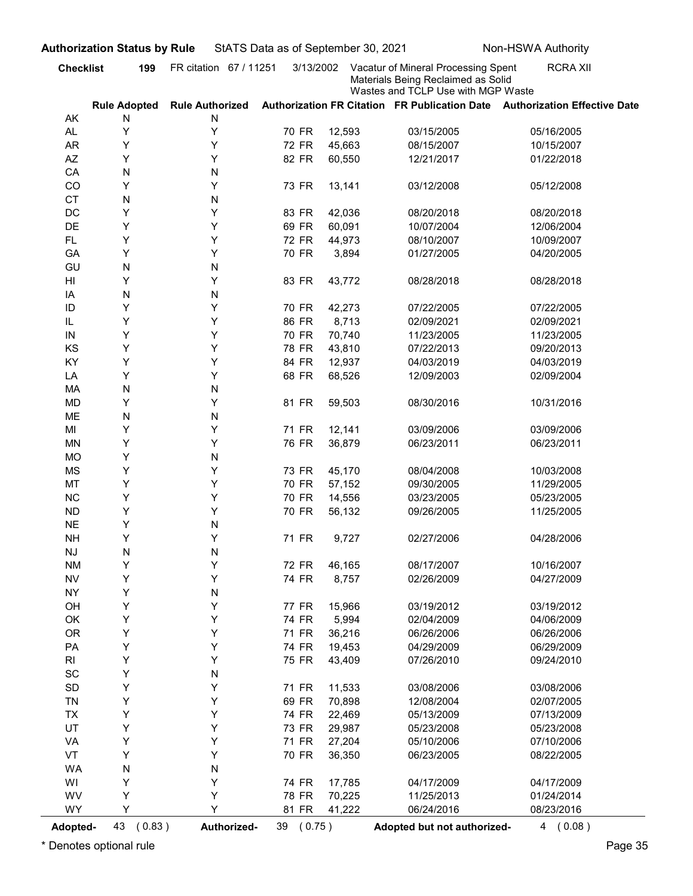| <b>Checklist</b>             | 199                      | FR citation 67 / 11251      | 3/13/2002    | StATS Data as of September 30, 2021 | Vacatur of Mineral Processing Spent                                      | <b>RCRA XII</b>                                                            |
|------------------------------|--------------------------|-----------------------------|--------------|-------------------------------------|--------------------------------------------------------------------------|----------------------------------------------------------------------------|
|                              |                          |                             |              |                                     | Materials Being Reclaimed as Solid<br>Wastes and TCLP Use with MGP Waste |                                                                            |
| AK                           | <b>Rule Adopted</b><br>N | <b>Rule Authorized</b><br>N |              |                                     |                                                                          | Authorization FR Citation FR Publication Date Authorization Effective Date |
| AL.                          | Y                        | Υ                           | 70 FR        | 12,593                              | 03/15/2005                                                               | 05/16/2005                                                                 |
| <b>AR</b>                    | Y                        | Υ                           | <b>72 FR</b> | 45,663                              | 08/15/2007                                                               | 10/15/2007                                                                 |
| AZ                           | Y                        | Υ                           | 82 FR        | 60,550                              | 12/21/2017                                                               | 01/22/2018                                                                 |
| CA                           | N                        | N                           |              |                                     |                                                                          |                                                                            |
| CO                           | Y                        | Υ                           | 73 FR        | 13,141                              | 03/12/2008                                                               | 05/12/2008                                                                 |
| <b>CT</b>                    | N                        | N                           |              |                                     |                                                                          |                                                                            |
| DC                           | Y                        | Υ                           | 83 FR        | 42,036                              | 08/20/2018                                                               | 08/20/2018                                                                 |
| DE                           | Y                        | Υ                           | 69 FR        | 60,091                              | 10/07/2004                                                               | 12/06/2004                                                                 |
| <b>FL</b>                    | Y                        | Υ                           | 72 FR        | 44,973                              | 08/10/2007                                                               | 10/09/2007                                                                 |
| GA<br>GU                     | Y<br>N                   | Υ<br>N                      | 70 FR        | 3,894                               | 01/27/2005                                                               | 04/20/2005                                                                 |
| HI                           | Y                        | Υ                           | 83 FR        | 43,772                              | 08/28/2018                                                               | 08/28/2018                                                                 |
| IA                           | N                        | N                           |              |                                     |                                                                          |                                                                            |
| ID                           | Y                        | Y                           | 70 FR        | 42,273                              | 07/22/2005                                                               | 07/22/2005                                                                 |
| IL                           | Y                        | Υ                           | 86 FR        | 8,713                               | 02/09/2021                                                               | 02/09/2021                                                                 |
| IN                           | Y                        | Υ                           | 70 FR        | 70,740                              | 11/23/2005                                                               | 11/23/2005                                                                 |
| KS                           | Υ                        | Υ                           | 78 FR        | 43,810                              | 07/22/2013                                                               | 09/20/2013                                                                 |
| KY                           | Υ                        | Υ                           | 84 FR        | 12,937                              | 04/03/2019                                                               | 04/03/2019                                                                 |
| LA                           | Υ                        | Υ                           | 68 FR        | 68,526                              | 12/09/2003                                                               | 02/09/2004                                                                 |
| MA                           | ${\sf N}$                | N                           |              |                                     |                                                                          |                                                                            |
| <b>MD</b>                    | Υ                        | Υ                           | 81 FR        | 59,503                              | 08/30/2016                                                               | 10/31/2016                                                                 |
| ME<br>MI                     | ${\sf N}$<br>Υ           | ${\sf N}$<br>Υ              | 71 FR        | 12,141                              | 03/09/2006                                                               | 03/09/2006                                                                 |
| <b>MN</b>                    | Υ                        | Υ                           | 76 FR        | 36,879                              | 06/23/2011                                                               | 06/23/2011                                                                 |
| <b>MO</b>                    | Υ                        | N                           |              |                                     |                                                                          |                                                                            |
| <b>MS</b>                    | Υ                        | Υ                           | 73 FR        | 45,170                              | 08/04/2008                                                               | 10/03/2008                                                                 |
| MT                           | Υ                        | Υ                           | 70 FR        | 57,152                              | 09/30/2005                                                               | 11/29/2005                                                                 |
| $NC$                         | Υ                        | Υ                           | 70 FR        | 14,556                              | 03/23/2005                                                               | 05/23/2005                                                                 |
| ${\sf ND}$                   | Υ                        | Υ                           | 70 FR        | 56,132                              | 09/26/2005                                                               | 11/25/2005                                                                 |
| <b>NE</b>                    | Υ                        | N                           |              |                                     |                                                                          |                                                                            |
| <b>NH</b>                    | Υ                        | Υ                           | 71 FR        | 9,727                               | 02/27/2006                                                               | 04/28/2006                                                                 |
| $\mathsf{N}\mathsf{J}$       | ${\sf N}$                | N                           |              |                                     |                                                                          |                                                                            |
| <b>NM</b>                    | Υ                        | Υ                           | 72 FR        | 46,165                              | 08/17/2007                                                               | 10/16/2007                                                                 |
| ${\sf NV}$<br><b>NY</b>      | Υ<br>Υ                   | Υ                           | 74 FR        | 8,757                               | 02/26/2009                                                               | 04/27/2009                                                                 |
| OH                           | Υ                        | N<br>Υ                      | <b>77 FR</b> | 15,966                              | 03/19/2012                                                               | 03/19/2012                                                                 |
| OK                           | Υ                        | Υ                           | 74 FR        | 5,994                               | 02/04/2009                                                               | 04/06/2009                                                                 |
| <b>OR</b>                    | Υ                        | Υ                           | 71 FR        | 36,216                              | 06/26/2006                                                               | 06/26/2006                                                                 |
| PA                           | Υ                        | Υ                           | 74 FR        | 19,453                              | 04/29/2009                                                               | 06/29/2009                                                                 |
| R <sub>l</sub>               | Υ                        | Υ                           | 75 FR        | 43,409                              | 07/26/2010                                                               | 09/24/2010                                                                 |
| $\operatorname{\textsf{SC}}$ | Υ                        | N                           |              |                                     |                                                                          |                                                                            |
| $\mathsf{SD}$                | Υ                        | Υ                           | 71 FR        | 11,533                              | 03/08/2006                                                               | 03/08/2006                                                                 |
| TN                           | Υ                        | Υ                           | 69 FR        | 70,898                              | 12/08/2004                                                               | 02/07/2005                                                                 |
| TX                           | Υ                        | Υ                           | 74 FR        | 22,469                              | 05/13/2009                                                               | 07/13/2009                                                                 |
| UT                           | Υ                        | Υ                           | 73 FR        | 29,987                              | 05/23/2008                                                               | 05/23/2008                                                                 |
| VA                           | Υ<br>Υ                   | Υ<br>Υ                      | 71 FR        | 27,204                              | 05/10/2006                                                               | 07/10/2006                                                                 |
| VT<br><b>WA</b>              | ${\sf N}$                | N                           | 70 FR        | 36,350                              | 06/23/2005                                                               | 08/22/2005                                                                 |
| WI                           | Y                        | Υ                           | 74 FR        | 17,785                              | 04/17/2009                                                               | 04/17/2009                                                                 |
| WV                           | Υ                        | Υ                           | 78 FR        | 70,225                              | 11/25/2013                                                               | 01/24/2014                                                                 |
| WY                           | Y                        | Y                           | 81 FR        | 41,222                              | 06/24/2016                                                               | 08/23/2016                                                                 |
|                              |                          |                             |              |                                     |                                                                          | 4(0.08)                                                                    |
| <b>Adopted-</b>              | 43<br>(0.83)             | Authorized-                 | 39 (0.75)    |                                     | Adopted but not authorized-                                              |                                                                            |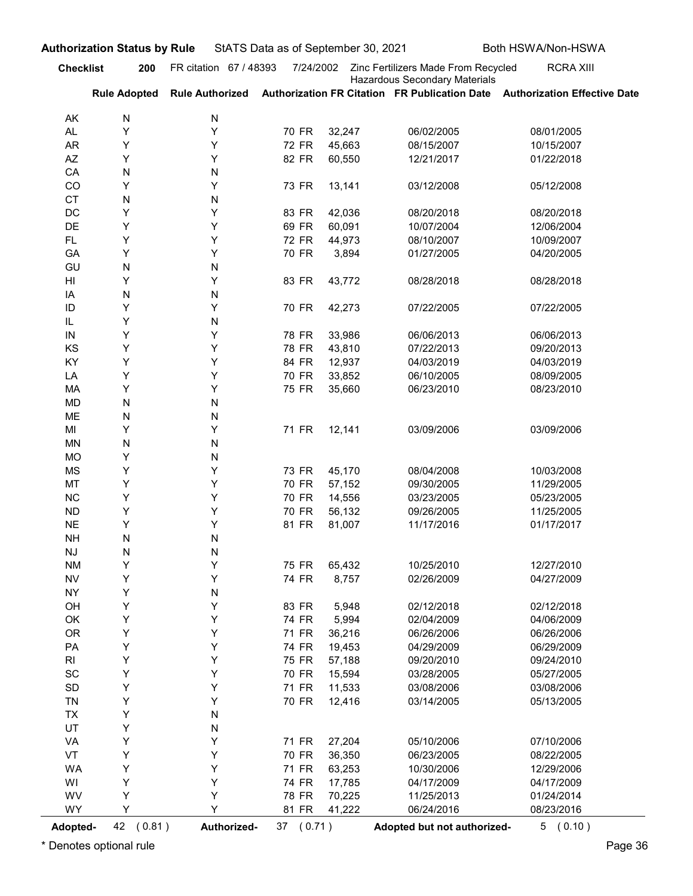| <b>Checklist</b>       |                     | <b>Authorization Status by Rule</b> |                | StATS Data as of September 30, 2021 |                                                                      | Both HSWA/Non-HSWA                                                                         |
|------------------------|---------------------|-------------------------------------|----------------|-------------------------------------|----------------------------------------------------------------------|--------------------------------------------------------------------------------------------|
|                        | 200                 | FR citation 67 / 48393              | 7/24/2002      |                                     | Zinc Fertilizers Made From Recycled<br>Hazardous Secondary Materials | <b>RCRA XIII</b>                                                                           |
|                        | <b>Rule Adopted</b> |                                     |                |                                     |                                                                      | Rule Authorized Authorization FR Citation FR Publication Date Authorization Effective Date |
| AK                     | N                   | N                                   |                |                                     |                                                                      |                                                                                            |
| AL.<br><b>AR</b>       | Υ<br>Y              | Y<br>Y                              | 70 FR<br>72 FR | 32,247<br>45,663                    | 06/02/2005<br>08/15/2007                                             | 08/01/2005<br>10/15/2007                                                                   |
| AZ                     | Υ                   | Y                                   | 82 FR          | 60,550                              | 12/21/2017                                                           | 01/22/2018                                                                                 |
| CA                     | N                   | N                                   |                |                                     |                                                                      |                                                                                            |
| CO                     | Y                   | Y                                   | 73 FR          | 13,141                              | 03/12/2008                                                           | 05/12/2008                                                                                 |
| <b>CT</b><br>DC        | N<br>Υ              | N<br>Y                              | 83 FR          | 42,036                              | 08/20/2018                                                           | 08/20/2018                                                                                 |
| DE                     | Υ                   | Y                                   | 69 FR          | 60,091                              | 10/07/2004                                                           | 12/06/2004                                                                                 |
| FL.                    | Υ                   | Y                                   | 72 FR          | 44,973                              | 08/10/2007                                                           | 10/09/2007                                                                                 |
| GA                     | Y                   | Y                                   | 70 FR          | 3,894                               | 01/27/2005                                                           | 04/20/2005                                                                                 |
| GU<br>HI               | N<br>Y              | N<br>Y                              | 83 FR          | 43,772                              | 08/28/2018                                                           | 08/28/2018                                                                                 |
| ΙA                     | N                   | N                                   |                |                                     |                                                                      |                                                                                            |
| ID                     | Υ                   | Y                                   | 70 FR          | 42,273                              | 07/22/2005                                                           | 07/22/2005                                                                                 |
| IL                     | Y                   | N                                   |                |                                     |                                                                      |                                                                                            |
| IN                     | Y                   | Y<br>Υ                              | 78 FR          | 33,986                              | 06/06/2013                                                           | 06/06/2013                                                                                 |
| KS<br>KY               | Υ<br>Y              | Υ                                   | 78 FR<br>84 FR | 43,810<br>12,937                    | 07/22/2013<br>04/03/2019                                             | 09/20/2013<br>04/03/2019                                                                   |
| LA                     | Y                   | Υ                                   | 70 FR          | 33,852                              | 06/10/2005                                                           | 08/09/2005                                                                                 |
| MA                     | Υ                   | Υ                                   | 75 FR          | 35,660                              | 06/23/2010                                                           | 08/23/2010                                                                                 |
| MD                     | N                   | N                                   |                |                                     |                                                                      |                                                                                            |
| ME<br>MI               | N<br>Υ              | N<br>Υ                              | 71 FR          | 12,141                              | 03/09/2006                                                           | 03/09/2006                                                                                 |
| <b>MN</b>              | N                   | N                                   |                |                                     |                                                                      |                                                                                            |
| <b>MO</b>              | Υ                   | ${\sf N}$                           |                |                                     |                                                                      |                                                                                            |
| <b>MS</b>              | Υ                   | Υ                                   | 73 FR          | 45,170                              | 08/04/2008                                                           | 10/03/2008                                                                                 |
| MT                     | Υ<br>Υ              | Υ<br>Υ                              | 70 FR<br>70 FR | 57,152                              | 09/30/2005                                                           | 11/29/2005                                                                                 |
| NC<br><b>ND</b>        | Υ                   | Υ                                   | 70 FR          | 14,556<br>56,132                    | 03/23/2005<br>09/26/2005                                             | 05/23/2005<br>11/25/2005                                                                   |
| $N\mathsf{E}$          | Υ                   | Υ                                   | 81 FR          | 81,007                              | 11/17/2016                                                           | 01/17/2017                                                                                 |
| <b>NH</b>              | N                   | ${\sf N}$                           |                |                                     |                                                                      |                                                                                            |
| <b>NJ</b>              | N                   | ${\sf N}$                           |                |                                     |                                                                      |                                                                                            |
| <b>NM</b>              | Υ<br>Υ              | Υ<br>Υ                              | 75 FR<br>74 FR | 65,432<br>8,757                     | 10/25/2010<br>02/26/2009                                             | 12/27/2010<br>04/27/2009                                                                   |
| <b>NV</b><br><b>NY</b> | Υ                   | ${\sf N}$                           |                |                                     |                                                                      |                                                                                            |
| OH                     | Υ                   | Υ                                   | 83 FR          | 5,948                               | 02/12/2018                                                           | 02/12/2018                                                                                 |
| OK                     | Υ                   | Υ                                   | 74 FR          | 5,994                               | 02/04/2009                                                           | 04/06/2009                                                                                 |
| OR                     | Υ                   | Y                                   | 71 FR          | 36,216                              | 06/26/2006                                                           | 06/26/2006                                                                                 |
| PA                     | Υ                   | Υ<br>Y                              | 74 FR          | 19,453                              | 04/29/2009                                                           | 06/29/2009                                                                                 |
| R <sub>l</sub><br>SC   | Υ<br>Υ              | Y                                   | 75 FR<br>70 FR | 57,188<br>15,594                    | 09/20/2010<br>03/28/2005                                             | 09/24/2010<br>05/27/2005                                                                   |
| SD                     | Υ                   | Y                                   | 71 FR          | 11,533                              | 03/08/2006                                                           | 03/08/2006                                                                                 |
| TN                     | Υ                   | Υ                                   | 70 FR          | 12,416                              | 03/14/2005                                                           | 05/13/2005                                                                                 |
| TX                     | Υ                   | N                                   |                |                                     |                                                                      |                                                                                            |
| UT                     | Υ                   | N                                   |                |                                     |                                                                      |                                                                                            |
| VA<br>VT               | Υ<br>Υ              | Y<br>Y                              | 71 FR<br>70 FR | 27,204<br>36,350                    | 05/10/2006<br>06/23/2005                                             | 07/10/2006<br>08/22/2005                                                                   |
| <b>WA</b>              | Υ                   | Υ                                   | 71 FR          | 63,253                              | 10/30/2006                                                           | 12/29/2006                                                                                 |
| WI                     | Υ                   | Υ                                   | 74 FR          | 17,785                              | 04/17/2009                                                           | 04/17/2009                                                                                 |
| WV                     | Υ                   | Y                                   | 78 FR          | 70,225                              | 11/25/2013                                                           | 01/24/2014                                                                                 |
| WY                     | Y                   | Υ                                   | 81 FR          | 41,222                              | 06/24/2016                                                           | 08/23/2016                                                                                 |
| Adopted-               | 42 (0.81)           | Authorized-                         | 37 (0.71)      |                                     | Adopted but not authorized-                                          | 5(0.10)                                                                                    |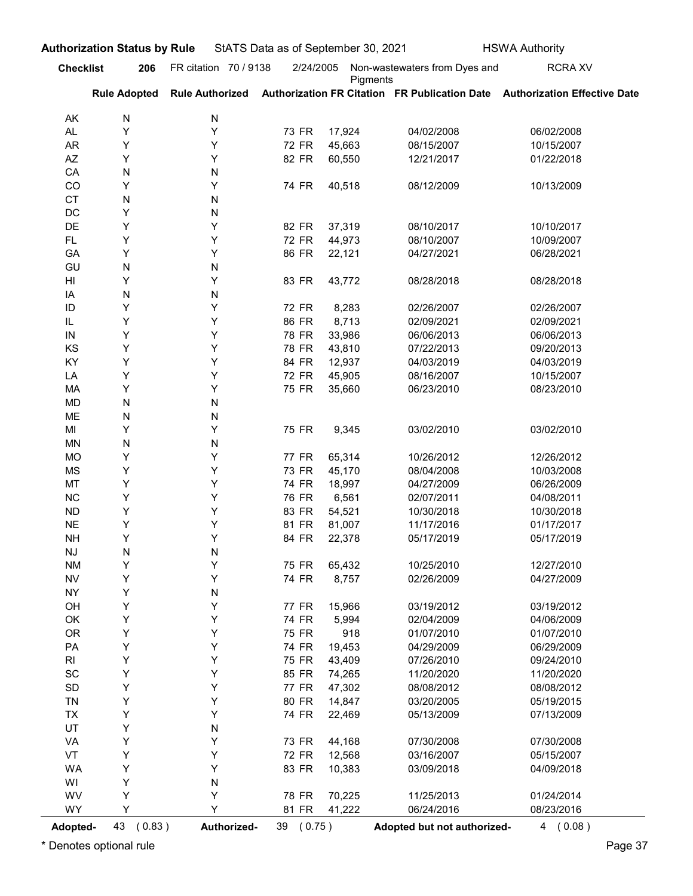| <b>Checklist</b> | 206                 | FR citation 70 / 9138  | 2/24/2005      |                  | Non-wastewaters from Dyes and | <b>RCRA XV</b>                                                             |
|------------------|---------------------|------------------------|----------------|------------------|-------------------------------|----------------------------------------------------------------------------|
|                  | <b>Rule Adopted</b> | <b>Rule Authorized</b> |                | Pigments         |                               | Authorization FR Citation FR Publication Date Authorization Effective Date |
| AK               | N                   | N                      |                |                  |                               |                                                                            |
| <b>AL</b>        | Y                   | Υ                      | 73 FR          | 17,924           | 04/02/2008                    | 06/02/2008                                                                 |
| <b>AR</b>        | Υ                   | Y                      | 72 FR          | 45,663           | 08/15/2007                    | 10/15/2007                                                                 |
| AZ               | Y                   | Y                      | 82 FR          | 60,550           | 12/21/2017                    | 01/22/2018                                                                 |
| CA               | N                   | N                      |                |                  |                               |                                                                            |
| CO               | Y                   | Y                      | 74 FR          | 40,518           | 08/12/2009                    | 10/13/2009                                                                 |
| <b>CT</b><br>DC  | N<br>Y              | N<br>N                 |                |                  |                               |                                                                            |
| DE               | Y                   | Y                      | 82 FR          | 37,319           | 08/10/2017                    | 10/10/2017                                                                 |
| FL.              | Υ                   | Y                      | 72 FR          | 44,973           | 08/10/2007                    | 10/09/2007                                                                 |
| GA               | Y                   | Y                      | 86 FR          | 22,121           | 04/27/2021                    | 06/28/2021                                                                 |
| GU               | N                   | N                      |                |                  |                               |                                                                            |
| HI               | Y                   | Y                      | 83 FR          | 43,772           | 08/28/2018                    | 08/28/2018                                                                 |
| IA<br>ID         | N<br>Y              | N<br>Y                 | 72 FR          |                  | 02/26/2007                    | 02/26/2007                                                                 |
| IL               | Y                   | Y                      | 86 FR          | 8,283<br>8,713   | 02/09/2021                    | 02/09/2021                                                                 |
| IN               | Y                   | Υ                      | 78 FR          | 33,986           | 06/06/2013                    | 06/06/2013                                                                 |
| KS               | Υ                   | Υ                      | 78 FR          | 43,810           | 07/22/2013                    | 09/20/2013                                                                 |
| KY               | Υ                   | Υ                      | 84 FR          | 12,937           | 04/03/2019                    | 04/03/2019                                                                 |
| LA               | Υ                   | Υ                      | 72 FR          | 45,905           | 08/16/2007                    | 10/15/2007                                                                 |
| МA               | Υ                   | Υ                      | 75 FR          | 35,660           | 06/23/2010                    | 08/23/2010                                                                 |
| MD               | ${\sf N}$           | N                      |                |                  |                               |                                                                            |
| ME               | ${\sf N}$           | N                      |                |                  |                               |                                                                            |
| MI               | Υ<br>${\sf N}$      | Υ                      | 75 FR          | 9,345            | 03/02/2010                    | 03/02/2010                                                                 |
| MN<br><b>MO</b>  | Υ                   | N<br>Υ                 | 77 FR          | 65,314           | 10/26/2012                    | 12/26/2012                                                                 |
| MS               | Υ                   | Υ                      | 73 FR          | 45,170           | 08/04/2008                    | 10/03/2008                                                                 |
| MT               | Υ                   | Υ                      | 74 FR          | 18,997           | 04/27/2009                    | 06/26/2009                                                                 |
| ${\sf NC}$       | Υ                   | Υ                      | 76 FR          | 6,561            | 02/07/2011                    | 04/08/2011                                                                 |
| ${\sf ND}$       | Υ                   | Υ                      | 83 FR          | 54,521           | 10/30/2018                    | 10/30/2018                                                                 |
| <b>NE</b>        | Υ                   | Υ                      | 81 FR          | 81,007           | 11/17/2016                    | 01/17/2017                                                                 |
| $\mathsf{NH}\,$  | Υ                   | Υ                      | 84 FR          | 22,378           | 05/17/2019                    | 05/17/2019                                                                 |
| NJ               | ${\sf N}$           | N                      |                |                  |                               |                                                                            |
| <b>NM</b>        | Υ                   | Υ                      | 75 FR          | 65,432           | 10/25/2010                    | 12/27/2010                                                                 |
| ${\sf NV}$       | Υ                   | Υ                      | 74 FR          | 8,757            | 02/26/2009                    | 04/27/2009                                                                 |
| <b>NY</b><br>OH  | Υ<br>Υ              | N<br>Υ                 | <b>77 FR</b>   | 15,966           | 03/19/2012                    | 03/19/2012                                                                 |
| OK               | Υ                   | Υ                      | 74 FR          | 5,994            | 02/04/2009                    | 04/06/2009                                                                 |
| OR               | Υ                   | Υ                      | 75 FR          | 918              | 01/07/2010                    | 01/07/2010                                                                 |
| PA               | Υ                   | Υ                      | 74 FR          | 19,453           | 04/29/2009                    | 06/29/2009                                                                 |
| R <sub>l</sub>   | Υ                   | Υ                      | 75 FR          | 43,409           | 07/26/2010                    | 09/24/2010                                                                 |
| SC               | Υ                   | Υ                      | 85 FR          | 74,265           | 11/20/2020                    | 11/20/2020                                                                 |
| SD               | Υ                   | Υ                      | 77 FR          | 47,302           | 08/08/2012                    | 08/08/2012                                                                 |
| <b>TN</b>        | Υ                   | Υ                      | 80 FR          | 14,847           | 03/20/2005                    | 05/19/2015                                                                 |
| TX               | Υ                   | Υ                      | 74 FR          | 22,469           | 05/13/2009                    | 07/13/2009                                                                 |
| UT               | Υ                   | N                      |                |                  |                               |                                                                            |
| VA               | Υ                   | Υ                      | 73 FR          | 44,168           | 07/30/2008                    | 07/30/2008                                                                 |
| VT<br><b>WA</b>  | Υ<br>Υ              | Υ<br>Υ                 | 72 FR<br>83 FR | 12,568<br>10,383 | 03/16/2007<br>03/09/2018      | 05/15/2007<br>04/09/2018                                                   |
| WI               | Υ                   | N                      |                |                  |                               |                                                                            |
| WV               | Υ                   | Υ                      | 78 FR          | 70,225           | 11/25/2013                    | 01/24/2014                                                                 |
| WY               | Y                   | Υ                      | 81 FR          | 41,222           | 06/24/2016                    | 08/23/2016                                                                 |
| Adopted-         | 43 (0.83)           | Authorized-            | 39 (0.75)      |                  | Adopted but not authorized-   | 4(0.08)                                                                    |
|                  |                     |                        |                |                  |                               |                                                                            |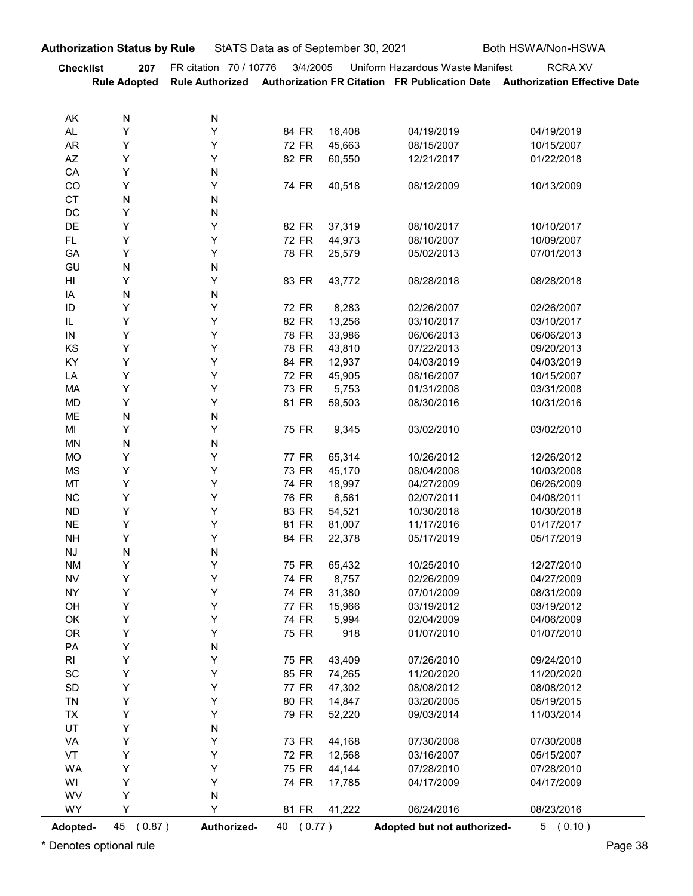|                                               | <b>Authorization Status by Rule</b> |                        | StATS Data as of September 30, 2021 |                  |                                  | Both HSWA/Non-HSWA                                                                                           |
|-----------------------------------------------|-------------------------------------|------------------------|-------------------------------------|------------------|----------------------------------|--------------------------------------------------------------------------------------------------------------|
| <b>Checklist</b>                              | 207<br><b>Rule Adopted</b>          | FR citation 70 / 10776 | 3/4/2005                            |                  | Uniform Hazardous Waste Manifest | <b>RCRA XV</b><br>Rule Authorized Authorization FR Citation FR Publication Date Authorization Effective Date |
| AK                                            | N                                   | N                      |                                     |                  |                                  |                                                                                                              |
| AL                                            | Υ                                   | Y                      | 84 FR                               | 16,408           | 04/19/2019                       | 04/19/2019                                                                                                   |
| <b>AR</b>                                     | Υ                                   | Y                      | 72 FR                               | 45,663           | 08/15/2007                       | 10/15/2007                                                                                                   |
| AZ<br>CA                                      | Υ<br>Υ                              | Y<br>N                 | 82 FR                               | 60,550           | 12/21/2017                       | 01/22/2018                                                                                                   |
| CO                                            | Υ                                   | Υ                      | 74 FR                               | 40,518           | 08/12/2009                       | 10/13/2009                                                                                                   |
| <b>CT</b>                                     | ${\sf N}$                           | N                      |                                     |                  |                                  |                                                                                                              |
| DC                                            | Υ                                   | N                      |                                     |                  |                                  |                                                                                                              |
| DE<br>FL.                                     | Υ<br>Y                              | Y<br>Y                 | 82 FR<br>72 FR                      | 37,319<br>44,973 | 08/10/2017<br>08/10/2007         | 10/10/2017<br>10/09/2007                                                                                     |
| GA                                            | Υ                                   | Υ                      | 78 FR                               | 25,579           | 05/02/2013                       | 07/01/2013                                                                                                   |
| GU                                            | ${\sf N}$                           | N                      |                                     |                  |                                  |                                                                                                              |
| H <sub>II</sub>                               | Υ                                   | Υ                      | 83 FR                               | 43,772           | 08/28/2018                       | 08/28/2018                                                                                                   |
| IA                                            | N<br>Y                              | N<br>Y                 |                                     |                  |                                  |                                                                                                              |
| $\sf ID$<br>$\ensuremath{\mathsf{IL}}\xspace$ | Y                                   | Υ                      | 72 FR<br>82 FR                      | 8,283<br>13,256  | 02/26/2007<br>03/10/2017         | 02/26/2007<br>03/10/2017                                                                                     |
| IN                                            | Υ                                   | Y                      | 78 FR                               | 33,986           | 06/06/2013                       | 06/06/2013                                                                                                   |
| KS                                            | Υ                                   | Y                      | 78 FR                               | 43,810           | 07/22/2013                       | 09/20/2013                                                                                                   |
| KY                                            | Υ                                   | Y                      | 84 FR                               | 12,937           | 04/03/2019                       | 04/03/2019                                                                                                   |
| LA<br>MA                                      | Υ<br>Υ                              | Y<br>Y                 | 72 FR<br>73 FR                      | 45,905<br>5,753  | 08/16/2007<br>01/31/2008         | 10/15/2007<br>03/31/2008                                                                                     |
| MD                                            | Υ                                   | Y                      | 81 FR                               | 59,503           | 08/30/2016                       | 10/31/2016                                                                                                   |
| ME                                            | ${\sf N}$                           | $\mathsf{N}$           |                                     |                  |                                  |                                                                                                              |
| MI                                            | Υ                                   | Y                      | 75 FR                               | 9,345            | 03/02/2010                       | 03/02/2010                                                                                                   |
| <b>MN</b><br>MO                               | $\mathsf{N}$<br>Υ                   | $\mathsf{N}$<br>Y      | 77 FR                               | 65,314           | 10/26/2012                       | 12/26/2012                                                                                                   |
| MS                                            | Υ                                   | Y                      | 73 FR                               | 45,170           | 08/04/2008                       | 10/03/2008                                                                                                   |
| MT                                            | Υ                                   | Y                      | 74 FR                               | 18,997           | 04/27/2009                       | 06/26/2009                                                                                                   |
| $NC$                                          | Υ                                   | Y                      | 76 FR                               | 6,561            | 02/07/2011                       | 04/08/2011                                                                                                   |
| <b>ND</b>                                     | Υ                                   | Y                      | 83 FR                               | 54,521           | 10/30/2018                       | 10/30/2018                                                                                                   |
| <b>NE</b><br><b>NH</b>                        | Υ<br>Υ                              | Y<br>Υ                 | 81 FR<br>84 FR                      | 81,007<br>22,378 | 11/17/2016<br>05/17/2019         | 01/17/2017<br>05/17/2019                                                                                     |
| <b>NJ</b>                                     | $\mathsf{N}$                        | $\mathsf{N}$           |                                     |                  |                                  |                                                                                                              |
| <b>NM</b>                                     | Υ                                   | Y                      | 75 FR                               | 65,432           | 10/25/2010                       | 12/27/2010                                                                                                   |
| <b>NV</b>                                     | Υ                                   | Y                      | 74 FR                               | 8,757            | 02/26/2009                       | 04/27/2009                                                                                                   |
| <b>NY</b><br>OH                               | Υ<br>Υ                              | Y<br>Y                 | 74 FR<br>77 FR                      | 31,380<br>15,966 | 07/01/2009<br>03/19/2012         | 08/31/2009<br>03/19/2012                                                                                     |
| OK                                            | Υ                                   | Y                      | 74 FR                               | 5,994            | 02/04/2009                       | 04/06/2009                                                                                                   |
| <b>OR</b>                                     | Υ                                   | Y                      | 75 FR                               | 918              | 01/07/2010                       | 01/07/2010                                                                                                   |
| PA                                            | Υ                                   | $\mathsf{N}$           |                                     |                  |                                  |                                                                                                              |
| RI                                            | Υ                                   | Y                      | 75 FR                               | 43,409           | 07/26/2010                       | 09/24/2010                                                                                                   |
| $\operatorname{\textsf{SC}}$<br>SD            | Υ<br>Υ                              | Y<br>Y                 | 85 FR<br>77 FR                      | 74,265<br>47,302 | 11/20/2020<br>08/08/2012         | 11/20/2020<br>08/08/2012                                                                                     |
| TN                                            | Υ                                   | Y                      | 80 FR                               | 14,847           | 03/20/2005                       | 05/19/2015                                                                                                   |
| TX                                            | Υ                                   | Y                      | 79 FR                               | 52,220           | 09/03/2014                       | 11/03/2014                                                                                                   |
| UT                                            | Υ                                   | N                      |                                     |                  |                                  |                                                                                                              |
| VA<br>VT                                      | Υ<br>Υ                              | Y<br>Y                 | 73 FR<br>72 FR                      | 44,168<br>12,568 | 07/30/2008<br>03/16/2007         | 07/30/2008<br>05/15/2007                                                                                     |
| WA                                            | Υ                                   | Y                      | 75 FR                               | 44,144           | 07/28/2010                       | 07/28/2010                                                                                                   |
| WI                                            | Y                                   | Υ                      | 74 FR                               | 17,785           | 04/17/2009                       | 04/17/2009                                                                                                   |
| WV                                            | Υ                                   | N                      |                                     |                  |                                  |                                                                                                              |
| WY                                            | Υ                                   | Y                      | 81 FR                               | 41,222           | 06/24/2016                       | 08/23/2016                                                                                                   |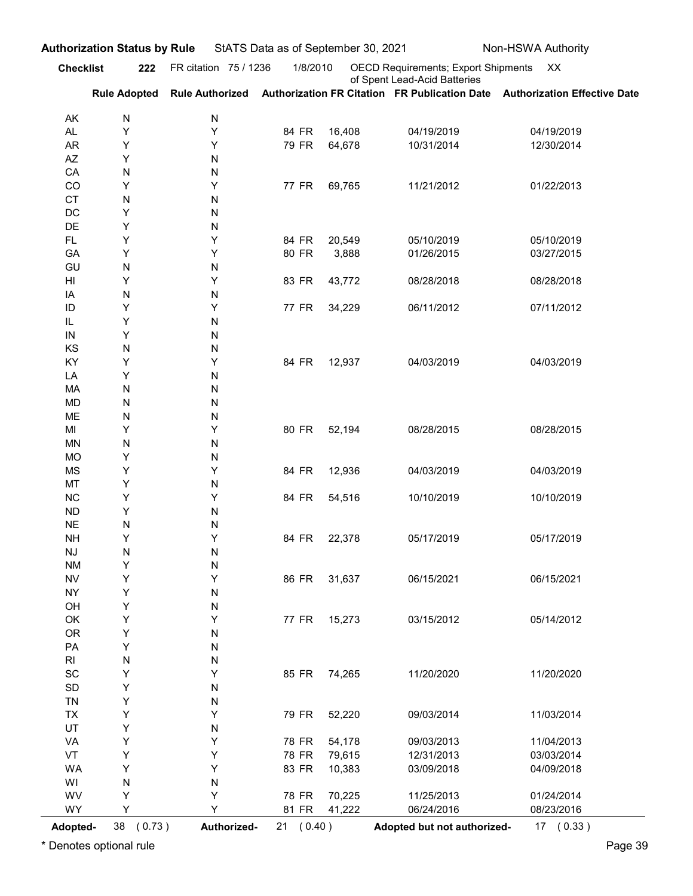| <b>Checklist</b><br>FR citation 75 / 1236<br>1/8/2010<br>OECD Requirements; Export Shipments XX<br>of Spent Lead-Acid Batteries<br><b>Rule Adopted</b><br>Rule Authorized Authorization FR Citation FR Publication Date Authorization Effective Date<br>N<br>N<br>AK<br>Υ<br>Υ<br>84 FR<br>16,408<br>04/19/2019<br>04/19/2019<br><b>AL</b><br>Y<br>Y<br>79 FR<br>64,678<br>AR<br>10/31/2014<br>12/30/2014<br>Y<br>AZ<br>N<br>${\sf N}$<br>${\sf N}$<br>CA<br>Υ<br>Y<br>77 FR<br>69,765<br>11/21/2012<br>01/22/2013<br>CO<br><b>CT</b><br>${\sf N}$<br>${\sf N}$<br>DC<br>Y<br>${\sf N}$<br>Υ<br>DE<br>${\sf N}$<br>Υ<br>Υ<br>84 FR<br>20,549<br>05/10/2019<br>05/10/2019<br><b>FL</b><br>Υ<br>Y<br>80 FR<br>3,888<br>GA<br>01/26/2015<br>03/27/2015<br>GU<br>N<br>N<br>Υ<br>Y<br>83 FR<br>43,772<br>08/28/2018<br>08/28/2018<br>HI<br>N<br>${\sf N}$<br>IA<br>Y<br>Υ<br>77 FR<br>07/11/2012<br>ID<br>34,229<br>06/11/2012<br>Υ<br>N<br>IL<br>${\sf IN}$<br>Υ<br>N<br>KS<br>N<br>N<br>KY<br>Υ<br>Υ<br>84 FR<br>12,937<br>04/03/2019<br>04/03/2019<br>Υ<br>LA<br>N<br>N<br>N<br>MA<br>N<br><b>MD</b><br>N<br>N<br>ME<br>N<br>Υ<br>Υ<br>80 FR<br>52,194<br>08/28/2015<br>MI<br>08/28/2015<br>N<br>N<br><b>MN</b><br>Υ<br>N<br><b>MO</b><br>Υ<br>Υ<br>84 FR<br>MS<br>12,936<br>04/03/2019<br>04/03/2019<br>Υ<br>MT<br>N<br>Υ<br>Υ<br>84 FR<br>NC<br>54,516<br>10/10/2019<br>10/10/2019<br>Υ<br><b>ND</b><br>N<br>N<br>$\sf NE$<br>N<br>Υ<br>Υ<br>84 FR<br>22,378<br><b>NH</b><br>05/17/2019<br>05/17/2019<br>N<br>$\mathsf{N}\mathsf{J}$<br>N<br>Υ<br>N<br><b>NM</b><br>Υ<br>Υ<br>86 FR<br>31,637<br>${\sf NV}$<br>06/15/2021<br>06/15/2021<br>Y<br><b>NY</b><br>N<br>Y<br>OH<br>N<br>Υ<br>Υ<br>15,273<br>03/15/2012<br>OK<br>77 FR<br>05/14/2012<br><b>OR</b><br>Υ<br>N<br>Υ<br>PA<br>N<br>N<br>R <sub>l</sub><br>N<br>$\operatorname{\textsf{SC}}$<br>Υ<br>Υ<br>85 FR 74,265<br>11/20/2020<br>11/20/2020<br>Υ<br>$\mathsf{SD}$<br>N<br>Υ<br>TN<br>N<br>Y<br>Υ<br>79 FR<br>52,220<br>TX<br>09/03/2014<br>11/03/2014<br>UT<br>Υ<br>N<br>Υ<br>78 FR<br>54,178<br>09/03/2013<br>VA<br>Υ<br>11/04/2013<br>Υ<br>78 FR<br>79,615<br>12/31/2013<br>VT<br>Υ<br>03/03/2014<br>Υ<br>Υ<br>83 FR<br>10,383<br>WA<br>03/09/2018<br>04/09/2018<br>N<br>WI<br>N<br>78 FR<br>70,225<br>11/25/2013<br>WV<br>Υ<br>Υ<br>01/24/2014<br>WY<br>Υ<br>41,222<br>06/24/2016<br>Y<br>81 FR<br>08/23/2016<br>38 (0.73)<br>21 (0.40)<br>Adopted but not authorized- |          | <b>Authorization Status by Rule</b> |             | StATS Data as of September 30, 2021 |  | Non-HSWA Authority |
|--------------------------------------------------------------------------------------------------------------------------------------------------------------------------------------------------------------------------------------------------------------------------------------------------------------------------------------------------------------------------------------------------------------------------------------------------------------------------------------------------------------------------------------------------------------------------------------------------------------------------------------------------------------------------------------------------------------------------------------------------------------------------------------------------------------------------------------------------------------------------------------------------------------------------------------------------------------------------------------------------------------------------------------------------------------------------------------------------------------------------------------------------------------------------------------------------------------------------------------------------------------------------------------------------------------------------------------------------------------------------------------------------------------------------------------------------------------------------------------------------------------------------------------------------------------------------------------------------------------------------------------------------------------------------------------------------------------------------------------------------------------------------------------------------------------------------------------------------------------------------------------------------------------------------------------------------------------------------------------------------------------------------------------------------------------------------------------------------------------------------------------------------------------------------------------------------------------------------------------------------------------------------------------------------------------------------------------------------------------------------------------------------------------------------------------|----------|-------------------------------------|-------------|-------------------------------------|--|--------------------|
|                                                                                                                                                                                                                                                                                                                                                                                                                                                                                                                                                                                                                                                                                                                                                                                                                                                                                                                                                                                                                                                                                                                                                                                                                                                                                                                                                                                                                                                                                                                                                                                                                                                                                                                                                                                                                                                                                                                                                                                                                                                                                                                                                                                                                                                                                                                                                                                                                                      |          | 222                                 |             |                                     |  |                    |
|                                                                                                                                                                                                                                                                                                                                                                                                                                                                                                                                                                                                                                                                                                                                                                                                                                                                                                                                                                                                                                                                                                                                                                                                                                                                                                                                                                                                                                                                                                                                                                                                                                                                                                                                                                                                                                                                                                                                                                                                                                                                                                                                                                                                                                                                                                                                                                                                                                      |          |                                     |             |                                     |  |                    |
|                                                                                                                                                                                                                                                                                                                                                                                                                                                                                                                                                                                                                                                                                                                                                                                                                                                                                                                                                                                                                                                                                                                                                                                                                                                                                                                                                                                                                                                                                                                                                                                                                                                                                                                                                                                                                                                                                                                                                                                                                                                                                                                                                                                                                                                                                                                                                                                                                                      |          |                                     |             |                                     |  |                    |
|                                                                                                                                                                                                                                                                                                                                                                                                                                                                                                                                                                                                                                                                                                                                                                                                                                                                                                                                                                                                                                                                                                                                                                                                                                                                                                                                                                                                                                                                                                                                                                                                                                                                                                                                                                                                                                                                                                                                                                                                                                                                                                                                                                                                                                                                                                                                                                                                                                      |          |                                     |             |                                     |  |                    |
|                                                                                                                                                                                                                                                                                                                                                                                                                                                                                                                                                                                                                                                                                                                                                                                                                                                                                                                                                                                                                                                                                                                                                                                                                                                                                                                                                                                                                                                                                                                                                                                                                                                                                                                                                                                                                                                                                                                                                                                                                                                                                                                                                                                                                                                                                                                                                                                                                                      |          |                                     |             |                                     |  |                    |
|                                                                                                                                                                                                                                                                                                                                                                                                                                                                                                                                                                                                                                                                                                                                                                                                                                                                                                                                                                                                                                                                                                                                                                                                                                                                                                                                                                                                                                                                                                                                                                                                                                                                                                                                                                                                                                                                                                                                                                                                                                                                                                                                                                                                                                                                                                                                                                                                                                      |          |                                     |             |                                     |  |                    |
|                                                                                                                                                                                                                                                                                                                                                                                                                                                                                                                                                                                                                                                                                                                                                                                                                                                                                                                                                                                                                                                                                                                                                                                                                                                                                                                                                                                                                                                                                                                                                                                                                                                                                                                                                                                                                                                                                                                                                                                                                                                                                                                                                                                                                                                                                                                                                                                                                                      |          |                                     |             |                                     |  |                    |
|                                                                                                                                                                                                                                                                                                                                                                                                                                                                                                                                                                                                                                                                                                                                                                                                                                                                                                                                                                                                                                                                                                                                                                                                                                                                                                                                                                                                                                                                                                                                                                                                                                                                                                                                                                                                                                                                                                                                                                                                                                                                                                                                                                                                                                                                                                                                                                                                                                      |          |                                     |             |                                     |  |                    |
|                                                                                                                                                                                                                                                                                                                                                                                                                                                                                                                                                                                                                                                                                                                                                                                                                                                                                                                                                                                                                                                                                                                                                                                                                                                                                                                                                                                                                                                                                                                                                                                                                                                                                                                                                                                                                                                                                                                                                                                                                                                                                                                                                                                                                                                                                                                                                                                                                                      |          |                                     |             |                                     |  |                    |
|                                                                                                                                                                                                                                                                                                                                                                                                                                                                                                                                                                                                                                                                                                                                                                                                                                                                                                                                                                                                                                                                                                                                                                                                                                                                                                                                                                                                                                                                                                                                                                                                                                                                                                                                                                                                                                                                                                                                                                                                                                                                                                                                                                                                                                                                                                                                                                                                                                      |          |                                     |             |                                     |  |                    |
|                                                                                                                                                                                                                                                                                                                                                                                                                                                                                                                                                                                                                                                                                                                                                                                                                                                                                                                                                                                                                                                                                                                                                                                                                                                                                                                                                                                                                                                                                                                                                                                                                                                                                                                                                                                                                                                                                                                                                                                                                                                                                                                                                                                                                                                                                                                                                                                                                                      |          |                                     |             |                                     |  |                    |
|                                                                                                                                                                                                                                                                                                                                                                                                                                                                                                                                                                                                                                                                                                                                                                                                                                                                                                                                                                                                                                                                                                                                                                                                                                                                                                                                                                                                                                                                                                                                                                                                                                                                                                                                                                                                                                                                                                                                                                                                                                                                                                                                                                                                                                                                                                                                                                                                                                      |          |                                     |             |                                     |  |                    |
|                                                                                                                                                                                                                                                                                                                                                                                                                                                                                                                                                                                                                                                                                                                                                                                                                                                                                                                                                                                                                                                                                                                                                                                                                                                                                                                                                                                                                                                                                                                                                                                                                                                                                                                                                                                                                                                                                                                                                                                                                                                                                                                                                                                                                                                                                                                                                                                                                                      |          |                                     |             |                                     |  |                    |
|                                                                                                                                                                                                                                                                                                                                                                                                                                                                                                                                                                                                                                                                                                                                                                                                                                                                                                                                                                                                                                                                                                                                                                                                                                                                                                                                                                                                                                                                                                                                                                                                                                                                                                                                                                                                                                                                                                                                                                                                                                                                                                                                                                                                                                                                                                                                                                                                                                      |          |                                     |             |                                     |  |                    |
|                                                                                                                                                                                                                                                                                                                                                                                                                                                                                                                                                                                                                                                                                                                                                                                                                                                                                                                                                                                                                                                                                                                                                                                                                                                                                                                                                                                                                                                                                                                                                                                                                                                                                                                                                                                                                                                                                                                                                                                                                                                                                                                                                                                                                                                                                                                                                                                                                                      |          |                                     |             |                                     |  |                    |
|                                                                                                                                                                                                                                                                                                                                                                                                                                                                                                                                                                                                                                                                                                                                                                                                                                                                                                                                                                                                                                                                                                                                                                                                                                                                                                                                                                                                                                                                                                                                                                                                                                                                                                                                                                                                                                                                                                                                                                                                                                                                                                                                                                                                                                                                                                                                                                                                                                      |          |                                     |             |                                     |  |                    |
|                                                                                                                                                                                                                                                                                                                                                                                                                                                                                                                                                                                                                                                                                                                                                                                                                                                                                                                                                                                                                                                                                                                                                                                                                                                                                                                                                                                                                                                                                                                                                                                                                                                                                                                                                                                                                                                                                                                                                                                                                                                                                                                                                                                                                                                                                                                                                                                                                                      |          |                                     |             |                                     |  |                    |
|                                                                                                                                                                                                                                                                                                                                                                                                                                                                                                                                                                                                                                                                                                                                                                                                                                                                                                                                                                                                                                                                                                                                                                                                                                                                                                                                                                                                                                                                                                                                                                                                                                                                                                                                                                                                                                                                                                                                                                                                                                                                                                                                                                                                                                                                                                                                                                                                                                      |          |                                     |             |                                     |  |                    |
|                                                                                                                                                                                                                                                                                                                                                                                                                                                                                                                                                                                                                                                                                                                                                                                                                                                                                                                                                                                                                                                                                                                                                                                                                                                                                                                                                                                                                                                                                                                                                                                                                                                                                                                                                                                                                                                                                                                                                                                                                                                                                                                                                                                                                                                                                                                                                                                                                                      |          |                                     |             |                                     |  |                    |
|                                                                                                                                                                                                                                                                                                                                                                                                                                                                                                                                                                                                                                                                                                                                                                                                                                                                                                                                                                                                                                                                                                                                                                                                                                                                                                                                                                                                                                                                                                                                                                                                                                                                                                                                                                                                                                                                                                                                                                                                                                                                                                                                                                                                                                                                                                                                                                                                                                      |          |                                     |             |                                     |  |                    |
|                                                                                                                                                                                                                                                                                                                                                                                                                                                                                                                                                                                                                                                                                                                                                                                                                                                                                                                                                                                                                                                                                                                                                                                                                                                                                                                                                                                                                                                                                                                                                                                                                                                                                                                                                                                                                                                                                                                                                                                                                                                                                                                                                                                                                                                                                                                                                                                                                                      |          |                                     |             |                                     |  |                    |
|                                                                                                                                                                                                                                                                                                                                                                                                                                                                                                                                                                                                                                                                                                                                                                                                                                                                                                                                                                                                                                                                                                                                                                                                                                                                                                                                                                                                                                                                                                                                                                                                                                                                                                                                                                                                                                                                                                                                                                                                                                                                                                                                                                                                                                                                                                                                                                                                                                      |          |                                     |             |                                     |  |                    |
|                                                                                                                                                                                                                                                                                                                                                                                                                                                                                                                                                                                                                                                                                                                                                                                                                                                                                                                                                                                                                                                                                                                                                                                                                                                                                                                                                                                                                                                                                                                                                                                                                                                                                                                                                                                                                                                                                                                                                                                                                                                                                                                                                                                                                                                                                                                                                                                                                                      |          |                                     |             |                                     |  |                    |
|                                                                                                                                                                                                                                                                                                                                                                                                                                                                                                                                                                                                                                                                                                                                                                                                                                                                                                                                                                                                                                                                                                                                                                                                                                                                                                                                                                                                                                                                                                                                                                                                                                                                                                                                                                                                                                                                                                                                                                                                                                                                                                                                                                                                                                                                                                                                                                                                                                      |          |                                     |             |                                     |  |                    |
|                                                                                                                                                                                                                                                                                                                                                                                                                                                                                                                                                                                                                                                                                                                                                                                                                                                                                                                                                                                                                                                                                                                                                                                                                                                                                                                                                                                                                                                                                                                                                                                                                                                                                                                                                                                                                                                                                                                                                                                                                                                                                                                                                                                                                                                                                                                                                                                                                                      |          |                                     |             |                                     |  |                    |
|                                                                                                                                                                                                                                                                                                                                                                                                                                                                                                                                                                                                                                                                                                                                                                                                                                                                                                                                                                                                                                                                                                                                                                                                                                                                                                                                                                                                                                                                                                                                                                                                                                                                                                                                                                                                                                                                                                                                                                                                                                                                                                                                                                                                                                                                                                                                                                                                                                      |          |                                     |             |                                     |  |                    |
|                                                                                                                                                                                                                                                                                                                                                                                                                                                                                                                                                                                                                                                                                                                                                                                                                                                                                                                                                                                                                                                                                                                                                                                                                                                                                                                                                                                                                                                                                                                                                                                                                                                                                                                                                                                                                                                                                                                                                                                                                                                                                                                                                                                                                                                                                                                                                                                                                                      |          |                                     |             |                                     |  |                    |
|                                                                                                                                                                                                                                                                                                                                                                                                                                                                                                                                                                                                                                                                                                                                                                                                                                                                                                                                                                                                                                                                                                                                                                                                                                                                                                                                                                                                                                                                                                                                                                                                                                                                                                                                                                                                                                                                                                                                                                                                                                                                                                                                                                                                                                                                                                                                                                                                                                      |          |                                     |             |                                     |  |                    |
|                                                                                                                                                                                                                                                                                                                                                                                                                                                                                                                                                                                                                                                                                                                                                                                                                                                                                                                                                                                                                                                                                                                                                                                                                                                                                                                                                                                                                                                                                                                                                                                                                                                                                                                                                                                                                                                                                                                                                                                                                                                                                                                                                                                                                                                                                                                                                                                                                                      |          |                                     |             |                                     |  |                    |
|                                                                                                                                                                                                                                                                                                                                                                                                                                                                                                                                                                                                                                                                                                                                                                                                                                                                                                                                                                                                                                                                                                                                                                                                                                                                                                                                                                                                                                                                                                                                                                                                                                                                                                                                                                                                                                                                                                                                                                                                                                                                                                                                                                                                                                                                                                                                                                                                                                      |          |                                     |             |                                     |  |                    |
|                                                                                                                                                                                                                                                                                                                                                                                                                                                                                                                                                                                                                                                                                                                                                                                                                                                                                                                                                                                                                                                                                                                                                                                                                                                                                                                                                                                                                                                                                                                                                                                                                                                                                                                                                                                                                                                                                                                                                                                                                                                                                                                                                                                                                                                                                                                                                                                                                                      |          |                                     |             |                                     |  |                    |
|                                                                                                                                                                                                                                                                                                                                                                                                                                                                                                                                                                                                                                                                                                                                                                                                                                                                                                                                                                                                                                                                                                                                                                                                                                                                                                                                                                                                                                                                                                                                                                                                                                                                                                                                                                                                                                                                                                                                                                                                                                                                                                                                                                                                                                                                                                                                                                                                                                      |          |                                     |             |                                     |  |                    |
|                                                                                                                                                                                                                                                                                                                                                                                                                                                                                                                                                                                                                                                                                                                                                                                                                                                                                                                                                                                                                                                                                                                                                                                                                                                                                                                                                                                                                                                                                                                                                                                                                                                                                                                                                                                                                                                                                                                                                                                                                                                                                                                                                                                                                                                                                                                                                                                                                                      |          |                                     |             |                                     |  |                    |
|                                                                                                                                                                                                                                                                                                                                                                                                                                                                                                                                                                                                                                                                                                                                                                                                                                                                                                                                                                                                                                                                                                                                                                                                                                                                                                                                                                                                                                                                                                                                                                                                                                                                                                                                                                                                                                                                                                                                                                                                                                                                                                                                                                                                                                                                                                                                                                                                                                      |          |                                     |             |                                     |  |                    |
|                                                                                                                                                                                                                                                                                                                                                                                                                                                                                                                                                                                                                                                                                                                                                                                                                                                                                                                                                                                                                                                                                                                                                                                                                                                                                                                                                                                                                                                                                                                                                                                                                                                                                                                                                                                                                                                                                                                                                                                                                                                                                                                                                                                                                                                                                                                                                                                                                                      |          |                                     |             |                                     |  |                    |
|                                                                                                                                                                                                                                                                                                                                                                                                                                                                                                                                                                                                                                                                                                                                                                                                                                                                                                                                                                                                                                                                                                                                                                                                                                                                                                                                                                                                                                                                                                                                                                                                                                                                                                                                                                                                                                                                                                                                                                                                                                                                                                                                                                                                                                                                                                                                                                                                                                      |          |                                     |             |                                     |  |                    |
|                                                                                                                                                                                                                                                                                                                                                                                                                                                                                                                                                                                                                                                                                                                                                                                                                                                                                                                                                                                                                                                                                                                                                                                                                                                                                                                                                                                                                                                                                                                                                                                                                                                                                                                                                                                                                                                                                                                                                                                                                                                                                                                                                                                                                                                                                                                                                                                                                                      |          |                                     |             |                                     |  |                    |
|                                                                                                                                                                                                                                                                                                                                                                                                                                                                                                                                                                                                                                                                                                                                                                                                                                                                                                                                                                                                                                                                                                                                                                                                                                                                                                                                                                                                                                                                                                                                                                                                                                                                                                                                                                                                                                                                                                                                                                                                                                                                                                                                                                                                                                                                                                                                                                                                                                      |          |                                     |             |                                     |  |                    |
|                                                                                                                                                                                                                                                                                                                                                                                                                                                                                                                                                                                                                                                                                                                                                                                                                                                                                                                                                                                                                                                                                                                                                                                                                                                                                                                                                                                                                                                                                                                                                                                                                                                                                                                                                                                                                                                                                                                                                                                                                                                                                                                                                                                                                                                                                                                                                                                                                                      |          |                                     |             |                                     |  |                    |
|                                                                                                                                                                                                                                                                                                                                                                                                                                                                                                                                                                                                                                                                                                                                                                                                                                                                                                                                                                                                                                                                                                                                                                                                                                                                                                                                                                                                                                                                                                                                                                                                                                                                                                                                                                                                                                                                                                                                                                                                                                                                                                                                                                                                                                                                                                                                                                                                                                      |          |                                     |             |                                     |  |                    |
|                                                                                                                                                                                                                                                                                                                                                                                                                                                                                                                                                                                                                                                                                                                                                                                                                                                                                                                                                                                                                                                                                                                                                                                                                                                                                                                                                                                                                                                                                                                                                                                                                                                                                                                                                                                                                                                                                                                                                                                                                                                                                                                                                                                                                                                                                                                                                                                                                                      |          |                                     |             |                                     |  |                    |
|                                                                                                                                                                                                                                                                                                                                                                                                                                                                                                                                                                                                                                                                                                                                                                                                                                                                                                                                                                                                                                                                                                                                                                                                                                                                                                                                                                                                                                                                                                                                                                                                                                                                                                                                                                                                                                                                                                                                                                                                                                                                                                                                                                                                                                                                                                                                                                                                                                      | Adopted- |                                     | Authorized- |                                     |  | 17 (0.33)          |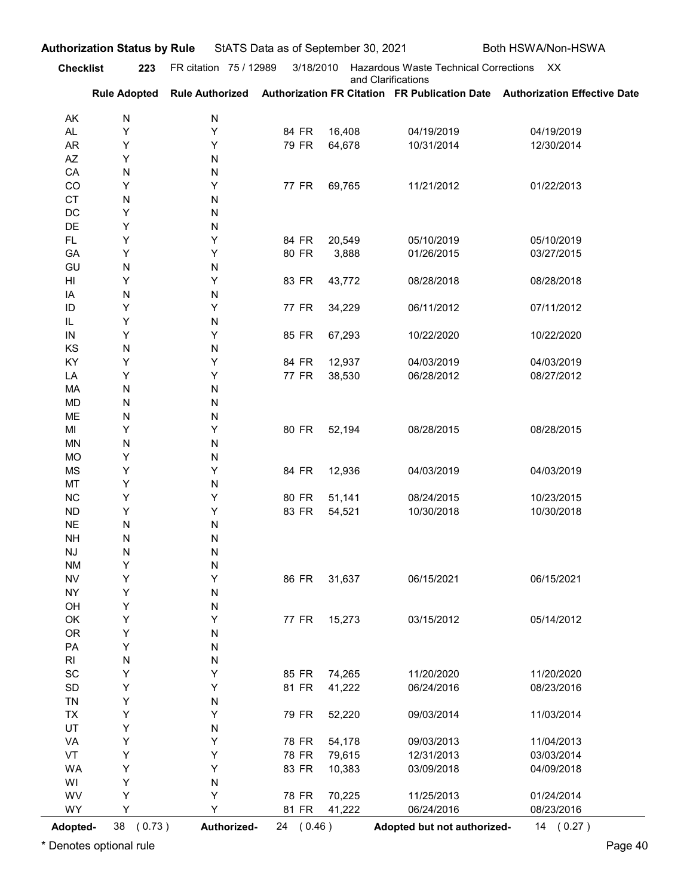| <b>Checklist</b>       |                | <b>Authorization Status by Rule</b> | StATS Data as of September 30, 2021 |                  |                                          | Both HSWA/Non-HSWA                                                                                      |
|------------------------|----------------|-------------------------------------|-------------------------------------|------------------|------------------------------------------|---------------------------------------------------------------------------------------------------------|
|                        | 223            | FR citation 75 / 12989              | 3/18/2010                           |                  | Hazardous Waste Technical Corrections XX |                                                                                                         |
|                        |                |                                     |                                     |                  | and Clarifications                       | Rule Adopted Rule Authorized Authorization FR Citation FR Publication Date Authorization Effective Date |
| AK                     | N              | N                                   |                                     |                  |                                          |                                                                                                         |
| AL                     | Υ              | Y                                   | 84 FR                               | 16,408           | 04/19/2019                               | 04/19/2019                                                                                              |
| AR                     | Υ              | Y                                   | 79 FR                               | 64,678           | 10/31/2014                               | 12/30/2014                                                                                              |
| AZ<br>CA               | Υ<br>${\sf N}$ | N<br>N                              |                                     |                  |                                          |                                                                                                         |
| CO                     | Υ              | Y                                   | 77 FR                               | 69,765           | 11/21/2012                               | 01/22/2013                                                                                              |
| <b>CT</b>              | ${\sf N}$      | N                                   |                                     |                  |                                          |                                                                                                         |
| DC                     | Υ              | N                                   |                                     |                  |                                          |                                                                                                         |
| DE<br>FL.              | Υ<br>Υ         | N<br>Y                              | 84 FR                               | 20,549           | 05/10/2019                               | 05/10/2019                                                                                              |
| GA                     | Υ              | Y                                   | 80 FR                               | 3,888            | 01/26/2015                               | 03/27/2015                                                                                              |
| GU                     | ${\sf N}$      | N                                   |                                     |                  |                                          |                                                                                                         |
| HI                     | Υ              | Y                                   | 83 FR                               | 43,772           | 08/28/2018                               | 08/28/2018                                                                                              |
| IA<br>ID               | ${\sf N}$<br>Υ | N<br>Y                              | 77 FR                               | 34,229           | 06/11/2012                               | 07/11/2012                                                                                              |
| IL                     | Υ              | N                                   |                                     |                  |                                          |                                                                                                         |
| IN                     | Υ              | Υ                                   | 85 FR                               | 67,293           | 10/22/2020                               | 10/22/2020                                                                                              |
| KS<br>KY               | ${\sf N}$<br>Υ | ${\sf N}$<br>Υ                      | 84 FR                               | 12,937           | 04/03/2019                               | 04/03/2019                                                                                              |
| LA                     | Υ              | Υ                                   | 77 FR                               | 38,530           | 06/28/2012                               | 08/27/2012                                                                                              |
| MA                     | ${\sf N}$      | N                                   |                                     |                  |                                          |                                                                                                         |
| MD                     | ${\sf N}$      | N                                   |                                     |                  |                                          |                                                                                                         |
| ME<br>MI               | N<br>Υ         | N<br>Υ                              | 80 FR                               | 52,194           | 08/28/2015                               | 08/28/2015                                                                                              |
| MN                     | N              | N                                   |                                     |                  |                                          |                                                                                                         |
| <b>MO</b>              | Υ              | N                                   |                                     |                  |                                          |                                                                                                         |
| <b>MS</b>              | Y              | Υ                                   | 84 FR                               | 12,936           | 04/03/2019                               | 04/03/2019                                                                                              |
| MT<br>NC               | Y<br>Υ         | N<br>Υ                              | 80 FR                               | 51,141           | 08/24/2015                               | 10/23/2015                                                                                              |
| <b>ND</b>              | Υ              | Υ                                   | 83 FR                               | 54,521           | 10/30/2018                               | 10/30/2018                                                                                              |
| <b>NE</b>              | ${\sf N}$      | N                                   |                                     |                  |                                          |                                                                                                         |
| <b>NH</b>              | N              | N                                   |                                     |                  |                                          |                                                                                                         |
| <b>NJ</b><br><b>NM</b> | N<br>Υ         | ${\sf N}$<br>N                      |                                     |                  |                                          |                                                                                                         |
| <b>NV</b>              | Υ              | Υ                                   | 86 FR                               | 31,637           | 06/15/2021                               | 06/15/2021                                                                                              |
| <b>NY</b>              | Y              | N                                   |                                     |                  |                                          |                                                                                                         |
| OH                     | Y              | N                                   |                                     |                  |                                          |                                                                                                         |
| OK                     | Υ              | Υ                                   | 77 FR                               | 15,273           | 03/15/2012                               | 05/14/2012                                                                                              |
| <b>OR</b><br>PA        | Υ<br>Υ         | N<br>N                              |                                     |                  |                                          |                                                                                                         |
| $\mathsf{RI}$          | N              | N                                   |                                     |                  |                                          |                                                                                                         |
| SC                     | Υ              | Υ                                   | 85 FR                               | 74,265           | 11/20/2020                               | 11/20/2020                                                                                              |
| SD<br><b>TN</b>        | Υ<br>Υ         | Υ<br>N                              | 81 FR                               | 41,222           | 06/24/2016                               | 08/23/2016                                                                                              |
| <b>TX</b>              | Υ              | Υ                                   | 79 FR                               | 52,220           | 09/03/2014                               | 11/03/2014                                                                                              |
| UT                     | Υ              | N                                   |                                     |                  |                                          |                                                                                                         |
| VA                     | Υ              | Υ                                   | 78 FR                               | 54,178           | 09/03/2013                               | 11/04/2013                                                                                              |
| VT<br>WA               | Υ<br>Υ         | Υ<br>Υ                              | 78 FR<br>83 FR                      | 79,615<br>10,383 | 12/31/2013<br>03/09/2018                 | 03/03/2014<br>04/09/2018                                                                                |
| WI                     | Υ              | N                                   |                                     |                  |                                          |                                                                                                         |
| WV                     | Υ              | Υ                                   | 78 FR                               | 70,225           | 11/25/2013                               | 01/24/2014                                                                                              |
| WY                     | Υ              | Υ                                   | 81 FR                               | 41,222           | 06/24/2016                               | 08/23/2016                                                                                              |
| Adopted-               | 38 (0.73)      | Authorized-                         | 24 (0.46)                           |                  | Adopted but not authorized-              | 14 (0.27)                                                                                               |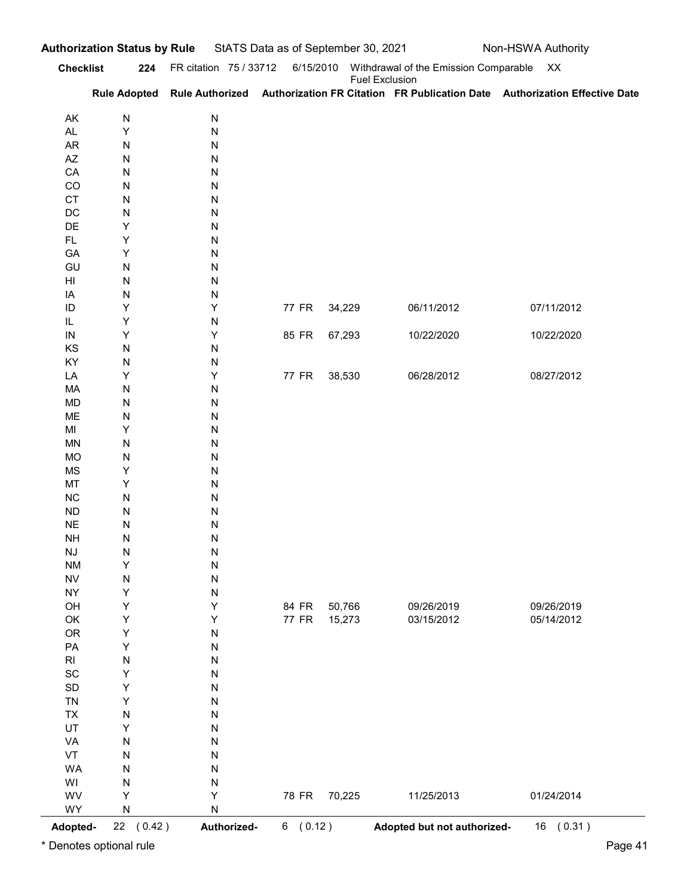|                              | <b>Checklist</b>       | 224 FR citation 75 / 33712 | 6/15/2010 |                       | Withdrawal of the Emission Comparable XX |                                                                                                         |
|------------------------------|------------------------|----------------------------|-----------|-----------------------|------------------------------------------|---------------------------------------------------------------------------------------------------------|
|                              |                        |                            |           | <b>Fuel Exclusion</b> |                                          | Rule Adopted Rule Authorized Authorization FR Citation FR Publication Date Authorization Effective Date |
| AK                           | N                      | N                          |           |                       |                                          |                                                                                                         |
| AL                           | Υ                      | N                          |           |                       |                                          |                                                                                                         |
| AR<br>AZ                     | N<br>N                 | N<br>N                     |           |                       |                                          |                                                                                                         |
| CA                           | ${\sf N}$              | N                          |           |                       |                                          |                                                                                                         |
| CO                           | N                      | N                          |           |                       |                                          |                                                                                                         |
| <b>CT</b>                    | N                      | N                          |           |                       |                                          |                                                                                                         |
| DC<br>DE                     | ${\sf N}$<br>Υ         | N<br>N                     |           |                       |                                          |                                                                                                         |
| FL.                          | Υ                      | N                          |           |                       |                                          |                                                                                                         |
| GA                           | Υ                      | N                          |           |                       |                                          |                                                                                                         |
| GU                           | ${\sf N}$              | N                          |           |                       |                                          |                                                                                                         |
| HI<br>IA                     | ${\sf N}$<br>N         | N<br>N                     |           |                       |                                          |                                                                                                         |
| ID                           | Υ                      | Υ                          | 77 FR     | 34,229                | 06/11/2012                               | 07/11/2012                                                                                              |
| IL                           | Y                      | N                          |           |                       |                                          |                                                                                                         |
| $\sf IN$                     | Υ                      | Υ                          | 85 FR     | 67,293                | 10/22/2020                               | 10/22/2020                                                                                              |
| KS<br>KY                     | ${\sf N}$<br>${\sf N}$ | ${\sf N}$<br>${\sf N}$     |           |                       |                                          |                                                                                                         |
| LA                           | Y                      | Υ                          | 77 FR     | 38,530                | 06/28/2012                               | 08/27/2012                                                                                              |
| MA                           | ${\sf N}$              | ${\sf N}$                  |           |                       |                                          |                                                                                                         |
| <b>MD</b>                    | ${\sf N}$              | ${\sf N}$                  |           |                       |                                          |                                                                                                         |
| ME                           | ${\sf N}$              | ${\sf N}$                  |           |                       |                                          |                                                                                                         |
| MI<br>MN                     | Y<br>${\sf N}$         | ${\sf N}$<br>${\sf N}$     |           |                       |                                          |                                                                                                         |
| <b>MO</b>                    | ${\sf N}$              | ${\sf N}$                  |           |                       |                                          |                                                                                                         |
| MS                           | Y                      | ${\sf N}$                  |           |                       |                                          |                                                                                                         |
| MT                           | Y                      | ${\sf N}$                  |           |                       |                                          |                                                                                                         |
| $NC$<br>${\sf ND}$           | ${\sf N}$<br>${\sf N}$ | ${\sf N}$<br>${\sf N}$     |           |                       |                                          |                                                                                                         |
| $\sf NE$                     | ${\sf N}$              | ${\sf N}$                  |           |                       |                                          |                                                                                                         |
| <b>NH</b>                    | ${\sf N}$              | ${\sf N}$                  |           |                       |                                          |                                                                                                         |
| $\mathsf{N}\mathsf{J}$       | ${\sf N}$              | ${\sf N}$                  |           |                       |                                          |                                                                                                         |
| <b>NM</b><br>${\sf NV}$      | Y                      | ${\sf N}$                  |           |                       |                                          |                                                                                                         |
| <b>NY</b>                    | $\mathsf{N}$<br>Y      | ${\sf N}$<br>${\sf N}$     |           |                       |                                          |                                                                                                         |
| OH                           | Y                      | Υ                          | 84 FR     | 50,766                | 09/26/2019                               | 09/26/2019                                                                                              |
| OK                           | Y                      | Υ                          | 77 FR     | 15,273                | 03/15/2012                               | 05/14/2012                                                                                              |
| OR                           | Y                      | ${\sf N}$                  |           |                       |                                          |                                                                                                         |
| PA<br>R <sub>l</sub>         | Y<br>$\mathsf{N}$      | ${\sf N}$<br>${\sf N}$     |           |                       |                                          |                                                                                                         |
| $\operatorname{\textsf{SC}}$ | Υ                      | ${\sf N}$                  |           |                       |                                          |                                                                                                         |
| $\mathsf{SD}$                | Υ                      | ${\sf N}$                  |           |                       |                                          |                                                                                                         |
| TN                           | Y                      | ${\sf N}$                  |           |                       |                                          |                                                                                                         |
| TX                           | ${\sf N}$              | ${\sf N}$                  |           |                       |                                          |                                                                                                         |
| UT<br>VA                     | Υ<br>${\sf N}$         | ${\sf N}$<br>${\sf N}$     |           |                       |                                          |                                                                                                         |
| VT                           | ${\sf N}$              | ${\sf N}$                  |           |                       |                                          |                                                                                                         |
| <b>WA</b>                    | ${\sf N}$              | ${\sf N}$                  |           |                       |                                          |                                                                                                         |
| WI                           | ${\sf N}$              | N                          |           |                       |                                          |                                                                                                         |
| WV<br>WY                     | Υ                      | Υ                          | 78 FR     | 70,225                | 11/25/2013                               | 01/24/2014                                                                                              |
|                              | ${\sf N}$              | N                          |           |                       |                                          |                                                                                                         |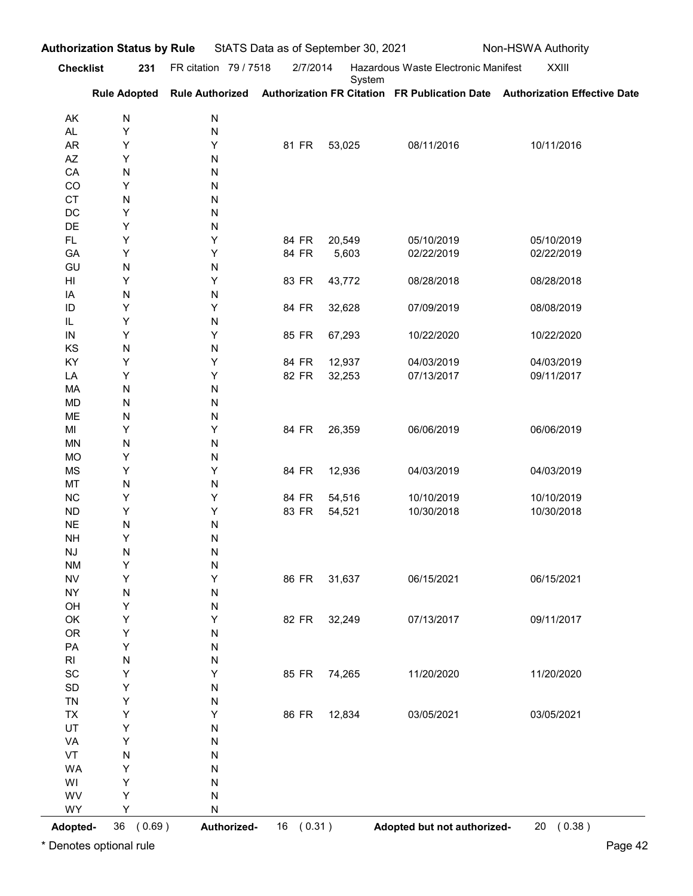|                              | <b>Authorization Status by Rule</b> |                        |                |                 | StATS Data as of September 30, 2021<br>Non-HSWA Authority |                                                                                                         |
|------------------------------|-------------------------------------|------------------------|----------------|-----------------|-----------------------------------------------------------|---------------------------------------------------------------------------------------------------------|
| <b>Checklist</b>             | 231                                 | FR citation 79 / 7518  | 2/7/2014       | System          | Hazardous Waste Electronic Manifest                       | XXIII                                                                                                   |
|                              |                                     |                        |                |                 |                                                           | Rule Adopted Rule Authorized Authorization FR Citation FR Publication Date Authorization Effective Date |
| AK<br>AL                     | N<br>Υ                              | N<br>N                 |                |                 |                                                           |                                                                                                         |
| AR                           | Υ                                   | Υ                      | 81 FR          | 53,025          | 08/11/2016                                                | 10/11/2016                                                                                              |
| AZ                           | Υ                                   | N                      |                |                 |                                                           |                                                                                                         |
| CA<br>CO                     | ${\sf N}$<br>Υ                      | N<br>N                 |                |                 |                                                           |                                                                                                         |
| <b>CT</b>                    | ${\sf N}$                           | N                      |                |                 |                                                           |                                                                                                         |
| DC                           | Υ                                   | N                      |                |                 |                                                           |                                                                                                         |
| DE                           | Υ                                   | N                      |                |                 |                                                           |                                                                                                         |
| FL.<br>GA                    | Υ<br>Υ                              | Y<br>Y                 | 84 FR<br>84 FR | 20,549<br>5,603 | 05/10/2019<br>02/22/2019                                  | 05/10/2019<br>02/22/2019                                                                                |
| GU                           | ${\sf N}$                           | N                      |                |                 |                                                           |                                                                                                         |
| HI                           | Υ                                   | Y                      | 83 FR          | 43,772          | 08/28/2018                                                | 08/28/2018                                                                                              |
| IA                           | ${\sf N}$                           | N                      |                |                 |                                                           |                                                                                                         |
| ID<br>IL                     | Υ<br>Υ                              | Y<br>N                 | 84 FR          | 32,628          | 07/09/2019                                                | 08/08/2019                                                                                              |
| ${\sf IN}$                   | Υ                                   | Υ                      | 85 FR          | 67,293          | 10/22/2020                                                | 10/22/2020                                                                                              |
| KS                           | N                                   | ${\sf N}$              |                |                 |                                                           |                                                                                                         |
| KY                           | Υ                                   | Υ                      | 84 FR          | 12,937          | 04/03/2019                                                | 04/03/2019                                                                                              |
| LA<br>MA                     | Υ<br>$\mathsf{N}$                   | Y<br>${\sf N}$         | 82 FR          | 32,253          | 07/13/2017                                                | 09/11/2017                                                                                              |
| <b>MD</b>                    | ${\sf N}$                           | ${\sf N}$              |                |                 |                                                           |                                                                                                         |
| ME                           | N                                   | ${\sf N}$              |                |                 |                                                           |                                                                                                         |
| MI<br><b>MN</b>              | Υ                                   | Υ                      | 84 FR          | 26,359          | 06/06/2019                                                | 06/06/2019                                                                                              |
| <b>MO</b>                    | $\mathsf{N}$<br>Y                   | ${\sf N}$<br>${\sf N}$ |                |                 |                                                           |                                                                                                         |
| <b>MS</b>                    | Y                                   | Υ                      | 84 FR          | 12,936          | 04/03/2019                                                | 04/03/2019                                                                                              |
| MT                           | N                                   | ${\sf N}$              |                |                 |                                                           |                                                                                                         |
| NC                           | Y                                   | Υ                      | 84 FR          | 54,516          | 10/10/2019                                                | 10/10/2019                                                                                              |
| <b>ND</b><br><b>NE</b>       | Y<br>$\mathsf{N}$                   | Y<br>${\sf N}$         | 83 FR          | 54,521          | 10/30/2018                                                | 10/30/2018                                                                                              |
| <b>NH</b>                    | Υ                                   | ${\sf N}$              |                |                 |                                                           |                                                                                                         |
| <b>NJ</b>                    | $\mathsf{N}$                        | ${\sf N}$              |                |                 |                                                           |                                                                                                         |
| <b>NM</b>                    | Y                                   | ${\sf N}$              |                |                 |                                                           |                                                                                                         |
| <b>NV</b><br><b>NY</b>       | Y<br>N                              | Υ<br>${\sf N}$         | 86 FR          | 31,637          | 06/15/2021                                                | 06/15/2021                                                                                              |
| OH                           | Y                                   | N                      |                |                 |                                                           |                                                                                                         |
| OK                           | Y                                   | Υ                      | 82 FR          | 32,249          | 07/13/2017                                                | 09/11/2017                                                                                              |
| OR                           | Y                                   | ${\sf N}$              |                |                 |                                                           |                                                                                                         |
| PA<br>$\mathsf{RI}$          | Y<br>$\mathsf{N}$                   | ${\sf N}$<br>N         |                |                 |                                                           |                                                                                                         |
| $\operatorname{\textsf{SC}}$ | Υ                                   | Υ                      |                | 85 FR 74,265    | 11/20/2020                                                | 11/20/2020                                                                                              |
| $\mathsf{SD}$                | Y                                   | ${\sf N}$              |                |                 |                                                           |                                                                                                         |
| <b>TN</b>                    | Y                                   | N                      |                |                 |                                                           |                                                                                                         |
| <b>TX</b><br>UT              | Y<br>Υ                              | Υ<br>${\sf N}$         | 86 FR          | 12,834          | 03/05/2021                                                | 03/05/2021                                                                                              |
| VA                           | Υ                                   | N                      |                |                 |                                                           |                                                                                                         |
| VT                           | N                                   | ${\sf N}$              |                |                 |                                                           |                                                                                                         |
| WA                           | Υ                                   | ${\sf N}$              |                |                 |                                                           |                                                                                                         |
| WI                           | Υ                                   | ${\sf N}$              |                |                 |                                                           |                                                                                                         |
| WV<br>WY                     | Υ<br>Υ                              | ${\sf N}$<br>${\sf N}$ |                |                 |                                                           |                                                                                                         |
|                              | 36 (0.69)                           | Authorized-            |                | 16 (0.31)       |                                                           | Adopted but not authorized-<br>20 (0.38)                                                                |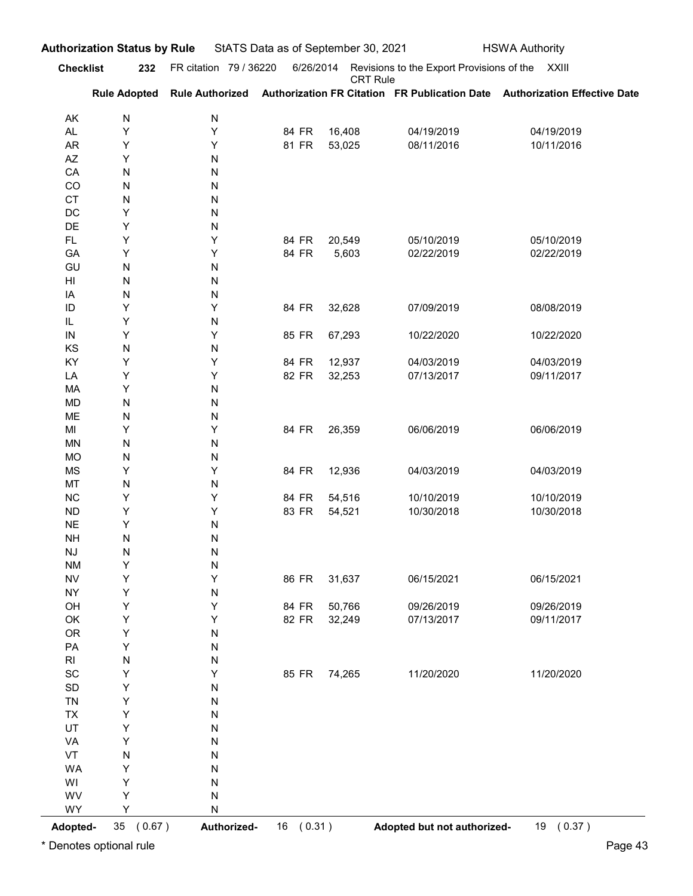|                                   | <b>Checklist</b><br>232 | FR citation 79 / 36220 | 6/26/2014      |                  | Revisions to the Export Provisions of the XXIII |                                                                                            |
|-----------------------------------|-------------------------|------------------------|----------------|------------------|-------------------------------------------------|--------------------------------------------------------------------------------------------|
|                                   | <b>Rule Adopted</b>     |                        |                | <b>CRT Rule</b>  |                                                 | Rule Authorized Authorization FR Citation FR Publication Date Authorization Effective Date |
| AK                                | N                       | ${\sf N}$              |                |                  |                                                 |                                                                                            |
| AL.                               | Υ                       | Υ                      | 84 FR          | 16,408           | 04/19/2019                                      | 04/19/2019                                                                                 |
| AR                                | Υ                       | Υ                      | 81 FR          | 53,025           | 08/11/2016                                      | 10/11/2016                                                                                 |
| $\mathsf{A}\mathsf{Z}$<br>CA      | Υ<br>N                  | N                      |                |                  |                                                 |                                                                                            |
| CO                                | N                       | N<br>N                 |                |                  |                                                 |                                                                                            |
| <b>CT</b>                         | N                       | N                      |                |                  |                                                 |                                                                                            |
| DC                                | Υ                       | N                      |                |                  |                                                 |                                                                                            |
| DE<br>FL.                         | Υ<br>Υ                  | N<br>Υ                 | 84 FR          | 20,549           | 05/10/2019                                      | 05/10/2019                                                                                 |
| GA                                | Υ                       | Υ                      | 84 FR          | 5,603            | 02/22/2019                                      | 02/22/2019                                                                                 |
| GU                                | N                       | N                      |                |                  |                                                 |                                                                                            |
| HI                                | N                       | N                      |                |                  |                                                 |                                                                                            |
| IA<br>ID                          | N<br>Y                  | N<br>Υ                 | 84 FR          | 32,628           | 07/09/2019                                      | 08/08/2019                                                                                 |
| IL                                | Υ                       | N                      |                |                  |                                                 |                                                                                            |
| ${\sf IN}$                        | Υ                       | Υ                      | 85 FR          | 67,293           | 10/22/2020                                      | 10/22/2020                                                                                 |
| KS                                | ${\sf N}$               | ${\sf N}$              |                |                  |                                                 |                                                                                            |
| KY<br>LA                          | Υ<br>Υ                  | Y<br>Y                 | 84 FR<br>82 FR | 12,937<br>32,253 | 04/03/2019<br>07/13/2017                        | 04/03/2019<br>09/11/2017                                                                   |
| MA                                | Υ                       | ${\sf N}$              |                |                  |                                                 |                                                                                            |
| MD                                | ${\sf N}$               | ${\sf N}$              |                |                  |                                                 |                                                                                            |
| ME                                | ${\sf N}$               | N                      |                |                  |                                                 |                                                                                            |
| MI<br>MN                          | Υ<br>${\sf N}$          | Y<br>${\sf N}$         | 84 FR          | 26,359           | 06/06/2019                                      | 06/06/2019                                                                                 |
| <b>MO</b>                         | ${\sf N}$               | N                      |                |                  |                                                 |                                                                                            |
| $\mathsf{MS}\xspace$              | Υ                       | Y                      | 84 FR          | 12,936           | 04/03/2019                                      | 04/03/2019                                                                                 |
| $\mathsf{MT}% _{0}^{\alpha\beta}$ | ${\sf N}$               | ${\sf N}$              |                |                  |                                                 |                                                                                            |
| ${\sf NC}$<br>${\sf ND}$          | Υ<br>Υ                  | Y<br>Y                 | 84 FR<br>83 FR | 54,516<br>54,521 | 10/10/2019<br>10/30/2018                        | 10/10/2019<br>10/30/2018                                                                   |
| $\sf NE$                          | Υ                       | ${\sf N}$              |                |                  |                                                 |                                                                                            |
| <b>NH</b>                         | ${\sf N}$               | ${\sf N}$              |                |                  |                                                 |                                                                                            |
| $\mathsf{N}\mathsf{J}$            | ${\sf N}$               | ${\sf N}$              |                |                  |                                                 |                                                                                            |
| <b>NM</b>                         | Υ<br>Υ                  | N<br>Y                 | 86 FR          |                  |                                                 | 06/15/2021                                                                                 |
| <b>NV</b><br><b>NY</b>            | Υ                       | ${\sf N}$              |                | 31,637           | 06/15/2021                                      |                                                                                            |
| OH                                | $\sf Y$                 | Y                      | 84 FR          | 50,766           | 09/26/2019                                      | 09/26/2019                                                                                 |
| OK                                | Υ                       | Υ                      | 82 FR          | 32,249           | 07/13/2017                                      | 09/11/2017                                                                                 |
| OR                                | Υ<br>Υ                  | N                      |                |                  |                                                 |                                                                                            |
| PA<br>$\mathsf{RI}$               | ${\sf N}$               | N<br>N                 |                |                  |                                                 |                                                                                            |
| SC                                | Υ                       | Υ                      | 85 FR          | 74,265           | 11/20/2020                                      | 11/20/2020                                                                                 |
| SD                                | Υ                       | N                      |                |                  |                                                 |                                                                                            |
| TN                                | Υ                       | N                      |                |                  |                                                 |                                                                                            |
| TX<br>UT                          | Υ<br>Υ                  | N<br>N                 |                |                  |                                                 |                                                                                            |
| VA                                | Υ                       | N                      |                |                  |                                                 |                                                                                            |
| VT                                | ${\sf N}$               | N                      |                |                  |                                                 |                                                                                            |
| <b>WA</b>                         | Υ                       | N                      |                |                  |                                                 |                                                                                            |
| WI<br>WV                          | Υ<br>Υ                  | N<br>N                 |                |                  |                                                 |                                                                                            |
| WY                                | Υ                       | ${\sf N}$              |                |                  |                                                 |                                                                                            |
|                                   | 35 (0.67)<br>Adopted-   | Authorized-            | 16 (0.31)      |                  | Adopted but not authorized-                     | 19 (0.37)                                                                                  |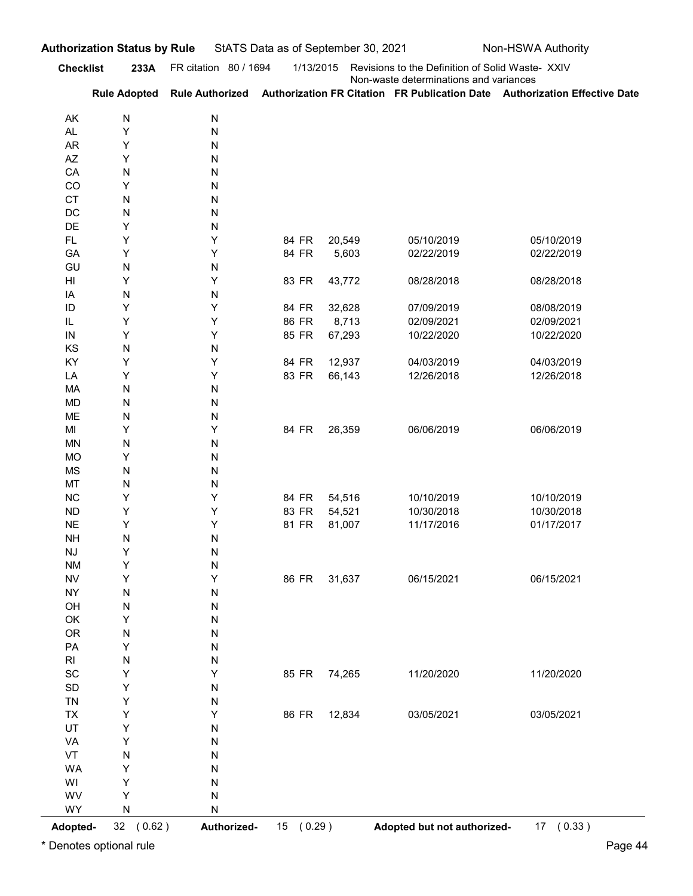|                                     | <b>Checklist</b><br>233A | FR citation 80 / 1694  | 1/13/2015      |                  | Revisions to the Definition of Solid Waste- XXIV |                                                                                                         |
|-------------------------------------|--------------------------|------------------------|----------------|------------------|--------------------------------------------------|---------------------------------------------------------------------------------------------------------|
|                                     |                          |                        |                |                  | Non-waste determinations and variances           | Rule Adopted Rule Authorized Authorization FR Citation FR Publication Date Authorization Effective Date |
| AK                                  | N                        | N                      |                |                  |                                                  |                                                                                                         |
| AL                                  | Υ                        | ${\sf N}$              |                |                  |                                                  |                                                                                                         |
| <b>AR</b>                           | Υ                        | N                      |                |                  |                                                  |                                                                                                         |
| AZ<br>CA                            | Y<br>N                   | N<br>N                 |                |                  |                                                  |                                                                                                         |
| CO                                  | Y                        | N                      |                |                  |                                                  |                                                                                                         |
| <b>CT</b>                           | N                        | N                      |                |                  |                                                  |                                                                                                         |
| DC                                  | N                        | N                      |                |                  |                                                  |                                                                                                         |
| DE<br>FL.                           | Υ<br>Υ                   | N<br>Υ                 | 84 FR          | 20,549           | 05/10/2019                                       | 05/10/2019                                                                                              |
| GA                                  | Y                        | Υ                      | 84 FR          | 5,603            | 02/22/2019                                       | 02/22/2019                                                                                              |
| GU                                  | N                        | N                      |                |                  |                                                  |                                                                                                         |
| HI                                  | Y                        | Υ                      | 83 FR          | 43,772           | 08/28/2018                                       | 08/28/2018                                                                                              |
| IA<br>ID                            | N<br>Y                   | N<br>Υ                 | 84 FR          | 32,628           | 07/09/2019                                       | 08/08/2019                                                                                              |
| IL                                  | Y                        | Υ                      | 86 FR          | 8,713            | 02/09/2021                                       | 02/09/2021                                                                                              |
| ${\sf IN}$                          | Υ                        | Υ                      | 85 FR          | 67,293           | 10/22/2020                                       | 10/22/2020                                                                                              |
| KS                                  | ${\sf N}$                | ${\sf N}$              |                |                  |                                                  |                                                                                                         |
| KY<br>LA                            | Υ<br>Υ                   | Υ<br>Υ                 | 84 FR<br>83 FR | 12,937<br>66,143 | 04/03/2019<br>12/26/2018                         | 04/03/2019<br>12/26/2018                                                                                |
| MA                                  | ${\sf N}$                | ${\sf N}$              |                |                  |                                                  |                                                                                                         |
| MD                                  | ${\sf N}$                | ${\sf N}$              |                |                  |                                                  |                                                                                                         |
| ME<br>MI                            | ${\sf N}$<br>Υ           | N<br>Υ                 | 84 FR          | 26,359           |                                                  | 06/06/2019                                                                                              |
| $\textsf{MN}{}$                     | ${\sf N}$                | N                      |                |                  | 06/06/2019                                       |                                                                                                         |
| MO                                  | Υ                        | ${\sf N}$              |                |                  |                                                  |                                                                                                         |
| MS                                  | ${\sf N}$                | ${\sf N}$              |                |                  |                                                  |                                                                                                         |
| MT                                  | ${\sf N}$                | ${\sf N}$              |                |                  |                                                  |                                                                                                         |
| NC<br><b>ND</b>                     | Υ<br>Υ                   | Υ<br>Υ                 | 84 FR<br>83 FR | 54,516<br>54,521 | 10/10/2019<br>10/30/2018                         | 10/10/2019<br>10/30/2018                                                                                |
| $N\mathsf{E}$                       | Υ                        | Υ                      | 81 FR          | 81,007           | 11/17/2016                                       | 01/17/2017                                                                                              |
| <b>NH</b>                           | ${\sf N}$                | ${\sf N}$              |                |                  |                                                  |                                                                                                         |
| $\mathsf{N}\mathsf{J}$              | Y                        | ${\sf N}$              |                |                  |                                                  |                                                                                                         |
| $\mathsf{N}\mathsf{M}$<br><b>NV</b> | Υ<br>Υ                   | ${\sf N}$<br>Υ         | 86 FR          | 31,637           | 06/15/2021                                       | 06/15/2021                                                                                              |
| <b>NY</b>                           | ${\sf N}$                | N                      |                |                  |                                                  |                                                                                                         |
| OH                                  | ${\sf N}$                | ${\sf N}$              |                |                  |                                                  |                                                                                                         |
| OK                                  | Υ                        | ${\sf N}$              |                |                  |                                                  |                                                                                                         |
| OR<br>PA                            | ${\sf N}$<br>Υ           | ${\sf N}$<br>${\sf N}$ |                |                  |                                                  |                                                                                                         |
| $\mathsf{RI}$                       | ${\sf N}$                | ${\sf N}$              |                |                  |                                                  |                                                                                                         |
| $\operatorname{\textsf{SC}}$        | Υ                        | Υ                      | 85 FR          | 74,265           | 11/20/2020                                       | 11/20/2020                                                                                              |
| $\mathsf{SD}$                       | Υ                        | ${\sf N}$              |                |                  |                                                  |                                                                                                         |
| TN<br>TX                            | Υ<br>Υ                   | ${\sf N}$<br>Υ         | 86 FR          | 12,834           | 03/05/2021                                       | 03/05/2021                                                                                              |
| UT                                  | Υ                        | ${\sf N}$              |                |                  |                                                  |                                                                                                         |
| VA                                  | Υ                        | ${\sf N}$              |                |                  |                                                  |                                                                                                         |
| VT                                  | ${\sf N}$                | ${\sf N}$              |                |                  |                                                  |                                                                                                         |
| WA                                  | Υ                        | ${\sf N}$              |                |                  |                                                  |                                                                                                         |
| WI<br>WV                            | Υ<br>Υ                   | ${\sf N}$<br>${\sf N}$ |                |                  |                                                  |                                                                                                         |
| WY                                  | ${\sf N}$                | N                      |                |                  |                                                  |                                                                                                         |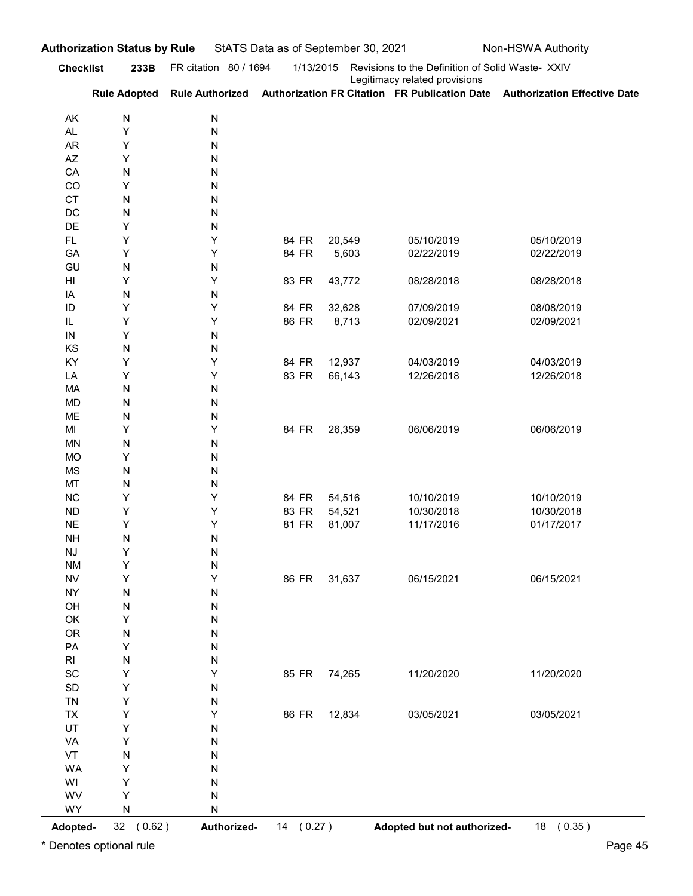| FR citation 80 / 1694<br><b>Checklist</b><br>1/13/2015<br>Revisions to the Definition of Solid Waste- XXIV<br>233B<br>Legitimacy related provisions<br>Rule Adopted Rule Authorized Authorization FR Citation FR Publication Date Authorization Effective Date<br>${\sf N}$<br>N<br>AK<br>Υ<br>N<br><b>AL</b><br><b>AR</b><br>Υ<br>N<br>$\mathsf{A}\mathsf{Z}$<br>Υ<br>Ν<br>CA<br>N<br>Ν<br>CO<br>Υ<br>Ν<br><b>CT</b><br>N<br>N<br>DC<br>N<br>N<br>DE<br>Υ<br>Ν<br>Υ<br>Υ<br>84 FR<br>20,549<br>05/10/2019<br>05/10/2019<br>FL.<br>Υ<br>84 FR<br>GA<br>Υ<br>5,603<br>02/22/2019<br>02/22/2019<br>GU<br>N<br>${\sf N}$<br>Υ<br>83 FR<br>43,772<br>Υ<br>08/28/2018<br>08/28/2018<br>HI<br>N<br>${\sf N}$<br>IA<br>Υ<br>Y<br>84 FR<br>32,628<br>07/09/2019<br>ID<br>08/08/2019<br>Υ<br>Y<br>86 FR<br>8,713<br>IL<br>02/09/2021<br>02/09/2021<br>$\sf IN$<br>Υ<br>${\sf N}$<br>KS<br>N<br>${\sf N}$<br>Υ<br>KY<br>Υ<br>84 FR<br>12,937<br>04/03/2019<br>04/03/2019<br>83 FR<br>Υ<br>Υ<br>66,143<br>12/26/2018<br>12/26/2018<br>LA<br>${\sf N}$<br>N<br>MA<br>${\sf N}$<br>${\sf N}$<br>MD<br>${\sf N}$<br>${\sf N}$<br>ME<br>Υ<br>Υ<br>84 FR<br>26,359<br>06/06/2019<br>06/06/2019<br>MI<br>${\sf N}$<br>N<br><b>MN</b><br>Y<br>N<br><b>MO</b><br>${\sf N}$<br>N<br>MS<br>MT<br>${\sf N}$<br>N<br>Υ<br>${\sf NC}$<br>Υ<br>84 FR<br>54,516<br>10/10/2019<br>10/10/2019<br>Υ<br>Υ<br>83 FR<br><b>ND</b><br>54,521<br>10/30/2018<br>10/30/2018<br>Y<br>Υ<br>81 FR<br>${\sf NE}$<br>81,007<br>11/17/2016<br>01/17/2017<br>${\sf N}$<br><b>NH</b><br>N |  |
|-----------------------------------------------------------------------------------------------------------------------------------------------------------------------------------------------------------------------------------------------------------------------------------------------------------------------------------------------------------------------------------------------------------------------------------------------------------------------------------------------------------------------------------------------------------------------------------------------------------------------------------------------------------------------------------------------------------------------------------------------------------------------------------------------------------------------------------------------------------------------------------------------------------------------------------------------------------------------------------------------------------------------------------------------------------------------------------------------------------------------------------------------------------------------------------------------------------------------------------------------------------------------------------------------------------------------------------------------------------------------------------------------------------------------------------------------------------------------------------------------------------------------------------------------|--|
|                                                                                                                                                                                                                                                                                                                                                                                                                                                                                                                                                                                                                                                                                                                                                                                                                                                                                                                                                                                                                                                                                                                                                                                                                                                                                                                                                                                                                                                                                                                                               |  |
|                                                                                                                                                                                                                                                                                                                                                                                                                                                                                                                                                                                                                                                                                                                                                                                                                                                                                                                                                                                                                                                                                                                                                                                                                                                                                                                                                                                                                                                                                                                                               |  |
|                                                                                                                                                                                                                                                                                                                                                                                                                                                                                                                                                                                                                                                                                                                                                                                                                                                                                                                                                                                                                                                                                                                                                                                                                                                                                                                                                                                                                                                                                                                                               |  |
|                                                                                                                                                                                                                                                                                                                                                                                                                                                                                                                                                                                                                                                                                                                                                                                                                                                                                                                                                                                                                                                                                                                                                                                                                                                                                                                                                                                                                                                                                                                                               |  |
|                                                                                                                                                                                                                                                                                                                                                                                                                                                                                                                                                                                                                                                                                                                                                                                                                                                                                                                                                                                                                                                                                                                                                                                                                                                                                                                                                                                                                                                                                                                                               |  |
|                                                                                                                                                                                                                                                                                                                                                                                                                                                                                                                                                                                                                                                                                                                                                                                                                                                                                                                                                                                                                                                                                                                                                                                                                                                                                                                                                                                                                                                                                                                                               |  |
|                                                                                                                                                                                                                                                                                                                                                                                                                                                                                                                                                                                                                                                                                                                                                                                                                                                                                                                                                                                                                                                                                                                                                                                                                                                                                                                                                                                                                                                                                                                                               |  |
|                                                                                                                                                                                                                                                                                                                                                                                                                                                                                                                                                                                                                                                                                                                                                                                                                                                                                                                                                                                                                                                                                                                                                                                                                                                                                                                                                                                                                                                                                                                                               |  |
|                                                                                                                                                                                                                                                                                                                                                                                                                                                                                                                                                                                                                                                                                                                                                                                                                                                                                                                                                                                                                                                                                                                                                                                                                                                                                                                                                                                                                                                                                                                                               |  |
|                                                                                                                                                                                                                                                                                                                                                                                                                                                                                                                                                                                                                                                                                                                                                                                                                                                                                                                                                                                                                                                                                                                                                                                                                                                                                                                                                                                                                                                                                                                                               |  |
|                                                                                                                                                                                                                                                                                                                                                                                                                                                                                                                                                                                                                                                                                                                                                                                                                                                                                                                                                                                                                                                                                                                                                                                                                                                                                                                                                                                                                                                                                                                                               |  |
|                                                                                                                                                                                                                                                                                                                                                                                                                                                                                                                                                                                                                                                                                                                                                                                                                                                                                                                                                                                                                                                                                                                                                                                                                                                                                                                                                                                                                                                                                                                                               |  |
|                                                                                                                                                                                                                                                                                                                                                                                                                                                                                                                                                                                                                                                                                                                                                                                                                                                                                                                                                                                                                                                                                                                                                                                                                                                                                                                                                                                                                                                                                                                                               |  |
|                                                                                                                                                                                                                                                                                                                                                                                                                                                                                                                                                                                                                                                                                                                                                                                                                                                                                                                                                                                                                                                                                                                                                                                                                                                                                                                                                                                                                                                                                                                                               |  |
|                                                                                                                                                                                                                                                                                                                                                                                                                                                                                                                                                                                                                                                                                                                                                                                                                                                                                                                                                                                                                                                                                                                                                                                                                                                                                                                                                                                                                                                                                                                                               |  |
|                                                                                                                                                                                                                                                                                                                                                                                                                                                                                                                                                                                                                                                                                                                                                                                                                                                                                                                                                                                                                                                                                                                                                                                                                                                                                                                                                                                                                                                                                                                                               |  |
|                                                                                                                                                                                                                                                                                                                                                                                                                                                                                                                                                                                                                                                                                                                                                                                                                                                                                                                                                                                                                                                                                                                                                                                                                                                                                                                                                                                                                                                                                                                                               |  |
|                                                                                                                                                                                                                                                                                                                                                                                                                                                                                                                                                                                                                                                                                                                                                                                                                                                                                                                                                                                                                                                                                                                                                                                                                                                                                                                                                                                                                                                                                                                                               |  |
|                                                                                                                                                                                                                                                                                                                                                                                                                                                                                                                                                                                                                                                                                                                                                                                                                                                                                                                                                                                                                                                                                                                                                                                                                                                                                                                                                                                                                                                                                                                                               |  |
|                                                                                                                                                                                                                                                                                                                                                                                                                                                                                                                                                                                                                                                                                                                                                                                                                                                                                                                                                                                                                                                                                                                                                                                                                                                                                                                                                                                                                                                                                                                                               |  |
|                                                                                                                                                                                                                                                                                                                                                                                                                                                                                                                                                                                                                                                                                                                                                                                                                                                                                                                                                                                                                                                                                                                                                                                                                                                                                                                                                                                                                                                                                                                                               |  |
|                                                                                                                                                                                                                                                                                                                                                                                                                                                                                                                                                                                                                                                                                                                                                                                                                                                                                                                                                                                                                                                                                                                                                                                                                                                                                                                                                                                                                                                                                                                                               |  |
|                                                                                                                                                                                                                                                                                                                                                                                                                                                                                                                                                                                                                                                                                                                                                                                                                                                                                                                                                                                                                                                                                                                                                                                                                                                                                                                                                                                                                                                                                                                                               |  |
|                                                                                                                                                                                                                                                                                                                                                                                                                                                                                                                                                                                                                                                                                                                                                                                                                                                                                                                                                                                                                                                                                                                                                                                                                                                                                                                                                                                                                                                                                                                                               |  |
|                                                                                                                                                                                                                                                                                                                                                                                                                                                                                                                                                                                                                                                                                                                                                                                                                                                                                                                                                                                                                                                                                                                                                                                                                                                                                                                                                                                                                                                                                                                                               |  |
|                                                                                                                                                                                                                                                                                                                                                                                                                                                                                                                                                                                                                                                                                                                                                                                                                                                                                                                                                                                                                                                                                                                                                                                                                                                                                                                                                                                                                                                                                                                                               |  |
|                                                                                                                                                                                                                                                                                                                                                                                                                                                                                                                                                                                                                                                                                                                                                                                                                                                                                                                                                                                                                                                                                                                                                                                                                                                                                                                                                                                                                                                                                                                                               |  |
| Υ<br>N<br>NJ                                                                                                                                                                                                                                                                                                                                                                                                                                                                                                                                                                                                                                                                                                                                                                                                                                                                                                                                                                                                                                                                                                                                                                                                                                                                                                                                                                                                                                                                                                                                  |  |
| Υ<br>N<br><b>NM</b><br>Υ<br>Υ<br>86 FR<br>31,637<br>06/15/2021<br>06/15/2021<br><b>NV</b>                                                                                                                                                                                                                                                                                                                                                                                                                                                                                                                                                                                                                                                                                                                                                                                                                                                                                                                                                                                                                                                                                                                                                                                                                                                                                                                                                                                                                                                     |  |
| ${\sf N}$<br>N<br><b>NY</b>                                                                                                                                                                                                                                                                                                                                                                                                                                                                                                                                                                                                                                                                                                                                                                                                                                                                                                                                                                                                                                                                                                                                                                                                                                                                                                                                                                                                                                                                                                                   |  |
| ${\sf N}$<br>${\sf N}$<br>OH                                                                                                                                                                                                                                                                                                                                                                                                                                                                                                                                                                                                                                                                                                                                                                                                                                                                                                                                                                                                                                                                                                                                                                                                                                                                                                                                                                                                                                                                                                                  |  |
| Υ<br>N<br>OK                                                                                                                                                                                                                                                                                                                                                                                                                                                                                                                                                                                                                                                                                                                                                                                                                                                                                                                                                                                                                                                                                                                                                                                                                                                                                                                                                                                                                                                                                                                                  |  |
| OR<br>${\sf N}$<br>${\sf N}$<br>PA<br>Υ<br>N                                                                                                                                                                                                                                                                                                                                                                                                                                                                                                                                                                                                                                                                                                                                                                                                                                                                                                                                                                                                                                                                                                                                                                                                                                                                                                                                                                                                                                                                                                  |  |
| ${\sf N}$<br>N<br>$\mathsf{RI}$                                                                                                                                                                                                                                                                                                                                                                                                                                                                                                                                                                                                                                                                                                                                                                                                                                                                                                                                                                                                                                                                                                                                                                                                                                                                                                                                                                                                                                                                                                               |  |
| Υ<br>SC<br>Υ<br>85 FR 74,265<br>11/20/2020<br>11/20/2020                                                                                                                                                                                                                                                                                                                                                                                                                                                                                                                                                                                                                                                                                                                                                                                                                                                                                                                                                                                                                                                                                                                                                                                                                                                                                                                                                                                                                                                                                      |  |
| Y<br>SD<br>N                                                                                                                                                                                                                                                                                                                                                                                                                                                                                                                                                                                                                                                                                                                                                                                                                                                                                                                                                                                                                                                                                                                                                                                                                                                                                                                                                                                                                                                                                                                                  |  |
| Υ<br>N<br><b>TN</b><br>Υ<br>86 FR<br>03/05/2021<br>03/05/2021                                                                                                                                                                                                                                                                                                                                                                                                                                                                                                                                                                                                                                                                                                                                                                                                                                                                                                                                                                                                                                                                                                                                                                                                                                                                                                                                                                                                                                                                                 |  |
| Υ<br>12,834<br><b>TX</b><br>UT<br>Υ<br>N                                                                                                                                                                                                                                                                                                                                                                                                                                                                                                                                                                                                                                                                                                                                                                                                                                                                                                                                                                                                                                                                                                                                                                                                                                                                                                                                                                                                                                                                                                      |  |
| Υ<br>N<br>VA                                                                                                                                                                                                                                                                                                                                                                                                                                                                                                                                                                                                                                                                                                                                                                                                                                                                                                                                                                                                                                                                                                                                                                                                                                                                                                                                                                                                                                                                                                                                  |  |
| ${\sf N}$<br>VT<br>N                                                                                                                                                                                                                                                                                                                                                                                                                                                                                                                                                                                                                                                                                                                                                                                                                                                                                                                                                                                                                                                                                                                                                                                                                                                                                                                                                                                                                                                                                                                          |  |
| Υ<br>N<br><b>WA</b>                                                                                                                                                                                                                                                                                                                                                                                                                                                                                                                                                                                                                                                                                                                                                                                                                                                                                                                                                                                                                                                                                                                                                                                                                                                                                                                                                                                                                                                                                                                           |  |
| Υ<br>N<br>WI<br>N<br>WV<br>Υ                                                                                                                                                                                                                                                                                                                                                                                                                                                                                                                                                                                                                                                                                                                                                                                                                                                                                                                                                                                                                                                                                                                                                                                                                                                                                                                                                                                                                                                                                                                  |  |
| N<br>WY<br>${\sf N}$                                                                                                                                                                                                                                                                                                                                                                                                                                                                                                                                                                                                                                                                                                                                                                                                                                                                                                                                                                                                                                                                                                                                                                                                                                                                                                                                                                                                                                                                                                                          |  |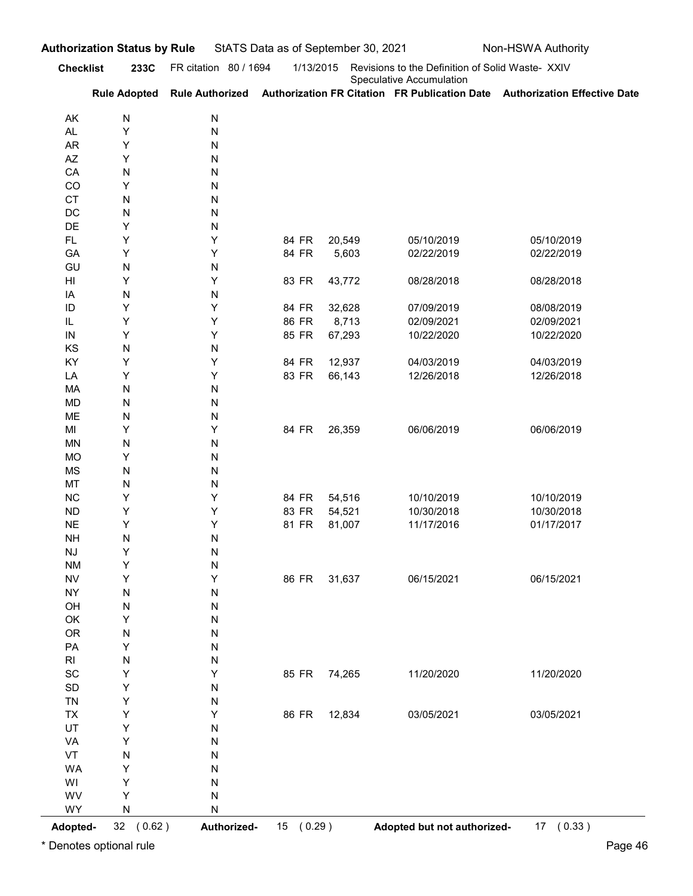|                                     | 233C                   | FR citation 80 / 1694 | 1/13/2015      |                 | Revisions to the Definition of Solid Waste- XXIV |                                                                                                         |
|-------------------------------------|------------------------|-----------------------|----------------|-----------------|--------------------------------------------------|---------------------------------------------------------------------------------------------------------|
| <b>Checklist</b>                    |                        |                       |                |                 | Speculative Accumulation                         | Rule Adopted Rule Authorized Authorization FR Citation FR Publication Date Authorization Effective Date |
|                                     |                        |                       |                |                 |                                                  |                                                                                                         |
| AK<br>AL                            | N<br>Υ                 | N<br>N                |                |                 |                                                  |                                                                                                         |
| AR                                  | Υ                      | Ν                     |                |                 |                                                  |                                                                                                         |
| AZ                                  | Υ                      | Ν                     |                |                 |                                                  |                                                                                                         |
| CA<br>CO                            | N<br>Υ                 | Ν<br>Ν                |                |                 |                                                  |                                                                                                         |
| <b>CT</b>                           | N                      | Ν                     |                |                 |                                                  |                                                                                                         |
| DC                                  | N                      | Ν                     |                |                 |                                                  |                                                                                                         |
| DE                                  | Υ                      | Ν                     |                |                 |                                                  |                                                                                                         |
| FL.<br>GA                           | Υ<br>Υ                 | Υ<br>Y                | 84 FR<br>84 FR | 20,549<br>5,603 | 05/10/2019<br>02/22/2019                         | 05/10/2019<br>02/22/2019                                                                                |
| GU                                  | N                      | N                     |                |                 |                                                  |                                                                                                         |
| HI                                  | Υ                      | Υ                     | 83 FR          | 43,772          | 08/28/2018                                       | 08/28/2018                                                                                              |
| IA                                  | N                      | Ν                     |                |                 |                                                  |                                                                                                         |
| ID                                  | Υ                      | Y                     | 84 FR          | 32,628          | 07/09/2019                                       | 08/08/2019                                                                                              |
| IL<br>${\sf IN}$                    | Υ<br>Υ                 | Y<br>Υ                | 86 FR<br>85 FR | 8,713<br>67,293 | 02/09/2021<br>10/22/2020                         | 02/09/2021<br>10/22/2020                                                                                |
| KS                                  | ${\sf N}$              | N                     |                |                 |                                                  |                                                                                                         |
| KY                                  | Υ                      | Υ                     | 84 FR          | 12,937          | 04/03/2019                                       | 04/03/2019                                                                                              |
| LA                                  | Υ                      | Υ                     | 83 FR          | 66,143          | 12/26/2018                                       | 12/26/2018                                                                                              |
| MA<br>MD                            | ${\sf N}$<br>${\sf N}$ | N<br>N                |                |                 |                                                  |                                                                                                         |
| ME                                  | ${\sf N}$              | N                     |                |                 |                                                  |                                                                                                         |
| MI                                  | Υ                      | Υ                     | 84 FR          | 26,359          | 06/06/2019                                       | 06/06/2019                                                                                              |
| <b>MN</b>                           | ${\sf N}$              | N                     |                |                 |                                                  |                                                                                                         |
| MO<br>MS                            | Υ<br>${\sf N}$         | N<br>N                |                |                 |                                                  |                                                                                                         |
| MT                                  | ${\sf N}$              | N                     |                |                 |                                                  |                                                                                                         |
| ${\sf NC}$                          | Υ                      | Υ                     | 84 FR          | 54,516          | 10/10/2019                                       | 10/10/2019                                                                                              |
| <b>ND</b>                           | Υ                      | Υ                     | 83 FR          | 54,521          | 10/30/2018                                       | 10/30/2018                                                                                              |
| $N\mathsf{E}$                       | Υ                      | Υ                     | 81 FR          | 81,007          | 11/17/2016                                       | 01/17/2017                                                                                              |
| <b>NH</b><br>$\mathsf{N}\mathsf{J}$ | ${\sf N}$<br>Υ         | N<br>N                |                |                 |                                                  |                                                                                                         |
| <b>NM</b>                           | Υ                      | N                     |                |                 |                                                  |                                                                                                         |
| <b>NV</b>                           | Υ                      | Υ                     | 86 FR          | 31,637          | 06/15/2021                                       | 06/15/2021                                                                                              |
| <b>NY</b>                           | ${\sf N}$              | N                     |                |                 |                                                  |                                                                                                         |
| OH<br>OK                            | ${\sf N}$<br>Υ         | N<br>N                |                |                 |                                                  |                                                                                                         |
| OR                                  | ${\sf N}$              | N                     |                |                 |                                                  |                                                                                                         |
| PA                                  | Υ                      | N                     |                |                 |                                                  |                                                                                                         |
| $\mathsf{RI}$                       | ${\sf N}$              | N                     |                |                 |                                                  |                                                                                                         |
| SC                                  | Υ                      | Υ                     | 85 FR 74,265   |                 | 11/20/2020                                       | 11/20/2020                                                                                              |
| SD<br><b>TN</b>                     | Υ<br>Υ                 | N<br>N                |                |                 |                                                  |                                                                                                         |
| <b>TX</b>                           | Υ                      | Υ                     | 86 FR          | 12,834          | 03/05/2021                                       | 03/05/2021                                                                                              |
| UT                                  | Υ                      | N                     |                |                 |                                                  |                                                                                                         |
| VA                                  | Υ                      | N                     |                |                 |                                                  |                                                                                                         |
| VT                                  | ${\sf N}$              | N                     |                |                 |                                                  |                                                                                                         |
| <b>WA</b><br>WI                     | Υ<br>Υ                 | N<br>N                |                |                 |                                                  |                                                                                                         |
| WV                                  | Υ                      | N                     |                |                 |                                                  |                                                                                                         |
| WY                                  | ${\sf N}$              | N                     |                |                 |                                                  |                                                                                                         |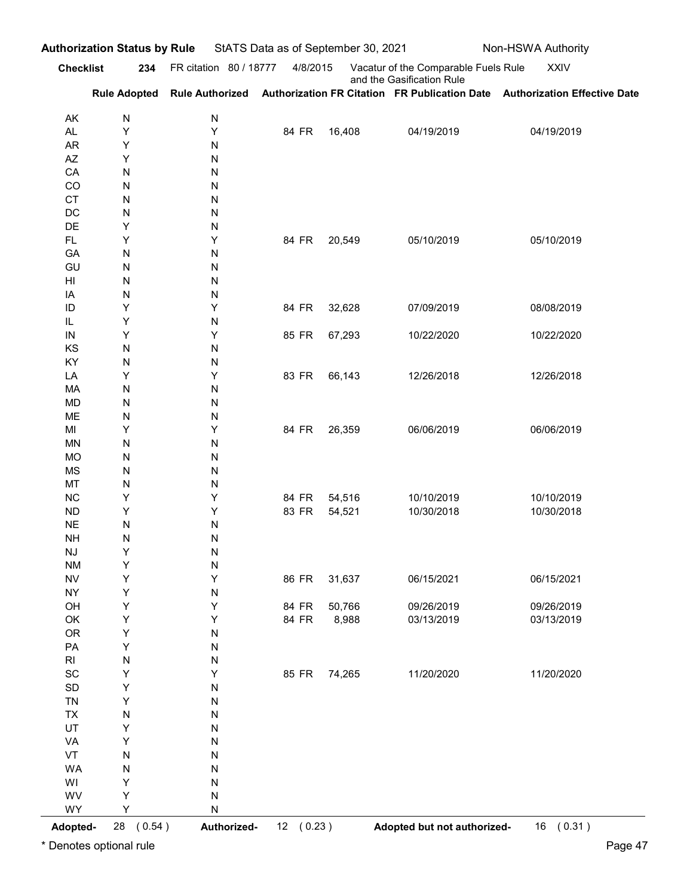| <b>Checklist</b>                    |                        | 234 FR citation 80 / 18777 | 4/8/2015 |        | Vacatur of the Comparable Fuels Rule | <b>XXIV</b>                                                                                             |
|-------------------------------------|------------------------|----------------------------|----------|--------|--------------------------------------|---------------------------------------------------------------------------------------------------------|
|                                     |                        |                            |          |        | and the Gasification Rule            | Rule Adopted Rule Authorized Authorization FR Citation FR Publication Date Authorization Effective Date |
|                                     |                        |                            |          |        |                                      |                                                                                                         |
| AK<br>AL                            | N<br>Υ                 | ${\sf N}$<br>Υ             | 84 FR    | 16,408 | 04/19/2019                           | 04/19/2019                                                                                              |
| AR                                  | Υ                      | N                          |          |        |                                      |                                                                                                         |
| AZ<br>CA                            | Y<br>${\sf N}$         | N<br>N                     |          |        |                                      |                                                                                                         |
| CO                                  | ${\sf N}$              | ${\sf N}$                  |          |        |                                      |                                                                                                         |
| <b>CT</b>                           | ${\sf N}$              | ${\sf N}$                  |          |        |                                      |                                                                                                         |
| DC<br>DE                            | ${\sf N}$<br>Υ         | N<br>N                     |          |        |                                      |                                                                                                         |
| <b>FL</b>                           | Υ                      | Υ                          | 84 FR    | 20,549 | 05/10/2019                           | 05/10/2019                                                                                              |
| GA                                  | N                      | N                          |          |        |                                      |                                                                                                         |
| GU<br>HI                            | N<br>N                 | N<br>N                     |          |        |                                      |                                                                                                         |
| IA                                  | N                      | N                          |          |        |                                      |                                                                                                         |
| ID                                  | Y                      | Y                          | 84 FR    | 32,628 | 07/09/2019                           | 08/08/2019                                                                                              |
| IL<br>${\sf IN}$                    | Υ<br>Υ                 | N<br>Υ                     | 85 FR    | 67,293 | 10/22/2020                           | 10/22/2020                                                                                              |
| KS                                  | N                      | ${\sf N}$                  |          |        |                                      |                                                                                                         |
| KY                                  | $\mathsf{N}$           | ${\sf N}$                  |          |        |                                      |                                                                                                         |
| LA<br>MA                            | Υ<br>$\mathsf{N}$      | Υ<br>${\sf N}$             | 83 FR    | 66,143 | 12/26/2018                           | 12/26/2018                                                                                              |
| <b>MD</b>                           | N                      | ${\sf N}$                  |          |        |                                      |                                                                                                         |
| ME                                  | $\mathsf{N}$           | ${\sf N}$                  |          |        |                                      |                                                                                                         |
| MI<br><b>MN</b>                     | Υ<br>$\mathsf{N}$      | Υ<br>${\sf N}$             | 84 FR    | 26,359 | 06/06/2019                           | 06/06/2019                                                                                              |
| <b>MO</b>                           | $\mathsf{N}$           | ${\sf N}$                  |          |        |                                      |                                                                                                         |
| <b>MS</b>                           | $\mathsf{N}$           | ${\sf N}$                  |          |        |                                      |                                                                                                         |
| MT<br>NC                            | $\mathsf{N}$<br>Υ      | ${\sf N}$<br>Υ             | 84 FR    | 54,516 | 10/10/2019                           | 10/10/2019                                                                                              |
| ND                                  | Υ                      | Υ                          | 83 FR    | 54,521 | 10/30/2018                           | 10/30/2018                                                                                              |
| $\sf NE$                            | $\mathsf{N}$           | ${\sf N}$                  |          |        |                                      |                                                                                                         |
| <b>NH</b><br>$\mathsf{N}\mathsf{J}$ | $\mathsf{N}$<br>Υ      | ${\sf N}$<br>${\sf N}$     |          |        |                                      |                                                                                                         |
| <b>NM</b>                           | $\sf Y$                | ${\sf N}$                  |          |        |                                      |                                                                                                         |
| ${\sf NV}$                          | Y                      | Υ                          | 86 FR    | 31,637 | 06/15/2021                           | 06/15/2021                                                                                              |
| <b>NY</b><br>OH                     | Y<br>Y                 | ${\sf N}$<br>Υ             | 84 FR    | 50,766 | 09/26/2019                           | 09/26/2019                                                                                              |
| OK                                  | Y                      | Υ                          | 84 FR    | 8,988  | 03/13/2019                           | 03/13/2019                                                                                              |
| OR                                  | $\sf Y$                | ${\sf N}$                  |          |        |                                      |                                                                                                         |
| PA<br>$\mathsf{RI}$                 | $\sf Y$<br>${\sf N}$   | ${\sf N}$<br>${\sf N}$     |          |        |                                      |                                                                                                         |
| $\operatorname{\textsf{SC}}$        | Υ                      | Υ                          | 85 FR    | 74,265 | 11/20/2020                           | 11/20/2020                                                                                              |
| $\mathsf{SD}$                       | $\sf Y$                | ${\sf N}$                  |          |        |                                      |                                                                                                         |
| <b>TN</b><br>${\sf TX}$             | $\sf Y$<br>${\sf N}$   | ${\sf N}$<br>${\sf N}$     |          |        |                                      |                                                                                                         |
| UT                                  | Υ                      | ${\sf N}$                  |          |        |                                      |                                                                                                         |
| VA                                  | Υ                      | ${\sf N}$                  |          |        |                                      |                                                                                                         |
| VT<br>WA                            | ${\sf N}$<br>${\sf N}$ | ${\sf N}$<br>${\sf N}$     |          |        |                                      |                                                                                                         |
| WI                                  | Υ                      | ${\sf N}$                  |          |        |                                      |                                                                                                         |
| WV                                  | Υ                      | ${\sf N}$                  |          |        |                                      |                                                                                                         |
| WY                                  | Υ                      | ${\sf N}$                  |          |        |                                      |                                                                                                         |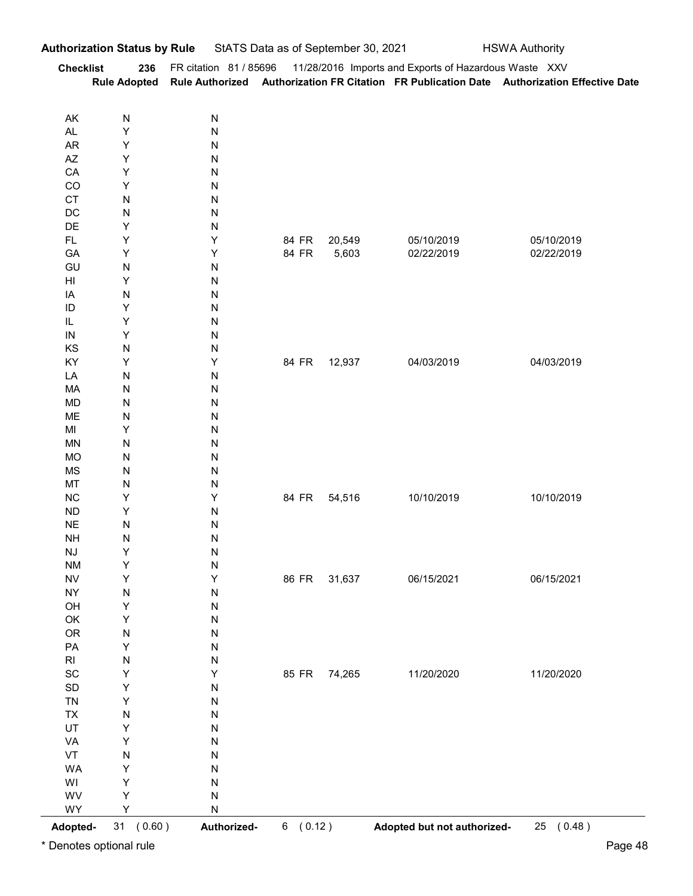| <b>Checklist</b>                                                                                            | uthorization Status by Rule<br>236 |                        | StATS Data as of September 30, 2021 |              |                                                                                                                                                                                         | <b>HSWA Authority</b> |
|-------------------------------------------------------------------------------------------------------------|------------------------------------|------------------------|-------------------------------------|--------------|-----------------------------------------------------------------------------------------------------------------------------------------------------------------------------------------|-----------------------|
|                                                                                                             |                                    |                        |                                     |              |                                                                                                                                                                                         |                       |
|                                                                                                             |                                    |                        |                                     |              | FR citation 81 / 85696 11/28/2016 Imports and Exports of Hazardous Waste XXV<br>Rule Adopted Rule Authorized Authorization FR Citation FR Publication Date Authorization Effective Date |                       |
|                                                                                                             |                                    |                        |                                     |              |                                                                                                                                                                                         |                       |
| AK<br>$\mathsf{AL}$                                                                                         | ${\sf N}$<br>Υ                     | ${\sf N}$<br>${\sf N}$ |                                     |              |                                                                                                                                                                                         |                       |
| <b>AR</b>                                                                                                   | Υ                                  | ${\sf N}$              |                                     |              |                                                                                                                                                                                         |                       |
| $\mathsf{A}\mathsf{Z}$                                                                                      | Υ                                  | ${\sf N}$              |                                     |              |                                                                                                                                                                                         |                       |
| CA<br>CO                                                                                                    | Υ<br>Υ                             | ${\sf N}$<br>${\sf N}$ |                                     |              |                                                                                                                                                                                         |                       |
| CT                                                                                                          | N                                  | ${\sf N}$              |                                     |              |                                                                                                                                                                                         |                       |
| DC                                                                                                          | ${\sf N}$                          | ${\sf N}$              |                                     |              |                                                                                                                                                                                         |                       |
| DE<br>$\mathsf{FL}{}$                                                                                       | Υ<br>Υ                             | ${\sf N}$<br>Υ         | 84 FR                               | 20,549       | 05/10/2019                                                                                                                                                                              | 05/10/2019            |
| GA                                                                                                          | Υ                                  | Υ                      | 84 FR                               | 5,603        | 02/22/2019                                                                                                                                                                              | 02/22/2019            |
| GU                                                                                                          | ${\sf N}$                          | ${\sf N}$              |                                     |              |                                                                                                                                                                                         |                       |
| $\mathsf{H}\mathsf{I}$                                                                                      | Υ                                  | ${\sf N}$              |                                     |              |                                                                                                                                                                                         |                       |
| $\sf IA$<br>$\sf ID$                                                                                        | ${\sf N}$<br>Y                     | ${\sf N}$<br>${\sf N}$ |                                     |              |                                                                                                                                                                                         |                       |
| IL.                                                                                                         | Y                                  | ${\sf N}$              |                                     |              |                                                                                                                                                                                         |                       |
| $\sf IN$                                                                                                    | Υ                                  | ${\sf N}$              |                                     |              |                                                                                                                                                                                         |                       |
| KS<br>KY                                                                                                    | ${\sf N}$<br>Υ                     | ${\sf N}$<br>$\sf Y$   |                                     | 84 FR 12,937 | 04/03/2019                                                                                                                                                                              | 04/03/2019            |
| LA                                                                                                          | ${\sf N}$                          | ${\sf N}$              |                                     |              |                                                                                                                                                                                         |                       |
| MA                                                                                                          | ${\sf N}$                          | ${\sf N}$              |                                     |              |                                                                                                                                                                                         |                       |
| MD<br>ME                                                                                                    | ${\sf N}$<br>${\sf N}$             | ${\sf N}$<br>${\sf N}$ |                                     |              |                                                                                                                                                                                         |                       |
| $\mathsf{MI}% _{T}=\mathsf{M}_{T}\!\left( a,b\right) ,\ \mathsf{M}_{T}=\mathsf{M}_{T}\!\left( a,b\right) ,$ | Y                                  | ${\sf N}$              |                                     |              |                                                                                                                                                                                         |                       |
| $\textsf{MN}$                                                                                               | ${\sf N}$                          | ${\sf N}$              |                                     |              |                                                                                                                                                                                         |                       |
| MO                                                                                                          | ${\sf N}$                          | ${\sf N}$              |                                     |              |                                                                                                                                                                                         |                       |
| $\mathsf{MS}\xspace$<br>MT                                                                                  | ${\sf N}$<br>${\sf N}$             | ${\sf N}$<br>${\sf N}$ |                                     |              |                                                                                                                                                                                         |                       |
| NC                                                                                                          | Υ                                  | $\sf Y$                | 84 FR                               | 54,516       | 10/10/2019                                                                                                                                                                              | 10/10/2019            |
| <b>ND</b>                                                                                                   | $\sf Y$                            | ${\sf N}$              |                                     |              |                                                                                                                                                                                         |                       |
| <b>NE</b><br><b>NH</b>                                                                                      | ${\sf N}$<br>${\sf N}$             | ${\sf N}$<br>${\sf N}$ |                                     |              |                                                                                                                                                                                         |                       |
| $\mathsf{N}\mathsf{J}$                                                                                      | Y                                  | ${\sf N}$              |                                     |              |                                                                                                                                                                                         |                       |
| <b>NM</b>                                                                                                   | $\sf Y$                            | ${\sf N}$              |                                     |              |                                                                                                                                                                                         |                       |
| <b>NV</b><br><b>NY</b>                                                                                      | $\sf Y$<br>${\sf N}$               | $\sf Y$<br>${\sf N}$   |                                     | 86 FR 31,637 | 06/15/2021                                                                                                                                                                              | 06/15/2021            |
| OH                                                                                                          | Y                                  | ${\sf N}$              |                                     |              |                                                                                                                                                                                         |                       |
| $\mathsf{OK}% _{\mathsf{CL}}\times\mathsf{CK}_{\mathsf{CL}}^{\mathsf{CL}}(\mathsf{CL})$                     | $\sf Y$                            | ${\sf N}$              |                                     |              |                                                                                                                                                                                         |                       |
| OR                                                                                                          | ${\sf N}$                          | ${\sf N}$              |                                     |              |                                                                                                                                                                                         |                       |
| PA<br>$\mathsf{RI}$                                                                                         | Y<br>${\sf N}$                     | ${\sf N}$<br>${\sf N}$ |                                     |              |                                                                                                                                                                                         |                       |
| SC                                                                                                          | Y                                  | $\sf Y$                |                                     | 85 FR 74,265 | 11/20/2020                                                                                                                                                                              | 11/20/2020            |
| SD                                                                                                          | $\sf Y$                            | ${\sf N}$              |                                     |              |                                                                                                                                                                                         |                       |
| TN                                                                                                          | $\sf Y$                            | ${\sf N}$              |                                     |              |                                                                                                                                                                                         |                       |
| ${\sf TX}$<br>UT                                                                                            | ${\sf N}$<br>Υ                     | ${\sf N}$<br>${\sf N}$ |                                     |              |                                                                                                                                                                                         |                       |
| VA                                                                                                          | $\sf Y$                            | ${\sf N}$              |                                     |              |                                                                                                                                                                                         |                       |
| ${\sf VT}$                                                                                                  | ${\sf N}$                          | ${\sf N}$              |                                     |              |                                                                                                                                                                                         |                       |
| <b>WA</b><br>WI                                                                                             | Y<br>Υ                             | ${\sf N}$<br>${\sf N}$ |                                     |              |                                                                                                                                                                                         |                       |
| WV                                                                                                          | $\sf Y$                            | ${\sf N}$              |                                     |              |                                                                                                                                                                                         |                       |
| WY                                                                                                          | Y                                  | ${\sf N}$              |                                     |              |                                                                                                                                                                                         |                       |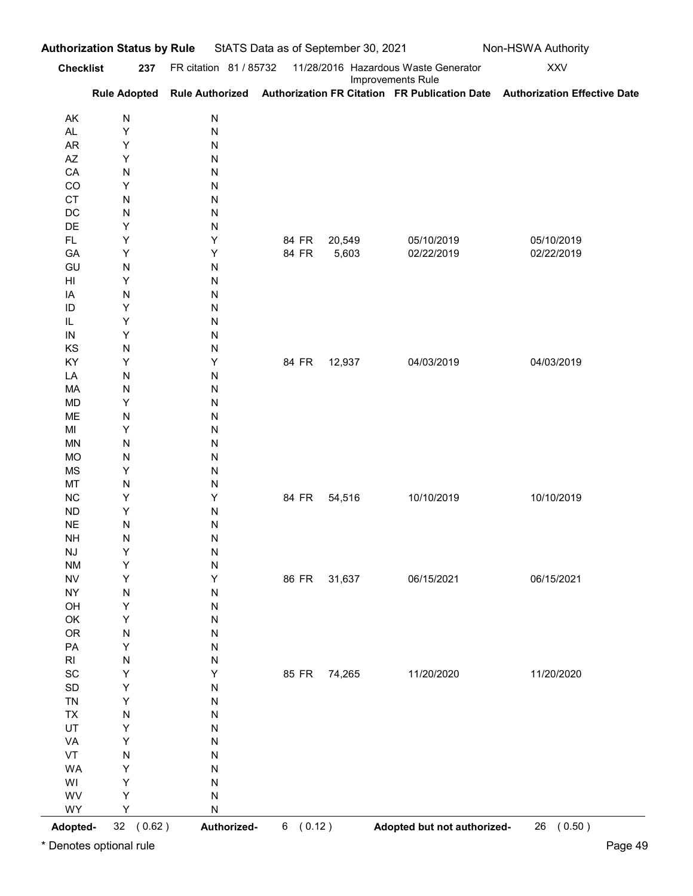|                                               | <b>Checklist</b>             | 237 FR citation 81 / 85732 |                |                 | 11/28/2016 Hazardous Waste Generator | <b>XXV</b>                                                                                              |
|-----------------------------------------------|------------------------------|----------------------------|----------------|-----------------|--------------------------------------|---------------------------------------------------------------------------------------------------------|
|                                               |                              |                            |                |                 | Improvements Rule                    | Rule Adopted Rule Authorized Authorization FR Citation FR Publication Date Authorization Effective Date |
| AK                                            | N                            | ${\sf N}$                  |                |                 |                                      |                                                                                                         |
| AL<br>AR                                      | Υ<br>Υ                       | ${\sf N}$<br>${\sf N}$     |                |                 |                                      |                                                                                                         |
| AZ                                            | Υ                            | ${\sf N}$                  |                |                 |                                      |                                                                                                         |
| CA                                            | ${\sf N}$                    | ${\sf N}$                  |                |                 |                                      |                                                                                                         |
| CO<br><b>CT</b>                               | Υ<br>${\sf N}$               | ${\sf N}$<br>${\sf N}$     |                |                 |                                      |                                                                                                         |
| DC                                            | ${\sf N}$                    | ${\sf N}$                  |                |                 |                                      |                                                                                                         |
| DE                                            | Υ                            | ${\sf N}$                  |                |                 |                                      |                                                                                                         |
| FL.<br>GA                                     | Υ<br>Υ                       | Υ<br>Υ                     | 84 FR<br>84 FR | 20,549<br>5,603 | 05/10/2019<br>02/22/2019             | 05/10/2019<br>02/22/2019                                                                                |
| GU                                            | ${\sf N}$                    | ${\sf N}$                  |                |                 |                                      |                                                                                                         |
| HI                                            | Υ                            | ${\sf N}$                  |                |                 |                                      |                                                                                                         |
| IA<br>ID                                      | ${\sf N}$<br>Υ               | ${\sf N}$<br>${\sf N}$     |                |                 |                                      |                                                                                                         |
| IL                                            | Y                            | ${\sf N}$                  |                |                 |                                      |                                                                                                         |
| ${\sf IN}$<br>KS                              | Υ<br>N                       | ${\sf N}$<br>$\mathsf{N}$  |                |                 |                                      |                                                                                                         |
| KY                                            | Y                            | Υ                          |                | 84 FR 12,937    | 04/03/2019                           | 04/03/2019                                                                                              |
| LA                                            | N                            | ${\sf N}$                  |                |                 |                                      |                                                                                                         |
| MA<br><b>MD</b>                               | $\mathsf{N}$<br>Υ            | ${\sf N}$<br>${\sf N}$     |                |                 |                                      |                                                                                                         |
| ME                                            | N                            | ${\sf N}$                  |                |                 |                                      |                                                                                                         |
| $\mathsf{MI}$                                 | Υ                            | ${\sf N}$                  |                |                 |                                      |                                                                                                         |
| <b>MN</b><br>MO                               | $\mathsf{N}$<br>$\mathsf{N}$ | ${\sf N}$<br>${\sf N}$     |                |                 |                                      |                                                                                                         |
| <b>MS</b>                                     | Y                            | ${\sf N}$                  |                |                 |                                      |                                                                                                         |
| MT                                            | $\mathsf{N}$                 | ${\sf N}$                  |                |                 |                                      |                                                                                                         |
| $NC$<br>${\sf ND}$                            | Υ<br>Υ                       | Y<br>${\sf N}$             | 84 FR          | 54,516          | 10/10/2019                           | 10/10/2019                                                                                              |
| $\sf NE$                                      | N                            | ${\sf N}$                  |                |                 |                                      |                                                                                                         |
| <b>NH</b>                                     | $\mathsf{N}$                 | ${\sf N}$                  |                |                 |                                      |                                                                                                         |
| $\mathsf{N}\mathsf{J}$<br><b>NM</b>           | Y<br>Υ                       | ${\sf N}$<br>${\sf N}$     |                |                 |                                      |                                                                                                         |
| ${\sf NV}$                                    | Y                            | Υ                          | 86 FR          | 31,637          | 06/15/2021                           | 06/15/2021                                                                                              |
| ${\sf NY}$                                    | N                            | ${\sf N}$                  |                |                 |                                      |                                                                                                         |
| OH<br>OK                                      | Y<br>Y                       | ${\sf N}$<br>${\sf N}$     |                |                 |                                      |                                                                                                         |
| OR                                            | ${\sf N}$                    | ${\sf N}$                  |                |                 |                                      |                                                                                                         |
| ${\sf PA}$                                    | Y                            | ${\sf N}$                  |                |                 |                                      |                                                                                                         |
| $\mathsf{RI}$<br>$\operatorname{\textsf{SC}}$ | ${\sf N}$<br>Υ               | ${\sf N}$<br>Υ             |                | 85 FR 74,265    | 11/20/2020                           | 11/20/2020                                                                                              |
| $\mathsf{SD}$                                 | Υ                            | ${\sf N}$                  |                |                 |                                      |                                                                                                         |
| ${\sf TN}$                                    | Y                            | ${\sf N}$                  |                |                 |                                      |                                                                                                         |
| ${\sf TX}$<br>UT                              | ${\sf N}$<br>Υ               | ${\sf N}$                  |                |                 |                                      |                                                                                                         |
| VA                                            | Υ                            | ${\sf N}$<br>${\sf N}$     |                |                 |                                      |                                                                                                         |
| VT                                            | ${\sf N}$                    | ${\sf N}$                  |                |                 |                                      |                                                                                                         |
| WA                                            | Υ                            | ${\sf N}$                  |                |                 |                                      |                                                                                                         |
| WI<br>WV                                      | Υ<br>Υ                       | ${\sf N}$<br>${\sf N}$     |                |                 |                                      |                                                                                                         |
| WY                                            | Y                            | ${\sf N}$                  |                |                 |                                      |                                                                                                         |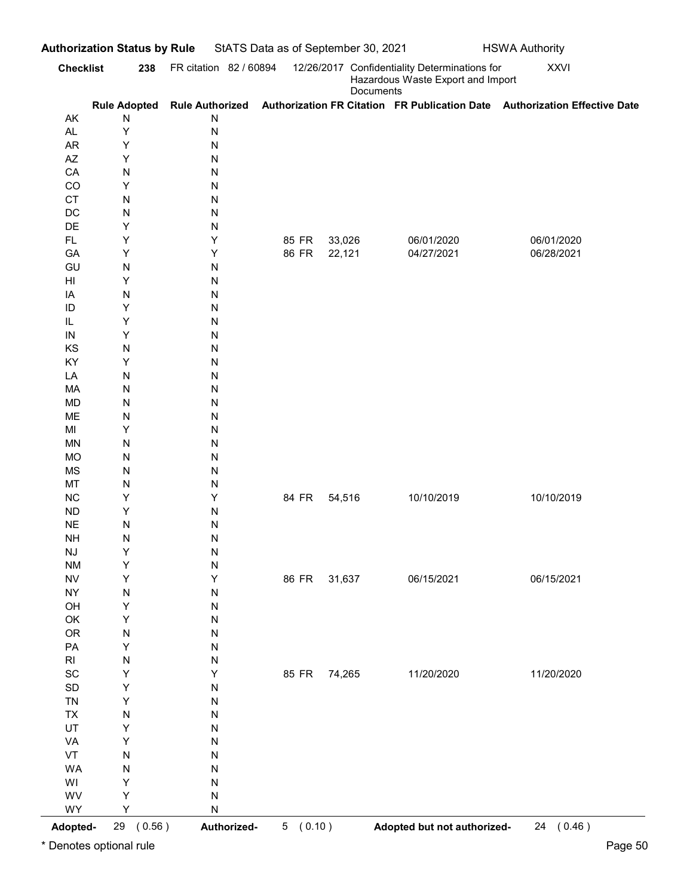| AK                           |                   | FR citation 82 / 60894 |              |        | 12/26/2017 Confidentiality Determinations for  | <b>XXVI</b>                                                                                             |
|------------------------------|-------------------|------------------------|--------------|--------|------------------------------------------------|---------------------------------------------------------------------------------------------------------|
|                              |                   |                        |              |        | Hazardous Waste Export and Import<br>Documents |                                                                                                         |
|                              | N                 | N                      |              |        |                                                | Rule Adopted Rule Authorized Authorization FR Citation FR Publication Date Authorization Effective Date |
| <b>AL</b>                    | Υ                 | ${\sf N}$              |              |        |                                                |                                                                                                         |
| AR                           | Υ                 | N                      |              |        |                                                |                                                                                                         |
| AZ<br>CA                     | Υ<br>$\mathsf{N}$ | N<br>N                 |              |        |                                                |                                                                                                         |
| CO                           | Υ                 | N                      |              |        |                                                |                                                                                                         |
| <b>CT</b>                    | $\mathsf{N}$      | N                      |              |        |                                                |                                                                                                         |
| DC                           | ${\sf N}$         | N                      |              |        |                                                |                                                                                                         |
| DE<br>FL.                    | Υ<br>Υ            | N<br>Υ                 | 85 FR        | 33,026 | 06/01/2020                                     | 06/01/2020                                                                                              |
| GA                           | Υ                 | Υ                      | 86 FR        | 22,121 | 04/27/2021                                     | 06/28/2021                                                                                              |
| GU                           | $\mathsf{N}$      | N                      |              |        |                                                |                                                                                                         |
| HI                           | Υ                 | N                      |              |        |                                                |                                                                                                         |
| IA<br>ID                     | ${\sf N}$<br>Υ    | N<br>N                 |              |        |                                                |                                                                                                         |
| IL                           | Υ                 | N                      |              |        |                                                |                                                                                                         |
| $\sf IN$                     | Υ                 | ${\sf N}$              |              |        |                                                |                                                                                                         |
| KS                           | $\mathsf{N}$      | ${\sf N}$              |              |        |                                                |                                                                                                         |
| KY<br>LA                     | Υ<br>$\mathsf{N}$ | ${\sf N}$<br>${\sf N}$ |              |        |                                                |                                                                                                         |
| MA                           | $\mathsf{N}$      | ${\sf N}$              |              |        |                                                |                                                                                                         |
| <b>MD</b>                    | $\mathsf{N}$      | ${\sf N}$              |              |        |                                                |                                                                                                         |
| ME                           | $\mathsf{N}$      | ${\sf N}$              |              |        |                                                |                                                                                                         |
| MI<br><b>MN</b>              | Υ<br>$\mathsf{N}$ | ${\sf N}$<br>${\sf N}$ |              |        |                                                |                                                                                                         |
| <b>MO</b>                    | ${\sf N}$         | ${\sf N}$              |              |        |                                                |                                                                                                         |
| MS                           | $\mathsf{N}$      | ${\sf N}$              |              |        |                                                |                                                                                                         |
| MT                           | N                 | ${\sf N}$              |              |        |                                                |                                                                                                         |
| ${\sf NC}$<br>${\sf ND}$     | Y<br>Υ            | Υ<br>${\sf N}$         | 84 FR        | 54,516 | 10/10/2019                                     | 10/10/2019                                                                                              |
| $\sf NE$                     | $\mathsf{N}$      | ${\sf N}$              |              |        |                                                |                                                                                                         |
| $\mathsf{NH}\,$              | N                 | ${\sf N}$              |              |        |                                                |                                                                                                         |
| $\mathsf{N}\mathsf{J}$       | Y                 | ${\sf N}$              |              |        |                                                |                                                                                                         |
| <b>NM</b><br><b>NV</b>       | Y<br>Y            | ${\sf N}$<br>Υ         | 86 FR        | 31,637 | 06/15/2021                                     | 06/15/2021                                                                                              |
| <b>NY</b>                    | N                 | ${\sf N}$              |              |        |                                                |                                                                                                         |
| OH                           | Y                 | ${\sf N}$              |              |        |                                                |                                                                                                         |
| OK                           | Y                 | ${\sf N}$              |              |        |                                                |                                                                                                         |
| OR<br>PA                     | ${\sf N}$<br>Y    | ${\sf N}$<br>${\sf N}$ |              |        |                                                |                                                                                                         |
| $\mathsf{RI}$                | ${\sf N}$         | ${\sf N}$              |              |        |                                                |                                                                                                         |
| $\operatorname{\textsf{SC}}$ | Y                 | Υ                      | 85 FR 74,265 |        | 11/20/2020                                     | 11/20/2020                                                                                              |
| $\mathsf{SD}$                | Y                 | ${\sf N}$              |              |        |                                                |                                                                                                         |
| <b>TN</b><br><b>TX</b>       | Υ<br>${\sf N}$    | N<br>N                 |              |        |                                                |                                                                                                         |
| UT                           | Υ                 | N                      |              |        |                                                |                                                                                                         |
| VA                           | Υ                 | ${\sf N}$              |              |        |                                                |                                                                                                         |
| VT                           | $\mathsf{N}$      | ${\sf N}$              |              |        |                                                |                                                                                                         |
| WA<br>WI                     | $\mathsf{N}$<br>Υ | ${\sf N}$<br>${\sf N}$ |              |        |                                                |                                                                                                         |
| WV                           | Υ                 | ${\sf N}$              |              |        |                                                |                                                                                                         |
| WY                           | Υ                 | ${\sf N}$              |              |        |                                                |                                                                                                         |
| Adopted-                     | 29 (0.56)         | Authorized-            | 5(0.10)      |        | Adopted but not authorized-                    | 24 (0.46)                                                                                               |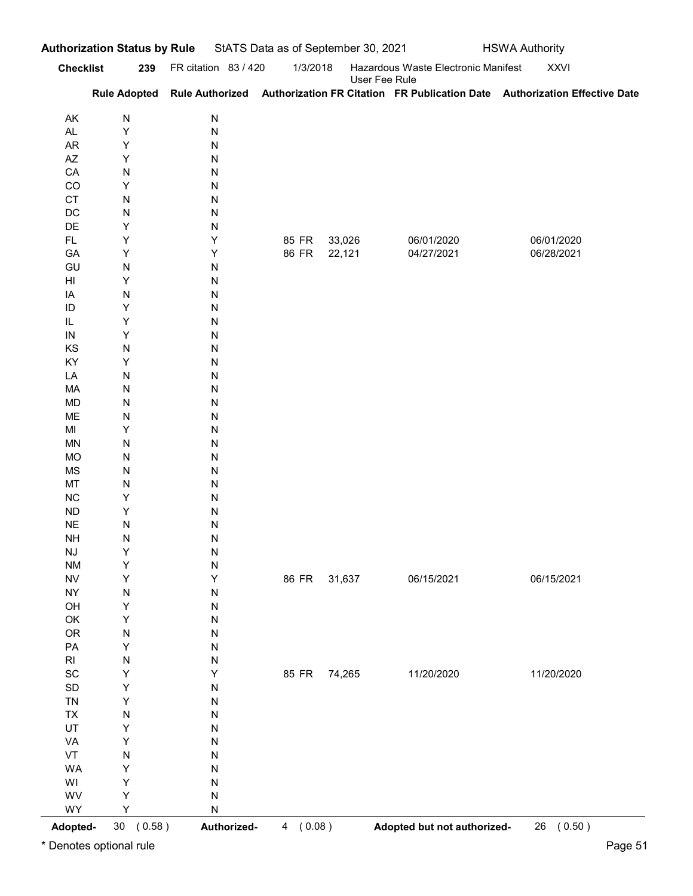|                              | 239                          | FR citation 83 / 420   | 1/3/2018     |               | Hazardous Waste Electronic Manifest | <b>XXVI</b>                                                                                             |
|------------------------------|------------------------------|------------------------|--------------|---------------|-------------------------------------|---------------------------------------------------------------------------------------------------------|
| <b>Checklist</b>             |                              |                        |              | User Fee Rule |                                     | Rule Adopted Rule Authorized Authorization FR Citation FR Publication Date Authorization Effective Date |
| AK                           | ${\sf N}$                    | N                      |              |               |                                     |                                                                                                         |
| <b>AL</b>                    | Y                            | ${\sf N}$              |              |               |                                     |                                                                                                         |
| AR<br>AZ                     | Υ<br>Y                       | N<br>N                 |              |               |                                     |                                                                                                         |
| CA                           | $\mathsf{N}$                 | N                      |              |               |                                     |                                                                                                         |
| CO                           | Υ                            | N                      |              |               |                                     |                                                                                                         |
| CT<br>DC                     | ${\sf N}$<br>${\sf N}$       | N<br>N                 |              |               |                                     |                                                                                                         |
| DE                           | Υ                            | N                      |              |               |                                     |                                                                                                         |
| FL.                          | Υ                            | Υ                      | 85 FR        | 33,026        | 06/01/2020                          | 06/01/2020                                                                                              |
| GA                           | Υ                            | Υ                      | 86 FR        | 22,121        | 04/27/2021                          | 06/28/2021                                                                                              |
| GU<br>HI                     | ${\sf N}$<br>Υ               | N<br>N                 |              |               |                                     |                                                                                                         |
| IA                           | ${\sf N}$                    | N                      |              |               |                                     |                                                                                                         |
| ID                           | Υ                            | N                      |              |               |                                     |                                                                                                         |
| IL.<br>$\sf IN$              | Υ<br>Υ                       | N<br>${\sf N}$         |              |               |                                     |                                                                                                         |
| KS                           | $\mathsf{N}$                 | ${\sf N}$              |              |               |                                     |                                                                                                         |
| KY                           | Υ                            | ${\sf N}$              |              |               |                                     |                                                                                                         |
| LA                           | $\mathsf{N}$                 | ${\sf N}$              |              |               |                                     |                                                                                                         |
| MA<br><b>MD</b>              | $\mathsf{N}$<br>$\mathsf{N}$ | ${\sf N}$<br>${\sf N}$ |              |               |                                     |                                                                                                         |
| ME                           | $\mathsf{N}$                 | ${\sf N}$              |              |               |                                     |                                                                                                         |
| MI                           | Υ                            | ${\sf N}$              |              |               |                                     |                                                                                                         |
| <b>MN</b><br><b>MO</b>       | $\mathsf{N}$<br>${\sf N}$    | ${\sf N}$<br>${\sf N}$ |              |               |                                     |                                                                                                         |
| MS                           | N                            | ${\sf N}$              |              |               |                                     |                                                                                                         |
| MT                           | $\mathsf{N}$                 | ${\sf N}$              |              |               |                                     |                                                                                                         |
| ${\sf NC}$                   | Υ                            | ${\sf N}$              |              |               |                                     |                                                                                                         |
| ${\sf ND}$<br>$\sf NE$       | Υ<br>$\mathsf{N}$            | ${\sf N}$<br>${\sf N}$ |              |               |                                     |                                                                                                         |
| $\mathsf{NH}\,$              | N                            | ${\sf N}$              |              |               |                                     |                                                                                                         |
| NJ                           | Y                            | ${\sf N}$              |              |               |                                     |                                                                                                         |
| <b>NM</b>                    | Y                            | ${\sf N}$              |              |               |                                     |                                                                                                         |
| <b>NV</b><br><b>NY</b>       | Y<br>N                       | Υ<br>${\sf N}$         | 86 FR        | 31,637        | 06/15/2021                          | 06/15/2021                                                                                              |
| OH                           | Y                            | ${\sf N}$              |              |               |                                     |                                                                                                         |
| OK                           | Υ                            | ${\sf N}$              |              |               |                                     |                                                                                                         |
| OR                           | ${\sf N}$                    | ${\sf N}$              |              |               |                                     |                                                                                                         |
| PA<br>$\mathsf{RI}$          | Υ<br>${\sf N}$               | ${\sf N}$<br>N         |              |               |                                     |                                                                                                         |
| $\operatorname{\textsf{SC}}$ | Y                            | Υ                      | 85 FR 74,265 |               | 11/20/2020                          | 11/20/2020                                                                                              |
| $\mathsf{SD}$                | Υ                            | N                      |              |               |                                     |                                                                                                         |
| <b>TN</b>                    | Υ                            | N                      |              |               |                                     |                                                                                                         |
| TX<br>UT                     | ${\sf N}$<br>Υ               | N<br>N                 |              |               |                                     |                                                                                                         |
| VA                           | Υ                            | ${\sf N}$              |              |               |                                     |                                                                                                         |
| VT                           | ${\sf N}$                    | ${\sf N}$              |              |               |                                     |                                                                                                         |
| WA                           | Υ                            | N                      |              |               |                                     |                                                                                                         |
| WI<br>WV                     | Υ<br>Υ                       | N<br>${\sf N}$         |              |               |                                     |                                                                                                         |
| WY                           | Υ                            | ${\sf N}$              |              |               |                                     |                                                                                                         |
|                              | 30(0.58)                     | Authorized-            | 4(0.08)      |               | Adopted but not authorized-         | 26 (0.50)                                                                                               |